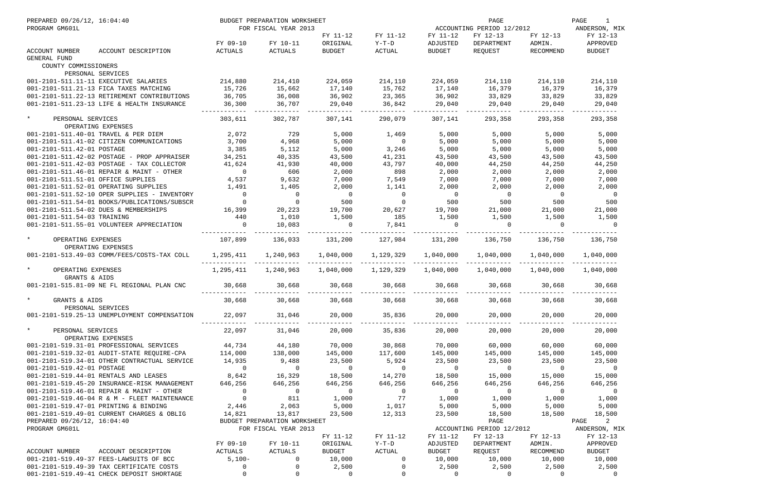| PREPARED 09/26/12, 16:04:40<br>PROGRAM GM601L |                                                                   |                          | BUDGET PREPARATION WORKSHEET<br>FOR FISCAL YEAR 2013 |                           |                         |                           | PAGE<br>ACCOUNTING PERIOD 12/2012 |                     | PAGE<br>1<br>ANDERSON, MIK |
|-----------------------------------------------|-------------------------------------------------------------------|--------------------------|------------------------------------------------------|---------------------------|-------------------------|---------------------------|-----------------------------------|---------------------|----------------------------|
|                                               |                                                                   | FY 09-10                 | FY 10-11                                             | FY 11-12<br>ORIGINAL      | FY 11-12<br>Y-T-D       | FY 11-12<br>ADJUSTED      | FY 12-13<br>DEPARTMENT            | FY 12-13<br>ADMIN.  | FY 12-13<br>APPROVED       |
| ACCOUNT NUMBER<br><b>GENERAL FUND</b>         | ACCOUNT DESCRIPTION                                               | ACTUALS                  | ACTUALS                                              | <b>BUDGET</b>             | ACTUAL                  | BUDGET                    | REOUEST                           | RECOMMEND           | <b>BUDGET</b>              |
| COUNTY COMMISSIONERS                          |                                                                   |                          |                                                      |                           |                         |                           |                                   |                     |                            |
|                                               | PERSONAL SERVICES                                                 |                          |                                                      |                           |                         |                           |                                   |                     |                            |
|                                               | 001-2101-511.11-11 EXECUTIVE SALARIES                             | 214,880                  | 214,410                                              | 224,059                   | 214,110                 | 224,059                   | 214,110                           | 214,110             | 214,110                    |
|                                               | 001-2101-511.21-13 FICA TAXES MATCHING                            | 15,726                   | 15,662                                               | 17,140                    | 15,762                  | 17,140                    | 16,379                            | 16,379              | 16,379                     |
|                                               | 001-2101-511.22-13 RETIREMENT CONTRIBUTIONS                       | 36,705                   | 36,008                                               | 36,902                    | 23,365                  | 36,902                    | 33,829                            | 33,829              | 33,829                     |
|                                               | 001-2101-511.23-13 LIFE & HEALTH INSURANCE                        | 36,300                   | 36,707                                               | 29,040                    | 36,842                  | 29,040                    | 29,040                            | 29,040              | 29,040                     |
| $\star$<br>PERSONAL SERVICES                  |                                                                   | 303,611                  | 302,787                                              | 307,141                   | 290,079                 | 307,141                   | 293,358                           | 293,358             | 293,358                    |
|                                               | OPERATING EXPENSES                                                |                          |                                                      |                           |                         |                           |                                   |                     |                            |
|                                               | 001-2101-511.40-01 TRAVEL & PER DIEM                              | 2,072                    | 729                                                  | 5,000                     | 1,469                   | 5,000                     | 5,000                             | 5,000               | 5,000                      |
|                                               | 001-2101-511.41-02 CITIZEN COMMUNICATIONS                         | 3,700                    | 4,968                                                | 5,000                     | $\overline{0}$          | 5,000                     | 5,000                             | 5,000               | 5,000                      |
| 001-2101-511.42-01 POSTAGE                    |                                                                   | 3,385                    | 5,112                                                | 5,000                     | 3,246                   | 5,000                     | 5,000                             | 5,000               | 5,000                      |
|                                               | 001-2101-511.42-02 POSTAGE - PROP APPRAISER                       | 34,251                   | 40,335                                               | 43,500                    | 41,231                  | 43,500                    | 43,500                            | 43,500              | 43,500                     |
|                                               | $001-2101-511.42-03$ POSTAGE - TAX COLLECTOR                      | 41,624                   | 41,930                                               | 40,000                    | 43,797                  | 40,000                    | 44,250                            | 44,250              | 44,250                     |
|                                               | 001-2101-511.46-01 REPAIR & MAINT - OTHER                         | $\overline{0}$           | 606                                                  | 2,000                     | 898                     | 2,000                     | 2,000                             | 2,000               | 2,000                      |
| 001-2101-511.51-01 OFFICE SUPPLIES            |                                                                   | 4,537                    | 9,632                                                | 7,000                     | 7,549                   | 7,000                     | 7,000                             | 7,000               | 7,000                      |
|                                               | 001-2101-511.52-01 OPERATING SUPPLIES                             | 1,491                    | 1,405                                                | 2,000                     | 1,141                   | 2,000                     | 2,000                             | 2,000               | 2,000                      |
|                                               | 001-2101-511.52-10 OPER SUPPLIES - INVENTORY                      | $\overline{0}$           | $\overline{0}$                                       | $\overline{0}$            | $\overline{0}$          | $\overline{0}$            | $\overline{0}$                    | $\overline{0}$      | $\overline{0}$             |
|                                               | 001-2101-511.54-01 BOOKS/PUBLICATIONS/SUBSCR                      | $\overline{0}$           | $\overline{0}$                                       | 500                       | $\overline{0}$          | 500                       | 500                               | 500                 | 500                        |
|                                               | 001-2101-511.54-02 DUES & MEMBERSHIPS                             | 16,399                   | 20,223                                               | 19,700                    | 20,627                  | 19,700                    | 21,000                            | 21,000              | 21,000                     |
| 001-2101-511.54-03 TRAINING                   |                                                                   | 440                      | 1,010                                                | 1,500                     | 185                     | 1,500                     | 1,500                             | 1,500               | 1,500                      |
|                                               | 001-2101-511.55-01 VOLUNTEER APPRECIATION                         | $\Omega$                 | 10,083                                               | $\Omega$                  | 7,841                   |                           | $\Omega$                          | $\Omega$            | $\Omega$                   |
| $\star$<br>OPERATING EXPENSES                 |                                                                   | 107,899                  | 136,033                                              | 131,200                   | 127,984                 | 131,200                   | 136,750                           | 136,750             | 136,750                    |
|                                               | OPERATING EXPENSES<br>001-2101-513.49-03 COMM/FEES/COSTS-TAX COLL | 1,295,411                | 1,240,963                                            | 1,040,000                 | 1,129,329               | 1,040,000                 | 1,040,000                         | 1,040,000           | 1,040,000                  |
| $\star$<br>OPERATING EXPENSES                 |                                                                   | 1,295,411                | 1,240,963                                            | 1,040,000                 | 1,129,329               | 1,040,000                 | 1,040,000                         | 1,040,000           | 1,040,000                  |
| GRANTS & AIDS                                 |                                                                   |                          |                                                      |                           |                         |                           |                                   |                     |                            |
|                                               | 001-2101-515.81-09 NE FL REGIONAL PLAN CNC                        | 30,668                   | 30,668                                               | 30,668                    | 30,668                  | 30,668                    | 30,668                            | 30,668              | 30,668                     |
| GRANTS & AIDS                                 |                                                                   | 30,668                   | 30,668                                               | 30,668                    | 30,668                  | 30,668                    | 30,668                            | 30,668              | 30,668                     |
|                                               | PERSONAL SERVICES                                                 |                          |                                                      |                           |                         |                           |                                   |                     |                            |
|                                               | 001-2101-519.25-13 UNEMPLOYMENT COMPENSATION                      | 22,097                   | 31,046                                               | 20,000                    | 35,836                  | 20,000                    | 20,000                            | 20,000              | 20,000                     |
| $\star$<br>PERSONAL SERVICES                  |                                                                   | 22,097                   | 31,046                                               | 20,000                    | 35,836                  | 20,000                    | 20,000                            | 20,000              | 20,000                     |
|                                               | OPERATING EXPENSES                                                |                          |                                                      |                           |                         |                           |                                   |                     |                            |
|                                               | 001-2101-519.31-01 PROFESSIONAL SERVICES                          | 44,734                   | 44,180                                               | 70,000                    | 30,868                  | 70,000                    | 60,000                            | 60,000              | 60,000                     |
|                                               | 001-2101-519.32-01 AUDIT-STATE REQUIRE-CPA 114,000                |                          | 138,000                                              | 145,000                   | 117,600                 | 145,000                   | 145,000                           | 145,000             | 145,000                    |
|                                               | 001-2101-519.34-01 OTHER CONTRACTUAL SERVICE                      | 14,935<br>$\overline{0}$ | 9,488                                                | 23,500<br>$\overline{0}$  | 5,924<br>$\overline{0}$ | 23,500                    | 23,500<br>$\overline{0}$          | 23,500              | 23,500                     |
| 001-2101-519.42-01 POSTAGE                    |                                                                   |                          | $\overline{0}$                                       |                           |                         | $\sim$ 0                  |                                   | $\overline{0}$      | $\overline{0}$             |
|                                               | 001-2101-519.44-01 RENTALS AND LEASES                             | 8,642<br>646,256         | 16,329                                               | 18,500                    | 14,270                  | 18,500                    | 15,000                            | 15,000              | 15,000                     |
|                                               | 001-2101-519.45-20 INSURANCE-RISK MANAGEMENT                      | $\overline{0}$           | 646,256<br>$\overline{0}$                            | 646,256<br>$\overline{0}$ | 646,256                 | 646,256<br>$\overline{0}$ | 646,256<br>$\overline{0}$         | 646,256<br>$\sim$ 0 | 646,256<br>$\overline{0}$  |
|                                               | 001-2101-519.46-01 REPAIR & MAINT - OTHER                         | $\overline{0}$           | 811                                                  | 1,000                     | $\overline{0}$<br>77    | 1,000                     | 1,000                             | 1,000               |                            |
|                                               | 001-2101-519.46-04 R & M - FLEET MAINTENANCE                      | 2,446                    |                                                      |                           |                         |                           |                                   |                     | 1,000                      |
|                                               | 001-2101-519.47-01 PRINTING & BINDING                             |                          | 2,063                                                | 5,000                     | 1,017                   | 5,000                     | 5,000                             | 5,000               | 5,000                      |
|                                               | 001-2101-519.49-01 CURRENT CHARGES & OBLIG                        | 14,821                   | 13,817                                               | 23,500                    | 12,313                  | 23,500                    | 18,500                            | 18,500              | 18,500<br>PAGE<br>2        |
| PREPARED 09/26/12, 16:04:40<br>PROGRAM GM601L |                                                                   |                          | BUDGET PREPARATION WORKSHEET<br>FOR FISCAL YEAR 2013 |                           |                         |                           | PAGE<br>ACCOUNTING PERIOD 12/2012 |                     | ANDERSON, MIK              |
|                                               |                                                                   |                          |                                                      | FY 11-12                  | FY 11-12                | FY 11-12                  | FY 12-13                          | FY 12-13            | FY 12-13                   |
|                                               |                                                                   | FY 09-10                 | FY 10-11                                             | ORIGINAL                  | Y-T-D                   | ADJUSTED                  | DEPARTMENT                        | ADMIN.              | APPROVED                   |
| ACCOUNT NUMBER                                | ACCOUNT DESCRIPTION                                               | ACTUALS                  | ACTUALS                                              | BUDGET                    | ACTUAL                  | BUDGET                    | REQUEST                           | RECOMMEND           | BUDGET                     |
|                                               | 001-2101-519.49-37 FEES-LAWSUITS OF BCC                           | $5,100-$                 | $\overline{0}$                                       | 10,000                    | $\overline{0}$          | 10,000                    | 10,000                            | 10,000              | 10,000                     |
|                                               | 001-2101-519.49-39 TAX CERTIFICATE COSTS                          | $\overline{0}$           | 0                                                    | 2,500                     | $\overline{0}$          | 2,500                     | 2,500                             | 2,500               | 2,500                      |
|                                               | 001-2101-519.49-41 CHECK DEPOSIT SHORTAGE                         | 0                        | $\mathsf{O}$                                         | $\overline{0}$            | $\mathbf{0}$            | $\mathbf{0}$              | $\overline{0}$                    | $\mathbf 0$         | $\Omega$                   |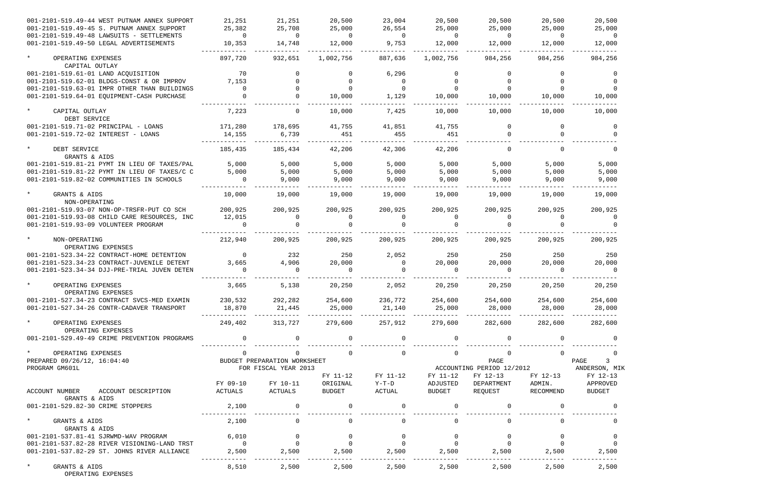| 001-2101-519.49-44 WEST PUTNAM ANNEX SUPPORT                                         | 21,251                   | 21,251                       | 20,500                   | 23,004                  | 20,500             | 20,500                   | 20,500             | 20,500                                  |
|--------------------------------------------------------------------------------------|--------------------------|------------------------------|--------------------------|-------------------------|--------------------|--------------------------|--------------------|-----------------------------------------|
| 001-2101-519.49-45 S. PUTNAM ANNEX SUPPORT                                           | 25,382                   | 25,708                       | 25,000                   | 26,554                  | 25,000             | 25,000                   | 25,000             | 25,000                                  |
| 001-2101-519.49-48 LAWSUITS - SETTLEMENTS<br>001-2101-519.49-50 LEGAL ADVERTISEMENTS | $\overline{0}$<br>10,353 | $\Omega$<br>14,748           | $\overline{0}$<br>12,000 | $\overline{0}$<br>9,753 | $\Omega$<br>12,000 | $\overline{0}$<br>12,000 | $\Omega$<br>12,000 | $\Omega$<br>12,000                      |
| $\star$<br>OPERATING EXPENSES                                                        | 897,720                  | 932,651                      | 1,002,756                | 887,636                 | 1,002,756          | 984,256                  | 984,256            | 984,256                                 |
| CAPITAL OUTLAY                                                                       |                          |                              |                          |                         |                    |                          |                    |                                         |
| 001-2101-519.61-01 LAND ACQUISITION                                                  | 70                       | $\Omega$                     |                          | 6,296                   |                    |                          |                    |                                         |
| 001-2101-519.62-01 BLDGS-CONST & OR IMPROV                                           | 7,153                    |                              |                          | $\overline{0}$          |                    |                          |                    |                                         |
| 001-2101-519.63-01 IMPR OTHER THAN BUILDINGS                                         | $\mathbf 0$              |                              |                          | $\Omega$                |                    |                          |                    |                                         |
| 001-2101-519.64-01 EQUIPMENT-CASH PURCHASE                                           |                          |                              | 10,000                   | 1,129                   | 10,000             | 10,000                   | 10,000             | 10,000                                  |
| $\star$<br>CAPITAL OUTLAY<br>DEBT SERVICE                                            | 7,223                    |                              | 10,000                   | 7,425                   | 10,000             | 10,000                   | 10,000             | 10,000                                  |
| 001-2101-519.71-02 PRINCIPAL - LOANS                                                 | 171,280                  | 178,695                      | 41,755                   | 41,851                  | 41,755             | 0                        | $\Omega$           | $\Omega$                                |
| 001-2101-519.72-02 INTEREST - LOANS                                                  | 14,155                   | 6,739                        | 451                      | 455                     | 451                | $\Omega$                 |                    |                                         |
| $\star$<br>DEBT SERVICE<br>GRANTS & AIDS                                             | 185,435                  | 185,434                      | 42,206                   | 42,306                  | 42,206             | $\Omega$                 |                    |                                         |
| 001-2101-519.81-21 PYMT IN LIEU OF TAXES/PAL                                         | 5,000                    | 5,000                        | 5,000                    | 5,000                   | 5,000              | 5,000                    | 5,000              | 5,000                                   |
| 001-2101-519.81-22 PYMT IN LIEU OF TAXES/C C                                         | 5,000                    | 5,000                        | 5,000                    | 5,000                   | 5,000              | 5,000                    | 5,000              | 5,000                                   |
| 001-2101-519.82-02 COMMUNITIES IN SCHOOLS                                            | $\Omega$                 | 9,000                        | 9,000                    | 9,000                   | 9,000              | 9,000                    | 9,000              | 9,000                                   |
| $\star$<br>GRANTS & AIDS<br>NON-OPERATING                                            | 10,000                   | 19,000                       | 19,000                   | 19,000                  | 19,000             | 19,000                   | 19,000             | 19,000                                  |
| 001-2101-519.93-07 NON-OP-TRSFR-PUT CO SCH                                           | 200,925                  | 200,925                      | 200,925                  | 200,925                 | 200,925            | 200,925                  | 200,925            | 200,925                                 |
| 001-2101-519.93-08 CHILD CARE RESOURCES, INC                                         | 12,015                   | $\Omega$                     | $\Omega$                 | 0                       | $\Omega$           |                          | $\Omega$           |                                         |
| 001-2101-519.93-09 VOLUNTEER PROGRAM                                                 |                          |                              |                          |                         |                    |                          |                    |                                         |
| $\star$<br>NON-OPERATING                                                             | 212,940                  | 200,925                      | 200,925                  | 200,925                 | 200,925            | 200,925                  | 200,925            | 200,925                                 |
| OPERATING EXPENSES                                                                   |                          |                              |                          |                         |                    |                          |                    |                                         |
| 001-2101-523.34-22 CONTRACT-HOME DETENTION                                           | $\overline{0}$           | 232                          | 250                      | 2,052                   | 250                | 250                      | 250                | 250                                     |
| 001-2101-523.34-23 CONTRACT-JUVENILE DETENT                                          | 3,665                    | 4,906                        | 20,000                   | $\mathbf{0}$            | 20,000             | 20,000                   | 20,000             | 20,000                                  |
| 001-2101-523.34-34 DJJ-PRE-TRIAL JUVEN DETEN                                         |                          |                              |                          |                         |                    | $\Omega$                 |                    |                                         |
| $\star$<br>OPERATING EXPENSES<br>OPERATING EXPENSES                                  | 3,665                    | 5,138                        | 20,250                   | 2,052                   | 20,250             | 20,250                   | 20,250             | 20,250                                  |
| 001-2101-527.34-23 CONTRACT SVCS-MED EXAMIN                                          | 230,532                  | 292,282                      | 254,600                  | 236,772                 | 254,600            | 254,600                  | 254,600            | 254,600                                 |
| 001-2101-527.34-26 CONTR-CADAVER TRANSPORT                                           | 18,870                   | 21,445                       | 25,000<br>____________   | 21,140                  | 25,000             | 28,000                   | 28,000             | 28,000                                  |
| $\star$<br>OPERATING EXPENSES<br>OPERATING EXPENSES                                  | 249,402                  | 313,727                      | 279,600                  | 257,912                 | 279,600            | 282,600                  | 282,600            | 282,600                                 |
| 001-2101-529.49-49 CRIME PREVENTION PROGRAMS                                         | $\overline{0}$           |                              | $\mathbf 0$              | $\mathbf 0$             |                    |                          |                    |                                         |
| $\star$<br>OPERATING EXPENSES                                                        | 0                        | $\mathbf{0}$                 | $\mathbf 0$              | $\mathsf{O}$            | $\mathsf{O}$       | $\mathsf{O}$             | $\Omega$           | 0                                       |
| PREPARED 09/26/12, 16:04:40                                                          |                          | BUDGET PREPARATION WORKSHEET |                          |                         |                    | PAGE                     |                    | PAGE<br>$\overline{3}$                  |
| PROGRAM GM601L                                                                       |                          | FOR FISCAL YEAR 2013         |                          |                         |                    |                          |                    | ACCOUNTING PERIOD 12/2012 ANDERSON, MIK |
|                                                                                      |                          |                              | FY 11-12                 | FY 11-12                | FY 11-12           | FY 12-13                 | FY 12-13           | FY 12-13                                |
|                                                                                      | FY 09-10                 | FY 10-11                     | ORIGINAL                 | Y-T-D                   | ADJUSTED           | DEPARTMENT               | ADMIN.             | APPROVED                                |
| ACCOUNT NUMBER<br>ACCOUNT DESCRIPTION                                                | ACTUALS                  | ACTUALS                      | BUDGET                   | ACTUAL                  | BUDGET             | REQUEST                  | RECOMMEND          | BUDGET                                  |
| GRANTS & AIDS                                                                        |                          |                              |                          |                         |                    |                          |                    |                                         |
| 001-2101-529.82-30 CRIME STOPPERS                                                    | 2,100                    | $\overline{0}$               | $\mathsf{O}$             | 0                       |                    | 0                        |                    |                                         |
| $\star$<br>GRANTS & AIDS<br>GRANTS & AIDS                                            | 2,100                    | $\mathsf{O}$                 | $\mathsf{O}$             | $\overline{0}$          | $\mathbf 0$        | $\mathsf{O}$             | $\mathbf 0$        | 0                                       |
| 001-2101-537.81-41 SJRWMD-WAV PROGRAM                                                | 6,010                    | $\overline{0}$               | $\overline{0}$           | $\overline{0}$          | $\overline{0}$     | 0                        | $\mathbf 0$        | - 0                                     |
| 001-2101-537.82-28 RIVER VISIONING-LAND TRST                                         | $\overline{0}$           | $\overline{0}$               | $\mathbf 0$              | $\overline{0}$          | $\overline{0}$     | $\overline{0}$           | $\Omega$           | $\overline{0}$                          |
| 001-2101-537.82-29 ST. JOHNS RIVER ALLIANCE                                          | 2,500                    | 2,500                        | 2,500                    | 2,500                   | 2,500              | 2,500                    | 2,500              | 2,500                                   |
| $\star$<br>GRANTS & AIDS<br>OPERATING EXPENSES                                       | 8,510                    | 2,500                        | 2,500                    | 2,500                   | 2,500              | 2,500                    | 2,500              | 2,500                                   |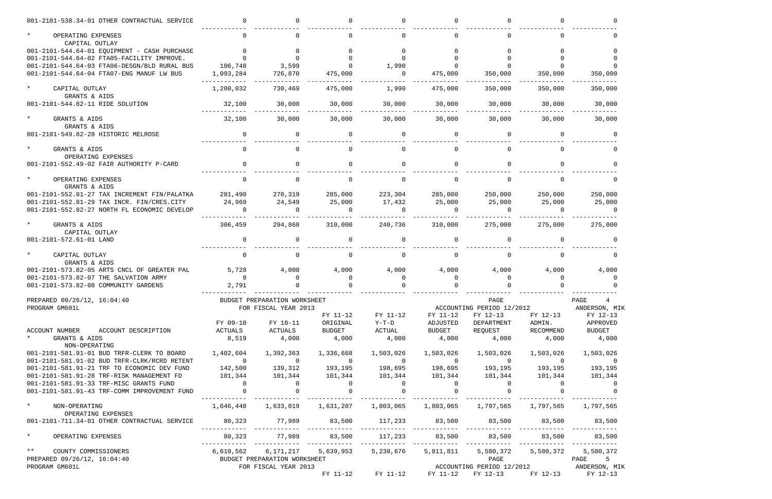| 001-2101-538.34-01 OTHER CONTRACTUAL SERVICE          |                                       |                                                    |                 |                                       |                |                                                                                               |                                                                                                                                                                                                                                                                                |                                         |
|-------------------------------------------------------|---------------------------------------|----------------------------------------------------|-----------------|---------------------------------------|----------------|-----------------------------------------------------------------------------------------------|--------------------------------------------------------------------------------------------------------------------------------------------------------------------------------------------------------------------------------------------------------------------------------|-----------------------------------------|
| $\star$<br>OPERATING EXPENSES<br>CAPITAL OUTLAY       | $\Omega$                              |                                                    |                 | $\Omega$                              |                |                                                                                               |                                                                                                                                                                                                                                                                                |                                         |
| 001-2101-544.64-01 EQUIPMENT - CASH PURCHASE          | $\overline{0}$                        |                                                    |                 |                                       |                |                                                                                               |                                                                                                                                                                                                                                                                                |                                         |
| 001-2101-544.64-02 FTA05-FACILITY IMPROVE.            |                                       |                                                    |                 |                                       |                |                                                                                               |                                                                                                                                                                                                                                                                                |                                         |
| 001-2101-544.64-03 FTA06-DESGN/BLD RURAL BUS          | 106,748                               | 3,599                                              |                 | 1,990                                 |                |                                                                                               |                                                                                                                                                                                                                                                                                |                                         |
| 001-2101-544.64-04 FTA07-ENG MANUF LW BUS             | 1,093,284                             | 726,870                                            | 475,000         | $\overline{0}$                        | 475,000        | 350,000                                                                                       | 350,000                                                                                                                                                                                                                                                                        | 350,000                                 |
| $\star$<br>CAPITAL OUTLAY                             | 1,200,032                             | 730,469                                            | 475,000         | 1,990                                 | 475,000        | 350,000                                                                                       | 350,000                                                                                                                                                                                                                                                                        | 350,000                                 |
| GRANTS & AIDS                                         |                                       |                                                    |                 |                                       |                |                                                                                               |                                                                                                                                                                                                                                                                                |                                         |
| 001-2101-544.82-11 RIDE SOLUTION                      | 32,100                                | 30,000                                             | 30,000          | 30,000                                | 30,000         | 30,000                                                                                        | 30,000                                                                                                                                                                                                                                                                         | 30,000                                  |
| GRANTS & AIDS                                         | 32,100                                | 30,000                                             | 30,000          | 30,000                                | 30,000         | 30,000                                                                                        | 30,000                                                                                                                                                                                                                                                                         | 30,000                                  |
| GRANTS & AIDS                                         |                                       |                                                    |                 |                                       |                |                                                                                               |                                                                                                                                                                                                                                                                                |                                         |
| 001-2101-549.82-28 HISTORIC MELROSE                   | $\Omega$                              | $\Omega$                                           | $\Omega$        | $\Omega$                              | $\Omega$       | $\Omega$                                                                                      |                                                                                                                                                                                                                                                                                |                                         |
| GRANTS & AIDS                                         | $\Omega$                              |                                                    | $\Omega$        | $\Omega$                              |                | $\Omega$                                                                                      |                                                                                                                                                                                                                                                                                |                                         |
| OPERATING EXPENSES                                    |                                       |                                                    |                 |                                       |                |                                                                                               |                                                                                                                                                                                                                                                                                |                                         |
| 001-2101-552.49-02 FAIR AUTHORITY P-CARD              | $\Omega$                              | $\Omega$                                           | $\Omega$        | $\Omega$                              |                |                                                                                               |                                                                                                                                                                                                                                                                                |                                         |
| OPERATING EXPENSES                                    |                                       |                                                    |                 |                                       |                |                                                                                               |                                                                                                                                                                                                                                                                                |                                         |
| GRANTS & AIDS                                         |                                       |                                                    |                 |                                       |                |                                                                                               |                                                                                                                                                                                                                                                                                |                                         |
| 001-2101-552.81-27 TAX INCREMENT FIN/PALATKA          | 281,490                               | 270,319                                            | 285,000         | 223,304                               | 285,000        | 250,000                                                                                       | 250,000                                                                                                                                                                                                                                                                        | 250,000                                 |
| 001-2101-552.81-29 TAX INCR. FIN/CRES.CITY            | 24,969                                | 24,549                                             | 25,000          | 17,432                                | 25,000         | 25,000                                                                                        | 25,000                                                                                                                                                                                                                                                                         | 25,000                                  |
| 001-2101-552.82-27 NORTH FL ECONOMIC DEVELOP          | $\Omega$                              | $\cap$                                             | $\Omega$        | $\cap$                                | $\Omega$       | $\Omega$                                                                                      | $\cap$                                                                                                                                                                                                                                                                         | $\cap$                                  |
|                                                       | 306,459                               | 294,868                                            | 310,000         | 240,736                               | 310,000        | 275,000                                                                                       | 275,000                                                                                                                                                                                                                                                                        | 275,000                                 |
| GRANTS & AIDS<br>CAPITAL OUTLAY                       |                                       |                                                    |                 |                                       |                |                                                                                               |                                                                                                                                                                                                                                                                                |                                         |
| 001-2101-572.61-01 LAND                               |                                       |                                                    |                 |                                       |                |                                                                                               |                                                                                                                                                                                                                                                                                |                                         |
|                                                       |                                       |                                                    |                 |                                       |                |                                                                                               |                                                                                                                                                                                                                                                                                |                                         |
| CAPITAL OUTLAY<br>GRANTS & AIDS                       |                                       |                                                    |                 |                                       |                |                                                                                               |                                                                                                                                                                                                                                                                                |                                         |
| 001-2101-573.82-05 ARTS CNCL OF GREATER PAL           | 5,728                                 | 4,000                                              | 4,000           | 4,000                                 | 4,000          | 4,000                                                                                         | 4,000                                                                                                                                                                                                                                                                          | 4,000                                   |
| 001-2101-573.82-07 THE SALVATION ARMY                 | $\overline{0}$                        | $\overline{0}$                                     | $\mathbf 0$     | $\overline{0}$                        | $\overline{0}$ | $\mathbf 0$                                                                                   | $\mathbf{0}$                                                                                                                                                                                                                                                                   | 0                                       |
| 001-2101-573.82-08 COMMUNITY GARDENS                  | 2,791                                 |                                                    |                 |                                       |                |                                                                                               |                                                                                                                                                                                                                                                                                |                                         |
| PREPARED 09/26/12, 16:04:40                           |                                       | BUDGET PREPARATION WORKSHEET                       |                 | PAGE                                  |                |                                                                                               |                                                                                                                                                                                                                                                                                | PAGE<br>$\frac{4}{1}$                   |
| PROGRAM GM601L                                        |                                       | FOR FISCAL YEAR 2013                               |                 |                                       |                | ACCOUNTING PERIOD 12/2012                                                                     |                                                                                                                                                                                                                                                                                | ANDERSON, MIK                           |
|                                                       |                                       |                                                    | FY 11-12        | FY 11-12                              | FY 11-12       | FY 12-13                                                                                      | FY 12-13                                                                                                                                                                                                                                                                       | FY 12-13                                |
|                                                       | FY 09-10                              | FY 10-11                                           | ORIGINAL        | $Y-T-D$                               | ADJUSTED       | DEPARTMENT                                                                                    | ADMIN.                                                                                                                                                                                                                                                                         | APPROVED                                |
| ACCOUNT NUMBER ACCOUNT DESCRIPTION<br>* GRANTS & AIDS | ACTUALS                               | ACTUALS                                            | <b>BUDGET</b>   | ACTUAL                                | <b>BUDGET</b>  | REQUEST                                                                                       | RECOMMEND                                                                                                                                                                                                                                                                      | <b>BUDGET</b>                           |
| NON-OPERATING                                         | 8,519                                 | 4,000                                              | 4,000           | 4,000                                 | 4,000          | 4,000                                                                                         | 4,000                                                                                                                                                                                                                                                                          | 4,000                                   |
| 001-2101-581.91-01 BUD TRFR-CLERK TO BOARD 1,402,604  |                                       | 1,392,363                                          | 1,336,668       | 1,503,026                             | 1,503,026      | 1,503,026                                                                                     | 1,503,026                                                                                                                                                                                                                                                                      | 1,503,026                               |
| 001-2101-581.91-02 BUD TRFR-CLRK/RCRD RETENT          | $\overline{0}$                        |                                                    | $\overline{0}$  |                                       |                | $\overline{0}$                                                                                | $\sim$ 000 $\sim$ 000 $\sim$ 000 $\sim$ 000 $\sim$ 000 $\sim$ 000 $\sim$ 000 $\sim$ 000 $\sim$ 000 $\sim$ 000 $\sim$ 000 $\sim$ 000 $\sim$ 000 $\sim$ 000 $\sim$ 000 $\sim$ 000 $\sim$ 000 $\sim$ 000 $\sim$ 000 $\sim$ 000 $\sim$ 000 $\sim$ 000 $\sim$ 000 $\sim$ 000 $\sim$ | $\overline{0}$                          |
| 001-2101-581.91-21 TRF TO ECONOMIC DEV FUND           | 142,500                               | $\begin{smallmatrix}&&&0\139,312\end{smallmatrix}$ | 193,195         | 0<br>198,695                          | 0<br>198,695   | .<br>193,195                                                                                  | 193,195                                                                                                                                                                                                                                                                        | 193,195                                 |
| 001-2101-581.91-28 TRF-RISK MANAGEMENT FD 101,344     |                                       | 101,344                                            | 101,344 101,344 |                                       | 101,344        | 101,344                                                                                       | 101,344                                                                                                                                                                                                                                                                        | 101,344                                 |
| 001-2101-581.91-33 TRF-MISC GRANTS FUND               | $\begin{array}{c} 0 \\ 0 \end{array}$ | $\overline{0}$                                     | $\overline{0}$  | $\begin{array}{c} 0 \\ 0 \end{array}$ | $\overline{0}$ | $\overline{0}$                                                                                | $\sim$ 0                                                                                                                                                                                                                                                                       | $\overline{\phantom{0}}$                |
| 001-2101-581.91-43 TRF-COMM IMPROVEMENT FUND          |                                       | $\overline{0}$                                     | $\overline{0}$  |                                       | $\overline{0}$ | $\overline{0}$                                                                                |                                                                                                                                                                                                                                                                                |                                         |
| * NON-OPERATING                                       |                                       |                                                    |                 |                                       |                | 1,646,448   1,633,019   1,631,207   1,803,065   1,803,065   1,797,565   1,797,565   1,797,565 |                                                                                                                                                                                                                                                                                |                                         |
| OPERATING EXPENSES                                    |                                       |                                                    |                 |                                       |                |                                                                                               |                                                                                                                                                                                                                                                                                |                                         |
| 001-2101-711.34-01 OTHER CONTRACTUAL SERVICE          |                                       |                                                    |                 |                                       |                | 80,323 77,989 83,500 117,233 83,500 83,500 83,500 83,500 83,500                               |                                                                                                                                                                                                                                                                                |                                         |
| $\star$<br>OPERATING EXPENSES                         |                                       |                                                    |                 |                                       |                | $80,323$ $77,989$ $83,500$ $117,233$ $83,500$ $83,500$ $83,500$ $83,500$ $83,500$ $83,500$    |                                                                                                                                                                                                                                                                                |                                         |
| ** COUNTY COMMISSIONERS                               |                                       |                                                    |                 |                                       |                | 5,811,811   5,580,372   5,580,372                                                             |                                                                                                                                                                                                                                                                                | 5,580,372                               |
| PREPARED 09/26/12, 16:04:40                           |                                       |                                                    |                 |                                       |                | PAGE                                                                                          |                                                                                                                                                                                                                                                                                | PAGE 5                                  |
| PROGRAM GM601L                                        |                                       | FOR FISCAL YEAR 2013                               |                 |                                       |                |                                                                                               |                                                                                                                                                                                                                                                                                | ACCOUNTING PERIOD 12/2012 ANDERSON, MIK |
|                                                       |                                       |                                                    |                 |                                       |                | FY 11-12 FY 11-12 FY 11-12 FY 12-13                                                           |                                                                                                                                                                                                                                                                                | FY 12-13 FY 12-13                       |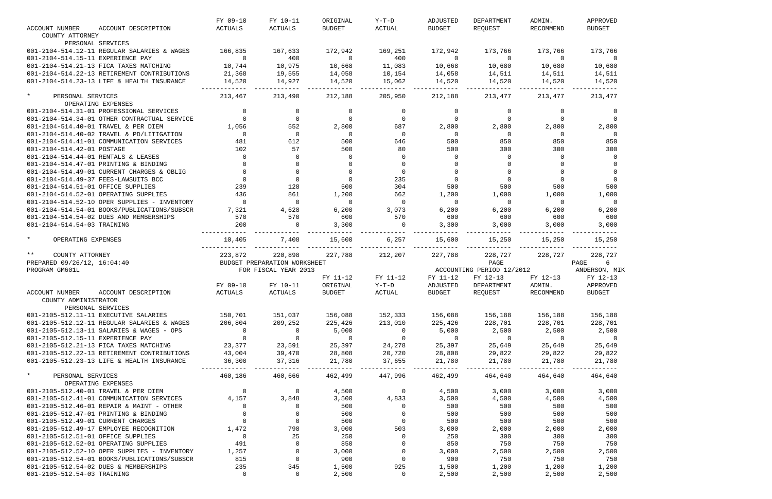|                                                                      | FY 09-10              | FY 10-11                     | ORIGINAL       | Y-T-D                 | ADJUSTED       | DEPARTMENT                | ADMIN.         | APPROVED                |
|----------------------------------------------------------------------|-----------------------|------------------------------|----------------|-----------------------|----------------|---------------------------|----------------|-------------------------|
| <b>ACCOUNT NUMBER</b><br>ACCOUNT DESCRIPTION                         | ACTUALS               | ACTUALS                      | <b>BUDGET</b>  | ACTUAL                | <b>BUDGET</b>  | REOUEST                   | RECOMMEND      | <b>BUDGET</b>           |
| COUNTY ATTORNEY                                                      |                       |                              |                |                       |                |                           |                |                         |
| PERSONAL SERVICES                                                    |                       |                              |                |                       |                |                           |                |                         |
| 001-2104-514.12-11 REGULAR SALARIES & WAGES                          | 166,835               | 167,633                      | 172,942        | 169,251               | 172,942        | 173,766                   | 173,766        | 173,766                 |
| 001-2104-514.15-11 EXPERIENCE PAY                                    | $\sim$ 0              | 400                          | $\overline{0}$ | 400                   | $\overline{0}$ | $\overline{0}$            | $\overline{0}$ | $\overline{0}$          |
| 001-2104-514.21-13 FICA TAXES MATCHING                               | 10,744                | 10,975                       | 10,668         | 11,083                | 10,668         | 10,680                    | 10,680         | 10,680                  |
| 001-2104-514.22-13 RETIREMENT CONTRIBUTIONS                          | 21,368                | 19,555                       | 14,058         | 10,154                | 14,058         | 14,511                    | 14,511         | 14,511                  |
| 001-2104-514.23-13 LIFE & HEALTH INSURANCE                           | 14,520                | 14,927                       | 14,520         | 15,062                | 14,520         | 14,520                    | 14,520         | 14,520                  |
|                                                                      |                       |                              |                |                       |                |                           |                |                         |
| $\star$<br>PERSONAL SERVICES                                         | 213,467               | 213,490                      | 212,188        | 205,950               | 212,188        | 213,477                   | 213,477        | 213,477                 |
| OPERATING EXPENSES                                                   |                       |                              |                |                       |                |                           |                |                         |
| 001-2104-514.31-01 PROFESSIONAL SERVICES                             | $\mathbf 0$           | $\mathbf 0$                  | 0              | $\overline{0}$        | $\overline{0}$ | $\overline{0}$            | $\Omega$       | - 0                     |
| 001-2104-514.34-01 OTHER CONTRACTUAL SERVICE                         |                       | $\Omega$                     |                | $\overline{0}$        | $\overline{0}$ |                           | $\Omega$       | $\Omega$                |
| 001-2104-514.40-01 TRAVEL & PER DIEM                                 | 1,056                 | 552                          | 2,800          | 687                   | 2,800          | 2,800                     | 2,800          | 2,800                   |
| 001-2104-514.40-02 TRAVEL & PD/LITIGATION                            | $\overline{0}$        | $\overline{0}$               | $\overline{0}$ | $\overline{0}$        | $\overline{0}$ | $\overline{0}$            | $\overline{0}$ | $\overline{0}$          |
| 001-2104-514.41-01 COMMUNICATION SERVICES                            | 481                   | 612                          | 500            | 646                   | 500            | 850                       | 850            | 850                     |
| 001-2104-514.42-01 POSTAGE                                           | 102                   | 57                           | 500            | 80                    | 500            | 300                       | 300            | 300                     |
| 001-2104-514.44-01 RENTALS & LEASES                                  | $\mathbf 0$           | $\Omega$                     | $\Omega$       | $\Omega$              | $\overline{0}$ | $\mathbf{0}$              | $\Omega$       | $\Omega$                |
| 001-2104-514.47-01 PRINTING & BINDING                                |                       | $\Omega$                     |                | $\Omega$              |                |                           |                |                         |
| 001-2104-514.49-01 CURRENT CHARGES & OBLIG                           |                       | $\Omega$                     | $\Omega$       | $\Omega$              |                |                           | $\Omega$       | $\Omega$                |
| 001-2104-514.49-37 FEES-LAWSUITS BCC                                 | $\Omega$              | $\Omega$                     | $\Omega$       | 235                   | $\overline{0}$ | $\Omega$                  | $\overline{0}$ | $\Omega$                |
| 001-2104-514.51-01 OFFICE SUPPLIES                                   | 239                   | 128                          | 500            | 304                   | 500            | 500                       | 500            | 500                     |
| 001-2104-514.52-01 OPERATING SUPPLIES                                | 436                   | 861                          | 1,200          | 662                   | 1,200          | 1,000                     | 1,000          | 1,000                   |
| 001-2104-514.52-10 OPER SUPPLIES - INVENTORY                         | $\Omega$              | $\overline{0}$               | $\overline{0}$ | $\overline{0}$        | $\overline{0}$ | $\overline{0}$            | $\overline{0}$ | $\overline{0}$          |
| 001-2104-514.54-01 BOOKS/PUBLICATIONS/SUBSCR                         | 7,321                 | 4,628                        | 6,200          | 3,073                 | 6,200          | 6,200                     | 6,200          | 6,200                   |
| 001-2104-514.54-02 DUES AND MEMBERSHIPS                              | 570                   | 570                          | 600            | 570                   | 600            | 600                       | 600            | 600                     |
| 001-2104-514.54-03 TRAINING                                          | 200                   | $\Omega$                     | 3,300          | $\overline{0}$        | 3,300          | 3,000                     | 3,000          | 3,000                   |
|                                                                      |                       |                              |                |                       |                |                           |                |                         |
| $\star$<br>OPERATING EXPENSES                                        | 10,405                | 7,408                        | 15,600         | 6,257                 | 15,600         | 15,250                    | 15,250         | 15,250                  |
|                                                                      |                       |                              |                |                       |                |                           |                |                         |
| $\star \star$<br>COUNTY ATTORNEY                                     | 223,872               | 220,898                      | 227,788        | 212,207               | 227,788        | 228,727                   | 228,727        | 228,727                 |
| PREPARED 09/26/12, 16:04:40                                          |                       | BUDGET PREPARATION WORKSHEET |                |                       |                | PAGE                      |                | $6\overline{6}$<br>PAGE |
| PROGRAM GM601L                                                       |                       | FOR FISCAL YEAR 2013         |                |                       |                | ACCOUNTING PERIOD 12/2012 |                | ANDERSON, MIK           |
|                                                                      |                       |                              | FY 11-12       | FY 11-12              | FY 11-12       | FY 12-13                  | FY 12-13       | FY 12-13                |
|                                                                      |                       |                              |                |                       |                | DEPARTMENT                | ADMIN.         | APPROVED                |
|                                                                      | FY 09-10              | FY 10-11                     | ORIGINAL       | $Y-T-D$               | ADJUSTED       |                           |                |                         |
| ACCOUNT NUMBER<br>ACCOUNT DESCRIPTION                                | ACTUALS               | ACTUALS                      | <b>BUDGET</b>  | ACTUAL                | <b>BUDGET</b>  | REQUEST                   | RECOMMEND      | <b>BUDGET</b>           |
| COUNTY ADMINISTRATOR                                                 |                       |                              |                |                       |                |                           |                |                         |
| PERSONAL SERVICES                                                    |                       |                              |                |                       |                |                           |                |                         |
| 001-2105-512.11-11 EXECUTIVE SALARIES                                | 150,701               | 151,037                      | 156,088        | 152,333               | 156,088        | 156,188                   | 156,188        | 156,188                 |
| 001-2105-512.12-11 REGULAR SALARIES & WAGES                          | 206,804               | 209,252                      | 225,426        | 213,010               | 225,426        | 228,701                   | 228,701        | 228,701                 |
| 001-2105-512.13-11 SALARIES & WAGES - OPS                            | $\overline{0}$        | $\overline{0}$               | 5,000          | $\overline{0}$        | 5,000          | 2,500                     | 2,500          | 2,500                   |
| 001-2105-512.15-11 EXPERIENCE PAY                                    | $\overline{0}$        | $\overline{0}$               | $\overline{0}$ | $\overline{0}$        | $\sim$ 0       | $\overline{0}$            | $\overline{0}$ | $\sim$ 0                |
| 001-2105-512.21-13 FICA TAXES MATCHING                               | 23,377                | 23,591                       | 25,397         | 24,278                | 25,397         | 25,649                    | 25,649         | 25,649                  |
| 001-2105-512.22-13 RETIREMENT CONTRIBUTIONS                          | 43,004                | 39,470                       | 28,808         | 20,720                | 28,808         | 29,822                    | 29,822         | 29,822                  |
| 001-2105-512.23-13 LIFE & HEALTH INSURANCE                           | 36,300                | 37,316                       | 21,780         | 37,655                | 21,780         | 21,780                    | 21,780         | 21,780                  |
|                                                                      | ------------          | --------                     | --------       | ---------             |                |                           | --------       | .                       |
| $\star$<br>PERSONAL SERVICES                                         | 460,186               | 460,666                      | 462,499        | 447,996               | 462,499        | 464,640                   | 464,640        | 464,640                 |
| OPERATING EXPENSES                                                   |                       |                              |                |                       |                |                           |                |                         |
| 001-2105-512.40-01 TRAVEL & PER DIEM                                 | $\overline{0}$        | $\overline{\phantom{0}}$     | 4,500          | $\overline{0}$        | 4,500          | 3,000                     | 3,000          | 3,000                   |
| 001-2105-512.41-01 COMMUNICATION SERVICES                            | 4,157                 | 3,848                        | 3,500          | 4,833                 | 3,500          | 4,500                     | 4,500          | 4,500                   |
| 001-2105-512.46-01 REPAIR & MAINT - OTHER                            | $\mathbf 0$           | $\overline{0}$               | 500            | $\overline{0}$        | 500            | 500                       | 500            | 500                     |
| 001-2105-512.47-01 PRINTING & BINDING                                | $\overline{0}$        | $\overline{0}$               | 500            | $\overline{0}$        | 500            | 500                       | 500            | 500                     |
| 001-2105-512.49-01 CURRENT CHARGES                                   | $\overline{0}$        | $\overline{0}$               | 500            | $\overline{0}$        | 500            | 500                       | 500            | 500                     |
| 001-2105-512.49-17 EMPLOYEE RECOGNITION                              | 1,472                 | 798                          | 3,000          | 503                   | 3,000          | 2,000                     | 2,000          | 2,000                   |
| 001-2105-512.51-01 OFFICE SUPPLIES                                   | $\overline{0}$        | 25                           | 250            | $\overline{0}$        | 250            | 300                       | 300            | 300                     |
| 001-2105-512.52-01 OPERATING SUPPLIES                                | 491                   | $\overline{0}$               | 850            | $\overline{0}$        | 850            | 750                       | 750            | 750                     |
| 001-2105-512.52-10 OPER SUPPLIES - INVENTORY                         | 1,257                 | $\overline{0}$               | 3,000          | $\Omega$              | 3,000          | 2,500                     | 2,500          | 2,500                   |
| 001-2105-512.54-01 BOOKS/PUBLICATIONS/SUBSCR                         | 815                   | $\overline{0}$               | 900            | $\overline{0}$        | 900            | 750                       | 750            | 750                     |
| 001-2105-512.54-02 DUES & MEMBERSHIPS<br>001-2105-512.54-03 TRAINING | 235<br>$\overline{0}$ | 345<br>$\mathsf{O}$          | 1,500<br>2,500 | 925<br>$\overline{0}$ | 1,500<br>2,500 | 1,200<br>2,500            | 1,200<br>2,500 | 1,200<br>2,500          |

|                       | APPROVED<br><b>BUDGET</b>       |                                                  |   |                                                      |  |
|-----------------------|---------------------------------|--------------------------------------------------|---|------------------------------------------------------|--|
|                       |                                 | 173,766<br>10,680<br>14,511<br>14,520<br>213,477 |   | 0                                                    |  |
|                       |                                 |                                                  |   | 0<br>0<br>2,800<br>0<br>850<br>300<br>0<br>0         |  |
|                       |                                 | 15,250                                           |   | 0<br>0<br>500<br>1,000<br>0<br>6,200<br>600<br>3,000 |  |
| PAGE<br>ANDERSON, MIK | FY<br>APPROVED<br><b>BUDGET</b> | 228,727                                          | 6 | $12 - 13$                                            |  |
|                       |                                 | 156,188<br>228,701<br>25,649                     |   | 2,500<br>0                                           |  |
|                       |                                 | 29,822<br>21,780<br>464,640                      |   |                                                      |  |
|                       |                                 |                                                  |   | 3,000<br>4,500<br>500<br>500<br>500<br>2,000         |  |
|                       |                                 |                                                  |   | 300<br>750<br>2,500<br>750<br>1,200                  |  |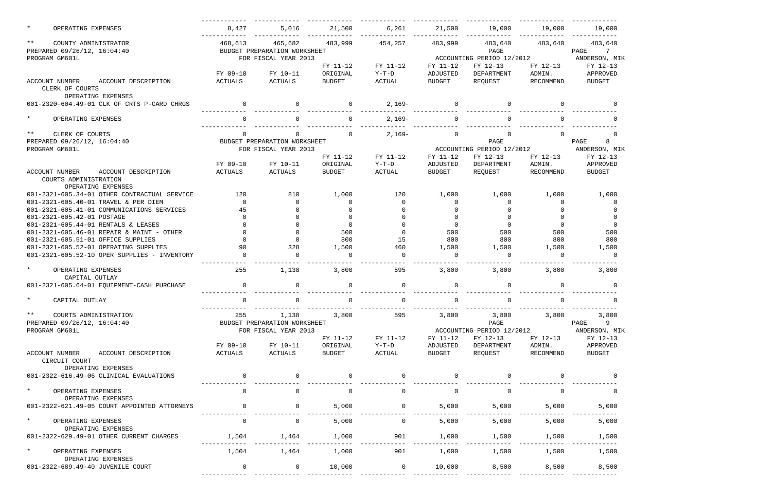| $\star$<br>OPERATING EXPENSES                | 8,427          | 5,016                                                                                                                                                                                                                                                                                                                              | 21,500         | 6,261          | 21,500         | 19,000                                                                                                                                                                                                                                                                                                                             | 19,000      | 19,000            |
|----------------------------------------------|----------------|------------------------------------------------------------------------------------------------------------------------------------------------------------------------------------------------------------------------------------------------------------------------------------------------------------------------------------|----------------|----------------|----------------|------------------------------------------------------------------------------------------------------------------------------------------------------------------------------------------------------------------------------------------------------------------------------------------------------------------------------------|-------------|-------------------|
| $***$<br>COUNTY ADMINISTRATOR                | 468,613        | 465,682                                                                                                                                                                                                                                                                                                                            | 483,999        | 454,257        | 483,999        | 483,640                                                                                                                                                                                                                                                                                                                            | 483,640     | 483,640           |
| PREPARED 09/26/12, 16:04:40                  |                | BUDGET PREPARATION WORKSHEET                                                                                                                                                                                                                                                                                                       |                |                |                | PAGE                                                                                                                                                                                                                                                                                                                               |             | PAGE<br>7         |
| PROGRAM GM601L                               |                | FOR FISCAL YEAR 2013                                                                                                                                                                                                                                                                                                               |                |                |                | ACCOUNTING PERIOD 12/2012                                                                                                                                                                                                                                                                                                          |             | ANDERSON, MIK     |
|                                              |                |                                                                                                                                                                                                                                                                                                                                    | FY 11-12       | FY 11-12       | FY 11-12       | FY 12-13                                                                                                                                                                                                                                                                                                                           | FY 12-13    | FY 12-13          |
|                                              | FY 09-10       | FY 10-11                                                                                                                                                                                                                                                                                                                           | ORIGINAL       | $Y-T-D$        | ADJUSTED       | DEPARTMENT                                                                                                                                                                                                                                                                                                                         | ADMIN.      | APPROVED          |
| ACCOUNT DESCRIPTION<br>ACCOUNT NUMBER        | ACTUALS        | ACTUALS                                                                                                                                                                                                                                                                                                                            | <b>BUDGET</b>  | ACTUAL         | <b>BUDGET</b>  | REQUEST                                                                                                                                                                                                                                                                                                                            | RECOMMEND   | <b>BUDGET</b>     |
| CLERK OF COURTS                              |                |                                                                                                                                                                                                                                                                                                                                    |                |                |                |                                                                                                                                                                                                                                                                                                                                    |             |                   |
| OPERATING EXPENSES                           |                |                                                                                                                                                                                                                                                                                                                                    |                |                |                |                                                                                                                                                                                                                                                                                                                                    |             |                   |
| 001-2320-604.49-01 CLK OF CRTS P-CARD CHRGS  |                |                                                                                                                                                                                                                                                                                                                                    |                | $2,169-$       |                |                                                                                                                                                                                                                                                                                                                                    |             |                   |
| $\star$<br>OPERATING EXPENSES                |                |                                                                                                                                                                                                                                                                                                                                    |                | $2,169-$       |                |                                                                                                                                                                                                                                                                                                                                    |             |                   |
| $***$<br>CLERK OF COURTS                     | $\Omega$       |                                                                                                                                                                                                                                                                                                                                    |                | $2,169-$       | $\mathbf 0$    | 0                                                                                                                                                                                                                                                                                                                                  | $\Omega$    |                   |
| PREPARED 09/26/12, 16:04:40                  |                | BUDGET PREPARATION WORKSHEET                                                                                                                                                                                                                                                                                                       |                |                |                | PAGE                                                                                                                                                                                                                                                                                                                               |             | 8<br>PAGE         |
| PROGRAM GM601L                               |                | FOR FISCAL YEAR 2013                                                                                                                                                                                                                                                                                                               |                |                |                | ACCOUNTING PERIOD 12/2012                                                                                                                                                                                                                                                                                                          |             | ANDERSON, MIK     |
|                                              |                |                                                                                                                                                                                                                                                                                                                                    | FY 11-12       | FY 11-12       | FY 11-12       | FY 12-13                                                                                                                                                                                                                                                                                                                           | FY 12-13    | FY 12-13          |
|                                              | FY 09-10       | FY 10-11                                                                                                                                                                                                                                                                                                                           | ORIGINAL       | $Y-T-D$        | ADJUSTED       | DEPARTMENT                                                                                                                                                                                                                                                                                                                         | ADMIN.      | APPROVED          |
| ACCOUNT DESCRIPTION<br><b>ACCOUNT NUMBER</b> | ACTUALS        | ACTUALS                                                                                                                                                                                                                                                                                                                            | <b>BUDGET</b>  | ACTUAL         | <b>BUDGET</b>  | REQUEST                                                                                                                                                                                                                                                                                                                            | RECOMMEND   | <b>BUDGET</b>     |
| COURTS ADMINISTRATION                        |                |                                                                                                                                                                                                                                                                                                                                    |                |                |                |                                                                                                                                                                                                                                                                                                                                    |             |                   |
| OPERATING EXPENSES                           |                |                                                                                                                                                                                                                                                                                                                                    |                |                |                |                                                                                                                                                                                                                                                                                                                                    |             |                   |
| 001-2321-605.34-01 OTHER CONTRACTUAL SERVICE | 120            | 810                                                                                                                                                                                                                                                                                                                                | 1,000          | 120            | 1,000          | 1,000                                                                                                                                                                                                                                                                                                                              | 1,000       | 1,000             |
| 001-2321-605.40-01 TRAVEL & PER DIEM         | $\Omega$       |                                                                                                                                                                                                                                                                                                                                    |                | $\Omega$       |                |                                                                                                                                                                                                                                                                                                                                    | $\Omega$    |                   |
| 001-2321-605.41-01 COMMUNICATIONS SERVICES   | 45             |                                                                                                                                                                                                                                                                                                                                    |                |                |                |                                                                                                                                                                                                                                                                                                                                    |             |                   |
| 001-2321-605.42-01 POSTAGE                   |                |                                                                                                                                                                                                                                                                                                                                    |                |                |                |                                                                                                                                                                                                                                                                                                                                    |             |                   |
| 001-2321-605.44-01 RENTALS & LEASES          |                |                                                                                                                                                                                                                                                                                                                                    |                |                | $\cap$         | $\Omega$                                                                                                                                                                                                                                                                                                                           | $\Omega$    |                   |
| 001-2321-605.46-01 REPAIR & MAINT - OTHER    |                |                                                                                                                                                                                                                                                                                                                                    | 500            | $\Omega$       | 500            | 500                                                                                                                                                                                                                                                                                                                                | 500         | 500               |
| 001-2321-605.51-01 OFFICE SUPPLIES           |                |                                                                                                                                                                                                                                                                                                                                    | 800            | 15             | 800            | 800                                                                                                                                                                                                                                                                                                                                | 800         | 800               |
| 001-2321-605.52-01 OPERATING SUPPLIES        | 90             | 328                                                                                                                                                                                                                                                                                                                                | 1,500          | 460            | 1,500          | 1,500                                                                                                                                                                                                                                                                                                                              | 1,500       | 1,500             |
| 001-2321-605.52-10 OPER SUPPLIES - INVENTORY |                |                                                                                                                                                                                                                                                                                                                                    |                | $\Omega$       | $\Omega$       | $\Omega$                                                                                                                                                                                                                                                                                                                           | $\Omega$    | $\Omega$          |
| $\star$<br>OPERATING EXPENSES                | 255            | 1,138                                                                                                                                                                                                                                                                                                                              | 3,800          | 595            | 3,800          | 3,800                                                                                                                                                                                                                                                                                                                              | 3,800       | 3,800             |
| CAPITAL OUTLAY                               |                |                                                                                                                                                                                                                                                                                                                                    |                |                |                |                                                                                                                                                                                                                                                                                                                                    |             |                   |
| 001-2321-605.64-01 EQUIPMENT-CASH PURCHASE   | 0              | 0                                                                                                                                                                                                                                                                                                                                  |                | 0              | $\mathbf 0$    | 0                                                                                                                                                                                                                                                                                                                                  |             |                   |
| $\star$<br>CAPITAL OUTLAY                    | 0              | 0                                                                                                                                                                                                                                                                                                                                  | $\Omega$       | 0              | 0              | 0                                                                                                                                                                                                                                                                                                                                  | $\mathbf 0$ | 0                 |
| $***$<br>COURTS ADMINISTRATION               | 255            | 1,138                                                                                                                                                                                                                                                                                                                              | 3,800          | 595            | 3,800          | 3,800 3,800 3,800                                                                                                                                                                                                                                                                                                                  |             |                   |
| PREPARED 09/26/12, 16:04:40                  |                | BUDGET PREPARATION WORKSHEET                                                                                                                                                                                                                                                                                                       |                |                |                | PAGE                                                                                                                                                                                                                                                                                                                               |             | PAGE 9            |
| PROGRAM GM601L                               |                | FOR FISCAL YEAR 2013                                                                                                                                                                                                                                                                                                               |                |                |                | ACCOUNTING PERIOD 12/2012                                                                                                                                                                                                                                                                                                          |             | ANDERSON, MIK     |
|                                              |                |                                                                                                                                                                                                                                                                                                                                    | FY 11-12       | FY 11-12       | FY 11-12       | FY 12-13                                                                                                                                                                                                                                                                                                                           |             | FY 12-13 FY 12-13 |
|                                              |                | FY 09-10 FY 10-11                                                                                                                                                                                                                                                                                                                  | ORIGINAL       | $Y-T-D$        | ADJUSTED       | DEPARTMENT                                                                                                                                                                                                                                                                                                                         | ADMIN.      | APPROVED          |
| ACCOUNT NUMBER ACCOUNT DESCRIPTION           | ACTUALS        | <b>ACTUALS</b>                                                                                                                                                                                                                                                                                                                     | BUDGET         | ACTUAL         | BUDGET         | REQUEST                                                                                                                                                                                                                                                                                                                            | RECOMMEND   | BUDGET            |
| CIRCUIT COURT                                |                |                                                                                                                                                                                                                                                                                                                                    |                |                |                |                                                                                                                                                                                                                                                                                                                                    |             |                   |
| OPERATING EXPENSES                           |                |                                                                                                                                                                                                                                                                                                                                    |                |                |                |                                                                                                                                                                                                                                                                                                                                    |             |                   |
| 001-2322-616.49-06 CLINICAL EVALUATIONS      | $\overline{0}$ | $\overline{a}$ and $\overline{a}$ and $\overline{a}$ and $\overline{a}$ and $\overline{a}$ and $\overline{a}$ and $\overline{a}$ and $\overline{a}$ and $\overline{a}$ and $\overline{a}$ and $\overline{a}$ and $\overline{a}$ and $\overline{a}$ and $\overline{a}$ and $\overline{a}$ and $\overline{a}$ and $\overline{a}$ and | $\overline{0}$ | $\overline{0}$ | $\overline{0}$ | $\overline{a}$ and $\overline{a}$ and $\overline{a}$ and $\overline{a}$ and $\overline{a}$ and $\overline{a}$ and $\overline{a}$ and $\overline{a}$ and $\overline{a}$ and $\overline{a}$ and $\overline{a}$ and $\overline{a}$ and $\overline{a}$ and $\overline{a}$ and $\overline{a}$ and $\overline{a}$ and $\overline{a}$ and | $\sim$ 0    |                   |
| $\star$<br>OPERATING EXPENSES                | $\Omega$       | $\Omega$                                                                                                                                                                                                                                                                                                                           | $\overline{0}$ | $\Omega$       | $\overline{0}$ | $\overline{0}$                                                                                                                                                                                                                                                                                                                     | $\Omega$    | $\Omega$          |
| OPERATING EXPENSES                           |                |                                                                                                                                                                                                                                                                                                                                    |                |                |                |                                                                                                                                                                                                                                                                                                                                    |             |                   |
| 001-2322-621.49-05 COURT APPOINTED ATTORNEYS | $\overline{0}$ | $\overline{0}$                                                                                                                                                                                                                                                                                                                     | 5,000          | $\overline{0}$ | 5,000          | 5,000                                                                                                                                                                                                                                                                                                                              | 5,000       | 5,000             |
| $\star$                                      | $\overline{0}$ | $\Omega$                                                                                                                                                                                                                                                                                                                           | 5,000          | $\overline{0}$ | 5,000          | 5,000                                                                                                                                                                                                                                                                                                                              | 5,000       |                   |
| OPERATING EXPENSES<br>OPERATING EXPENSES     |                |                                                                                                                                                                                                                                                                                                                                    |                |                |                |                                                                                                                                                                                                                                                                                                                                    |             | 5,000             |
| 001-2322-629.49-01 OTHER CURRENT CHARGES     | 1,504 1,464    |                                                                                                                                                                                                                                                                                                                                    | 1,000          | 901            | 1,000          | 1,500                                                                                                                                                                                                                                                                                                                              | 1,500       | 1,500             |
|                                              |                |                                                                                                                                                                                                                                                                                                                                    |                |                |                |                                                                                                                                                                                                                                                                                                                                    |             |                   |
| $\star$<br>OPERATING EXPENSES                |                | 1,504 1,464                                                                                                                                                                                                                                                                                                                        | 1,000          | 901            | 1,000          | 1,500                                                                                                                                                                                                                                                                                                                              | 1,500       | 1,500             |
| OPERATING EXPENSES                           |                |                                                                                                                                                                                                                                                                                                                                    |                |                |                |                                                                                                                                                                                                                                                                                                                                    |             |                   |
| 001-2322-689.49-40 JUVENILE COURT            | $\Omega$       | $\Omega$                                                                                                                                                                                                                                                                                                                           | 10,000         | $\overline{0}$ | 10,000         | 8,500                                                                                                                                                                                                                                                                                                                              | 8,500       | 8,500             |
|                                              |                |                                                                                                                                                                                                                                                                                                                                    |                |                |                |                                                                                                                                                                                                                                                                                                                                    |             |                   |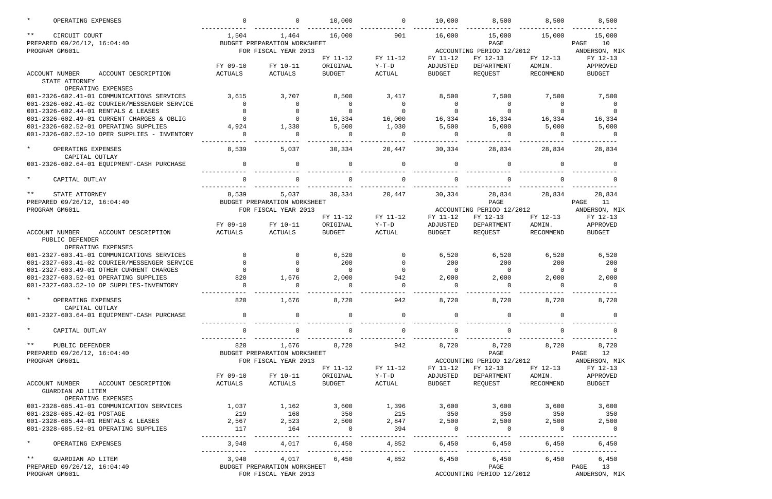|               | OPERATING EXPENSES                                              | $\mathbf 0$     | $\mathbf{0}$                          | 10,000            | $\overline{0}$  | 10,000            | 8,500                     | 8,500           | 8,500                |
|---------------|-----------------------------------------------------------------|-----------------|---------------------------------------|-------------------|-----------------|-------------------|---------------------------|-----------------|----------------------|
| $\star \star$ | CIRCUIT COURT<br>PREPARED 09/26/12, 16:04:40                    | 1,504           | 1,464<br>BUDGET PREPARATION WORKSHEET | 16,000            | 901             | 16,000            | 15,000<br>PAGE            | 15,000          | 15,000<br>10<br>PAGE |
|               | PROGRAM GM601L                                                  |                 | FOR FISCAL YEAR 2013                  |                   |                 |                   | ACCOUNTING PERIOD 12/2012 |                 | ANDERSON, MIK        |
|               |                                                                 |                 |                                       | FY 11-12          | FY 11-12        | FY 11-12          | FY 12-13                  | FY 12-13        | FY 12-13             |
|               |                                                                 | FY 09-10        | FY 10-11                              | ORIGINAL          | $Y-T-D$         | ADJUSTED          | DEPARTMENT                | ADMIN.          | APPROVED             |
|               | <b>ACCOUNT NUMBER</b><br>ACCOUNT DESCRIPTION                    | ACTUALS         | ACTUALS                               | <b>BUDGET</b>     | <b>ACTUAL</b>   | <b>BUDGET</b>     | REQUEST                   | RECOMMEND       | <b>BUDGET</b>        |
|               | STATE ATTORNEY                                                  |                 |                                       |                   |                 |                   |                           |                 |                      |
|               | OPERATING EXPENSES                                              |                 |                                       |                   |                 |                   |                           |                 |                      |
|               | 001-2326-602.41-01 COMMUNICATIONS SERVICES                      | 3,615           | 3,707                                 | 8,500             | 3,417           | 8,500             | 7,500                     | 7,500           | 7,500                |
|               | 001-2326-602.41-02 COURIER/MESSENGER SERVICE                    | $\overline{0}$  | 0                                     | 0                 | $\overline{0}$  | $\overline{0}$    | 0                         | $\overline{0}$  | 0                    |
|               | 001-2326-602.44-01 RENTALS & LEASES                             |                 | $\mathbf 0$                           | $\mathbf 0$       | $\mathbf 0$     |                   | 0                         | $\mathbf 0$     | $\Omega$             |
|               | 001-2326-602.49-01 CURRENT CHARGES & OBLIG                      |                 | $\Omega$                              | 16,334            | 16,000          | 16,334            | 16,334                    | 16,334          | 16,334               |
|               | 001-2326-602.52-01 OPERATING SUPPLIES                           | 4,924           | 1,330                                 | 5,500             | 1,030           | 5,500             | 5,000                     | 5,000           | 5,000                |
|               | 001-2326-602.52-10 OPER SUPPLIES - INVENTORY                    | $\Omega$        | $\Omega$                              | $\overline{0}$    | $\Omega$        | $\Omega$          | $\Omega$                  | $\Omega$        | $\Omega$             |
| $\star$       | OPERATING EXPENSES<br>CAPITAL OUTLAY                            | 8,539           | 5,037                                 | 30,334            | 20,447          | 30,334            | 28,834                    | 28,834          | 28,834               |
|               | 001-2326-602.64-01 EQUIPMENT-CASH PURCHASE                      | $\Omega$        | $\Omega$                              | $\Omega$          | $\Omega$        | $\Omega$          | $\Omega$                  | <sup>n</sup>    |                      |
| $\star$       | CAPITAL OUTLAY                                                  | $\Omega$        |                                       | $\Omega$          | $\Omega$        |                   | $\Omega$                  |                 |                      |
| $\star \star$ | STATE ATTORNEY                                                  | 8,539           | 5,037                                 | 30,334            | 20,447          | 30,334            | 28,834                    | 28,834          | 28,834               |
|               | PREPARED 09/26/12, 16:04:40                                     |                 | BUDGET PREPARATION WORKSHEET          |                   |                 |                   | PAGE                      |                 | 11<br>PAGE           |
|               | PROGRAM GM601L                                                  |                 | FOR FISCAL YEAR 2013                  |                   |                 |                   | ACCOUNTING PERIOD 12/2012 |                 | ANDERSON, MIK        |
|               |                                                                 |                 |                                       | FY 11-12          | $FY$ 11-12      | FY 11-12          | FY 12-13                  | FY 12-13        | FY 12-13             |
|               |                                                                 | FY 09-10        | FY 10-11                              | ORIGINAL          | $Y-T-D$         | ADJUSTED          | DEPARTMENT                | ADMIN.          | APPROVED             |
|               | <b>ACCOUNT NUMBER</b><br>ACCOUNT DESCRIPTION<br>PUBLIC DEFENDER | ACTUALS         | ACTUALS                               | <b>BUDGET</b>     | ACTUAL          | BUDGET            | REQUEST                   | RECOMMEND       | <b>BUDGET</b>        |
|               | OPERATING EXPENSES                                              |                 |                                       |                   |                 |                   |                           |                 |                      |
|               | 001-2327-603.41-01 COMMUNICATIONS SERVICES                      | $\mathbf 0$     | $\mathbf 0$                           | 6,520             | $\overline{0}$  | 6,520             | 6,520                     | 6,520           | 6,520                |
|               | 001-2327-603.41-02 COURIER/MESSENGER SERVICE                    | $\Omega$        | $\mathbf 0$<br>$\Omega$               | 200               | $\overline{0}$  | 200               | 200                       | 200             | 200                  |
|               | 001-2327-603.49-01 OTHER CURRENT CHARGES                        | $\Omega$        |                                       | $\mathbf 0$       | $\Omega$        | $\Omega$          | $\overline{0}$            | $\Omega$        | $\overline{0}$       |
|               | 001-2327-603.52-01 OPERATING SUPPLIES                           | 820<br>$\Omega$ | 1,676<br>$\Omega$                     | 2,000<br>$\Omega$ | 942<br>$\Omega$ | 2,000<br>$\Omega$ | 2,000<br>$\Omega$         | 2,000<br>$\cap$ | 2,000<br>$\Omega$    |
|               | 001-2327-603.52-10 OP SUPPLIES-INVENTORY                        |                 |                                       |                   |                 |                   |                           |                 |                      |
|               | * OPERATING EXPENSES                                            | 820             | 1,676                                 | 8,720             | 942             | 8,720             | 8,720                     | 8,720           | 8,720                |
|               | CAPITAL OUTLAY                                                  |                 |                                       |                   |                 |                   |                           |                 |                      |
|               | 001-2327-603.64-01 EQUIPMENT-CASH PURCHASE                      | $\overline{0}$  | $\mathbf 0$                           | 0                 | $\overline{0}$  | $\Omega$          | $\mathsf{O}$              |                 |                      |
|               |                                                                 |                 |                                       |                   |                 |                   |                           |                 |                      |
| $\star$       | CAPITAL OUTLAY                                                  | 0               | 0                                     | $\mathsf{O}$      | $\mathbf 0$     | $\mathbf 0$       | $\mathsf{O}$              | $\mathbf 0$     |                      |
| $\star\star$  | PUBLIC DEFENDER                                                 | 820             | 1,676                                 | 8,720             | 942             | 8,720             | 8,720                     | 8,720           | 8,720                |
|               | PREPARED 09/26/12, 16:04:40                                     |                 | BUDGET PREPARATION WORKSHEET          |                   |                 |                   | PAGE                      |                 | 12<br>PAGE           |
|               | PROGRAM GM601L                                                  |                 | FOR FISCAL YEAR 2013                  |                   |                 |                   | ACCOUNTING PERIOD 12/2012 |                 | ANDERSON, MIK        |
|               |                                                                 |                 |                                       | FY 11-12          | FY 11-12        | FY 11-12          | FY 12-13                  | FY 12-13        | FY 12-13             |
|               |                                                                 | FY 09-10        | FY 10-11                              | ORIGINAL          | $Y-T-D$         | ADJUSTED          | DEPARTMENT                | ADMIN.          | APPROVED             |
|               | ACCOUNT DESCRIPTION<br>ACCOUNT NUMBER<br>GUARDIAN AD LITEM      | ACTUALS         | ACTUALS                               | <b>BUDGET</b>     | ACTUAL          | BUDGET            | REQUEST                   | RECOMMEND       | <b>BUDGET</b>        |
|               | OPERATING EXPENSES                                              |                 |                                       |                   |                 |                   |                           |                 |                      |
|               | 001-2328-685.41-01 COMMUNICATION SERVICES                       | 1,037           | 1,162                                 | 3,600             | 1,396           | 3,600             | 3,600                     | 3,600           | 3,600                |
|               | 001-2328-685.42-01 POSTAGE                                      | 219             | 168                                   | 350               | 215             | 350               | 350                       | 350             | 350                  |
|               | 001-2328-685.44-01 RENTALS & LEASES                             | 2,567           | 2,523                                 | 2,500             | 2,847           | 2,500             | 2,500                     | 2,500           | 2,500                |
|               | 001-2328-685.52-01 OPERATING SUPPLIES                           | 117             | 164                                   | $\mathbf 0$       | 394             | $\overline{0}$    | $\overline{0}$            | $\mathbf 0$     | $\overline{0}$       |
| $\star$       | OPERATING EXPENSES                                              | 3,940           | 4,017                                 | 6,450             | 4,852           | 6,450             | 6,450                     | 6,450           | 6,450                |
|               |                                                                 |                 |                                       |                   |                 |                   |                           |                 |                      |
| $\star \star$ | GUARDIAN AD LITEM                                               | 3,940           | 4,017                                 | 6,450             | 4,852           | 6,450             | 6,450                     | 6,450           | 6,450                |
|               | PREPARED 09/26/12, 16:04:40                                     |                 | BUDGET PREPARATION WORKSHEET          |                   |                 |                   | PAGE                      |                 | 13<br>PAGE           |
|               | PROGRAM GM601L                                                  |                 | FOR FISCAL YEAR 2013                  |                   |                 |                   | ACCOUNTING PERIOD 12/2012 |                 | ANDERSON, MIK        |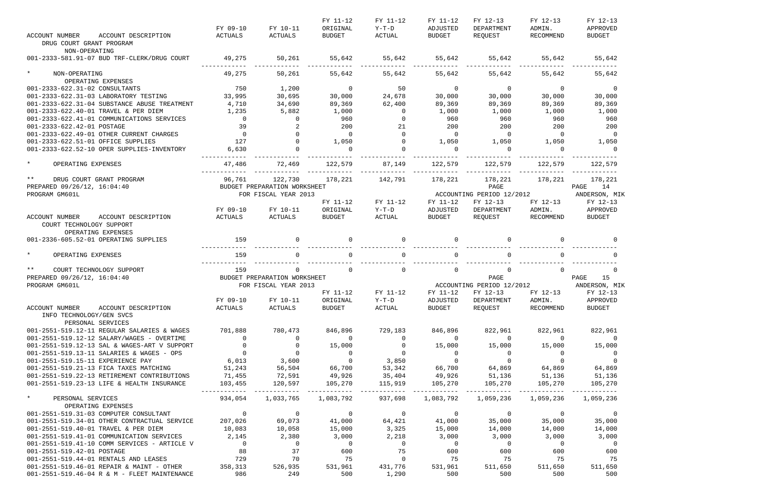| <b>ACCOUNT NUMBER</b><br>ACCOUNT DESCRIPTION                                       | FY 09-10<br>ACTUALS | FY 10-11<br>ACTUALS                     | FY 11-12<br>ORIGINAL<br>BUDGET           | FY 11-12<br>Y-T-D<br>ACTUAL | FY 11-12<br>ADJUSTED<br>BUDGET | FY 12-13<br>DEPARTMENT<br>REQUEST              | FY 12-13<br>ADMIN.<br>RECOMMEND | FY 12-13<br>APPROVED<br><b>BUDGET</b> |
|------------------------------------------------------------------------------------|---------------------|-----------------------------------------|------------------------------------------|-----------------------------|--------------------------------|------------------------------------------------|---------------------------------|---------------------------------------|
| DRUG COURT GRANT PROGRAM<br>NON-OPERATING                                          |                     |                                         |                                          |                             |                                |                                                |                                 |                                       |
| 001-2333-581.91-07 BUD TRF-CLERK/DRUG COURT                                        | 49,275              | 50,261                                  | 55,642                                   |                             | 55,642 55,642 55,642           |                                                | 55,642                          | 55,642                                |
| $\star$<br>NON-OPERATING<br>OPERATING EXPENSES                                     | 49,275              | 50,261                                  | 55,642                                   | 55,642                      | 55,642                         | 55,642                                         | 55,642                          | 55,642                                |
| 001-2333-622.31-02 CONSULTANTS                                                     | 750                 | 1,200                                   | $\overline{0}$                           | 50                          | $\overline{0}$                 | $\overline{0}$                                 | $\overline{0}$                  | $\overline{0}$                        |
| 001-2333-622.31-03 LABORATORY TESTING                                              | 33,995              | 30,695                                  | 30,000                                   | 24,678                      | 30,000                         | 30,000                                         | 30,000                          | 30,000                                |
| 001-2333-622.31-04 SUBSTANCE ABUSE TREATMENT                                       | 4,710               | 34,690                                  | 89,369                                   | 62,400                      | 89,369                         | 89,369                                         | 89,369                          | 89,369                                |
| 001-2333-622.40-01 TRAVEL & PER DIEM                                               | 1,235               | 5,882                                   | 1,000                                    | $\overline{0}$              | 1,000                          | 1,000                                          | 1,000                           | 1,000                                 |
| 001-2333-622.41-01 COMMUNICATIONS SERVICES                                         | $\overline{0}$      | $\overline{0}$                          | 960                                      | $\overline{0}$              | 960                            | 960                                            | 960                             | 960                                   |
| 001-2333-622.42-01 POSTAGE                                                         | 39                  |                                         | 200                                      | 21                          | 200                            | 200                                            | 200                             | 200                                   |
| 001-2333-622.49-01 OTHER CURRENT CHARGES                                           | $\overline{0}$      | $\Omega$                                | $\overline{0}$                           | $\overline{0}$              | $\overline{0}$                 | $\overline{0}$                                 | $\overline{0}$                  | $\overline{0}$                        |
| 001-2333-622.51-01 OFFICE SUPPLIES                                                 | 127                 | $\Omega$                                | 1,050                                    | $\overline{0}$              | 1,050                          | 1,050                                          | 1,050                           | 1,050                                 |
| 001-2333-622.52-10 OPER SUPPLIES-INVENTORY                                         | 6,630               | $\Omega$                                | $\overline{a}$                           | $\Omega$                    | $\overline{0}$                 | $\overline{0}$                                 | $\overline{0}$                  | $\overline{a}$                        |
| $\star$<br>OPERATING EXPENSES                                                      | 47,486              | 72,469                                  | 122,579                                  | 87,149                      |                                | 122,579 122,579 122,579                        |                                 | 122,579                               |
| $***$<br>DRUG COURT GRANT PROGRAM                                                  | 96,761              | 122,730                                 | 178,221                                  | 142,791                     | 178,221                        | 178,221                                        | 178,221                         | 178,221                               |
| PREPARED 09/26/12, 16:04:40                                                        |                     | BUDGET PREPARATION WORKSHEET            |                                          |                             |                                | PAGE                                           |                                 | PAGE 14                               |
| PROGRAM GM601L                                                                     |                     | FOR FISCAL YEAR 2013                    |                                          | FY 11-12                    | FY 11-12                       | ACCOUNTING PERIOD 12/2012<br>FY 12-13          | FY 12-13                        | ANDERSON, MIK<br>FY 12-13             |
|                                                                                    | FY 09-10            | FY 10-11                                | FY 11-12<br>ORIGINAL                     | $Y-T-D$                     | ADJUSTED                       | DEPARTMENT                                     | ADMIN.                          | APPROVED                              |
| ACCOUNT NUMBER<br>ACCOUNT DESCRIPTION                                              | ACTUALS             | ACTUALS                                 | BUDGET                                   | ACTUAL                      | <b>BUDGET</b>                  | REQUEST                                        | RECOMMEND                       | BUDGET                                |
| COURT TECHNOLOGY SUPPORT<br>OPERATING EXPENSES                                     |                     |                                         |                                          |                             |                                |                                                |                                 |                                       |
| 001-2336-605.52-01 OPERATING SUPPLIES                                              | 159                 | $\Omega$                                | $\Omega$                                 | $\Omega$                    | $\Omega$                       | $\Omega$                                       | $\Omega$                        |                                       |
| $\star$<br>OPERATING EXPENSES                                                      | 159                 |                                         | $\Omega$                                 | $\Omega$                    |                                | $\Omega$                                       |                                 |                                       |
| $***$<br>COURT TECHNOLOGY SUPPORT                                                  | 159                 | $\Omega$                                | $\Omega$                                 | $\overline{0}$              | $\Omega$                       | $\mathsf{O}$                                   | $\Omega$                        | $\overline{0}$                        |
| PREPARED 09/26/12, 16:04:40                                                        |                     | BUDGET PREPARATION WORKSHEET            |                                          |                             |                                | PAGE                                           |                                 | 15<br>PAGE                            |
| PROGRAM GM601L                                                                     |                     | FOR FISCAL YEAR 2013                    |                                          |                             |                                | ACCOUNTING PERIOD 12/2012                      |                                 | ANDERSON, MIK                         |
|                                                                                    |                     |                                         | FY 11-12                                 | FY 11-12                    | FY 11-12                       | FY 12-13                                       | FY 12-13                        | FY 12-13                              |
| ACCOUNT DESCRIPTION<br>ACCOUNT NUMBER                                              | FY 09-10<br>ACTUALS | ACTUALS                                 | FY 10-11 ORIGINAL Y-T-D<br><b>BUDGET</b> | ACTUAL                      | <b>BUDGET</b>                  | ADJUSTED DEPARTMENT ADMIN. APPROVED<br>REQUEST | RECOMMEND                       | <b>BUDGET</b>                         |
| INFO TECHNOLOGY/GEN SVCS<br>PERSONAL SERVICES                                      |                     |                                         |                                          |                             |                                |                                                |                                 |                                       |
| 001-2551-519.12-11 REGULAR SALARIES & WAGES                                        | 701,888             | 780,473                                 | 846,896                                  | 729,183                     | 846,896                        | 822,961                                        | 822,961                         | 822,961                               |
| 001-2551-519.12-12 SALARY/WAGES - OVERTIME                                         | $\mathsf{O}$        | 0                                       | $\overline{0}$                           | $\overline{0}$              | $\sim$ 0                       | $\overline{0}$                                 | $\overline{0}$                  | - 0                                   |
| 001-2551-519.12-13 SAL & WAGES-ART V SUPPORT                                       | $\mathbf 0$         | $\overline{0}$                          | 15,000                                   | $\overline{0}$              | 15,000                         | 15,000                                         | 15,000                          | 15,000                                |
| 001-2551-519.13-11 SALARIES & WAGES - OPS                                          | $\overline{0}$      | $\begin{array}{c}0\\3\,,600\end{array}$ | $\overline{0}$                           | $\overline{0}$              | $\overline{0}$                 | $\overline{0}$                                 | $\overline{0}$                  |                                       |
| 001-2551-519.15-11 EXPERIENCE PAY                                                  | 6,013               |                                         | $\overline{0}$                           | 3,850                       | $\mathbf 0$                    | $\overline{0}$                                 | $\overline{0}$                  |                                       |
| 001-2551-519.21-13 FICA TAXES MATCHING                                             | 51,243              | 56,504                                  | 66,700                                   | 53,342                      | 66,700                         | 64,869 64,869                                  |                                 | 64,869                                |
| 001-2551-519.22-13 RETIREMENT CONTRIBUTIONS                                        | 71,455              | 72,591<br>120,597                       | 49,926<br>105,270                        | 35,404                      | 49,926                         | 51,136                                         | 51,136                          | 51,136                                |
| 001-2551-519.23-13 LIFE & HEALTH INSURANCE                                         | 103,455             |                                         |                                          | 115,919<br>----------       | 105,270                        | 105,270                                        | 105,270                         | 105,270                               |
| $\star$<br>PERSONAL SERVICES<br>OPERATING EXPENSES                                 | 934,054             | 1,033,765                               | 1,083,792                                | 937,698                     |                                | 1,083,792 1,059,236                            | 1,059,236                       | 1,059,236                             |
| 001-2551-519.31-03 COMPUTER CONSULTANT                                             | $0$<br>207.025      | $\overline{0}$                          | $\overline{0}$                           | $\overline{0}$              | $\overline{0}$                 | $\overline{0}$                                 | $\overline{0}$                  |                                       |
| 001-2551-519.34-01 OTHER CONTRACTUAL SERVICE                                       |                     | 69,073                                  | 41,000                                   | 64,421                      | 41,000                         | 35,000                                         | 35,000                          | 35,000                                |
| 001-2551-519.40-01 TRAVEL & PER DIEM                                               | 10,083              | 10,058                                  | 15,000                                   | 3,325                       | 15,000                         | 14,000                                         | 14,000                          | 14,000                                |
| 001-2551-519.41-01 COMMUNICATION SERVICES                                          | 2,145               | 2,380                                   | 3,000                                    | 2,218                       | 3,000                          | 3,000                                          | 3,000                           | 3,000                                 |
| 001-2551-519.41-10 COMM SERVICES - ARTICLE V                                       | $\overline{0}$      | $\overline{\phantom{0}}$                | $\overline{0}$                           | $\overline{\phantom{0}}$    | $\overline{\phantom{0}}$       | $\overline{0}$                                 | $\overline{0}$                  | $\overline{\phantom{0}}$              |
| 001-2551-519.42-01 POSTAGE                                                         | 88                  | 37                                      | 600                                      | 75<br>$\overline{0}$        | 600                            | 600                                            | 600                             | 600                                   |
| 001-2551-519.44-01 RENTALS AND LEASES<br>001-2551-519.46-01 REPAIR & MAINT - OTHER | 729<br>358,313      | 70<br>526,935                           | 75<br>531,961                            | 431,776                     | 75<br>531,961                  | 75<br>511,650                                  | 75<br>511,650                   | 75<br>511,650                         |
| 001-2551-519.46-04 R & M - FLEET MAINTENANCE                                       | 986                 | 249                                     | 500                                      | 1,290                       | 500                            | 500                                            | 500                             | 500                                   |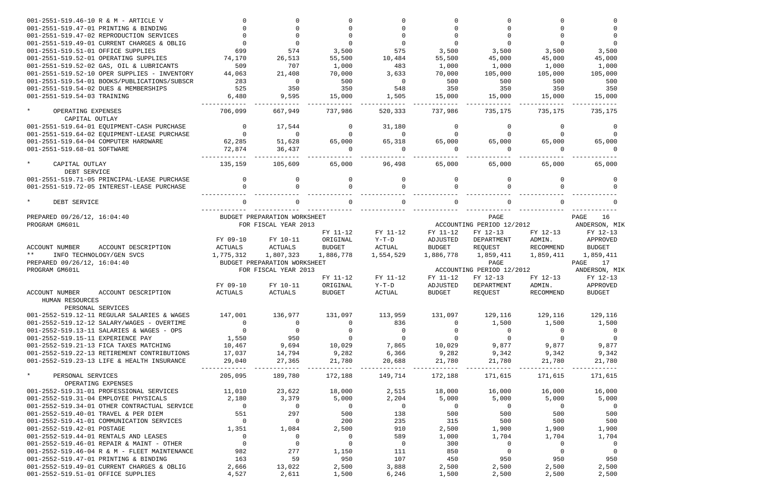| 001-2551-519.46-10 R & M - ARTICLE V                                             |                                  |                              |                     |                         |                     |                           |                |                         |
|----------------------------------------------------------------------------------|----------------------------------|------------------------------|---------------------|-------------------------|---------------------|---------------------------|----------------|-------------------------|
| 001-2551-519.47-01 PRINTING & BINDING                                            |                                  |                              |                     |                         |                     |                           |                |                         |
| 001-2551-519.47-02 REPRODUCTION SERVICES                                         |                                  |                              |                     |                         |                     |                           |                |                         |
| 001-2551-519.49-01 CURRENT CHARGES & OBLIG                                       |                                  |                              |                     | $\Omega$                |                     |                           |                |                         |
| 001-2551-519.51-01 OFFICE SUPPLIES                                               | 699                              | 574                          | 3,500               | 575                     | 3,500               | 3,500                     | 3,500          | 3,500                   |
| 001-2551-519.52-01 OPERATING SUPPLIES                                            | 74,170                           | 26,513                       | 55,500              | 10,484                  | 55,500              | 45,000                    | 45,000         | 45,000                  |
| 001-2551-519.52-02 GAS, OIL & LUBRICANTS                                         | 509                              | 707                          | 1,000               | 483                     | 1,000               | 1,000                     | 1,000          | 1,000                   |
| 001-2551-519.52-10 OPER SUPPLIES - INVENTORY                                     | 44,063                           | 21,408                       | 70,000              | 3,633                   | 70,000              | 105,000                   | 105,000        | 105,000                 |
| 001-2551-519.54-01 BOOKS/PUBLICATIONS/SUBSCR                                     | 283                              | $\Omega$                     | 500                 | $\overline{0}$          | 500                 | 500                       | 500            | 500                     |
| 001-2551-519.54-02 DUES & MEMBERSHIPS                                            | 525                              | 350                          | 350                 | 548                     | 350                 | 350                       | 350            | 350                     |
| 001-2551-519.54-03 TRAINING                                                      | 6,480                            | 9,595                        | 15,000              | 1,505                   | 15,000              | 15,000                    | 15,000         | 15,000                  |
|                                                                                  |                                  |                              |                     |                         |                     |                           |                |                         |
| $\star$<br>OPERATING EXPENSES<br>CAPITAL OUTLAY                                  | 706,099                          | 667,949                      | 737,986             | 520,333                 | 737,986             | 735,175                   | 735,175        | 735,175                 |
| 001-2551-519.64-01 EQUIPMENT-CASH PURCHASE                                       | $\Omega$                         | 17,544                       | $\Omega$            | 31,180                  | $\Omega$            | $\Omega$                  | $\Omega$       | $\Omega$                |
| 001-2551-519.64-02 EQUIPMENT-LEASE PURCHASE                                      | $\Omega$                         | $\Omega$                     | $\Omega$            | $\Omega$                |                     |                           |                | $\Omega$                |
| 001-2551-519.64-04 COMPUTER HARDWARE                                             | 62,285                           | 51,628                       | 65,000              | 65,318                  | 65,000              | 65,000                    | 65,000         | 65,000                  |
| 001-2551-519.68-01 SOFTWARE                                                      | 72,874                           | 36,437                       | $\Omega$            | $\Omega$                |                     | $\Omega$                  | $\cap$         |                         |
|                                                                                  |                                  |                              |                     |                         |                     |                           |                |                         |
| $\star$<br>CAPITAL OUTLAY                                                        | 135,159                          | 105,609                      | 65,000              | 96,498                  | 65,000              | 65,000                    | 65,000         | 65,000                  |
| DEBT SERVICE                                                                     |                                  |                              |                     |                         |                     |                           |                |                         |
| 001-2551-519.71-05 PRINCIPAL-LEASE PURCHASE                                      | $\Omega$                         | <sup>0</sup>                 | $\Omega$            | $\Omega$                | $\Omega$            | $\Omega$                  |                | $\Omega$                |
| 001-2551-519.72-05 INTEREST-LEASE PURCHASE                                       |                                  |                              |                     |                         |                     |                           |                |                         |
| $\star$<br>DEBT SERVICE                                                          |                                  |                              |                     |                         |                     |                           |                |                         |
|                                                                                  |                                  |                              |                     |                         |                     |                           |                |                         |
| PREPARED 09/26/12, 16:04:40                                                      |                                  | BUDGET PREPARATION WORKSHEET |                     |                         |                     | PAGE                      |                | PAGE<br>16              |
| PROGRAM GM601L                                                                   |                                  | FOR FISCAL YEAR 2013         |                     |                         |                     | ACCOUNTING PERIOD 12/2012 |                | ANDERSON, MIK           |
|                                                                                  |                                  |                              | FY 11-12            | FY 11-12                | FY 11-12            | FY 12-13                  | FY 12-13       | FY 12-13                |
|                                                                                  | FY 09-10                         | FY 10-11                     | ORIGINAL            | $Y-T-D$                 | ADJUSTED            | DEPARTMENT                | ADMIN.         | APPROVED                |
| <b>ACCOUNT NUMBER</b><br>ACCOUNT DESCRIPTION                                     | ACTUALS                          | ACTUALS                      | <b>BUDGET</b>       | ACTUAL                  | <b>BUDGET</b>       | REQUEST                   | RECOMMEND      | <b>BUDGET</b>           |
| $***$<br>INFO TECHNOLOGY/GEN SVCS                                                | 1,775,312                        | 1,807,323                    | 1,886,778           | 1,554,529               | 1,886,778           | 1,859,411                 | 1,859,411      | 1,859,411               |
| PREPARED 09/26/12, 16:04:40                                                      |                                  | BUDGET PREPARATION WORKSHEET |                     |                         |                     | PAGE                      |                | PAGE<br>17              |
| PROGRAM GM601L                                                                   |                                  | FOR FISCAL YEAR 2013         |                     |                         |                     | ACCOUNTING PERIOD 12/2012 |                | ANDERSON, MIK           |
|                                                                                  |                                  |                              | FY 11-12            | FY 11-12                | FY 11-12            | FY 12-13                  | FY 12-13       | FY 12-13                |
|                                                                                  | FY 09-10                         | FY 10-11                     | ORIGINAL            | $Y-T-D$                 | ADJUSTED            | DEPARTMENT                | ADMIN.         | APPROVED                |
| <b>ACCOUNT NUMBER</b><br>ACCOUNT DESCRIPTION<br>HUMAN RESOURCES                  | ACTUALS                          | ACTUALS                      | <b>BUDGET</b>       | <b>ACTUAL</b>           | <b>BUDGET</b>       | REQUEST                   | RECOMMEND      | <b>BUDGET</b>           |
| PERSONAL SERVICES<br>001-2552-519.12-11 REGULAR SALARIES & WAGES                 |                                  |                              |                     |                         |                     |                           |                |                         |
| 001-2552-519.12-12 SALARY/WAGES - OVERTIME                                       | 147,001                          | 136,977                      | 131,097<br>$\Omega$ | 113,959                 | 131,097<br>$\Omega$ | 129,116                   | 129,116        | 129,116                 |
|                                                                                  | $\overline{0}$<br>$\overline{0}$ | $\overline{0}$<br>$\sim$ 0   |                     | 836<br>$\overline{0}$   | $\overline{0}$      | 1,500                     | 1,500          | 1,500                   |
| 001-2552-519.13-11 SALARIES & WAGES - OPS                                        |                                  |                              | $\overline{0}$      |                         |                     | $\overline{0}$            | $\overline{0}$ | $\overline{0}$          |
| 001-2552-519.15-11 EXPERIENCE PAY                                                | 1,550                            | 950                          | $\overline{0}$      | $\overline{0}$          | $\overline{0}$      | $\overline{0}$            | $\overline{0}$ | $\overline{0}$          |
| 001-2552-519.21-13 FICA TAXES MATCHING                                           | 10,467                           | 9,694                        | 10,029              | 7,865                   | 10,029              | 9,877                     | 9,877          | 9,877                   |
| 001-2552-519.22-13 RETIREMENT CONTRIBUTIONS                                      | 17,037                           | 14,794                       | 9,282               | 6,366                   | 9,282               | 9,342                     | 9,342          | 9,342                   |
| 001-2552-519.23-13 LIFE & HEALTH INSURANCE                                       | 29,040                           | 27,365                       | 21,780              | 20,688                  | 21,780              | 21,780                    | 21,780         | 21,780                  |
| $\star$<br>PERSONAL SERVICES<br>OPERATING EXPENSES                               | 205,095                          | 189,780                      |                     | 172,188 149,714 172,188 |                     | 171,615                   | 171,615        | 171,615                 |
| 001-2552-519.31-01 PROFESSIONAL SERVICES                                         | 11,010                           | 23,622                       | 18,000              | 2,515                   | 18,000              | 16,000                    | 16,000         | 16,000                  |
| 001-2552-519.31-04 EMPLOYEE PHYSICALS                                            | 2,180                            | 3,379                        | 5,000               | 2,204                   | 5,000               | 5,000                     | 5,000          | 5,000                   |
| 001-2552-519.34-01 OTHER CONTRACTUAL SERVICE                                     | $\overline{0}$                   | $\overline{0}$               | $\overline{0}$      | $\overline{0}$          | $\overline{0}$      | $\overline{0}$            | $\sim$ 0       | $\overline{0}$          |
| 001-2552-519.40-01 TRAVEL & PER DIEM                                             | 551                              | 297                          | 500                 | 138                     | 500                 | 500                       | 500            | 500                     |
| 001-2552-519.41-01 COMMUNICATION SERVICES                                        | $\overline{0}$                   | $\overline{0}$               | 200                 | 235                     | 315                 | 500                       | 500            | 500                     |
| 001-2552-519.42-01 POSTAGE                                                       | 1,351                            | 1,084                        | 2,500               | 910                     | 2,500               | 1,900                     | 1,900          | 1,900                   |
| 001-2552-519.44-01 RENTALS AND LEASES                                            | $\overline{0}$                   | $\overline{0}$               | $\overline{0}$      | 589                     | 1,000               | 1,704                     | 1,704          | 1,704                   |
| 001-2552-519.46-01 REPAIR & MAINT - OTHER                                        | $\overline{0}$                   | $\overline{0}$               | $\overline{0}$      | $\overline{0}$          | 300                 | $\overline{0}$            | $\overline{0}$ | $\overline{\mathbf{0}}$ |
|                                                                                  | 982                              | 277                          | 1,150               | 111                     | 850                 | $\overline{0}$            | $\overline{0}$ | $\overline{0}$          |
| 001-2552-519.46-04 R & M - FLEET MAINTENANCE                                     | 163                              | 59                           | 950                 | 107                     | 450                 | 950                       | 950            | 950                     |
| 001-2552-519.47-01 PRINTING & BINDING                                            |                                  |                              |                     |                         |                     |                           |                |                         |
| 001-2552-519.49-01 CURRENT CHARGES & OBLIG<br>001-2552-519.51-01 OFFICE SUPPLIES | 2,666<br>4,527                   | 13,022<br>2,611              | 2,500<br>1,500      | 3,888<br>6,246          | 2,500<br>1,500      | 2,500<br>2,500            | 2,500<br>2,500 | 2,500<br>2,500          |
|                                                                                  |                                  |                              |                     |                         |                     |                           |                |                         |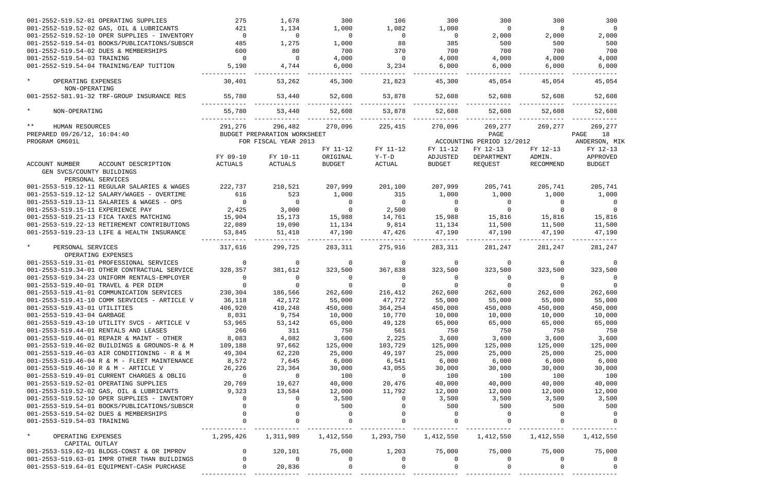| 001-2552-519.52-01 OPERATING SUPPLIES                       | 275            | 1,678                        | 300            | 106            | 300           | 300                       | 300       | 300            |
|-------------------------------------------------------------|----------------|------------------------------|----------------|----------------|---------------|---------------------------|-----------|----------------|
| 001-2552-519.52-02 GAS, OIL & LUBRICANTS                    | 421            | 1,134                        | 1,000          | 1,082          | 1,000         | $\overline{0}$            | $\Omega$  | $\overline{0}$ |
| 001-2552-519.52-10 OPER SUPPLIES - INVENTORY                | $\mathbf 0$    | $\Omega$                     | $\overline{0}$ | $\overline{0}$ | $\Omega$      | 2,000                     | 2,000     | 2,000          |
| 001-2552-519.54-01 BOOKS/PUBLICATIONS/SUBSCR                | 485            | 1,275                        | 1,000          | 88             | 385           | 500                       | 500       | 500            |
| 001-2552-519.54-02 DUES & MEMBERSHIPS                       | 600            | 80                           | 700            | 370            | 700           | 700                       | 700       | 700            |
| 001-2552-519.54-03 TRAINING                                 | $\Omega$       | $\Omega$                     | 4,000          | $\overline{0}$ | 4,000         | 4,000                     | 4,000     | 4,000          |
| 001-2552-519.54-04 TRAINING/EAP TUITION                     | 5,190          | 4,744                        | 6,000          | 3,234          | 6,000         | 6,000                     | 6,000     | 6,000          |
| $\star$<br>OPERATING EXPENSES                               | 30,401         | 53,262                       | 45,300         | 21,823         | 45,300        | 45,054                    | 45,054    | 45,054         |
| NON-OPERATING<br>001-2552-581.91-32 TRF-GROUP INSURANCE RES | 55,780         | 53,440                       | 52,608         | 53,878         | 52,608        | 52,608                    | 52,608    | 52,608         |
|                                                             |                |                              |                |                |               |                           |           |                |
| $\star$<br>NON-OPERATING                                    | 55,780         | 53,440                       | 52,608         | 53,878         | 52,608        | 52,608                    | 52,608    | 52,608         |
| $***$<br>HUMAN RESOURCES                                    | 291,276        | 296,482                      | 270,096        | 225,415        | 270,096       | 269,277                   | 269,277   | 269,277        |
| PREPARED 09/26/12, 16:04:40                                 |                | BUDGET PREPARATION WORKSHEET |                |                |               | PAGE                      |           | 18<br>PAGE     |
| PROGRAM GM601L                                              |                | FOR FISCAL YEAR 2013         |                |                |               | ACCOUNTING PERIOD 12/2012 |           | ANDERSON, MIK  |
|                                                             |                |                              | FY 11-12       | FY 11-12       | FY 11-12      | FY 12-13                  | FY 12-13  | FY 12-13       |
|                                                             | FY 09-10       | FY 10-11                     | ORIGINAL       | $Y-T-D$        | ADJUSTED      | DEPARTMENT                | ADMIN.    | APPROVED       |
| ACCOUNT NUMBER<br>ACCOUNT DESCRIPTION                       | ACTUALS        | ACTUALS                      | <b>BUDGET</b>  | ACTUAL         | <b>BUDGET</b> | REQUEST                   | RECOMMEND | <b>BUDGET</b>  |
| GEN SVCS/COUNTY BUILDINGS                                   |                |                              |                |                |               |                           |           |                |
| PERSONAL SERVICES                                           |                |                              |                |                |               |                           |           |                |
| 001-2553-519.12-11 REGULAR SALARIES & WAGES                 | 222,737        | 210,521                      | 207,999        | 201,100        | 207,999       | 205,741                   | 205,741   | 205,741        |
| 001-2553-519.12-12 SALARY/WAGES - OVERTIME                  | 616            | 523                          | 1,000          | 315            | 1,000         | 1,000                     | 1,000     | 1,000          |
| 001-2553-519.13-11 SALARIES & WAGES - OPS                   | $\overline{0}$ | $\Omega$                     | $\mathbf 0$    | $\Omega$       | $\Omega$      | 0                         | $\Omega$  | 0              |
| 001-2553-519.15-11 EXPERIENCE PAY                           | 2,425          | 3,000                        | $\overline{0}$ | 2,500          |               | $\Omega$                  | $\Omega$  |                |
| 001-2553-519.21-13 FICA TAXES MATCHING                      | 15,904         | 15,173                       | 15,988         | 14,761         | 15,988        | 15,816                    | 15,816    | 15,816         |
| 001-2553-519.22-13 RETIREMENT CONTRIBUTIONS                 | 22,089         | 19,090                       | 11,134         | 9,814          | 11,134        | 11,500                    | 11,500    | 11,500         |
| 001-2553-519.23-13 LIFE & HEALTH INSURANCE                  |                |                              | 47,190         | 47,426         | 47,190        | 47,190                    | 47,190    |                |
|                                                             | 53,845         | 51,418                       |                |                |               |                           |           | 47,190         |
| $\star$<br>PERSONAL SERVICES                                | 317,616        | 299,725                      | 283,311        | 275,916        | 283,311       | 281,247                   | 281,247   | 281,247        |
| OPERATING EXPENSES                                          |                |                              |                |                |               |                           |           |                |
| 001-2553-519.31-01 PROFESSIONAL SERVICES                    | $\mathbf 0$    | 0                            | 0              | $\mathbf 0$    | $\Omega$      | $\overline{0}$            | $\Omega$  |                |
| 001-2553-519.34-01 OTHER CONTRACTUAL SERVICE                | 328,357        | 381,612                      | 323,500        | 367,838        | 323,500       | 323,500                   | 323,500   | 323,500        |
| 001-2553-519.34-23 UNIFORM RENTALS-EMPLOYER                 | 0              | $\Omega$                     | $\Omega$       | 0              |               | 0                         | $\Omega$  |                |
| 001-2553-519.40-01 TRAVEL & PER DIEM                        | $\Omega$       |                              | $\Omega$       | $\Omega$       |               |                           | $\Omega$  |                |
| 001-2553-519.41-01 COMMUNICATION SERVICES                   | 230,304        | 186,566                      | 262,600        | 216,412        | 262,600       | 262,600                   | 262,600   | 262,600        |
| 001-2553-519.41-10 COMM SERVICES - ARTICLE V                | 36,118         | 42,172                       | 55,000         | 47,772         | 55,000        | 55,000                    | 55,000    | 55,000         |
| 001-2553-519.43-01 UTILITIES                                | 406,920        | 410,248                      | 450,000        | 364,254        | 450,000       | 450,000                   | 450,000   | 450,000        |
| 001-2553-519.43-04 GARBAGE                                  | 8,031          | 9,754                        | 10,000         | 10,770         | 10,000        | 10,000                    | 10,000    | 10,000         |
| 001-2553-519.43-10 UTILITY SVCS - ARTICLE V                 | 53,965         | 53,142                       | 65,000         | 49,128         | 65,000        | 65,000                    | 65,000    | 65,000         |
| 001-2553-519.44-01 RENTALS AND LEASES                       | 266            | 311                          | 750            | 561            | 750           | 750                       | 750       | 750            |
| 001-2553-519.46-01 REPAIR & MAINT - OTHER                   | 8,083          | 4,082                        | 3,600          | 2,225          | 3,600         | 3,600                     | 3,600     | 3,600          |
| 001-2553-519.46-02 BUILDINGS & GROUNDS-R & M                | 109,188        | 97,662                       | 125,000        | 103,729        | 125,000       | 125,000                   | 125,000   | 125,000        |
| 001-2553-519.46-03 AIR CONDITIONING - R & M                 | 49,304         | 62,220                       | 25,000         | 49,197         | 25,000        | 25,000                    | 25,000    | 25,000         |
| 001-2553-519.46-04 R & M - FLEET MAINTENANCE                | 8,572          | 7,645                        | 6,000          | 6,541          | 6,000         | 6,000                     | 6,000     | 6,000          |
| 001-2553-519.46-10 R & M - ARTICLE V                        | 26,226         | 23,364                       | 30,000         | 43,055         |               |                           | 30,000    | 30,000         |
|                                                             |                |                              |                |                | 30,000        | 30,000                    |           |                |
| 001-2553-519.49-01 CURRENT CHARGES & OBLIG                  | $\overline{0}$ | $\overline{0}$               | 100            | 0              | 100           | 100                       | 100       | 100            |
| 001-2553-519.52-01 OPERATING SUPPLIES                       | 20,769         | 19,627                       | 40,000         | 20,476         | 40,000        | 40,000                    | 40,000    | 40,000         |
| 001-2553-519.52-02 GAS, OIL & LUBRICANTS                    | 9,323          | 13,584                       | 12,000         | 11,792         | 12,000        | 12,000                    | 12,000    | 12,000         |
| 001-2553-519.52-10 OPER SUPPLIES - INVENTORY                | 0              | 0                            | 3,500          | $\overline{0}$ | 3,500         | 3,500                     | 3,500     | 3,500          |
| 001-2553-519.54-01 BOOKS/PUBLICATIONS/SUBSCR                |                | $\Omega$                     | 500            | $\Omega$       | 500           | 500                       | 500       | 500            |
| 001-2553-519.54-02 DUES & MEMBERSHIPS                       |                |                              | 0              |                |               |                           |           |                |
| 001-2553-519.54-03 TRAINING                                 |                |                              | $\mathbf 0$    | $\Omega$       |               |                           |           |                |
| $\star$<br>OPERATING EXPENSES                               | 1,295,426      | 1,311,989                    | 1,412,550      | 1,293,750      | 1,412,550     | 1,412,550                 | 1,412,550 | 1,412,550      |
| CAPITAL OUTLAY                                              |                |                              |                |                |               |                           |           |                |
| 001-2553-519.62-01 BLDGS-CONST & OR IMPROV                  | $\overline{0}$ | 120,101                      | 75,000         | 1,203          | 75,000        | 75,000                    | 75,000    | 75,000         |
| 001-2553-519.63-01 IMPR OTHER THAN BUILDINGS                |                | $\Omega$                     | 0              | 0              | $\Omega$      | 0                         | $\Omega$  |                |
| 001-2553-519.64-01 EQUIPMENT-CASH PURCHASE                  |                | 20,836                       |                |                |               |                           |           |                |
|                                                             |                |                              |                |                |               |                           |           |                |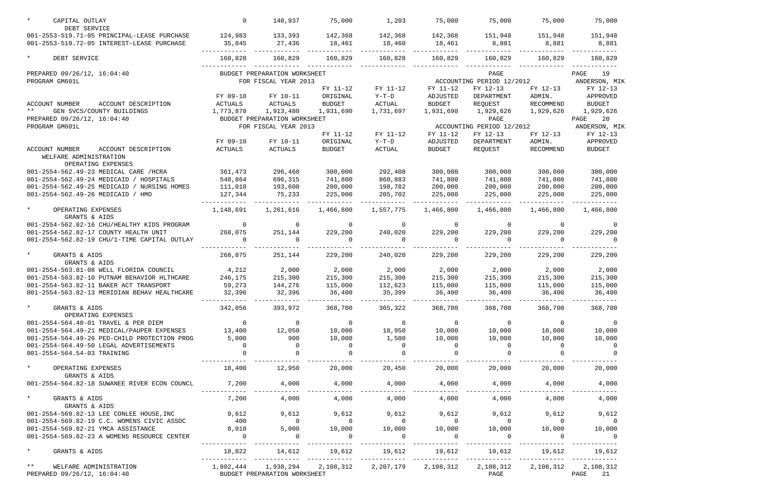| $\star$<br>CAPITAL OUTLAY<br>DEBT SERVICE                                                                                                                                                                                                                               | $\mathbf 0$                                                                                                                                                                                                                                                                                                                        | 140,937                      | 75,000         | 1,203                    | 75,000                   | 75,000                                                           | 75,000         | 75,000                  |
|-------------------------------------------------------------------------------------------------------------------------------------------------------------------------------------------------------------------------------------------------------------------------|------------------------------------------------------------------------------------------------------------------------------------------------------------------------------------------------------------------------------------------------------------------------------------------------------------------------------------|------------------------------|----------------|--------------------------|--------------------------|------------------------------------------------------------------|----------------|-------------------------|
| 001-2553-519.71-05 PRINCIPAL-LEASE PURCHASE                                                                                                                                                                                                                             | 124,983                                                                                                                                                                                                                                                                                                                            | 133,393                      | 142,368        | 142,368                  | 142,368                  | 151,948                                                          | 151,948        | 151,948                 |
| 001-2553-519.72-05 INTEREST-LEASE PURCHASE                                                                                                                                                                                                                              | 35,845                                                                                                                                                                                                                                                                                                                             | 27,436                       | 18,461         | 18,460                   | 18,461                   | 8,881                                                            | 8,881          | 8,881                   |
| $\star$<br>DEBT SERVICE                                                                                                                                                                                                                                                 | 160,828                                                                                                                                                                                                                                                                                                                            | 160,829                      | 160,829        | 160,828                  | 160,829                  | 160,829                                                          | 160,829        | 160,829                 |
| PREPARED 09/26/12, 16:04:40                                                                                                                                                                                                                                             |                                                                                                                                                                                                                                                                                                                                    | BUDGET PREPARATION WORKSHEET |                |                          |                          | PAGE                                                             |                | 19<br>PAGE              |
| PROGRAM GM601L                                                                                                                                                                                                                                                          |                                                                                                                                                                                                                                                                                                                                    | FOR FISCAL YEAR 2013         |                |                          |                          | ACCOUNTING PERIOD 12/2012                                        |                | ANDERSON, MIK           |
|                                                                                                                                                                                                                                                                         |                                                                                                                                                                                                                                                                                                                                    |                              | FY 11-12       | FY 11-12                 | FY 11-12                 | FY 12-13                                                         | FY 12-13       | FY 12-13                |
|                                                                                                                                                                                                                                                                         | FY 09-10                                                                                                                                                                                                                                                                                                                           | FY 10-11                     | ORIGINAL       | $Y-T-D$                  | ADJUSTED                 | DEPARTMENT                                                       | ADMIN.         | APPROVED                |
| ACCOUNT DESCRIPTION<br>ACCOUNT NUMBER                                                                                                                                                                                                                                   | ACTUALS                                                                                                                                                                                                                                                                                                                            | ACTUALS                      | <b>BUDGET</b>  | ACTUAL                   | <b>BUDGET</b>            | REQUEST                                                          | RECOMMEND      | <b>BUDGET</b>           |
| $***$<br>GEN SVCS/COUNTY BUILDINGS                                                                                                                                                                                                                                      | 1,773,870                                                                                                                                                                                                                                                                                                                          | 1,913,480                    | 1,931,690      | 1,731,697                | 1,931,690                | 1,929,626                                                        | 1,929,626      | 1,929,626               |
| PREPARED 09/26/12, 16:04:40                                                                                                                                                                                                                                             |                                                                                                                                                                                                                                                                                                                                    | BUDGET PREPARATION WORKSHEET |                |                          |                          | PAGE                                                             |                | 20<br>PAGE              |
| PROGRAM GM601L                                                                                                                                                                                                                                                          |                                                                                                                                                                                                                                                                                                                                    | FOR FISCAL YEAR 2013         |                |                          |                          | ACCOUNTING PERIOD 12/2012                                        |                | ANDERSON, MIK           |
|                                                                                                                                                                                                                                                                         |                                                                                                                                                                                                                                                                                                                                    |                              | FY 11-12       | FY 11-12                 | FY 11-12                 | FY 12-13                                                         | FY 12-13       | FY 12-13                |
|                                                                                                                                                                                                                                                                         | FY 09-10                                                                                                                                                                                                                                                                                                                           | FY 10-11                     | ORIGINAL       | $Y-T-D$                  | ADJUSTED                 | DEPARTMENT                                                       | ADMIN.         | APPROVED                |
| <b>ACCOUNT NUMBER</b><br>ACCOUNT DESCRIPTION<br>WELFARE ADMINISTRATION<br>OPERATING EXPENSES                                                                                                                                                                            | ACTUALS                                                                                                                                                                                                                                                                                                                            | ACTUALS                      | <b>BUDGET</b>  | ACTUAL                   | <b>BUDGET</b>            | REQUEST                                                          | RECOMMEND      | <b>BUDGET</b>           |
| 001-2554-562.49-23 MEDICAL CARE /HCRA                                                                                                                                                                                                                                   | 361,473                                                                                                                                                                                                                                                                                                                            | 296,460                      | 300,000        | 292,408                  | 300,000                  | 300,000                                                          | 300,000        | 300,000                 |
| 001-2554-562.49-24 MEDICAID / HOSPITALS                                                                                                                                                                                                                                 | 548,864                                                                                                                                                                                                                                                                                                                            | 696,315                      | 741,800        | 860,883                  | 741,800                  | 741,800                                                          | 741,800        | 741,800                 |
| 001-2554-562.49-25 MEDICAID / NURSING HOMES                                                                                                                                                                                                                             | 111,010                                                                                                                                                                                                                                                                                                                            | 193,608                      | 200,000        | 198,782                  | 200,000                  | 200,000                                                          | 200,000        | 200,000                 |
| 001-2554-562.49-26 MEDICAID / HMO                                                                                                                                                                                                                                       | 127,344                                                                                                                                                                                                                                                                                                                            | 75,233                       | 225,000        | 205,702                  | 225,000                  | 225,000                                                          | 225,000        | 225,000                 |
|                                                                                                                                                                                                                                                                         |                                                                                                                                                                                                                                                                                                                                    |                              |                |                          |                          |                                                                  |                |                         |
| $\star$<br>OPERATING EXPENSES<br>GRANTS & AIDS                                                                                                                                                                                                                          | 1,148,691                                                                                                                                                                                                                                                                                                                          | 1,261,616                    | 1,466,800      | 1,557,775                | 1,466,800                | 1,466,800                                                        | 1,466,800      | 1,466,800               |
| 001-2554-562.82-16 CHU/HEALTHY KIDS PROGRAM                                                                                                                                                                                                                             | 0                                                                                                                                                                                                                                                                                                                                  | $\overline{0}$               | $\mathsf{O}$   | $\overline{0}$           | $\overline{0}$           | $\mathbf 0$                                                      | $\Omega$       | 0                       |
| 001-2554-562.82-17 COUNTY HEALTH UNIT                                                                                                                                                                                                                                   | 268,075                                                                                                                                                                                                                                                                                                                            | 251,144                      | 229,200        | 240,020                  | 229,200                  | 229,200                                                          | 229,200        | 229,200                 |
| 001-2554-562.82-19 CHU/1-TIME CAPITAL OUTLAY                                                                                                                                                                                                                            | 0                                                                                                                                                                                                                                                                                                                                  | $\Omega$                     | $\mathbf 0$    | 0                        |                          | 0                                                                | 0              | $\Omega$                |
| $\star$<br>GRANTS & AIDS<br>GRANTS & AIDS                                                                                                                                                                                                                               | 268,075                                                                                                                                                                                                                                                                                                                            | 251,144                      | 229,200        | 240,020                  | 229,200                  | 229,200                                                          | 229,200        | 229,200                 |
| 001-2554-563.81-08 WELL FLORIDA COUNCIL                                                                                                                                                                                                                                 | 4,212                                                                                                                                                                                                                                                                                                                              | 2,000                        | 2,000          | 2,000                    | 2,000                    | 2,000                                                            | 2,000          | 2,000                   |
| 001-2554-563.82-10 PUTNAM BEHAVIOR HLTHCARE                                                                                                                                                                                                                             | 246,175                                                                                                                                                                                                                                                                                                                            | 215,300                      | 215,300        | 215,300                  | 215,300                  | 215,300                                                          | 215,300        | 215,300                 |
| 001-2554-563.82-11 BAKER ACT TRANSPORT                                                                                                                                                                                                                                  | 59,273                                                                                                                                                                                                                                                                                                                             | 144,276                      | 115,000        | 112,623                  | 115,000                  | 115,000                                                          | 115,000        | 115,000                 |
| 001-2554-563.82-13 MERIDIAN BEHAV HEALTHCARE                                                                                                                                                                                                                            | 32,396                                                                                                                                                                                                                                                                                                                             | 32,396                       | 36,400         | 35,399                   | 36,400                   | 36,400                                                           | 36,400         | 36,400                  |
| $\star$<br>GRANTS & AIDS<br>OPERATING EXPENSES                                                                                                                                                                                                                          | 342,056                                                                                                                                                                                                                                                                                                                            | 393,972 368,700 365,322      |                |                          | 368,700                  | 368,700                                                          | 368,700        | 368,700                 |
| 001-2554-564.40-01 TRAVEL & PER DIEM                                                                                                                                                                                                                                    | $\overline{a}$ and $\overline{a}$ and $\overline{a}$ and $\overline{a}$ and $\overline{a}$ and $\overline{a}$ and $\overline{a}$ and $\overline{a}$ and $\overline{a}$ and $\overline{a}$ and $\overline{a}$ and $\overline{a}$ and $\overline{a}$ and $\overline{a}$ and $\overline{a}$ and $\overline{a}$ and $\overline{a}$ and | $\overline{0}$               | $\overline{0}$ | $\overline{0}$           | $\overline{0}$           | $\overline{0}$                                                   | $\overline{0}$ | $\overline{0}$          |
| 001-2554-564.49-21 MEDICAL/PAUPER EXPENSES                                                                                                                                                                                                                              | 13,400                                                                                                                                                                                                                                                                                                                             | 12,050                       | 10,000         | 18,950                   | 10,000                   | 10,000                                                           | 10,000         | 10,000                  |
| 001-2554-564.49-26 PED-CHILD PROTECTION PROG                                                                                                                                                                                                                            | 5,000                                                                                                                                                                                                                                                                                                                              | 900                          | 10,000         | 1,500                    | 10,000                   | 10,000                                                           | 10,000         | 10,000                  |
| 001-2554-564.49-50 LEGAL ADVERTISEMENTS                                                                                                                                                                                                                                 | $\overline{0}$                                                                                                                                                                                                                                                                                                                     | $\overline{0}$               | - 0            | $\Omega$                 | $\sim$ 0                 | $\overline{0}$                                                   | $\overline{0}$ | 0                       |
| 001-2554-564.54-03 TRAINING                                                                                                                                                                                                                                             | $\Omega$                                                                                                                                                                                                                                                                                                                           | $\overline{0}$               | $\overline{0}$ | $\overline{0}$           |                          |                                                                  |                |                         |
| $\star$ . The set of the set of the set of the set of the set of the set of the set of the set of the set of the set of the set of the set of the set of the set of the set of the set of the set of the set of the set of the s<br>OPERATING EXPENSES<br>GRANTS & AIDS | 18,400                                                                                                                                                                                                                                                                                                                             | 12,950                       | 20,000         | 20,450                   | 20,000                   | 20,000                                                           | 20,000         | 20,000                  |
| 001-2554-564.82-18 SUWANEE RIVER ECON COUNCL                                                                                                                                                                                                                            | 7,200                                                                                                                                                                                                                                                                                                                              | 4,000                        | 4,000          | 4,000                    | $4,000$ $4,000$          |                                                                  | 4,000          | 4,000                   |
| $\star$<br>GRANTS & AIDS                                                                                                                                                                                                                                                | 7,200                                                                                                                                                                                                                                                                                                                              | 4,000                        | 4,000          | 4,000                    | 4,000                    | 4,000                                                            | 4,000          | 4,000                   |
| GRANTS & AIDS                                                                                                                                                                                                                                                           | 9,612                                                                                                                                                                                                                                                                                                                              | 9,612                        | 9,612          | 9,612                    | 9,612                    | 9,612                                                            | 9,612          |                         |
| 001-2554-569.82-13 LEE CONLEE HOUSE, INC<br>001-2554-569.82-19 C.C. WOMENS CIVIC ASSOC                                                                                                                                                                                  | 400                                                                                                                                                                                                                                                                                                                                | $\overline{0}$               | $\overline{0}$ | $\overline{0}$           |                          |                                                                  | $\overline{0}$ | 9,612<br>- 0            |
| 001-2554-569.82-21 YMCA ASSISTANCE                                                                                                                                                                                                                                      | 8,010                                                                                                                                                                                                                                                                                                                              | 5,000                        | 10,000         |                          |                          |                                                                  |                |                         |
| 001-2554-569.82-23 A WOMENS RESOURCE CENTER                                                                                                                                                                                                                             | $\overline{0}$                                                                                                                                                                                                                                                                                                                     | $\overline{0}$               | $\overline{0}$ | 10,000<br>$\overline{0}$ | 10,000<br>$\overline{0}$ | 10,000<br>$\overline{0}$                                         | 10,000         | 10,000                  |
| $\star$<br>GRANTS & AIDS                                                                                                                                                                                                                                                |                                                                                                                                                                                                                                                                                                                                    |                              |                |                          |                          | $18,022$ 14,612 19,612 19,612 19,612 19,612 19,612 19,612 19,612 |                |                         |
| $\star \star$<br>WELFARE ADMINISTRATION<br>PREPARED 09/26/12, 16:04:40                                                                                                                                                                                                  | $1,802,444$ $1,938,294$ $2,108,312$ $2,207,179$                                                                                                                                                                                                                                                                                    | BUDGET PREPARATION WORKSHEET |                |                          | 2,108,312                | 2,108,312<br>PAGE                                                | 2,108,312      | 2,108,312<br>PAGE<br>21 |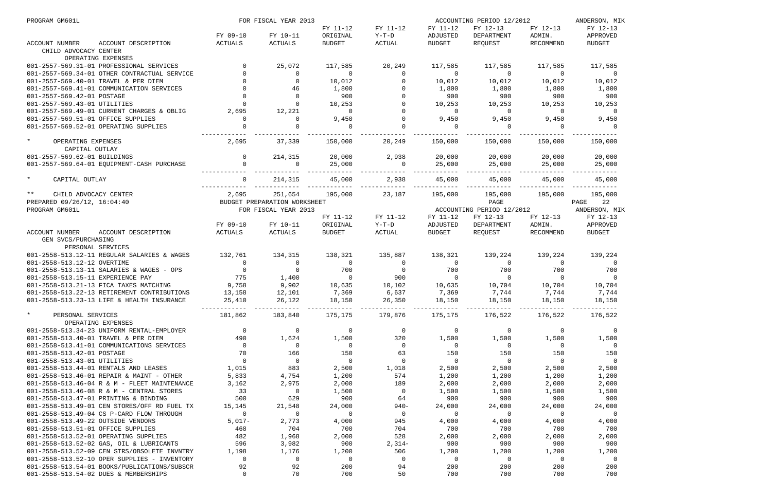| PROGRAM GM601L                               | FOR FISCAL YEAR 2013<br>ACCOUNTING PERIOD 12/2012 |                              |                | ANDERSON, MIK  |                |                           |                |                |
|----------------------------------------------|---------------------------------------------------|------------------------------|----------------|----------------|----------------|---------------------------|----------------|----------------|
|                                              |                                                   |                              | FY 11-12       | FY 11-12       | FY 11-12       | FY 12-13                  | FY 12-13       | FY 12-13       |
|                                              | FY 09-10                                          | FY 10-11                     | ORIGINAL       | Y-T-D          | ADJUSTED       | DEPARTMENT                | ADMIN.         | APPROVED       |
| ACCOUNT DESCRIPTION<br>ACCOUNT NUMBER        | ACTUALS                                           | ACTUALS                      | BUDGET         | ACTUAL         | <b>BUDGET</b>  | REQUEST                   | RECOMMEND      | <b>BUDGET</b>  |
| CHILD ADVOCACY CENTER                        |                                                   |                              |                |                |                |                           |                |                |
| OPERATING EXPENSES                           |                                                   |                              |                |                |                |                           |                |                |
| 001-2557-569.31-01 PROFESSIONAL SERVICES     |                                                   | 25,072                       | 117,585        | 20,249         | 117,585        | 117,585                   | 117,585        | 117,585        |
| 001-2557-569.34-01 OTHER CONTRACTUAL SERVICE |                                                   | $\overline{0}$               | $\sim$ 0       | $\overline{0}$ | $\sim$ 0       | $\sim$ 0                  | $\overline{0}$ | $\overline{0}$ |
| 001-2557-569.40-01 TRAVEL & PER DIEM         |                                                   |                              | 10,012         | $\overline{0}$ | 10,012         | 10,012                    | 10,012         | 10,012         |
| 001-2557-569.41-01 COMMUNICATION SERVICES    |                                                   | 46                           | 1,800          | $\overline{0}$ | 1,800          | 1,800                     | 1,800          | 1,800          |
| 001-2557-569.42-01 POSTAGE                   |                                                   | $\overline{0}$               | 900            | $\overline{0}$ | 900            | 900                       | 900            | 900            |
| 001-2557-569.43-01 UTILITIES                 |                                                   | $\Omega$                     | 10,253         | $\overline{0}$ | 10,253         | 10,253                    | 10,253         | 10,253         |
| 001-2557-569.49-01 CURRENT CHARGES & OBLIG   | 2,695                                             | 12,221                       | $\overline{0}$ | $\overline{0}$ | $\overline{0}$ | $\overline{0}$            | $\overline{0}$ | $\overline{0}$ |
| 001-2557-569.51-01 OFFICE SUPPLIES           | $\mathbf 0$                                       | $\Omega$                     | 9,450          | $\overline{0}$ | 9,450          | 9,450                     | 9,450          | 9,450          |
| 001-2557-569.52-01 OPERATING SUPPLIES        |                                                   | $\Omega$                     | $\overline{0}$ | $\overline{0}$ | $\sim$ 0       | $\overline{0}$            | $\overline{0}$ | $\overline{0}$ |
| $\star$<br>OPERATING EXPENSES                | 2,695                                             | 37,339                       | 150,000        | 20,249         | 150,000        | 150,000                   | 150,000        | 150,000        |
| CAPITAL OUTLAY                               |                                                   |                              |                |                |                |                           |                |                |
| 001-2557-569.62-01 BUILDINGS                 | $\overline{0}$                                    | 214,315                      | 20,000         | 2,938          | 20,000         | 20,000                    | 20,000         | 20,000         |
| 001-2557-569.64-01 EQUIPMENT-CASH PURCHASE   | $\mathbf 0$                                       | $\overline{0}$               | 25,000         | $\overline{0}$ | 25,000         | 25,000                    | 25,000         | 25,000         |
|                                              |                                                   |                              |                |                |                |                           |                |                |
| $\star$<br>CAPITAL OUTLAY                    | $\Omega$                                          | 214,315                      | 45,000         | 2,938          | 45,000         | 45,000                    | 45,000         | 45,000         |
| ** CHILD ADVOCACY CENTER                     | 2,695                                             | 251,654                      | 195,000        | 23,187         | 195,000        | 195,000                   | 195,000        | 195,000        |
| PREPARED 09/26/12, 16:04:40                  |                                                   | BUDGET PREPARATION WORKSHEET |                |                |                | PAGE                      |                | PAGE 22        |
| PROGRAM GM601L                               |                                                   | FOR FISCAL YEAR 2013         |                |                |                | ACCOUNTING PERIOD 12/2012 |                | ANDERSON, MIK  |
|                                              |                                                   |                              | FY 11-12       | FY 11-12       | FY 11-12       | FY 12-13                  | FY 12-13       | FY 12-13       |
|                                              | FY 09-10                                          | FY 10-11                     | ORIGINAL       | Y-T-D          | ADJUSTED       | DEPARTMENT                | ADMIN.         | APPROVED       |
| ACCOUNT NUMBER<br>ACCOUNT DESCRIPTION        | ACTUALS                                           | ACTUALS                      | BUDGET         | ACTUAL         | BUDGET         | REQUEST                   | RECOMMEND      | <b>BUDGET</b>  |
| GEN SVCS/PURCHASING                          |                                                   |                              |                |                |                |                           |                |                |
| PERSONAL SERVICES                            |                                                   |                              |                |                |                |                           |                |                |
| 001-2558-513.12-11 REGULAR SALARIES & WAGES  | 132,761                                           | 134,315                      | 138,321        | 135,887        | 138,321        | 139,224                   | 139,224        | 139,224        |
| 001-2558-513.12-12 OVERTIME                  | $\overline{0}$                                    | $\overline{0}$               | $\overline{0}$ | $\overline{0}$ | $\overline{0}$ | $\overline{0}$            | $\overline{0}$ | $\overline{0}$ |
| 001-2558-513.13-11 SALARIES & WAGES - OPS    |                                                   | $\overline{0}$               | 700            | $\overline{0}$ | 700            | 700                       | 700            | 700            |
| 001-2558-513.15-11 EXPERIENCE PAY            | $\begin{array}{c} 0 \\ 775 \end{array}$           | 1,400                        | $\overline{0}$ | 900            | $\overline{0}$ | $\overline{0}$            | $\overline{0}$ | $\overline{0}$ |
| 001-2558-513.21-13 FICA TAXES MATCHING       | 9,758                                             | 9,902                        | 10,635         | 10,102         | 10,635         | 10,704                    | 10,704         | 10,704         |
| 001-2558-513.22-13 RETIREMENT CONTRIBUTIONS  | 13,158                                            | 12,101                       | 7,369          | 6,637          | 7,369          | 7,744                     | 7,744          | 7,744          |
| 001-2558-513.23-13 LIFE & HEALTH INSURANCE   | 25,410                                            | 26,122                       | 18,150         | 26,350         | 18,150         | 18,150                    | 18,150         | 18,150         |
|                                              |                                                   |                              |                |                |                |                           |                |                |
| $\star$<br>PERSONAL SERVICES                 | 181,862                                           | 183,840                      | 175,175        | 179,876        | 175,175        | 176,522                   | 176,522        | 176,522        |
| OPERATING EXPENSES                           |                                                   |                              |                |                |                |                           |                |                |
| 001-2558-513.34-23 UNIFORM RENTAL-EMPLOYER   | $\mathsf{O}$                                      | 0                            | 0              | $\overline{0}$ | 0              | $\overline{0}$            | 0              | 0              |
| 001-2558-513.40-01 TRAVEL & PER DIEM         | 490                                               | 1,624                        | 1,500          | 320            | 1,500          | 1,500                     | 1,500          | 1,500          |
| 001-2558-513.41-01 COMMUNICATIONS SERVICES   | 0                                                 | 0                            | 0              | 0              | 0              | $\overline{0}$            | 0              | $\overline{0}$ |
| 001-2558-513.42-01 POSTAGE                   | 70                                                | 166                          | 150            | 63             | 150            | 150                       | 150            | 150            |
| 001-2558-513.43-01 UTILITIES                 | $\mathbf 0$                                       | $\mathbf 0$                  | $\overline{0}$ | $\mathsf{O}$   | 0              | $\overline{0}$            | $\mathbf 0$    | $\overline{0}$ |
| 001-2558-513.44-01 RENTALS AND LEASES        | 1,015                                             | 883                          | 2,500          | 1,018          | 2,500          | 2,500                     | 2,500          | 2,500          |
| 001-2558-513.46-01 REPAIR & MAINT - OTHER    | 5,833                                             | 4,754                        | 1,200          | 574            | 1,200          | 1,200                     | 1,200          | 1,200          |
| 001-2558-513.46-04 R & M - FLEET MAINTENANCE | 3,162                                             | 2,975                        | 2,000          | 189            | 2,000          | 2,000                     | 2,000          | 2,000          |
| 001-2558-513.46-08 R & M - CENTRAL STORES    | 33                                                | 0                            | 1,500          | $\overline{0}$ | 1,500          | 1,500                     | 1,500          | 1,500          |
| 001-2558-513.47-01 PRINTING & BINDING        | 500                                               | 629                          | 900            | 64             | 900            | 900                       | 900            | 900            |
| 001-2558-513.49-01 CEN STORES/OFF RD FUEL TX | 15,145                                            | 21,548                       | 24,000         | $940 -$        | 24,000         | 24,000                    | 24,000         | 24,000         |
| 001-2558-513.49-04 CS P-CARD FLOW THROUGH    | 0                                                 | 0                            | 0              | $\overline{0}$ | 0              | $\overline{0}$            | 0              | 0              |
| 001-2558-513.49-22 OUTSIDE VENDORS           | $5,017-$                                          | 2,773                        | 4,000          | 945            | 4,000          | 4,000                     | 4,000          | 4,000          |
| 001-2558-513.51-01 OFFICE SUPPLIES           | 468                                               | 704                          | 700            | 704            | 700            | 700                       | 700            | 700            |
| 001-2558-513.52-01 OPERATING SUPPLIES        | 482                                               | 1,968                        | 2,000          | 528            | 2,000          | 2,000                     | 2,000          | 2,000          |
| 001-2558-513.52-02 GAS, OIL & LUBRICANTS     | 596                                               | 3,982                        | 900            | $2,314-$       | 900            | 900                       | 900            | 900            |
| 001-2558-513.52-09 CEN STRS/OBSOLETE INVNTRY | 1,198                                             | 1,176                        | 1,200          | 506            | 1,200          | 1,200                     | 1,200          | 1,200          |
| 001-2558-513.52-10 OPER SUPPLIES - INVENTORY | 0                                                 | 0                            | 0              | $\mathbf 0$    | 0              | $\overline{0}$            | 0              | $\overline{0}$ |
| 001-2558-513.54-01 BOOKS/PUBLICATIONS/SUBSCR | 92                                                | 92                           | 200            | 94             | 200            | 200                       | 200            | 200            |
| 001-2558-513.54-02 DUES & MEMBERSHIPS        | $\mathbf 0$                                       | 70                           | 700            | 50             | 700            | 700                       | 700            | 700            |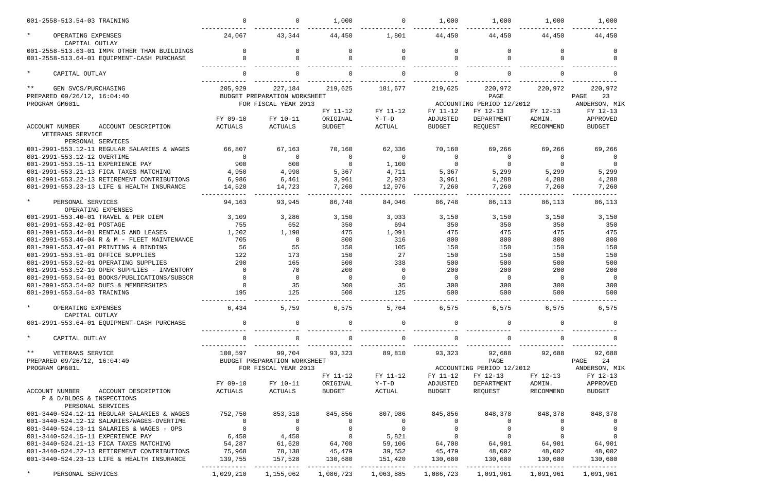| 001-2558-513.54-03 TRAINING                               | $\mathbf 0$                           | $\Omega$                     | 1,000                                | $\overline{0}$ | 1,000          | 1,000                                             | 1,000          | 1,000                                   |
|-----------------------------------------------------------|---------------------------------------|------------------------------|--------------------------------------|----------------|----------------|---------------------------------------------------|----------------|-----------------------------------------|
| $\star$<br>OPERATING EXPENSES<br>CAPITAL OUTLAY           | 24,067                                | 43,344                       | 44,450                               | 1,801          | 44,450         | 44,450                                            | 44,450         | 44,450                                  |
| 001-2558-513.63-01 IMPR OTHER THAN BUILDINGS              | $\Omega$                              | 0                            |                                      | 0              | $\Omega$       | $\Omega$                                          | 0              | $\Omega$                                |
| 001-2558-513.64-01 EQUIPMENT-CASH PURCHASE                |                                       |                              |                                      | <sup>0</sup>   |                | $\Omega$                                          |                |                                         |
| $\star$<br>CAPITAL OUTLAY                                 | $\Omega$                              |                              |                                      | $\Omega$       |                |                                                   |                |                                         |
| $***$<br>GEN SVCS/PURCHASING                              | 205,929                               | 227,184                      | 219,625                              | 181,677        | 219,625        | 220,972                                           | 220,972        | 220,972                                 |
| PREPARED 09/26/12, 16:04:40                               |                                       | BUDGET PREPARATION WORKSHEET |                                      |                |                | PAGE                                              |                | 23<br>PAGE                              |
| PROGRAM GM601L                                            |                                       | FOR FISCAL YEAR 2013         |                                      |                |                | ACCOUNTING PERIOD 12/2012                         |                | ANDERSON, MIK                           |
|                                                           |                                       |                              | FY 11-12                             | FY 11-12       | FY 11-12       | FY 12-13                                          | FY 12-13       | FY 12-13                                |
|                                                           | FY 09-10                              | FY 10-11                     | ORIGINAL                             | $Y-T-D$        | ADJUSTED       | DEPARTMENT                                        | ADMIN.         | APPROVED                                |
| ACCOUNT DESCRIPTION<br>ACCOUNT NUMBER<br>VETERANS SERVICE | ACTUALS                               | ACTUALS                      | <b>BUDGET</b>                        | ACTUAL         | <b>BUDGET</b>  | REQUEST                                           | RECOMMEND      | <b>BUDGET</b>                           |
| PERSONAL SERVICES                                         |                                       |                              |                                      |                |                |                                                   |                |                                         |
| 001-2991-553.12-11 REGULAR SALARIES & WAGES               | 66,807                                | 67,163                       | 70,160                               | 62,336         | 70,160         | 69,266                                            | 69,266         | 69,266                                  |
| 001-2991-553.12-12 OVERTIME                               | $\overline{0}$                        | 0                            | $\Omega$                             | $\Omega$       | $\Omega$       | 0                                                 | 0              |                                         |
| 001-2991-553.15-11 EXPERIENCE PAY                         | 900                                   | 600                          | $\Omega$                             | 1,100          | $\Omega$       | 0                                                 | $\Omega$       | - 0                                     |
| 001-2991-553.21-13 FICA TAXES MATCHING                    | 4,950                                 | 4,998                        | 5,367                                | 4,711          | 5,367          | 5,299                                             | 5,299          | 5,299                                   |
| 001-2991-553.22-13 RETIREMENT CONTRIBUTIONS               | 6,986                                 | 6,461                        | 3,961                                | 2,923          | 3,961          | 4,288                                             | 4,288          | 4,288                                   |
| 001-2991-553.23-13 LIFE & HEALTH INSURANCE                | 14,520                                | 14,723                       | 7,260                                | 12,976         | 7,260          | 7,260                                             | 7,260          | 7,260                                   |
| $\star$<br>PERSONAL SERVICES                              | 94,163                                | 93,945                       | 86,748                               | 84,046         | 86,748         | 86,113                                            | 86,113         | 86,113                                  |
| OPERATING EXPENSES                                        |                                       |                              |                                      |                |                |                                                   |                |                                         |
| 001-2991-553.40-01 TRAVEL & PER DIEM                      | 3,109                                 | 3,286                        | 3,150                                | 3,033          | 3,150          | 3,150                                             | 3,150          | 3,150                                   |
| 001-2991-553.42-01 POSTAGE                                | 755                                   | 652                          | 350                                  | 694            | 350            | 350                                               | 350            | 350                                     |
| 001-2991-553.44-01 RENTALS AND LEASES                     | 1,202                                 | 1,198                        | 475                                  | 1,091          | 475            | 475                                               | 475            | 475                                     |
| 001-2991-553.46-04 R & M - FLEET MAINTENANCE              | 705                                   | 0                            | 800                                  | 316            | 800            | 800                                               | 800            | 800                                     |
| 001-2991-553.47-01 PRINTING & BINDING                     | 56                                    | 55                           | 150                                  | 105            | 150            | 150                                               | 150            | 150                                     |
| 001-2991-553.51-01 OFFICE SUPPLIES                        | 122                                   | 173                          | 150                                  | 27             | 150            | 150                                               | 150            | 150                                     |
| 001-2991-553.52-01 OPERATING SUPPLIES                     | 290                                   | 165                          | 500                                  | 338            | 500            | 500                                               | 500            | 500                                     |
| 001-2991-553.52-10 OPER SUPPLIES - INVENTORY              | $\overline{0}$                        | 70                           | 200                                  | $\overline{0}$ | 200            | 200                                               | 200            | 200                                     |
| 001-2991-553.54-01 BOOKS/PUBLICATIONS/SUBSCR              | $\mathbf 0$                           | 0                            | $\overline{0}$                       | $\overline{0}$ | $\overline{0}$ | $\overline{0}$                                    | $\Omega$       | $\overline{0}$                          |
| 001-2991-553.54-02 DUES & MEMBERSHIPS                     | $\mathbf 0$                           | 35                           | 300                                  | 35             | 300            | 300                                               | 300            | 300                                     |
| 001-2991-553.54-03 TRAINING                               | 195                                   | 125                          | 500                                  | 125            | 500            | 500                                               | 500            | 500                                     |
| $\star$<br>OPERATING EXPENSES                             | 6,434                                 | 5,759                        | 6,575                                | 5,764          | 6,575          | 6,575                                             | 6,575          | 6,575                                   |
| CAPITAL OUTLAY                                            |                                       |                              |                                      |                |                |                                                   |                |                                         |
| 001-2991-553.64-01 EQUIPMENT-CASH PURCHASE                | $\overline{0}$                        | 0                            |                                      | $\overline{0}$ |                | 0                                                 |                |                                         |
| $\star$<br>CAPITAL OUTLAY                                 | $\mathbf 0$                           | 0                            | 0                                    | $\overline{0}$ |                | $\overline{0}$                                    |                |                                         |
| $\star \star$<br>VETERANS SERVICE                         | 100,597                               | 99,704                       | 93,323                               | 89,810         | 93,323         | 92,688                                            | 92,688         | 92,688                                  |
| PREPARED 09/26/12, 16:04:40                               |                                       | BUDGET PREPARATION WORKSHEET |                                      |                |                | PAGE                                              |                | PAGE 24                                 |
| PROGRAM GM601L                                            |                                       | FOR FISCAL YEAR 2013         |                                      |                |                |                                                   |                | ACCOUNTING PERIOD 12/2012 ANDERSON, MIK |
|                                                           |                                       |                              | FY 11-12                             | FY 11-12       | FY 11-12       | FY 12-13                                          | FY 12-13       | FY 12-13                                |
|                                                           | FY 09-10                              | FY 10-11                     | ORIGINAL                             | Y-T-D          | ADJUSTED       | DEPARTMENT                                        | ADMIN.         | APPROVED                                |
| ACCOUNT NUMBER<br>ACCOUNT DESCRIPTION                     | ACTUALS                               | ACTUALS                      | BUDGET                               | ACTUAL         | BUDGET         | REQUEST                                           | RECOMMEND      | <b>BUDGET</b>                           |
| P & D/BLDGS & INSPECTIONS<br>PERSONAL SERVICES            |                                       |                              |                                      |                |                |                                                   |                |                                         |
| 001-3440-524.12-11 REGULAR SALARIES & WAGES               | 752,750                               | 853,318                      | 845,856                              | 807,986        | 845,856        | 848,378                                           | 848,378        | 848,378                                 |
| 001-3440-524.12-12 SALARIES/WAGES-OVERTIME                | $\overline{0}$                        | $\overline{0}$               | $\overline{0}$                       | $\overline{0}$ | $\overline{0}$ | $\overline{0}$                                    | $\Omega$       | 0                                       |
| 001-3440-524.13-11 SALARIES & WAGES - OPS                 |                                       | $\overline{0}$               |                                      | $\overline{0}$ | $\overline{0}$ | $\mathbf 0$                                       | $\overline{0}$ | - 0                                     |
| 001-3440-524.15-11 EXPERIENCE PAY                         | $\begin{array}{c}0\\6,450\end{array}$ | 4,450                        | $\begin{matrix} 0 \\ 0 \end{matrix}$ | 5,821          | $\overline{0}$ | $\begin{smallmatrix}&&0\0&&\0&0\end{smallmatrix}$ | $\overline{0}$ |                                         |
| 001-3440-524.21-13 FICA TAXES MATCHING                    | 54,287                                | 61,628                       | 64,708                               | 59,106         | 64,708         |                                                   | 64,901         | 64,901                                  |
| 001-3440-524.22-13 RETIREMENT CONTRIBUTIONS               | 75,968                                | 78,138                       | 45,479                               | 39,552         | 45,479         | 48,002                                            | 48,002         | 48,002                                  |
| 001-3440-524.23-13 LIFE & HEALTH INSURANCE                | 139,755                               | 157,528                      | 130,680                              | 151,420        | 130,680        | 130,680                                           | 130,680        | 130,680                                 |
| $\star$<br>PERSONAL SERVICES                              | 1,029,210                             | 1,155,062                    | 1,086,723                            | 1,063,885      |                | 1,086,723 1,091,961                               | 1,091,961      | 1,091,961                               |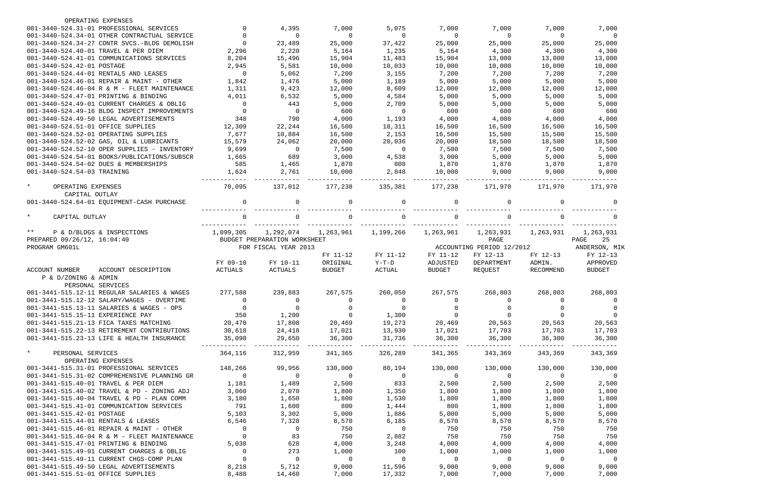| OPERATING EXPENSES                                                            |                                              |                |                              |                |                  |                |                           |                |                |
|-------------------------------------------------------------------------------|----------------------------------------------|----------------|------------------------------|----------------|------------------|----------------|---------------------------|----------------|----------------|
|                                                                               | 001-3440-524.31-01 PROFESSIONAL SERVICES     | $\Omega$       | 4,395                        | 7,000          | 5,075            | 7,000          | 7,000                     | 7,000          | 7,000          |
|                                                                               | 001-3440-524.34-01 OTHER CONTRACTUAL SERVICE | $\Omega$       | $\Omega$                     | 0              | $\mathbf 0$      | $\Omega$       | $\mathbf 0$               | $\Omega$       | $\Omega$       |
|                                                                               | 001-3440-524.34-27 CONTR SVCS.-BLDG DEMOLISH | $\Omega$       | 23,489                       | 25,000         | 37,422           | 25,000         | 25,000                    | 25,000         | 25,000         |
| 001-3440-524.40-01 TRAVEL & PER DIEM                                          |                                              | 2,296          | 2,220                        | 5,164          | 1,235            | 5,164          | 4,300                     | 4,300          | 4,300          |
|                                                                               | 001-3440-524.41-01 COMMUNICATIONS SERVICES   | 8,204          | 15,496                       | 15,904         | 11,483           | 15,904         | 13,000                    | 13,000         | 13,000         |
| 001-3440-524.42-01 POSTAGE                                                    |                                              | 2,945          | 5,581                        | 10,000         | 10,033           | 10,000         | 10,000                    | 10,000         | 10,000         |
| 001-3440-524.44-01 RENTALS AND LEASES                                         |                                              | $\mathbf 0$    | 5,062                        | 7,200          | 3,155            | 7,200          | 7,200                     | 7,200          | 7,200          |
|                                                                               | 001-3440-524.46-01 REPAIR & MAINT - OTHER    | 1,842          | 1,476                        | 5,000          | 1,189            | 5,000          | 5,000                     | 5,000          | 5,000          |
|                                                                               | 001-3440-524.46-04 R & M - FLEET MAINTENANCE | 1,311          | 9,423                        | 12,000         | 8,609            | 12,000         | 12,000                    | 12,000         | 12,000         |
| 001-3440-524.47-01 PRINTING & BINDING                                         |                                              | 4,011          | 6,532                        | 5,000          | 4,584            | 5,000          | 5,000                     | 5,000          | 5,000          |
|                                                                               | 001-3440-524.49-01 CURRENT CHARGES & OBLIG   | $\mathbf 0$    | 443                          | 5,000          | 2,709            | 5,000          | 5,000                     | 5,000          | 5,000          |
|                                                                               | 001-3440-524.49-16 BLDG INSPECT IMPROVEMENTS | $\mathbf 0$    | $\overline{0}$               | 600            | $\overline{0}$   | 600            | 600                       | 600            | 600            |
| 001-3440-524.49-50 LEGAL ADVERTISEMENTS                                       |                                              | 348            | 790                          | 4,000          | 1,193            | 4,000          | 4,000                     | 4,000          | 4,000          |
| 001-3440-524.51-01 OFFICE SUPPLIES                                            |                                              | 12,309         | 22,244                       | 16,500         | 18,311           | 16,500         | 16,500                    | 16,500         | 16,500         |
| 001-3440-524.52-01 OPERATING SUPPLIES                                         |                                              | 7,677          | 10,884                       | 16,500         | 2,153            | 16,500         | 15,500                    | 15,500         | 15,500         |
|                                                                               | 001-3440-524.52-02 GAS, OIL & LUBRICANTS     | 15,579         | 24,062                       | 20,000         | 20,036           | 20,000         | 18,500                    | 18,500         | 18,500         |
|                                                                               | 001-3440-524.52-10 OPER SUPPLIES - INVENTORY | 9,699          | $\overline{0}$               | 7,500          | $\overline{0}$   | 7,500          | 7,500                     | 7,500          | 7,500          |
|                                                                               | 001-3440-524.54-01 BOOKS/PUBLICATIONS/SUBSCR | 1,665          | 689                          | 3,000          | 4,538            | 3,000          | 5,000                     | 5,000          | 5,000          |
| 001-3440-524.54-02 DUES & MEMBERSHIPS                                         |                                              | 585            | 1,465                        | 1,870          | 808              | 1,870          | 1,870                     | 1,870          | 1,870          |
| 001-3440-524.54-03 TRAINING                                                   |                                              | 1,624          | 2,761                        | 10,000         | 2,848            | 10,000         | 9,000                     | 9,000          | 9,000          |
|                                                                               |                                              |                |                              |                |                  |                |                           |                |                |
| $\star$<br>OPERATING EXPENSES                                                 |                                              | 70,095         | 137,012                      | 177,238        | 135,381          | 177,238        | 171,970                   | 171,970        | 171,970        |
| CAPITAL OUTLAY                                                                |                                              |                |                              |                |                  |                |                           |                |                |
|                                                                               | 001-3440-524.64-01 EQUIPMENT-CASH PURCHASE   | $\mathbf 0$    | $\Omega$                     | 0              | 0                | $\Omega$       | $\mathbf 0$               | 0              | $\Omega$       |
| $\star$<br>CAPITAL OUTLAY                                                     |                                              | $\Omega$       |                              | $\Omega$       | $\Omega$         |                | $\Omega$                  | <sup>0</sup>   |                |
| $***$<br>P & D/BLDGS & INSPECTIONS                                            |                                              | 1,099,305      | 1,292,074                    | 1,263,961      | 1,199,266        | 1,263,961      | 1,263,931                 | 1,263,931      | 1,263,931      |
| PREPARED 09/26/12, 16:04:40                                                   |                                              |                | BUDGET PREPARATION WORKSHEET |                |                  |                | PAGE                      |                | 25<br>PAGE     |
|                                                                               |                                              |                |                              |                |                  |                | ACCOUNTING PERIOD 12/2012 |                | ANDERSON, MIK  |
|                                                                               |                                              |                |                              |                |                  |                |                           |                |                |
| PROGRAM GM601L                                                                |                                              |                | FOR FISCAL YEAR 2013         |                |                  |                |                           |                |                |
|                                                                               |                                              |                |                              | FY 11-12       | FY 11-12         | FY 11-12       | FY 12-13                  | FY 12-13       | FY 12-13       |
|                                                                               |                                              | FY 09-10       | FY 10-11                     | ORIGINAL       | $Y-T-D$          | ADJUSTED       | DEPARTMENT                | ADMIN.         | APPROVED       |
| <b>ACCOUNT NUMBER</b><br>P & D/ZONING & ADMIN                                 | ACCOUNT DESCRIPTION                          | ACTUALS        | ACTUALS                      | <b>BUDGET</b>  | <b>ACTUAL</b>    | <b>BUDGET</b>  | REQUEST                   | RECOMMEND      | <b>BUDGET</b>  |
| PERSONAL SERVICES                                                             |                                              |                |                              |                |                  |                |                           |                |                |
|                                                                               | 001-3441-515.12-11 REGULAR SALARIES & WAGES  | 277,588        | 239,883                      | 267,575        | 260,050          | 267,575        | 268,803                   | 268,803        | 268,803        |
|                                                                               | 001-3441-515.12-12 SALARY/WAGES - OVERTIME   |                |                              | 0              |                  |                |                           |                |                |
|                                                                               | 001-3441-515.13-11 SALARIES & WAGES - OPS    | $\overline{0}$ | $\overline{0}$               | $\overline{0}$ | $\overline{0}$   |                |                           | $\Omega$       |                |
| 001-3441-515.15-11 EXPERIENCE PAY                                             |                                              | 350            | 1,200                        | $\overline{0}$ | 1,300            | $\overline{0}$ | $\overline{0}$            | $\Omega$       |                |
| 001-3441-515.21-13 FICA TAXES MATCHING                                        |                                              | 20,470         | 17,808                       | 20,469         | 19,273           | 20,469         | 20,563                    | 20,563         | 20,563         |
|                                                                               | 001-3441-515.22-13 RETIREMENT CONTRIBUTIONS  | 30,618         | 24,418                       | 17,021         | 13,930           | 17,021         | 17,703                    | 17,703         | 17,703         |
|                                                                               | 001-3441-515.23-13 LIFE & HEALTH INSURANCE   | 35,090         | 29,650                       | 36,300         | 31,736           | 36,300         | 36,300                    | 36,300         | 36,300         |
| $\star$<br>PERSONAL SERVICES                                                  |                                              | 364,116        | 312,959                      | 341,365        | 326,289          | 341,365        | 343,369                   | 343,369        | 343,369        |
| OPERATING EXPENSES                                                            |                                              |                |                              |                |                  |                |                           |                |                |
|                                                                               | 001-3441-515.31-01 PROFESSIONAL SERVICES     | 148,266        | 99,956                       | 130,000        | 80,194           | 130,000        | 130,000                   | 130,000        | 130,000        |
|                                                                               | 001-3441-515.31-02 COMPREHENSIVE PLANNING GR | $\overline{0}$ | $\overline{0}$               | $\overline{0}$ | $\sim$ 0         | $\overline{0}$ | $\overline{0}$            | $\sim$ 0       | $\sim$ 0       |
| 001-3441-515.40-01 TRAVEL & PER DIEM                                          |                                              | 1,181          | 1,489                        | 2,500          | 833              | 2,500          | 2,500                     | 2,500          | 2,500          |
|                                                                               | 001-3441-515.40-02 TRAVEL & PD - ZONING ADJ  | 3,060          | 2,070                        | 1,800          | 1,350            | 1,800          | 1,800                     | 1,800          | 1,800          |
|                                                                               | 001-3441-515.40-04 TRAVEL & PD - PLAN COMM   | 3,180          | 1,650                        | 1,800          | 1,530            | 1,800          | 1,800                     | 1,800          | 1,800          |
|                                                                               | 001-3441-515.41-01 COMMUNICATION SERVICES    | 791            | 1,600                        | 800            | 1,444            | 800            | 1,800                     | 1,800          | 1,800          |
| 001-3441-515.42-01 POSTAGE                                                    |                                              | 5,103          | 3,302                        | 5,000          | 1,886            | 5,000          | 5,000                     | 5,000          | 5,000          |
| 001-3441-515.44-01 RENTALS & LEASES                                           |                                              | 6,546          | 7,328                        | 8,570          | 6,185            | 8,570          | 8,570                     | 8,570          | 8,570          |
|                                                                               | 001-3441-515.46-01 REPAIR & MAINT - OTHER    | $\overline{0}$ | $\overline{0}$               | 750            | $\overline{0}$   | 750            | 750                       | 750            | 750            |
|                                                                               | 001-3441-515.46-04 R & M - FLEET MAINTENANCE | $\overline{0}$ | 83                           | 750            | 2,882            | 750            | 750                       | 750            | 750            |
| 001-3441-515.47-01 PRINTING & BINDING                                         |                                              | 5,038          | 628                          | 4,000          | 3,248            | 4,000          | 4,000                     | 4,000          | 4,000          |
|                                                                               | 001-3441-515.49-01 CURRENT CHARGES & OBLIG   | $\overline{0}$ | 273                          | 1,000          | 100              | 1,000          | 1,000                     | 1,000          | 1,000          |
|                                                                               | 001-3441-515.49-11 CURRENT CHGS-COMP PLAN    | $\overline{0}$ | $\overline{0}$               | $\overline{0}$ | $\overline{0}$   | $\overline{0}$ | $\overline{0}$            | $\overline{0}$ | $\overline{0}$ |
| 001-3441-515.49-50 LEGAL ADVERTISEMENTS<br>001-3441-515.51-01 OFFICE SUPPLIES |                                              | 8,218<br>8,488 | 5,712<br>14,460              | 9,000<br>7,000 | 11,596<br>17,332 | 9,000<br>7,000 | 9,000<br>7,000            | 9,000<br>7,000 | 9,000<br>7,000 |

| 00                   | 7,000                       |
|----------------------|-----------------------------|
| $\overline{0}$<br>00 | 0<br>25,000                 |
| 00                   | 4,300                       |
| 00<br>00             | 13,000<br>10,000            |
| 00                   | 7,200                       |
| 00<br>00             | 5,000<br>12,000             |
| 00                   | 5,000                       |
| 00<br>00             | 5,000<br>600                |
| 00                   | 4,000<br>16,500             |
| 00<br>00             | 15,500                      |
| 00<br>00             | 18,500<br>7,500             |
| 00                   | 5,000                       |
| 70<br>00             | 1,870<br>9,000              |
| $-$                  |                             |
| 70                   | 171,970                     |
| 0                    | 0                           |
| $\overline{0}$       | 0                           |
| 31                   | 1,263,931                   |
|                      | 25<br>PAGE<br>ANDERSON, MIK |
| 3                    | FY 12-13                    |
| ND                   | APPROVED<br><b>BUDGET</b>   |
|                      |                             |
| 03                   | 268,803                     |
| $\overline{0}$<br>0  | $\overline{0}$<br>0         |
| 0                    | 0                           |
| 63<br>03             | 20,563<br>17,703            |
| 00                   | 36,300                      |
| 59                   | 343,369                     |
| 00                   | 130,000                     |
| 0<br>00              | 0<br>2,500                  |
| 00                   | 1,800                       |
| 00<br>00             | 1,800<br>1,800              |
| 00                   | 5,000                       |
| 70<br>50             | 8,570<br>750                |
| 50                   | 750                         |
| 00<br>00             | 4,000<br>1,000              |
| $\overline{0}$       | 0                           |
| 00<br>00             | 9,000<br>7,000              |
|                      |                             |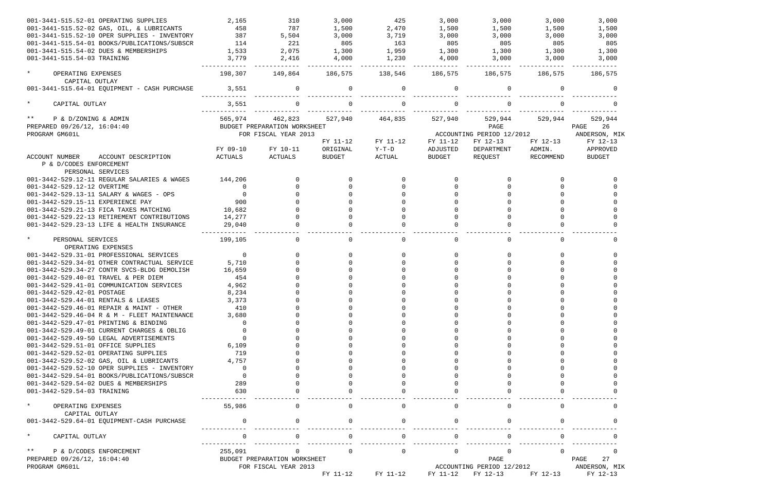| 001-3441-515.52-01 OPERATING SUPPLIES                            | 2,165          | 310                          | 3,000         | 425          | 3,000    | 3,000                     | 3,000     | 3,000         |
|------------------------------------------------------------------|----------------|------------------------------|---------------|--------------|----------|---------------------------|-----------|---------------|
| 001-3441-515.52-02 GAS, OIL, & LUBRICANTS                        | 458            | 787                          | 1,500         | 2,470        | 1,500    | 1,500                     | 1,500     | 1,500         |
| 001-3441-515.52-10 OPER SUPPLIES - INVENTORY                     | 387            | 5,504                        | 3,000         | 3,719        | 3,000    | 3,000                     | 3,000     | 3,000         |
| 001-3441-515.54-01 BOOKS/PUBLICATIONS/SUBSCR                     | 114            | 221                          | 805           | 163          | 805      | 805                       | 805       | 805           |
| 001-3441-515.54-02 DUES & MEMBERSHIPS                            | 1,533          | 2,075                        | 1,300         | 1,959        | 1,300    | 1,300                     | 1,300     | 1,300         |
| 001-3441-515.54-03 TRAINING                                      | 3,779          | 2,416                        | 4,000         | 1,230        | 4,000    | 3,000                     | 3,000     | 3,000         |
| $\star$<br>OPERATING EXPENSES                                    | 198,307        | 149,864                      | 186,575       | 138,546      | 186,575  | 186,575                   | 186,575   | 186,575       |
| CAPITAL OUTLAY<br>001-3441-515.64-01 EQUIPMENT - CASH PURCHASE   | 3,551          |                              | $\mathbf 0$   | $\mathbf 0$  | $\Omega$ | 0                         |           |               |
| $\star$<br>CAPITAL OUTLAY                                        | 3,551          |                              |               |              |          |                           |           |               |
| $***$<br>P & D/ZONING & ADMIN                                    | 565,974        | 462,823                      | 527,940       | 464,835      | 527,940  | 529,944                   | 529,944   | 529,944       |
| PREPARED 09/26/12, 16:04:40                                      |                | BUDGET PREPARATION WORKSHEET |               |              |          | PAGE                      |           | PAGE<br>26    |
| PROGRAM GM601L                                                   |                | FOR FISCAL YEAR 2013         |               |              |          | ACCOUNTING PERIOD 12/2012 |           | ANDERSON, MIK |
|                                                                  |                |                              | FY 11-12      | FY 11-12     | FY 11-12 | FY 12-13                  | FY 12-13  | FY 12-13      |
|                                                                  | FY 09-10       | FY 10-11                     | ORIGINAL      | $Y-T-D$      | ADJUSTED | DEPARTMENT                | ADMIN.    | APPROVED      |
| ACCOUNT DESCRIPTION<br>ACCOUNT NUMBER<br>P & D/CODES ENFORCEMENT | ACTUALS        | ACTUALS                      | <b>BUDGET</b> | ACTUAL       | BUDGET   | REQUEST                   | RECOMMEND | <b>BUDGET</b> |
| PERSONAL SERVICES                                                |                |                              |               |              |          |                           |           |               |
| 001-3442-529.12-11 REGULAR SALARIES & WAGES                      | 144,206        |                              |               |              | $\Omega$ |                           |           |               |
| 001-3442-529.12-12 OVERTIME                                      | $\overline{0}$ | $\Omega$                     |               | $\Omega$     |          |                           |           |               |
| 001-3442-529.13-11 SALARY & WAGES - OPS                          | $\overline{0}$ | $\Omega$                     |               |              |          |                           |           |               |
| 001-3442-529.15-11 EXPERIENCE PAY                                | 900            |                              |               |              |          |                           |           |               |
| 001-3442-529.21-13 FICA TAXES MATCHING                           | 10,682         |                              |               |              |          |                           |           |               |
| 001-3442-529.22-13 RETIREMENT CONTRIBUTIONS                      | 14,277         |                              |               |              |          |                           |           |               |
| 001-3442-529.23-13 LIFE & HEALTH INSURANCE                       | 29,040         |                              |               |              |          |                           |           |               |
| $\star$<br>PERSONAL SERVICES                                     | 199,105        | $\overline{0}$               | $\Omega$      | $\mathbf{0}$ |          | $\mathbf 0$               |           |               |
| OPERATING EXPENSES                                               |                |                              |               |              |          |                           |           |               |
| 001-3442-529.31-01 PROFESSIONAL SERVICES                         | $\overline{0}$ | $\overline{0}$               |               | $\Omega$     |          |                           |           |               |
| 001-3442-529.34-01 OTHER CONTRACTUAL SERVICE                     | 5,710          | $\Omega$                     |               | $\Omega$     |          |                           |           |               |
| 001-3442-529.34-27 CONTR SVCS-BLDG DEMOLISH                      | 16,659         |                              |               |              |          |                           |           |               |
| 001-3442-529.40-01 TRAVEL & PER DIEM                             | 454            |                              |               |              |          |                           |           |               |
| 001-3442-529.41-01 COMMUNICATION SERVICES                        | 4,962          |                              |               |              |          |                           |           |               |
| 001-3442-529.42-01 POSTAGE                                       | 8,234          |                              |               |              |          |                           |           |               |
| 001-3442-529.44-01 RENTALS & LEASES                              | 3,373          |                              |               |              |          |                           |           |               |
| 001-3442-529.46-01 REPAIR & MAINT - OTHER                        | 410            |                              |               |              |          |                           |           |               |
| 001-3442-529.46-04 R & M - FLEET MAINTENANCE                     | 3,680          |                              |               |              |          |                           |           |               |
| 001-3442-529.47-01 PRINTING & BINDING                            |                |                              |               |              |          |                           |           |               |
|                                                                  |                |                              |               |              |          |                           |           |               |
| 001-3442-529.49-01 CURRENT CHARGES & OBLIG                       |                |                              |               |              |          |                           |           |               |
| 001-3442-529.49-50 LEGAL ADVERTISEMENTS                          |                |                              |               |              |          |                           |           |               |
| 001-3442-529.51-01 OFFICE SUPPLIES                               | 6,109          |                              |               |              |          |                           |           |               |
| 001-3442-529.52-01 OPERATING SUPPLIES                            | 719            |                              |               |              |          |                           |           |               |
| 001-3442-529.52-02 GAS, OIL & LUBRICANTS                         | 4,757          |                              |               |              |          |                           |           |               |
| 001-3442-529.52-10 OPER SUPPLIES - INVENTORY                     |                |                              |               |              |          |                           |           |               |
| 001-3442-529.54-01 BOOKS/PUBLICATIONS/SUBSCR                     |                |                              |               |              |          |                           |           |               |
| 001-3442-529.54-02 DUES & MEMBERSHIPS                            | 289            |                              |               |              |          |                           |           |               |
| 001-3442-529.54-03 TRAINING                                      | 630            |                              |               |              |          |                           |           |               |
| $\star$<br>OPERATING EXPENSES                                    | 55,986         |                              |               | 0            |          | $\Omega$                  |           |               |
| CAPITAL OUTLAY                                                   |                |                              |               |              |          |                           |           |               |
| 001-3442-529.64-01 EQUIPMENT-CASH PURCHASE                       |                |                              |               |              |          |                           |           |               |
| $\star$<br>CAPITAL OUTLAY                                        |                |                              | $\Omega$      | 0            |          | $\Omega$                  |           |               |
| $***$<br>P & D/CODES ENFORCEMENT                                 | 255,091        | 0                            | $\Omega$      | $\Omega$     | $\Omega$ |                           |           |               |
| PREPARED 09/26/12, 16:04:40                                      |                | BUDGET PREPARATION WORKSHEET |               |              |          | PAGE                      |           | PAGE<br>27    |
| PROGRAM GM601L                                                   |                | FOR FISCAL YEAR 2013         |               |              |          | ACCOUNTING PERIOD 12/2012 |           | ANDERSON, MIK |
|                                                                  |                |                              | FY 11-12      | FY 11-12     | FY 11-12 | FY 12-13                  | FY 12-13  | FY 12-13      |

|                   | 186,575                                          | 1,500<br>3,000<br>1,300<br>3,000 | 3,000<br>805 | 0                                                                                                                                                                                                                                                  |
|-------------------|--------------------------------------------------|----------------------------------|--------------|----------------------------------------------------------------------------------------------------------------------------------------------------------------------------------------------------------------------------------------------------|
|                   |                                                  |                                  |              | 0                                                                                                                                                                                                                                                  |
| PAGE<br>ANDERSON, | 529,944<br>FY 12-13<br>APPROVED<br><b>BUDGET</b> |                                  | 26           | MIK                                                                                                                                                                                                                                                |
|                   |                                                  |                                  |              | 0<br>0<br>0<br>0<br>0<br>0<br>0<br>$\overline{a}$                                                                                                                                                                                                  |
|                   |                                                  |                                  |              | 0                                                                                                                                                                                                                                                  |
|                   |                                                  |                                  |              | 0<br>0<br>0<br>0<br>0<br>$\mathbf{0}$<br>$\mathbf{0}$<br>$\overline{0}$<br>$\overline{0}$<br>$\circ$<br>$\circ$<br>$\overline{0}$<br>$\overline{0}$<br>$\overline{0}$<br>$\overline{0}$<br>$\overline{0}$<br>$\overline{0}$<br>$\overline{0}$<br>0 |
|                   |                                                  |                                  |              | 0                                                                                                                                                                                                                                                  |
|                   |                                                  |                                  |              | 0                                                                                                                                                                                                                                                  |
|                   |                                                  |                                  |              | 0                                                                                                                                                                                                                                                  |
| PAGE              |                                                  |                                  | 27           | 0                                                                                                                                                                                                                                                  |
| ANDERSON,         | FY 12-13                                         |                                  |              | MIK                                                                                                                                                                                                                                                |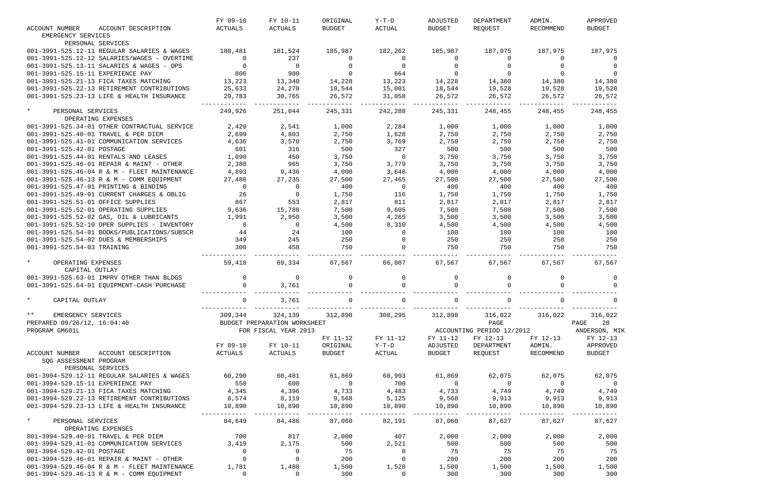|                                              | FY 09-10       | FY 10-11                     | ORIGINAL       | Y-T-D          | ADJUSTED       | DEPARTMENT                | ADMIN.         | APPROVED                 |
|----------------------------------------------|----------------|------------------------------|----------------|----------------|----------------|---------------------------|----------------|--------------------------|
| <b>ACCOUNT NUMBER</b><br>ACCOUNT DESCRIPTION | ACTUALS        | ACTUALS                      | <b>BUDGET</b>  | ACTUAL         | BUDGET         | REQUEST                   | RECOMMEND      | <b>BUDGET</b>            |
| EMERGENCY SERVICES                           |                |                              |                |                |                |                           |                |                          |
| PERSONAL SERVICES                            |                |                              |                |                |                |                           |                |                          |
| 001-3991-525.12-11 REGULAR SALARIES & WAGES  | 180,481        | 181,524                      | 185,987        | 182,262        | 185,987        | 187,975                   | 187,975        | 187,975                  |
| 001-3991-525.12-12 SALARIES/WAGES - OVERTIME | $\overline{0}$ | 237                          | $\Omega$       | 0              | 0              | $\Omega$                  |                |                          |
|                                              | $\Omega$       | $\overline{0}$               |                | $\Omega$       |                |                           |                |                          |
| 001-3991-525.13-11 SALARIES & WAGES - OPS    |                |                              |                |                |                |                           |                |                          |
| 001-3991-525.15-11 EXPERIENCE PAY            | 806            | 900                          |                | 664            |                |                           | $\Omega$       |                          |
| 001-3991-525.21-13 FICA TAXES MATCHING       | 13,223         | 13,340                       | 14,228         | 13,223         | 14,228         | 14,380                    | 14,380         | 14,380                   |
| 001-3991-525.22-13 RETIREMENT CONTRIBUTIONS  | 25,633         | 24,278                       | 18,544         | 15,081         | 18,544         | 19,528                    | 19,528         | 19,528                   |
| 001-3991-525.23-13 LIFE & HEALTH INSURANCE   | 29,783         | 30,765                       | 26,572         | 31,058         | 26,572         | 26,572                    | 26,572         | 26,572                   |
|                                              |                |                              |                |                |                |                           |                |                          |
| $\star$<br>PERSONAL SERVICES                 | 249,926        | 251,044                      | 245,331        | 242,288        | 245,331        | 248,455                   | 248,455        | 248,455                  |
| OPERATING EXPENSES                           |                |                              |                |                |                |                           |                |                          |
| 001-3991-525.34-01 OTHER CONTRACTUAL SERVICE | 2,420          | 2,541                        | 1,000          | 2,284          | 1,000          | 1,000                     | 1,000          | 1,000                    |
| 001-3991-525.40-01 TRAVEL & PER DIEM         | 2,699          | 4,803                        | 2,750          | 1,628          | 2,750          | 2,750                     | 2,750          | 2,750                    |
| 001-3991-525.41-01 COMMUNICATION SERVICES    | 4,636          | 3,570                        | 2,750          | 3,769          | 2,750          | 2,750                     | 2,750          | 2,750                    |
| 001-3991-525.42-01 POSTAGE                   | 601            | 316                          | 500            | 327            | 500            | 500                       | 500            | 500                      |
| 001-3991-525.44-01 RENTALS AND LEASES        | 1,090          | 450                          | 3,750          | $\overline{0}$ | 3,750          | 3,750                     | 3,750          | 3,750                    |
|                                              |                |                              |                |                |                |                           |                |                          |
| 001-3991-525.46-01 REPAIR & MAINT - OTHER    | 2,380          | 965                          | 3,750          | 3,779          | 3,750          | 3,750                     | 3,750          | 3,750                    |
| 001-3991-525.46-04 R & M - FLEET MAINTENANCE | 4,893          | 9,436                        | 4,000          | 3,648          | 4,000          | 4,000                     | 4,000          | 4,000                    |
| 001-3991-525.46-13 R & M - COMM EQUIPMENT    | 27,486         | 27,235                       | 27,500         | 27,465         | 27,500         | 27,500                    | 27,500         | 27,500                   |
| 001-3991-525.47-01 PRINTING & BINDING        | $\overline{0}$ | $\overline{0}$               | 400            | $\overline{0}$ | 400            | 400                       | 400            | 400                      |
| 001-3991-525.49-01 CURRENT CHARGES & OBLIG   | 26             | $\overline{0}$               | 1,750          | 116            | 1,750          | 1,750                     | 1,750          | 1,750                    |
| 001-3991-525.51-01 OFFICE SUPPLIES           | 867            | 553                          | 2,817          | 811            | 2,817          | 2,817                     | 2,817          | 2,817                    |
| 001-3991-525.52-01 OPERATING SUPPLIES        | 9,636          | 15,788                       | 7,500          | 9,605          | 7,500          | 7,500                     | 7,500          | 7,500                    |
| 001-3991-525.52-02 GAS, OIL & LUBRICANTS     | 1,991          | 2,950                        | 3,500          | 4,265          | 3,500          | 3,500                     | 3,500          | 3,500                    |
|                                              |                |                              |                |                |                |                           |                |                          |
| 001-3991-525.52-10 OPER SUPPLIES - INVENTORY | $\overline{0}$ | $\overline{0}$               | 4,500          | 8,310          | 4,500          | 4,500                     | 4,500          | 4,500                    |
| 001-3991-525.54-01 BOOKS/PUBLICATIONS/SUBSCR | 44             | 24                           | 100            | $\overline{0}$ | 100            | 100                       | 100            | 100                      |
| 001-3991-525.54-02 DUES & MEMBERSHIPS        | 349            | 245                          | 250            | $\overline{0}$ | 250            | 250                       | 250            | 250                      |
| 001-3991-525.54-03 TRAINING                  | 300            | 458                          | 750            | $\Omega$       | 750            | 750                       | 750            | 750                      |
|                                              |                |                              |                |                |                |                           |                |                          |
| $\star$<br>OPERATING EXPENSES                | 59,418         | 69,334                       | 67,567         | 66,007         | 67,567         | 67,567                    | 67,567         | 67,567                   |
| CAPITAL OUTLAY                               |                |                              |                |                |                |                           |                |                          |
| 001-3991-525.63-01 IMPRV OTHER THAN BLDGS    | $\mathbf{0}$   | $\overline{0}$               |                | $\overline{0}$ |                |                           | $\Omega$       | 0                        |
| 001-3991-525.64-01 EQUIPMENT-CASH PURCHASE   | $\Omega$       | 3,761                        |                |                |                | $\cap$                    |                |                          |
|                                              |                |                              |                |                |                |                           |                |                          |
| CAPITAL OUTLAY                               |                | 3,761                        |                |                |                |                           |                |                          |
|                                              |                |                              |                |                |                |                           |                |                          |
| $***$                                        |                |                              |                |                |                |                           | 316,022        |                          |
| EMERGENCY SERVICES                           | 309,344        | 324,139                      | 312,898        | 308,295        | 312,898        | 316,022                   |                | 316,022                  |
| PREPARED 09/26/12, 16:04:40                  |                | BUDGET PREPARATION WORKSHEET |                |                |                | PAGE                      |                | PAGE 28                  |
| PROGRAM GM601L                               |                | FOR FISCAL YEAR 2013         |                |                |                | ACCOUNTING PERIOD 12/2012 |                | ANDERSON, MIK            |
|                                              |                |                              | FY 11-12       | FY 11-12       | FY 11-12       | FY 12-13                  | FY 12-13       | FY 12-13                 |
|                                              | FY 09-10       | FY 10-11                     | ORIGINAL       | $Y-T-D$        | ADJUSTED       | DEPARTMENT                | ADMIN.         | APPROVED                 |
| ACCOUNT NUMBER<br>ACCOUNT DESCRIPTION        | ACTUALS        | ACTUALS                      | BUDGET         | ACTUAL         | BUDGET         | REQUEST                   | RECOMMEND      | BUDGET                   |
| SQG ASSESSMENT PROGRAM                       |                |                              |                |                |                |                           |                |                          |
| PERSONAL SERVICES                            |                |                              |                |                |                |                           |                |                          |
| 001-3994-529.12-11 REGULAR SALARIES & WAGES  | 60,290         | 60,481                       | 61,869         | 60,993         | 61,869         | 62,075                    | 62,075         | 62,075                   |
|                                              |                |                              | $\overline{0}$ |                |                |                           |                |                          |
| 001-3994-529.15-11 EXPERIENCE PAY            | 550            | 600                          |                | 700            | $\overline{0}$ | $\overline{0}$            | $\overline{0}$ | $\overline{\phantom{0}}$ |
| 001-3994-529.21-13 FICA TAXES MATCHING       | 4,345          | 4,396                        | 4,733          | 4,483          | 4,733          | 4,749                     | 4,749          | 4,749                    |
| 001-3994-529.22-13 RETIREMENT CONTRIBUTIONS  | 8,574          | 8,119                        | 9,568          | 5,125          | 9,568          | 9,913                     | 9,913          | 9,913                    |
| 001-3994-529.23-13 LIFE & HEALTH INSURANCE   | 10,890         | 10,890                       | 10,890         | 10,890         | 10,890         | 10,890                    | 10,890         | 10,890                   |
|                                              |                |                              |                |                |                |                           |                |                          |
| $\star$<br>PERSONAL SERVICES                 | 84,649         | 84,486                       | 87,060         | 82,191         | 87,060         | 87,627                    | 87,627         | 87,627                   |
| OPERATING EXPENSES                           |                |                              |                |                |                |                           |                |                          |
| 001-3994-529.40-01 TRAVEL & PER DIEM         | 700            | 817                          | 2,000          | 407            | 2,000          | 2,000                     | 2,000          | 2,000                    |
| 001-3994-529.41-01 COMMUNICATION SERVICES    | 3,419          | 2,175                        | 500            | 2,521          | 500            | 500                       | 500            | 500                      |
| 001-3994-529.42-01 POSTAGE                   | $\mathbf 0$    | $\overline{0}$               | 75             | $\overline{0}$ | 75             | 75                        | 75             | 75                       |
|                                              | $\mathbf 0$    |                              | 200            |                | 200            | 200                       |                | 200                      |
| 001-3994-529.46-01 REPAIR & MAINT - OTHER    |                | $\overline{0}$               |                | $\overline{0}$ |                |                           | 200            |                          |
| 001-3994-529.46-04 R & M - FLEET MAINTENANCE | 1,781          | 1,480                        | 1,500          | 1,528          | 1,500          | 1,500                     | 1,500          | 1,500                    |
| 001-3994-529.46-13 R & M - COMM EQUIPMENT    | $\overline{0}$ | $\overline{0}$               | 300            | $\overline{0}$ | 300            | 300                       | 300            | 300                      |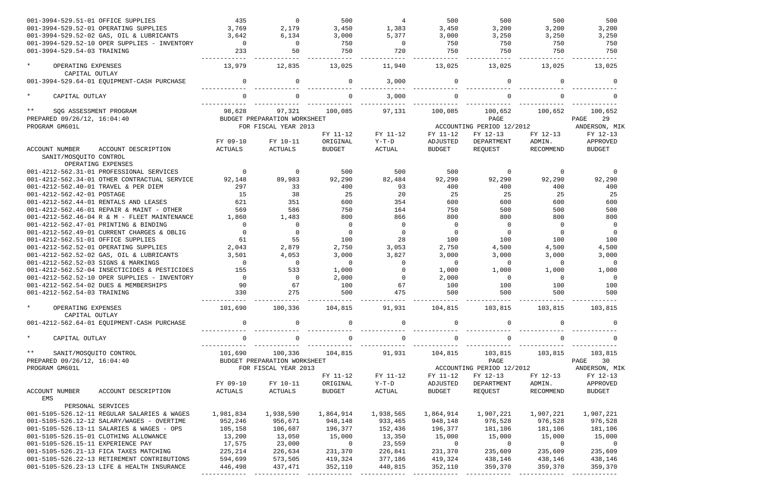| 001-3994-529.51-01 OFFICE SUPPLIES                           |                     | 435            | $\Omega$                     | 500            | $\overline{4}$ | 500            | 500                       | 500       | 500                      |
|--------------------------------------------------------------|---------------------|----------------|------------------------------|----------------|----------------|----------------|---------------------------|-----------|--------------------------|
| 001-3994-529.52-01 OPERATING SUPPLIES                        |                     | 3,769          | 2,179                        | 3,450          | 1,383          | 3,450          | 3,200                     | 3,200     | 3,200                    |
| 001-3994-529.52-02 GAS, OIL & LUBRICANTS                     |                     | 3,642          | 6,134                        | 3,000          | 5,377          | 3,000          | 3,250                     | 3,250     | 3,250                    |
| 001-3994-529.52-10 OPER SUPPLIES - INVENTORY                 |                     | $\mathbf 0$    | $\Omega$                     | 750            | $\overline{0}$ | 750            | 750                       | 750       | 750                      |
| 001-3994-529.54-03 TRAINING                                  |                     | 233            | 50                           | 750            | 720            | 750            | 750                       | 750       | 750                      |
| $\star$<br>OPERATING EXPENSES                                |                     | 13,979         | 12,835                       | 13,025         | 11,940         | 13,025         | 13,025                    | 13,025    | 13,025                   |
| CAPITAL OUTLAY<br>001-3994-529.64-01 EQUIPMENT-CASH PURCHASE |                     | $\Omega$       | ∩                            | $\mathbf 0$    | 3,000          | $\Omega$       | $\mathbf 0$               | 0         | $\Omega$                 |
| $\star$<br>CAPITAL OUTLAY                                    |                     | $\Omega$       |                              | $\Omega$       | 3,000          |                |                           |           |                          |
| $***$<br>SQG ASSESSMENT PROGRAM                              |                     | 98,628         | 97,321                       | 100,085        | 97,131         | 100,085        | 100,652                   | 100,652   | 100,652                  |
| PREPARED 09/26/12, 16:04:40                                  |                     |                | BUDGET PREPARATION WORKSHEET |                |                |                | PAGE                      |           | PAGE<br>29               |
| PROGRAM GM601L                                               |                     |                | FOR FISCAL YEAR 2013         |                |                |                | ACCOUNTING PERIOD 12/2012 |           | ANDERSON, MIK            |
|                                                              |                     |                |                              | FY 11-12       | FY 11-12       | FY 11-12       | FY 12-13                  | FY 12-13  | FY 12-13                 |
|                                                              |                     | FY 09-10       | FY 10-11                     | ORIGINAL       | $Y-T-D$        | ADJUSTED       | DEPARTMENT                | ADMIN.    | APPROVED                 |
| ACCOUNT NUMBER                                               | ACCOUNT DESCRIPTION | <b>ACTUALS</b> | ACTUALS                      | <b>BUDGET</b>  | ACTUAL         | <b>BUDGET</b>  | REQUEST                   | RECOMMEND | <b>BUDGET</b>            |
| SANIT/MOSQUITO CONTROL<br>OPERATING EXPENSES                 |                     |                |                              |                |                |                |                           |           |                          |
| 001-4212-562.31-01 PROFESSIONAL SERVICES                     |                     | $\Omega$       | 0                            | 500            | 500            | 500            | 0                         | 0         | 0                        |
| 001-4212-562.34-01 OTHER CONTRACTUAL SERVICE                 |                     | 92,148         | 89,983                       | 92,290         | 82,484         | 92,290         | 92,290                    | 92,290    | 92,290                   |
| 001-4212-562.40-01 TRAVEL & PER DIEM                         |                     | 297            | 33                           | 400            | 93             | 400            | 400                       | 400       | 400                      |
| 001-4212-562.42-01 POSTAGE                                   |                     | 15             | 38                           | 25             | 20             | 25             | 25                        | 25        | 25                       |
| 001-4212-562.44-01 RENTALS AND LEASES                        |                     | 621            | 351                          | 600            | 354            | 600            | 600                       | 600       | 600                      |
| 001-4212-562.46-01 REPAIR & MAINT - OTHER                    |                     | 569            | 586                          | 750            | 164            | 750            | 500                       | 500       | 500                      |
| 001-4212-562.46-04 R & M - FLEET MAINTENANCE                 |                     | 1,860          | 1,483                        | 800            | 866            | 800            | 800                       | 800       | 800                      |
| 001-4212-562.47-01 PRINTING & BINDING                        |                     | $\Omega$       | $\Omega$                     | 0              | $\Omega$       | $\Omega$       | $\mathbf 0$               | $\Omega$  | $\overline{0}$           |
| 001-4212-562.49-01 CURRENT CHARGES & OBLIG                   |                     | $\Omega$       | $\Omega$                     | $\mathbf 0$    | $\Omega$       | $\Omega$       | $\mathbf 0$               | $\Omega$  | $\overline{0}$           |
| 001-4212-562.51-01 OFFICE SUPPLIES                           |                     | 61             | 55                           | 100            | 28             | 100            | 100                       | 100       | 100                      |
| 001-4212-562.52-01 OPERATING SUPPLIES                        |                     | 2,043          | 2,879                        | 2,750          | 3,053          | 2,750          | 4,500                     | 4,500     | 4,500                    |
| 001-4212-562.52-02 GAS, OIL & LUBRICANTS                     |                     | 3,501          | 4,053                        | 3,000          | 3,827          | 3,000          | 3,000                     | 3,000     | 3,000                    |
| 001-4212-562.52-03 SIGNS & MARKINGS                          |                     | $\Omega$       | $\Omega$                     | $\mathbf 0$    | $\Omega$       | $\Omega$       | $\overline{0}$            | $\Omega$  | $\Omega$                 |
| 001-4212-562.52-04 INSECTICIDES & PESTICIDES                 |                     | 155            | 533                          | 1,000          | $\Omega$       | 1,000          | 1,000                     | 1,000     | 1,000                    |
| 001-4212-562.52-10 OPER SUPPLIES - INVENTORY                 |                     | $\Omega$       | $\overline{0}$               | 2,000          | $\Omega$       | 2,000          | $\overline{0}$            | $\Omega$  | $\Omega$                 |
| 001-4212-562.54-02 DUES & MEMBERSHIPS                        |                     | 90             | 67                           | 100            | 67             | 100            | 100                       | 100       | 100                      |
| 001-4212-562.54-03 TRAINING                                  |                     | 330            | 275                          | 500            | 475            | 500            | 500                       | 500       | 500                      |
| $\star$<br>OPERATING EXPENSES<br>CAPITAL OUTLAY              |                     | 101,690        | 100,336 104,815              |                | 91,931         |                | 104,815 103,815           | 103,815   | 103,815                  |
| 001-4212-562.64-01 EQUIPMENT-CASH PURCHASE                   |                     | $\mathsf{O}$   | $\mathbf{0}$                 | 0              | $\mathsf{O}$   | $\overline{0}$ | $\mathsf{O}$              | 0         | $\overline{0}$           |
| $\star$<br>CAPITAL OUTLAY                                    |                     | 0              | 0                            | 0              | $\mathsf{O}$   | $\mathbf{0}$   | $\mathsf{O}$              | 0         |                          |
| $\star$ $\star$<br>SANIT/MOSQUITO CONTROL                    |                     | 101,690        | 100,336                      | 104,815        | 91,931         | 104,815        | 103,815                   | 103,815   | 103,815                  |
| PREPARED 09/26/12, 16:04:40                                  |                     |                | BUDGET PREPARATION WORKSHEET |                |                |                | PAGE                      |           | PAGE<br>30               |
| PROGRAM GM601L                                               |                     |                | FOR FISCAL YEAR 2013         |                |                |                | ACCOUNTING PERIOD 12/2012 |           | ANDERSON, MIK            |
|                                                              |                     |                |                              | FY 11-12       | FY 11-12       | FY 11-12       | FY 12-13                  | FY 12-13  | FY 12-13                 |
|                                                              |                     | FY 09-10       | FY 10-11                     | ORIGINAL       | Y-T-D          | ADJUSTED       | DEPARTMENT                | ADMIN.    | APPROVED                 |
| ACCOUNT NUMBER<br>EMS                                        | ACCOUNT DESCRIPTION | ACTUALS        | ACTUALS                      | <b>BUDGET</b>  | ACTUAL         | BUDGET         | REQUEST                   | RECOMMEND | <b>BUDGET</b>            |
| PERSONAL SERVICES                                            |                     |                |                              |                |                |                |                           |           |                          |
| 001-5105-526.12-11 REGULAR SALARIES & WAGES                  |                     | 1,981,834      | 1,938,590                    | 1,864,914      | 1,938,565      | 1,864,914      | 1,907,221                 | 1,907,221 | 1,907,221                |
| 001-5105-526.12-12 SALARY/WAGES - OVERTIME                   |                     | 952,246        | 956,671                      | 948,148        | 933,465        | 948,148        | 976,528                   | 976,528   | 976,528                  |
| 001-5105-526.13-11 SALARIES & WAGES - OPS                    |                     | 105,158        | 106,687                      | 196,377        | 152,436        | 196,377        | 181,106                   | 181,106   | 181,106                  |
| 001-5105-526.15-01 CLOTHING ALLOWANCE                        |                     | 13,200         | 13,050                       | 15,000         | 13,350         | 15,000         | 15,000                    | 15,000    | 15,000                   |
| 001-5105-526.15-11 EXPERIENCE PAY                            |                     | 17,575         | 23,000                       | $\overline{0}$ | 23,559         | $\overline{0}$ | $\overline{0}$            | $\sim$ 0  | $\overline{\phantom{0}}$ |
| 001-5105-526.21-13 FICA TAXES MATCHING                       |                     | 225,214        | 226,634                      | 231,370        | 226,841        | 231,370        | 235,609                   | 235,609   | 235,609                  |
| 001-5105-526.22-13 RETIREMENT CONTRIBUTIONS                  |                     | 594,699        | 573,505                      | 419,324        | 377,186        | 419,324        | 438,146                   | 438,146   | 438,146                  |
| 001-5105-526.23-13 LIFE & HEALTH INSURANCE                   |                     | 446,498        | 437,471                      | 352,110        | 440,815        | 352,110        | 359,370                   | 359,370   | 359,370                  |
|                                                              |                     |                |                              |                |                |                |                           |           |                          |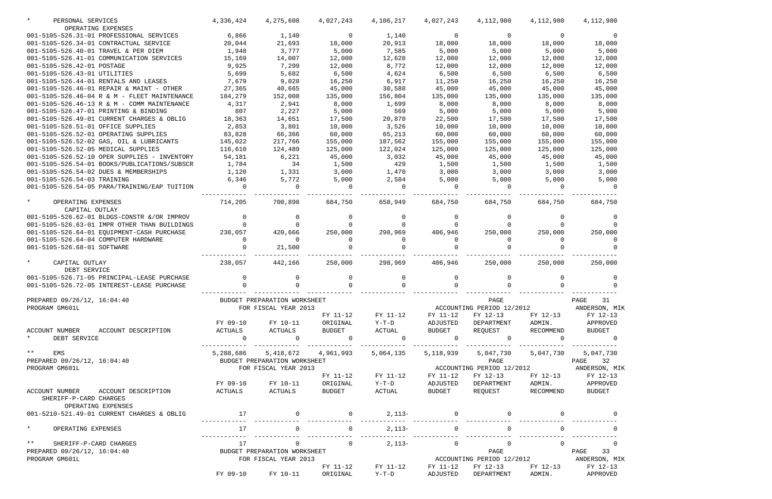| PERSONAL SERVICES                               | 4,336,424                    | 4,275,608                    | 4,027,243                     | 4,106,217                               | 4,027,243      | 4,112,980               | 4,112,980      | 4,112,980                               |
|-------------------------------------------------|------------------------------|------------------------------|-------------------------------|-----------------------------------------|----------------|-------------------------|----------------|-----------------------------------------|
| OPERATING EXPENSES                              |                              |                              |                               |                                         |                |                         |                |                                         |
| 001-5105-526.31-01 PROFESSIONAL SERVICES        | 6,866                        | 1,140                        | $\overline{0}$                | 1,140                                   | $\overline{0}$ | 0                       | 0              |                                         |
| 001-5105-526.34-01 CONTRACTUAL SERVICE          | 20,044                       | 21,693                       | 18,000                        | 20,913                                  | 18,000         | 18,000                  | 18,000         | 18,000                                  |
| 001-5105-526.40-01 TRAVEL & PER DIEM            | 1,948                        | 3,777                        | 5,000                         | 7,585                                   | 5,000          | 5,000                   | 5,000          | 5,000                                   |
| 001-5105-526.41-01 COMMUNICATION SERVICES       | 15,169                       | 14,007                       | 12,000                        | 12,628                                  | 12,000         | 12,000                  | 12,000         | 12,000                                  |
| 001-5105-526.42-01 POSTAGE                      | 9,925                        | 7,299                        | 12,000                        | 8,772                                   | 12,000         | 12,000                  | 12,000         | 12,000                                  |
| 001-5105-526.43-01 UTILITIES                    | 5,699                        | 5,682                        | 6,500                         | 4,624                                   | 6,500          | 6,500                   | 6,500          | 6,500                                   |
| 001-5105-526.44-01 RENTALS AND LEASES           | 7,679                        | 9,028                        | 16,250                        | 6,917                                   | 11,250         | 16,250                  | 16,250         | 16,250                                  |
| 001-5105-526.46-01 REPAIR & MAINT - OTHER       | 27,365                       | 40,665                       | 45,000                        | 30,588                                  | 45,000         | 45,000                  | 45,000         | 45,000                                  |
| 001-5105-526.46-04 R & M - FLEET MAINTENANCE    | 184,279                      | 152,008                      | 135,000                       | 156,804                                 | 135,000        | 135,000                 | 135,000        | 135,000                                 |
| 001-5105-526.46-13 R & M - COMM MAINTENANCE     | 4,317                        | 2,941                        | 8,000                         | 1,699                                   | 8,000          | 8,000                   | 8,000          | 8,000                                   |
| 001-5105-526.47-01 PRINTING & BINDING           | 807                          | 2,227                        | 5,000                         | 569                                     | 5,000          | 5,000                   | 5,000          | 5,000                                   |
| 001-5105-526.49-01 CURRENT CHARGES & OBLIG      | 18,363                       | 14,651                       | 17,500                        | 20,870                                  | 22,500         | 17,500                  | 17,500         | 17,500                                  |
| 001-5105-526.51-01 OFFICE SUPPLIES              | 2,853                        | 3,801                        | 10,000                        | 3,526                                   | 10,000         | 10,000                  | 10,000         | 10,000                                  |
| 001-5105-526.52-01 OPERATING SUPPLIES           | 83,828                       | 66,366                       | 60,000                        | 65,213                                  | 60,000         | 60,000                  | 60,000         | 60,000                                  |
| 001-5105-526.52-02 GAS, OIL & LUBRICANTS        | 145,022                      | 217,766                      | 155,000                       | 187,562                                 | 155,000        | 155,000                 | 155,000        | 155,000                                 |
| 001-5105-526.52-05 MEDICAL SUPPLIES             | 116,610                      | 124,489                      | 125,000                       | 122,024                                 | 125,000        | 125,000                 | 125,000        | 125,000                                 |
| 001-5105-526.52-10 OPER SUPPLIES - INVENTORY    | 54,181                       | 6,221                        | 45,000                        | 3,032                                   | 45,000         | 45,000                  | 45,000         | 45,000                                  |
| 001-5105-526.54-01 BOOKS/PUBLICATIONS/SUBSCR    | 1,784                        | 34                           | 1,500                         | 429                                     | 1,500          | 1,500                   | 1,500          | 1,500                                   |
| 001-5105-526.54-02 DUES & MEMBERSHIPS           | 1,120                        | 1,331                        | 3,000                         | 1,470                                   | 3,000          | 3,000                   | 3,000          | 3,000                                   |
| 001-5105-526.54-03 TRAINING                     | 6,346                        | 5,772                        | 5,000                         | 2,584                                   | 5,000          | 5,000                   | 5,000          | 5,000                                   |
| 001-5105-526.54-05 PARA/TRAINING/EAP TUITION    |                              |                              | $\Omega$                      | $\Omega$                                |                | $\Omega$                | $\Omega$       |                                         |
|                                                 |                              |                              |                               |                                         |                |                         |                |                                         |
| $\star$<br>OPERATING EXPENSES<br>CAPITAL OUTLAY | 714,205                      | 700,898                      | 684,750                       | 658,949                                 | 684,750        | 684,750                 | 684,750        | 684,750                                 |
| 001-5105-526.62-01 BLDGS-CONSTR &/OR IMPROV     |                              |                              |                               | 0                                       |                |                         |                |                                         |
| 001-5105-526.63-01 IMPR OTHER THAN BUILDINGS    |                              |                              |                               | $\Omega$                                |                |                         |                |                                         |
| 001-5105-526.64-01 EQUIPMENT-CASH PURCHASE      | 238,057                      | 420,666                      | 250,000                       | 298,969                                 | 406,946        | 250,000                 | 250,000        | 250,000                                 |
| 001-5105-526.64-04 COMPUTER HARDWARE            |                              | $\Omega$                     |                               | 0                                       |                |                         |                |                                         |
| 001-5105-526.68-01 SOFTWARE                     |                              | 21,500                       |                               |                                         |                |                         |                |                                         |
|                                                 |                              |                              |                               |                                         |                |                         |                |                                         |
| $\star$<br>CAPITAL OUTLAY<br>DEBT SERVICE       | 238,057                      | 442,166                      | 250,000                       | 298,969                                 | 406,946        | 250,000                 | 250,000        | 250,000                                 |
| 001-5105-526.71-05 PRINCIPAL-LEASE PURCHASE     |                              |                              | 0                             | $\overline{0}$                          |                | 0                       |                |                                         |
| 001-5105-526.72-05 INTEREST-LEASE PURCHASE      |                              |                              |                               |                                         |                |                         |                |                                         |
|                                                 |                              |                              |                               |                                         |                |                         |                |                                         |
| PREPARED 09/26/12, 16:04:40                     |                              | BUDGET PREPARATION WORKSHEET |                               |                                         |                | PAGE                    |                | PAGE 31                                 |
| PROGRAM GM601L                                  |                              | FOR FISCAL YEAR 2013         |                               |                                         |                |                         |                | ACCOUNTING PERIOD 12/2012 ANDERSON, MIK |
|                                                 |                              |                              | FY 11-12                      | FY 11-12                                | FY 11-12       | FY 12-13                |                | FY 12-13 FY 12-13                       |
|                                                 | FY 09-10                     | FY 10-11                     | ORIGINAL                      | Y-T-D                                   | ADJUSTED       | DEPARTMENT              | ADMIN.         | APPROVED                                |
| ACCOUNT NUMBER<br>ACCOUNT DESCRIPTION           | ACTUALS                      | ACTUALS                      | BUDGET                        | ACTUAL                                  | BUDGET         | REQUEST                 | RECOMMEND      | BUDGET                                  |
| $\star$<br>DEBT SERVICE                         | $\Omega$                     | $\overline{0}$               | $\sim$ 0                      | $\sim$ 0                                | $\overline{0}$ | $\overline{a}$          | $\overline{0}$ | $\overline{0}$                          |
|                                                 |                              |                              |                               |                                         |                |                         | -------------  |                                         |
| $***$ EMS                                       |                              |                              | 5,288,686 5,418,672 4,961,993 | 5,064,135                               |                | 5, 118, 939 5, 047, 730 | 5,047,730      | 5,047,730                               |
| PREPARED 09/26/12, 16:04:40                     | BUDGET PREPARATION WORKSHEET |                              |                               |                                         |                | PAGE                    |                | PAGE 32                                 |
| PROGRAM GM601L                                  |                              | FOR FISCAL YEAR 2013         |                               |                                         |                |                         |                | ACCOUNTING PERIOD 12/2012 ANDERSON, MIK |
|                                                 |                              |                              | FY 11-12                      | FY 11-12                                | FY 11-12       | FY 12-13                |                | FY 12-13 FY 12-13                       |
|                                                 | FY 09-10                     | FY 10-11                     | ORIGINAL                      | $Y-T-D$                                 | ADJUSTED       | DEPARTMENT              | ADMIN.         | APPROVED                                |
| ACCOUNT NUMBER<br>ACCOUNT DESCRIPTION           | ACTUALS                      | ACTUALS                      | BUDGET                        | ACTUAL                                  | <b>BUDGET</b>  | REQUEST                 | RECOMMEND      | BUDGET                                  |
| SHERIFF-P-CARD CHARGES                          |                              |                              |                               |                                         |                |                         |                |                                         |
| OPERATING EXPENSES                              |                              |                              |                               |                                         |                |                         |                |                                         |
| 001-5210-521.49-01 CURRENT CHARGES & OBLIG      | 17                           | $\overline{0}$               | $\mathbf 0$                   | $2,113-$ 0                              |                |                         |                |                                         |
|                                                 |                              |                              |                               |                                         |                |                         |                |                                         |
| $\star$<br>OPERATING EXPENSES                   | 17                           | $\overline{0}$               | $\overline{0}$                | $2,113-$                                | $\Omega$       | $\mathbf 0$             | $\Omega$       |                                         |
|                                                 |                              |                              |                               |                                         |                |                         |                |                                         |
| ** SHERIFF-P-CARD CHARGES                       | 17                           | $\overline{0}$               | $\Omega$                      | $2,113-$                                | $\overline{0}$ | $\overline{0}$          | $\Omega$       | $\overline{0}$                          |
| PREPARED $09/26/12$ , $16:04:40$                | BUDGET PREPARATION WORKSHEET |                              |                               |                                         |                | PAGE                    |                | PAGE<br>33                              |
| PROGRAM GM601L                                  |                              | FOR FISCAL YEAR 2013         |                               | ACCOUNTING PERIOD 12/2012 ANDERSON, MIK |                |                         |                |                                         |
|                                                 |                              |                              | FY 11-12                      | FY 11-12                                | FY 11-12       |                         |                | FY 12-13 FY 12-13 FY 12-13              |
|                                                 | FY 09-10                     |                              | FY 10-11 ORIGINAL             | $Y-T-D$                                 | ADJUSTED       | DEPARTMENT              |                | ADMIN. APPROVED                         |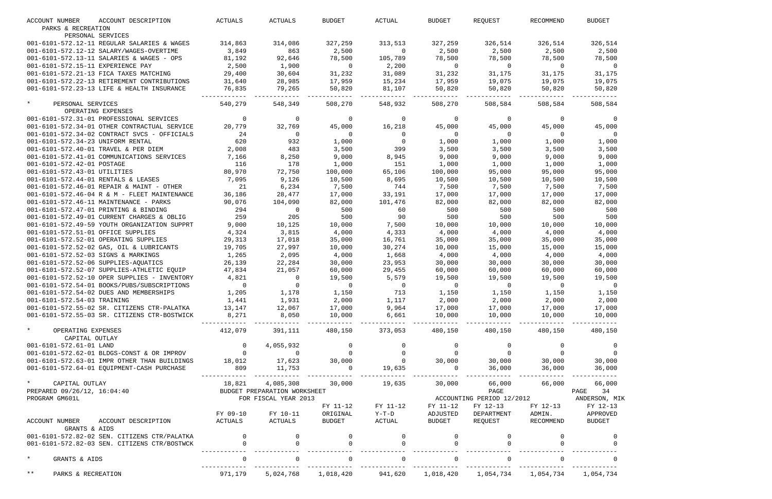| <b>ACCOUNT NUMBER</b>                        | ACCOUNT DESCRIPTION                                                                             | ACTUALS        | ACTUALS                                    | <b>BUDGET</b>            | ACTUAL                    | <b>BUDGET</b>  | REQUEST                                                             | RECOMMEND | <b>BUDGET</b>                           |
|----------------------------------------------|-------------------------------------------------------------------------------------------------|----------------|--------------------------------------------|--------------------------|---------------------------|----------------|---------------------------------------------------------------------|-----------|-----------------------------------------|
| PARKS & RECREATION                           |                                                                                                 |                |                                            |                          |                           |                |                                                                     |           |                                         |
| PERSONAL SERVICES                            |                                                                                                 |                |                                            |                          |                           |                |                                                                     |           |                                         |
| 001-6101-572.12-11 REGULAR SALARIES & WAGES  |                                                                                                 | 314,863        | 314,086                                    | 327,259                  | 313,513                   | 327,259        | 326,514                                                             | 326,514   | 326,514                                 |
| 001-6101-572.12-12 SALARY/WAGES-OVERTIME     |                                                                                                 | 3,849          | 863                                        | 2,500                    | $\overline{0}$            | 2,500          | 2,500                                                               | 2,500     | 2,500                                   |
| 001-6101-572.13-11 SALARIES & WAGES - OPS    |                                                                                                 | 81,192         | 92,646                                     | 78,500                   | 105,789                   | 78,500         | 78,500                                                              | 78,500    | 78,500                                  |
| 001-6101-572.15-11 EXPERIENCE PAY            |                                                                                                 | 2,500          | 1,900                                      | $\overline{0}$           | 2,200                     | $\overline{0}$ | $\overline{0}$                                                      | $\Omega$  | $\overline{0}$                          |
| 001-6101-572.21-13 FICA TAXES MATCHING       |                                                                                                 | 29,400         | 30,604                                     | 31,232                   | 31,089                    | 31,232         | 31,175                                                              | 31,175    | 31,175                                  |
| 001-6101-572.22-13 RETIREMENT CONTRIBUTIONS  |                                                                                                 | 31,640         | 28,985                                     | 17,959                   | 15,234                    | 17,959         | 19,075                                                              | 19,075    | 19,075                                  |
| 001-6101-572.23-13 LIFE & HEALTH INSURANCE   |                                                                                                 | 76,835         | 79,265                                     | 50,820                   | 81,107                    | 50,820         | 50,820                                                              | 50,820    | 50,820                                  |
| $\star$<br>PERSONAL SERVICES                 |                                                                                                 | 540,279        | 548,349                                    | 508,270                  | 548,932                   | 508,270        | 508,584                                                             | 508,584   | 508,584                                 |
| OPERATING EXPENSES                           |                                                                                                 |                |                                            |                          |                           |                |                                                                     |           |                                         |
| 001-6101-572.31-01 PROFESSIONAL SERVICES     |                                                                                                 | $\mathbf 0$    | 0                                          | 0                        | $\overline{0}$            | $\mathbf{0}$   | $\overline{0}$                                                      | $\Omega$  | 0                                       |
| 001-6101-572.34-01 OTHER CONTRACTUAL SERVICE |                                                                                                 | 20,779         | 32,769                                     | 45,000                   | 16,218                    | 45,000         | 45,000                                                              | 45,000    | 45,000                                  |
| 001-6101-572.34-02 CONTRACT SVCS - OFFICIALS |                                                                                                 | 24             | $\overline{0}$                             | $\overline{0}$           | $\overline{0}$            | $\overline{0}$ | $\mathbf{0}$                                                        | $\Omega$  | $\Omega$                                |
| 001-6101-572.34-23 UNIFORM RENTAL            |                                                                                                 | 620            | 932                                        | 1,000                    | $\overline{0}$            | 1,000          | 1,000                                                               | 1,000     | 1,000                                   |
| 001-6101-572.40-01 TRAVEL & PER DIEM         |                                                                                                 | 2,008          | 483                                        | 3,500                    | 399                       | 3,500          | 3,500                                                               | 3,500     | 3,500                                   |
| 001-6101-572.41-01 COMMUNICATIONS SERVICES   |                                                                                                 | 7,166          | 8,250                                      | 9,000                    | 8,945                     | 9,000          | 9,000                                                               | 9,000     | 9,000                                   |
| 001-6101-572.42-01 POSTAGE                   |                                                                                                 | 116            | 178                                        | 1,000                    | 151                       | 1,000          | 1,000                                                               | 1,000     | 1,000                                   |
| 001-6101-572.43-01 UTILITIES                 |                                                                                                 | 80,970         | 72,750                                     | 100,000                  | 65,106                    | 100,000        | 95,000                                                              | 95,000    | 95,000                                  |
| 001-6101-572.44-01 RENTALS & LEASES          |                                                                                                 | 7,095          | 9,126                                      | 10,500                   | 8,695                     | 10,500         | 10,500                                                              | 10,500    | 10,500                                  |
| 001-6101-572.46-01 REPAIR & MAINT - OTHER    |                                                                                                 | 21             | 6,234                                      | 7,500                    | 744                       | 7,500          | 7,500                                                               | 7,500     | 7,500                                   |
| 001-6101-572.46-04 R & M - FLEET MAINTENANCE |                                                                                                 | 36,186         | 28,477                                     | 17,000                   | 33,191                    | 17,000         | 17,000                                                              | 17,000    | 17,000                                  |
| 001-6101-572.46-11 MAINTENANCE - PARKS       |                                                                                                 | 90,076         | 104,090                                    | 82,000                   | 101,476                   | 82,000         | 82,000                                                              | 82,000    | 82,000                                  |
| 001-6101-572.47-01 PRINTING & BINDING        |                                                                                                 | 294            | $\overline{0}$                             | 500                      | 60                        | 500            | 500                                                                 | 500       | 500                                     |
| 001-6101-572.49-01 CURRENT CHARGES & OBLIG   |                                                                                                 | 259            | 205                                        | 500                      | 90                        | 500            | 500                                                                 | 500       | 500                                     |
| 001-6101-572.49-59 YOUTH ORGANIZATION SUPPRT |                                                                                                 | 9,000          | 10,125                                     | 10,000                   | 7,500                     | 10,000         | 10,000                                                              | 10,000    | 10,000                                  |
| 001-6101-572.51-01 OFFICE SUPPLIES           |                                                                                                 | 4,324          | 3,815                                      | 4,000                    | 4,333                     | 4,000          | 4,000                                                               | 4,000     | 4,000                                   |
| 001-6101-572.52-01 OPERATING SUPPLIES        |                                                                                                 | 29,313         | 17,018                                     | 35,000                   | 16,761                    | 35,000         | 35,000                                                              | 35,000    | 35,000                                  |
| 001-6101-572.52-02 GAS, OIL & LUBRICANTS     |                                                                                                 | 19,705         | 27,997                                     | 10,000                   | 30,274                    | 10,000         | 15,000                                                              | 15,000    | 15,000                                  |
| 001-6101-572.52-03 SIGNS & MARKINGS          |                                                                                                 | 1,265          | 2,095                                      | 4,000                    | 1,668                     | 4,000          | 4,000                                                               | 4,000     | 4,000                                   |
| 001-6101-572.52-06 SUPPLIES-AQUATICS         |                                                                                                 | 26,139         | 22,284                                     | 30,000                   | 23,953                    | 30,000         | 30,000                                                              | 30,000    | 30,000                                  |
| 001-6101-572.52-07 SUPPLIES-ATHLETIC EQUIP   |                                                                                                 | 47,834         | 21,057                                     | 60,000                   | 29,455                    | 60,000         | 60,000                                                              | 60,000    | 60,000                                  |
| 001-6101-572.52-10 OPER SUPPLIES - INVENTORY |                                                                                                 | 4,821          | 0                                          | 19,500                   | 5,579                     | 19,500         | 19,500                                                              | 19,500    | 19,500                                  |
| 001-6101-572.54-01 BOOKS/PUBS/SUBSCRIPTIONS  |                                                                                                 | $\mathbf 0$    | $\Omega$                                   | $\overline{0}$           | $\overline{0}$            | $\overline{0}$ | $\overline{0}$                                                      | $\Omega$  |                                         |
| 001-6101-572.54-02 DUES AND MEMBERSHIPS      |                                                                                                 | 1,205          | 1,178                                      | 1,150                    | 713                       | 1,150          | 1,150                                                               | 1,150     | 1,150                                   |
| 001-6101-572.54-03 TRAINING                  | 1,441                                                                                           |                | 1,931                                      | 2,000                    | 1,117                     | 2,000          | 2,000                                                               | 2,000     | 2,000                                   |
|                                              | 001-6101-572.55-02 SR. CITIZENS CTR-PALATKA 13,147                                              |                | 12,067                                     | 17,000                   | $9,964$ 17,000            |                | 17,000                                                              | 17,000    | 17,000                                  |
| 001-6101-572.55-03 SR. CITIZENS CTR-BOSTWICK |                                                                                                 | 8,271          | 8,050                                      | 10,000                   | $6,661$ $10,000$ $10,000$ |                |                                                                     | 10,000    | 10,000                                  |
| $\star$<br>OPERATING EXPENSES                |                                                                                                 |                | 412,079 391,111                            |                          | 480,150 373,053           | 480,150        | 480,150                                                             | 480,150   | 480,150                                 |
| CAPITAL OUTLAY                               |                                                                                                 |                |                                            |                          |                           |                |                                                                     |           |                                         |
|                                              | 0<br>001-6101-572.62-01 BLDGS-CONST & OR IMPROV<br>001-6101-572.63-01 IMPR OTHER THAN BUILDINGS |                | 4,055,932                                  | 0                        |                           |                |                                                                     |           |                                         |
|                                              |                                                                                                 |                | $\begin{array}{c} 0 \\ 17,623 \end{array}$ | $\overline{0}$<br>30,000 |                           |                |                                                                     |           |                                         |
|                                              |                                                                                                 |                |                                            |                          |                           |                |                                                                     |           |                                         |
| 001-6101-572.64-01 EQUIPMENT-CASH PURCHASE   |                                                                                                 | 809            | 11,753                                     | $\overline{a}$           |                           |                |                                                                     |           |                                         |
| * CAPITAL OUTLAY                             |                                                                                                 | 18,821         |                                            | 4,085,308 30,000         | 19,635                    |                | 30,000 66,000 66,000                                                |           | 66,000                                  |
| PREPARED 09/26/12, 16:04:40                  |                                                                                                 |                | BUDGET PREPARATION WORKSHEET               |                          |                           |                | PAGE                                                                |           | PAGE 34                                 |
| PROGRAM GM601L                               |                                                                                                 |                | FOR FISCAL YEAR 2013                       |                          |                           |                |                                                                     |           | ACCOUNTING PERIOD 12/2012 ANDERSON, MIK |
|                                              |                                                                                                 |                |                                            | FY 11-12                 | FY 11-12                  | FY 11-12       | FY 12-13                                                            | FY 12-13  | FY 12-13                                |
|                                              |                                                                                                 | FY 09-10       | FY 10-11                                   | ORIGINAL                 | $Y-T-D$                   | ADJUSTED       | DEPARTMENT                                                          | ADMIN.    | APPROVED                                |
| ACCOUNT NUMBER ACCOUNT DESCRIPTION           |                                                                                                 | ACTUALS        | <b>ACTUALS</b>                             | BUDGET                   | ACTUAL                    | BUDGET         | REQUEST                                                             | RECOMMEND | BUDGET                                  |
| GRANTS & AIDS                                | 001-6101-572.82-02 SEN. CITIZENS CTR/PALATKA                                                    | $\overline{0}$ |                                            |                          |                           |                |                                                                     |           |                                         |
| 001-6101-572.82-03 SEN. CITIZENS CTR/BOSTWCK |                                                                                                 |                |                                            |                          |                           |                |                                                                     |           |                                         |
|                                              |                                                                                                 |                |                                            |                          |                           |                |                                                                     |           |                                         |
| $\star$<br>GRANTS & AIDS                     |                                                                                                 | $\overline{0}$ | $\overline{0}$                             | $\Omega$                 | $\overline{0}$            |                | $\overline{0}$                                                      | $\Omega$  |                                         |
| $***$<br>PARKS & RECREATION                  |                                                                                                 | 971,179        |                                            |                          |                           |                | 5,024,768 1,018,420 941,620 1,018,420 1,054,734 1,054,734 1,054,734 |           |                                         |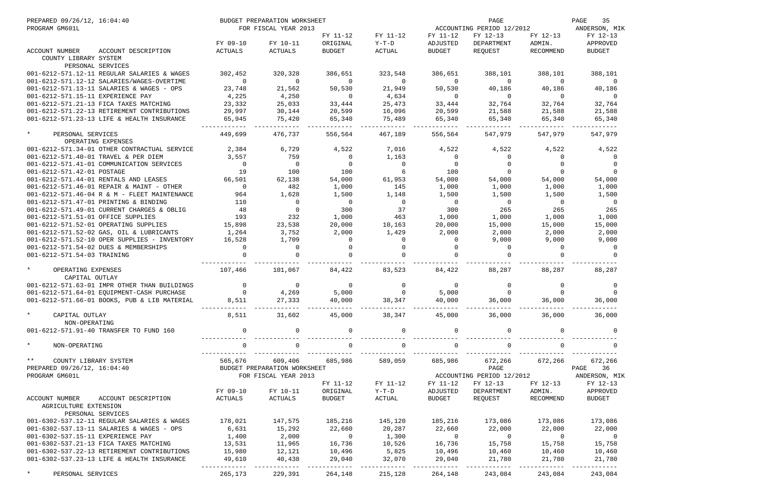| PREPARED 09/26/12, 16:04:40<br>PROGRAM GM601L   |                                              |                 | BUDGET PREPARATION WORKSHEET<br>FOR FISCAL YEAR 2013 |                      | ACCOUNTING PERIOD 12/2012 |                      | PAGE<br>35<br>ANDERSON, MIK |                                  |                                         |
|-------------------------------------------------|----------------------------------------------|-----------------|------------------------------------------------------|----------------------|---------------------------|----------------------|-----------------------------|----------------------------------|-----------------------------------------|
|                                                 |                                              | FY 09-10        | FY 10-11                                             | FY 11-12<br>ORIGINAL | FY 11-12<br>Y-T-D         | FY 11-12<br>ADJUSTED | FY 12-13<br>DEPARTMENT      | FY 12-13<br>ADMIN.               | FY 12-13<br>APPROVED                    |
| ACCOUNT NUMBER<br>COUNTY LIBRARY SYSTEM         | ACCOUNT DESCRIPTION                          | ACTUALS         | ACTUALS                                              | <b>BUDGET</b>        | ACTUAL                    | BUDGET               | REQUEST                     | RECOMMEND                        | <b>BUDGET</b>                           |
|                                                 | PERSONAL SERVICES                            |                 |                                                      |                      |                           |                      |                             |                                  |                                         |
|                                                 | 001-6212-571.12-11 REGULAR SALARIES & WAGES  | 302,452         | 320,328                                              | 386,651              | 323,548                   | 386,651              | 388,101                     | 388,101                          | 388,101                                 |
|                                                 | 001-6212-571.12-12 SALARIES/WAGES-OVERTIME   | $\Omega$        | $\Omega$                                             | $\overline{0}$       | $\Omega$                  | $\Omega$             | $\Omega$                    | $\Omega$                         | 0                                       |
| 001-6212-571.15-11 EXPERIENCE PAY               | 001-6212-571.13-11 SALARIES & WAGES - OPS    | 23,748<br>4,225 | 21,562<br>4,250                                      | 50,530<br>$\Omega$   | 21,949<br>4,634           | 50,530<br>$\Omega$   | 40,186<br>$\overline{0}$    | 40,186<br>$\Omega$               | 40,186<br>$\Omega$                      |
|                                                 | 001-6212-571.21-13 FICA TAXES MATCHING       | 23,332          | 25,033                                               | 33,444               | 25,473                    | 33,444               | 32,764                      | 32,764                           | 32,764                                  |
|                                                 | 001-6212-571.22-13 RETIREMENT CONTRIBUTIONS  | 29,997          | 30,144                                               | 20,599               | 16,096                    | 20,599               | 21,588                      | 21,588                           | 21,588                                  |
|                                                 | 001-6212-571.23-13 LIFE & HEALTH INSURANCE   | 65,945          | 75,420                                               | 65,340               | 75,489                    | 65,340               | 65,340                      | 65,340                           | 65,340                                  |
| $^\star$<br>PERSONAL SERVICES                   |                                              | 449,699         | 476,737                                              | 556,564              | 467,189                   | 556,564              | 547,979                     | 547,979                          | 547,979                                 |
|                                                 | OPERATING EXPENSES                           |                 |                                                      |                      |                           |                      |                             |                                  |                                         |
|                                                 | 001-6212-571.34-01 OTHER CONTRACTUAL SERVICE | 2,384           | 6,729                                                | 4,522                | 7,016                     | 4,522                | 4,522                       | 4,522                            | 4,522                                   |
|                                                 | 001-6212-571.40-01 TRAVEL & PER DIEM         | 3,557           | 759                                                  | $\Omega$             | 1,163                     | $\Omega$             | $\Omega$                    | $\Omega$                         |                                         |
|                                                 | 001-6212-571.41-01 COMMUNICATION SERVICES    | $\overline{0}$  | $\Omega$                                             | $\overline{0}$       | $\Omega$                  | $\Omega$             | $\Omega$                    | $\Omega$                         | $\Omega$                                |
| 001-6212-571.42-01 POSTAGE                      |                                              | 19              | 100                                                  | 100                  | 6                         | 100                  | $\Omega$                    | $\Omega$                         |                                         |
|                                                 | 001-6212-571.44-01 RENTALS AND LEASES        | 66,501          | 62,138                                               | 54,000               | 61,953                    | 54,000               | 54,000                      | 54,000                           | 54,000                                  |
|                                                 | 001-6212-571.46-01 REPAIR & MAINT - OTHER    | $\Omega$        | 482                                                  | 1,000                | 145                       | 1,000                | 1,000                       | 1,000                            | 1,000                                   |
|                                                 | 001-6212-571.46-04 R & M - FLEET MAINTENANCE | 964             | 1,628                                                | 1,500                | 1,148                     | 1,500                | 1,500                       | 1,500                            | 1,500                                   |
|                                                 | 001-6212-571.47-01 PRINTING & BINDING        | 110             | $\mathbf{0}$                                         | $\overline{0}$       | $\overline{0}$            | $\overline{0}$       | $\overline{0}$              | $\Omega$                         | - 0                                     |
|                                                 | 001-6212-571.49-01 CURRENT CHARGES & OBLIG   | 48              | $\mathbf 0$                                          | 300                  | 37                        | 300                  | 265                         | 265                              | 265                                     |
| 001-6212-571.51-01 OFFICE SUPPLIES              |                                              | 193             | 232                                                  | 1,000                | 463                       | 1,000                | 1,000                       | 1,000                            | 1,000                                   |
|                                                 | 001-6212-571.52-01 OPERATING SUPPLIES        | 15,898          | 23,538                                               | 20,000               | 10,163                    | 20,000               | 15,000                      | 15,000                           | 15,000                                  |
|                                                 | 001-6212-571.52-02 GAS, OIL & LUBRICANTS     | 1,264           | 3,752                                                | 2,000                | 1,429                     | 2,000                | 2,000                       | 2,000                            | 2,000                                   |
|                                                 | 001-6212-571.52-10 OPER SUPPLIES - INVENTORY | 16,528          | 1,709                                                | $\Omega$             | $\Omega$                  | $\Omega$             | 9,000                       | 9,000                            | 9,000                                   |
|                                                 | 001-6212-571.54-02 DUES & MEMBERSHIPS        | $\Omega$        | 0                                                    | $\Omega$             | $\Omega$                  | $\Omega$             | $\Omega$                    | $\Omega$                         | 0                                       |
| 001-6212-571.54-03 TRAINING                     |                                              |                 | $\Omega$                                             | $\cap$               |                           |                      | $\Omega$                    | <sup>0</sup>                     |                                         |
| $\star$<br>OPERATING EXPENSES<br>CAPITAL OUTLAY |                                              | 107,466         | 101,067                                              | 84,422               | 83,523                    | 84,422               | 88,287                      | 88,287                           | 88,287                                  |
|                                                 | 001-6212-571.63-01 IMPR OTHER THAN BUILDINGS | $\Omega$        | 0                                                    | $\Omega$             | $\Omega$                  | $\Omega$             | $\Omega$                    | 0                                | 0                                       |
|                                                 | 001-6212-571.64-01 EQUIPMENT-CASH PURCHASE   | $\Omega$        | 4,269                                                | 5,000                | $\Omega$                  | 5,000                |                             |                                  |                                         |
|                                                 | 001-6212-571.66-01 BOOKS, PUB & LIB MATERIAL | 8,511           | 27,333                                               | 40,000               | 38,347                    | 40,000               | 36,000                      | 36,000                           | 36,000                                  |
| $\star$<br>CAPITAL OUTLAY                       |                                              | 8,511           | 31,602                                               | 45,000               | 38,347 45,000             |                      | 36,000                      | 36,000                           | 36,000                                  |
| NON-OPERATING                                   | 001-6212-571.91-40 TRANSFER TO FUND 160      | $\overline{0}$  | $\mathbf{0}$                                         | $\mathbf 0$          | $\overline{0}$            | $\overline{0}$       | 0                           | $\Omega$                         |                                         |
| $\star$<br>NON-OPERATING                        |                                              | $\mathbf 0$     | $\mathsf{O}$                                         | $\overline{0}$       | $\overline{0}$            | $\Omega$             | $\overline{0}$              | $\Omega$                         |                                         |
| $\star \star$<br>COUNTY LIBRARY SYSTEM          |                                              | 565,676         | 609,406                                              | 685,986              | 589,059                   | 685,986              | __________________________  | 672,266 672,266                  | 672,266                                 |
| PREPARED 09/26/12, 16:04:40                     |                                              |                 | BUDGET PREPARATION WORKSHEET                         |                      |                           |                      | PAGE                        |                                  | PAGE 36                                 |
| PROGRAM GM601L                                  |                                              |                 | FOR FISCAL YEAR 2013                                 |                      |                           |                      |                             |                                  | ACCOUNTING PERIOD 12/2012 ANDERSON, MIK |
|                                                 |                                              |                 |                                                      | FY 11-12             | FY 11-12                  | FY 11-12             | FY 12-13                    | FY 12-13                         | FY 12-13                                |
|                                                 |                                              | FY 09-10        | FY 10-11                                             | ORIGINAL             | $Y-T-D$                   | ADJUSTED             | DEPARTMENT                  | ADMIN.                           | APPROVED                                |
| ACCOUNT NUMBER                                  | ACCOUNT DESCRIPTION                          | ACTUALS         | ACTUALS                                              | <b>BUDGET</b>        | ACTUAL                    | BUDGET               | REQUEST                     | RECOMMEND                        | BUDGET                                  |
| AGRICULTURE EXTENSION                           | PERSONAL SERVICES                            |                 |                                                      |                      |                           |                      |                             |                                  |                                         |
|                                                 | 001-6302-537.12-11 REGULAR SALARIES & WAGES  | 178,021         | 147,575                                              | 185,216              | 145,120                   |                      | 185,216 173,086             | 173,086                          | 173,086                                 |
|                                                 | 001-6302-537.13-11 SALARIES & WAGES - OPS    | 6,631           | 15,292                                               | 22,660               | 20,287                    | 22,660               | 22,000                      | 22,000                           | 22,000                                  |
| 001-6302-537.15-11 EXPERIENCE PAY               |                                              | 1,400           | 2,000                                                | $\overline{0}$       | 1,300                     | $\overline{0}$       | $\overline{0}$              | $\overline{0}$                   | $\overline{0}$                          |
|                                                 | 001-6302-537.21-13 FICA TAXES MATCHING       | 13,531          | 11,965                                               | 16,736               | 10,526                    | 16,736               | 15,758                      | 15,758                           | 15,758                                  |
|                                                 | 001-6302-537.22-13 RETIREMENT CONTRIBUTIONS  | 15,980          | 12,121                                               | 10,496               | 5,825                     | 10,496               | 10,460                      | 10,460                           | 10,460                                  |
|                                                 | 001-6302-537.23-13 LIFE & HEALTH INSURANCE   | 49,610          | 40,438                                               | 29,040               | 32,070                    | 29,040               | 21,780                      | 21,780                           | 21,780                                  |
| PERSONAL SERVICES                               |                                              | 265,173         | 229,391                                              | 264,148              | 215,128                   | ---------<br>264,148 | 243,084                     | . _ _ _ _ _ _ _ _ _ _<br>243,084 | 243,084                                 |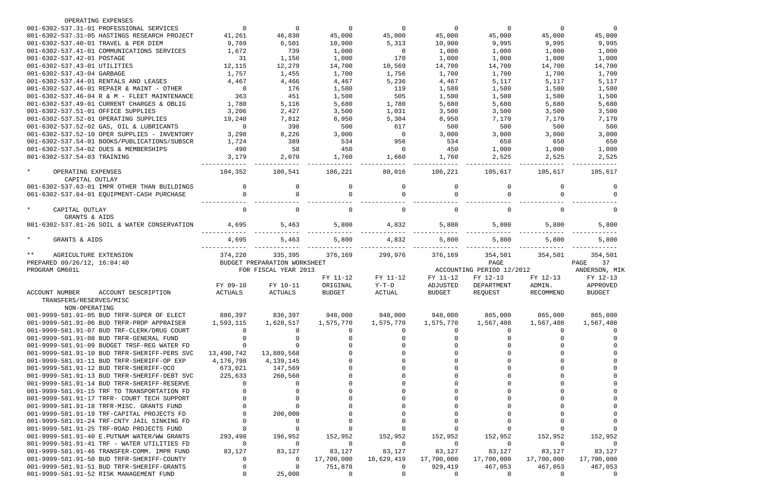| OPERATING EXPENSES                                                                    |                    |                              |                     |                              |                     |                           |                     |                     |
|---------------------------------------------------------------------------------------|--------------------|------------------------------|---------------------|------------------------------|---------------------|---------------------------|---------------------|---------------------|
| 001-6302-537.31-01 PROFESSIONAL SERVICES                                              | $\Omega$           | $\Omega$                     | $\Omega$            | $\Omega$                     | $\Omega$            | $\overline{0}$            | $\Omega$            | $\Omega$            |
| 001-6302-537.31-05 HASTINGS RESEARCH PROJECT                                          | 41,261             | 46,830                       | 45,000              | 45,000                       | 45,000              | 45,000                    | 45,000              | 45,000              |
| 001-6302-537.40-01 TRAVEL & PER DIEM                                                  | 9,769              | 6,501                        | 10,900              | 5,313                        | 10,900              | 9,995                     | 9,995               | 9,995               |
| 001-6302-537.41-01 COMMUNICATIONS SERVICES                                            | 1,672              | 739                          | 1,000               | $\overline{0}$               | 1,000               | 1,000                     | 1,000               | 1,000               |
| 001-6302-537.42-01 POSTAGE                                                            | 31                 | 1,156                        | 1,000               | 170                          | 1,000               | 1,000                     | 1,000               | 1,000               |
| 001-6302-537.43-01 UTILITIES                                                          | 12,115             | 12,279                       | 14,700              | 10,569                       | 14,700              | 14,700                    | 14,700              | 14,700              |
| 001-6302-537.43-04 GARBAGE                                                            | 1,757              | 1,455                        | 1,700               | 1,756                        | 1,700               | 1,700                     | 1,700               | 1,700               |
| 001-6302-537.44-01 RENTALS AND LEASES                                                 | 4,467              | 4,466                        | 4,467               | 5,236                        | 4,467               | 5,117                     | 5,117               | 5,117               |
| 001-6302-537.46-01 REPAIR & MAINT - OTHER                                             | $\overline{0}$     | 176                          | 1,580               | 119                          | 1,580               | 1,580                     | 1,580               | 1,580               |
| 001-6302-537.46-04 R & M - FLEET MAINTENANCE                                          | 363                | 451                          | 1,500               | 505                          | 1,500               | 1,500                     | 1,500               | 1,500               |
| 001-6302-537.49-01 CURRENT CHARGES & OBLIG                                            | 1,780              | 5,116                        | 5,680               | 1,780                        | 5,680               | 5,680                     | 5,680               | 5,680               |
| 001-6302-537.51-01 OFFICE SUPPLIES                                                    | 3,206              | 2,427                        | 3,500               | 1,031                        | 3,500               | 3,500                     | 3,500               | 3,500               |
| 001-6302-537.52-01 OPERATING SUPPLIES                                                 | 19,240             | 7,812                        | 8,950               | 5,304                        | 8,950               | 7,170                     | 7,170               | 7,170               |
| 001-6302-537.52-02 GAS, OIL & LUBRICANTS                                              | $\Omega$           | 398                          | 500                 | 617                          | 500                 | 500                       | 500                 | 500                 |
| 001-6302-537.52-10 OPER SUPPLIES - INVENTORY                                          | 3,298              | 8,226                        | 3,000               | $\Omega$                     | 3,000               | 3,000                     | 3,000               | 3,000               |
| 001-6302-537.54-01 BOOKS/PUBLICATIONS/SUBSCR                                          | 1,724              | 389                          | 534                 | 956                          | 534                 | 650                       | 650                 | 650                 |
| 001-6302-537.54-02 DUES & MEMBERSHIPS                                                 | 490                | 50                           | 450                 | $\Omega$                     | 450                 | 1,000                     | 1,000               | 1,000               |
| 001-6302-537.54-03 TRAINING                                                           | 3,179              | 2,070                        | 1,760               | 1,660                        | 1,760               | 2,525                     | 2,525               | 2,525               |
|                                                                                       |                    |                              |                     |                              |                     |                           |                     |                     |
| $\star$<br>OPERATING EXPENSES                                                         | 104,352            | 100,541                      | 106,221             | 80,016                       | 106,221             | 105,617                   | 105,617             | 105,617             |
| CAPITAL OUTLAY                                                                        |                    |                              |                     |                              |                     |                           |                     |                     |
| 001-6302-537.63-01 IMPR OTHER THAN BUILDINGS                                          | $\Omega$           | $\Omega$                     | $\Omega$            | $\Omega$                     | $\Omega$            | $\Omega$                  | <sup>n</sup>        | $\Omega$            |
| 001-6302-537.64-01 EQUIPMENT-CASH PURCHASE                                            |                    | 0                            |                     | 0                            |                     | $\Omega$                  |                     |                     |
| $\star$<br>CAPITAL OUTLAY<br>GRANTS & AIDS                                            | $\Omega$           | 0                            | $\Omega$            | 0                            | <sup>0</sup>        | $\Omega$                  | <sup>n</sup>        | $\Omega$            |
| 001-6302-537.81-26 SOIL & WATER CONSERVATION                                          | 4,695              | 5,463                        | 5,800               | 4,832                        | 5,800               | 5,800                     | 5,800               | 5,800               |
| $\star$<br>GRANTS & AIDS                                                              | 4,695              | 5,463                        | 5,800               | 4,832                        | 5,800               | 5,800                     | 5,800               | 5,800               |
| $***$<br>AGRICULTURE EXTENSION                                                        | 374,220            | 335,395                      | 376,169             | 299,976                      | 376,169             | 354,501                   | 354,501             | 354,501             |
| PREPARED 09/26/12, 16:04:40                                                           |                    | BUDGET PREPARATION WORKSHEET |                     |                              |                     | PAGE                      |                     | 37<br>PAGE          |
| PROGRAM GM601L                                                                        |                    | FOR FISCAL YEAR 2013         |                     |                              |                     | ACCOUNTING PERIOD 12/2012 |                     | ANDERSON, MIK       |
|                                                                                       |                    |                              | FY 11-12            | FY 11-12                     | FY 11-12            | FY 12-13                  | FY 12-13            | FY 12-13            |
|                                                                                       | FY 09-10           | FY 10-11                     | ORIGINAL            | $Y-T-D$                      | ADJUSTED            | DEPARTMENT                | ADMIN.              | APPROVED            |
| ACCOUNT DESCRIPTION<br><b>ACCOUNT NUMBER</b>                                          | <b>ACTUALS</b>     | ACTUALS                      | <b>BUDGET</b>       | ACTUAL                       | <b>BUDGET</b>       | REQUEST                   | RECOMMEND           | <b>BUDGET</b>       |
| TRANSFERS/RESERVES/MISC                                                               |                    |                              |                     |                              |                     |                           |                     |                     |
| NON-OPERATING                                                                         |                    |                              |                     |                              |                     |                           |                     |                     |
| 001-9999-581.91-05 BUD TRFR-SUPER OF ELECT                                            | 886,397            | 836,397                      | 948,000             | 948,000                      | 948,000             | 865,000                   | 865,000             | 865,000             |
| 001-9999-581.91-06 BUD TRFR-PROP APPRAISER                                            | 1,593,115          | 1,628,517                    | 1,575,770           | 1,575,770                    | 1,575,770           | 1,567,408                 | 1,567,408           | 1,567,408           |
| 001-9999-581.91-07 BUD TRF-CLERK/DRUG COURT                                           |                    |                              |                     | $\Omega$                     | $\Omega$            | $\left( \right)$          | $\left( \right)$    |                     |
| 001-9999-581.91-08 BUD TRFR-GENERAL FUND                                              |                    |                              |                     |                              | ∩                   |                           |                     |                     |
| 001-9999-581.91-09 BUDGET TRSF-REG WATER FD                                           |                    |                              |                     |                              |                     |                           |                     |                     |
| 001-9999-581.91-10 BUD TRFR-SHERIFF-PERS SVC                                          |                    |                              |                     |                              |                     |                           |                     |                     |
| 001-9999-581.91-11 BUD TRFR-SHERIFF-OP EXP                                            | 13,490,742         | 13,889,568                   |                     |                              |                     |                           |                     |                     |
|                                                                                       | 4,176,798          | 4,139,145                    |                     |                              |                     |                           |                     |                     |
| 001-9999-581.91-12 BUD TRFR-SHERIFF-OCO                                               | 673,021            | 147,569                      |                     |                              |                     |                           |                     |                     |
| 001-9999-581.91-13 BUD TRFR-SHERIFF-DEBT SVC                                          |                    | 260,560                      |                     |                              |                     |                           |                     |                     |
|                                                                                       | 225,633            |                              |                     |                              |                     |                           |                     |                     |
| 001-9999-581.91-14 BUD TRFR-SHERIFF-RESERVE                                           |                    |                              |                     |                              |                     |                           |                     |                     |
| 001-9999-581.91-15 TRF TO TRANSPORTATION FD                                           |                    |                              |                     |                              |                     |                           |                     |                     |
| 001-9999-581.91-17 TRFR- COURT TECH SUPPORT                                           |                    |                              |                     |                              |                     |                           |                     |                     |
| 001-9999-581.91-18 TRFR-MISC. GRANTS FUND                                             |                    |                              |                     |                              |                     |                           |                     |                     |
| 001-9999-581.91-19 TRF-CAPITAL PROJECTS FD                                            |                    | 200,000<br>0                 |                     |                              |                     |                           |                     |                     |
| 001-9999-581.91-24 TRF-CNTY JAIL SINKING FD                                           |                    |                              |                     |                              |                     |                           |                     |                     |
| 001-9999-581.91-25 TRF-ROAD PROJECTS FUND                                             |                    |                              |                     |                              |                     |                           |                     |                     |
| 001-9999-581.91-40 E.PUTNAM WATER/WW GRANTS                                           | 293,498<br>0       | 196,952<br>0                 | 152,952<br>0        | 152,952<br>$\overline{0}$    | 152,952<br>$\Omega$ | 152,952<br>$\Omega$       | 152,952<br>$\Omega$ | 152,952<br>-0       |
| 001-9999-581.91-41 TRF - WATER UTILITIES FD                                           |                    |                              |                     |                              |                     |                           |                     |                     |
| 001-9999-581.91-46 TRANSFER-COMM. IMPR FUND                                           | 83,127<br>$\Omega$ | 83,127                       | 83,127              | 83,127                       | 83,127              | 83,127                    | 83,127              | 83,127              |
| 001-9999-581.91-50 BUD TRFR-SHERIFF-COUNTY                                            |                    | 0<br>$\Omega$                | 17,700,000          | 18,629,419<br>$\overline{0}$ | 17,700,000          | 17,700,000                | 17,700,000          | 17,700,000          |
| 001-9999-581.91-51 BUD TRFR-SHERIFF-GRANTS<br>001-9999-581.91-52 RISK MANAGEMENT FUND |                    | 25,000                       | 751,878<br>$\Omega$ | $\Omega$                     | 929,419<br>$\Omega$ | 467,053<br>0              | 467,053<br>0        | 467,053<br>$\Omega$ |

|                       |                                 | 45,000<br>14,700             |    | 9,995<br>1,000<br>1,000<br>1,700<br>5,117<br>1,580<br>1,500<br>5,680<br>3,500<br>7,170<br>500<br>3,000 |      | 0                                                                                                                                                                                       |  |
|-----------------------|---------------------------------|------------------------------|----|--------------------------------------------------------------------------------------------------------|------|-----------------------------------------------------------------------------------------------------------------------------------------------------------------------------------------|--|
|                       |                                 | 105,617                      |    | 650<br>1,000<br>2,525                                                                                  | $-1$ |                                                                                                                                                                                         |  |
|                       |                                 |                              |    |                                                                                                        |      | 0<br>0<br>$\overline{0}$                                                                                                                                                                |  |
|                       |                                 |                              |    | 5,800<br>5,800<br>----                                                                                 |      |                                                                                                                                                                                         |  |
| PAGE<br>ANDERSON, MIP | FY<br>APPROVED<br><b>BUDGET</b> | 354,501<br>$12 - 13$         | 37 |                                                                                                        |      |                                                                                                                                                                                         |  |
|                       | 1,567,408                       | 865,000                      |    |                                                                                                        |      | 0<br>0<br>0<br>$\overline{0}$<br>$\overline{0}$<br>$\overline{0}$<br>$\overline{0}$<br>$\overline{0}$<br>$\overline{0}$<br>$\overline{0}$<br>0<br>$\overline{0}$<br>$\overline{0}$<br>0 |  |
|                       | 17,700,000                      | 152,952<br>83,127<br>467,053 |    |                                                                                                        |      | 0<br>0                                                                                                                                                                                  |  |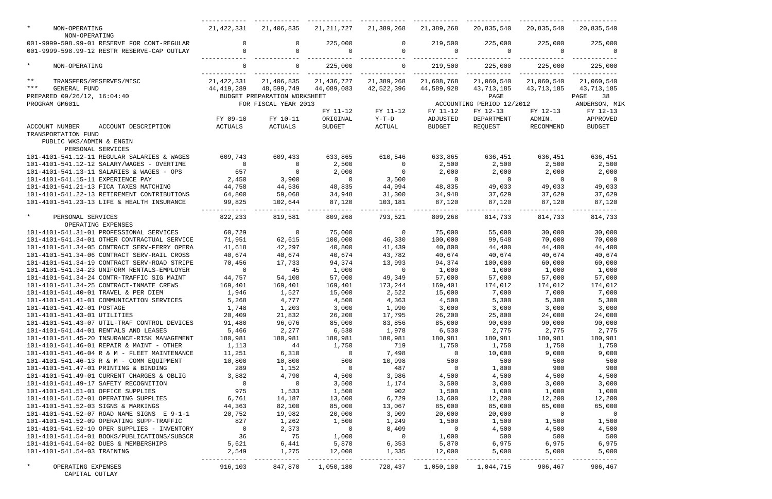| $\star$<br>NON-OPERATING                                                                   | 21,422,331              | 21,406,835                   | 21,211,727                | 21,389,268       | 21,389,268                | 20,835,540                                        | 20,835,540                | 20,835,540                |
|--------------------------------------------------------------------------------------------|-------------------------|------------------------------|---------------------------|------------------|---------------------------|---------------------------------------------------|---------------------------|---------------------------|
| NON-OPERATING                                                                              |                         |                              |                           |                  |                           |                                                   |                           |                           |
| 001-9999-598.99-01 RESERVE FOR CONT-REGULAR<br>001-9999-598.99-12 RESTR RESERVE-CAP OUTLAY | $\mathbf 0$<br>$\Omega$ | $\Omega$                     | 225,000<br>$\overline{0}$ | 0<br>$\Omega$    | 219,500<br>$\overline{0}$ | 225,000<br>$\overline{0}$                         | 225,000<br>$\overline{0}$ | 225,000<br>$\overline{0}$ |
| $\star$<br>NON-OPERATING                                                                   | $\mathbf 0$             | $\overline{0}$               | 225,000                   | $\circ$          | 219,500                   | 225,000                                           | 225,000                   | 225,000                   |
| $\star \star$<br>TRANSFERS/RESERVES/MISC                                                   | 21,422,331              | 21,406,835                   | 21,436,727                | 21,389,268       | 21,608,768                | 21,060,540                                        | 21,060,540                | 21,060,540                |
| $***$<br><b>GENERAL FUND</b>                                                               | 44,419,289              | 48,599,749                   | 44,089,083                | 42,522,396       | 44,589,928                | 43,713,185                                        | 43,713,185                | 43,713,185                |
| PREPARED 09/26/12, 16:04:40                                                                |                         | BUDGET PREPARATION WORKSHEET |                           |                  |                           | PAGE                                              |                           | PAGE 38                   |
| PROGRAM GM601L                                                                             |                         | FOR FISCAL YEAR 2013         |                           |                  |                           | ACCOUNTING PERIOD 12/2012                         |                           | ANDERSON, MIK             |
|                                                                                            |                         |                              | FY 11-12                  | FY 11-12         | FY 11-12                  | FY 12-13                                          | FY 12-13                  | FY 12-13                  |
|                                                                                            | FY 09-10                | FY 10-11                     | ORIGINAL                  | Y-T-D            | ADJUSTED                  | DEPARTMENT                                        | ADMIN.                    | APPROVED                  |
| ACCOUNT NUMBER<br>ACCOUNT DESCRIPTION                                                      | ACTUALS                 | ACTUALS                      | <b>BUDGET</b>             | ACTUAL           | BUDGET                    | REQUEST                                           | RECOMMEND                 | <b>BUDGET</b>             |
| TRANSPORTATION FUND                                                                        |                         |                              |                           |                  |                           |                                                   |                           |                           |
| PUBLIC WKS/ADMIN & ENGIN<br>PERSONAL SERVICES                                              |                         |                              |                           |                  |                           |                                                   |                           |                           |
| 101-4101-541.12-11 REGULAR SALARIES & WAGES                                                | 609,743                 | 609,433                      | 633,865                   | 610,546          | 633,865                   | 636,451                                           | 636,451                   | 636,451                   |
| 101-4101-541.12-12 SALARY/WAGES - OVERTIME                                                 | $\overline{0}$          | $\sim$ 0                     | 2,500                     | $\overline{0}$   | 2,500                     | 2,500                                             | 2,500                     | 2,500                     |
| 101-4101-541.13-11 SALARIES & WAGES - OPS                                                  | 657                     | $\overline{0}$               | 2,000                     | $\overline{0}$   | 2,000                     | 2,000                                             | 2,000                     | 2,000                     |
| 101-4101-541.15-11 EXPERIENCE PAY                                                          | 2,450                   | 3,900                        | $\overline{0}$            | 3,500            | $\overline{0}$            | $\overline{0}$                                    | $\overline{0}$            | $\overline{0}$            |
| 101-4101-541.21-13 FICA TAXES MATCHING                                                     | 44,758                  | 44,536                       | 48,835                    | 44,994           | 48,835                    | 49,033                                            | 49,033                    | 49,033                    |
| 101-4101-541.22-13 RETIREMENT CONTRIBUTIONS                                                | 64,800                  | 59,068                       | 34,948                    | 31,300           | 34,948                    | 37,629                                            | 37,629                    | 37,629                    |
| 101-4101-541.23-13 LIFE & HEALTH INSURANCE                                                 | 99,825                  | 102,644                      | 87,120                    | 103,181          | 87,120                    | 87,120                                            | 87,120                    | 87,120                    |
| $\star$<br>PERSONAL SERVICES                                                               | 822,233                 | 819,581                      | 809,268                   | 793,521          | 809,268                   | 814,733                                           | 814,733                   | 814,733                   |
| OPERATING EXPENSES                                                                         |                         |                              |                           |                  |                           |                                                   |                           |                           |
| 101-4101-541.31-01 PROFESSIONAL SERVICES                                                   | 60,729                  | $\overline{\phantom{0}}$     | 75,000                    | $\overline{0}$   | 75,000                    | 55,000                                            | 30,000                    | 30,000                    |
| 101-4101-541.34-01 OTHER CONTRACTUAL SERVICE                                               | 71,951                  | 62,615                       | 100,000                   | 46,330           | 100,000                   | 99,548                                            | 70,000                    | 70,000                    |
| 101-4101-541.34-05 CONTRACT SERV-FERRY OPERA                                               | 41,618                  | 42,297                       | 40,800                    | 41,439           | 40,800                    | 44,400                                            | 44,400                    | 44,400                    |
| 101-4101-541.34-06 CONTRACT SERV-RAIL CROSS                                                | 40,674                  | 40,674                       | 40,674                    | 43,782           | 40,674                    | 40,674                                            | 40,674                    | 40,674                    |
| 101-4101-541.34-19 CONTRACT SERV-ROAD STRIPE                                               | 70,456                  | 17,733                       | 94,374                    | 13,993           | 94,374                    | 100,000                                           | 60,000                    | 60,000                    |
| 101-4101-541.34-23 UNIFORM RENTALS-EMPLOYER                                                | $\overline{0}$          | 45                           | 1,000                     | $\overline{0}$   | 1,000                     | 1,000                                             | 1,000                     | 1,000                     |
| 101-4101-541.34-24 CONTR-TRAFFIC SIG MAINT                                                 | 44,757                  | 54,108                       | 57,000                    | 49,349           | 57,000                    | 57,000                                            | 57,000                    | 57,000                    |
| 101-4101-541.34-25 CONTRACT-INMATE CREWS                                                   | 169,401                 | 169,401                      | 169,401                   | 173,244          | 169,401                   | 174,012                                           | 174,012                   | 174,012                   |
| 101-4101-541.40-01 TRAVEL & PER DIEM                                                       | 1,946                   | 1,527                        | 15,000                    | 2,522            | 15,000                    | 7,000                                             | 7,000                     | 7,000                     |
| 101-4101-541.41-01 COMMUNICATION SERVICES                                                  | 5,268                   | 4,777                        | 4,500                     | 4,363            | 4,500                     | 5,300                                             | 5,300                     | 5,300                     |
| 101-4101-541.42-01 POSTAGE                                                                 | 1,748<br>20,409         | 1,203<br>21,832              | 3,000                     | 1,990            | 3,000                     | 3,000<br>25,800                                   | 3,000                     | 3,000                     |
| 101-4101-541.43-01 UTILITIES<br>101-4101-541.43-07 UTIL-TRAF CONTROL DEVICES               | 91,480                  | 96,076                       | 26,200<br>85,000          | 17,795<br>83,856 | 26,200<br>85,000          | 90,000                                            | 24,000<br>90,000          | 24,000<br>90,000          |
| 101-4101-541.44-01 RENTALS AND LEASES                                                      | 5,466                   | 2,277                        | 6,530                     | 1,978            | 6,530                     | 2,775                                             | 2,775                     | 2,775                     |
| 101-4101-541.45-20 INSURANCE-RISK MANAGEMENT                                               | 180,981                 | 180,981                      | 180,981                   | 180,981          | 180,981                   | 180,981                                           | 180,981                   | 180,981                   |
| 101-4101-541.46-01 REPAIR & MAINT - OTHER                                                  | 1,113                   | 44                           | 1,750                     | 719              | 1,750                     | 1,750                                             | 1,750                     | 1,750                     |
| 101-4101-541.46-04 R & M - FLEET MAINTENANCE                                               | 11,251                  | 6,310                        | $\overline{0}$            | 7,498            | $\overline{0}$            | 10,000                                            | 9,000                     | 9,000                     |
| 101-4101-541.46-13 R & M - COMM EQUIPMENT                                                  | 10,800                  | 10,800                       | 500                       | 10,998           | 500                       | 500                                               | 500                       | 500                       |
| 101-4101-541.47-01 PRINTING & BINDING                                                      | 289                     | 1,152                        | $\overline{0}$            | 487              | $\overline{0}$            | 1,800                                             | 900                       | 900                       |
| 101-4101-541.49-01 CURRENT CHARGES & OBLIG                                                 | 3,882                   | 4,790                        | 4,500                     | 3,986            | 4,500                     | 4,500                                             | 4,500                     | 4,500                     |
| 101-4101-541.49-17 SAFETY RECOGNITION                                                      | $\overline{0}$          | $\overline{0}$               | 3,500                     | 1,174            | 3,500                     | 3,000                                             | 3,000                     | 3,000                     |
| 101-4101-541.51-01 OFFICE SUPPLIES                                                         | 975                     | 1,533                        | 1,500                     | 902              | 1,500                     | 1,000                                             | 1,000                     | 1,000                     |
| 101-4101-541.52-01 OPERATING SUPPLIES                                                      | 6,761                   | 14,187                       | 13,600                    | 6,729            | 13,600                    | 12,200                                            | 12,200                    | 12,200                    |
| 101-4101-541.52-03 SIGNS & MARKINGS                                                        | 44,363                  | 82,100                       | 85,000                    | 13,067           | 85,000                    | 85,000                                            | 65,000                    | 65,000                    |
| 101-4101-541.52-07 ROAD NAME SIGNS E 9-1-1                                                 | 20,752                  | 19,982                       | 20,000                    | 3,909            | 20,000                    | 20,000                                            | $\overline{0}$            | $\overline{0}$            |
| 101-4101-541.52-09 OPERATING SUPP-TRAFFIC                                                  | 827                     | 1,262                        | 1,500                     | 1,249            | 1,500                     | 1,500                                             | 1,500                     | 1,500                     |
| 101-4101-541.52-10 OPER SUPPLIES - INVENTORY                                               | $\overline{0}$          | 2,373                        | $\overline{0}$            | 8,409            | $\overline{0}$            | 4,500                                             | 4,500                     | 4,500                     |
| 101-4101-541.54-01 BOOKS/PUBLICATIONS/SUBSCR                                               | 36                      | 75                           | 1,000                     | $\overline{0}$   | 1,000                     | 500                                               | 500                       | 500                       |
| 101-4101-541.54-02 DUES & MEMBERSHIPS                                                      | 5,621                   |                              | $6,441$ $5,870$           |                  | 6,353 5,870               | 6,975                                             | 6,975                     | 6,975                     |
| 101-4101-541.54-03 TRAINING                                                                | 2,549                   | 1,275                        | 12,000                    | 1,335            | 12,000                    | 5,000                                             | 5,000                     | 5,000                     |
| $\star$<br>OPERATING EXPENSES                                                              | 916,103                 |                              |                           |                  |                           | 847,870  1,050,180  728,437  1,050,180  1,044,715 | 906,467                   | 906,467                   |
| CAPITAL OUTLAY                                                                             |                         |                              |                           |                  |                           |                                                   |                           |                           |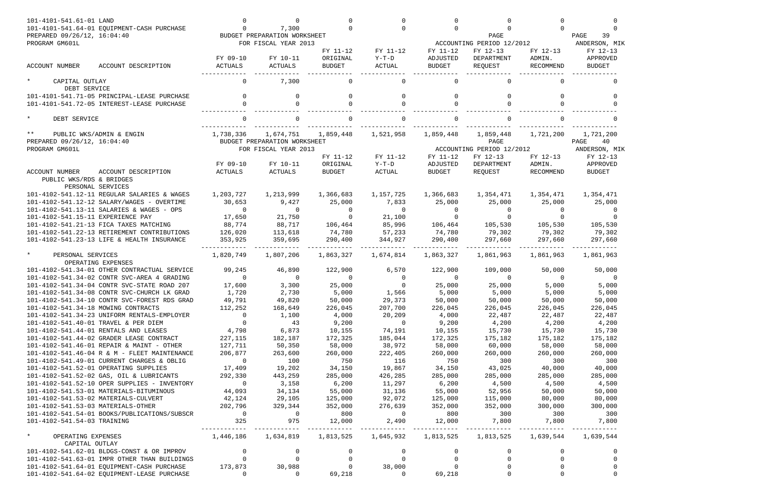| 101-4101-541.61-01 LAND                                                    | 101-4101-541.64-01 EQUIPMENT-CASH PURCHASE                                              | <sup>n</sup>                                  | U<br>7,300                   |                    | $\Omega$          | $\cap$             |                           |                    |                    |
|----------------------------------------------------------------------------|-----------------------------------------------------------------------------------------|-----------------------------------------------|------------------------------|--------------------|-------------------|--------------------|---------------------------|--------------------|--------------------|
| PREPARED 09/26/12, 16:04:40                                                |                                                                                         |                                               | BUDGET PREPARATION WORKSHEET |                    |                   |                    | PAGE                      |                    | PAGE<br>39         |
| PROGRAM GM601L                                                             |                                                                                         |                                               | FOR FISCAL YEAR 2013         |                    |                   |                    | ACCOUNTING PERIOD 12/2012 |                    | ANDERSON, MIK      |
|                                                                            |                                                                                         |                                               |                              | FY 11-12           | FY 11-12          | FY 11-12           | FY 12-13                  | FY 12-13           | FY 12-13           |
|                                                                            |                                                                                         | FY 09-10                                      | FY 10-11                     | ORIGINAL           | $Y-T-D$           | ADJUSTED           | DEPARTMENT                | ADMIN.             | APPROVED           |
| <b>ACCOUNT NUMBER</b>                                                      | ACCOUNT DESCRIPTION                                                                     | <b>ACTUALS</b>                                | ACTUALS                      | <b>BUDGET</b>      | ACTUAL            | <b>BUDGET</b>      | REQUEST                   | RECOMMEND          | <b>BUDGET</b>      |
| $\star$<br>CAPITAL OUTLAY<br>DEBT SERVICE                                  |                                                                                         |                                               | 7,300                        |                    |                   |                    |                           |                    |                    |
|                                                                            | 101-4101-541.71-05 PRINCIPAL-LEASE PURCHASE                                             | $\Omega$                                      | $\Omega$                     | $\cap$             | $\Omega$          | $\Omega$           | $\Omega$                  | $\Omega$           |                    |
|                                                                            | 101-4101-541.72-05 INTEREST-LEASE PURCHASE                                              |                                               | $\cap$                       |                    | $\Omega$          |                    | $\Omega$                  |                    |                    |
| $\star$<br>DEBT SERVICE                                                    |                                                                                         |                                               |                              |                    |                   |                    |                           |                    |                    |
| $***$                                                                      | PUBLIC WKS/ADMIN & ENGIN                                                                | 1,738,336                                     | 1,674,751                    | 1,859,448          | 1,521,958         | 1,859,448          | 1,859,448                 | 1,721,200          | 1,721,200          |
| PREPARED 09/26/12, 16:04:40                                                |                                                                                         |                                               | BUDGET PREPARATION WORKSHEET |                    |                   |                    | PAGE                      |                    | PAGE<br>40         |
| PROGRAM GM601L                                                             |                                                                                         |                                               | FOR FISCAL YEAR 2013         |                    |                   |                    | ACCOUNTING PERIOD 12/2012 |                    | ANDERSON, MIK      |
|                                                                            |                                                                                         |                                               |                              | FY 11-12           | FY 11-12          | FY 11-12           | FY 12-13                  | FY 12-13           | FY 12-13           |
|                                                                            |                                                                                         | FY 09-10                                      | FY 10-11                     | ORIGINAL           | $Y-T-D$           | ADJUSTED           | DEPARTMENT                | ADMIN.             | APPROVED           |
| <b>ACCOUNT NUMBER</b><br>PUBLIC WKS/RDS & BRIDGES                          | ACCOUNT DESCRIPTION                                                                     | <b>ACTUALS</b>                                | ACTUALS                      | <b>BUDGET</b>      | <b>ACTUAL</b>     | <b>BUDGET</b>      | REQUEST                   | RECOMMEND          | <b>BUDGET</b>      |
|                                                                            | PERSONAL SERVICES                                                                       |                                               |                              |                    |                   |                    |                           |                    |                    |
|                                                                            | 101-4102-541.12-11 REGULAR SALARIES & WAGES                                             | 1,203,727                                     | 1,213,999                    | 1,366,683          | 1,157,725         | 1,366,683          | 1,354,471                 | 1,354,471          | 1,354,471          |
|                                                                            | 101-4102-541.12-12 SALARY/WAGES - OVERTIME<br>101-4102-541.13-11 SALARIES & WAGES - OPS | 30,653<br>$\Omega$                            | 9,427<br>$\Omega$            | 25,000<br>$\Omega$ | 7,833<br>$\Omega$ | 25,000<br>$\Omega$ | 25,000<br>$\Omega$        | 25,000<br>$\Omega$ | 25,000<br>$\Omega$ |
| 101-4102-541.15-11 EXPERIENCE PAY                                          |                                                                                         | 17,650                                        | 21,750                       | $\cap$             | 21,100            | $\cap$             | $\Omega$                  | $\Omega$           |                    |
|                                                                            | 101-4102-541.21-13 FICA TAXES MATCHING                                                  | 88,774                                        | 88,717                       | 106,464            | 85,996            | 106,464            | 105,530                   | 105,530            | 105,530            |
|                                                                            | 101-4102-541.22-13 RETIREMENT CONTRIBUTIONS                                             | 126,020                                       | 113,618                      | 74,780             | 57,233            | 74,780             | 79,302                    | 79,302             | 79,302             |
|                                                                            | 101-4102-541.23-13 LIFE & HEALTH INSURANCE                                              | 353,925                                       | 359,695                      | 290,400            | 344,927           | 290,400            | 297,660                   | 297,660            | 297,660            |
|                                                                            |                                                                                         |                                               |                              |                    |                   |                    |                           |                    |                    |
| $\star$<br>PERSONAL SERVICES                                               | OPERATING EXPENSES                                                                      | 1,820,749                                     | 1,807,206                    | 1,863,327          | 1,674,814         | 1,863,327          | 1,861,963                 | 1,861,963          | 1,861,963          |
|                                                                            | 101-4102-541.34-01 OTHER CONTRACTUAL SERVICE                                            | 99,245                                        | 46,890                       | 122,900            | 6,570             | 122,900            | 109,000                   | 50,000             | 50,000             |
|                                                                            | 101-4102-541.34-02 CONTR SVC-AREA 4 GRADING                                             | $\Omega$                                      | $\Omega$                     | $\Omega$           | $\Omega$          | $\Omega$           | $\Omega$                  | $\Omega$           | 0                  |
|                                                                            | 101-4102-541.34-04 CONTR SVC-STATE ROAD 207                                             | 17,600                                        | 3,300                        | 25,000             | $\Omega$          | 25,000             | 25,000                    | 5,000              | 5,000              |
|                                                                            | 101-4102-541.34-08 CONTR SVC-CHURCH LK GRAD                                             | 1,720                                         | 2,730                        | 5,000              | 1,566             | 5,000              | 5,000                     | 5,000              | 5,000              |
|                                                                            | 101-4102-541.34-10 CONTR SVC-FOREST RDS GRAD                                            | 49,791                                        | 49,820                       | 50,000             | 29,373            | 50,000             | 50,000                    | 50,000             | 50,000             |
| 101-4102-541.34-18 MOWING CONTRACTS                                        |                                                                                         | 112,252 168,649                               |                              | 226,045            | 207,700           | 226,045            | 226,045                   | 226,045            | 226,045            |
|                                                                            | 101-4102-541.34-23 UNIFORM RENTALS-EMPLOYER                                             | $\overline{0}$                                | 1,100                        | 4,000              | 20,209            | 4,000              | 22,487                    | 22,487             | 22,487             |
|                                                                            | 101-4102-541.40-01 TRAVEL & PER DIEM                                                    | $\overline{0}$                                | 43                           | 9,200              | $\overline{0}$    | 9,200              | 4,200                     | 4,200              | 4,200              |
|                                                                            | 101-4102-541.44-01 RENTALS AND LEASES                                                   |                                               | 4,798 6,873                  | 10,155             | 74,191            | 10,155             | 15,730                    | 15,730             | 15,730             |
|                                                                            | 101-4102-541.44-02 GRADER LEASE CONTRACT                                                | 227,115                                       | 182,187                      | 172,325            | 185,044           | 172,325            | 175,182                   | 175,182            | 175,182            |
|                                                                            | 101-4102-541.46-01 REPAIR & MAINT - OTHER                                               | 127,711                                       | 50,350                       | 58,000             | 38,972            | 58,000             | 60,000                    | 58,000             | 58,000             |
|                                                                            | 101-4102-541.46-04 R & M - FLEET MAINTENANCE                                            | 206,877                                       | 263,600                      | 260,000            | 222,405           | 260,000            | 260,000                   | 260,000            | 260,000            |
|                                                                            | 101-4102-541.49-01 CURRENT CHARGES & OBLIG                                              | $\overline{0}$                                | 100                          | 750                | 116               | 750                | 300                       | 300                | 300                |
|                                                                            | 101-4102-541.52-01 OPERATING SUPPLIES                                                   | 17,409                                        | 19,202                       | 34,150             | 19,867            | 34,150             | 43,025                    | 40,000             | 40,000             |
|                                                                            | 101-4102-541.52-02 GAS, OIL & LUBRICANTS                                                | 292,330                                       | 443,259                      | 285,000            | 426,285           | 285,000            | 285,000                   | 285,000            | 285,000            |
|                                                                            | 101-4102-541.52-10 OPER SUPPLIES - INVENTORY                                            | $\overline{0}$                                | 3,158                        | 6,200              | 11,297            | 6,200              | 4,500                     | 4,500              | 4,500              |
|                                                                            | 101-4102-541.53-01 MATERIALS-BITUMINOUS                                                 | 44,093                                        | 34,134                       | 55,000             | 31,136            | 55,000             | 52,956                    | 50,000             | 50,000             |
| 101-4102-541.53-02 MATERIALS-CULVERT<br>101-4102-541.53-03 MATERIALS-OTHER |                                                                                         | 42,124<br>202,796                             | 29,105<br>329,344            | 125,000<br>352,000 | 92,072<br>276,639 | 125,000<br>352,000 | 115,000<br>352,000        | 80,000<br>300,000  | 80,000<br>300,000  |
|                                                                            | 101-4102-541.54-01 BOOKS/PUBLICATIONS/SUBSCR                                            | $\overline{0}$                                | $\sim$ 0                     | 800                | $\sim$ 0          | 800                | 300                       | 300                | 300                |
| 101-4102-541.54-03 TRAINING                                                |                                                                                         | 325                                           | 975                          | 12,000             |                   |                    | 2,490 12,000 7,800 7,800  |                    | 7,800              |
|                                                                            |                                                                                         |                                               | ------------                 |                    |                   |                    | -------------             |                    |                    |
| $\star$<br>OPERATING EXPENSES                                              |                                                                                         | 1,446,186   1,634,819   1,813,525   1,645,932 |                              |                    |                   |                    |                           |                    | 1,639,544          |
| CAPITAL OUTLAY                                                             | 101-4102-541.62-01 BLDGS-CONST & OR IMPROV                                              |                                               |                              |                    |                   |                    |                           |                    | <sup>0</sup>       |
|                                                                            | 101-4102-541.63-01 IMPR OTHER THAN BUILDINGS                                            |                                               |                              | $\Omega$           |                   | $\Omega$           |                           | $\Omega$           | $\Omega$           |
|                                                                            | 101-4102-541.64-01 EQUIPMENT-CASH PURCHASE 173,873 30,988                               |                                               |                              |                    | 38,000            |                    |                           |                    |                    |
|                                                                            | 101-4102-541.64-02 EQUIPMENT-LEASE PURCHASE                                             | $\Omega$                                      | $\overline{0}$               | 69,218             | $\overline{0}$    | 69,218             | $\Omega$                  |                    | $\Omega$           |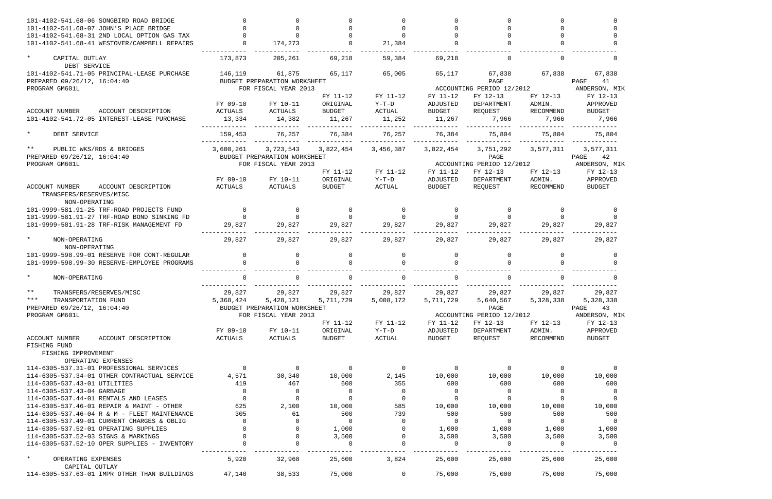| 101-4102-541.68-06 SONGBIRD ROAD BRIDGE<br>101-4102-541.68-07 JOHN'S PLACE BRIDGE           |                |                              |                | $\Omega$       |                |                                       |                    |                           |
|---------------------------------------------------------------------------------------------|----------------|------------------------------|----------------|----------------|----------------|---------------------------------------|--------------------|---------------------------|
| 101-4102-541.68-31 2ND LOCAL OPTION GAS TAX                                                 |                |                              |                |                |                |                                       |                    |                           |
| 101-4102-541.68-41 WESTOVER/CAMPBELL REPAIRS                                                |                | 174,273                      |                | 21,384         |                |                                       |                    |                           |
| CAPITAL OUTLAY<br>DEBT SERVICE                                                              | 173,873        | 205,261                      | 69,218         | 59,384         | 69,218         |                                       |                    |                           |
| 101-4102-541.71-05 PRINCIPAL-LEASE PURCHASE                                                 | 146,119        | 61,875                       | 65,117         | 65,005         | 65,117         | 67,838                                | 67,838             | 67,838                    |
| PREPARED 09/26/12, 16:04:40                                                                 |                | BUDGET PREPARATION WORKSHEET |                |                |                | PAGE                                  |                    | 41<br>PAGE                |
| PROGRAM GM601L                                                                              |                | FOR FISCAL YEAR 2013         |                |                |                | ACCOUNTING PERIOD 12/2012             |                    | ANDERSON, MIK             |
|                                                                                             |                |                              | FY 11-12       | FY 11-12       | FY 11-12       | FY 12-13                              | FY 12-13           | FY 12-13                  |
|                                                                                             | FY 09-10       | FY 10-11                     | ORIGINAL       | $Y-T-D$        | ADJUSTED       | DEPARTMENT                            | ADMIN.             | APPROVED                  |
| <b>ACCOUNT NUMBER</b><br>ACCOUNT DESCRIPTION                                                | ACTUALS        | ACTUALS                      | <b>BUDGET</b>  | ACTUAL         | <b>BUDGET</b>  | REQUEST                               | RECOMMEND          | <b>BUDGET</b>             |
| 101-4102-541.72-05 INTEREST-LEASE PURCHASE                                                  | 13,334         | 14,382                       | 11,267         | 11,252         | 11,267         | 7,966                                 | 7,966              | 7,966                     |
| $\star$<br>DEBT SERVICE                                                                     | 159,453        | 76,257                       | 76,384         | 76,257         | 76,384         | 75,804                                | 75,804             | 75,804                    |
| $***$<br>PUBLIC WKS/RDS & BRIDGES                                                           | 3,600,261      | 3,723,543                    | 3,822,454      | 3,456,387      | 3,822,454      | 3,751,292                             | 3,577,311          | 3,577,311                 |
| PREPARED 09/26/12, 16:04:40                                                                 |                | BUDGET PREPARATION WORKSHEET |                |                |                | PAGE                                  |                    | 42<br>PAGE                |
| PROGRAM GM601L                                                                              |                | FOR FISCAL YEAR 2013         | FY 11-12       | FY 11-12       | FY 11-12       | ACCOUNTING PERIOD 12/2012<br>FY 12-13 |                    | ANDERSON, MIK<br>FY 12-13 |
|                                                                                             | FY 09-10       | FY 10-11                     | ORIGINAL       | $Y-T-D$        | ADJUSTED       | DEPARTMENT                            | FY 12-13<br>ADMIN. | APPROVED                  |
| <b>ACCOUNT NUMBER</b><br>ACCOUNT DESCRIPTION                                                | ACTUALS        | ACTUALS                      | <b>BUDGET</b>  | ACTUAL         | <b>BUDGET</b>  | REQUEST                               | RECOMMEND          | <b>BUDGET</b>             |
| TRANSFERS/RESERVES/MISC<br>NON-OPERATING                                                    |                |                              |                |                |                |                                       |                    |                           |
| 101-9999-581.91-25 TRF-ROAD PROJECTS FUND                                                   |                | $\Omega$                     | $\overline{0}$ | $\Omega$       | $\Omega$       | 0                                     | $\Omega$           |                           |
| 101-9999-581.91-27 TRF-ROAD BOND SINKING FD                                                 |                |                              | $\Omega$       |                |                | $\Omega$                              |                    |                           |
| 101-9999-581.91-28 TRF-RISK MANAGEMENT FD                                                   | 29,827         | 29,827                       | 29,827         | 29,827         | 29,827         | 29,827                                | 29,827             | 29,827                    |
| NON-OPERATING                                                                               | 29,827         | 29,827                       | 29,827         | 29,827         | 29,827         | 29,827                                | 29,827             | 29,827                    |
| NON-OPERATING                                                                               | $\Omega$       | $\Omega$                     | $\Omega$       | $\Omega$       | $\Omega$       | $\Omega$                              |                    |                           |
| 101-9999-598.99-01 RESERVE FOR CONT-REGULAR<br>101-9999-598.99-30 RESERVE-EMPLOYEE PROGRAMS |                |                              |                |                |                |                                       | $\Omega$           | $\Omega$                  |
| $\star$<br>NON-OPERATING                                                                    |                |                              |                |                |                |                                       |                    |                           |
| $***$<br>TRANSFERS/RESERVES/MISC                                                            | 29,827         | 29,827                       | 29,827         | 29,827         | 29,827         | 29,827                                | 29,827             | 29,827                    |
| * * *<br>TRANSPORTATION FUND                                                                | 5,368,424      | 5,428,121                    | 5,711,729      | 5,008,172      | 5,711,729      | 5,640,567                             | 5,328,338          | 5,328,338                 |
| PREPARED 09/26/12, 16:04:40                                                                 |                | BUDGET PREPARATION WORKSHEET |                |                |                | PAGE                                  |                    | PAGE<br>43                |
| PROGRAM GM601L                                                                              |                | FOR FISCAL YEAR 2013         |                |                |                | ACCOUNTING PERIOD 12/2012             |                    | ANDERSON, MIK             |
|                                                                                             |                |                              | FY 11-12       | FY 11-12       | FY 11-12       | FY 12-13                              | FY 12-13           | FY 12-13                  |
|                                                                                             | FY 09-10       | FY 10-11                     | ORIGINAL       | Y-T-D          | ADJUSTED       | DEPARTMENT                            | ADMIN.             | APPROVED                  |
| ACCOUNT NUMBER<br>ACCOUNT DESCRIPTION<br>FISHING FUND                                       | ACTUALS        | ACTUALS                      | BUDGET         | ACTUAL         | BUDGET         | REQUEST                               | RECOMMEND          | BUDGET                    |
| FISHING IMPROVEMENT<br>OPERATING EXPENSES                                                   |                |                              |                |                |                |                                       |                    |                           |
| 114-6305-537.31-01 PROFESSIONAL SERVICES                                                    | $\overline{0}$ | $\overline{0}$               | $\overline{0}$ | $\overline{0}$ | - 0            | $\overline{0}$                        | $\overline{0}$     |                           |
| 114-6305-537.34-01 OTHER CONTRACTUAL SERVICE                                                | 4,571          | 30,340                       | 10,000         | 2,145          | 10,000         | 10,000                                | 10,000             | 10,000                    |
| 114-6305-537.43-01 UTILITIES                                                                | 419            | 467                          | 600            | 355            | 600            | 600                                   | 600                | 600                       |
| 114-6305-537.43-04 GARBAGE                                                                  | $\overline{0}$ | $\overline{0}$               | $\overline{0}$ | $\overline{0}$ | $\overline{0}$ | $\overline{0}$                        | $\overline{0}$     | - 0                       |
| 114-6305-537.44-01 RENTALS AND LEASES                                                       | $\overline{0}$ | $\overline{0}$               | $\mathbf 0$    | $\overline{0}$ |                | 0                                     | $\mathbf 0$        | - 0                       |
| 114-6305-537.46-01 REPAIR & MAINT - OTHER                                                   | 625            | 2,100                        | 10,000         | 585            | 10,000         | 10,000                                | 10,000             | 10,000                    |
| 114-6305-537.46-04 R & M - FLEET MAINTENANCE                                                | 305            | 61                           | 500            | 739            | 500            | 500                                   | 500                | 500                       |
| 114-6305-537.49-01 CURRENT CHARGES & OBLIG                                                  | $\mathbf{0}$   | $\Omega$                     | $\overline{0}$ | $\overline{0}$ | $\overline{0}$ | $\overline{0}$                        | $\overline{0}$     | $\overline{\mathbf{0}}$   |
| 114-6305-537.52-01 OPERATING SUPPLIES                                                       |                | $\Omega$                     | 1,000          | $\overline{0}$ | 1,000          | 1,000                                 | 1,000              | 1,000                     |
| 114-6305-537.52-03 SIGNS & MARKINGS                                                         |                | $\Omega$                     | 3,500          | $\overline{0}$ | 3,500          | 3,500                                 | 3,500              | 3,500                     |
| 114-6305-537.52-10 OPER SUPPLIES - INVENTORY                                                | $\overline{0}$ | $\mathbf 0$                  | $\overline{0}$ | $\overline{0}$ | $\overline{0}$ | $\overline{0}$                        | $\overline{0}$     | - 0                       |
| $\star$<br>OPERATING EXPENSES<br>CAPITAL OUTLAY                                             | 5,920          | 32,968                       | 25,600         | 3,824          | 25,600         | 25,600                                | 25,600             | 25,600                    |
| 114-6305-537.63-01 IMPR OTHER THAN BUILDINGS                                                | 47,140         | 38,533                       | 75,000         | $\overline{0}$ | 75,000         | 75,000                                | 75,000             | 75,000                    |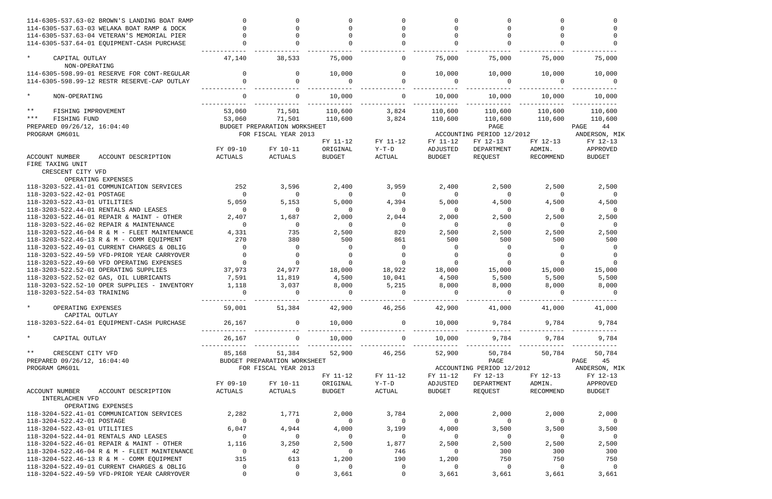| 114-6305-537.63-02 BROWN'S LANDING BOAT RAMP                                            |                |                              |                          |                                              |                         |                                       |                |                         |
|-----------------------------------------------------------------------------------------|----------------|------------------------------|--------------------------|----------------------------------------------|-------------------------|---------------------------------------|----------------|-------------------------|
| 114-6305-537.63-03 WELAKA BOAT RAMP & DOCK                                              |                |                              |                          |                                              |                         |                                       |                |                         |
| 114-6305-537.63-04 VETERAN'S MEMORIAL PIER                                              |                |                              |                          |                                              |                         |                                       |                |                         |
| 114-6305-537.64-01 EQUIPMENT-CASH PURCHASE                                              |                |                              |                          |                                              |                         |                                       |                |                         |
|                                                                                         |                |                              |                          |                                              |                         |                                       |                |                         |
| $\star$<br>CAPITAL OUTLAY                                                               | 47,140         | 38,533                       | 75,000                   | 0                                            | 75,000                  | 75,000                                | 75,000         | 75,000                  |
| NON-OPERATING                                                                           |                |                              |                          |                                              |                         |                                       |                |                         |
| 114-6305-598.99-01 RESERVE FOR CONT-REGULAR                                             | $\Omega$       | 0                            | 10,000                   | $\Omega$                                     | 10,000                  | 10,000                                | 10,000         | 10,000                  |
| 114-6305-598.99-12 RESTR RESERVE-CAP OUTLAY                                             |                |                              |                          | $\Omega$                                     |                         |                                       |                |                         |
|                                                                                         |                |                              |                          |                                              |                         |                                       |                |                         |
| $\star$<br>NON-OPERATING                                                                |                |                              | 10,000                   |                                              | 10,000                  | 10,000                                | 10,000         | 10,000                  |
|                                                                                         |                |                              |                          |                                              |                         |                                       |                |                         |
| $***$<br>FISHING IMPROVEMENT                                                            | 53,060         | 71,501                       | 110,600                  | 3,824                                        | 110,600                 | 110,600                               | 110,600        | 110,600                 |
| $***$<br>FISHING FUND                                                                   | 53,060         | 71,501                       | 110,600                  | 3,824                                        | 110,600                 | 110,600                               | 110,600        | 110,600                 |
| PREPARED 09/26/12, 16:04:40                                                             |                | BUDGET PREPARATION WORKSHEET |                          |                                              |                         | PAGE                                  |                | 44<br>PAGE              |
| PROGRAM GM601L                                                                          |                | FOR FISCAL YEAR 2013         |                          |                                              |                         | ACCOUNTING PERIOD 12/2012             |                | ANDERSON, MIK           |
|                                                                                         |                |                              | FY 11-12                 | FY 11-12                                     | FY 11-12                | FY 12-13                              | FY 12-13       | FY 12-13                |
|                                                                                         | FY 09-10       | FY 10-11                     | ORIGINAL                 | $Y-T-D$                                      | ADJUSTED                | DEPARTMENT                            | ADMIN.         | APPROVED                |
| <b>ACCOUNT NUMBER</b><br>ACCOUNT DESCRIPTION                                            | ACTUALS        | ACTUALS                      | <b>BUDGET</b>            | ACTUAL                                       | <b>BUDGET</b>           | REQUEST                               | RECOMMEND      | <b>BUDGET</b>           |
| FIRE TAXING UNIT                                                                        |                |                              |                          |                                              |                         |                                       |                |                         |
| CRESCENT CITY VFD                                                                       |                |                              |                          |                                              |                         |                                       |                |                         |
| OPERATING EXPENSES                                                                      |                |                              |                          |                                              |                         |                                       |                |                         |
| 118-3203-522.41-01 COMMUNICATION SERVICES                                               | 252            | 3,596                        | 2,400                    | 3,959                                        | 2,400                   | 2,500                                 | 2,500          | 2,500                   |
| 118-3203-522.42-01 POSTAGE                                                              | $\Omega$       | $\Omega$                     | $\Omega$                 | $\Omega$                                     |                         | $\Omega$                              | $\Omega$       | 0                       |
| 118-3203-522.43-01 UTILITIES                                                            | 5,059          | 5,153                        | 5,000                    | 4,394                                        | 5,000                   | 4,500                                 | 4,500          | 4,500                   |
| 118-3203-522.44-01 RENTALS AND LEASES                                                   |                | $\Omega$                     | $\Omega$                 | $\Omega$                                     |                         | $\Omega$                              | $\Omega$       | 0                       |
| 118-3203-522.46-01 REPAIR & MAINT - OTHER                                               | 2,407          | 1,687                        | 2,000                    | 2,044                                        | 2,000                   | 2,500                                 | 2,500          | 2,500                   |
| 118-3203-522.46-02 REPAIR & MAINTENANCE                                                 | $\Omega$       | $\Omega$                     |                          | $\Omega$                                     |                         | $\Omega$                              | $\Omega$       | - 0                     |
| 118-3203-522.46-04 R & M - FLEET MAINTENANCE                                            | 4,331          | 735                          | 2,500                    | 820                                          | 2,500                   | 2,500                                 | 2,500          | 2,500                   |
| 118-3203-522.46-13 R & M - COMM EQUIPMENT                                               | 270            | 380                          | 500                      | 861                                          | 500                     | 500                                   | 500            | 500                     |
| 118-3203-522.49-01 CURRENT CHARGES & OBLIG                                              | $\Omega$       | $\Omega$                     |                          | $\Omega$                                     |                         | $\Omega$                              | $\Omega$       | $\Omega$                |
| 118-3203-522.49-59 VFD-PRIOR YEAR CARRYOVER                                             |                |                              |                          | $\Omega$                                     |                         |                                       |                |                         |
| 118-3203-522.49-60 VFD OPERATING EXPENSES                                               |                |                              |                          | $\Omega$                                     |                         |                                       |                |                         |
| 118-3203-522.52-01 OPERATING SUPPLIES                                                   | 37,973         | 24,977                       | 18,000                   | 18,922                                       | 18,000                  | 15,000                                | 15,000         | 15,000                  |
| 118-3203-522.52-02 GAS, OIL LUBRICANTS                                                  | 7,591          | 11,819                       | 4,500                    | 10,041                                       | 4,500                   | 5,500                                 | 5,500          | 5,500                   |
| 118-3203-522.52-10 OPER SUPPLIES - INVENTORY                                            | 1,118          | 3,037                        | 8,000                    | 5,215                                        | 8,000                   | 8,000                                 | 8,000          | 8,000                   |
| 118-3203-522.54-03 TRAINING                                                             |                |                              |                          | $\Omega$                                     |                         |                                       |                |                         |
|                                                                                         |                |                              |                          |                                              |                         |                                       |                |                         |
| $\star$<br>OPERATING EXPENSES                                                           |                |                              |                          | $59,001$ $51,384$ $42,900$ $46,256$ $42,900$ |                         |                                       | 41,000 41,000  | 41,000                  |
| CAPITAL OUTLAY                                                                          |                |                              |                          |                                              |                         |                                       |                |                         |
| 118-3203-522.64-01 EQUIPMENT-CASH PURCHASE                                              | 26,167 0       |                              | 10,000                   | $\overline{0}$                               |                         | 10,000 9,784 9,784 9,784              |                |                         |
|                                                                                         |                |                              |                          |                                              |                         |                                       |                |                         |
| $\star$<br>CAPITAL OUTLAY                                                               |                | $26,167$ 0                   |                          |                                              |                         | $10,000$ $0$ $10,000$ $9,784$ $9,784$ |                | 9,784                   |
|                                                                                         |                |                              |                          |                                              |                         |                                       |                |                         |
| $***$<br>CRESCENT CITY VFD                                                              | 85,168         |                              |                          | 51,384 52,900 46,256                         | 52,900                  |                                       | 50,784 50,784  | 50,784                  |
| PREPARED 09/26/12, 16:04:40                                                             |                | BUDGET PREPARATION WORKSHEET |                          |                                              |                         |                                       | <b>PAGE</b>    | PAGE 45                 |
| PROGRAM GM601L                                                                          |                | FOR FISCAL YEAR 2013         |                          |                                              |                         | ACCOUNTING PERIOD 12/2012             |                | ANDERSON, MIK           |
|                                                                                         |                |                              | FY 11-12                 | FY 11-12                                     | FY 11-12                | FY 12-13                              | FY 12-13       | FY 12-13                |
|                                                                                         | FY 09-10       | FY 10-11                     | ORIGINAL                 | $Y-T-D$                                      | ADJUSTED                | DEPARTMENT                            | ADMIN.         | APPROVED                |
| ACCOUNT NUMBER<br>ACCOUNT DESCRIPTION                                                   | ACTUALS        | ACTUALS                      | BUDGET                   | ACTUAL                                       | BUDGET                  | REQUEST                               | RECOMMEND      | BUDGET                  |
| INTERLACHEN VFD                                                                         |                |                              |                          |                                              |                         |                                       |                |                         |
| OPERATING EXPENSES                                                                      |                |                              |                          |                                              |                         |                                       |                |                         |
| 118-3204-522.41-01 COMMUNICATION SERVICES                                               | 2,282          | 1,771                        | 2,000                    | 3,784                                        | 2,000                   | 2,000                                 | 2,000          | 2,000                   |
| 118-3204-522.42-01 POSTAGE                                                              | $\overline{0}$ | $\overline{0}$               | $\overline{\phantom{0}}$ | $\overline{0}$                               | $\overline{0}$          | $\overline{0}$                        | $\overline{0}$ | $\overline{\mathbf{0}}$ |
| 118-3204-522.43-01 UTILITIES                                                            | 6,047          | 4,944                        | 4,000                    | 3,199                                        | 4,000                   | 3,500                                 | 3,500          | 3,500                   |
| 118-3204-522.44-01 RENTALS AND LEASES                                                   | $\overline{0}$ | $\overline{0}$               | $\overline{0}$           | $\overline{0}$                               | $\overline{0}$          | $\overline{0}$                        | $\overline{0}$ | $\overline{0}$          |
| 118-3204-522.46-01 REPAIR & MAINT - OTHER                                               | 1,116          | 3,250                        | 2,500                    | 1,877                                        | 2,500                   | 2,500                                 |                |                         |
| 118-3204-522.46-04 R & M - FLEET MAINTENANCE                                            | $\overline{0}$ | 42                           | $\overline{0}$           | 746                                          | $\overline{0}$          | 300                                   | 2,500<br>300   | 2,500<br>300            |
|                                                                                         | 315            |                              |                          |                                              |                         | 750                                   | 750            | 750                     |
| 118-3204-522.46-13 R & M - COMM EQUIPMENT<br>118-3204-522.49-01 CURRENT CHARGES & OBLIG | $\overline{0}$ | 613<br>0                     | 1,200<br>$\Omega$        | 190<br>$\overline{0}$                        | 1,200<br>$\overline{0}$ | $\overline{0}$                        | $\overline{0}$ | $\overline{0}$          |
| 118-3204-522.49-59 VFD-PRIOR YEAR CARRYOVER                                             |                | $\overline{0}$               | 3,661                    | $\Omega$                                     | 3,661                   | 3,661                                 | 3,661          | 3,661                   |
|                                                                                         |                |                              |                          |                                              |                         |                                       |                |                         |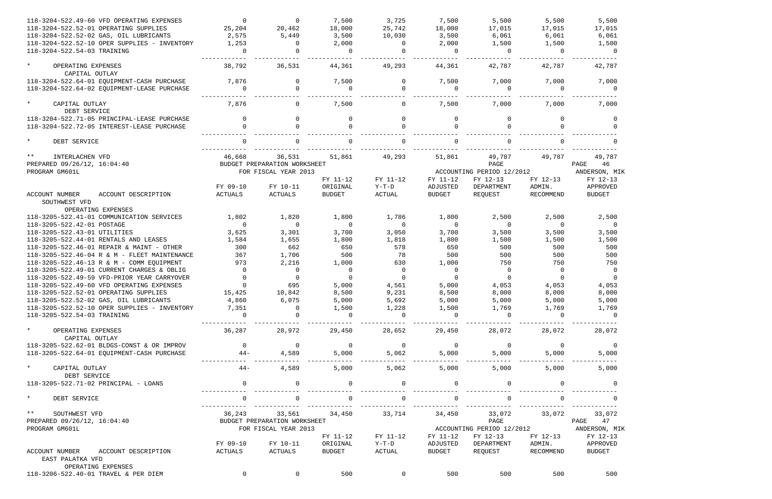| 118-3204-522.49-60 VFD OPERATING EXPENSES                                       | $\mathbf 0$    | $\Omega$                     | 7,500          | 3,725          | 7,500          | 5,500                     | 5,500          | 5,500          |
|---------------------------------------------------------------------------------|----------------|------------------------------|----------------|----------------|----------------|---------------------------|----------------|----------------|
| 118-3204-522.52-01 OPERATING SUPPLIES                                           | 25,204         | 20,462                       | 18,000         | 25,742         | 18,000         | 17,015                    | 17,015         | 17,015         |
| 118-3204-522.52-02 GAS, OIL LUBRICANTS                                          | 2,575          | 5,449                        | 3,500          | 10,030         | 3,500          | 6,061                     | 6,061          | 6,061          |
| 118-3204-522.52-10 OPER SUPPLIES - INVENTORY                                    | 1,253          | $\Omega$                     | 2,000          | $\overline{0}$ | 2,000          | 1,500                     | 1,500          | 1,500          |
| 118-3204-522.54-03 TRAINING                                                     | $\Omega$       | $\Omega$                     | $\Omega$       | $\Omega$       | $\Omega$       | $\Omega$                  | $\Omega$       | $\bigcirc$     |
|                                                                                 |                |                              |                |                |                |                           |                |                |
| $\star$<br>OPERATING EXPENSES<br>CAPITAL OUTLAY                                 | 38,792         | 36,531                       | 44,361         | 49,293         | 44,361         | 42,787                    | 42,787         | 42,787         |
| 118-3204-522.64-01 EQUIPMENT-CASH PURCHASE                                      | 7,876          | $\Omega$                     | 7,500          | 0              | 7,500          | 7,000                     | 7,000          | 7,000          |
| 118-3204-522.64-02 EQUIPMENT-LEASE PURCHASE                                     | $\Omega$       | $\Omega$                     | $\Omega$       | $\Omega$       | $\Omega$       | $\Omega$                  | $\Omega$       | $\Omega$       |
| $\star$<br>CAPITAL OUTLAY<br>DEBT SERVICE                                       | 7,876          | $\Omega$                     | 7,500          | $\mathbf{0}$   | 7,500          | 7,000                     | 7,000          | 7,000          |
| 118-3204-522.71-05 PRINCIPAL-LEASE PURCHASE                                     | $\Omega$       | $\Omega$                     | 0              | $\Omega$       | $\Omega$       | $\overline{0}$            | 0              | $\Omega$       |
| 118-3204-522.72-05 INTEREST-LEASE PURCHASE                                      | $\Omega$       |                              | $\Omega$       | $\Omega$       |                | $\Omega$                  |                |                |
| $\star$<br>DEBT SERVICE                                                         | $\Omega$       |                              |                | $\Omega$       |                |                           |                |                |
| $***$<br>INTERLACHEN VFD                                                        | 46,668         | 36,531                       | 51,861         | 49,293         | 51,861         | 49,787                    | 49,787         | 49,787         |
| PREPARED 09/26/12, 16:04:40                                                     |                | BUDGET PREPARATION WORKSHEET |                |                |                | PAGE                      |                | 46<br>PAGE     |
| PROGRAM GM601L                                                                  |                | FOR FISCAL YEAR 2013         |                |                |                | ACCOUNTING PERIOD 12/2012 |                | ANDERSON, MIK  |
|                                                                                 |                |                              | FY 11-12       | FY 11-12       | FY 11-12       | FY 12-13                  | FY 12-13       | FY 12-13       |
|                                                                                 | FY 09-10       | FY 10-11                     | ORIGINAL       | $Y-T-D$        | ADJUSTED       | DEPARTMENT                | ADMIN.         | APPROVED       |
| <b>ACCOUNT NUMBER</b><br>ACCOUNT DESCRIPTION                                    | ACTUALS        | ACTUALS                      | <b>BUDGET</b>  | ACTUAL         | BUDGET         | REOUEST                   | RECOMMEND      | <b>BUDGET</b>  |
| SOUTHWEST VFD                                                                   |                |                              |                |                |                |                           |                |                |
| OPERATING EXPENSES                                                              |                |                              |                |                |                |                           |                |                |
| 118-3205-522.41-01 COMMUNICATION SERVICES                                       | 1,802          | 1,820                        | 1,800          | 1,786          | 1,800          | 2,500                     | 2,500          | 2,500          |
| 118-3205-522.42-01 POSTAGE                                                      | $\overline{0}$ | $\Omega$                     | $\overline{0}$ | $\overline{0}$ | $\overline{0}$ | $\overline{0}$            | $\overline{0}$ | - 0            |
| 118-3205-522.43-01 UTILITIES                                                    | 3,625          | 3,301                        | 3,700          | 3,050          | 3,700          | 3,500                     | 3,500          | 3,500          |
| 118-3205-522.44-01 RENTALS AND LEASES                                           | 1,584          | 1,655                        | 1,800          | 1,818          | 1,800          | 1,500                     | 1,500          | 1,500          |
| 118-3205-522.46-01 REPAIR & MAINT - OTHER                                       | 300            | 662                          | 650            | 578            | 650            | 500                       | 500            | 500            |
| 118-3205-522.46-04 R & M - FLEET MAINTENANCE                                    | 367            | 1,706                        | 500            | 78             | 500            | 500                       | 500            | 500            |
| 118-3205-522.46-13 R & M - COMM EOUIPMENT                                       | 973            | 2,216                        | 1,000          | 630            | 1,000          | 750                       | 750            | 750            |
| 118-3205-522.49-01 CURRENT CHARGES & OBLIG                                      | $\overline{0}$ | $\overline{0}$               | 0              | $\overline{0}$ | $\Omega$       | $\overline{0}$            | $\mathbf 0$    | - 0            |
| 118-3205-522.49-59 VFD-PRIOR YEAR CARRYOVER                                     |                | $\overline{0}$               | $\mathbf 0$    | $\Omega$       | $\Omega$       | $\overline{0}$            | $\Omega$       | $\Omega$       |
| 118-3205-522.49-60 VFD OPERATING EXPENSES                                       | $\Omega$       | 695                          | 5,000          | 4,561          | 5,000          | 4,053                     | 4,053          | 4,053          |
| 118-3205-522.52-01 OPERATING SUPPLIES                                           | 15,425         | 10,842                       | 8,500          | 9,231          | 8,500          | 8,000                     | 8,000          | 8,000          |
| 118-3205-522.52-02 GAS, OIL LUBRICANTS                                          | 4,860          | 6,075                        | 5,000          | 5,692          | 5,000          | 5,000                     | 5,000          | 5,000          |
| 118-3205-522.52-10 OPER SUPPLIES - INVENTORY                                    | 7,351          | 0                            | 1,500          | 1,228          | 1,500          | 1,769                     | 1,769          | 1,769          |
| 118-3205-522.54-03 TRAINING                                                     | $\overline{0}$ | $\mathbf 0$                  | $\mathbf 0$    | $\Omega$       | $\overline{0}$ | $\overline{0}$            | $\mathbf{0}$   | $\Omega$       |
| $\star$<br>OPERATING EXPENSES                                                   | 36,287         | 28,972                       | 29,450         | 28,652         | 29,450         | 28,072                    | 28,072         | 28,072         |
| CAPITAL OUTLAY                                                                  |                |                              |                |                |                |                           |                |                |
| 118-3205-522.62-01 BLDGS-CONST & OR IMPROV                                      | $\overline{0}$ | $\mathsf{O}$                 | $\overline{0}$ | $\overline{0}$ | $\overline{0}$ | $\overline{0}$            | $\overline{0}$ | $\overline{0}$ |
| 118-3205-522.64-01 EQUIPMENT-CASH PURCHASE                                      | $44-$          | 4,589                        | 5,000          | 5,062          | 5,000          | 5,000                     | 5,000          | 5,000          |
| $\star$<br>CAPITAL OUTLAY                                                       | $44-$          | 4,589                        | 5,000          | 5,062          | 5,000          | 5,000                     | 5,000          | 5,000          |
| DEBT SERVICE                                                                    |                |                              |                |                |                |                           |                |                |
| 118-3205-522.71-02 PRINCIPAL - LOANS                                            | $\mathbf 0$    | 0                            | 0              | $\mathbf 0$    | $\mathbf 0$    | $\mathbf 0$               |                |                |
| $\star$<br>DEBT SERVICE                                                         | 0              | $\mathbf 0$                  | 0              | $\mathbf 0$    | $\Omega$       | $\mathsf{O}$              |                |                |
| $\star$ $\star$<br>SOUTHWEST VFD                                                | 36,243         | 33,561                       | 34,450         | 33,714         | 34,450         | 33,072                    | 33,072         | 33,072         |
| PREPARED 09/26/12, 16:04:40                                                     |                | BUDGET PREPARATION WORKSHEET |                |                |                | PAGE                      |                | 47<br>PAGE     |
| PROGRAM GM601L                                                                  |                | FOR FISCAL YEAR 2013         |                |                |                | ACCOUNTING PERIOD 12/2012 |                | ANDERSON, MIK  |
|                                                                                 |                |                              | FY 11-12       | FY 11-12       | FY 11-12       | FY 12-13                  | FY 12-13       | FY 12-13       |
|                                                                                 | FY 09-10       | FY 10-11                     | ORIGINAL       | $Y-T-D$        | ADJUSTED       | DEPARTMENT                | ADMIN.         | APPROVED       |
| ACCOUNT NUMBER<br>ACCOUNT DESCRIPTION<br>EAST PALATKA VFD<br>OPERATING EXPENSES | ACTUALS        | ACTUALS                      | <b>BUDGET</b>  | ACTUAL         | BUDGET         | REQUEST                   | RECOMMEND      | <b>BUDGET</b>  |
| 118-3206-522.40-01 TRAVEL & PER DIEM                                            | $\overline{0}$ | $\overline{0}$               | 500            | $\overline{0}$ | 500            | 500                       | 500            | 500            |
|                                                                                 |                |                              |                |                |                |                           |                |                |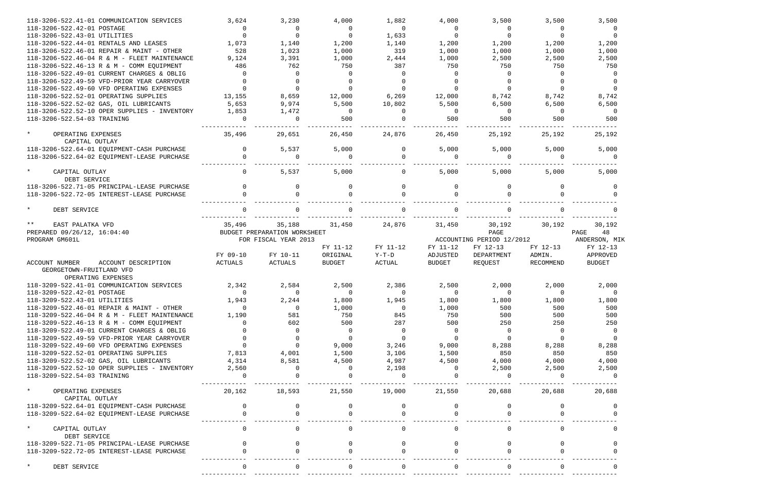| 118-3206-522.41-01 COMMUNICATION SERVICES                                                 | 3,624          | 3,230                        | 4,000          | 1,882          | 4,000          | 3,500                     | 3,500          | 3,500          |
|-------------------------------------------------------------------------------------------|----------------|------------------------------|----------------|----------------|----------------|---------------------------|----------------|----------------|
| 118-3206-522.42-01 POSTAGE                                                                | $\overline{0}$ | $\overline{0}$               | $\overline{0}$ | $\Omega$       | $\overline{0}$ | $\overline{0}$            | $\Omega$       | 0              |
| 118-3206-522.43-01 UTILITIES                                                              | $\Omega$       | $\Omega$                     | $\overline{0}$ | 1,633          | $\Omega$       | $\overline{0}$            | $\Omega$       | $\overline{0}$ |
| 118-3206-522.44-01 RENTALS AND LEASES                                                     | 1,073          | 1,140                        | 1,200          | 1,140          | 1,200          | 1,200                     | 1,200          | 1,200          |
| 118-3206-522.46-01 REPAIR & MAINT - OTHER                                                 | 528            | 1,023                        | 1,000          | 319            | 1,000          | 1,000                     | 1,000          | 1,000          |
| 118-3206-522.46-04 R & M - FLEET MAINTENANCE                                              | 9,124          | 3,391                        | 1,000          | 2,444          | 1,000          | 2,500                     | 2,500          | 2,500          |
| 118-3206-522.46-13 R & M - COMM EQUIPMENT                                                 | 486            | 762                          | 750            | 387            | 750            | 750                       | 750            | 750            |
| 118-3206-522.49-01 CURRENT CHARGES & OBLIG                                                | $\Omega$       | $\Omega$                     | $\Omega$       | $\Omega$       | $\cap$         | $\Omega$                  | $\Omega$       | - 0            |
| 118-3206-522.49-59 VFD-PRIOR YEAR CARRYOVER                                               | $\Omega$       | $\Omega$                     |                | $\Omega$       |                |                           | $\Omega$       | $\Omega$       |
| 118-3206-522.49-60 VFD OPERATING EXPENSES                                                 | $\Omega$       | $\Omega$                     | $\Omega$       | $\Omega$       |                | $\Omega$                  | $\Omega$       | $\Omega$       |
| 118-3206-522.52-01 OPERATING SUPPLIES                                                     | 13,155         | 8,659                        | 12,000         | 6,269          | 12,000         | 8,742                     | 8,742          | 8,742          |
| 118-3206-522.52-02 GAS, OIL LUBRICANTS                                                    | 5,653          | 9,974                        | 5,500          | 10,802         | 5,500          | 6,500                     | 6,500          | 6,500          |
| 118-3206-522.52-10 OPER SUPPLIES - INVENTORY                                              | 1,853          | 1,472                        | $\overline{0}$ | $\Omega$       | $\bigcirc$     | $\overline{0}$            | $\overline{0}$ | - 0            |
| 118-3206-522.54-03 TRAINING                                                               | $\Omega$       | $\Omega$                     | 500            | $\Omega$       | 500            | 500                       | 500            | 500            |
| $\star$<br>OPERATING EXPENSES                                                             | 35,496         | 29,651                       | 26,450         | 24,876         | 26,450         | 25,192                    | 25,192         | 25,192         |
| CAPITAL OUTLAY                                                                            |                |                              |                |                |                |                           |                |                |
| 118-3206-522.64-01 EQUIPMENT-CASH PURCHASE                                                | $\Omega$       | 5,537                        | 5,000          | $\Omega$       | 5,000          | 5,000                     | 5,000          | 5,000          |
| 118-3206-522.64-02 EQUIPMENT-LEASE PURCHASE                                               | $\Omega$       | $\Omega$                     | $\Omega$       | $\Omega$       | $\Omega$       | $\Omega$                  | $\Omega$       |                |
| $\star$<br>CAPITAL OUTLAY<br>DEBT SERVICE                                                 | $\mathbf{0}$   | 5,537                        | 5,000          | $\overline{0}$ | 5,000          | 5,000                     | 5,000          | 5,000          |
| 118-3206-522.71-05 PRINCIPAL-LEASE PURCHASE                                               |                | <sup>n</sup>                 | $\Omega$       | $\Omega$       | $\Omega$       | $\Omega$                  |                |                |
| 118-3206-522.72-05 INTEREST-LEASE PURCHASE                                                |                |                              |                |                |                |                           |                |                |
| $\star$<br>DEBT SERVICE                                                                   |                |                              |                |                |                |                           |                |                |
| $***$<br>EAST PALATKA VFD                                                                 | 35,496         | 35,188                       | 31,450         | 24,876         | 31,450         | 30,192                    | 30,192         | 30,192         |
| PREPARED 09/26/12, 16:04:40                                                               |                | BUDGET PREPARATION WORKSHEET |                |                |                | PAGE                      |                | PAGE<br>48     |
| PROGRAM GM601L                                                                            |                | FOR FISCAL YEAR 2013         |                |                |                | ACCOUNTING PERIOD 12/2012 |                | ANDERSON, MIK  |
|                                                                                           |                |                              | FY 11-12       | FY 11-12       | FY 11-12       | FY 12-13                  | FY 12-13       | FY 12-13       |
|                                                                                           |                |                              |                |                |                |                           |                |                |
|                                                                                           | FY 09-10       | FY 10-11                     | ORIGINAL       | $Y-T-D$        | ADJUSTED       | DEPARTMENT                | ADMIN.         | APPROVED       |
| <b>ACCOUNT NUMBER</b><br>ACCOUNT DESCRIPTION<br>GEORGETOWN-FRUITLAND VFD                  | ACTUALS        | ACTUALS                      | <b>BUDGET</b>  | ACTUAL         | <b>BUDGET</b>  | REQUEST                   | RECOMMEND      | <b>BUDGET</b>  |
| OPERATING EXPENSES                                                                        |                |                              |                |                |                |                           |                |                |
| 118-3209-522.41-01 COMMUNICATION SERVICES                                                 | 2,342          | 2,584                        | 2,500          | 2,386          | 2,500          | 2,000                     | 2,000          | 2,000          |
| 118-3209-522.42-01 POSTAGE                                                                | $\overline{0}$ | $\Omega$                     | $\Omega$       | $\Omega$       | $\Omega$       | $\Omega$                  | $\Omega$       | - 0            |
| 118-3209-522.43-01 UTILITIES                                                              | 1,943          | 2,244                        | 1,800          | 1,945          | 1,800          | 1,800                     | 1,800          | 1,800          |
| 118-3209-522.46-01 REPAIR & MAINT - OTHER                                                 |                | $\Omega$                     | 1,000          | 0              | 1,000          | 500                       | 500            | 500            |
| 118-3209-522.46-04 R & M - FLEET MAINTENANCE                                              | 1,190          | 581                          | 750            | 845            | 750            | 500                       | 500            | 500            |
| 118-3209-522.46-13 R & M - COMM EQUIPMENT                                                 |                | 602                          | 500            | 287            | 500            | 250                       | 250            | 250            |
| 118-3209-522.49-01 CURRENT CHARGES & OBLIG                                                |                | $\Omega$                     | 0              | $\Omega$       | $\cap$         | $\Omega$                  | $\Omega$       |                |
| 118-3209-522.49-59 VFD-PRIOR YEAR CARRYOVER                                               |                |                              | $\Omega$       | $\Omega$       |                | $\Omega$                  |                |                |
| 118-3209-522.49-60 VFD OPERATING EXPENSES                                                 |                | $\Omega$                     | 9,000          | 3,246          | 9,000          | 8,288                     | 8,288          | 8,288          |
| 118-3209-522.52-01 OPERATING SUPPLIES                                                     | 7,813          | 4,001                        | 1,500          | 3,106          | 1,500          | 850                       | 850            | 850            |
| 118-3209-522.52-02 GAS, OIL LUBRICANTS                                                    | 4,314          | 8,581                        | 4,500          | 4,987          | 4,500          | 4,000                     | 4,000          | 4,000          |
| 118-3209-522.52-10 OPER SUPPLIES - INVENTORY                                              | 2,560          |                              |                | 2,198          |                | 2,500                     | 2,500          | 2,500          |
| 118-3209-522.54-03 TRAINING                                                               |                |                              |                |                |                |                           |                |                |
| $\star$<br>OPERATING EXPENSES<br>CAPITAL OUTLAY                                           | 20,162         | 18,593                       | 21,550         | 19,000         | 21,550         | 20,688                    | 20,688         | 20,688         |
| 118-3209-522.64-01 EQUIPMENT-CASH PURCHASE                                                |                |                              |                |                |                |                           |                |                |
| 118-3209-522.64-02 EQUIPMENT-LEASE PURCHASE                                               |                |                              |                |                |                |                           |                |                |
| $\star$<br>CAPITAL OUTLAY                                                                 | $\Omega$       |                              | $\Omega$       | $\overline{0}$ | $\Omega$       | $\mathbf{0}$              |                |                |
| DEBT SERVICE                                                                              |                |                              |                |                |                |                           |                |                |
| 118-3209-522.71-05 PRINCIPAL-LEASE PURCHASE<br>118-3209-522.72-05 INTEREST-LEASE PURCHASE |                |                              |                |                |                |                           |                |                |
| $\star$<br>DEBT SERVICE                                                                   |                |                              |                | $\Omega$       |                | $\Omega$                  |                |                |

|                   |                                       |                                  |                | ,500                      |                          |
|-------------------|---------------------------------------|----------------------------------|----------------|---------------------------|--------------------------|
|                   |                                       | 1,200<br>1,000<br>$\overline{2}$ |                | ,500<br>750               | 0<br>0<br>$\overline{0}$ |
|                   |                                       | 8<br>6,500                       |                | ,742<br>500               | $\overline{0}$<br>O<br>0 |
|                   |                                       | 25,192                           |                |                           |                          |
|                   |                                       | 5,000                            |                |                           | 0                        |
|                   |                                       | 5,000                            |                |                           |                          |
| PAGE<br>ANDERSON, | FY 12-13<br>APPROVED<br><b>BUDGET</b> | 30,192                           | 48             |                           | 0<br>0<br>0<br>MΙ        |
|                   |                                       | 2,000                            |                |                           |                          |
|                   |                                       | 1                                |                | ,800<br>500<br>500<br>250 | - 0<br>0                 |
|                   |                                       | 8<br>4<br>2,500                  | $\overline{a}$ | 288<br>850<br>000         | $\overline{0}$<br>0      |
|                   |                                       | 20,688                           |                |                           |                          |
|                   |                                       |                                  |                |                           | $\mathbf{0}$<br>0<br>0   |
|                   |                                       |                                  |                |                           | 0<br>0<br>0              |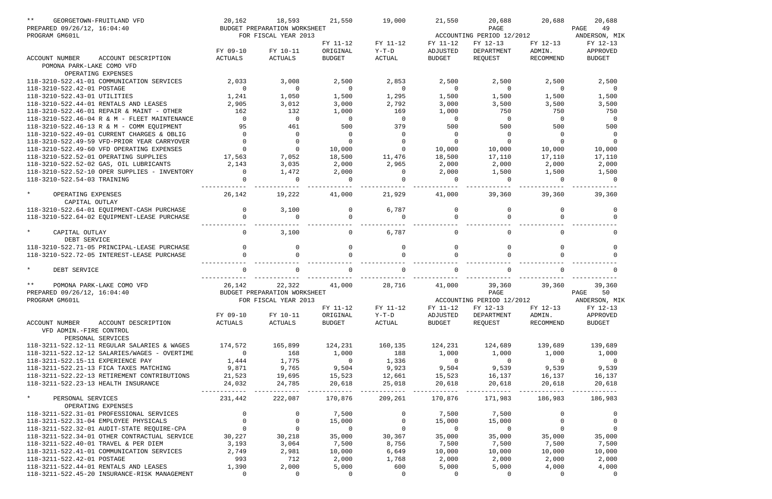| $***$<br>GEORGETOWN-FRUITLAND VFD                               | 20,162            | 18,593                                     | 21,550                  | 19,000                              | 21,550                  | 20,688                                          | 20,688                  | 20,688                                  |
|-----------------------------------------------------------------|-------------------|--------------------------------------------|-------------------------|-------------------------------------|-------------------------|-------------------------------------------------|-------------------------|-----------------------------------------|
| PREPARED 09/26/12, 16:04:40                                     |                   | BUDGET PREPARATION WORKSHEET               |                         |                                     |                         | PAGE                                            |                         | 49<br>PAGE                              |
| PROGRAM GM601L                                                  |                   | FOR FISCAL YEAR 2013                       |                         |                                     |                         | ACCOUNTING PERIOD 12/2012                       |                         | ANDERSON, MIK                           |
|                                                                 |                   |                                            | FY 11-12                | FY 11-12                            | FY 11-12                | FY 12-13                                        | FY 12-13                | FY 12-13                                |
|                                                                 | FY 09-10          | FY 10-11                                   | ORIGINAL                | $Y-T-D$                             | ADJUSTED                | DEPARTMENT                                      | ADMIN.                  | APPROVED                                |
| ACCOUNT DESCRIPTION<br>ACCOUNT NUMBER                           | ACTUALS           | ACTUALS                                    | <b>BUDGET</b>           | ACTUAL                              | <b>BUDGET</b>           | REQUEST                                         | RECOMMEND               | <b>BUDGET</b>                           |
| POMONA PARK-LAKE COMO VFD                                       |                   |                                            |                         |                                     |                         |                                                 |                         |                                         |
| OPERATING EXPENSES<br>118-3210-522.41-01 COMMUNICATION SERVICES |                   |                                            |                         |                                     |                         |                                                 |                         |                                         |
| 118-3210-522.42-01 POSTAGE                                      | 2,033<br>$\Omega$ | 3,008<br>$\overline{0}$                    | 2,500<br>$\overline{0}$ | 2,853<br>$\overline{0}$             | 2,500<br>$\overline{0}$ | 2,500<br>$\overline{0}$                         | 2,500<br>$\overline{0}$ | 2,500<br>$\overline{0}$                 |
| 118-3210-522.43-01 UTILITIES                                    | 1,241             |                                            | 1,500                   | 1,295                               |                         | 1,500                                           |                         |                                         |
| 118-3210-522.44-01 RENTALS AND LEASES                           | 2,905             | 1,050<br>3,012                             | 3,000                   | 2,792                               | 1,500<br>3,000          | 3,500                                           | 1,500<br>3,500          | 1,500<br>3,500                          |
| 118-3210-522.46-01 REPAIR & MAINT - OTHER                       | 162               | 132                                        | 1,000                   | 169                                 | 1,000                   | 750                                             | 750                     | 750                                     |
| 118-3210-522.46-04 R & M - FLEET MAINTENANCE                    | $\Omega$          | $\Omega$                                   | $\overline{0}$          | $\overline{0}$                      | $\Omega$                | $\mathbf 0$                                     | $\Omega$                | $\overline{0}$                          |
| 118-3210-522.46-13 R & M - COMM EQUIPMENT                       | 95                | 461                                        | 500                     | 379                                 | 500                     | 500                                             | 500                     | 500                                     |
| 118-3210-522.49-01 CURRENT CHARGES & OBLIG                      | $\Omega$          | $\Omega$                                   | $\Omega$                | $\Omega$                            | $\Omega$                | $\mathbf 0$                                     | $\Omega$                |                                         |
| 118-3210-522.49-59 VFD-PRIOR YEAR CARRYOVER                     | $\Omega$          | $\Omega$                                   | $\Omega$                | $\Omega$                            | $\Omega$                | $\Omega$                                        | $\Omega$                | $\cap$                                  |
| 118-3210-522.49-60 VFD OPERATING EXPENSES                       | $\Omega$          | $\Omega$                                   | 10,000                  | $\Omega$                            | 10,000                  | 10,000                                          | 10,000                  | 10,000                                  |
| 118-3210-522.52-01 OPERATING SUPPLIES                           | 17,563            | 7,052                                      | 18,500                  | 11,476                              | 18,500                  | 17,110                                          | 17,110                  | 17,110                                  |
| 118-3210-522.52-02 GAS, OIL LUBRICANTS                          | 2,143             | 3,035                                      | 2,000                   | 2,965                               | 2,000                   | 2,000                                           | 2,000                   | 2,000                                   |
| 118-3210-522.52-10 OPER SUPPLIES - INVENTORY                    | $\Omega$          | 1,472                                      | 2,000                   | $\overline{0}$                      | 2,000                   | 1,500                                           | 1,500                   | 1,500                                   |
| 118-3210-522.54-03 TRAINING                                     | $\Omega$          | $\Omega$                                   | $\Omega$                | $\Omega$                            | $\Omega$                | $\Omega$                                        | $\Omega$                | - 0                                     |
|                                                                 |                   |                                            |                         |                                     |                         |                                                 |                         |                                         |
| $\star$<br>OPERATING EXPENSES                                   | 26,142            | 19,222                                     | 41,000                  | 21,929                              | 41,000                  | 39,360                                          | 39,360                  | 39,360                                  |
| CAPITAL OUTLAY                                                  |                   |                                            |                         |                                     |                         |                                                 |                         |                                         |
| 118-3210-522.64-01 EQUIPMENT-CASH PURCHASE                      | $\overline{0}$    | 3,100                                      | 0                       | 6,787                               | $\mathbf{0}$            | $\Omega$                                        | 0                       | $\Omega$                                |
| 118-3210-522.64-02 EQUIPMENT-LEASE PURCHASE                     | $\Omega$          | $\Omega$                                   | $\Omega$                | $\Omega$                            | $\Omega$                | $\Omega$                                        |                         |                                         |
|                                                                 |                   |                                            |                         |                                     |                         |                                                 |                         |                                         |
| $\star$<br>CAPITAL OUTLAY                                       | $\Omega$          | 3,100                                      | $\Omega$                | 6,787                               | $\Omega$                | $\Omega$                                        |                         | $\Omega$                                |
| DEBT SERVICE                                                    |                   |                                            |                         |                                     |                         |                                                 |                         |                                         |
| 118-3210-522.71-05 PRINCIPAL-LEASE PURCHASE                     | $\Omega$          | 0                                          | $\mathbf 0$             | $\mathbf 0$                         | $\mathbf 0$             | $\Omega$                                        | $\Omega$                | $\Omega$                                |
| 118-3210-522.72-05 INTEREST-LEASE PURCHASE                      | $\Omega$          |                                            | $\Omega$                | $\Omega$                            |                         | $\cap$                                          |                         |                                         |
|                                                                 |                   |                                            |                         |                                     |                         |                                                 |                         |                                         |
| $\star$<br>DEBT SERVICE                                         |                   |                                            |                         |                                     |                         |                                                 |                         |                                         |
|                                                                 |                   |                                            |                         |                                     |                         |                                                 |                         |                                         |
| $***$<br>POMONA PARK-LAKE COMO VFD                              | 26,142            | 22,322                                     | 41,000                  | 28,716                              | 41,000                  | 39,360                                          | 39,360                  | 39,360                                  |
| PREPARED 09/26/12, 16:04:40                                     |                   | BUDGET PREPARATION WORKSHEET               |                         |                                     |                         | PAGE                                            |                         | 50<br>PAGE                              |
| PROGRAM GM601L                                                  |                   | FOR FISCAL YEAR 2013                       |                         |                                     |                         |                                                 |                         | ACCOUNTING PERIOD 12/2012 ANDERSON, MIK |
|                                                                 |                   |                                            | FY 11-12                | FY 11-12                            | FY 11-12                | FY 12-13                                        | FY 12-13                | FY 12-13                                |
|                                                                 | FY 09-10          | FY 10-11                                   | ORIGINAL                | Y-T-D                               | ADJUSTED                | DEPARTMENT                                      | ADMIN.                  | APPROVED                                |
| ACCOUNT NUMBER<br>ACCOUNT DESCRIPTION                           | ACTUALS           | ACTUALS                                    | <b>BUDGET</b>           | ACTUAL                              | BUDGET                  | REQUEST                                         | RECOMMEND               | <b>BUDGET</b>                           |
| VFD ADMIN.-FIRE CONTROL                                         |                   |                                            |                         |                                     |                         |                                                 |                         |                                         |
| PERSONAL SERVICES                                               |                   |                                            |                         |                                     |                         |                                                 |                         |                                         |
| 118-3211-522.12-11 REGULAR SALARIES & WAGES 174,572             |                   | 165,899                                    |                         | 124,231 160,135                     |                         | 124,231 124,689 139,689                         |                         | 139,689                                 |
| 118-3211-522.12-12 SALARIES/WAGES - OVERTIME                    | $\overline{0}$    | 168                                        | 1,000                   | 188                                 | 1,000                   | 1,000                                           | 1,000                   | 1,000                                   |
| 118-3211-522.15-11 EXPERIENCE PAY                               | 1,444             | 1,775                                      | $\overline{0}$          | 1,336                               | $\overline{0}$          | $\overline{0}$                                  | $\overline{0}$          | $\overline{0}$                          |
| 118-3211-522.21-13 FICA TAXES MATCHING                          | 9,871             |                                            | 9,504                   | 9,923                               |                         | $9,504$<br>15,523<br>16,137<br>20.519<br>20.519 |                         | 9,539                                   |
| 118-3211-522.22-13 RETIREMENT CONTRIBUTIONS                     | 21,523            |                                            | 15,523                  | 12,661                              |                         |                                                 |                         | 16,137                                  |
| 118-3211-522.23-13 HEALTH INSURANCE                             | 24,032            | 9,765<br>19,695<br>24,785                  | 20,618                  | 25,018                              | 20,618                  | 20,618                                          | 20,618                  | 20,618                                  |
|                                                                 |                   |                                            |                         |                                     |                         | _________________________                       | . _ _ _ _ _ _ _ _ _     |                                         |
| $\star$<br>PERSONAL SERVICES                                    | 231,442           | 222,087                                    | 170,876                 | 209,261                             | 170,876                 | 171,983                                         | 186,983                 | 186,983                                 |
| OPERATING EXPENSES                                              |                   |                                            |                         |                                     |                         |                                                 |                         |                                         |
| 118-3211-522.31-01 PROFESSIONAL SERVICES                        | $\overline{0}$    | $\begin{array}{c} 0 \\ 0 \\ 0 \end{array}$ | 7,500                   | $\begin{matrix}0\\0\\0\end{matrix}$ | 7,500                   | 7,500                                           | $\overline{0}$          | $\overline{0}$                          |
| 118-3211-522.31-04 EMPLOYEE PHYSICALS                           | $\overline{0}$    |                                            | 15,000                  |                                     | 15,000                  | 15,000                                          | $\overline{0}$          | $\overline{0}$                          |
| 118-3211-522.32-01 AUDIT-STATE REQUIRE-CPA                      | $\overline{0}$    |                                            | $\overline{0}$          |                                     | $\overline{0}$          | $\overline{0}$                                  | $\overline{0}$          | $\Omega$                                |
| 118-3211-522.34-01 OTHER CONTRACTUAL SERVICE                    | 30,227            | 30,218                                     | 35,000                  | 30,367                              | 35,000                  | 35,000                                          | 35,000                  | 35,000                                  |
| 118-3211-522.40-01 TRAVEL & PER DIEM                            | 3,193             | 3,064                                      | 7,500                   | 8,756                               | 7,500                   | 7,500                                           | 7,500                   | 7,500                                   |
| 118-3211-522.41-01 COMMUNICATION SERVICES                       | 2,749             | 2,981                                      | 10,000                  | 6,649                               | 10,000                  | 10,000                                          | 10,000                  | 10,000                                  |
| 118-3211-522.42-01 POSTAGE                                      | 993               | 712                                        | 2,000                   | 1,768                               | 2,000                   | 2,000                                           | 2,000                   | 2,000                                   |
| 118-3211-522.44-01 RENTALS AND LEASES                           | 1,390             | 2,000                                      | 5,000                   | 600                                 | 5,000                   | 5,000                                           | 4,000                   | 4,000                                   |
| 118-3211-522.45-20 INSURANCE-RISK MANAGEMENT                    | $\overline{0}$    | $\overline{0}$                             | $\overline{0}$          | $\overline{0}$                      | $\overline{0}$          | $\overline{0}$                                  | $\overline{0}$          | $\overline{0}$                          |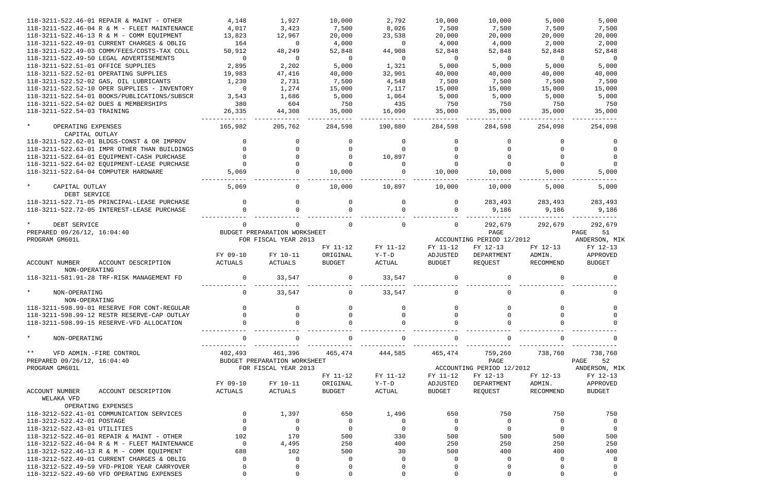| 118-3211-522.46-01 REPAIR & MAINT - OTHER                     | 4,148       | 1,927                        | 10,000        | 2,792        | 10,000        | 10,000                    | 5,000        | 5,000          |
|---------------------------------------------------------------|-------------|------------------------------|---------------|--------------|---------------|---------------------------|--------------|----------------|
| 118-3211-522.46-04 R & M - FLEET MAINTENANCE                  | 4,017       | 3,423                        | 7,500         | 8,026        | 7,500         | 7,500                     | 7,500        | 7,500          |
| 118-3211-522.46-13 R & M - COMM EQUIPMENT                     | 13,823      | 12,967                       | 20,000        | 23,538       | 20,000        | 20,000                    | 20,000       | 20,000         |
| 118-3211-522.49-01 CURRENT CHARGES & OBLIG                    | 164         | $\Omega$                     | 4,000         | $\Omega$     | 4,000         | 4,000                     | 2,000        | 2,000          |
| 118-3211-522.49-03 COMM/FEES/COSTS-TAX COLL                   | 50,912      | 48,249                       | 52,848        | 44,908       | 52,848        | 52,848                    | 52,848       | 52,848         |
| 118-3211-522.49-50 LEGAL ADVERTISEMENTS                       | $\mathbf 0$ | $\Omega$                     | $\Omega$      | $\Omega$     | $\Omega$      | $\Omega$                  | $\Omega$     | $\overline{0}$ |
| 118-3211-522.51-01 OFFICE SUPPLIES                            | 2,895       | 2,202                        | 5,000         | 1,321        | 5,000         | 5,000                     | 5,000        | 5,000          |
| 118-3211-522.52-01 OPERATING SUPPLIES                         | 19,983      | 47,416                       | 40,000        | 32,901       | 40,000        | 40,000                    | 40,000       | 40,000         |
|                                                               |             |                              |               |              |               |                           |              |                |
| 118-3211-522.52-02 GAS, OIL LUBRICANTS                        | 1,230       | 2,731                        | 7,500         | 4,548        | 7,500         | 7,500                     | 7,500        | 7,500          |
| 118-3211-522.52-10 OPER SUPPLIES - INVENTORY                  | $\mathbf 0$ | 1,274                        | 15,000        | 7,117        | 15,000        | 15,000                    | 15,000       | 15,000         |
| 118-3211-522.54-01 BOOKS/PUBLICATIONS/SUBSCR                  | 3,543       | 1,686                        | 5,000         | 1,064        | 5,000         | 5,000                     | 5,000        | 5,000          |
| 118-3211-522.54-02 DUES & MEMBERSHIPS                         | 380         | 604                          | 750           | 435          | 750           | 750                       | 750          | 750            |
| 118-3211-522.54-03 TRAINING                                   | 26,335      | 44,308                       | 35,000        | 16,090       | 35,000        | 35,000                    | 35,000       | 35,000         |
| $\star$<br>OPERATING EXPENSES<br>CAPITAL OUTLAY               | 165,982     | 205,762                      | 284,598       | 190,880      | 284,598       | 284,598                   | 254,098      | 254,098        |
| 118-3211-522.62-01 BLDGS-CONST & OR IMPROV                    | $\Omega$    | 0                            |               | $\Omega$     | $\Omega$      |                           | <sup>n</sup> | $\Omega$       |
| 118-3211-522.63-01 IMPR OTHER THAN BUILDINGS                  |             |                              |               | $\cap$       |               |                           |              |                |
| 118-3211-522.64-01 EQUIPMENT-CASH PURCHASE                    |             |                              |               | 10,897       |               |                           |              |                |
| 118-3211-522.64-02 EQUIPMENT-LEASE PURCHASE                   | $\Omega$    |                              |               | $\Omega$     |               |                           | $\Omega$     |                |
| 118-3211-522.64-04 COMPUTER HARDWARE                          | 5,069       |                              | 10,000        | $\Omega$     | 10,000        | 10,000                    | 5,000        | 5,000          |
|                                                               |             |                              |               |              |               |                           |              |                |
| $\star$<br>CAPITAL OUTLAY<br>DEBT SERVICE                     | 5,069       | 0                            | 10,000        | 10,897       | 10,000        | 10,000                    | 5,000        | 5,000          |
| 118-3211-522.71-05 PRINCIPAL-LEASE PURCHASE                   |             |                              |               | $\Omega$     | $\Omega$      | 283,493                   | 283,493      | 283,493        |
| 118-3211-522.72-05 INTEREST-LEASE PURCHASE                    |             |                              |               |              |               | 9,186                     | 9,186        | 9,186          |
| DEBT SERVICE                                                  | $\Omega$    |                              |               | $\mathbf 0$  | 0             | 292,679                   | 292,679      | 292,679        |
| PREPARED 09/26/12, 16:04:40                                   |             | BUDGET PREPARATION WORKSHEET |               |              |               | PAGE                      |              | PAGE<br>51     |
|                                                               |             |                              |               |              |               |                           |              |                |
| PROGRAM GM601L                                                |             | FOR FISCAL YEAR 2013         |               |              |               | ACCOUNTING PERIOD 12/2012 |              | ANDERSON, MIK  |
|                                                               |             |                              | FY 11-12      | FY 11-12     | FY 11-12      | FY 12-13                  | FY 12-13     | FY 12-13       |
|                                                               | FY 09-10    | FY 10-11                     | ORIGINAL      | $Y-T-D$      | ADJUSTED      | DEPARTMENT                | ADMIN.       | APPROVED       |
| <b>ACCOUNT NUMBER</b><br>ACCOUNT DESCRIPTION<br>NON-OPERATING | ACTUALS     | ACTUALS                      | <b>BUDGET</b> | ACTUAL       | <b>BUDGET</b> | REQUEST                   | RECOMMEND    | <b>BUDGET</b>  |
| 118-3211-581.91-28 TRF-RISK MANAGEMENT FD                     |             | 33,547                       |               | 33,547       |               | $\Omega$                  |              |                |
|                                                               |             |                              |               |              |               |                           |              |                |
| $\star$<br>NON-OPERATING                                      | $\mathbf 0$ | 33,547                       | 0             | 33,547       | 0             | 0                         |              | $\Omega$       |
| NON-OPERATING                                                 |             |                              |               |              |               |                           |              |                |
| 118-3211-598.99-01 RESERVE FOR CONT-REGULAR                   |             |                              |               |              |               |                           |              |                |
| 118-3211-598.99-12 RESTR RESERVE-CAP OUTLAY                   |             | <sup>n</sup>                 |               | $\Omega$     |               |                           |              |                |
| 118-3211-598.99-15 RESERVE-VFD ALLOCATION                     |             |                              |               | <sup>0</sup> |               |                           |              |                |
|                                                               |             |                              |               |              |               |                           |              |                |
| $\star$<br>NON-OPERATING                                      | $\Omega$    |                              |               | 0            |               | $\Omega$                  |              |                |
| $***$<br>VFD ADMIN.-FIRE CONTROL                              | 402,493     | 461,396                      | 465,474       | 444,585      | 465,474       | 759,260                   | 738,760      | 738,760        |
| PREPARED 09/26/12, 16:04:40                                   |             | BUDGET PREPARATION WORKSHEET |               |              |               | PAGE                      |              | 52<br>PAGE     |
| PROGRAM GM601L                                                |             | FOR FISCAL YEAR 2013         |               |              |               | ACCOUNTING PERIOD 12/2012 |              | ANDERSON, MIK  |
|                                                               |             |                              | FY 11-12      | FY 11-12     | FY 11-12      | FY 12-13                  | FY 12-13     | FY 12-13       |
|                                                               | FY 09-10    | FY 10-11                     | ORIGINAL      | $Y-T-D$      | ADJUSTED      | DEPARTMENT                | ADMIN.       | APPROVED       |
| <b>ACCOUNT NUMBER</b><br>ACCOUNT DESCRIPTION                  | ACTUALS     | ACTUALS                      | <b>BUDGET</b> | ACTUAL       | <b>BUDGET</b> | REQUEST                   | RECOMMEND    | <b>BUDGET</b>  |
| WELAKA VFD                                                    |             |                              |               |              |               |                           |              |                |
| OPERATING EXPENSES                                            |             |                              |               |              |               |                           |              |                |
| 118-3212-522.41-01 COMMUNICATION SERVICES                     | $\Omega$    | 1,397                        | 650           | 1,496        | 650           | 750                       | 750          | 750            |
| 118-3212-522.42-01 POSTAGE                                    |             | 0                            | $\Omega$      | $\Omega$     | $\Omega$      | $\Omega$                  | $\Omega$     | $\overline{0}$ |
|                                                               |             | $\Omega$                     | $\Omega$      |              |               |                           | $\Omega$     |                |
| 118-3212-522.43-01 UTILITIES                                  |             |                              |               | $\Omega$     | $\Omega$      | $\Omega$                  |              | $\overline{0}$ |
| 118-3212-522.46-01 REPAIR & MAINT - OTHER                     | 102         | 170                          | 500           | 330          | 500           | 500                       | 500          | 500            |
| 118-3212-522.46-04 R & M - FLEET MAINTENANCE                  | $\Omega$    | 4,495                        | 250           | 400          | 250           | 250                       | 250          | 250            |
| 118-3212-522.46-13 R & M - COMM EQUIPMENT                     | 688         | 102                          | 500           | 30           | 500           | 400                       | 400          | 400            |
| 118-3212-522.49-01 CURRENT CHARGES & OBLIG                    | $\Omega$    | $\Omega$                     |               | $\Omega$     | $\Omega$      | O                         | <sup>0</sup> | $\Omega$       |
| 118-3212-522.49-59 VFD-PRIOR YEAR CARRYOVER                   |             | 0                            |               | 0            | $\Omega$      |                           |              |                |
| 118-3212-522.49-60 VFD OPERATING EXPENSES                     |             | 0                            |               | $\Omega$     | 0             | $\Omega$                  |              | $\mathbf 0$    |

|                       | 254,098                                                     | 5<br>$\overline{7}$ | ,000<br>7,500<br>20,000<br>2,000<br>52,848<br>5,000<br>40,000<br>, 500<br>15,000<br>5,000<br>750<br>35,000<br>------ | $\mathbf 0$                   |
|-----------------------|-------------------------------------------------------------|---------------------|----------------------------------------------------------------------------------------------------------------------|-------------------------------|
|                       |                                                             |                     | 5,000<br>.<br>5,000                                                                                                  | 0<br>0<br>$\overline{0}$<br>0 |
| PAGE<br>ANDERSON,     | 283,493<br>292,679<br>FY 12-13<br>APPROVED<br><b>BUDGET</b> |                     | 9,186<br>-----<br>51                                                                                                 | MIK                           |
|                       |                                                             |                     |                                                                                                                      | 0<br>U                        |
| PAGE<br>ANDERSON, MIK | FY 12-13<br>APPROVED                                        |                     | 738,760<br>52                                                                                                        | 0<br>0<br>0<br>0              |
|                       | <b>BUDGET</b>                                               |                     | 750<br>500<br>250<br>400                                                                                             | 0<br>0<br>0<br>0              |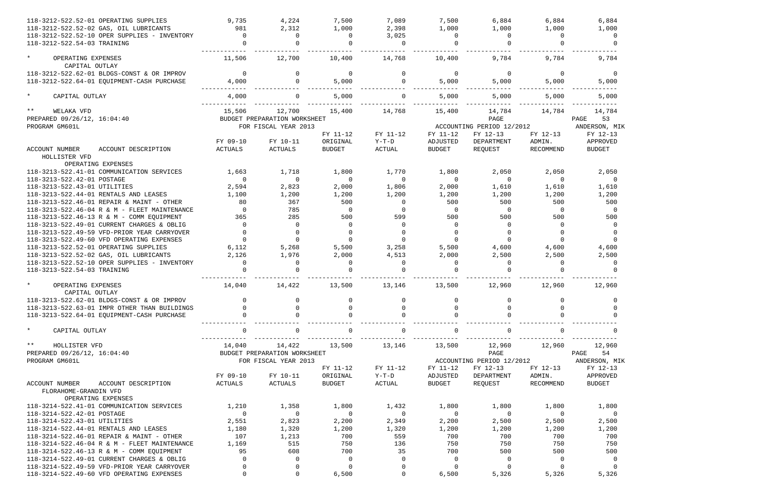| 118-3212-522.52-01 OPERATING SUPPLIES                                                       | 9,735       | 4,224                        | 7,500         | 7,089          | 7,500          | 6,884                     | 6,884     | 6,884          |
|---------------------------------------------------------------------------------------------|-------------|------------------------------|---------------|----------------|----------------|---------------------------|-----------|----------------|
| 118-3212-522.52-02 GAS, OIL LUBRICANTS                                                      | 981         | 2,312                        | 1,000         | 2,398          | 1,000          | 1,000                     | 1,000     | 1,000          |
| 118-3212-522.52-10 OPER SUPPLIES - INVENTORY                                                | $\Omega$    | $\Omega$                     | $\Omega$      | 3,025          | $\Omega$       | $\Omega$                  | $\Omega$  | $\Omega$       |
| 118-3212-522.54-03 TRAINING                                                                 |             |                              |               | $\Omega$       |                |                           |           |                |
| $\star$<br>OPERATING EXPENSES<br>CAPITAL OUTLAY                                             | 11,506      | 12,700                       | 10,400        | 14,768         | 10,400         | 9,784                     | 9,784     | 9,784          |
| 118-3212-522.62-01 BLDGS-CONST & OR IMPROV                                                  | $\Omega$    | $\Omega$                     | $\Omega$      | $\Omega$       | $\Omega$       | $\mathbf 0$               | $\Omega$  | $\Omega$       |
| 118-3212-522.64-01 EQUIPMENT-CASH PURCHASE                                                  | 4,000       | $\Omega$                     | 5,000         | $\Omega$       | 5,000          | 5,000                     | 5,000     | 5,000          |
| $\star$<br>CAPITAL OUTLAY                                                                   | 4,000       |                              | 5,000         | $\Omega$       | 5,000          | 5,000                     | 5,000     | 5,000          |
| $\star\star$<br>WELAKA VFD                                                                  | 15,506      | 12,700                       | 15,400        | 14,768         | 15,400         | 14,784                    | 14,784    | 14,784         |
| PREPARED 09/26/12, 16:04:40                                                                 |             | BUDGET PREPARATION WORKSHEET |               |                |                | PAGE                      |           | 53<br>PAGE     |
| PROGRAM GM601L                                                                              |             | FOR FISCAL YEAR 2013         |               |                |                | ACCOUNTING PERIOD 12/2012 |           | ANDERSON, MIK  |
|                                                                                             |             |                              | FY 11-12      | FY 11-12       | FY 11-12       | FY 12-13                  | FY 12-13  | FY 12-13       |
|                                                                                             | FY 09-10    | FY 10-11                     | ORIGINAL      | $Y-T-D$        | ADJUSTED       | DEPARTMENT                | ADMIN.    | APPROVED       |
| <b>ACCOUNT NUMBER</b><br>ACCOUNT DESCRIPTION                                                | ACTUALS     | ACTUALS                      | <b>BUDGET</b> | ACTUAL         | <b>BUDGET</b>  | REQUEST                   | RECOMMEND | <b>BUDGET</b>  |
| HOLLISTER VFD<br>OPERATING EXPENSES                                                         |             |                              |               |                |                |                           |           |                |
| 118-3213-522.41-01 COMMUNICATION SERVICES                                                   | 1,663       | 1,718                        | 1,800         | 1,770          | 1,800          | 2,050                     | 2,050     | 2,050          |
| 118-3213-522.42-01 POSTAGE                                                                  | $\Omega$    | $\Omega$                     | $\Omega$      | $\Omega$       | $\Omega$       | $\Omega$                  | $\Omega$  | $\overline{0}$ |
| 118-3213-522.43-01 UTILITIES                                                                | 2,594       | 2,823                        | 2,000         | 1,806          | 2,000          | 1,610                     | 1,610     | 1,610          |
| 118-3213-522.44-01 RENTALS AND LEASES                                                       | 1,100       | 1,200                        | 1,200         | 1,200          | 1,200          | 1,200                     | 1,200     | 1,200          |
| 118-3213-522.46-01 REPAIR & MAINT - OTHER                                                   | 80          | 367                          | 500           | $\Omega$       | 500            | 500                       | 500       | 500            |
| 118-3213-522.46-04 R & M - FLEET MAINTENANCE                                                | $\Omega$    | 785                          | $\Omega$      | $\Omega$       | $\Omega$       | $\Omega$                  | $\Omega$  | $\overline{0}$ |
| 118-3213-522.46-13 R & M - COMM EQUIPMENT                                                   | 365         | 285                          | 500           | 599            | 500            | 500                       | 500       | 500            |
| 118-3213-522.49-01 CURRENT CHARGES & OBLIG                                                  | $\Omega$    | $\Omega$                     | $\Omega$      | $\Omega$       | $\Omega$       | $\Omega$                  | $\Omega$  | $\Omega$       |
| 118-3213-522.49-59 VFD-PRIOR YEAR CARRYOVER                                                 | $\Omega$    | $\Omega$                     |               | $\Omega$       | $\Omega$       |                           | $\Omega$  | $\Omega$       |
| 118-3213-522.49-60 VFD OPERATING EXPENSES                                                   | $\Omega$    | $\Omega$                     |               | $\Omega$       | $\Omega$       | $\Omega$                  | $\Omega$  | $\Omega$       |
| 118-3213-522.52-01 OPERATING SUPPLIES                                                       | 6,112       | 5,268                        | 5,500         | 3,258          | 5,500          | 4,600                     | 4,600     | 4,600          |
| 118-3213-522.52-02 GAS, OIL LUBRICANTS                                                      | 2,126       | 1,976                        | 2,000         | 4,513          | 2,000          | 2,500                     | 2,500     | 2,500          |
| 118-3213-522.52-10 OPER SUPPLIES - INVENTORY                                                | $\Omega$    | $\Omega$                     | $\Omega$      | $\Omega$       | $\Omega$       | $\Omega$                  | $\Omega$  | $\Omega$       |
| 118-3213-522.54-03 TRAINING                                                                 |             |                              |               |                |                |                           |           |                |
| $\star$<br>OPERATING EXPENSES<br>CAPITAL OUTLAY                                             | 14,040      | 14,422                       | 13,500        | 13,146         | 13,500         | 12,960                    | 12,960    | 12,960         |
| 118-3213-522.62-01 BLDGS-CONST & OR IMPROV                                                  |             |                              |               |                |                |                           |           |                |
| 118-3213-522.63-01 IMPR OTHER THAN BUILDINGS                                                |             |                              |               |                |                |                           |           |                |
| 118-3213-522.64-01 EQUIPMENT-CASH PURCHASE                                                  |             |                              |               | 0              |                |                           |           |                |
| $\star$<br>CAPITAL OUTLAY                                                                   | 0           | 0                            | $\Omega$      | 0              | 0              | 0                         | 0         |                |
| $\star \star$<br>HOLLISTER VFD                                                              | 14,040      | 14,422                       | 13,500        | 13,146         | 13,500         | 12,960                    | 12,960    | 12,960         |
| PREPARED 09/26/12, 16:04:40                                                                 |             | BUDGET PREPARATION WORKSHEET |               |                |                | PAGE                      |           | 54<br>PAGE     |
| PROGRAM GM601L                                                                              |             | FOR FISCAL YEAR 2013         |               |                |                | ACCOUNTING PERIOD 12/2012 |           | ANDERSON, MIK  |
|                                                                                             |             |                              | FY 11-12      | FY 11-12       | FY 11-12       | FY 12-13                  | FY 12-13  | FY 12-13       |
|                                                                                             | FY 09-10    | FY 10-11                     | ORIGINAL      | Y-T-D          | ADJUSTED       | DEPARTMENT                | ADMIN.    | APPROVED       |
| <b>ACCOUNT NUMBER</b><br>ACCOUNT DESCRIPTION<br>FLORAHOME-GRANDIN VFD<br>OPERATING EXPENSES | ACTUALS     | ACTUALS                      | <b>BUDGET</b> | ACTUAL         | <b>BUDGET</b>  | REQUEST                   | RECOMMEND | <b>BUDGET</b>  |
| 118-3214-522.41-01 COMMUNICATION SERVICES                                                   | 1,210       | 1,358                        | 1,800         | 1,432          | 1,800          | 1,800                     | 1,800     | 1,800          |
| 118-3214-522.42-01 POSTAGE                                                                  | $\mathbf 0$ | 0                            | $\Omega$      | $\overline{0}$ | $\overline{0}$ | $\Omega$                  | $\Omega$  | $\overline{0}$ |
| 118-3214-522.43-01 UTILITIES                                                                | 2,551       | 2,823                        | 2,200         | 2,349          | 2,200          | 2,500                     | 2,500     | 2,500          |
| 118-3214-522.44-01 RENTALS AND LEASES                                                       | 1,180       | 1,320                        | 1,200         | 1,320          | 1,200          | 1,200                     | 1,200     | 1,200          |
| 118-3214-522.46-01 REPAIR & MAINT - OTHER                                                   | 107         | 1,213                        | 700           | 559            | 700            | 700                       | 700       | 700            |
| 118-3214-522.46-04 R & M - FLEET MAINTENANCE                                                | 1,169       | 515                          | 750           | 136            | 750            | 750                       | 750       | 750            |
| 118-3214-522.46-13 R & M - COMM EQUIPMENT                                                   | 95          | 608                          | 700           | 35             | 700            | 500                       | 500       | 500            |
| 118-3214-522.49-01 CURRENT CHARGES & OBLIG                                                  | $\Omega$    | 0                            | 0             | $\Omega$       | $\overline{0}$ | 0                         | $\Omega$  | - 0            |
| 118-3214-522.49-59 VFD-PRIOR YEAR CARRYOVER                                                 | 0           | 0                            | $\Omega$      | $\Omega$       | $\Omega$       |                           |           |                |
| 118-3214-522.49-60 VFD OPERATING EXPENSES                                                   | $\mathbf 0$ | 0                            | 6,500         | $\mathbf 0$    | 6,500          | 5,326                     | 5,326     | 5,326          |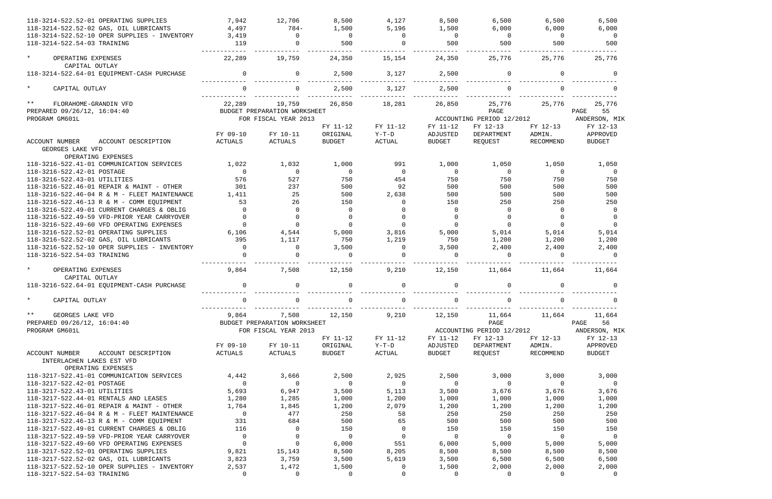| 118-3214-522.52-01 OPERATING SUPPLIES                              | 7,942          | 12,706                       | 8,500          | 4,127          | 8,500                   | 6,500                     | 6,500             | 6,500                   |
|--------------------------------------------------------------------|----------------|------------------------------|----------------|----------------|-------------------------|---------------------------|-------------------|-------------------------|
| 118-3214-522.52-02 GAS, OIL LUBRICANTS                             | 4,497          | $784-$                       | 1,500          | 5,196          | 1,500                   | 6,000                     | 6,000             | 6,000                   |
| 118-3214-522.52-10 OPER SUPPLIES - INVENTORY                       | 3,419          | $\Omega$                     | $\overline{0}$ | $\mathbf 0$    | $\overline{0}$          | $\overline{0}$            | $\overline{0}$    | $\overline{0}$          |
| 118-3214-522.54-03 TRAINING                                        | 119            | $\Omega$                     | 500            | $\Omega$       | 500                     | 500                       | 500               | 500                     |
| $\star$<br>OPERATING EXPENSES<br>CAPITAL OUTLAY                    | 22,289         | 19,759                       | 24,350         | 15,154         | 24,350                  | 25,776                    | 25,776            | 25,776                  |
| 118-3214-522.64-01 EQUIPMENT-CASH PURCHASE                         | $\Omega$       | $\Omega$                     | 2,500          | 3,127          | 2,500                   | $\mathbf 0$               | $\Omega$          | $\Omega$                |
| $\star$<br>CAPITAL OUTLAY                                          |                |                              | 2,500          | 3,127          | 2,500                   |                           |                   |                         |
| $***$<br>FLORAHOME-GRANDIN VFD                                     | 22,289         | 19,759                       | 26,850         | 18,281         | 26,850                  | 25,776                    | 25,776            | 25,776                  |
| PREPARED 09/26/12, 16:04:40                                        |                | BUDGET PREPARATION WORKSHEET |                |                |                         | PAGE                      |                   | 55<br>PAGE              |
| PROGRAM GM601L                                                     |                | FOR FISCAL YEAR 2013         |                |                |                         | ACCOUNTING PERIOD 12/2012 |                   | ANDERSON, MIK           |
|                                                                    |                |                              | FY 11-12       | FY 11-12       | FY 11-12                | FY 12-13                  | FY 12-13          | FY 12-13                |
|                                                                    | FY 09-10       | FY 10-11                     | ORIGINAL       | $Y-T-D$        | ADJUSTED                | DEPARTMENT                | ADMIN.            | APPROVED                |
| <b>ACCOUNT NUMBER</b><br>ACCOUNT DESCRIPTION<br>GEORGES LAKE VFD   | ACTUALS        | ACTUALS                      | <b>BUDGET</b>  | <b>ACTUAL</b>  | <b>BUDGET</b>           | REQUEST                   | RECOMMEND         | <b>BUDGET</b>           |
| OPERATING EXPENSES<br>118-3216-522.41-01 COMMUNICATION SERVICES    | 1,022          |                              | 1,000          | 991            |                         | 1,050                     |                   |                         |
| 118-3216-522.42-01 POSTAGE                                         | $\mathbf 0$    | 1,032<br>$\overline{0}$      | $\overline{0}$ | $\overline{0}$ | 1,000<br>$\overline{0}$ | $\overline{0}$            | 1,050<br>$\Omega$ | 1,050<br>$\overline{0}$ |
| 118-3216-522.43-01 UTILITIES                                       | 576            | 527                          | 750            | 454            | 750                     | 750                       | 750               | 750                     |
| 118-3216-522.46-01 REPAIR & MAINT - OTHER                          | 301            | 237                          | 500            | 92             | 500                     | 500                       | 500               | 500                     |
| 118-3216-522.46-04 R & M - FLEET MAINTENANCE                       | 1,411          | 25                           | 500            | 2,638          | 500                     | 500                       | 500               | 500                     |
| 118-3216-522.46-13 R & M - COMM EQUIPMENT                          | 53             | 26                           | 150            | $\Omega$       | 150                     | 250                       | 250               | 250                     |
| 118-3216-522.49-01 CURRENT CHARGES & OBLIG                         | $\Omega$       | $\Omega$                     | $\mathbf 0$    |                | $\Omega$                | $\mathbf 0$               | $\Omega$          | $\overline{0}$          |
| 118-3216-522.49-59 VFD-PRIOR YEAR CARRYOVER                        |                | $\Omega$                     | 0              |                | $\Omega$                |                           |                   | $\Omega$                |
| 118-3216-522.49-60 VFD OPERATING EXPENSES                          | $\Omega$       | $\Omega$                     | $\Omega$       | $\Omega$       |                         | $\Omega$                  | $\Omega$          |                         |
| 118-3216-522.52-01 OPERATING SUPPLIES                              | 6,106          | 4,544                        | 5,000          | 3,816          | 5,000                   | 5,014                     | 5,014             | 5,014                   |
| 118-3216-522.52-02 GAS, OIL LUBRICANTS                             | 395            | 1,117                        | 750            | 1,219          | 750                     | 1,200                     | 1,200             | 1,200                   |
| 118-3216-522.52-10 OPER SUPPLIES - INVENTORY                       | $\Omega$       | $\Omega$                     | 3,500          | $\overline{0}$ | 3,500                   | 2,400                     | 2,400             | 2,400                   |
| 118-3216-522.54-03 TRAINING                                        |                | $\Omega$                     | $\Omega$       | $\Omega$       |                         | $\Omega$                  | $\cap$            | $\cap$                  |
| $\star$<br>OPERATING EXPENSES                                      | 9,864          | 7,508                        | 12,150         | 9,210          | 12,150                  | 11,664                    | 11,664            | 11,664                  |
| CAPITAL OUTLAY                                                     |                |                              |                |                |                         |                           |                   |                         |
| 118-3216-522.64-01 EQUIPMENT-CASH PURCHASE                         | $\Omega$       | $\Omega$                     | $\Omega$       | $\Omega$       |                         | $\Omega$                  |                   |                         |
| CAPITAL OUTLAY                                                     |                | U                            |                | U              |                         | U                         |                   |                         |
| $***$<br>GEORGES LAKE VFD                                          | 9,864          | 7,508                        | 12,150         | 9,210          | 12,150                  | 11,664                    | 11,664            | 11,664                  |
| PREPARED 09/26/12, 16:04:40                                        |                | BUDGET PREPARATION WORKSHEET |                |                |                         | PAGE                      |                   | 56<br>PAGE              |
| PROGRAM GM601L                                                     |                | FOR FISCAL YEAR 2013         |                |                |                         | ACCOUNTING PERIOD 12/2012 |                   | ANDERSON, MIK           |
|                                                                    |                |                              | FY 11-12       | FY 11-12       | FY 11-12                | FY 12-13                  | FY 12-13          | FY 12-13                |
|                                                                    | FY 09-10       | FY 10-11                     | ORIGINAL       | Y-T-D          | ADJUSTED                | DEPARTMENT                | ADMIN.            | APPROVED                |
| ACCOUNT NUMBER<br>ACCOUNT DESCRIPTION<br>INTERLACHEN LAKES EST VFD | ACTUALS        | ACTUALS                      | <b>BUDGET</b>  | ACTUAL         | BUDGET                  | REQUEST                   | RECOMMEND         | <b>BUDGET</b>           |
| OPERATING EXPENSES<br>118-3217-522.41-01 COMMUNICATION SERVICES    | 4,442          | 3,666                        | 2,500          | 2,925          | 2,500                   | 3,000                     | 3,000             | 3,000                   |
| 118-3217-522.42-01 POSTAGE                                         | $\overline{0}$ | $\overline{0}$               | $\overline{0}$ | $\overline{0}$ | $\overline{0}$          | $\overline{0}$            | $\overline{0}$    | $\overline{0}$          |
| 118-3217-522.43-01 UTILITIES                                       | 5,693          | 6,947                        | 3,500          | 5,113          | 3,500                   | 3,676                     | 3,676             | 3,676                   |
| 118-3217-522.44-01 RENTALS AND LEASES                              | 1,280          | 1,285                        | 1,000          | 1,200          | 1,000                   | 1,000                     | 1,000             | 1,000                   |
| 118-3217-522.46-01 REPAIR & MAINT - OTHER                          | 1,764          | 1,845                        | 1,200          | 2,079          | 1,200                   | 1,200                     | 1,200             | 1,200                   |
| 118-3217-522.46-04 R & M - FLEET MAINTENANCE                       | $\mathbf 0$    | 477                          | 250            | 58             | 250                     | 250                       | 250               | 250                     |
| 118-3217-522.46-13 R & M - COMM EQUIPMENT                          | 331            | 684                          | 500            | 65             | 500                     | 500                       | 500               | 500                     |
| 118-3217-522.49-01 CURRENT CHARGES & OBLIG                         | 116            | $\overline{0}$               | 150            | $\overline{0}$ | 150                     | 150                       | 150               | 150                     |
| 118-3217-522.49-59 VFD-PRIOR YEAR CARRYOVER                        | $\overline{0}$ | $\overline{0}$               | $\overline{0}$ | $\overline{0}$ | $\overline{0}$          | $\overline{0}$            | $\overline{0}$    | $\overline{\mathbf{0}}$ |
| 118-3217-522.49-60 VFD OPERATING EXPENSES                          | $\overline{0}$ | $\overline{0}$               | 6,000          | 551            | 6,000                   | 5,000                     | 5,000             | 5,000                   |
| 118-3217-522.52-01 OPERATING SUPPLIES                              | 9,821          | 15,143                       | 8,500          | 8,205          | 8,500                   | 8,500                     | 8,500             | 8,500                   |
| 118-3217-522.52-02 GAS, OIL LUBRICANTS                             | 3,823          | 3,759                        | 3,500          | 5,619          | 3,500                   | 6,500                     | 6,500             | 6,500                   |
| 118-3217-522.52-10 OPER SUPPLIES - INVENTORY                       | 2,537          | 1,472                        | 1,500          | $\overline{0}$ | 1,500                   | 2,000                     | 2,000             | 2,000                   |
| 118-3217-522.54-03 TRAINING                                        | $\mathbf 0$    | $\mathbf{0}$                 | $\mathbf 0$    | 0              | $\Omega$                | 0                         | $\mathbf 0$       | $\overline{0}$          |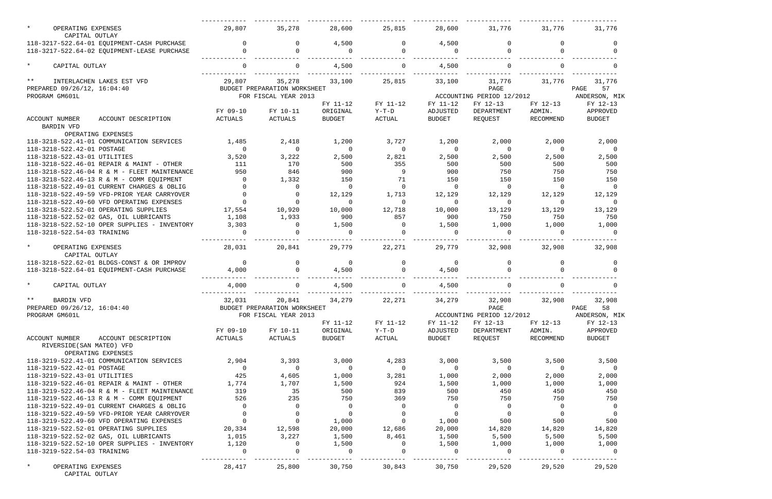| $\star$<br>OPERATING EXPENSES                                                             | 29,807                   | 35,278                                 | 28,600                   | 25,815                     | 28,600                  | 31,776                    | 31,776                          | 31,776                  |
|-------------------------------------------------------------------------------------------|--------------------------|----------------------------------------|--------------------------|----------------------------|-------------------------|---------------------------|---------------------------------|-------------------------|
| CAPITAL OUTLAY                                                                            |                          |                                        |                          |                            |                         |                           |                                 |                         |
| 118-3217-522.64-01 EQUIPMENT-CASH PURCHASE<br>118-3217-522.64-02 EQUIPMENT-LEASE PURCHASE |                          | $\Omega$                               | 4,500                    | $\Omega$<br>$\Omega$       | 4,500                   | $\Omega$<br>$\Omega$      |                                 |                         |
|                                                                                           |                          |                                        | 0                        |                            |                         |                           |                                 |                         |
| $\star$<br>CAPITAL OUTLAY                                                                 | $\Omega$                 | $\Omega$                               | 4,500                    | $\overline{0}$             | 4,500                   | 0                         | $\Omega$                        |                         |
| $***$<br>INTERLACHEN LAKES EST VFD                                                        | 29,807                   | 35,278                                 | 33,100                   | 25,815                     | 33,100                  | 31,776                    | 31,776                          | 31,776                  |
| PREPARED 09/26/12, 16:04:40                                                               |                          | BUDGET PREPARATION WORKSHEET           |                          |                            |                         | PAGE                      |                                 | 57<br>PAGE              |
| PROGRAM GM601L                                                                            |                          | FOR FISCAL YEAR 2013                   |                          |                            |                         | ACCOUNTING PERIOD 12/2012 |                                 | ANDERSON, MIK           |
|                                                                                           |                          |                                        | FY 11-12                 | FY 11-12                   | FY 11-12                | FY 12-13                  | FY 12-13                        | FY 12-13                |
|                                                                                           | FY 09-10                 | FY 10-11                               | ORIGINAL                 | $Y-T-D$                    | ADJUSTED                | DEPARTMENT                | ADMIN.                          | APPROVED                |
| <b>ACCOUNT NUMBER</b><br>ACCOUNT DESCRIPTION<br><b>BARDIN VFD</b>                         | ACTUALS                  | ACTUALS                                | <b>BUDGET</b>            | ACTUAL                     | <b>BUDGET</b>           | REQUEST                   | RECOMMEND                       | <b>BUDGET</b>           |
| OPERATING EXPENSES                                                                        |                          |                                        |                          |                            |                         |                           |                                 |                         |
| 118-3218-522.41-01 COMMUNICATION SERVICES                                                 | 1,485<br>$\Omega$        | 2,418<br>$\Omega$                      | 1,200<br>$\Omega$        | 3,727<br>$\Omega$          | 1,200<br>$\overline{0}$ | 2,000                     | 2,000<br>$\Omega$               | 2,000                   |
| 118-3218-522.42-01 POSTAGE<br>118-3218-522.43-01 UTILITIES                                | 3,520                    | 3,222                                  | 2,500                    | 2,821                      | 2,500                   | $\overline{0}$<br>2,500   | 2,500                           | $\overline{0}$<br>2,500 |
| 118-3218-522.46-01 REPAIR & MAINT - OTHER                                                 | 111                      | 170                                    | 500                      | 355                        | 500                     | 500                       | 500                             | 500                     |
| 118-3218-522.46-04 R & M - FLEET MAINTENANCE                                              | 950                      | 846                                    | 900                      | 9                          | 900                     | 750                       | 750                             | 750                     |
| 118-3218-522.46-13 R & M - COMM EQUIPMENT                                                 | $\overline{0}$           | 1,332                                  | 150                      | 71                         | 150                     | 150                       | 150                             | 150                     |
| 118-3218-522.49-01 CURRENT CHARGES & OBLIG                                                |                          | $\Omega$                               | $\Omega$                 | $\Omega$                   | $\Omega$                | 0                         | $\Omega$                        | $\Omega$                |
| 118-3218-522.49-59 VFD-PRIOR YEAR CARRYOVER                                               |                          | $\Omega$                               | 12,129                   | 1,713                      | 12,129                  | 12,129                    | 12,129                          | 12,129                  |
| 118-3218-522.49-60 VFD OPERATING EXPENSES                                                 |                          | $\Omega$                               | $\Omega$                 | $\Omega$                   | $\Omega$                | $\Omega$                  | $\Omega$                        | $\Omega$                |
| 118-3218-522.52-01 OPERATING SUPPLIES                                                     | 17,554                   | 10,920                                 | 10,000                   | 12,718                     | 10,000                  | 13,129                    | 13,129                          | 13,129                  |
| 118-3218-522.52-02 GAS, OIL LUBRICANTS                                                    | 1,108                    | 1,933                                  | 900                      | 857                        | 900                     | 750                       | 750                             | 750                     |
| 118-3218-522.52-10 OPER SUPPLIES - INVENTORY                                              | 3,303                    | $\Omega$                               | 1,500                    | $\Omega$                   | 1,500                   | 1,000                     | 1,000                           | 1,000                   |
| 118-3218-522.54-03 TRAINING                                                               |                          |                                        |                          |                            |                         | $\Omega$                  |                                 | $\Omega$                |
| $\star$<br>OPERATING EXPENSES<br>CAPITAL OUTLAY                                           | 28,031                   | 20,841                                 | 29,779                   | 22,271                     | 29,779                  | 32,908                    | 32,908                          | 32,908                  |
| 118-3218-522.62-01 BLDGS-CONST & OR IMPROV                                                | $\overline{0}$           | $\Omega$                               | $\overline{0}$           | $\Omega$                   | $\overline{0}$          | 0                         | $\Omega$                        | 0                       |
| 118-3218-522.64-01 EQUIPMENT-CASH PURCHASE                                                | 4,000                    | $\Omega$                               | 4,500                    | $\Omega$                   | 4,500                   | $\Omega$                  |                                 |                         |
| $\star$<br>CAPITAL OUTLAY                                                                 | 4,000                    |                                        | 4,500                    | $\Omega$                   | 4,500                   | $\Omega$                  |                                 |                         |
| **                                                                                        | 32,031                   |                                        | 34,279                   | 22,271                     |                         |                           | 32,908                          | 32,908                  |
| BARDIN VFD<br>PREPARED 09/26/12, 16:04:40                                                 |                          | 20,841<br>BUDGET PREPARATION WORKSHEET |                          |                            | 34,279                  | 32,908<br>PAGE            |                                 | 58<br>PAGE              |
| PROGRAM GM601L                                                                            |                          | FOR FISCAL YEAR 2013                   |                          |                            |                         | ACCOUNTING PERIOD 12/2012 |                                 | ANDERSON, MIK           |
|                                                                                           |                          |                                        | FY 11-12                 | FY 11-12                   | FY 11-12                | FY 12-13                  | FY 12-13                        | FY 12-13                |
|                                                                                           | FY 09-10                 | FY 10-11                               | ORIGINAL                 | $Y-T-D$                    | ADJUSTED                | DEPARTMENT                | ADMIN.                          | APPROVED                |
| ACCOUNT DESCRIPTION<br>ACCOUNT NUMBER<br>RIVERSIDE (SAN MATEO) VFD                        | ACTUALS                  | ACTUALS                                | BUDGET                   | ACTUAL                     | BUDGET                  | REQUEST                   | RECOMMEND                       | BUDGET                  |
| OPERATING EXPENSES                                                                        |                          |                                        |                          |                            |                         |                           |                                 |                         |
| 118-3219-522.41-01 COMMUNICATION SERVICES                                                 | 2,904                    | 3,393                                  | 3,000                    | 4,283                      | 3,000                   | 3,500                     | 3,500                           | 3,500                   |
| 118-3219-522.42-01 POSTAGE                                                                | $\overline{\phantom{0}}$ | $\overline{0}$                         | $\overline{0}$           | $\overline{0}$             | $\overline{0}$          | $\overline{0}$            | $\overline{0}$                  | $\overline{\mathbf{0}}$ |
| 118-3219-522.43-01 UTILITIES                                                              | 425                      | 4,605                                  | 1,000                    | 3,281                      | 1,000                   | 2,000                     | 2,000                           | 2,000                   |
| 118-3219-522.46-01 REPAIR & MAINT - OTHER                                                 | 1,774                    | 1,707                                  | 1,500                    | 924                        | 1,500                   | 1,000                     | 1,000                           | 1,000                   |
| 118-3219-522.46-04 R & M - FLEET MAINTENANCE                                              | 319                      | 35                                     | 500                      | 839                        | 500                     | 450                       | 450                             | 450                     |
| 118-3219-522.46-13 R & M - COMM EQUIPMENT                                                 | 526                      | 235                                    | 750                      | 369                        | 750                     | 750                       | 750                             | 750                     |
| 118-3219-522.49-01 CURRENT CHARGES & OBLIG                                                | $\overline{0}$           | $\overline{0}$                         | $\overline{0}$           | $\overline{0}$             | $\overline{0}$          | $\overline{0}$            | $\overline{0}$                  | $\overline{0}$          |
| 118-3219-522.49-59 VFD-PRIOR YEAR CARRYOVER<br>118-3219-522.49-60 VFD OPERATING EXPENSES  | $\overline{0}$           | $\overline{0}$<br>$\overline{0}$       | $\overline{\phantom{0}}$ | $\Omega$<br>$\overline{0}$ | $\overline{0}$<br>1,000 | $\overline{0}$<br>500     | $\overline{\phantom{0}}$<br>500 | $\overline{0}$<br>500   |
| 118-3219-522.52-01 OPERATING SUPPLIES                                                     | 20,334                   | 12,598                                 | 1,000<br>20,000          | 12,686                     | 20,000                  | 14,820                    | 14,820                          | 14,820                  |
| 118-3219-522.52-02 GAS, OIL LUBRICANTS                                                    | 1,015                    | 3,227                                  | 1,500                    | 8,461                      | 1,500                   | 5,500                     | 5,500                           | 5,500                   |
| 118-3219-522.52-10 OPER SUPPLIES - INVENTORY                                              | 1,120                    | $\overline{0}$                         | 1,500                    | $\overline{0}$             | 1,500                   | 1,000                     | 1,000                           | 1,000                   |
| 118-3219-522.54-03 TRAINING                                                               | $\Omega$                 |                                        | 0                        | $\Omega$                   | $\Omega$                | $\overline{0}$            | $\overline{0}$                  | $\overline{0}$          |
| $\star$<br>OPERATING EXPENSES                                                             | 28,417                   | 25,800                                 | 30,750                   | 30,843                     | 30,750                  | 29,520                    | 29,520                          | 29,520                  |
| CAPITAL OUTLAY                                                                            |                          |                                        |                          |                            |                         |                           |                                 |                         |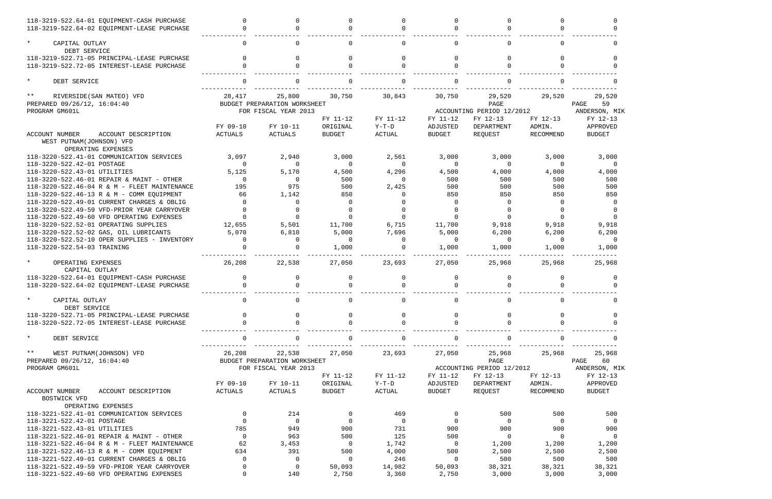| 118-3219-522.64-01 EQUIPMENT-CASH PURCHASE<br>118-3219-522.64-02 EQUIPMENT-LEASE PURCHASE |                |                              |                           | $\Omega$            | $\Omega$                  | $\cap$                                |                     |                           |
|-------------------------------------------------------------------------------------------|----------------|------------------------------|---------------------------|---------------------|---------------------------|---------------------------------------|---------------------|---------------------------|
| $\star$<br>CAPITAL OUTLAY<br>DEBT SERVICE                                                 | $\Omega$       | 0                            |                           | $\Omega$            | $\Omega$                  | 0                                     | $\Omega$            |                           |
| 118-3219-522.71-05 PRINCIPAL-LEASE PURCHASE                                               |                |                              |                           |                     | $\Omega$                  |                                       |                     |                           |
| 118-3219-522.72-05 INTEREST-LEASE PURCHASE                                                |                |                              |                           |                     |                           |                                       |                     |                           |
| $\star$<br>DEBT SERVICE                                                                   |                |                              |                           |                     |                           |                                       |                     |                           |
| $***$<br>RIVERSIDE (SAN MATEO) VFD                                                        | 28,417         | 25,800                       | 30,750                    | 30,843              | 30,750                    | 29,520                                | 29,520              | 29,520                    |
| PREPARED 09/26/12, 16:04:40                                                               |                | BUDGET PREPARATION WORKSHEET |                           |                     |                           | PAGE                                  |                     | PAGE<br>59                |
| PROGRAM GM601L                                                                            |                | FOR FISCAL YEAR 2013         | FY 11-12                  | FY 11-12            | FY 11-12                  | ACCOUNTING PERIOD 12/2012<br>FY 12-13 | FY 12-13            | ANDERSON, MIK<br>FY 12-13 |
|                                                                                           | FY 09-10       | FY 10-11                     | ORIGINAL                  | $Y-T-D$             | ADJUSTED                  | DEPARTMENT                            | ADMIN.              | APPROVED                  |
| <b>ACCOUNT NUMBER</b><br>ACCOUNT DESCRIPTION<br>WEST PUTNAM(JOHNSON) VFD                  | <b>ACTUALS</b> | ACTUALS                      | <b>BUDGET</b>             | ACTUAL              | <b>BUDGET</b>             | REQUEST                               | RECOMMEND           | <b>BUDGET</b>             |
| OPERATING EXPENSES<br>118-3220-522.41-01 COMMUNICATION SERVICES                           | 3,097          |                              | 3,000                     | 2,561               |                           | 3,000                                 |                     |                           |
| 118-3220-522.42-01 POSTAGE                                                                | $\Omega$       | 2,940<br>$\Omega$            | $\Omega$                  | $\Omega$            | 3,000<br>$\Omega$         | $\Omega$                              | 3,000<br>$\Omega$   | 3,000<br>- 0              |
| 118-3220-522.43-01 UTILITIES                                                              | 5,125          | 5,170                        | 4,500                     | 4,296               | 4,500                     | 4,000                                 | 4,000               | 4,000                     |
| 118-3220-522.46-01 REPAIR & MAINT - OTHER                                                 | $\Omega$       | $\Omega$                     | 500                       | $\Omega$            | 500                       | 500                                   | 500                 | 500                       |
| 118-3220-522.46-04 R & M - FLEET MAINTENANCE                                              | 195            | 975                          | 500                       | 2,425               | 500                       | 500                                   | 500                 | 500                       |
| 118-3220-522.46-13 R & M - COMM EQUIPMENT                                                 | 66             | 1,142                        | 850                       | $\Omega$            | 850                       | 850                                   | 850                 | 850                       |
| 118-3220-522.49-01 CURRENT CHARGES & OBLIG                                                |                | <sup>0</sup>                 |                           |                     | $\Omega$                  | $\Omega$                              | $\Omega$            | $\Omega$                  |
| 118-3220-522.49-59 VFD-PRIOR YEAR CARRYOVER                                               |                | <sup>n</sup>                 |                           |                     |                           |                                       | $\Omega$            |                           |
| 118-3220-522.49-60 VFD OPERATING EXPENSES                                                 |                | ∩                            |                           | $\Omega$            |                           |                                       | $\Omega$            |                           |
| 118-3220-522.52-01 OPERATING SUPPLIES                                                     | 12,655         | 5,501                        | 11,700                    | 6,715               | 11,700                    | 9,918                                 | 9,918               | 9,918                     |
| 118-3220-522.52-02 GAS, OIL LUBRICANTS                                                    | 5,070          | 6,810                        | 5,000                     | 7,696               | 5,000                     | 6,200                                 | 6,200               | 6,200                     |
| 118-3220-522.52-10 OPER SUPPLIES - INVENTORY                                              |                | <sup>n</sup>                 | $\Omega$                  | $\Omega$            | $\Omega$                  | $\Omega$                              | $\Omega$            | - 0                       |
| 118-3220-522.54-03 TRAINING                                                               |                |                              | 1,000                     | $\Omega$            | 1,000                     | 1,000                                 | 1,000               | 1,000                     |
| $\star$<br>OPERATING EXPENSES<br>CAPITAL OUTLAY                                           | 26,208         | 22,538                       | 27,050                    | 23,693              | 27,050                    | 25,968                                | 25,968              | 25,968                    |
| 118-3220-522.64-01 EQUIPMENT-CASH PURCHASE                                                | $\mathbf 0$    | $\Omega$                     | $\Omega$                  | 0                   | $\Omega$                  | $\Omega$                              | 0                   | $\Omega$                  |
| 118-3220-522.64-02 EQUIPMENT-LEASE PURCHASE                                               |                |                              |                           |                     |                           |                                       |                     |                           |
| CAPITAL OUTLAY<br>DEBT SERVICE                                                            |                |                              |                           |                     |                           |                                       |                     |                           |
| 118-3220-522.71-05 PRINCIPAL-LEASE PURCHASE                                               |                |                              |                           | <sup>0</sup>        |                           |                                       |                     |                           |
| 118-3220-522.72-05 INTEREST-LEASE PURCHASE                                                |                |                              |                           |                     |                           |                                       |                     |                           |
| $\star$<br>DEBT SERVICE                                                                   | 0              | 0                            |                           | 0                   | $\Omega$                  | 0                                     | 0                   |                           |
| $\star\star$<br>WEST PUTNAM (JOHNSON) VFD                                                 | 26,208         | 22,538                       | 27,050                    | 23,693              | 27,050                    | 25,968                                | 25,968              | 25,968                    |
| PREPARED 09/26/12, 16:04:40                                                               |                | BUDGET PREPARATION WORKSHEET |                           |                     |                           | PAGE                                  |                     | PAGE<br>60                |
| PROGRAM GM601L                                                                            |                | FOR FISCAL YEAR 2013         |                           |                     |                           | ACCOUNTING PERIOD 12/2012             |                     | ANDERSON, MIK             |
|                                                                                           | FY 09-10       | FY 10-11                     | FY 11-12                  | FY 11-12<br>$Y-T-D$ | FY 11-12                  | FY 12-13                              | FY 12-13            | FY 12-13                  |
| ACCOUNT DESCRIPTION<br>ACCOUNT NUMBER                                                     | ACTUALS        | ACTUALS                      | ORIGINAL<br><b>BUDGET</b> | ACTUAL              | ADJUSTED<br><b>BUDGET</b> | DEPARTMENT<br>REQUEST                 | ADMIN.<br>RECOMMEND | APPROVED<br><b>BUDGET</b> |
| BOSTWICK VFD                                                                              |                |                              |                           |                     |                           |                                       |                     |                           |
| OPERATING EXPENSES                                                                        |                |                              |                           |                     |                           |                                       |                     |                           |
| 118-3221-522.41-01 COMMUNICATION SERVICES                                                 | $\Omega$       | 214                          | 0                         | 469                 | $\Omega$                  | 500                                   | 500                 | 500                       |
| 118-3221-522.42-01 POSTAGE                                                                |                | $\overline{0}$               | $\Omega$                  | $\overline{0}$      | $\Omega$                  | 0                                     | $\Omega$            | - 0                       |
| 118-3221-522.43-01 UTILITIES                                                              | 785            | 949                          | 900                       | 731                 | 900                       | 900                                   | 900                 | 900                       |
| 118-3221-522.46-01 REPAIR & MAINT - OTHER                                                 | $\overline{0}$ | 963                          | 500                       | 125                 | 500                       | 0                                     | $\Omega$            | $\overline{0}$            |
| 118-3221-522.46-04 R & M - FLEET MAINTENANCE                                              | 62             | 3,453                        | 0                         | 1,742               | $\overline{0}$            | 1,200                                 | 1,200               | 1,200                     |
| 118-3221-522.46-13 R & M - COMM EQUIPMENT                                                 | 634            | 391                          | 500                       | 4,000               | 500                       | 2,500                                 | 2,500               | 2,500                     |
| 118-3221-522.49-01 CURRENT CHARGES & OBLIG                                                | $\mathbf 0$    | $\Omega$                     | - 0                       | 246                 | $\overline{0}$            | 500                                   | 500                 | 500                       |
| 118-3221-522.49-59 VFD-PRIOR YEAR CARRYOVER                                               | 0              | 0                            | 50,093                    | 14,982              | 50,093                    | 38,321                                | 38,321              | 38,321                    |
| 118-3221-522.49-60 VFD OPERATING EXPENSES                                                 | $\Omega$       | 140                          | 2,750                     | 3,360               | 2,750                     | 3,000                                 | 3,000               | 3,000                     |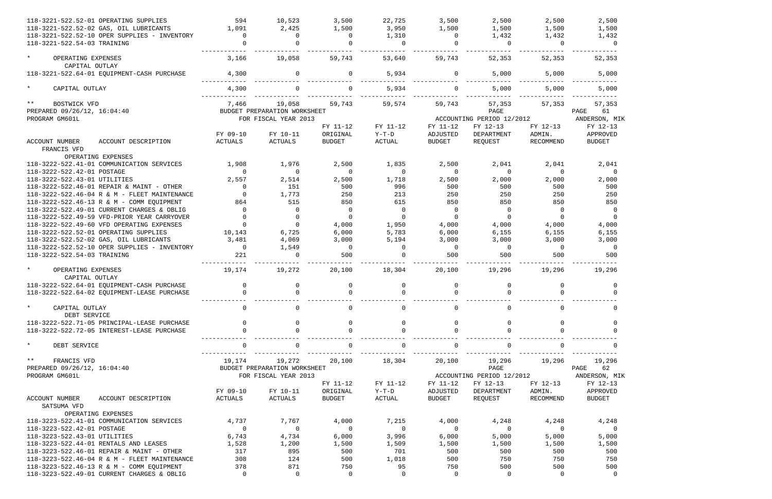| 118-3221-522.52-01 OPERATING SUPPLIES                                   | 594               | 10,523                       | 3,500             | 22,725            | 3,500             | 2,500                     | 2,500             | 2,500                |
|-------------------------------------------------------------------------|-------------------|------------------------------|-------------------|-------------------|-------------------|---------------------------|-------------------|----------------------|
| 118-3221-522.52-02 GAS, OIL LUBRICANTS                                  | 1,091             | 2,425                        | 1,500             | 3,950             | 1,500             | 1,500                     | 1,500             | 1,500                |
| 118-3221-522.52-10 OPER SUPPLIES - INVENTORY                            | $\Omega$          | $\Omega$                     | $\Omega$          | 1,310             | $\Omega$          | 1,432                     | 1,432             | 1,432                |
| 118-3221-522.54-03 TRAINING                                             |                   |                              |                   | $\Omega$          |                   | $\Omega$                  | $\Omega$          | $\overline{0}$       |
| $\star$<br>OPERATING EXPENSES                                           | 3,166             | 19,058                       | 59,743            | 53,640            | 59,743            | 52,353                    | 52,353            | 52,353               |
| CAPITAL OUTLAY                                                          |                   |                              |                   |                   |                   |                           |                   |                      |
| 118-3221-522.64-01 EQUIPMENT-CASH PURCHASE                              | 4,300             | 0                            |                   | 5,934             | $\Omega$          | 5,000                     | 5,000             | 5,000                |
| $\star$<br>CAPITAL OUTLAY                                               | 4,300             |                              |                   | 5,934             | $\Omega$          | 5,000                     | 5,000             | 5,000                |
| $* *$<br>BOSTWICK VFD<br>PREPARED 09/26/12, 16:04:40                    | 7,466             | 19,058                       | 59,743            | 59,574            | 59,743            | 57,353<br>PAGE            | 57,353            | 57,353<br>61<br>PAGE |
|                                                                         |                   | BUDGET PREPARATION WORKSHEET |                   |                   |                   |                           |                   |                      |
| PROGRAM GM601L                                                          |                   | FOR FISCAL YEAR 2013         |                   |                   |                   | ACCOUNTING PERIOD 12/2012 |                   | ANDERSON, MIK        |
|                                                                         |                   |                              | FY 11-12          | FY 11-12          | FY 11-12          | FY 12-13                  | FY 12-13          | FY 12-13             |
|                                                                         | FY 09-10          | FY 10-11                     | ORIGINAL          | $\verb Y-T-D $    | ADJUSTED          | DEPARTMENT                | ADMIN.            | APPROVED             |
| ACCOUNT NUMBER<br>ACCOUNT DESCRIPTION<br>FRANCIS VFD                    | <b>ACTUALS</b>    | ACTUALS                      | <b>BUDGET</b>     | ACTUAL            | <b>BUDGET</b>     | REQUEST                   | RECOMMEND         | <b>BUDGET</b>        |
| OPERATING EXPENSES                                                      |                   |                              |                   |                   |                   |                           |                   |                      |
| 118-3222-522.41-01 COMMUNICATION SERVICES<br>118-3222-522.42-01 POSTAGE | 1,908<br>$\Omega$ | 1,976<br>$\Omega$            | 2,500<br>$\Omega$ | 1,835<br>$\Omega$ | 2,500<br>$\Omega$ | 2,041<br>$\overline{0}$   | 2,041<br>$\Omega$ | 2,041<br>$\Omega$    |
| 118-3222-522.43-01 UTILITIES                                            | 2,557             | 2,514                        | 2,500             | 1,718             | 2,500             | 2,000                     | 2,000             | 2,000                |
| 118-3222-522.46-01 REPAIR & MAINT - OTHER                               | $\Omega$          | 151                          | 500               | 996               | 500               | 500                       | 500               | 500                  |
|                                                                         |                   |                              |                   | 213               |                   |                           |                   |                      |
| 118-3222-522.46-04 R & M - FLEET MAINTENANCE                            |                   | 1,773                        | 250               |                   | 250               | 250                       | 250               | 250                  |
| 118-3222-522.46-13 R & M - COMM EQUIPMENT                               | 864               | 515                          | 850               | 615               | 850               | 850                       | 850               | 850                  |
| 118-3222-522.49-01 CURRENT CHARGES & OBLIG                              | $\Omega$          | $\Omega$                     | $\Omega$          | $\Omega$          | $\overline{0}$    | $\mathbf 0$               | $\Omega$          | $\overline{0}$       |
| 118-3222-522.49-59 VFD-PRIOR YEAR CARRYOVER                             |                   | $\Omega$                     | $\Omega$          | $\Omega$          | $\Omega$          | $\Omega$                  | $\Omega$          | $\Omega$             |
| 118-3222-522.49-60 VFD OPERATING EXPENSES                               |                   | $\Omega$                     | 4,000             | 1,950             | 4,000             | 4,000                     | 4,000             | 4,000                |
| 118-3222-522.52-01 OPERATING SUPPLIES                                   | 10,143            | 6,725                        | 6,000             | 5,783             | 6,000             | 6,155                     | 6,155             | 6,155                |
| 118-3222-522.52-02 GAS, OIL LUBRICANTS                                  | 3,481             | 4,069                        | 3,000             | 5,194             | 3,000             | 3,000                     | 3,000             | 3,000                |
| 118-3222-522.52-10 OPER SUPPLIES - INVENTORY                            | $\overline{0}$    | 1,549                        | $\Omega$          | 0                 | $\Omega$          | $\overline{0}$            | $\Omega$          | $\overline{0}$       |
| 118-3222-522.54-03 TRAINING                                             | 221               |                              | 500               |                   | 500               | 500                       | 500               | 500                  |
| $\star$<br>OPERATING EXPENSES<br>CAPITAL OUTLAY                         | 19,174            | 19,272                       | 20,100            | 18,304            | 20,100            | 19,296                    | 19,296            | 19,296               |
| 118-3222-522.64-01 EQUIPMENT-CASH PURCHASE                              | $\mathbf 0$       |                              |                   | 0                 | $\Omega$          |                           | 0                 | $\Omega$             |
| 118-3222-522.64-02 EQUIPMENT-LEASE PURCHASE                             | $\Omega$          |                              |                   | $\Omega$          |                   | $\Omega$                  |                   | $\Omega$             |
|                                                                         |                   |                              |                   |                   |                   |                           |                   |                      |
| $\star$<br>CAPITAL OUTLAY<br>DEBT SERVICE                               | 0                 |                              |                   | 0                 |                   | 0                         | 0                 | $\Omega$             |
| 118-3222-522.71-05 PRINCIPAL-LEASE PURCHASE                             |                   |                              |                   | $\Omega$          | $\Omega$          | $\Omega$                  |                   |                      |
| 118-3222-522.72-05 INTEREST-LEASE PURCHASE                              |                   |                              |                   | $\Omega$          |                   | $\Omega$                  |                   |                      |
| $\star$<br>DEBT SERVICE                                                 | $\Omega$          |                              |                   | 0                 |                   | $\Omega$                  | 0                 |                      |
| $***$<br>FRANCIS VFD                                                    | 19,174            | 19,272                       | 20,100            | 18,304            | 20,100            | 19,296                    | 19,296            | 19,296               |
| PREPARED 09/26/12, 16:04:40                                             |                   | BUDGET PREPARATION WORKSHEET |                   |                   |                   | PAGE                      |                   | PAGE<br>62           |
| PROGRAM GM601L                                                          |                   | FOR FISCAL YEAR 2013         |                   |                   |                   | ACCOUNTING PERIOD 12/2012 |                   | ANDERSON, MIK        |
|                                                                         |                   |                              | FY 11-12          | FY 11-12          | FY 11-12          | FY 12-13                  | FY 12-13          | FY 12-13             |
|                                                                         | FY 09-10          | FY 10-11                     | ORIGINAL          | $Y-T-D$           | ADJUSTED          | DEPARTMENT                | ADMIN.            | APPROVED             |
| <b>ACCOUNT NUMBER</b><br>ACCOUNT DESCRIPTION<br>SATSUMA VFD             | ACTUALS           | ACTUALS                      | <b>BUDGET</b>     | ACTUAL            | <b>BUDGET</b>     | REQUEST                   | RECOMMEND         | <b>BUDGET</b>        |
| OPERATING EXPENSES                                                      |                   |                              |                   |                   |                   |                           |                   |                      |
| 118-3223-522.41-01 COMMUNICATION SERVICES                               | 4,737             | 7,767                        | 4,000             | 7,215             | 4,000             | 4,248                     | 4,248             | 4,248                |
| 118-3223-522.42-01 POSTAGE                                              | $\overline{0}$    | 0                            | $\Omega$          | $\overline{0}$    | $\Omega$          | $\Omega$                  | $\Omega$          | - 0                  |
| 118-3223-522.43-01 UTILITIES                                            | 6,743             | 4,734                        | 6,000             | 3,996             | 6,000             | 5,000                     | 5,000             | 5,000                |
| 118-3223-522.44-01 RENTALS AND LEASES                                   | 1,528             | 1,200                        | 1,500             | 1,509             | 1,500             | 1,500                     | 1,500             | 1,500                |
| 118-3223-522.46-01 REPAIR & MAINT - OTHER                               | 317               | 895                          | 500               | 701               | 500               | 500                       | 500               | 500                  |
| 118-3223-522.46-04 R & M - FLEET MAINTENANCE                            | 308               | 124                          | 500               | 1,018             | 500               | 750                       | 750               | 750                  |
|                                                                         | 378               | 871                          |                   |                   |                   |                           |                   |                      |
| 118-3223-522.46-13 R & M - COMM EQUIPMENT                               |                   |                              | 750               | 95                | 750               | 500                       | 500               | 500                  |
| 118-3223-522.49-01 CURRENT CHARGES & OBLIG                              | $\overline{0}$    | 0                            | 0                 | $\mathbf 0$       | $\overline{0}$    | 0                         | $\mathbf 0$       | $\overline{0}$       |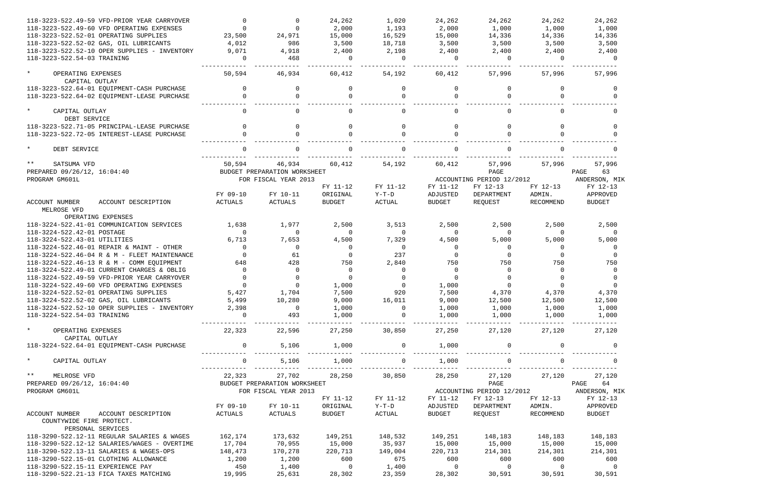| 118-3223-522.49-59 VFD-PRIOR YEAR CARRYOVER                 |                |                              | 24,262                  | 1,020          | 24,262         | 24,262                    | 24,262      | 24,262                                  |
|-------------------------------------------------------------|----------------|------------------------------|-------------------------|----------------|----------------|---------------------------|-------------|-----------------------------------------|
| 118-3223-522.49-60 VFD OPERATING EXPENSES                   |                |                              | 2,000                   | 1,193          | 2,000          | 1,000                     | 1,000       | 1,000                                   |
| 118-3223-522.52-01 OPERATING SUPPLIES                       | 23,500         | 24,971                       | 15,000                  | 16,529         | 15,000         | 14,336                    | 14,336      | 14,336                                  |
| 118-3223-522.52-02 GAS, OIL LUBRICANTS                      | 4,012          | 986                          | 3,500                   | 18,718         | 3,500          | 3,500                     | 3,500       | 3,500                                   |
| 118-3223-522.52-10 OPER SUPPLIES - INVENTORY                | 9,071          | 4,918                        | 2,400                   | 2,198          | 2,400          | 2,400                     | 2,400       | 2,400                                   |
| 118-3223-522.54-03 TRAINING                                 | $\Omega$       | 468                          | $\Omega$                | $\Omega$       | $\cap$         | $\Omega$                  | $\Omega$    | $\cap$                                  |
| $\star$<br>OPERATING EXPENSES<br>CAPITAL OUTLAY             | 50,594         | 46,934                       | 60,412                  | 54,192         | 60,412         | 57,996                    | 57,996      | 57,996                                  |
| 118-3223-522.64-01 EQUIPMENT-CASH PURCHASE                  |                |                              |                         | $\Omega$       |                |                           |             |                                         |
| 118-3223-522.64-02 EQUIPMENT-LEASE PURCHASE                 |                |                              |                         |                |                |                           |             |                                         |
| $\star$<br>CAPITAL OUTLAY<br>DEBT SERVICE                   |                |                              |                         | $\Omega$       |                | $\Omega$                  |             |                                         |
| 118-3223-522.71-05 PRINCIPAL-LEASE PURCHASE                 |                |                              | $\Omega$                | $\Omega$       |                | $\Omega$                  |             |                                         |
| 118-3223-522.72-05 INTEREST-LEASE PURCHASE                  |                |                              |                         |                |                |                           |             |                                         |
| $\star$<br>DEBT SERVICE                                     |                |                              |                         |                |                |                           |             |                                         |
| $***$<br>SATSUMA VFD                                        | 50,594         | 46,934                       | 60,412                  | 54,192         | 60,412         | 57,996                    | 57,996      | 57,996                                  |
| PREPARED 09/26/12, 16:04:40                                 |                | BUDGET PREPARATION WORKSHEET |                         |                |                | PAGE                      |             | PAGE<br>63                              |
| PROGRAM GM601L                                              |                | FOR FISCAL YEAR 2013         |                         |                |                | ACCOUNTING PERIOD 12/2012 |             | ANDERSON, MIK                           |
|                                                             |                |                              | FY 11-12                | FY 11-12       | FY 11-12       | FY 12-13                  | FY 12-13    | FY 12-13                                |
|                                                             | FY 09-10       | FY 10-11                     | ORIGINAL                | $Y-T-D$        | ADJUSTED       | DEPARTMENT                | ADMIN.      | APPROVED                                |
| <b>ACCOUNT NUMBER</b><br>ACCOUNT DESCRIPTION<br>MELROSE VFD | ACTUALS        | ACTUALS                      | BUDGET                  | ACTUAL         | <b>BUDGET</b>  | REQUEST                   | RECOMMEND   | <b>BUDGET</b>                           |
| OPERATING EXPENSES                                          |                |                              |                         |                |                |                           |             |                                         |
| 118-3224-522.41-01 COMMUNICATION SERVICES                   | 1,638          | 1,977                        | 2,500                   | 3,513          | 2,500          | 2,500                     | 2,500       | 2,500                                   |
| 118-3224-522.42-01 POSTAGE                                  | $\Omega$       | $\Omega$                     | $\Omega$                | $\Omega$       | $\Omega$       | $\Omega$                  | $\Omega$    |                                         |
| 118-3224-522.43-01 UTILITIES                                | 6,713          | 7,653                        | 4,500                   | 7,329          | 4,500          | 5,000                     | 5,000       | 5,000                                   |
| 118-3224-522.46-01 REPAIR & MAINT - OTHER                   | $\Omega$       | $\Omega$                     | $\Omega$                | $\Omega$       | $\Omega$       | 0                         | $\Omega$    |                                         |
| 118-3224-522.46-04 R & M - FLEET MAINTENANCE                | $\Omega$       | 61                           | $\Omega$                | 237            | $\Omega$       | $\Omega$                  | $\Omega$    |                                         |
| 118-3224-522.46-13 R & M - COMM EQUIPMENT                   | 648            | 428                          | 750                     | 2,840          | 750            | 750                       | 750         | 750                                     |
| 118-3224-522.49-01 CURRENT CHARGES & OBLIG                  | $\Omega$       | $\Omega$                     | $\Omega$                | $\Omega$       | $\Omega$       | $\Omega$                  | $\Omega$    |                                         |
| 118-3224-522.49-59 VFD-PRIOR YEAR CARRYOVER                 |                |                              | $\Omega$                | $\Omega$       |                |                           |             |                                         |
| 118-3224-522.49-60 VFD OPERATING EXPENSES                   |                |                              | 1,000                   | $\overline{0}$ | 1,000          |                           |             |                                         |
| 118-3224-522.52-01 OPERATING SUPPLIES                       | 5,427          | 1,704                        | 7,500                   | 920            | 7,500          | 4,370                     | 4,370       | 4,370                                   |
| 118-3224-522.52-02 GAS, OIL LUBRICANTS 5,499                |                | 10,280                       | 9,000                   | 16,011         | 9,000          | 12,500                    | 12,500      | 12,500                                  |
| 118-3224-522.52-10 OPER SUPPLIES - INVENTORY                | 2,398          | $\overline{0}$               | 1,000                   | $\overline{0}$ | 1,000          | 1,000                     | 1,000       | 1,000                                   |
| 118-3224-522.54-03 TRAINING                                 | $\overline{0}$ | 493                          | 1,000                   | $\overline{0}$ | 1,000          | 1,000                     | 1,000       | 1,000                                   |
| $\star$<br>OPERATING EXPENSES<br>CAPITAL OUTLAY             | 22,323         | 22,596                       | -------------<br>27,250 | 30,850         | 27,250         | 27,120                    | 27,120      | 27,120                                  |
| 118-3224-522.64-01 EQUIPMENT-CASH PURCHASE                  | $\overline{0}$ | 5,106                        | 1,000<br>____________   | $\overline{0}$ | 1,000          | 0                         |             |                                         |
| $\star$<br>CAPITAL OUTLAY                                   | $\overline{0}$ | 5,106                        | 1,000                   | $\overline{0}$ | 1,000          | $\overline{0}$            | $\mathbf 0$ |                                         |
| $\star \star$<br>MELROSE VFD                                | 22,323         | 27,702                       | 28,250                  | 30,850         | 28,250         | 27,120                    | 27,120      | 27,120                                  |
| PREPARED 09/26/12, 16:04:40                                 |                | BUDGET PREPARATION WORKSHEET |                         |                |                | PAGE                      |             | PAGE 64                                 |
| PROGRAM GM601L                                              |                | FOR FISCAL YEAR 2013         |                         |                |                |                           |             | ACCOUNTING PERIOD 12/2012 ANDERSON, MIK |
|                                                             |                |                              | FY 11-12                | FY 11-12       | FY 11-12       | FY 12-13                  | FY 12-13    | FY 12-13                                |
|                                                             | FY 09-10       | FY 10-11                     | ORIGINAL                | Y-T-D          | ADJUSTED       | DEPARTMENT                | ADMIN.      | APPROVED                                |
| ACCOUNT NUMBER<br>ACCOUNT DESCRIPTION                       | ACTUALS        | ACTUALS                      | BUDGET                  | ACTUAL         | BUDGET         | REQUEST                   | RECOMMEND   | BUDGET                                  |
| COUNTYWIDE FIRE PROTECT.<br>PERSONAL SERVICES               |                |                              |                         |                |                |                           |             |                                         |
|                                                             |                |                              |                         |                |                |                           |             |                                         |
| 118-3290-522.12-11 REGULAR SALARIES & WAGES                 | 162,174        | 173,632                      | 149,251                 | 148,532        | 149,251        | 148,183                   | 148,183     | 148,183                                 |
| 118-3290-522.12-12 SALARIES/WAGES - OVERTIME                | 17,704         | 70,955                       | 15,000                  | 35,937         | 15,000         | 15,000                    | 15,000      | 15,000                                  |
| 118-3290-522.13-11 SALARIES & WAGES-OPS                     | 148,473        | 170,278                      | 220,713                 | 149,004        | 220,713        | 214,301                   | 214,301     | 214,301                                 |
| 118-3290-522.15-01 CLOTHING ALLOWANCE                       | 1,200          | 1,200                        | 600                     | 675            | 600            | 600                       | 600         | 600                                     |
| 118-3290-522.15-11 EXPERIENCE PAY                           | 450            | 1,400                        | $\overline{0}$          | 1,400          | $\overline{0}$ | $\overline{0}$            | $\sim$ 0    | $\overline{\phantom{0}}$                |
| 118-3290-522.21-13 FICA TAXES MATCHING                      | 19,995         | 25,631                       | 28,302                  | 23,359         | 28,302         | 30,591                    | 30,591      | 30,591                                  |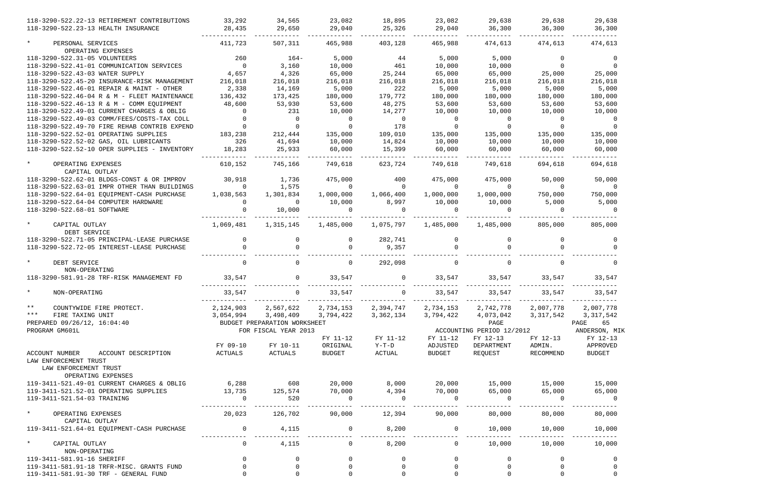| 118-3290-522.22-13 RETIREMENT CONTRIBUTIONS<br>118-3290-522.23-13 HEALTH INSURANCE        | 33,292<br>28,435    | 34,565<br>29,650             | 23,082<br>29,040          | 18,895<br>25,326                                | 23,082<br>29,040   | 29,638<br>36,300              | 29,638<br>36,300    | 29,638<br>36,300          |
|-------------------------------------------------------------------------------------------|---------------------|------------------------------|---------------------------|-------------------------------------------------|--------------------|-------------------------------|---------------------|---------------------------|
| $\star$<br>PERSONAL SERVICES                                                              | 411,723             | 507,311                      | 465,988                   | 403,128                                         | 465,988            | 474,613                       | 474,613             | 474,613                   |
| OPERATING EXPENSES                                                                        |                     |                              |                           |                                                 |                    |                               |                     |                           |
| 118-3290-522.31-05 VOLUNTEERS                                                             | 260                 | $164-$                       | 5,000                     | 44                                              | 5,000              | 5,000                         | $\Omega$            |                           |
| 118-3290-522.41-01 COMMUNICATION SERVICES                                                 | $\overline{0}$      | 3,160                        | 10,000                    | 461                                             | 10,000             | 10,000                        | $\Omega$            |                           |
| 118-3290-522.43-03 WATER SUPPLY                                                           | 4,657               | 4,326                        | 65,000                    | 25,244                                          | 65,000             | 65,000                        | 25,000              | 25,000                    |
| 118-3290-522.45-20 INSURANCE-RISK MANAGEMENT                                              | 216,018             | 216,018                      | 216,018                   | 216,018                                         | 216,018            | 216,018                       | 216,018             | 216,018                   |
| 118-3290-522.46-01 REPAIR & MAINT - OTHER                                                 | 2,338               | 14,169                       | 5,000                     | 222                                             | 5,000              | 5,000                         | 5,000               | 5,000                     |
| 118-3290-522.46-04 R & M - FLEET MAINTENANCE                                              | 136,432             | 173,425                      | 180,000                   | 179,772                                         | 180,000            | 180,000                       | 180,000             | 180,000                   |
| 118-3290-522.46-13 R & M - COMM EQUIPMENT                                                 | 48,600              | 53,930                       | 53,600                    | 48,275                                          | 53,600             | 53,600                        | 53,600              | 53,600                    |
| 118-3290-522.49-01 CURRENT CHARGES & OBLIG                                                |                     | 231                          | 10,000                    | 14,277                                          | 10,000             | 10,000                        | 10,000              | 10,000                    |
| 118-3290-522.49-03 COMM/FEES/COSTS-TAX COLL                                               |                     | <sup>0</sup>                 |                           | $\Omega$                                        |                    | $\Omega$                      | $\Omega$            |                           |
| 118-3290-522.49-70 FIRE REHAB CONTRIB EXPEND                                              |                     |                              |                           | 178                                             |                    |                               | $\Omega$            |                           |
| 118-3290-522.52-01 OPERATING SUPPLIES                                                     | 183,238             | 212,444                      | 135,000                   | 109,010                                         | 135,000            | 135,000                       | 135,000             | 135,000                   |
| 118-3290-522.52-02 GAS, OIL LUBRICANTS                                                    | 326                 | 41,694                       | 10,000                    | 14,824                                          | 10,000             | 10,000                        | 10,000              | 10,000                    |
| 118-3290-522.52-10 OPER SUPPLIES - INVENTORY                                              | 18,283              | 25,933                       | 60,000                    | 15,399                                          | 60,000             | 60,000                        | 60,000              | 60,000                    |
|                                                                                           |                     |                              |                           |                                                 |                    |                               |                     |                           |
| $\star$<br>OPERATING EXPENSES                                                             | 610,152             | 745,166                      | 749,618                   | 623,724                                         | 749,618            | 749,618                       | 694,618             | 694,618                   |
| CAPITAL OUTLAY                                                                            |                     |                              |                           |                                                 |                    |                               |                     |                           |
| 118-3290-522.62-01 BLDGS-CONST & OR IMPROV                                                | 30,918              | 1,736                        | 475,000                   | 400                                             | 475,000            | 475,000                       | 50,000              | 50,000                    |
| 118-3290-522.63-01 IMPR OTHER THAN BUILDINGS                                              | $\Omega$            | 1,575                        | $\Omega$                  | $\Omega$                                        | $\Omega$           | $\Omega$                      | $\Omega$            |                           |
| 118-3290-522.64-01 EQUIPMENT-CASH PURCHASE                                                | 1,038,563           | 1,301,834                    | 1,000,000                 | 1,066,400                                       | 1,000,000          | 1,000,000                     | 750,000             | 750,000                   |
| 118-3290-522.64-04 COMPUTER HARDWARE                                                      |                     | $\Omega$                     | 10,000                    | 8,997                                           | 10,000             | 10,000                        | 5,000               | 5,000                     |
| 118-3290-522.68-01 SOFTWARE                                                               |                     | 10,000                       |                           | $\Omega$                                        |                    | $\cap$                        |                     |                           |
| $\star$<br>CAPITAL OUTLAY                                                                 | 1,069,481           | 1,315,145                    | 1,485,000                 | 1,075,797                                       | 1,485,000          | 1,485,000                     | 805,000             | 805,000                   |
| DEBT SERVICE                                                                              |                     |                              |                           |                                                 |                    |                               |                     |                           |
| 118-3290-522.71-05 PRINCIPAL-LEASE PURCHASE<br>118-3290-522.72-05 INTEREST-LEASE PURCHASE | $\Omega$            |                              |                           | 282,741<br>9,357                                |                    |                               |                     |                           |
| $\star$<br>DEBT SERVICE<br>NON-OPERATING                                                  | $\Omega$            |                              |                           | 292,098                                         |                    | 0                             |                     |                           |
| 118-3290-581.91-28 TRF-RISK MANAGEMENT FD                                                 | 33,547              |                              | 33,547                    | $\mathbf 0$                                     | 33,547             | 33,547                        | 33,547              | 33,547                    |
| NON-OPERATING                                                                             | 33,547              | 0                            | 33,547                    | $\overline{0}$                                  | 33,547             | 33,547                        | 33,547              | 33,547                    |
| $***$                                                                                     |                     |                              |                           |                                                 |                    |                               |                     |                           |
| COUNTYWIDE FIRE PROTECT.<br>$***$                                                         |                     |                              |                           | 2, 124, 903 2, 567, 622 2, 734, 153 2, 394, 747 |                    | 2,734,153 2,742,778 2,007,778 |                     | 2,007,778                 |
| FIRE TAXING UNIT                                                                          | 3,054,994           | 3,498,409                    | 3,794,422                 | 3,362,134                                       | 3,794,422          | 4,073,042                     | 3,317,542           | 3, 317, 542               |
| PREPARED 09/26/12, 16:04:40                                                               |                     | BUDGET PREPARATION WORKSHEET |                           |                                                 |                    | PAGE                          |                     | PAGE 65                   |
| PROGRAM GM601L                                                                            |                     | FOR FISCAL YEAR 2013         |                           |                                                 |                    | ACCOUNTING PERIOD 12/2012     |                     | ANDERSON, MIK             |
|                                                                                           |                     |                              | FY 11-12                  | FY 11-12                                        | FY 11-12           | FY 12-13                      | FY 12-13            | FY 12-13                  |
| ACCOUNT DESCRIPTION<br>ACCOUNT NUMBER                                                     | FY 09-10<br>ACTUALS | FY 10-11<br>ACTUALS          | ORIGINAL<br><b>BUDGET</b> | $Y-T-D$<br>ACTUAL                               | ADJUSTED<br>BUDGET | DEPARTMENT<br>REQUEST         | ADMIN.<br>RECOMMEND | APPROVED<br><b>BUDGET</b> |
| LAW ENFORCEMENT TRUST<br>LAW ENFORCEMENT TRUST                                            |                     |                              |                           |                                                 |                    |                               |                     |                           |
| OPERATING EXPENSES                                                                        |                     |                              |                           |                                                 |                    |                               |                     |                           |
| 119-3411-521.49-01 CURRENT CHARGES & OBLIG                                                | 6,288               | 608                          | 20,000                    | 8,000                                           | 20,000             | 15,000                        | 15,000              | 15,000                    |
| 119-3411-521.52-01 OPERATING SUPPLIES                                                     | 13,735              | 125,574                      | 70,000                    | 4,394                                           | 70,000             | 65,000                        | 65,000              | 65,000                    |
| 119-3411-521.54-03 TRAINING                                                               | $\Omega$            | 520                          | $\overline{0}$            | $\Omega$                                        | $\overline{0}$     | $\overline{0}$                | $\Omega$            | $\overline{0}$            |
| $\star$                                                                                   | 20,023              | 126,702                      | 90,000                    | 12,394                                          | 90,000             | 80,000                        | 80,000              | 80,000                    |
| OPERATING EXPENSES                                                                        |                     |                              |                           |                                                 |                    |                               |                     |                           |
| CAPITAL OUTLAY                                                                            |                     |                              |                           |                                                 |                    |                               |                     |                           |
| 119-3411-521.64-01 EQUIPMENT-CASH PURCHASE                                                | $\overline{0}$      | 4,115                        | $\overline{0}$            | 8,200                                           | $\overline{0}$     | 10,000                        | 10,000              | 10,000                    |
| $\star$<br>CAPITAL OUTLAY                                                                 | $\overline{0}$      | 4,115                        | $\overline{0}$            | 8,200                                           | $\overline{0}$     | 10,000                        | 10,000              | 10,000                    |
| NON-OPERATING                                                                             |                     |                              |                           |                                                 |                    |                               |                     |                           |
| 119-3411-581.91-16 SHERIFF                                                                | 0                   | 0                            |                           | 0                                               | 0                  | 0                             | 0                   | $\overline{0}$            |
| 119-3411-581.91-18 TRFR-MISC. GRANTS FUND                                                 |                     |                              |                           | $\mathbf 0$                                     | 0                  |                               |                     |                           |
| 119-3411-581.91-30 TRF - GENERAL FUND                                                     |                     |                              |                           |                                                 |                    |                               |                     |                           |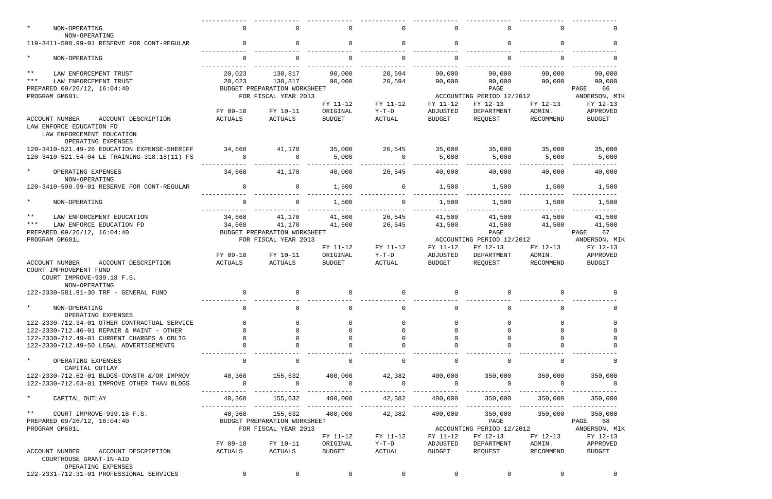| $\star$<br>NON-OPERATING                                                                              | $\mathbf 0$    | $\Omega$                     | $\Omega$                  | $\mathbf{0}$   | $\Omega$       | 0                         | $\Omega$  | $\Omega$                  |
|-------------------------------------------------------------------------------------------------------|----------------|------------------------------|---------------------------|----------------|----------------|---------------------------|-----------|---------------------------|
| NON-OPERATING<br>119-3411-598.99-01 RESERVE FOR CONT-REGULAR                                          | $\Omega$       | 0                            | $\Omega$                  | $\overline{0}$ | $\Omega$       | $\mathbf 0$               | $\Omega$  | $\Omega$                  |
| $\star$<br>NON-OPERATING                                                                              | $\mathbf{0}$   | $\Omega$                     | $\mathbf 0$               | $\mathbf 0$    | $\Omega$       | $\mathbf 0$               | $\Omega$  | $\Omega$                  |
|                                                                                                       |                |                              |                           |                |                |                           |           |                           |
| $***$<br>LAW ENFORCEMENT TRUST                                                                        | 20,023         | 130,817                      | 90,000                    | 20,594         | 90,000         | 90,000                    | 90,000    | 90,000                    |
| $***$<br>LAW ENFORCEMENT TRUST                                                                        | 20,023         | 130,817                      | 90,000                    | 20,594         | 90,000         | 90,000                    | 90,000    | 90,000                    |
| PREPARED 09/26/12, 16:04:40                                                                           |                | BUDGET PREPARATION WORKSHEET |                           |                |                | PAGE                      |           | PAGE<br>66                |
| PROGRAM GM601L                                                                                        |                | FOR FISCAL YEAR 2013         |                           |                |                | ACCOUNTING PERIOD 12/2012 |           | ANDERSON, MIK             |
|                                                                                                       |                |                              | FY 11-12                  | FY 11-12       | FY 11-12       | FY 12-13                  | FY 12-13  | FY 12-13                  |
|                                                                                                       | FY 09-10       | FY 10-11                     |                           | Y-T-D          | ADJUSTED       | DEPARTMENT                | ADMIN.    |                           |
| <b>ACCOUNT NUMBER</b><br>ACCOUNT DESCRIPTION<br>LAW ENFORCE EDUCATION FD<br>LAW ENFORCEMENT EDUCATION | ACTUALS        | ACTUALS                      | ORIGINAL<br><b>BUDGET</b> | ACTUAL         | <b>BUDGET</b>  | REQUEST                   | RECOMMEND | APPROVED<br><b>BUDGET</b> |
| OPERATING EXPENSES                                                                                    |                |                              |                           |                |                |                           |           |                           |
| 120-3410-521.49-26 EDUCATION EXPENSE-SHERIFF                                                          | 34,668         | 41,170                       | 35,000                    | 26,545         | 35,000         | 35,000                    | 35,000    | 35,000                    |
| 120-3410-521.54-04 LE TRAINING-318.18(11) FS                                                          | $\overline{0}$ | $\Omega$                     | 5,000                     | $\overline{0}$ | 5,000          | 5,000                     | 5,000     | 5,000                     |
|                                                                                                       |                |                              |                           |                |                |                           |           |                           |
| $\star$<br>OPERATING EXPENSES<br>NON-OPERATING                                                        | 34,668         | 41,170                       | 40,000                    | 26,545         | 40,000         | 40,000                    | 40,000    | 40,000                    |
| 120-3410-598.99-01 RESERVE FOR CONT-REGULAR                                                           | $\Omega$       | $\Omega$                     | 1,500                     | $\mathbf{0}$   | 1,500          | 1,500                     | 1,500     | 1,500                     |
| $\star$<br>NON-OPERATING                                                                              | $\Omega$       | $\Omega$                     | 1,500                     | $\mathbf{0}$   | 1,500          | 1,500                     | 1,500     | 1,500                     |
| $***$<br>LAW ENFORCEMENT EDUCATION                                                                    | 34,668         | 41,170                       | 41,500                    | 26,545         | 41,500         | 41,500                    | 41,500    | 41,500                    |
| $***$<br>LAW ENFORCE EDUCATION FD                                                                     | 34,668         | 41,170                       | 41,500                    | 26,545         | 41,500         | 41,500                    | 41,500    | 41,500                    |
|                                                                                                       |                |                              |                           |                |                |                           |           |                           |
| PREPARED 09/26/12, 16:04:40                                                                           |                | BUDGET PREPARATION WORKSHEET |                           |                |                | PAGE                      |           | 67<br>PAGE                |
| PROGRAM GM601L                                                                                        |                | FOR FISCAL YEAR 2013         |                           |                |                | ACCOUNTING PERIOD 12/2012 |           | ANDERSON, MIK             |
|                                                                                                       |                |                              | FY 11-12                  | FY 11-12       | FY 11-12       | FY 12-13                  | FY 12-13  | FY 12-13                  |
|                                                                                                       | FY 09-10       | FY 10-11                     | ORIGINAL                  | Y-T-D          | ADJUSTED       | DEPARTMENT                | ADMIN.    | APPROVED                  |
| ACCOUNT DESCRIPTION<br><b>ACCOUNT NUMBER</b><br>COURT IMPROVEMENT FUND                                | ACTUALS        | ACTUALS                      | <b>BUDGET</b>             | ACTUAL         | <b>BUDGET</b>  | REQUEST                   | RECOMMEND | <b>BUDGET</b>             |
| COURT IMPROVE-939.18 F.S.<br>NON-OPERATING                                                            |                |                              |                           |                |                |                           |           |                           |
| 122-2330-581.91-30 TRF - GENERAL FUND                                                                 | $\Omega$       | $\Omega$                     | $\Omega$                  | $\mathbf{0}$   | $\Omega$       | 0                         | $\Omega$  |                           |
| $\star$<br>NON-OPERATING                                                                              |                |                              |                           |                |                |                           |           |                           |
| OPERATING EXPENSES                                                                                    |                |                              |                           |                |                |                           |           |                           |
| 122-2330-712.34-01 OTHER CONTRACTUAL SERVICE                                                          |                |                              |                           |                |                |                           |           |                           |
| 122-2330-712.46-01 REPAIR & MAINT - OTHER                                                             |                |                              |                           |                |                |                           |           |                           |
| 122-2330-712.49-01 CURRENT CHARGES & OBLIG                                                            |                |                              |                           |                |                |                           |           |                           |
| 122-2330-712.49-50 LEGAL ADVERTISEMENTS                                                               |                |                              |                           |                |                |                           |           |                           |
| $\star$<br>OPERATING EXPENSES<br>CAPITAL OUTLAY                                                       | 0              |                              |                           | 0              |                |                           |           |                           |
| 122-2330-712.62-01 BLDGS-CONSTR &/OR IMPROV                                                           | 40,368         | 155,632                      | 400,000                   | 42,382         | 400,000        | 350,000                   | 350,000   | 350,000                   |
| 122-2330-712.63-01 IMPROVE OTHER THAN BLDGS                                                           | $\overline{0}$ | $\overline{0}$               | $\overline{0}$            | $\Omega$       | $\overline{0}$ | $\overline{0}$            | $\Omega$  |                           |
| $\star$<br>CAPITAL OUTLAY                                                                             | 40,368         | 155,632                      | 400,000                   | 42,382         | 400,000        | 350,000                   | 350,000   | 350,000                   |
| $\star \star$<br>COURT IMPROVE-939.18 F.S.                                                            | 40,368         | 155,632                      | 400,000                   | 42,382         | 400,000        | 350,000                   | 350,000   | 350,000                   |
| PREPARED 09/26/12, 16:04:40                                                                           |                | BUDGET PREPARATION WORKSHEET |                           |                |                | PAGE                      |           | PAGE 68                   |
|                                                                                                       |                |                              |                           |                |                | ACCOUNTING PERIOD 12/2012 |           |                           |
| PROGRAM GM601L                                                                                        |                | FOR FISCAL YEAR 2013         |                           |                |                |                           |           | ANDERSON, MIK             |
|                                                                                                       |                |                              | FY 11-12                  | FY 11-12       | FY 11-12       | FY 12-13                  | FY 12-13  | FY 12-13                  |
|                                                                                                       | FY 09-10       | FY 10-11                     | ORIGINAL                  | $Y-T-D$        | ADJUSTED       | DEPARTMENT                | ADMIN.    | APPROVED                  |
| ACCOUNT NUMBER<br>ACCOUNT DESCRIPTION<br>COURTHOUSE GRANT-IN-AID<br>OPERATING EXPENSES                | ACTUALS        | <b>ACTUALS</b>               | BUDGET                    | ACTUAL         | BUDGET         | REQUEST                   | RECOMMEND | BUDGET                    |
| 122-2331-712.31-01 PROFESSIONAL SERVICES                                                              | $\overline{0}$ | $\overline{0}$               | 0                         | $\overline{0}$ | $\Omega$       | $\mathbf 0$               |           |                           |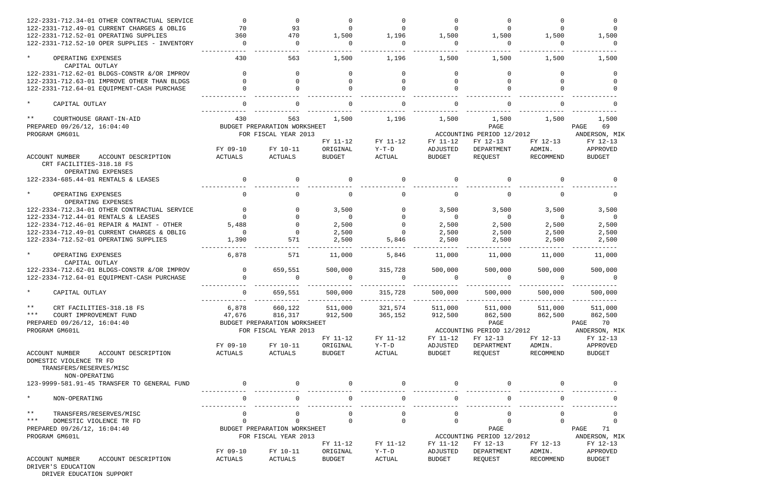| 122-2331-712.34-01 OTHER CONTRACTUAL SERVICE                                                | $\Omega$       | $\Omega$                     | $\Omega$            | $\Omega$       |          | $\Omega$                  |                |                   |
|---------------------------------------------------------------------------------------------|----------------|------------------------------|---------------------|----------------|----------|---------------------------|----------------|-------------------|
| 122-2331-712.49-01 CURRENT CHARGES & OBLIG                                                  | 70             | 93                           | $\Omega$            | $\Omega$       | $\Omega$ | $\Omega$                  | $\Omega$       | $\Omega$          |
| 122-2331-712.52-01 OPERATING SUPPLIES                                                       | 360            | 470                          | 1,500               | 1,196          | 1,500    | 1,500                     | 1,500          | 1,500             |
| 122-2331-712.52-10 OPER SUPPLIES - INVENTORY                                                | $\Omega$       | $\Omega$                     | $\Omega$            | $\Omega$       | $\Omega$ | $\Omega$                  | $\Omega$       | $\Omega$          |
| $\star$<br>OPERATING EXPENSES<br>CAPITAL OUTLAY                                             | 430            | 563                          | 1,500               | 1,196          | 1,500    | 1,500                     | 1,500          | 1,500             |
| 122-2331-712.62-01 BLDGS-CONSTR &/OR IMPROV                                                 |                | $\Omega$                     | $\Omega$            | $\Omega$       | $\Omega$ | $\Omega$                  | 0              | $\Omega$          |
| 122-2331-712.63-01 IMPROVE OTHER THAN BLDGS                                                 |                | $\Omega$                     | $\Omega$            | $\Omega$       | $\Omega$ | $\Omega$                  |                |                   |
| 122-2331-712.64-01 EQUIPMENT-CASH PURCHASE                                                  |                |                              | $\Omega$            | $\Omega$       |          | $\Omega$                  |                |                   |
| $\star$<br>CAPITAL OUTLAY                                                                   |                |                              |                     | $\Omega$       |          | $\Omega$                  |                |                   |
| $***$<br>COURTHOUSE GRANT-IN-AID                                                            | 430            | 563                          | 1,500               | 1,196          | 1,500    | 1,500                     | 1,500          | 1,500             |
| PREPARED 09/26/12, 16:04:40                                                                 |                | BUDGET PREPARATION WORKSHEET |                     |                |          | PAGE                      |                | 69<br>PAGE        |
| PROGRAM GM601L                                                                              |                | FOR FISCAL YEAR 2013         |                     |                |          | ACCOUNTING PERIOD 12/2012 |                | ANDERSON, MIK     |
|                                                                                             |                |                              | FY 11-12            | FY 11-12       | FY 11-12 | FY 12-13                  | FY 12-13       | FY 12-13          |
|                                                                                             | FY 09-10       | FY 10-11                     | ORIGINAL            | $Y-T-D$        | ADJUSTED | DEPARTMENT                | ADMIN.         | APPROVED          |
| ACCOUNT NUMBER<br>ACCOUNT DESCRIPTION<br>CRT FACILITIES-318.18 FS<br>OPERATING EXPENSES     | ACTUALS        | ACTUALS                      | <b>BUDGET</b>       | <b>ACTUAL</b>  | BUDGET   | REQUEST                   | RECOMMEND      | <b>BUDGET</b>     |
| 122-2334-685.44-01 RENTALS & LEASES                                                         | $\Omega$       | $\Omega$                     | $\Omega$            | $\Omega$       | $\Omega$ | $\Omega$                  |                |                   |
| $\star$<br>OPERATING EXPENSES<br>OPERATING EXPENSES                                         | $\Omega$       |                              | $\Omega$            | $\Omega$       |          | $\Omega$                  |                | $\Omega$          |
| 122-2334-712.34-01 OTHER CONTRACTUAL SERVICE                                                | $\Omega$       | $\Omega$                     | 3,500               | $\mathbf{0}$   | 3,500    | 3,500                     | 3,500          | 3,500             |
| 122-2334-712.44-01 RENTALS & LEASES                                                         | $\Omega$       | $\Omega$                     | $\Omega$            | $\Omega$       | $\Omega$ | $\Omega$                  | $\overline{0}$ | $\overline{0}$    |
| 122-2334-712.46-01 REPAIR & MAINT - OTHER                                                   | 5,488          | $\Omega$                     | 2,500               | $\Omega$       | 2,500    | 2,500                     | 2,500          | 2,500             |
| 122-2334-712.49-01 CURRENT CHARGES & OBLIG                                                  | $\overline{0}$ | $\Omega$                     | 2,500               | $\Omega$       | 2,500    | 2,500                     | 2,500          | 2,500             |
| 122-2334-712.52-01 OPERATING SUPPLIES                                                       | 1,390          | 571                          | 2,500               | 5,846          | 2,500    | 2,500                     | 2,500          | 2,500             |
| $\star$<br>OPERATING EXPENSES<br>CAPITAL OUTLAY                                             | 6,878          | 571                          | 11,000              | 5,846          | 11,000   | 11,000                    | 11,000         | 11,000            |
| 122-2334-712.62-01 BLDGS-CONSTR &/OR IMPROV                                                 | $\mathbf 0$    | 659,551                      |                     | 315,728        | 500,000  | 500,000                   | 500,000        |                   |
| 122-2334-712.64-01 EQUIPMENT-CASH PURCHASE                                                  | $\Omega$       |                              | 500,000<br>$\Omega$ | $\Omega$       | $\Omega$ | $\Omega$                  | $\cap$         | 500,000<br>$\cap$ |
| CAPITAL OUTLAY                                                                              | 0              | 659,551                      | 500,000             | 315,728        | 500,000  | 500,000                   | 500,000        | 500,000           |
| $***$<br>CRT FACILITIES-318.18 FS                                                           | 6,878          | 660,122                      | 511,000             | 321,574        |          | 511,000 511,000           | 511,000        | 511,000           |
| *** COURT IMPROVEMENT FUND                                                                  | 47,676         | 816,317                      | 912,500             | 365,152        | 912,500  | 862,500                   | 862,500        | 862,500           |
| PREPARED 09/26/12, 16:04:40                                                                 |                | BUDGET PREPARATION WORKSHEET |                     |                |          | PAGE                      |                | PAGE<br>70        |
| PROGRAM GM601L                                                                              |                | FOR FISCAL YEAR 2013         |                     |                |          | ACCOUNTING PERIOD 12/2012 |                | ANDERSON, MIK     |
|                                                                                             |                |                              | FY 11-12            | FY 11-12       | FY 11-12 | FY 12-13                  | FY 12-13       | FY 12-13          |
|                                                                                             | FY 09-10       | FY 10-11                     | ORIGINAL            | Y-T-D          | ADJUSTED | DEPARTMENT                | ADMIN.         | APPROVED          |
| ACCOUNT DESCRIPTION<br>ACCOUNT NUMBER<br>DOMESTIC VIOLENCE TR FD<br>TRANSFERS/RESERVES/MISC | ACTUALS        | ACTUALS                      | BUDGET              | ACTUAL         | BUDGET   | REQUEST                   | RECOMMEND      | BUDGET            |
| NON-OPERATING                                                                               |                |                              |                     |                |          |                           |                |                   |
| 123-9999-581.91-45 TRANSFER TO GENERAL FUND                                                 | $\overline{0}$ |                              | $\overline{0}$      | $\mathbf{0}$   |          |                           |                |                   |
| $\star$<br>NON-OPERATING                                                                    | $\mathbf 0$    | $\mathbf{0}$                 | 0                   | $\overline{0}$ | $\Omega$ | $\mathsf{O}$              | $\mathbf 0$    | $\overline{0}$    |
| $\star \star$<br>TRANSFERS/RESERVES/MISC                                                    | 0              | $\Omega$                     | 0                   | 0              | $\Omega$ | $\Omega$                  | 0              | 0                 |
| * * *<br>DOMESTIC VIOLENCE TR FD                                                            | 0              | $\mathbf 0$                  | $\Omega$            | $\mathbf{0}$   | 0        | $\Omega$                  |                | $\overline{0}$    |
| PREPARED 09/26/12, 16:04:40                                                                 |                | BUDGET PREPARATION WORKSHEET |                     |                |          | PAGE                      |                | 71<br>PAGE        |
| PROGRAM GM601L                                                                              |                | FOR FISCAL YEAR 2013         |                     |                |          | ACCOUNTING PERIOD 12/2012 |                | ANDERSON, MIK     |
|                                                                                             |                |                              | FY 11-12            | FY 11-12       | FY 11-12 | FY 12-13                  | FY 12-13       | FY 12-13          |
|                                                                                             | FY 09-10       | FY 10-11                     | ORIGINAL            | $Y-T-D$        | ADJUSTED | DEPARTMENT                | ADMIN.         | APPROVED          |
| ACCOUNT NUMBER<br>ACCOUNT DESCRIPTION<br>DRIVER'S EDUCATION                                 | ACTUALS        | ACTUALS                      | BUDGET              | ACTUAL         | BUDGET   | REQUEST                   | RECOMMEND      | <b>BUDGET</b>     |

DRIVER EDUCATION SUPPORT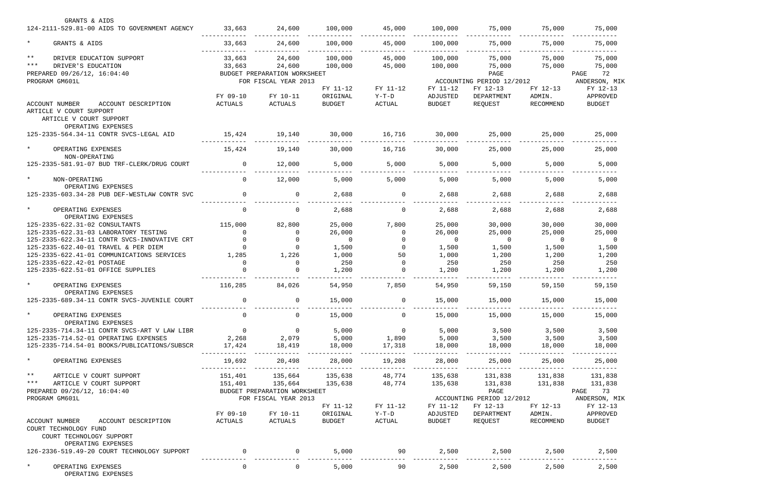| GRANTS & AIDS                                       |                |                              |                |                |                |                           |                |                |
|-----------------------------------------------------|----------------|------------------------------|----------------|----------------|----------------|---------------------------|----------------|----------------|
| 124-2111-529.81-00 AIDS TO GOVERNMENT AGENCY        | 33,663         | 24,600                       | 100,000        | 45,000         | 100,000        | 75,000                    | 75,000         | 75,000         |
| $\star$<br>GRANTS & AIDS                            | 33,663         | 24,600                       | 100,000        | 45,000         | 100,000        | 75,000                    | 75,000         | 75,000         |
| $***$<br>DRIVER EDUCATION SUPPORT                   | 33,663         | 24,600                       | 100,000        | 45,000         | 100,000        | 75,000                    | 75,000         | 75,000         |
| $***$<br>DRIVER'S EDUCATION                         | 33,663         | 24,600                       | 100,000        | 45,000         | 100,000        | 75,000                    | 75,000         | 75,000         |
| PREPARED 09/26/12, 16:04:40                         |                | BUDGET PREPARATION WORKSHEET |                |                |                | PAGE                      |                | PAGE<br>72     |
| PROGRAM GM601L                                      |                | FOR FISCAL YEAR 2013         |                |                |                | ACCOUNTING PERIOD 12/2012 |                | ANDERSON, MIK  |
|                                                     |                |                              | FY 11-12       | FY 11-12       | FY 11-12       | FY 12-13                  | FY 12-13       | FY 12-13       |
|                                                     |                |                              |                |                |                |                           |                |                |
|                                                     | FY 09-10       | FY 10-11                     | ORIGINAL       | $Y-T-D$        | ADJUSTED       | DEPARTMENT                | ADMIN.         | APPROVED       |
| ACCOUNT NUMBER<br>ACCOUNT DESCRIPTION               | ACTUALS        | ACTUALS                      | <b>BUDGET</b>  | ACTUAL         | <b>BUDGET</b>  | REQUEST                   | RECOMMEND      | <b>BUDGET</b>  |
| ARTICLE V COURT SUPPORT                             |                |                              |                |                |                |                           |                |                |
| ARTICLE V COURT SUPPORT<br>OPERATING EXPENSES       |                |                              |                |                |                |                           |                |                |
| 125-2335-564.34-11 CONTR SVCS-LEGAL AID             | 15,424         | 19,140                       | 30,000         | 16,716         | 30,000         | 25,000                    | 25,000         | 25,000         |
|                                                     |                |                              |                |                |                |                           |                |                |
| $\star$<br>OPERATING EXPENSES<br>NON-OPERATING      | 15,424         | 19,140                       | 30,000         | 16,716         | 30,000         | 25,000                    | 25,000         | 25,000         |
| 125-2335-581.91-07 BUD TRF-CLERK/DRUG COURT         | $\overline{0}$ | 12,000                       | 5,000          | 5,000          | 5,000          | 5,000                     | 5,000          | 5,000          |
|                                                     |                |                              |                |                |                |                           |                |                |
| $\star$<br>NON-OPERATING                            | $\Omega$       | 12,000                       | 5,000          | 5,000          | 5,000          | 5,000                     | 5,000          | 5,000          |
| OPERATING EXPENSES                                  |                |                              |                |                |                |                           |                |                |
| 125-2335-603.34-28 PUB DEF-WESTLAW CONTR SVC        | $\Omega$       | 0                            | 2,688          | $\overline{0}$ | 2,688          | 2,688                     | 2,688          | 2,688          |
| $\star$<br>OPERATING EXPENSES                       | $\Omega$       | $\Omega$                     | 2,688          | $\overline{0}$ | 2,688          | 2,688                     | 2,688          | 2,688          |
| OPERATING EXPENSES                                  |                |                              |                |                |                |                           |                |                |
| 125-2335-622.31-02 CONSULTANTS                      | 115,000        | 82,800                       | 25,000         | 7,800          | 25,000         | 30,000                    | 30,000         | 30,000         |
| 125-2335-622.31-03 LABORATORY TESTING               |                | $\Omega$                     | 26,000         | $\Omega$       | 26,000         | 25,000                    | 25,000         | 25,000         |
| 125-2335-622.34-11 CONTR SVCS-INNOVATIVE CRT        |                |                              | $\overline{0}$ |                | $\overline{0}$ | $\overline{0}$            | $\overline{0}$ | $\overline{0}$ |
| 125-2335-622.40-01 TRAVEL & PER DIEM                |                | $\Omega$                     | 1,500          | $\Omega$       | 1,500          | 1,500                     | 1,500          | 1,500          |
| 125-2335-622.41-01 COMMUNICATIONS SERVICES          | 1,285          | 1,226                        | 1,000          | 50             | 1,000          | 1,200                     | 1,200          |                |
|                                                     |                | $\Omega$                     |                | $\overline{0}$ |                | 250                       |                | 1,200          |
| 125-2335-622.42-01 POSTAGE                          |                |                              | 250            |                | 250            |                           | 250            | 250            |
| 125-2335-622.51-01 OFFICE SUPPLIES                  |                |                              | 1,200          | $\Omega$       | 1,200          | 1,200                     | 1,200          | 1,200          |
| $\star$<br>OPERATING EXPENSES                       | 116,285        | 84,026                       | 54,950         | 7,850          | 54,950         | 59,150                    | 59,150         | 59,150         |
| OPERATING EXPENSES                                  |                |                              |                |                |                |                           |                |                |
| 125-2335-689.34-11 CONTR SVCS-JUVENILE COURT        |                |                              | 15,000         |                | 15,000         | 15,000                    | 15,000         | 15,000         |
| $\star$<br>OPERATING EXPENSES                       |                |                              | 15,000         | 0              | 15,000         | 15,000                    | 15,000         | 15,000         |
| OPERATING EXPENSES                                  |                |                              |                |                |                |                           |                |                |
| 125-2335-714.34-11 CONTR SVCS-ART V LAW LIBR        | $\overline{0}$ | $\overline{0}$               | 5,000          | $\overline{0}$ | 5,000          | 3,500                     | 3,500          | 3,500          |
| 125-2335-714.52-01 OPERATING EXPENSES               | 2,268          | 2,079                        | 5,000          | 1,890          | 5,000          | 3,500                     | 3,500          | 3,500          |
| 125-2335-714.54-01 BOOKS/PUBLICATIONS/SUBSCR        | 17,424         | 18,419                       | 18,000         | 17,318         | 18,000         | 18,000                    | 18,000         | 18,000         |
| $\star$<br>OPERATING EXPENSES                       | 19,692         | 20,498                       | 28,000         | 19,208         | 28,000         | 25,000                    | 25,000         | 25,000         |
|                                                     |                |                              |                |                |                |                           |                | -------        |
| $\star \star$<br>ARTICLE V COURT SUPPORT            | 151,401        | 135,664                      | 135,638        | 48,774         | 135,638        | 131,838                   | 131,838        | 131,838        |
| $***$<br>ARTICLE V COURT SUPPORT                    | 151,401        | 135,664                      | 135,638        | 48,774         | 135,638        | 131,838                   | 131,838        | 131,838        |
| PREPARED 09/26/12, 16:04:40                         |                | BUDGET PREPARATION WORKSHEET |                |                |                | PAGE                      |                | PAGE 73        |
| PROGRAM GM601L                                      |                | FOR FISCAL YEAR 2013         |                |                |                | ACCOUNTING PERIOD 12/2012 |                | ANDERSON, MIK  |
|                                                     |                |                              | FY 11-12       | FY 11-12       | FY 11-12       | FY 12-13                  | FY 12-13       | FY 12-13       |
|                                                     | FY 09-10       | FY 10-11                     | ORIGINAL       | $Y-T-D$        | ADJUSTED       | DEPARTMENT                | ADMIN.         | APPROVED       |
| ACCOUNT DESCRIPTION<br>ACCOUNT NUMBER               | ACTUALS        | ACTUALS                      | BUDGET         | ACTUAL         | BUDGET         | REQUEST                   | RECOMMEND      | <b>BUDGET</b>  |
| COURT TECHNOLOGY FUND                               |                |                              |                |                |                |                           |                |                |
| COURT TECHNOLOGY SUPPORT                            |                |                              |                |                |                |                           |                |                |
| OPERATING EXPENSES                                  |                |                              |                |                |                |                           |                |                |
| 126-2336-519.49-20 COURT TECHNOLOGY SUPPORT         | $\overline{0}$ | $\overline{0}$               | 5,000          | 90             | 2,500          | 2,500                     | 2,500          | 2,500          |
|                                                     |                |                              |                |                |                |                           |                |                |
| $\star$<br>OPERATING EXPENSES<br>OPERATING EXPENSES | 0              | $\overline{0}$               | 5,000          | 90             | 2,500          | 2,500                     | 2,500          | 2,500          |
|                                                     |                |                              |                |                |                |                           |                |                |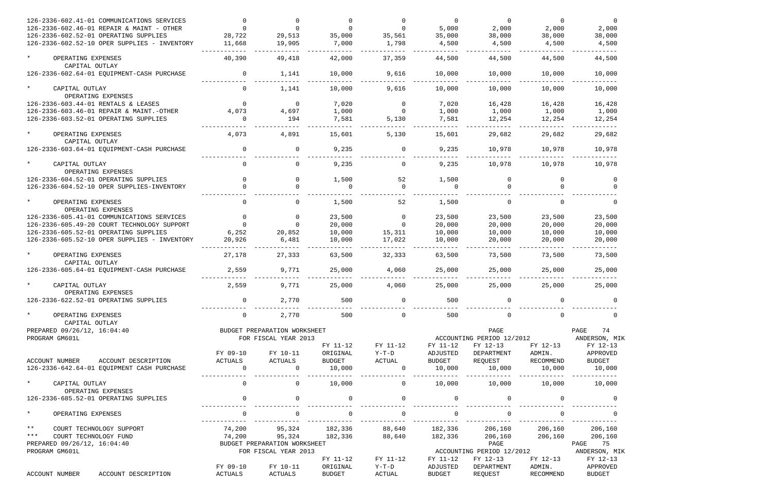| 126-2336-602.41-01 COMMUNICATIONS SERVICES                                          |                           |                              |                  |                          | $\Omega$                | $\Omega$                  | $\Omega$            | $\Omega$         |
|-------------------------------------------------------------------------------------|---------------------------|------------------------------|------------------|--------------------------|-------------------------|---------------------------|---------------------|------------------|
| 126-2336-602.46-01 REPAIR & MAINT - OTHER                                           |                           |                              |                  |                          | 5,000                   | 2,000                     | 2,000               | 2,000            |
| 126-2336-602.52-01 OPERATING SUPPLIES                                               | 28,722                    | 29,513                       | 35,000           | 35,561                   | 35,000                  | 38,000                    | 38,000              | 38,000           |
| 126-2336-602.52-10 OPER SUPPLIES - INVENTORY                                        | 11,668                    | 19,905                       | 7,000            | 1,798                    | 4,500                   | 4,500                     | 4,500               | 4,500            |
| $\star$<br>OPERATING EXPENSES                                                       | 40,390                    | 49,418                       | 42,000           | 37,359                   | 44,500                  | 44,500                    | 44,500              | 44,500           |
| CAPITAL OUTLAY                                                                      |                           |                              |                  |                          |                         |                           |                     |                  |
| 126-2336-602.64-01 EQUIPMENT-CASH PURCHASE                                          | $\Omega$                  | 1,141                        | 10,000           | 9,616                    | 10,000                  | 10,000                    | 10,000              | 10,000           |
| $\star$<br>CAPITAL OUTLAY                                                           | $\Omega$                  | 1,141                        | 10,000           | 9,616                    | 10,000                  | 10,000                    | 10,000              | 10,000           |
| OPERATING EXPENSES                                                                  |                           |                              |                  |                          |                         |                           |                     |                  |
| 126-2336-603.44-01 RENTALS & LEASES                                                 |                           | $\Omega$                     | 7,020            | $\overline{0}$           | 7,020                   | 16,428                    | 16,428              | 16,428           |
| 126-2336-603.46-01 REPAIR & MAINT.-OTHER                                            | 4,073                     | 4,697                        | 1,000            | $\Omega$                 | 1,000                   | 1,000                     | 1,000               | 1,000            |
| 126-2336-603.52-01 OPERATING SUPPLIES                                               | $\Omega$                  | 194                          | 7,581            | 5,130                    | 7,581                   | 12,254                    | 12,254              | 12,254           |
| $\star$<br>OPERATING EXPENSES                                                       | 4,073                     | 4,891                        | 15,601           | 5,130                    | 15,601                  | 29,682                    | 29,682              | 29,682           |
| CAPITAL OUTLAY                                                                      |                           |                              |                  |                          |                         |                           |                     |                  |
| 126-2336-603.64-01 EQUIPMENT-CASH PURCHASE                                          | $\Omega$                  | $\Omega$                     | 9,235            | $\Omega$                 | 9,235                   | 10,978                    | 10,978              | 10,978           |
| $\star$<br>CAPITAL OUTLAY                                                           | $\Omega$                  |                              | 9,235            | $\Omega$                 | 9,235                   | 10,978                    | 10,978              | 10,978           |
| OPERATING EXPENSES                                                                  |                           |                              |                  |                          |                         |                           |                     |                  |
| 126-2336-604.52-01 OPERATING SUPPLIES                                               | $\Omega$                  | $\Omega$                     | 1,500            | 52                       | 1,500                   | $\mathbf 0$               | $\Omega$            | $\Omega$         |
| 126-2336-604.52-10 OPER SUPPLIES-INVENTORY                                          |                           | $\cap$                       | $\Omega$         | $\Omega$                 | $\Omega$                | $\Omega$                  |                     |                  |
| $\star$<br>OPERATING EXPENSES                                                       | $\Omega$                  |                              | 1,500            | 52                       | 1,500                   | $\Omega$                  |                     | $\Omega$         |
| OPERATING EXPENSES                                                                  |                           |                              |                  |                          |                         |                           |                     |                  |
| 126-2336-605.41-01 COMMUNICATIONS SERVICES                                          |                           |                              | 23,500           | $\overline{0}$           | 23,500                  | 23,500                    | 23,500              | 23,500           |
| 126-2336-605.49-20 COURT TECHNOLOGY SUPPORT                                         |                           |                              | 20,000           | $\Omega$                 | 20,000                  | 20,000                    | 20,000              | 20,000           |
| 126-2336-605.52-01 OPERATING SUPPLIES                                               | 6,252                     | 20,852                       | 10,000           | 15,311                   | 10,000                  | 10,000                    | 10,000              | 10,000           |
| 126-2336-605.52-10 OPER SUPPLIES - INVENTORY                                        | 20,926                    | 6,481                        | 10,000           | 17,022                   | 10,000                  | 20,000                    | 20,000              | 20,000           |
| $\star$<br>OPERATING EXPENSES<br>CAPITAL OUTLAY                                     | 27,178                    | 27,333                       | 63,500           | 32,333                   | 63,500                  | 73,500                    | 73,500              | 73,500           |
| 126-2336-605.64-01 EQUIPMENT-CASH PURCHASE                                          | 2,559                     | 9,771                        | 25,000           | 4,060                    | 25,000                  | 25,000                    | 25,000              | 25,000           |
| CAPITAL OUTLAY<br>OPERATING EXPENSES                                                | 2,559                     | 9,771                        | 25,000           | 4,060                    | 25,000                  | 25,000                    | 25,000              | 25,000           |
| 126-2336-622.52-01 OPERATING SUPPLIES                                               |                           | 2,770                        | 500              |                          | 500                     |                           |                     |                  |
| $\star$<br>OPERATING EXPENSES                                                       | $\mathsf{O}$              | 2,770                        | 500              | $\overline{0}$           | 500                     | $\mathbf 0$               | $\mathbf 0$         | $\Omega$         |
| CAPITAL OUTLAY                                                                      |                           |                              |                  |                          |                         |                           |                     |                  |
| PREPARED 09/26/12, 16:04:40                                                         |                           | BUDGET PREPARATION WORKSHEET |                  |                          |                         | PAGE                      |                     | PAGE<br>74       |
| PROGRAM GM601L                                                                      |                           | FOR FISCAL YEAR 2013         |                  |                          |                         | ACCOUNTING PERIOD 12/2012 |                     | ANDERSON, MIK    |
|                                                                                     |                           |                              | FY 11-12         | FY 11-12                 | FY 11-12                | FY 12-13                  | FY 12-13            | FY 12-13         |
|                                                                                     | FY 09-10                  | FY 10-11                     | ORIGINAL         | $Y-T-D$                  | ADJUSTED                | DEPARTMENT                | ADMIN.              | APPROVED         |
| ACCOUNT DESCRIPTION<br>ACCOUNT NUMBER<br>126-2336-642.64-01 EQUIPMENT CASH PURCHASE | ACTUALS<br>$\overline{0}$ | ACTUALS<br>$\overline{0}$    | BUDGET<br>10,000 | ACTUAL<br>$\overline{0}$ | <b>BUDGET</b><br>10,000 | REQUEST<br>10,000         | RECOMMEND<br>10,000 | BUDGET<br>10,000 |
| $\star$<br>CAPITAL OUTLAY                                                           | $\overline{0}$            | $\overline{0}$               | 10,000           | $\overline{0}$           | 10,000                  | 10,000                    | 10,000              | 10,000           |
| OPERATING EXPENSES                                                                  |                           |                              |                  |                          |                         |                           |                     |                  |
| 126-2336-685.52-01 OPERATING SUPPLIES                                               | $\mathsf{O}\xspace$       | $\mathsf{O}$                 | 0                | $\overline{0}$           | $\overline{0}$          | $\mathsf{O}$              |                     |                  |
| $\star$<br>OPERATING EXPENSES                                                       | $\mathsf{O}$              | $\mathsf{O}$                 | $\mathbf 0$      | $\overline{0}$           | $\Omega$                | $\overline{0}$            | $\mathbf{0}$        | $\overline{0}$   |
| $\star \star$<br>COURT TECHNOLOGY SUPPORT                                           | 74,200                    | 95,324                       | 182,336          | 88,640                   | 182,336                 | 206,160                   | 206,160             | 206,160          |
| $***$<br>COURT TECHNOLOGY FUND                                                      | 74,200                    | 95,324                       | 182,336          | 88,640                   | 182,336                 | 206,160                   | 206,160             | 206,160          |
| PREPARED 09/26/12, 16:04:40                                                         |                           | BUDGET PREPARATION WORKSHEET |                  |                          |                         | PAGE                      |                     | PAGE<br>75       |
| PROGRAM GM601L                                                                      |                           | FOR FISCAL YEAR 2013         |                  |                          |                         | ACCOUNTING PERIOD 12/2012 |                     | ANDERSON, MIK    |
|                                                                                     |                           |                              | FY 11-12         | FY 11-12                 | FY 11-12                | FY 12-13                  | FY 12-13            | FY 12-13         |
|                                                                                     | FY 09-10                  | FY 10-11                     | ORIGINAL         | $Y-T-D$                  | ADJUSTED                | DEPARTMENT                | ADMIN.              | APPROVED         |
| ACCOUNT NUMBER<br>ACCOUNT DESCRIPTION                                               | ACTUALS                   | ACTUALS                      | <b>BUDGET</b>    | ACTUAL                   | <b>BUDGET</b>           | REQUEST                   | RECOMMEND           | <b>BUDGET</b>    |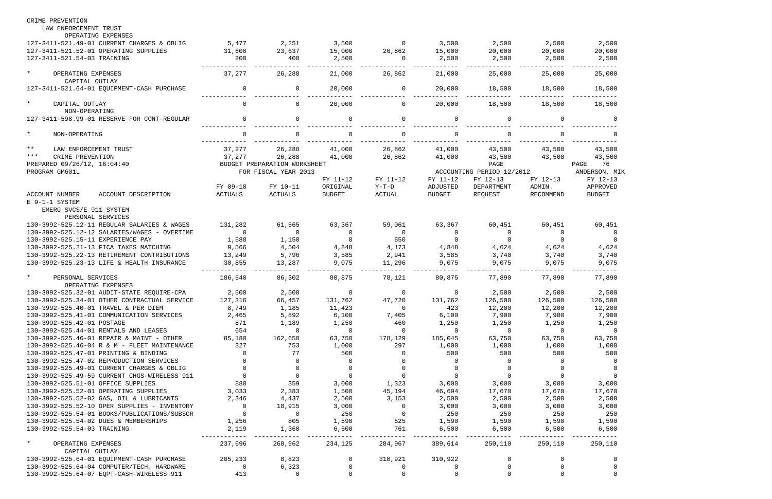| CRIME PREVENTION                                                            |                           |                              |                      |                          |                |                                  |                                  |                |
|-----------------------------------------------------------------------------|---------------------------|------------------------------|----------------------|--------------------------|----------------|----------------------------------|----------------------------------|----------------|
| LAW ENFORCEMENT TRUST                                                       |                           |                              |                      |                          |                |                                  |                                  |                |
| OPERATING EXPENSES                                                          |                           |                              |                      |                          |                |                                  |                                  |                |
| 127-3411-521.49-01 CURRENT CHARGES & OBLIG                                  | 5,477                     | 2,251                        | 3,500                | $\overline{0}$           | 3,500          | 2,500                            | 2,500                            | 2,500          |
| 127-3411-521.52-01 OPERATING SUPPLIES                                       | 31,600                    | 23,637                       | 15,000               | 26,862                   | 15,000         | 20,000                           | 20,000                           | 20,000         |
| 127-3411-521.54-03 TRAINING                                                 | 200                       | 400                          | 2,500                | $\overline{\phantom{0}}$ | 2,500          | 2,500                            | 2,500                            | 2,500          |
| $\star$<br>OPERATING EXPENSES                                               | 37,277                    | 26,288                       | 21,000               | 26,862                   | 21,000         | 25,000                           | 25,000                           | 25,000         |
| CAPITAL OUTLAY<br>127-3411-521.64-01 EQUIPMENT-CASH PURCHASE                | $\overline{0}$            | 0                            | 20,000               | $\overline{0}$           | 20,000         | 18,500                           | 18,500                           | 18,500         |
| $\star$<br>CAPITAL OUTLAY                                                   | $\Omega$                  | $\Omega$                     | 20,000               | $\Omega$                 | 20,000         | 18,500                           | 18,500                           | 18,500         |
| NON-OPERATING                                                               |                           |                              |                      |                          |                |                                  |                                  |                |
| 127-3411-598.99-01 RESERVE FOR CONT-REGULAR                                 | $\Omega$                  | $\Omega$                     | $\Omega$             | $\Omega$                 | $\Omega$       | 0                                |                                  |                |
| $\star$<br>NON-OPERATING                                                    | $\Omega$                  | $\Omega$                     | $\Omega$             | $\Omega$                 | $\Omega$       | $\Omega$                         | $\Omega$                         |                |
| $***$<br>LAW ENFORCEMENT TRUST                                              | 37,277                    | 26,288                       | 41,000               | 26,862                   | 41,000         | 43,500                           | 43,500                           | 43,500         |
| $***$<br>CRIME PREVENTION                                                   | 37,277                    | 26,288                       | 41,000               | 26,862                   | 41,000         | 43,500                           | 43,500                           | 43,500         |
| PREPARED 09/26/12, 16:04:40                                                 |                           | BUDGET PREPARATION WORKSHEET |                      |                          |                | PAGE                             |                                  | PAGE 76        |
| PROGRAM GM601L                                                              |                           | FOR FISCAL YEAR 2013         |                      |                          |                | ACCOUNTING PERIOD 12/2012        |                                  | ANDERSON, MIK  |
|                                                                             |                           |                              | FY 11-12             | FY 11-12                 | FY 11-12       | FY 12-13                         | FY 12-13                         | FY 12-13       |
|                                                                             | FY 09-10                  | FY 10-11                     | ORIGINAL             | $Y-T-D$                  | ADJUSTED       | DEPARTMENT                       | ADMIN.                           | APPROVED       |
| <b>ACCOUNT NUMBER</b><br>ACCOUNT DESCRIPTION                                | ACTUALS                   | ACTUALS                      | <b>BUDGET</b>        | ACTUAL                   | <b>BUDGET</b>  | REQUEST                          | RECOMMEND                        | <b>BUDGET</b>  |
| E 9-1-1 SYSTEM                                                              |                           |                              |                      |                          |                |                                  |                                  |                |
| EMERG SVCS/E 911 SYSTEM                                                     |                           |                              |                      |                          |                |                                  |                                  |                |
| PERSONAL SERVICES                                                           |                           |                              |                      |                          |                |                                  |                                  |                |
| 130-3992-525.12-11 REGULAR SALARIES & WAGES                                 | 131,282<br>$\overline{0}$ | 61,565                       | 63,367               | 59,061                   | 63,367         | 60,451                           | 60,451                           | 60,451         |
| 130-3992-525.12-12 SALARIES/WAGES - OVERTIME                                |                           | $\overline{0}$               | $\Omega$<br>$\Omega$ | $\overline{0}$           | $\overline{0}$ | $\overline{0}$<br>$\overline{0}$ | $\overline{0}$<br>$\overline{0}$ | $\Omega$       |
| 130-3992-525.15-11 EXPERIENCE PAY<br>130-3992-525.21-13 FICA TAXES MATCHING | 1,588<br>9,566            | 1,150                        |                      | 650                      | - 0<br>4,848   |                                  |                                  |                |
| 130-3992-525.22-13 RETIREMENT CONTRIBUTIONS                                 | 13,249                    | 4,504<br>5,796               | 4,848<br>3,585       | 4,173<br>2,941           | 3,585          | 4,624<br>3,740                   | 4,624<br>3,740                   | 4,624<br>3,740 |
| 130-3992-525.23-13 LIFE & HEALTH INSURANCE                                  | 30,855                    | 13,287                       | 9,075                | 11,296                   | 9,075          | 9,075                            | 9,075                            | 9,075          |
|                                                                             |                           |                              |                      |                          |                |                                  |                                  |                |
| $\star$<br>PERSONAL SERVICES<br>OPERATING EXPENSES                          | 186,540                   | 86,302                       | 80,875               | 78,121                   | 80,875         | 77,890                           | 77,890                           | 77,890         |
| 130-3992-525.32-01 AUDIT-STATE REQUIRE-CPA                                  | 2,500                     | 2,500                        | $\Omega$             | $\mathbf 0$              | $\Omega$       | 2,500                            | 2,500                            | 2,500          |
| 130-3992-525.34-01 OTHER CONTRACTUAL SERVICE                                | 127,316                   | 66,457                       | 131,762              | 47,720                   | 131,762        | 126,500                          | 126,500                          | 126,500        |
| 130-3992-525.40-01 TRAVEL & PER DIEM                                        | 8,749                     | 1,185                        | 11,423               | $\overline{0}$           | 423            | 12,200                           | 12,200                           | 12,200         |
| 130-3992-525.41-01 COMMUNICATION SERVICES                                   | 2,465                     | 5,892                        | 6,100                | 7,405                    | 6,100          | 7,900                            | 7,900                            | 7,900          |
| 130-3992-525.42-01 POSTAGE                                                  | 871                       | 1,189                        | 1,250                | 460                      | 1,250          | 1,250                            | 1,250                            | 1,250          |
| 130-3992-525.44-01 RENTALS AND LEASES                                       | 654                       | $\overline{0}$               | $\overline{0}$       | $\overline{0}$           | $\overline{0}$ | $\overline{0}$                   | $\overline{0}$                   | $\overline{0}$ |
| 130-3992-525.46-01 REPAIR & MAINT - OTHER                                   | 85,180                    | 162,650                      | 63,750               | 178,129                  | 185,045        | 63,750                           | 63,750                           | 63,750         |
| 130-3992-525.46-04 R & M - FLEET MAINTENANCE                                | 327                       | 753                          | 1,000                | 297                      | 1,000          | 1,000                            | 1,000                            | 1,000          |
| 130-3992-525.47-01 PRINTING & BINDING                                       | $\Omega$                  | 77                           | 500                  | $\Omega$                 | 500            | 500                              | 500                              | 500            |
| 130-3992-525.47-02 REPRODUCTION SERVICES                                    |                           | $\Omega$                     |                      |                          | $\Omega$       | $\Omega$                         | $\Omega$                         | - 0            |
| 130-3992-525.49-01 CURRENT CHARGES & OBLIG                                  |                           | $\Omega$                     |                      |                          |                |                                  |                                  |                |
| 130-3992-525.49-59 CURRENT CHGS-WIRELESS 911                                |                           | $\overline{0}$               | $\overline{0}$       | $\Omega$                 | $\overline{0}$ | $\overline{0}$                   | $\overline{0}$                   |                |
| 130-3992-525.51-01 OFFICE SUPPLIES                                          | 880                       | 359                          | 3,000                | 1,323                    | 3,000          | 3,000                            | 3,000                            | 3,000          |
| 130-3992-525.52-01 OPERATING SUPPLIES                                       | 3,033                     | 2,383                        | 1,500                | 45,194                   | 46,694         | 17,670                           | 17,670                           | 17,670         |
| 130-3992-525.52-02 GAS, OIL & LUBRICANTS                                    | 2,346                     | 4,437                        | 2,500                | 3,153                    | 2,500          | 2,500                            | 2,500                            | 2,500          |
| 130-3992-525.52-10 OPER SUPPLIES - INVENTORY                                | $\Omega$                  | 18,915                       | 3,000                | $\overline{0}$           | 3,000          | 3,000                            | 3,000                            | 3,000          |
| 130-3992-525.54-01 BOOKS/PUBLICATIONS/SUBSCR                                | $\overline{0}$            | $\overline{0}$               | 250                  | $\overline{0}$           | 250            | 250                              | 250                              | 250            |
| 130-3992-525.54-02 DUES & MEMBERSHIPS                                       | 1,256                     | 805                          | 1,590                | 525                      | 1,590          | 1,590                            | 1,590                            | 1,590          |
| 130-3992-525.54-03 TRAINING                                                 | 2,119                     | 1,360                        | 6,500                | 761                      | 6,500          | 6,500                            | 6,500                            | 6,500          |
| $\star$<br>OPERATING EXPENSES                                               | 237,696                   | 268,962                      | 234,125              | 284,967                  | 389,614        | 250,110                          | 250,110                          | 250,110        |
| CAPITAL OUTLAY                                                              |                           |                              |                      |                          |                |                                  |                                  |                |
| 130-3992-525.64-01 EQUIPMENT-CASH PURCHASE                                  | 205,233                   | 8,823                        |                      | 310,921                  | 310,922        | 0                                | $\Omega$                         | 0              |
| 130-3992-525.64-04 COMPUTER/TECH. HARDWARE                                  | $\overline{0}$            | 6,323                        |                      | $\overline{0}$           | $\overline{0}$ | $\Omega$                         |                                  |                |
| 130-3992-525.64-07 EQPT-CASH-WIRELESS 911                                   | 413                       | $\overline{0}$               |                      | $\overline{0}$           | $\mathbf 0$    | $\Omega$                         |                                  |                |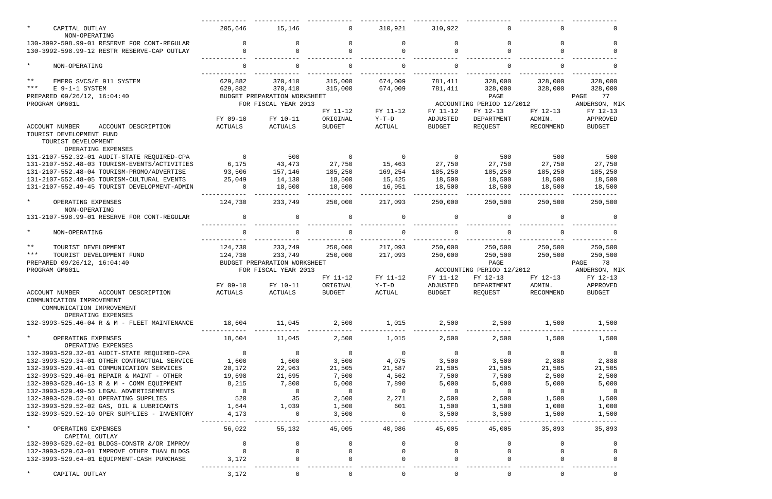| $\star$<br>CAPITAL OUTLAY                                                                                                    | 205,646                  | 15,146                       | $\Omega$                 | 310,921        | 310,922        | $\mathbf 0$               | $\Omega$       | $\Omega$       |
|------------------------------------------------------------------------------------------------------------------------------|--------------------------|------------------------------|--------------------------|----------------|----------------|---------------------------|----------------|----------------|
| NON-OPERATING<br>130-3992-598.99-01 RESERVE FOR CONT-REGULAR                                                                 |                          | <sup>n</sup>                 | $\Omega$                 | $\Omega$       | $\Omega$       | $\Omega$                  |                | $\Omega$       |
| 130-3992-598.99-12 RESTR RESERVE-CAP OUTLAY                                                                                  |                          |                              |                          | $\Omega$       |                | $\Omega$                  |                |                |
| $\star$<br>NON-OPERATING                                                                                                     | $\Omega$                 | $\Omega$                     | $\Omega$                 | $\mathbf 0$    | $\Omega$       | 0                         | $\Omega$       | $\Omega$       |
| $***$<br>EMERG SVCS/E 911 SYSTEM                                                                                             | 629,882                  | 370,410                      | 315,000                  | 674,009        | 781,411        | 328,000                   | 328,000        | 328,000        |
| $***$<br>E 9-1-1 SYSTEM                                                                                                      | 629,882                  | 370,410                      | 315,000                  | 674,009        | 781,411        | 328,000                   | 328,000        | 328,000        |
| PREPARED 09/26/12, 16:04:40                                                                                                  |                          | BUDGET PREPARATION WORKSHEET |                          |                |                | PAGE                      |                | 77<br>PAGE     |
| PROGRAM GM601L                                                                                                               |                          | FOR FISCAL YEAR 2013         |                          |                |                | ACCOUNTING PERIOD 12/2012 |                | ANDERSON, MIK  |
|                                                                                                                              |                          |                              | FY 11-12                 | FY 11-12       | FY 11-12       | FY 12-13                  | FY 12-13       | FY 12-13       |
|                                                                                                                              | FY 09-10                 | FY 10-11                     | ORIGINAL                 | $Y-T-D$        | ADJUSTED       | DEPARTMENT                | ADMIN.         | APPROVED       |
| ACCOUNT DESCRIPTION<br><b>ACCOUNT NUMBER</b>                                                                                 | ACTUALS                  | ACTUALS                      | <b>BUDGET</b>            | ACTUAL         | <b>BUDGET</b>  | REQUEST                   | RECOMMEND      | <b>BUDGET</b>  |
| TOURIST DEVELOPMENT FUND<br>TOURIST DEVELOPMENT                                                                              |                          |                              |                          |                |                |                           |                |                |
| OPERATING EXPENSES                                                                                                           |                          |                              |                          |                |                |                           |                |                |
| 131-2107-552.32-01 AUDIT-STATE REQUIRED-CPA                                                                                  | $\overline{0}$           | 500                          | $\overline{0}$           | $\overline{0}$ | $\overline{0}$ | 500                       | 500            | 500            |
| 131-2107-552.48-03 TOURISM-EVENTS/ACTIVITIES                                                                                 | 6,175                    | 43,473                       | 27,750                   | 15,463         | 27,750         | 27,750                    | 27,750         | 27,750         |
| 131-2107-552.48-04 TOURISM-PROMO/ADVERTISE                                                                                   | 93,506                   | 157,146                      | 185,250                  | 169,254        | 185,250        | 185,250                   | 185,250        | 185,250        |
| 131-2107-552.48-05 TOURISM-CULTURAL EVENTS                                                                                   | 25,049                   | 14,130                       | 18,500                   | 15,425         | 18,500         | 18,500                    | 18,500         | 18,500         |
| 131-2107-552.49-45 TOURIST DEVELOPMENT-ADMIN                                                                                 | $\Omega$                 | 18,500                       | 18,500                   | 16,951         | 18,500         | 18,500                    | 18,500         | 18,500         |
| $\star$<br>OPERATING EXPENSES                                                                                                | 124,730                  | 233,749                      | 250,000                  | 217,093        | 250,000        | 250,500                   | 250,500        | 250,500        |
| NON-OPERATING                                                                                                                | $\Omega$                 | 0                            |                          |                | $\Omega$       |                           |                |                |
| 131-2107-598.99-01 RESERVE FOR CONT-REGULAR                                                                                  |                          |                              | $\Omega$                 | $\Omega$       |                | $\Omega$                  |                |                |
| $\star$<br>NON-OPERATING                                                                                                     |                          |                              | $\Omega$                 | $\Omega$       |                | $\Omega$                  |                |                |
| $***$<br>TOURIST DEVELOPMENT                                                                                                 | 124,730                  | 233,749                      | 250,000                  | 217,093        | 250,000        | 250,500                   | 250,500        | 250,500        |
| $***$<br>TOURIST DEVELOPMENT FUND                                                                                            | 124,730                  | 233,749                      | 250,000                  | 217,093        | 250,000        | 250,500                   | 250,500        | 250,500        |
| PREPARED 09/26/12, 16:04:40                                                                                                  |                          | BUDGET PREPARATION WORKSHEET |                          |                |                | PAGE                      |                | PAGE<br>78     |
| PROGRAM GM601L                                                                                                               |                          | FOR FISCAL YEAR 2013         |                          |                |                | ACCOUNTING PERIOD 12/2012 |                | ANDERSON, MIK  |
|                                                                                                                              |                          |                              | FY 11-12                 | FY 11-12       | FY 11-12       | FY 12-13                  | FY 12-13       | FY 12-13       |
|                                                                                                                              | FY 09-10                 | FY 10-11                     | ORIGINAL                 | $Y-T-D$        | ADJUSTED       | DEPARTMENT                | ADMIN.         | APPROVED       |
| <b>ACCOUNT NUMBER</b><br>ACCOUNT DESCRIPTION<br>COMMUNICATION IMPROVEMENT<br>COMMUNICATION IMPROVEMENT<br>OPERATING EXPENSES | ACTUALS                  | ACTUALS                      | <b>BUDGET</b>            | ACTUAL         | <b>BUDGET</b>  | REQUEST                   | RECOMMEND      | <b>BUDGET</b>  |
| 132-3993-525.46-04 R & M - FLEET MAINTENANCE                                                                                 | 18,604                   | 11,045                       | 2,500                    | 1,015          | 2,500          | 2,500                     | 1,500          | 1,500          |
|                                                                                                                              |                          |                              |                          |                |                |                           |                |                |
| $\star$<br>OPERATING EXPENSES<br>OPERATING EXPENSES                                                                          | 18,604                   | 11,045                       | 2,500                    | 1,015          | 2,500          | 2,500                     | 1,500          | 1,500          |
| 132-3993-529.32-01 AUDIT-STATE REQUIRED-CPA                                                                                  | $\overline{0}$           | $\overline{0}$               | $\overline{0}$           | $\overline{0}$ | $\overline{0}$ | $\overline{0}$            | $\Omega$       | $\overline{0}$ |
| 132-3993-529.34-01 OTHER CONTRACTUAL SERVICE                                                                                 | 1,600                    | 1,600                        | 3,500                    | 4,075          | 3,500          | 3,500                     | 2,888          | 2,888          |
| 132-3993-529.41-01 COMMUNICATION SERVICES                                                                                    | 20,172                   | 22,963                       | 21,505                   | 21,587         | 21,505         | 21,505                    | 21,505         | 21,505         |
| 132-3993-529.46-01 REPAIR & MAINT - OTHER                                                                                    | 19,698                   | 21,695                       | 7,500                    | 4,562          | 7,500          | 7,500                     | 2,500          | 2,500          |
| 132-3993-529.46-13 R & M - COMM EQUIPMENT                                                                                    | 8,215                    | 7,800                        | 5,000                    | 7,890          | 5,000          | 5,000                     | 5,000          | 5,000          |
| 132-3993-529.49-50 LEGAL ADVERTISEMENTS                                                                                      | $\overline{\phantom{0}}$ | $\overline{0}$               | $\overline{\phantom{0}}$ | $\overline{0}$ | $\overline{0}$ | $\overline{0}$            | $\overline{0}$ | $\overline{0}$ |
| 132-3993-529.52-01 OPERATING SUPPLIES                                                                                        | 520                      | 35                           | 2,500                    | 2,271          | 2,500          | 2,500                     | 1,500          | 1,500          |
| 132-3993-529.52-02 GAS, OIL & LUBRICANTS                                                                                     | 1,644                    | 1,039                        | 1,500                    | 601            | 1,500          | 1,500                     | 1,000          | 1,000          |
| 132-3993-529.52-10 OPER SUPPLIES - INVENTORY                                                                                 | 4,173                    | $\Omega$                     | 3,500                    | $\Omega$       | 3,500          | 3,500                     | 1,500          | 1,500          |
| $\star$<br>OPERATING EXPENSES<br>CAPITAL OUTLAY                                                                              | 56,022                   | 55,132                       | 45,005                   | 40,986         | 45,005         | 45,005                    | 35,893         | 35,893         |
| 132-3993-529.62-01 BLDGS-CONSTR &/OR IMPROV                                                                                  | $\Omega$                 | 0                            | $\Omega$                 | $\Omega$       | $\Omega$       | $\Omega$                  | $\Omega$       | $\Omega$       |
| 132-3993-529.63-01 IMPROVE OTHER THAN BLDGS                                                                                  | $\Omega$                 |                              | $\Omega$                 | $\Omega$       | $\Omega$       | $\mathbf 0$               |                | $\Omega$       |
| 132-3993-529.64-01 EQUIPMENT-CASH PURCHASE                                                                                   | 3,172                    |                              |                          |                |                |                           |                |                |
| CAPITAL OUTLAY                                                                                                               | 3,172                    |                              |                          | 0              |                |                           |                |                |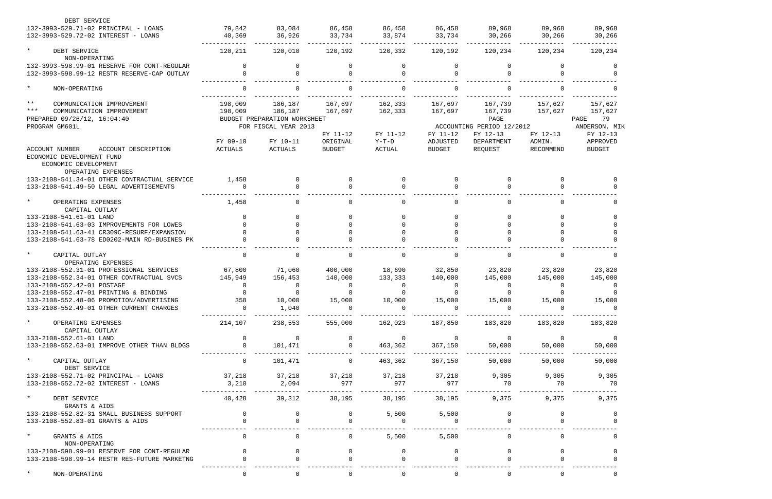| DEBT SERVICE                                                                                                     |                |                              |                |                |                |                           |              |                |
|------------------------------------------------------------------------------------------------------------------|----------------|------------------------------|----------------|----------------|----------------|---------------------------|--------------|----------------|
| 132-3993-529.71-02 PRINCIPAL - LOANS                                                                             | 79,842         | 83,084                       | 86,458         | 86,458         | 86,458         | 89,968                    | 89,968       | 89,968         |
| 132-3993-529.72-02 INTEREST - LOANS                                                                              | 40,369         | 36,926                       | 33,734         | 33,874         | 33,734         | 30,266                    | 30,266       | 30,266         |
| $\star$<br>DEBT SERVICE                                                                                          | 120,211        | 120,010                      | 120,192        | 120,332        | 120,192        | 120,234                   | 120,234      | 120,234        |
| NON-OPERATING                                                                                                    |                |                              |                |                |                |                           |              |                |
| 132-3993-598.99-01 RESERVE FOR CONT-REGULAR                                                                      | $\Omega$       | $\Omega$                     |                | $\Omega$       | $\Omega$       |                           | <sup>n</sup> | $\Omega$       |
| 132-3993-598.99-12 RESTR RESERVE-CAP OUTLAY                                                                      | $\Omega$       | $\Omega$                     |                | $\Omega$       |                | $\cap$                    |              | $\Omega$       |
| $\star$<br>NON-OPERATING                                                                                         | $\Omega$       |                              |                | $\Omega$       |                | $\Omega$                  |              |                |
| $***$<br>COMMUNICATION IMPROVEMENT                                                                               | 198,009        | 186,187                      | 167,697        | 162,333        | 167,697        | 167,739                   | 157,627      | 157,627        |
| $***$<br>COMMUNICATION IMPROVEMENT                                                                               | 198,009        | 186,187                      | 167,697        | 162,333        | 167,697        | 167,739                   | 157,627      | 157,627        |
| PREPARED 09/26/12, 16:04:40                                                                                      |                | BUDGET PREPARATION WORKSHEET |                |                |                | PAGE                      |              | 79<br>PAGE     |
| PROGRAM GM601L                                                                                                   |                | FOR FISCAL YEAR 2013         |                |                |                | ACCOUNTING PERIOD 12/2012 |              | ANDERSON, MIK  |
|                                                                                                                  |                |                              | FY 11-12       | FY 11-12       | FY 11-12       | FY 12-13                  | FY 12-13     | FY 12-13       |
|                                                                                                                  | FY 09-10       | FY 10-11                     | ORIGINAL       | $Y-T-D$        | ADJUSTED       | DEPARTMENT                | ADMIN.       | APPROVED       |
| ACCOUNT NUMBER<br>ACCOUNT DESCRIPTION<br>ECONOMIC DEVELOPMENT FUND<br>ECONOMIC DEVELOPMENT<br>OPERATING EXPENSES | ACTUALS        | ACTUALS                      | <b>BUDGET</b>  | ACTUAL         | BUDGET         | REQUEST                   | RECOMMEND    | <b>BUDGET</b>  |
| 133-2108-541.34-01 OTHER CONTRACTUAL SERVICE                                                                     | 1,458          | $\Omega$                     |                | $\Omega$       | $\Omega$       | $\Omega$                  | <sup>n</sup> |                |
| 133-2108-541.49-50 LEGAL ADVERTISEMENTS                                                                          |                |                              |                | <sup>n</sup>   |                |                           |              |                |
|                                                                                                                  |                |                              |                |                |                |                           |              |                |
| $\star$<br>OPERATING EXPENSES<br>CAPITAL OUTLAY                                                                  | 1,458          | 0                            |                | $\Omega$       | $\cap$         | $\Omega$                  |              | $\Omega$       |
| 133-2108-541.61-01 LAND                                                                                          |                | $\Omega$                     |                | $\Omega$       | $\Omega$       |                           | $\cap$       | $\Omega$       |
| 133-2108-541.63-03 IMPROVEMENTS FOR LOWES                                                                        |                |                              |                | $\Omega$       |                |                           |              |                |
| 133-2108-541.63-41 CR309C-RESURF/EXPANSION                                                                       |                |                              |                | $\Omega$       |                |                           |              |                |
| 133-2108-541.63-78 ED0202-MAIN RD-BUSINES PK                                                                     |                |                              |                |                |                |                           |              |                |
| $\star$<br>CAPITAL OUTLAY                                                                                        | $\Omega$       |                              |                | $\Omega$       | $\Omega$       | $\Omega$                  |              | $\Omega$       |
| OPERATING EXPENSES                                                                                               |                |                              |                |                |                |                           |              |                |
| 133-2108-552.31-01 PROFESSIONAL SERVICES                                                                         | 67,800         | 71,060                       | 400,000        | 18,690         | 32,850         | 23,820                    | 23,820       | 23,820         |
| 133-2108-552.34-01 OTHER CONTRACTUAL SVCS                                                                        | 145,949        | 156,453                      | 140,000        | 133,333        | 140,000        | 145,000                   | 145,000      | 145,000        |
| 133-2108-552.42-01 POSTAGE                                                                                       |                |                              |                | $\Omega$       |                |                           |              |                |
| 133-2108-552.47-01 PRINTING & BINDING                                                                            |                |                              |                |                |                |                           |              |                |
| 133-2108-552.48-06 PROMOTION/ADVERTISING                                                                         | 358            | 10,000                       | 15,000         | 10,000         | 15,000         | 15,000                    | 15,000       | 15,000         |
| 133-2108-552.49-01 OTHER CURRENT CHARGES                                                                         | $\Omega$       | 1,040                        |                |                |                |                           |              |                |
| $\star$<br>OPERATING EXPENSES<br>CAPITAL OUTLAY                                                                  | 214,107        | 238,553                      | 555,000        | 162,023        | 187,850        | 183,820                   | 183,820      | 183,820        |
| 133-2108-552.61-01 LAND                                                                                          | $\overline{0}$ | $\Omega$                     |                | $\overline{0}$ | $\Omega$       | $\overline{0}$            | $\Omega$     | $\overline{0}$ |
| 133-2108-552.63-01 IMPROVE OTHER THAN BLDGS                                                                      | $\Omega$       | 101,471                      |                | 463,362        | 367,150        | 50,000                    | 50,000       | 50,000         |
| $\star$<br>CAPITAL OUTLAY                                                                                        | $\mathbf 0$    | 101,471                      | $\overline{0}$ | 463,362        | 367,150        | 50,000                    | 50,000       | 50,000         |
| DEBT SERVICE                                                                                                     |                |                              |                |                |                |                           |              |                |
| 133-2108-552.71-02 PRINCIPAL - LOANS                                                                             | 37,218         | 37,218                       | 37,218         | 37,218         | 37,218         | 9,305                     | 9,305        | 9,305          |
| 133-2108-552.72-02 INTEREST - LOANS                                                                              | 3,210          | 2,094                        | 977            | 977            | 977            | 70                        | 70           | 70             |
| $\star$<br>DEBT SERVICE<br>GRANTS & AIDS                                                                         | 40,428         | 39,312                       | 38,195         | 38,195         | 38,195         | 9,375                     | 9,375        | 9,375          |
| 133-2108-552.82-31 SMALL BUSINESS SUPPORT                                                                        | $\mathbf 0$    |                              |                | 5,500          | 5,500          |                           |              |                |
| 133-2108-552.83-01 GRANTS & AIDS                                                                                 |                |                              |                | $\Omega$       |                |                           |              |                |
| $\star$<br>GRANTS & AIDS<br>NON-OPERATING                                                                        | $\mathsf{O}$   | 0                            | 0              | 5,500          | 5,500          | 0                         | $\Omega$     |                |
| 133-2108-598.99-01 RESERVE FOR CONT-REGULAR                                                                      | $\Omega$       | $\Omega$                     |                | $\overline{0}$ | 0              | $\Omega$                  |              |                |
| 133-2108-598.99-14 RESTR RES-FUTURE MARKETNG                                                                     |                |                              |                | $\Omega$       |                |                           |              |                |
|                                                                                                                  |                |                              |                |                |                |                           |              |                |
| NON-OPERATING                                                                                                    | $\overline{0}$ | 0                            |                | $\mathsf{O}$   | $\overline{0}$ | $\mathbf 0$               | 0            | 0              |

| 89,968        |  |
|---------------|--|
| 30,266        |  |
|               |  |
| 120,234       |  |
| 0             |  |
| ი             |  |
|               |  |
| Ω             |  |
|               |  |
| 157,627       |  |
| 157.627       |  |
| 79<br>PAGE    |  |
| ANDERSON, MIP |  |
| FY 12-13      |  |
| APPROVED      |  |
| <b>BUDGET</b> |  |

|  |  |  |  |                   |     | $\mathbf{0}$<br>0       |
|--|--|--|--|-------------------|-----|-------------------------|
|  |  |  |  |                   |     | 0                       |
|  |  |  |  |                   |     | 0<br>0<br>0<br>0<br>O   |
|  |  |  |  | 23,820<br>145,000 |     | O                       |
|  |  |  |  | 15,000            |     | O<br>0<br>$\frac{1}{2}$ |
|  |  |  |  | 183,820           |     |                         |
|  |  |  |  | 50,000<br>50,000  | $-$ | 0                       |
|  |  |  |  | 9,305             | 70  |                         |
|  |  |  |  | 9,375             |     |                         |
|  |  |  |  |                   |     | $\mathbf{0}$<br>0<br>0  |
|  |  |  |  |                   |     | 0<br>0<br>0             |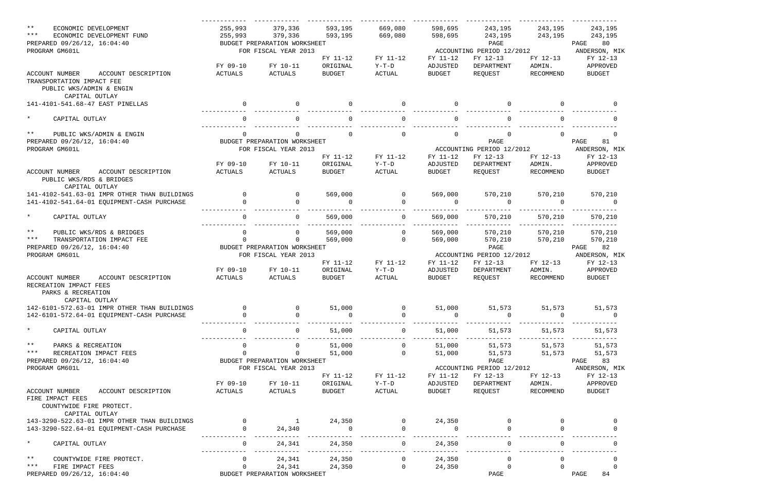| $***$<br>ECONOMIC DEVELOPMENT<br>$***$<br>ECONOMIC DEVELOPMENT FUND<br>PREPARED 09/26/12, 16:04:40<br>PROGRAM GM601L |                     | 255,993<br>255,993 | 379,336<br>379,336<br>BUDGET PREPARATION WORKSHEET<br>FOR FISCAL YEAR 2013 | 593,195<br>593,195 | 669,080<br>669,080 | 598,695<br>598,695   | 243,195<br>243,195<br>PAGE<br>ACCOUNTING PERIOD 12/2012 | 243,195<br>243,195 | 243,195<br>243,195<br>80<br>PAGE<br>ANDERSON, MIK |
|----------------------------------------------------------------------------------------------------------------------|---------------------|--------------------|----------------------------------------------------------------------------|--------------------|--------------------|----------------------|---------------------------------------------------------|--------------------|---------------------------------------------------|
|                                                                                                                      |                     |                    |                                                                            | FY 11-12           | FY 11-12           | FY 11-12             | FY 12-13                                                | FY 12-13           | FY 12-13                                          |
|                                                                                                                      |                     | FY 09-10           | FY 10-11                                                                   | ORIGINAL           | $Y-T-D$            | ADJUSTED             | DEPARTMENT                                              | ADMIN.             | APPROVED                                          |
| <b>ACCOUNT NUMBER</b><br>TRANSPORTATION IMPACT FEE                                                                   | ACCOUNT DESCRIPTION | ACTUALS            | ACTUALS                                                                    | <b>BUDGET</b>      | ACTUAL             | <b>BUDGET</b>        | REQUEST                                                 | RECOMMEND          | <b>BUDGET</b>                                     |
| PUBLIC WKS/ADMIN & ENGIN<br>CAPITAL OUTLAY                                                                           |                     |                    |                                                                            |                    |                    |                      |                                                         |                    |                                                   |
| 141-4101-541.68-47 EAST PINELLAS                                                                                     |                     | $\Omega$           |                                                                            |                    | $\Omega$           |                      |                                                         |                    |                                                   |
| $\star$<br>CAPITAL OUTLAY                                                                                            |                     |                    |                                                                            |                    | $\Omega$           |                      | $\Omega$                                                |                    |                                                   |
| $\star \star$<br>PUBLIC WKS/ADMIN & ENGIN                                                                            |                     | $\mathbf 0$        | 0                                                                          | $\Omega$           | $\mathsf{O}$       | $\mathbf 0$          | 0                                                       | $\Omega$           | 0                                                 |
| PREPARED 09/26/12, 16:04:40                                                                                          |                     |                    | BUDGET PREPARATION WORKSHEET                                               |                    |                    |                      | PAGE                                                    |                    | PAGE<br>81                                        |
| PROGRAM GM601L                                                                                                       |                     |                    | FOR FISCAL YEAR 2013                                                       |                    |                    |                      | ACCOUNTING PERIOD 12/2012                               |                    | ANDERSON, MIK                                     |
|                                                                                                                      |                     |                    |                                                                            | FY 11-12           | FY 11-12           | FY 11-12             | FY 12-13                                                | FY 12-13           | FY 12-13                                          |
|                                                                                                                      |                     | FY 09-10           | FY 10-11                                                                   | ORIGINAL           | $Y-T-D$            | ADJUSTED             | DEPARTMENT                                              | ADMIN.             | APPROVED                                          |
| <b>ACCOUNT NUMBER</b><br>PUBLIC WKS/RDS & BRIDGES<br>CAPITAL OUTLAY                                                  | ACCOUNT DESCRIPTION | ACTUALS            | ACTUALS                                                                    | BUDGET             | ACTUAL             | <b>BUDGET</b>        | REQUEST                                                 | RECOMMEND          | <b>BUDGET</b>                                     |
| 141-4102-541.63-01 IMPR OTHER THAN BUILDINGS                                                                         |                     | $\overline{0}$     | $\Omega$                                                                   | 569,000            | $\mathbf 0$        | 569,000              | 570,210                                                 | 570,210            | 570,210                                           |
| 141-4102-541.64-01 EQUIPMENT-CASH PURCHASE                                                                           |                     | $\Omega$           |                                                                            | $\Omega$           | $\Omega$           | $\overline{0}$       | 0                                                       | $\Omega$           | $\overline{0}$                                    |
| $\star$<br>CAPITAL OUTLAY                                                                                            |                     | $\mathsf{O}$       | $\overline{0}$                                                             | 569,000            | $\overline{0}$     | 569,000<br>--------- | 570,210<br>______________                               | 570,210<br>.       | 570,210<br>____________                           |
| $***$<br>PUBLIC WKS/RDS & BRIDGES                                                                                    |                     | 0                  | $\mathbf 0$                                                                | 569,000            | $\mathbf 0$        | 569,000              | 570,210                                                 | 570,210            | 570,210                                           |
| $***$<br>TRANSPORTATION IMPACT FEE                                                                                   |                     | $\Omega$           | 0                                                                          | 569,000            | $\overline{0}$     | 569,000              | 570,210                                                 | 570,210            | 570,210                                           |
| PREPARED 09/26/12, 16:04:40                                                                                          |                     |                    | BUDGET PREPARATION WORKSHEET                                               |                    |                    |                      | PAGE                                                    |                    | 82<br>PAGE                                        |
| PROGRAM GM601L                                                                                                       |                     |                    | FOR FISCAL YEAR 2013                                                       |                    |                    |                      | ACCOUNTING PERIOD 12/2012                               |                    | ANDERSON, MIK                                     |
|                                                                                                                      |                     |                    |                                                                            | FY 11-12           | FY 11-12           | FY 11-12             | FY 12-13                                                | FY 12-13           | FY 12-13                                          |
|                                                                                                                      |                     | FY 09-10           | FY 10-11                                                                   | ORIGINAL           | $Y-T-D$            | ADJUSTED             | DEPARTMENT                                              | ADMIN.             | APPROVED                                          |
| <b>ACCOUNT NUMBER</b><br>RECREATION IMPACT FEES<br>PARKS & RECREATION<br>CAPITAL OUTLAY                              | ACCOUNT DESCRIPTION | ACTUALS            | ACTUALS                                                                    | BUDGET             | ACTUAL             | <b>BUDGET</b>        | REQUEST                                                 | RECOMMEND          | <b>BUDGET</b>                                     |
| 142-6101-572.63-01 IMPR OTHER THAN BUILDINGS                                                                         |                     |                    |                                                                            | 51,000             | $\mathbf{0}$       | 51,000               | 51,573                                                  | 51,573             | 51,573                                            |
| 142-6101-572.64-01 EQUIPMENT-CASH PURCHASE                                                                           |                     |                    | $\Omega$                                                                   | $\overline{0}$     | $\Omega$           | $\Omega$             | $\Omega$                                                | $\overline{0}$     | $\overline{0}$                                    |
| $\star$<br>CAPITAL OUTLAY                                                                                            |                     | $\Omega$           | $\overline{0}$                                                             | 51,000             | $\overline{0}$     | 51,000               | 51,573                                                  | 51,573             | 51,573                                            |
| $***$<br>PARKS & RECREATION                                                                                          |                     |                    | $\Omega$                                                                   | 51,000             | $\Omega$           | 51,000               | 51,573                                                  | 51,573             | 51,573                                            |
| $* * *$<br>RECREATION IMPACT FEES                                                                                    |                     | $\Omega$           | $\overline{0}$                                                             | 51,000             | $\Omega$           | 51,000               |                                                         | 51,573 51,573      | 51,573                                            |
| PREPARED 09/26/12, 16:04:40                                                                                          |                     |                    | BUDGET PREPARATION WORKSHEET                                               |                    |                    |                      | PAGE                                                    |                    | PAGE 83                                           |
| PROGRAM GM601L                                                                                                       |                     |                    | FOR FISCAL YEAR 2013                                                       |                    |                    |                      | ACCOUNTING PERIOD 12/2012                               |                    | ANDERSON, MIK                                     |
|                                                                                                                      |                     |                    |                                                                            | FY 11-12           | FY 11-12           | FY 11-12             | FY 12-13                                                | FY 12-13           | FY 12-13                                          |
|                                                                                                                      |                     | FY 09-10           | FY 10-11                                                                   | ORIGINAL           | $Y-T-D$            | ADJUSTED             | DEPARTMENT                                              | ADMIN.             | APPROVED                                          |
| ACCOUNT NUMBER ACCOUNT DESCRIPTION<br>FIRE IMPACT FEES<br>COUNTYWIDE FIRE PROTECT.<br>CAPITAL OUTLAY                 |                     | ACTUALS            | ACTUALS                                                                    | BUDGET             | ACTUAL             | BUDGET               | REQUEST                                                 | RECOMMEND          | BUDGET                                            |
| 143-3290-522.63-01 IMPR OTHER THAN BUILDINGS                                                                         |                     |                    | $\mathbf 1$                                                                | 24,350             | $\overline{0}$     | 24,350               |                                                         |                    |                                                   |
| 143-3290-522.64-01 EQUIPMENT-CASH PURCHASE                                                                           |                     | $\Omega$           | 24,340                                                                     | $\overline{0}$     | $\Omega$           | $\Omega$             |                                                         |                    |                                                   |
| $\star$<br>CAPITAL OUTLAY                                                                                            |                     | $\Omega$           | 24,341                                                                     | 24,350             | $\Omega$           | 24,350               | $\Omega$                                                |                    |                                                   |
| $***$<br>COUNTYWIDE FIRE PROTECT.                                                                                    |                     | $\Omega$           | 24,341                                                                     | 24,350             | $\Omega$           | 24,350               | $\Omega$                                                |                    | $\Omega$                                          |
| $***$<br>FIRE IMPACT FEES                                                                                            |                     | $\Omega$           | 24,341                                                                     | 24,350             | $\overline{0}$     | 24,350               | $\Omega$                                                |                    | $\mathbf 0$                                       |
| PREPARED 09/26/12, 16:04:40                                                                                          |                     |                    | BUDGET PREPARATION WORKSHEET                                               |                    |                    |                      | PAGE                                                    |                    | PAGE<br>84                                        |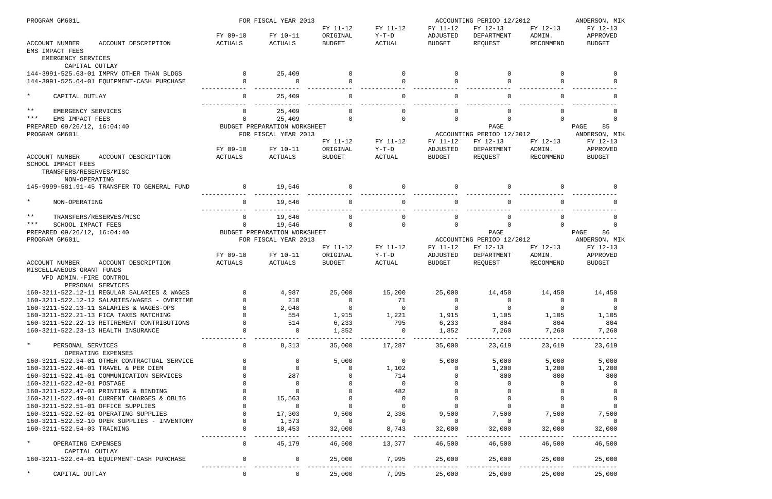| PROGRAM GM601L                                                                                                            |                | FOR FISCAL YEAR 2013         | ACCOUNTING PERIOD 12/2012 |                |                | ANDERSON, MIK             |                    |                |
|---------------------------------------------------------------------------------------------------------------------------|----------------|------------------------------|---------------------------|----------------|----------------|---------------------------|--------------------|----------------|
|                                                                                                                           |                |                              | FY 11-12                  | FY 11-12       | FY 11-12       | FY 12-13                  | FY 12-13           | FY 12-13       |
|                                                                                                                           | FY 09-10       | FY 10-11                     | ORIGINAL                  | $Y-T-D$        | ADJUSTED       | DEPARTMENT                | ADMIN.             | APPROVED       |
| <b>ACCOUNT NUMBER</b><br>ACCOUNT DESCRIPTION<br>EMS IMPACT FEES<br>EMERGENCY SERVICES                                     | ACTUALS        | ACTUALS                      | <b>BUDGET</b>             | <b>ACTUAL</b>  | <b>BUDGET</b>  | REQUEST                   | RECOMMEND          | <b>BUDGET</b>  |
| CAPITAL OUTLAY                                                                                                            |                |                              |                           |                |                |                           |                    |                |
| 144-3991-525.63-01 IMPRV OTHER THAN BLDGS                                                                                 | $\Omega$       | 25,409                       | $\Omega$                  | $\Omega$       | $\Omega$       | $\mathbf 0$               | $\Omega$           | $\Omega$       |
| 144-3991-525.64-01 EQUIPMENT-CASH PURCHASE                                                                                | $\Omega$       | $\Omega$                     | $\Omega$                  | $\Omega$       |                | $\Omega$                  | $\cap$             |                |
| $\star$<br>CAPITAL OUTLAY                                                                                                 | $\Omega$       | 25,409                       | $\cap$                    | $\Omega$       |                | $\Omega$                  | $\cap$             |                |
| $***$<br>EMERGENCY SERVICES                                                                                               | 0              | 25,409                       | $\cap$                    | $\Omega$       |                |                           |                    |                |
| ***<br>EMS IMPACT FEES                                                                                                    | 0              | 25,409                       | $\Omega$                  | $\Omega$       | $\Omega$       | $\Omega$                  | $\Omega$           | $\Omega$       |
| PREPARED 09/26/12, 16:04:40                                                                                               |                | BUDGET PREPARATION WORKSHEET |                           |                |                | PAGE                      |                    | 85<br>PAGE     |
| PROGRAM GM601L                                                                                                            |                | FOR FISCAL YEAR 2013         |                           |                |                | ACCOUNTING PERIOD 12/2012 |                    | ANDERSON, MIK  |
|                                                                                                                           |                |                              | FY 11-12                  | FY 11-12       | FY 11-12       | FY 12-13                  | FY 12-13           | FY 12-13       |
|                                                                                                                           | FY 09-10       | FY 10-11                     | ORIGINAL                  | $Y-T-D$        | ADJUSTED       | DEPARTMENT                | ADMIN.             | APPROVED       |
| ACCOUNT NUMBER<br>ACCOUNT DESCRIPTION<br>SCHOOL IMPACT FEES<br>TRANSFERS/RESERVES/MISC<br>NON-OPERATING                   | ACTUALS        | ACTUALS                      | <b>BUDGET</b>             | ACTUAL         | <b>BUDGET</b>  | REQUEST                   | RECOMMEND          | <b>BUDGET</b>  |
| 145-9999-581.91-45 TRANSFER TO GENERAL FUND                                                                               | $\Omega$       | 19,646                       | $\Omega$                  | $\Omega$       |                | $\Omega$                  | $\cap$             |                |
| $\star$<br>NON-OPERATING                                                                                                  | $\Omega$       | 19,646                       |                           | $\Omega$       |                |                           |                    |                |
| $***$<br>TRANSFERS/RESERVES/MISC                                                                                          | 0              | 19,646                       | $\Omega$                  | $\Omega$       | $\Omega$       | $\Omega$                  | $\Omega$           | $\Omega$       |
| ***<br>SCHOOL IMPACT FEES                                                                                                 | 0              | 19,646                       | $\Omega$                  | $\Omega$       | $\Omega$       | $\mathbf 0$               | $\Omega$           | $\Omega$       |
| PREPARED 09/26/12, 16:04:40                                                                                               |                | BUDGET PREPARATION WORKSHEET |                           |                |                | PAGE                      |                    | 86<br>PAGE     |
| PROGRAM GM601L                                                                                                            |                | FOR FISCAL YEAR 2013         |                           |                |                | ACCOUNTING PERIOD 12/2012 |                    | ANDERSON, MIK  |
|                                                                                                                           |                |                              | FY 11-12                  | FY 11-12       | FY 11-12       | FY 12-13                  | FY 12-13           | FY 12-13       |
|                                                                                                                           | FY 09-10       | FY 10-11                     | ORIGINAL                  | $Y-T-D$        | ADJUSTED       | DEPARTMENT                | ADMIN.             | APPROVED       |
| <b>ACCOUNT NUMBER</b><br>ACCOUNT DESCRIPTION<br>MISCELLANEOUS GRANT FUNDS<br>VFD ADMIN.-FIRE CONTROL<br>PERSONAL SERVICES | ACTUALS        | ACTUALS                      | <b>BUDGET</b>             | ACTUAL         | BUDGET         | REOUEST                   | RECOMMEND          | <b>BUDGET</b>  |
| 160-3211-522.12-11 REGULAR SALARIES & WAGES                                                                               | $\overline{0}$ | 4,987                        | 25,000                    | 15,200         | 25,000         | 14,450                    | 14,450             | 14,450         |
| 160-3211-522.12-12 SALARIES/WAGES - OVERTIME                                                                              |                | 210                          | $\overline{0}$            | 71             |                | $\overline{0}$            |                    | $\overline{0}$ |
| 160-3211-522.13-11 SALARIES & WAGES-OPS                                                                                   |                | 2,048                        | $\overline{0}$            | $\Omega$       | $\overline{0}$ | $\overline{0}$            | $\Omega$           |                |
| 160-3211-522.21-13 FICA TAXES MATCHING                                                                                    |                | 554                          | 1,915                     | 1,221          | 1,915          | 1,105                     | 1,105              | 1,105          |
| 160-3211-522.22-13 RETIREMENT CONTRIBUTIONS                                                                               |                | 514                          | 6,233                     | 795            | 6,233          | 804                       | 804                | 804            |
| 160-3211-522.23-13 HEALTH INSURANCE                                                                                       |                | $\overline{0}$               | 1,852                     | $\overline{0}$ | 1,852          | 7,260                     | 7,260              | 7,260          |
| $\star$<br>PERSONAL SERVICES<br>OPERATING EXPENSES                                                                        | 0              | 8,313                        | 35,000                    | 17,287         | 35,000         | 23,619                    | 23,619             | 23,619         |
| 160-3211-522.34-01 OTHER CONTRACTUAL SERVICE                                                                              | $\mathbf 0$    | 0                            | 5,000                     | $\overline{0}$ | 5,000          | 5,000                     | 5,000              | 5,000          |
| 160-3211-522.40-01 TRAVEL & PER DIEM                                                                                      |                | $\mathbf 0$                  | $\Omega$                  | 1,102          | 0              | 1,200                     | 1,200              | 1,200          |
| 160-3211-522.41-01 COMMUNICATION SERVICES                                                                                 |                | 287                          |                           | 714            | 0              | 800                       | 800                | 800            |
| 160-3211-522.42-01 POSTAGE                                                                                                |                | $\mathbf 0$                  |                           | $\overline{0}$ |                | 0                         | $\Omega$           | 0              |
| 160-3211-522.47-01 PRINTING & BINDING                                                                                     |                | $\mathbf 0$                  |                           | 482            |                | $\overline{0}$            |                    |                |
| 160-3211-522.49-01 CURRENT CHARGES & OBLIG                                                                                |                | 15,563                       | $\overline{0}$            | $\Omega$       | 0              | $\overline{0}$            |                    |                |
| 160-3211-522.51-01 OFFICE SUPPLIES                                                                                        |                | $\overline{0}$               | $\Omega$                  | $\overline{0}$ |                | $\mathbf 0$               | $\Omega$           |                |
| 160-3211-522.52-01 OPERATING SUPPLIES                                                                                     |                | 17,303                       | 9,500                     | 2,336          | 9,500          | 7,500                     | 7,500              | 7,500          |
| 160-3211-522.52-10 OPER SUPPLIES - INVENTORY<br>160-3211-522.54-03 TRAINING                                               |                | 1,573<br>10,453              | $\Omega$<br>32,000        | - 0<br>8,743   | 0<br>32,000    | $\overline{0}$<br>32,000  | $\Omega$<br>32,000 | 0<br>32,000    |
| $\star$<br>OPERATING EXPENSES                                                                                             | 0              | 45,179                       | 46,500                    | 13,377         | 46,500         | 46,500                    | 46,500             | 46,500         |
| CAPITAL OUTLAY<br>160-3211-522.64-01 EQUIPMENT-CASH PURCHASE                                                              | $\mathsf{O}$   | $\mathbf 0$                  | 25,000                    | 7,995          | 25,000         | 25,000                    | 25,000             | 25,000         |
| CAPITAL OUTLAY                                                                                                            | 0              | $\overline{0}$               | 25,000                    | 7,995          | 25,000         | 25,000                    | 25,000             | 25,000         |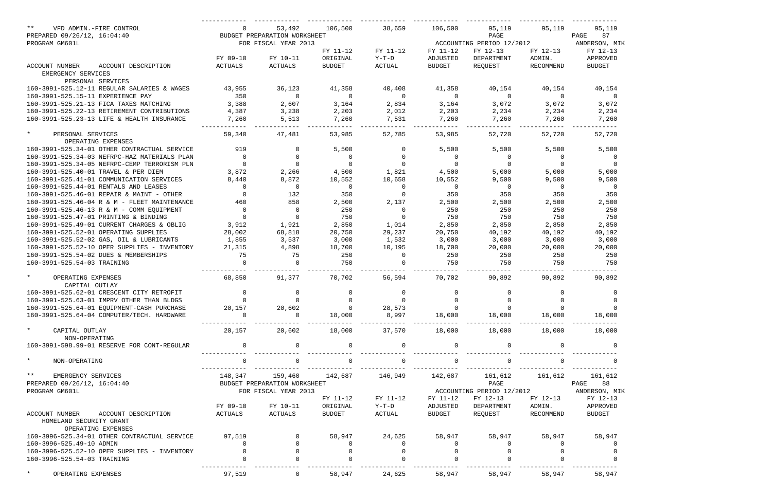| $***$<br>VFD ADMIN.-FIRE CONTROL                                   |                | 53,492                       | 106,500        | 38,659         | 106,500        | 95,119                    | 95,119             | 95,119         |
|--------------------------------------------------------------------|----------------|------------------------------|----------------|----------------|----------------|---------------------------|--------------------|----------------|
| PREPARED 09/26/12, 16:04:40                                        |                | BUDGET PREPARATION WORKSHEET |                |                |                | PAGE                      |                    | PAGE<br>87     |
| PROGRAM GM601L                                                     |                | FOR FISCAL YEAR 2013         |                |                |                | ACCOUNTING PERIOD 12/2012 |                    | ANDERSON, MIK  |
|                                                                    |                |                              | FY 11-12       | FY 11-12       | FY 11-12       | FY 12-13                  | FY 12-13           | FY 12-13       |
|                                                                    | FY 09-10       | FY 10-11                     | ORIGINAL       | $Y-T-D$        | ADJUSTED       | DEPARTMENT                | ADMIN.             | APPROVED       |
| ACCOUNT NUMBER<br>ACCOUNT DESCRIPTION                              | ACTUALS        | ACTUALS                      | <b>BUDGET</b>  | ACTUAL         | <b>BUDGET</b>  | REQUEST                   | RECOMMEND          | <b>BUDGET</b>  |
| EMERGENCY SERVICES                                                 |                |                              |                |                |                |                           |                    |                |
| PERSONAL SERVICES                                                  |                |                              |                |                |                |                           |                    |                |
| 160-3991-525.12-11 REGULAR SALARIES & WAGES                        | 43,955         | 36,123                       | 41,358         | 40,408         | 41,358         | 40,154                    | 40,154             | 40,154         |
| 160-3991-525.15-11 EXPERIENCE PAY                                  | 350            | $\mathbf 0$                  | $\overline{0}$ | $\overline{0}$ | $\overline{0}$ | $\overline{0}$            | $\Omega$           | $\overline{0}$ |
| 160-3991-525.21-13 FICA TAXES MATCHING                             | 3,388          | 2,607                        | 3,164          | 2,834          | 3,164          | 3,072                     | 3,072              | 3,072          |
| 160-3991-525.22-13 RETIREMENT CONTRIBUTIONS                        | 4,387          | 3,238                        | 2,203          | 2,012          | 2,203          | 2,234                     | 2,234              | 2,234          |
| 160-3991-525.23-13 LIFE & HEALTH INSURANCE                         | 7,260          | 5,513                        | 7,260          | 7,531          | 7,260          | 7,260                     | 7,260              | 7,260          |
| $\star$<br>PERSONAL SERVICES                                       | 59,340         | 47,481                       | 53,985         | 52,785         | 53,985         | 52,720                    | 52,720             | 52,720         |
| OPERATING EXPENSES                                                 |                |                              |                |                |                |                           |                    |                |
| 160-3991-525.34-01 OTHER CONTRACTUAL SERVICE                       | 919            | $\Omega$                     | 5,500          | 0              | 5,500          | 5,500                     | 5,500              | 5,500          |
| 160-3991-525.34-03 NEFRPC-HAZ MATERIALS PLAN                       | $\mathbf 0$    | $\mathbf 0$                  | 0              | $\mathbf 0$    | $\mathbf{0}$   | 0                         | 0                  | 0              |
| 160-3991-525.34-05 NEFRPC-CEMP TERRORISM PLN                       | $\overline{0}$ | $\Omega$                     | 0              | $\Omega$       | $\mathbf 0$    | $\overline{0}$            | 0                  | $\Omega$       |
| 160-3991-525.40-01 TRAVEL & PER DIEM                               | 3,872          | 2,266                        | 4,500          | 1,821          | 4,500          | 5,000                     | 5,000              | 5,000          |
| 160-3991-525.41-01 COMMUNICATION SERVICES                          | 8,440          | 8,872                        | 10,552         | 10,658         | 10,552         | 9,500                     | 9,500              | 9,500          |
| 160-3991-525.44-01 RENTALS AND LEASES                              | $\overline{0}$ | $\mathbf 0$                  | $\overline{0}$ | $\overline{0}$ | $\overline{0}$ | $\overline{0}$            | 0                  | $\overline{0}$ |
| 160-3991-525.46-01 REPAIR & MAINT - OTHER                          | $\overline{0}$ | 132                          | 350            | $\overline{0}$ | 350            | 350                       | 350                | 350            |
| 160-3991-525.46-04 R & M - FLEET MAINTENANCE                       | 460            | 858                          | 2,500          | 2,137          | 2,500          | 2,500                     | 2,500              | 2,500          |
| 160-3991-525.46-13 R & M - COMM EQUIPMENT                          | $\mathbf 0$    | $\mathbf 0$                  | 250            | $\overline{0}$ | 250            | 250                       | 250                | 250            |
| 160-3991-525.47-01 PRINTING & BINDING                              | $\overline{0}$ | $\mathbf 0$                  | 750            | $\overline{0}$ | 750            | 750                       | 750                | 750            |
| 160-3991-525.49-01 CURRENT CHARGES & OBLIG                         | 3,912          | 1,921                        | 2,850          | 1,014          | 2,850          | 2,850                     | 2,850              | 2,850          |
| 160-3991-525.52-01 OPERATING SUPPLIES                              | 28,002         | 68,818                       | 20,750         | 29,237         | 20,750         | 40,192                    | 40,192             | 40,192         |
| 160-3991-525.52-02 GAS, OIL & LUBRICANTS                           | 1,855          | 3,537                        | 3,000          | 1,532          | 3,000          | 3,000                     | 3,000              | 3,000          |
| 160-3991-525.52-10 OPER SUPPLIES - INVENTORY                       | 21,315         | 4,898                        | 18,700         | 10,195         | 18,700         | 20,000                    | 20,000             | 20,000         |
| 160-3991-525.54-02 DUES & MEMBERSHIPS                              | 75             | 75                           | 250            | $\overline{0}$ | 250            | 250                       | 250                | 250            |
| 160-3991-525.54-03 TRAINING                                        | $\Omega$       | $\Omega$                     | 750            | $\Omega$       | 750            | 750                       | 750                | 750            |
| $\star$<br>OPERATING EXPENSES                                      | 68,850         | 91,377                       | 70,702         | 56,594         | 70,702         | 90,892                    | 90,892             | 90,892         |
| CAPITAL OUTLAY                                                     |                |                              |                |                |                |                           |                    |                |
| 160-3991-525.62-01 CRESCENT CITY RETROFIT                          | $\overline{0}$ | 0                            |                | 0              | 0              |                           |                    | 0              |
| 160-3991-525.63-01 IMPRV OTHER THAN BLDGS                          |                |                              |                |                |                |                           | $\overline{0}$     | $\overline{0}$ |
| 160-3991-525.64-01 EQUIPMENT-CASH PURCHASE                         | 20,157         | 20,602                       | $\overline{0}$ | 28,573         |                | $\mathsf{O}$              | $\Omega$           |                |
| 160-3991-525.64-04 COMPUTER/TECH. HARDWARE                         | $\Omega$       | $\mathbf 0$                  | 18,000         | 8,997          | 18,000         | 18,000                    | 18,000             | 18,000         |
| $\star$<br>CAPITAL OUTLAY                                          | 20,157         | 20,602                       | 18,000         | 37,570         | 18,000         | 18,000                    | 18,000             | 18,000         |
| NON-OPERATING                                                      |                |                              |                |                |                |                           |                    |                |
| 160-3991-598.99-01 RESERVE FOR CONT-REGULAR                        | $\overline{0}$ | $\Omega$                     | $\mathbf 0$    | $\overline{0}$ | $\overline{0}$ | $\mathbf 0$               | $\Omega$           |                |
| $\star$<br>NON-OPERATING                                           | $\overline{0}$ | $\mathbf 0$                  | $\mathbf 0$    | $\overline{0}$ |                | $\mathbf 0$               |                    |                |
| $***$<br>EMERGENCY SERVICES                                        | 148,347        | 159,460                      | 142,687        | 146,949        | 142,687        | 161,612                   | 161,612            | 161,612        |
| PREPARED 09/26/12, 16:04:40                                        |                | BUDGET PREPARATION WORKSHEET |                |                |                | PAGE                      |                    | 88<br>PAGE     |
| PROGRAM GM601L                                                     |                | FOR FISCAL YEAR 2013         |                |                |                | ACCOUNTING PERIOD 12/2012 |                    | ANDERSON, MIK  |
|                                                                    |                |                              | FY 11-12       | FY 11-12       | FY 11-12       | FY 12-13                  | FY 12-13           | FY 12-13       |
|                                                                    | FY 09-10       | FY 10-11                     | ORIGINAL       | $Y-T-D$        | ADJUSTED       | DEPARTMENT                | ADMIN.             | APPROVED       |
| ACCOUNT NUMBER<br>ACCOUNT DESCRIPTION                              | ACTUALS        | ACTUALS                      | <b>BUDGET</b>  | ACTUAL         | BUDGET         | REQUEST                   | RECOMMEND          | <b>BUDGET</b>  |
| HOMELAND SECURITY GRANT                                            |                |                              |                |                |                |                           |                    |                |
| OPERATING EXPENSES<br>160-3996-525.34-01 OTHER CONTRACTUAL SERVICE | 97,519         | 0                            |                | 24,625         |                |                           |                    | 58,947         |
| 160-3996-525.49-10 ADMIN                                           | $\mathbf{0}$   | $\mathbf 0$                  | 58,947         |                | 58,947         | 58,947                    | 58,947<br>$\Omega$ |                |
|                                                                    | $\mathsf{O}$   | $\mathbf 0$                  | 0              | $\mathbf{0}$   | $\overline{0}$ | 0                         |                    | - ( )          |
| 160-3996-525.52-10 OPER SUPPLIES - INVENTORY                       |                |                              | 0              |                |                |                           |                    |                |
| 160-3996-525.54-03 TRAINING                                        |                |                              |                |                |                |                           |                    |                |
| $\star$<br>OPERATING EXPENSES                                      | 97,519         | $\overline{0}$               | 58,947         | 24,625         | 58,947         | 58,947                    | 58,947             | 58,947         |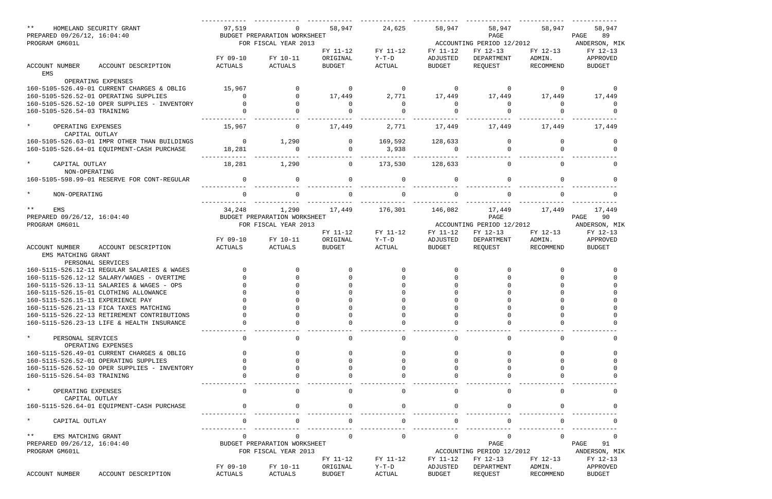| $***$<br>HOMELAND SECURITY GRANT<br>PREPARED 09/26/12, 16:04:40<br>PROGRAM GM601L   | 97,519             | BUDGET PREPARATION WORKSHEET<br>FOR FISCAL YEAR 2013 | 58,947               | 24,625                  | 58,947               | 58,947<br>PAGE<br>ACCOUNTING PERIOD 12/2012 | 58,947             | 58,947<br>89<br>PAGE<br>ANDERSON, MIK |
|-------------------------------------------------------------------------------------|--------------------|------------------------------------------------------|----------------------|-------------------------|----------------------|---------------------------------------------|--------------------|---------------------------------------|
|                                                                                     | FY 09-10           | FY 10-11                                             | FY 11-12<br>ORIGINAL | FY 11-12<br>$Y-T-D$     | FY 11-12<br>ADJUSTED | FY 12-13<br>DEPARTMENT                      | FY 12-13<br>ADMIN. | FY 12-13<br>APPROVED                  |
| <b>ACCOUNT NUMBER</b><br>ACCOUNT DESCRIPTION<br>EMS                                 | <b>ACTUALS</b>     | <b>ACTUALS</b>                                       | <b>BUDGET</b>        | <b>ACTUAL</b>           | <b>BUDGET</b>        | REQUEST                                     | RECOMMEND          | <b>BUDGET</b>                         |
| OPERATING EXPENSES                                                                  |                    |                                                      |                      |                         |                      |                                             |                    |                                       |
| 160-5105-526.49-01 CURRENT CHARGES & OBLIG<br>160-5105-526.52-01 OPERATING SUPPLIES | 15,967<br>$\Omega$ | <sup>0</sup>                                         | $\Omega$<br>17,449   | $\overline{0}$<br>2,771 | 17,449               | $\Omega$<br>17,449                          | $\Omega$<br>17,449 | 17,449                                |
| 160-5105-526.52-10 OPER SUPPLIES - INVENTORY                                        |                    |                                                      |                      | $\Omega$                | $\Omega$             | 0                                           | $\Omega$           | - 0                                   |
| 160-5105-526.54-03 TRAINING                                                         |                    |                                                      |                      |                         |                      |                                             |                    |                                       |
| $\star$<br>OPERATING EXPENSES<br>CAPITAL OUTLAY                                     | 15,967             | 0                                                    | 17,449               | 2,771                   | 17,449               | 17,449                                      | 17,449             | 17,449                                |
| 160-5105-526.63-01 IMPR OTHER THAN BUILDINGS                                        | $\overline{0}$     | 1,290                                                | $\Omega$             | 169,592                 | 128,633              |                                             |                    |                                       |
| 160-5105-526.64-01 EQUIPMENT-CASH PURCHASE                                          | 18,281             |                                                      |                      | 3,938                   |                      |                                             |                    |                                       |
| $\star$<br>CAPITAL OUTLAY<br>NON-OPERATING                                          | 18,281             | 1,290                                                | 0                    | 173,530                 | 128,633              | 0                                           | $\Omega$           |                                       |
| 160-5105-598.99-01 RESERVE FOR CONT-REGULAR                                         | $\mathbf 0$        | $\Omega$                                             |                      | $\mathbf 0$             | $\Omega$             | $\Omega$                                    |                    |                                       |
| $\star$<br>NON-OPERATING                                                            |                    |                                                      |                      |                         |                      |                                             |                    |                                       |
| $***$<br>EMS                                                                        | 34,248             | 1,290                                                | 17,449               | 176,301                 | 146,082              | 17,449                                      | 17,449             | 17,449                                |
| PREPARED 09/26/12, 16:04:40                                                         |                    | BUDGET PREPARATION WORKSHEET                         |                      |                         |                      | PAGE                                        |                    | PAGE<br>90                            |
| PROGRAM GM601L                                                                      |                    | FOR FISCAL YEAR 2013                                 |                      |                         |                      | ACCOUNTING PERIOD 12/2012                   |                    | ANDERSON, MIK                         |
|                                                                                     |                    |                                                      | FY 11-12             | FY 11-12                | FY 11-12             | FY 12-13                                    | FY 12-13           | FY 12-13                              |
|                                                                                     | FY 09-10           | FY 10-11                                             | ORIGINAL             | $Y-T-D$                 | ADJUSTED             | DEPARTMENT                                  | ADMIN.             | APPROVED                              |
| ACCOUNT DESCRIPTION<br><b>ACCOUNT NUMBER</b>                                        | <b>ACTUALS</b>     | ACTUALS                                              | <b>BUDGET</b>        | <b>ACTUAL</b>           | <b>BUDGET</b>        | REQUEST                                     | RECOMMEND          | <b>BUDGET</b>                         |
| EMS MATCHING GRANT<br>PERSONAL SERVICES                                             |                    |                                                      |                      |                         |                      |                                             |                    |                                       |
| 160-5115-526.12-11 REGULAR SALARIES & WAGES                                         |                    |                                                      |                      |                         |                      |                                             |                    |                                       |
| 160-5115-526.12-12 SALARY/WAGES - OVERTIME                                          |                    |                                                      |                      |                         |                      |                                             |                    |                                       |
| 160-5115-526.13-11 SALARIES & WAGES - OPS                                           |                    |                                                      |                      |                         |                      |                                             |                    |                                       |
| 160-5115-526.15-01 CLOTHING ALLOWANCE                                               |                    |                                                      |                      |                         |                      |                                             |                    |                                       |
| 160-5115-526.15-11 EXPERIENCE PAY                                                   |                    |                                                      |                      |                         |                      |                                             |                    |                                       |
| 160-5115-526.21-13 FICA TAXES MATCHING                                              |                    |                                                      |                      |                         |                      |                                             |                    |                                       |
| 160-5115-526.22-13 RETIREMENT CONTRIBUTIONS                                         |                    |                                                      |                      |                         |                      |                                             |                    |                                       |
| 160-5115-526.23-13 LIFE & HEALTH INSURANCE                                          |                    |                                                      |                      |                         |                      |                                             |                    |                                       |
| $\star$<br>PERSONAL SERVICES<br>OPERATING EXPENSES                                  |                    |                                                      |                      | $\Omega$                |                      | $\cap$                                      |                    |                                       |
| 160-5115-526.49-01 CURRENT CHARGES & OBLIG                                          |                    |                                                      |                      |                         |                      |                                             |                    |                                       |
| 160-5115-526.52-01 OPERATING SUPPLIES                                               |                    |                                                      |                      |                         |                      |                                             |                    |                                       |
| 160-5115-526.52-10 OPER SUPPLIES - INVENTORY                                        |                    |                                                      |                      |                         |                      |                                             |                    |                                       |
| 160-5115-526.54-03 TRAINING                                                         |                    |                                                      |                      |                         |                      |                                             |                    |                                       |
| $\star$<br>OPERATING EXPENSES<br>CAPITAL OUTLAY                                     |                    |                                                      |                      | $\Omega$                |                      | $\Omega$                                    |                    |                                       |
| 160-5115-526.64-01 EQUIPMENT-CASH PURCHASE                                          |                    |                                                      |                      |                         |                      |                                             |                    |                                       |
| $\star$<br>CAPITAL OUTLAY                                                           |                    |                                                      |                      |                         |                      |                                             |                    |                                       |
| $***$<br>EMS MATCHING GRANT                                                         |                    |                                                      |                      | $\Omega$                | $\cap$               |                                             |                    |                                       |
| PREPARED 09/26/12, 16:04:40                                                         |                    | BUDGET PREPARATION WORKSHEET                         |                      |                         |                      | PAGE                                        |                    | PAGE<br>91                            |
| PROGRAM GM601L                                                                      |                    | FOR FISCAL YEAR 2013                                 |                      |                         |                      | ACCOUNTING PERIOD 12/2012                   |                    | ANDERSON, MIK                         |
|                                                                                     |                    |                                                      | FY 11-12             | FY 11-12                | FY 11-12             | FY 12-13                                    | FY 12-13           | FY 12-13                              |
|                                                                                     | FY 09-10           | FY 10-11                                             | ORIGINAL             | $Y-T-D$                 | ADJUSTED             | DEPARTMENT                                  | ADMIN.             | APPROVED                              |
| ACCOUNT DESCRIPTION<br>ACCOUNT NUMBER                                               | ACTUALS            | ACTUALS                                              | <b>BUDGET</b>        | ACTUAL                  | <b>BUDGET</b>        | REQUEST                                     | RECOMMEND          | <b>BUDGET</b>                         |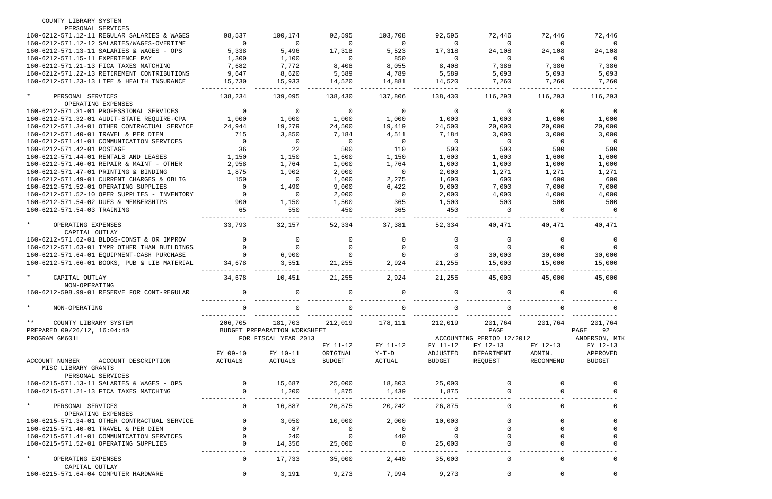| PERSONAL SERVICES<br>160-6212-571.12-11 REGULAR SALARIES & WAGES<br>98,537<br>100,174<br>92,595<br>103,708<br>92,595<br>72,446<br>72,446<br>72,446<br>160-6212-571.12-12 SALARIES/WAGES-OVERTIME<br>$\overline{0}$<br>0<br>$\Omega$<br>$\overline{0}$<br>$\Omega$<br>$\overline{0}$<br>$\Omega$<br>$\Omega$<br>5,338<br>160-6212-571.13-11 SALARIES & WAGES - OPS<br>5,496<br>17,318<br>5,523<br>17,318<br>24,108<br>24,108<br>24,108<br>1,300<br>1,100<br>850<br>160-6212-571.15-11 EXPERIENCE PAY<br>$\overline{0}$<br>$\overline{0}$<br>$\overline{0}$<br>$\Omega$<br>$\Omega$<br>7,682<br>7,772<br>8,055<br>7,386<br>7,386<br>160-6212-571.21-13 FICA TAXES MATCHING<br>8,408<br>8,408<br>7,386<br>9,647<br>8,620<br>5,589<br>4,789<br>5,589<br>5,093<br>160-6212-571.22-13 RETIREMENT CONTRIBUTIONS<br>5,093<br>5,093<br>160-6212-571.23-13 LIFE & HEALTH INSURANCE<br>15,730<br>15,933<br>14,520<br>14,881<br>14,520<br>7,260<br>7,260<br>7,260<br>$\star$<br>PERSONAL SERVICES<br>138,234<br>139,095<br>138,430<br>137,806<br>138,430<br>116,293<br>116,293<br>116,293<br>OPERATING EXPENSES<br>160-6212-571.31-01 PROFESSIONAL SERVICES<br>$\overline{0}$<br>$\Omega$<br>$\overline{0}$<br>$\overline{0}$<br>0<br>$\mathbf 0$<br>0<br>$\Omega$<br>1,000<br>1,000<br>1,000<br>160-6212-571.32-01 AUDIT-STATE REQUIRE-CPA<br>1,000<br>1,000<br>1,000<br>1,000<br>1,000<br>24,500<br>24,500<br>20,000<br>160-6212-571.34-01 OTHER CONTRACTUAL SERVICE<br>24,944<br>19,279<br>19,419<br>20,000<br>20,000<br>160-6212-571.40-01 TRAVEL & PER DIEM<br>715<br>3,850<br>7,184<br>4,511<br>7,184<br>3,000<br>3,000<br>3,000<br>160-6212-571.41-01 COMMUNICATION SERVICES<br>$\overline{0}$<br>$\mathbf 0$<br>$\overline{0}$<br>$\overline{0}$<br>$\overline{0}$<br>$\overline{0}$<br>$\overline{0}$<br>$\overline{0}$<br>36<br>22<br>500<br>110<br>160-6212-571.42-01 POSTAGE<br>500<br>500<br>500<br>500<br>1,150<br>1,150<br>1,600<br>160-6212-571.44-01 RENTALS AND LEASES<br>1,150<br>1,600<br>1,600<br>1,600<br>1,600<br>2,958<br>1,000<br>160-6212-571.46-01 REPAIR & MAINT - OTHER<br>1,764<br>1,000<br>1,764<br>1,000<br>1,000<br>1,000<br>2,000<br>1,271<br>160-6212-571.47-01 PRINTING & BINDING<br>1,875<br>1,902<br>$\overline{0}$<br>2,000<br>1,271<br>1,271<br>600<br>150<br>2,275<br>1,600<br>600<br>600<br>160-6212-571.49-01 CURRENT CHARGES & OBLIG<br>$\Omega$<br>1,600<br>9,000<br>6,422<br>7,000<br>160-6212-571.52-01 OPERATING SUPPLIES<br>1,490<br>9,000<br>7,000<br>7,000<br>$\Omega$<br>2,000<br>160-6212-571.52-10 OPER SUPPLIES - INVENTORY<br>$\Omega$<br>2,000<br>4,000<br>4,000<br>4,000<br>$\overline{0}$<br>160-6212-571.54-02 DUES & MEMBERSHIPS<br>900<br>1,150<br>1,500<br>365<br>1,500<br>500<br>500<br>500<br>65<br>550<br>450<br>365<br>450<br>160-6212-571.54-03 TRAINING<br>$\Omega$<br>$\Omega$<br>$\Omega$<br>$\star$<br>OPERATING EXPENSES<br>33,793<br>52,334<br>37,381<br>52,334<br>40,471<br>40,471<br>32,157<br>40,471<br>CAPITAL OUTLAY<br>160-6212-571.62-01 BLDGS-CONST & OR IMPROV<br>160-6212-571.63-01 IMPR OTHER THAN BUILDINGS<br>$\Omega$<br>6,900<br>30,000<br>160-6212-571.64-01 EQUIPMENT-CASH PURCHASE<br>30,000<br>30,000<br>$\Omega$<br>3,551<br>21,255<br>15,000<br>160-6212-571.66-01 BOOKS, PUB & LIB MATERIAL<br>34,678<br>21,255<br>2,924<br>15,000<br>15,000<br>$\star$<br>CAPITAL OUTLAY<br>34,678<br>21,255<br>2,924<br>45,000<br>45,000<br>45,000<br>10,451<br>21,255<br>NON-OPERATING<br>160-6212-598.99-01 RESERVE FOR CONT-REGULAR<br>0<br>$\mathbf 0$<br>$\Omega$<br>0<br>$\Omega$<br>0<br>0<br>$\Omega$<br>$\star$<br>0<br>NON-OPERATING<br>0<br>0<br>$\star \star$<br>206,705<br>181,703<br>178,111<br>212,019<br>COUNTY LIBRARY SYSTEM<br>212,019<br>201,764<br>201,764<br>201,764<br>PREPARED 09/26/12, 16:04:40<br>BUDGET PREPARATION WORKSHEET<br>PAGE<br>PAGE<br>92<br>PROGRAM GM601L<br>FOR FISCAL YEAR 2013<br>ACCOUNTING PERIOD 12/2012<br>FY 11-12<br>FY 11-12<br>FY 11-12<br>FY 12-13<br>FY 12-13<br>FY 12-13<br>FY 09-10<br>FY 10-11<br>ORIGINAL<br>Y-T-D<br>ADJUSTED<br>DEPARTMENT<br>ADMIN.<br>APPROVED<br>ACCOUNT DESCRIPTION<br>ACTUALS<br>BUDGET<br>ACTUAL<br>BUDGET<br>REQUEST<br>RECOMMEND<br><b>BUDGET</b><br>ACCOUNT NUMBER<br>ACTUALS<br>MISC LIBRARY GRANTS<br>PERSONAL SERVICES<br>25,000<br>18,803<br>25,000<br>160-6215-571.13-11 SALARIES & WAGES - OPS<br>$\overline{0}$<br>15,687<br>160-6215-571.21-13 FICA TAXES MATCHING<br>1,200<br>1,875<br>1,439<br>1,875<br>$\overline{0}$<br>$\star$<br>$\overline{0}$<br>16,887<br>26,875<br>20,242<br>26,875<br>$\mathbf 0$<br>PERSONAL SERVICES<br>0<br>0<br>OPERATING EXPENSES<br>160-6215-571.34-01 OTHER CONTRACTUAL SERVICE<br>3,050<br>10,000<br>2,000<br>10,000<br>0<br>160-6215-571.40-01 TRAVEL & PER DIEM<br>87<br>$\overline{0}$<br>$\overline{0}$<br>$\overline{0}$<br>$\Omega$<br>240<br>440<br>160-6215-571.41-01 COMMUNICATION SERVICES<br>$\overline{0}$<br>$\Omega$<br>25,000<br>25,000<br>160-6215-571.52-01 OPERATING SUPPLIES<br>14,356<br>$\overline{0}$<br>$\star$<br>35,000<br>2,440<br>35,000<br>0<br>OPERATING EXPENSES<br>$\overline{0}$<br>17,733<br>$\mathbf 0$<br>0<br>CAPITAL OUTLAY<br>160-6215-571.64-04 COMPUTER HARDWARE<br>3,191<br>9,273<br>7,994<br>9,273<br>$\Omega$<br>$\overline{0}$<br>0<br>0 | COUNTY LIBRARY SYSTEM |  |  |  |               |
|-------------------------------------------------------------------------------------------------------------------------------------------------------------------------------------------------------------------------------------------------------------------------------------------------------------------------------------------------------------------------------------------------------------------------------------------------------------------------------------------------------------------------------------------------------------------------------------------------------------------------------------------------------------------------------------------------------------------------------------------------------------------------------------------------------------------------------------------------------------------------------------------------------------------------------------------------------------------------------------------------------------------------------------------------------------------------------------------------------------------------------------------------------------------------------------------------------------------------------------------------------------------------------------------------------------------------------------------------------------------------------------------------------------------------------------------------------------------------------------------------------------------------------------------------------------------------------------------------------------------------------------------------------------------------------------------------------------------------------------------------------------------------------------------------------------------------------------------------------------------------------------------------------------------------------------------------------------------------------------------------------------------------------------------------------------------------------------------------------------------------------------------------------------------------------------------------------------------------------------------------------------------------------------------------------------------------------------------------------------------------------------------------------------------------------------------------------------------------------------------------------------------------------------------------------------------------------------------------------------------------------------------------------------------------------------------------------------------------------------------------------------------------------------------------------------------------------------------------------------------------------------------------------------------------------------------------------------------------------------------------------------------------------------------------------------------------------------------------------------------------------------------------------------------------------------------------------------------------------------------------------------------------------------------------------------------------------------------------------------------------------------------------------------------------------------------------------------------------------------------------------------------------------------------------------------------------------------------------------------------------------------------------------------------------------------------------------------------------------------------------------------------------------------------------------------------------------------------------------------------------------------------------------------------------------------------------------------------------------------------------------------------------------------------------------------------------------------------------------------------------------------------------------------------------------------------------------------------------------------------------------------------------------------------------------------------------------------------------------------------------------------------------------------------------------------------------------------------------------------------------------------------------------------------------------------------------------------------------------------------------------------------------------------------------------------------------------------------------------------------------------------------------------------------------------------------------------------------------------------------------------------------------------------------------------------------------------------------------------------------------------------------------------------------------------------------------------------------------------------------------------------------------------------------------------------------------------------------------------------------------------------------------------------------|-----------------------|--|--|--|---------------|
|                                                                                                                                                                                                                                                                                                                                                                                                                                                                                                                                                                                                                                                                                                                                                                                                                                                                                                                                                                                                                                                                                                                                                                                                                                                                                                                                                                                                                                                                                                                                                                                                                                                                                                                                                                                                                                                                                                                                                                                                                                                                                                                                                                                                                                                                                                                                                                                                                                                                                                                                                                                                                                                                                                                                                                                                                                                                                                                                                                                                                                                                                                                                                                                                                                                                                                                                                                                                                                                                                                                                                                                                                                                                                                                                                                                                                                                                                                                                                                                                                                                                                                                                                                                                                                                                                                                                                                                                                                                                                                                                                                                                                                                                                                                                                                                                                                                                                                                                                                                                                                                                                                                                                                                                                                                                                           |                       |  |  |  |               |
|                                                                                                                                                                                                                                                                                                                                                                                                                                                                                                                                                                                                                                                                                                                                                                                                                                                                                                                                                                                                                                                                                                                                                                                                                                                                                                                                                                                                                                                                                                                                                                                                                                                                                                                                                                                                                                                                                                                                                                                                                                                                                                                                                                                                                                                                                                                                                                                                                                                                                                                                                                                                                                                                                                                                                                                                                                                                                                                                                                                                                                                                                                                                                                                                                                                                                                                                                                                                                                                                                                                                                                                                                                                                                                                                                                                                                                                                                                                                                                                                                                                                                                                                                                                                                                                                                                                                                                                                                                                                                                                                                                                                                                                                                                                                                                                                                                                                                                                                                                                                                                                                                                                                                                                                                                                                                           |                       |  |  |  |               |
|                                                                                                                                                                                                                                                                                                                                                                                                                                                                                                                                                                                                                                                                                                                                                                                                                                                                                                                                                                                                                                                                                                                                                                                                                                                                                                                                                                                                                                                                                                                                                                                                                                                                                                                                                                                                                                                                                                                                                                                                                                                                                                                                                                                                                                                                                                                                                                                                                                                                                                                                                                                                                                                                                                                                                                                                                                                                                                                                                                                                                                                                                                                                                                                                                                                                                                                                                                                                                                                                                                                                                                                                                                                                                                                                                                                                                                                                                                                                                                                                                                                                                                                                                                                                                                                                                                                                                                                                                                                                                                                                                                                                                                                                                                                                                                                                                                                                                                                                                                                                                                                                                                                                                                                                                                                                                           |                       |  |  |  |               |
|                                                                                                                                                                                                                                                                                                                                                                                                                                                                                                                                                                                                                                                                                                                                                                                                                                                                                                                                                                                                                                                                                                                                                                                                                                                                                                                                                                                                                                                                                                                                                                                                                                                                                                                                                                                                                                                                                                                                                                                                                                                                                                                                                                                                                                                                                                                                                                                                                                                                                                                                                                                                                                                                                                                                                                                                                                                                                                                                                                                                                                                                                                                                                                                                                                                                                                                                                                                                                                                                                                                                                                                                                                                                                                                                                                                                                                                                                                                                                                                                                                                                                                                                                                                                                                                                                                                                                                                                                                                                                                                                                                                                                                                                                                                                                                                                                                                                                                                                                                                                                                                                                                                                                                                                                                                                                           |                       |  |  |  |               |
|                                                                                                                                                                                                                                                                                                                                                                                                                                                                                                                                                                                                                                                                                                                                                                                                                                                                                                                                                                                                                                                                                                                                                                                                                                                                                                                                                                                                                                                                                                                                                                                                                                                                                                                                                                                                                                                                                                                                                                                                                                                                                                                                                                                                                                                                                                                                                                                                                                                                                                                                                                                                                                                                                                                                                                                                                                                                                                                                                                                                                                                                                                                                                                                                                                                                                                                                                                                                                                                                                                                                                                                                                                                                                                                                                                                                                                                                                                                                                                                                                                                                                                                                                                                                                                                                                                                                                                                                                                                                                                                                                                                                                                                                                                                                                                                                                                                                                                                                                                                                                                                                                                                                                                                                                                                                                           |                       |  |  |  |               |
|                                                                                                                                                                                                                                                                                                                                                                                                                                                                                                                                                                                                                                                                                                                                                                                                                                                                                                                                                                                                                                                                                                                                                                                                                                                                                                                                                                                                                                                                                                                                                                                                                                                                                                                                                                                                                                                                                                                                                                                                                                                                                                                                                                                                                                                                                                                                                                                                                                                                                                                                                                                                                                                                                                                                                                                                                                                                                                                                                                                                                                                                                                                                                                                                                                                                                                                                                                                                                                                                                                                                                                                                                                                                                                                                                                                                                                                                                                                                                                                                                                                                                                                                                                                                                                                                                                                                                                                                                                                                                                                                                                                                                                                                                                                                                                                                                                                                                                                                                                                                                                                                                                                                                                                                                                                                                           |                       |  |  |  |               |
|                                                                                                                                                                                                                                                                                                                                                                                                                                                                                                                                                                                                                                                                                                                                                                                                                                                                                                                                                                                                                                                                                                                                                                                                                                                                                                                                                                                                                                                                                                                                                                                                                                                                                                                                                                                                                                                                                                                                                                                                                                                                                                                                                                                                                                                                                                                                                                                                                                                                                                                                                                                                                                                                                                                                                                                                                                                                                                                                                                                                                                                                                                                                                                                                                                                                                                                                                                                                                                                                                                                                                                                                                                                                                                                                                                                                                                                                                                                                                                                                                                                                                                                                                                                                                                                                                                                                                                                                                                                                                                                                                                                                                                                                                                                                                                                                                                                                                                                                                                                                                                                                                                                                                                                                                                                                                           |                       |  |  |  |               |
|                                                                                                                                                                                                                                                                                                                                                                                                                                                                                                                                                                                                                                                                                                                                                                                                                                                                                                                                                                                                                                                                                                                                                                                                                                                                                                                                                                                                                                                                                                                                                                                                                                                                                                                                                                                                                                                                                                                                                                                                                                                                                                                                                                                                                                                                                                                                                                                                                                                                                                                                                                                                                                                                                                                                                                                                                                                                                                                                                                                                                                                                                                                                                                                                                                                                                                                                                                                                                                                                                                                                                                                                                                                                                                                                                                                                                                                                                                                                                                                                                                                                                                                                                                                                                                                                                                                                                                                                                                                                                                                                                                                                                                                                                                                                                                                                                                                                                                                                                                                                                                                                                                                                                                                                                                                                                           |                       |  |  |  |               |
|                                                                                                                                                                                                                                                                                                                                                                                                                                                                                                                                                                                                                                                                                                                                                                                                                                                                                                                                                                                                                                                                                                                                                                                                                                                                                                                                                                                                                                                                                                                                                                                                                                                                                                                                                                                                                                                                                                                                                                                                                                                                                                                                                                                                                                                                                                                                                                                                                                                                                                                                                                                                                                                                                                                                                                                                                                                                                                                                                                                                                                                                                                                                                                                                                                                                                                                                                                                                                                                                                                                                                                                                                                                                                                                                                                                                                                                                                                                                                                                                                                                                                                                                                                                                                                                                                                                                                                                                                                                                                                                                                                                                                                                                                                                                                                                                                                                                                                                                                                                                                                                                                                                                                                                                                                                                                           |                       |  |  |  |               |
|                                                                                                                                                                                                                                                                                                                                                                                                                                                                                                                                                                                                                                                                                                                                                                                                                                                                                                                                                                                                                                                                                                                                                                                                                                                                                                                                                                                                                                                                                                                                                                                                                                                                                                                                                                                                                                                                                                                                                                                                                                                                                                                                                                                                                                                                                                                                                                                                                                                                                                                                                                                                                                                                                                                                                                                                                                                                                                                                                                                                                                                                                                                                                                                                                                                                                                                                                                                                                                                                                                                                                                                                                                                                                                                                                                                                                                                                                                                                                                                                                                                                                                                                                                                                                                                                                                                                                                                                                                                                                                                                                                                                                                                                                                                                                                                                                                                                                                                                                                                                                                                                                                                                                                                                                                                                                           |                       |  |  |  |               |
|                                                                                                                                                                                                                                                                                                                                                                                                                                                                                                                                                                                                                                                                                                                                                                                                                                                                                                                                                                                                                                                                                                                                                                                                                                                                                                                                                                                                                                                                                                                                                                                                                                                                                                                                                                                                                                                                                                                                                                                                                                                                                                                                                                                                                                                                                                                                                                                                                                                                                                                                                                                                                                                                                                                                                                                                                                                                                                                                                                                                                                                                                                                                                                                                                                                                                                                                                                                                                                                                                                                                                                                                                                                                                                                                                                                                                                                                                                                                                                                                                                                                                                                                                                                                                                                                                                                                                                                                                                                                                                                                                                                                                                                                                                                                                                                                                                                                                                                                                                                                                                                                                                                                                                                                                                                                                           |                       |  |  |  |               |
|                                                                                                                                                                                                                                                                                                                                                                                                                                                                                                                                                                                                                                                                                                                                                                                                                                                                                                                                                                                                                                                                                                                                                                                                                                                                                                                                                                                                                                                                                                                                                                                                                                                                                                                                                                                                                                                                                                                                                                                                                                                                                                                                                                                                                                                                                                                                                                                                                                                                                                                                                                                                                                                                                                                                                                                                                                                                                                                                                                                                                                                                                                                                                                                                                                                                                                                                                                                                                                                                                                                                                                                                                                                                                                                                                                                                                                                                                                                                                                                                                                                                                                                                                                                                                                                                                                                                                                                                                                                                                                                                                                                                                                                                                                                                                                                                                                                                                                                                                                                                                                                                                                                                                                                                                                                                                           |                       |  |  |  |               |
|                                                                                                                                                                                                                                                                                                                                                                                                                                                                                                                                                                                                                                                                                                                                                                                                                                                                                                                                                                                                                                                                                                                                                                                                                                                                                                                                                                                                                                                                                                                                                                                                                                                                                                                                                                                                                                                                                                                                                                                                                                                                                                                                                                                                                                                                                                                                                                                                                                                                                                                                                                                                                                                                                                                                                                                                                                                                                                                                                                                                                                                                                                                                                                                                                                                                                                                                                                                                                                                                                                                                                                                                                                                                                                                                                                                                                                                                                                                                                                                                                                                                                                                                                                                                                                                                                                                                                                                                                                                                                                                                                                                                                                                                                                                                                                                                                                                                                                                                                                                                                                                                                                                                                                                                                                                                                           |                       |  |  |  |               |
|                                                                                                                                                                                                                                                                                                                                                                                                                                                                                                                                                                                                                                                                                                                                                                                                                                                                                                                                                                                                                                                                                                                                                                                                                                                                                                                                                                                                                                                                                                                                                                                                                                                                                                                                                                                                                                                                                                                                                                                                                                                                                                                                                                                                                                                                                                                                                                                                                                                                                                                                                                                                                                                                                                                                                                                                                                                                                                                                                                                                                                                                                                                                                                                                                                                                                                                                                                                                                                                                                                                                                                                                                                                                                                                                                                                                                                                                                                                                                                                                                                                                                                                                                                                                                                                                                                                                                                                                                                                                                                                                                                                                                                                                                                                                                                                                                                                                                                                                                                                                                                                                                                                                                                                                                                                                                           |                       |  |  |  |               |
|                                                                                                                                                                                                                                                                                                                                                                                                                                                                                                                                                                                                                                                                                                                                                                                                                                                                                                                                                                                                                                                                                                                                                                                                                                                                                                                                                                                                                                                                                                                                                                                                                                                                                                                                                                                                                                                                                                                                                                                                                                                                                                                                                                                                                                                                                                                                                                                                                                                                                                                                                                                                                                                                                                                                                                                                                                                                                                                                                                                                                                                                                                                                                                                                                                                                                                                                                                                                                                                                                                                                                                                                                                                                                                                                                                                                                                                                                                                                                                                                                                                                                                                                                                                                                                                                                                                                                                                                                                                                                                                                                                                                                                                                                                                                                                                                                                                                                                                                                                                                                                                                                                                                                                                                                                                                                           |                       |  |  |  |               |
|                                                                                                                                                                                                                                                                                                                                                                                                                                                                                                                                                                                                                                                                                                                                                                                                                                                                                                                                                                                                                                                                                                                                                                                                                                                                                                                                                                                                                                                                                                                                                                                                                                                                                                                                                                                                                                                                                                                                                                                                                                                                                                                                                                                                                                                                                                                                                                                                                                                                                                                                                                                                                                                                                                                                                                                                                                                                                                                                                                                                                                                                                                                                                                                                                                                                                                                                                                                                                                                                                                                                                                                                                                                                                                                                                                                                                                                                                                                                                                                                                                                                                                                                                                                                                                                                                                                                                                                                                                                                                                                                                                                                                                                                                                                                                                                                                                                                                                                                                                                                                                                                                                                                                                                                                                                                                           |                       |  |  |  |               |
|                                                                                                                                                                                                                                                                                                                                                                                                                                                                                                                                                                                                                                                                                                                                                                                                                                                                                                                                                                                                                                                                                                                                                                                                                                                                                                                                                                                                                                                                                                                                                                                                                                                                                                                                                                                                                                                                                                                                                                                                                                                                                                                                                                                                                                                                                                                                                                                                                                                                                                                                                                                                                                                                                                                                                                                                                                                                                                                                                                                                                                                                                                                                                                                                                                                                                                                                                                                                                                                                                                                                                                                                                                                                                                                                                                                                                                                                                                                                                                                                                                                                                                                                                                                                                                                                                                                                                                                                                                                                                                                                                                                                                                                                                                                                                                                                                                                                                                                                                                                                                                                                                                                                                                                                                                                                                           |                       |  |  |  |               |
|                                                                                                                                                                                                                                                                                                                                                                                                                                                                                                                                                                                                                                                                                                                                                                                                                                                                                                                                                                                                                                                                                                                                                                                                                                                                                                                                                                                                                                                                                                                                                                                                                                                                                                                                                                                                                                                                                                                                                                                                                                                                                                                                                                                                                                                                                                                                                                                                                                                                                                                                                                                                                                                                                                                                                                                                                                                                                                                                                                                                                                                                                                                                                                                                                                                                                                                                                                                                                                                                                                                                                                                                                                                                                                                                                                                                                                                                                                                                                                                                                                                                                                                                                                                                                                                                                                                                                                                                                                                                                                                                                                                                                                                                                                                                                                                                                                                                                                                                                                                                                                                                                                                                                                                                                                                                                           |                       |  |  |  |               |
|                                                                                                                                                                                                                                                                                                                                                                                                                                                                                                                                                                                                                                                                                                                                                                                                                                                                                                                                                                                                                                                                                                                                                                                                                                                                                                                                                                                                                                                                                                                                                                                                                                                                                                                                                                                                                                                                                                                                                                                                                                                                                                                                                                                                                                                                                                                                                                                                                                                                                                                                                                                                                                                                                                                                                                                                                                                                                                                                                                                                                                                                                                                                                                                                                                                                                                                                                                                                                                                                                                                                                                                                                                                                                                                                                                                                                                                                                                                                                                                                                                                                                                                                                                                                                                                                                                                                                                                                                                                                                                                                                                                                                                                                                                                                                                                                                                                                                                                                                                                                                                                                                                                                                                                                                                                                                           |                       |  |  |  |               |
|                                                                                                                                                                                                                                                                                                                                                                                                                                                                                                                                                                                                                                                                                                                                                                                                                                                                                                                                                                                                                                                                                                                                                                                                                                                                                                                                                                                                                                                                                                                                                                                                                                                                                                                                                                                                                                                                                                                                                                                                                                                                                                                                                                                                                                                                                                                                                                                                                                                                                                                                                                                                                                                                                                                                                                                                                                                                                                                                                                                                                                                                                                                                                                                                                                                                                                                                                                                                                                                                                                                                                                                                                                                                                                                                                                                                                                                                                                                                                                                                                                                                                                                                                                                                                                                                                                                                                                                                                                                                                                                                                                                                                                                                                                                                                                                                                                                                                                                                                                                                                                                                                                                                                                                                                                                                                           |                       |  |  |  |               |
|                                                                                                                                                                                                                                                                                                                                                                                                                                                                                                                                                                                                                                                                                                                                                                                                                                                                                                                                                                                                                                                                                                                                                                                                                                                                                                                                                                                                                                                                                                                                                                                                                                                                                                                                                                                                                                                                                                                                                                                                                                                                                                                                                                                                                                                                                                                                                                                                                                                                                                                                                                                                                                                                                                                                                                                                                                                                                                                                                                                                                                                                                                                                                                                                                                                                                                                                                                                                                                                                                                                                                                                                                                                                                                                                                                                                                                                                                                                                                                                                                                                                                                                                                                                                                                                                                                                                                                                                                                                                                                                                                                                                                                                                                                                                                                                                                                                                                                                                                                                                                                                                                                                                                                                                                                                                                           |                       |  |  |  |               |
|                                                                                                                                                                                                                                                                                                                                                                                                                                                                                                                                                                                                                                                                                                                                                                                                                                                                                                                                                                                                                                                                                                                                                                                                                                                                                                                                                                                                                                                                                                                                                                                                                                                                                                                                                                                                                                                                                                                                                                                                                                                                                                                                                                                                                                                                                                                                                                                                                                                                                                                                                                                                                                                                                                                                                                                                                                                                                                                                                                                                                                                                                                                                                                                                                                                                                                                                                                                                                                                                                                                                                                                                                                                                                                                                                                                                                                                                                                                                                                                                                                                                                                                                                                                                                                                                                                                                                                                                                                                                                                                                                                                                                                                                                                                                                                                                                                                                                                                                                                                                                                                                                                                                                                                                                                                                                           |                       |  |  |  |               |
|                                                                                                                                                                                                                                                                                                                                                                                                                                                                                                                                                                                                                                                                                                                                                                                                                                                                                                                                                                                                                                                                                                                                                                                                                                                                                                                                                                                                                                                                                                                                                                                                                                                                                                                                                                                                                                                                                                                                                                                                                                                                                                                                                                                                                                                                                                                                                                                                                                                                                                                                                                                                                                                                                                                                                                                                                                                                                                                                                                                                                                                                                                                                                                                                                                                                                                                                                                                                                                                                                                                                                                                                                                                                                                                                                                                                                                                                                                                                                                                                                                                                                                                                                                                                                                                                                                                                                                                                                                                                                                                                                                                                                                                                                                                                                                                                                                                                                                                                                                                                                                                                                                                                                                                                                                                                                           |                       |  |  |  |               |
|                                                                                                                                                                                                                                                                                                                                                                                                                                                                                                                                                                                                                                                                                                                                                                                                                                                                                                                                                                                                                                                                                                                                                                                                                                                                                                                                                                                                                                                                                                                                                                                                                                                                                                                                                                                                                                                                                                                                                                                                                                                                                                                                                                                                                                                                                                                                                                                                                                                                                                                                                                                                                                                                                                                                                                                                                                                                                                                                                                                                                                                                                                                                                                                                                                                                                                                                                                                                                                                                                                                                                                                                                                                                                                                                                                                                                                                                                                                                                                                                                                                                                                                                                                                                                                                                                                                                                                                                                                                                                                                                                                                                                                                                                                                                                                                                                                                                                                                                                                                                                                                                                                                                                                                                                                                                                           |                       |  |  |  |               |
|                                                                                                                                                                                                                                                                                                                                                                                                                                                                                                                                                                                                                                                                                                                                                                                                                                                                                                                                                                                                                                                                                                                                                                                                                                                                                                                                                                                                                                                                                                                                                                                                                                                                                                                                                                                                                                                                                                                                                                                                                                                                                                                                                                                                                                                                                                                                                                                                                                                                                                                                                                                                                                                                                                                                                                                                                                                                                                                                                                                                                                                                                                                                                                                                                                                                                                                                                                                                                                                                                                                                                                                                                                                                                                                                                                                                                                                                                                                                                                                                                                                                                                                                                                                                                                                                                                                                                                                                                                                                                                                                                                                                                                                                                                                                                                                                                                                                                                                                                                                                                                                                                                                                                                                                                                                                                           |                       |  |  |  |               |
|                                                                                                                                                                                                                                                                                                                                                                                                                                                                                                                                                                                                                                                                                                                                                                                                                                                                                                                                                                                                                                                                                                                                                                                                                                                                                                                                                                                                                                                                                                                                                                                                                                                                                                                                                                                                                                                                                                                                                                                                                                                                                                                                                                                                                                                                                                                                                                                                                                                                                                                                                                                                                                                                                                                                                                                                                                                                                                                                                                                                                                                                                                                                                                                                                                                                                                                                                                                                                                                                                                                                                                                                                                                                                                                                                                                                                                                                                                                                                                                                                                                                                                                                                                                                                                                                                                                                                                                                                                                                                                                                                                                                                                                                                                                                                                                                                                                                                                                                                                                                                                                                                                                                                                                                                                                                                           |                       |  |  |  |               |
|                                                                                                                                                                                                                                                                                                                                                                                                                                                                                                                                                                                                                                                                                                                                                                                                                                                                                                                                                                                                                                                                                                                                                                                                                                                                                                                                                                                                                                                                                                                                                                                                                                                                                                                                                                                                                                                                                                                                                                                                                                                                                                                                                                                                                                                                                                                                                                                                                                                                                                                                                                                                                                                                                                                                                                                                                                                                                                                                                                                                                                                                                                                                                                                                                                                                                                                                                                                                                                                                                                                                                                                                                                                                                                                                                                                                                                                                                                                                                                                                                                                                                                                                                                                                                                                                                                                                                                                                                                                                                                                                                                                                                                                                                                                                                                                                                                                                                                                                                                                                                                                                                                                                                                                                                                                                                           |                       |  |  |  |               |
|                                                                                                                                                                                                                                                                                                                                                                                                                                                                                                                                                                                                                                                                                                                                                                                                                                                                                                                                                                                                                                                                                                                                                                                                                                                                                                                                                                                                                                                                                                                                                                                                                                                                                                                                                                                                                                                                                                                                                                                                                                                                                                                                                                                                                                                                                                                                                                                                                                                                                                                                                                                                                                                                                                                                                                                                                                                                                                                                                                                                                                                                                                                                                                                                                                                                                                                                                                                                                                                                                                                                                                                                                                                                                                                                                                                                                                                                                                                                                                                                                                                                                                                                                                                                                                                                                                                                                                                                                                                                                                                                                                                                                                                                                                                                                                                                                                                                                                                                                                                                                                                                                                                                                                                                                                                                                           |                       |  |  |  |               |
|                                                                                                                                                                                                                                                                                                                                                                                                                                                                                                                                                                                                                                                                                                                                                                                                                                                                                                                                                                                                                                                                                                                                                                                                                                                                                                                                                                                                                                                                                                                                                                                                                                                                                                                                                                                                                                                                                                                                                                                                                                                                                                                                                                                                                                                                                                                                                                                                                                                                                                                                                                                                                                                                                                                                                                                                                                                                                                                                                                                                                                                                                                                                                                                                                                                                                                                                                                                                                                                                                                                                                                                                                                                                                                                                                                                                                                                                                                                                                                                                                                                                                                                                                                                                                                                                                                                                                                                                                                                                                                                                                                                                                                                                                                                                                                                                                                                                                                                                                                                                                                                                                                                                                                                                                                                                                           |                       |  |  |  |               |
|                                                                                                                                                                                                                                                                                                                                                                                                                                                                                                                                                                                                                                                                                                                                                                                                                                                                                                                                                                                                                                                                                                                                                                                                                                                                                                                                                                                                                                                                                                                                                                                                                                                                                                                                                                                                                                                                                                                                                                                                                                                                                                                                                                                                                                                                                                                                                                                                                                                                                                                                                                                                                                                                                                                                                                                                                                                                                                                                                                                                                                                                                                                                                                                                                                                                                                                                                                                                                                                                                                                                                                                                                                                                                                                                                                                                                                                                                                                                                                                                                                                                                                                                                                                                                                                                                                                                                                                                                                                                                                                                                                                                                                                                                                                                                                                                                                                                                                                                                                                                                                                                                                                                                                                                                                                                                           |                       |  |  |  |               |
|                                                                                                                                                                                                                                                                                                                                                                                                                                                                                                                                                                                                                                                                                                                                                                                                                                                                                                                                                                                                                                                                                                                                                                                                                                                                                                                                                                                                                                                                                                                                                                                                                                                                                                                                                                                                                                                                                                                                                                                                                                                                                                                                                                                                                                                                                                                                                                                                                                                                                                                                                                                                                                                                                                                                                                                                                                                                                                                                                                                                                                                                                                                                                                                                                                                                                                                                                                                                                                                                                                                                                                                                                                                                                                                                                                                                                                                                                                                                                                                                                                                                                                                                                                                                                                                                                                                                                                                                                                                                                                                                                                                                                                                                                                                                                                                                                                                                                                                                                                                                                                                                                                                                                                                                                                                                                           |                       |  |  |  |               |
|                                                                                                                                                                                                                                                                                                                                                                                                                                                                                                                                                                                                                                                                                                                                                                                                                                                                                                                                                                                                                                                                                                                                                                                                                                                                                                                                                                                                                                                                                                                                                                                                                                                                                                                                                                                                                                                                                                                                                                                                                                                                                                                                                                                                                                                                                                                                                                                                                                                                                                                                                                                                                                                                                                                                                                                                                                                                                                                                                                                                                                                                                                                                                                                                                                                                                                                                                                                                                                                                                                                                                                                                                                                                                                                                                                                                                                                                                                                                                                                                                                                                                                                                                                                                                                                                                                                                                                                                                                                                                                                                                                                                                                                                                                                                                                                                                                                                                                                                                                                                                                                                                                                                                                                                                                                                                           |                       |  |  |  |               |
|                                                                                                                                                                                                                                                                                                                                                                                                                                                                                                                                                                                                                                                                                                                                                                                                                                                                                                                                                                                                                                                                                                                                                                                                                                                                                                                                                                                                                                                                                                                                                                                                                                                                                                                                                                                                                                                                                                                                                                                                                                                                                                                                                                                                                                                                                                                                                                                                                                                                                                                                                                                                                                                                                                                                                                                                                                                                                                                                                                                                                                                                                                                                                                                                                                                                                                                                                                                                                                                                                                                                                                                                                                                                                                                                                                                                                                                                                                                                                                                                                                                                                                                                                                                                                                                                                                                                                                                                                                                                                                                                                                                                                                                                                                                                                                                                                                                                                                                                                                                                                                                                                                                                                                                                                                                                                           |                       |  |  |  |               |
|                                                                                                                                                                                                                                                                                                                                                                                                                                                                                                                                                                                                                                                                                                                                                                                                                                                                                                                                                                                                                                                                                                                                                                                                                                                                                                                                                                                                                                                                                                                                                                                                                                                                                                                                                                                                                                                                                                                                                                                                                                                                                                                                                                                                                                                                                                                                                                                                                                                                                                                                                                                                                                                                                                                                                                                                                                                                                                                                                                                                                                                                                                                                                                                                                                                                                                                                                                                                                                                                                                                                                                                                                                                                                                                                                                                                                                                                                                                                                                                                                                                                                                                                                                                                                                                                                                                                                                                                                                                                                                                                                                                                                                                                                                                                                                                                                                                                                                                                                                                                                                                                                                                                                                                                                                                                                           |                       |  |  |  |               |
|                                                                                                                                                                                                                                                                                                                                                                                                                                                                                                                                                                                                                                                                                                                                                                                                                                                                                                                                                                                                                                                                                                                                                                                                                                                                                                                                                                                                                                                                                                                                                                                                                                                                                                                                                                                                                                                                                                                                                                                                                                                                                                                                                                                                                                                                                                                                                                                                                                                                                                                                                                                                                                                                                                                                                                                                                                                                                                                                                                                                                                                                                                                                                                                                                                                                                                                                                                                                                                                                                                                                                                                                                                                                                                                                                                                                                                                                                                                                                                                                                                                                                                                                                                                                                                                                                                                                                                                                                                                                                                                                                                                                                                                                                                                                                                                                                                                                                                                                                                                                                                                                                                                                                                                                                                                                                           |                       |  |  |  |               |
|                                                                                                                                                                                                                                                                                                                                                                                                                                                                                                                                                                                                                                                                                                                                                                                                                                                                                                                                                                                                                                                                                                                                                                                                                                                                                                                                                                                                                                                                                                                                                                                                                                                                                                                                                                                                                                                                                                                                                                                                                                                                                                                                                                                                                                                                                                                                                                                                                                                                                                                                                                                                                                                                                                                                                                                                                                                                                                                                                                                                                                                                                                                                                                                                                                                                                                                                                                                                                                                                                                                                                                                                                                                                                                                                                                                                                                                                                                                                                                                                                                                                                                                                                                                                                                                                                                                                                                                                                                                                                                                                                                                                                                                                                                                                                                                                                                                                                                                                                                                                                                                                                                                                                                                                                                                                                           |                       |  |  |  | ANDERSON, MIK |
|                                                                                                                                                                                                                                                                                                                                                                                                                                                                                                                                                                                                                                                                                                                                                                                                                                                                                                                                                                                                                                                                                                                                                                                                                                                                                                                                                                                                                                                                                                                                                                                                                                                                                                                                                                                                                                                                                                                                                                                                                                                                                                                                                                                                                                                                                                                                                                                                                                                                                                                                                                                                                                                                                                                                                                                                                                                                                                                                                                                                                                                                                                                                                                                                                                                                                                                                                                                                                                                                                                                                                                                                                                                                                                                                                                                                                                                                                                                                                                                                                                                                                                                                                                                                                                                                                                                                                                                                                                                                                                                                                                                                                                                                                                                                                                                                                                                                                                                                                                                                                                                                                                                                                                                                                                                                                           |                       |  |  |  |               |
|                                                                                                                                                                                                                                                                                                                                                                                                                                                                                                                                                                                                                                                                                                                                                                                                                                                                                                                                                                                                                                                                                                                                                                                                                                                                                                                                                                                                                                                                                                                                                                                                                                                                                                                                                                                                                                                                                                                                                                                                                                                                                                                                                                                                                                                                                                                                                                                                                                                                                                                                                                                                                                                                                                                                                                                                                                                                                                                                                                                                                                                                                                                                                                                                                                                                                                                                                                                                                                                                                                                                                                                                                                                                                                                                                                                                                                                                                                                                                                                                                                                                                                                                                                                                                                                                                                                                                                                                                                                                                                                                                                                                                                                                                                                                                                                                                                                                                                                                                                                                                                                                                                                                                                                                                                                                                           |                       |  |  |  |               |
|                                                                                                                                                                                                                                                                                                                                                                                                                                                                                                                                                                                                                                                                                                                                                                                                                                                                                                                                                                                                                                                                                                                                                                                                                                                                                                                                                                                                                                                                                                                                                                                                                                                                                                                                                                                                                                                                                                                                                                                                                                                                                                                                                                                                                                                                                                                                                                                                                                                                                                                                                                                                                                                                                                                                                                                                                                                                                                                                                                                                                                                                                                                                                                                                                                                                                                                                                                                                                                                                                                                                                                                                                                                                                                                                                                                                                                                                                                                                                                                                                                                                                                                                                                                                                                                                                                                                                                                                                                                                                                                                                                                                                                                                                                                                                                                                                                                                                                                                                                                                                                                                                                                                                                                                                                                                                           |                       |  |  |  |               |
|                                                                                                                                                                                                                                                                                                                                                                                                                                                                                                                                                                                                                                                                                                                                                                                                                                                                                                                                                                                                                                                                                                                                                                                                                                                                                                                                                                                                                                                                                                                                                                                                                                                                                                                                                                                                                                                                                                                                                                                                                                                                                                                                                                                                                                                                                                                                                                                                                                                                                                                                                                                                                                                                                                                                                                                                                                                                                                                                                                                                                                                                                                                                                                                                                                                                                                                                                                                                                                                                                                                                                                                                                                                                                                                                                                                                                                                                                                                                                                                                                                                                                                                                                                                                                                                                                                                                                                                                                                                                                                                                                                                                                                                                                                                                                                                                                                                                                                                                                                                                                                                                                                                                                                                                                                                                                           |                       |  |  |  |               |
|                                                                                                                                                                                                                                                                                                                                                                                                                                                                                                                                                                                                                                                                                                                                                                                                                                                                                                                                                                                                                                                                                                                                                                                                                                                                                                                                                                                                                                                                                                                                                                                                                                                                                                                                                                                                                                                                                                                                                                                                                                                                                                                                                                                                                                                                                                                                                                                                                                                                                                                                                                                                                                                                                                                                                                                                                                                                                                                                                                                                                                                                                                                                                                                                                                                                                                                                                                                                                                                                                                                                                                                                                                                                                                                                                                                                                                                                                                                                                                                                                                                                                                                                                                                                                                                                                                                                                                                                                                                                                                                                                                                                                                                                                                                                                                                                                                                                                                                                                                                                                                                                                                                                                                                                                                                                                           |                       |  |  |  |               |
|                                                                                                                                                                                                                                                                                                                                                                                                                                                                                                                                                                                                                                                                                                                                                                                                                                                                                                                                                                                                                                                                                                                                                                                                                                                                                                                                                                                                                                                                                                                                                                                                                                                                                                                                                                                                                                                                                                                                                                                                                                                                                                                                                                                                                                                                                                                                                                                                                                                                                                                                                                                                                                                                                                                                                                                                                                                                                                                                                                                                                                                                                                                                                                                                                                                                                                                                                                                                                                                                                                                                                                                                                                                                                                                                                                                                                                                                                                                                                                                                                                                                                                                                                                                                                                                                                                                                                                                                                                                                                                                                                                                                                                                                                                                                                                                                                                                                                                                                                                                                                                                                                                                                                                                                                                                                                           |                       |  |  |  |               |
|                                                                                                                                                                                                                                                                                                                                                                                                                                                                                                                                                                                                                                                                                                                                                                                                                                                                                                                                                                                                                                                                                                                                                                                                                                                                                                                                                                                                                                                                                                                                                                                                                                                                                                                                                                                                                                                                                                                                                                                                                                                                                                                                                                                                                                                                                                                                                                                                                                                                                                                                                                                                                                                                                                                                                                                                                                                                                                                                                                                                                                                                                                                                                                                                                                                                                                                                                                                                                                                                                                                                                                                                                                                                                                                                                                                                                                                                                                                                                                                                                                                                                                                                                                                                                                                                                                                                                                                                                                                                                                                                                                                                                                                                                                                                                                                                                                                                                                                                                                                                                                                                                                                                                                                                                                                                                           |                       |  |  |  |               |
|                                                                                                                                                                                                                                                                                                                                                                                                                                                                                                                                                                                                                                                                                                                                                                                                                                                                                                                                                                                                                                                                                                                                                                                                                                                                                                                                                                                                                                                                                                                                                                                                                                                                                                                                                                                                                                                                                                                                                                                                                                                                                                                                                                                                                                                                                                                                                                                                                                                                                                                                                                                                                                                                                                                                                                                                                                                                                                                                                                                                                                                                                                                                                                                                                                                                                                                                                                                                                                                                                                                                                                                                                                                                                                                                                                                                                                                                                                                                                                                                                                                                                                                                                                                                                                                                                                                                                                                                                                                                                                                                                                                                                                                                                                                                                                                                                                                                                                                                                                                                                                                                                                                                                                                                                                                                                           |                       |  |  |  |               |
|                                                                                                                                                                                                                                                                                                                                                                                                                                                                                                                                                                                                                                                                                                                                                                                                                                                                                                                                                                                                                                                                                                                                                                                                                                                                                                                                                                                                                                                                                                                                                                                                                                                                                                                                                                                                                                                                                                                                                                                                                                                                                                                                                                                                                                                                                                                                                                                                                                                                                                                                                                                                                                                                                                                                                                                                                                                                                                                                                                                                                                                                                                                                                                                                                                                                                                                                                                                                                                                                                                                                                                                                                                                                                                                                                                                                                                                                                                                                                                                                                                                                                                                                                                                                                                                                                                                                                                                                                                                                                                                                                                                                                                                                                                                                                                                                                                                                                                                                                                                                                                                                                                                                                                                                                                                                                           |                       |  |  |  |               |
|                                                                                                                                                                                                                                                                                                                                                                                                                                                                                                                                                                                                                                                                                                                                                                                                                                                                                                                                                                                                                                                                                                                                                                                                                                                                                                                                                                                                                                                                                                                                                                                                                                                                                                                                                                                                                                                                                                                                                                                                                                                                                                                                                                                                                                                                                                                                                                                                                                                                                                                                                                                                                                                                                                                                                                                                                                                                                                                                                                                                                                                                                                                                                                                                                                                                                                                                                                                                                                                                                                                                                                                                                                                                                                                                                                                                                                                                                                                                                                                                                                                                                                                                                                                                                                                                                                                                                                                                                                                                                                                                                                                                                                                                                                                                                                                                                                                                                                                                                                                                                                                                                                                                                                                                                                                                                           |                       |  |  |  |               |
|                                                                                                                                                                                                                                                                                                                                                                                                                                                                                                                                                                                                                                                                                                                                                                                                                                                                                                                                                                                                                                                                                                                                                                                                                                                                                                                                                                                                                                                                                                                                                                                                                                                                                                                                                                                                                                                                                                                                                                                                                                                                                                                                                                                                                                                                                                                                                                                                                                                                                                                                                                                                                                                                                                                                                                                                                                                                                                                                                                                                                                                                                                                                                                                                                                                                                                                                                                                                                                                                                                                                                                                                                                                                                                                                                                                                                                                                                                                                                                                                                                                                                                                                                                                                                                                                                                                                                                                                                                                                                                                                                                                                                                                                                                                                                                                                                                                                                                                                                                                                                                                                                                                                                                                                                                                                                           |                       |  |  |  |               |
|                                                                                                                                                                                                                                                                                                                                                                                                                                                                                                                                                                                                                                                                                                                                                                                                                                                                                                                                                                                                                                                                                                                                                                                                                                                                                                                                                                                                                                                                                                                                                                                                                                                                                                                                                                                                                                                                                                                                                                                                                                                                                                                                                                                                                                                                                                                                                                                                                                                                                                                                                                                                                                                                                                                                                                                                                                                                                                                                                                                                                                                                                                                                                                                                                                                                                                                                                                                                                                                                                                                                                                                                                                                                                                                                                                                                                                                                                                                                                                                                                                                                                                                                                                                                                                                                                                                                                                                                                                                                                                                                                                                                                                                                                                                                                                                                                                                                                                                                                                                                                                                                                                                                                                                                                                                                                           |                       |  |  |  |               |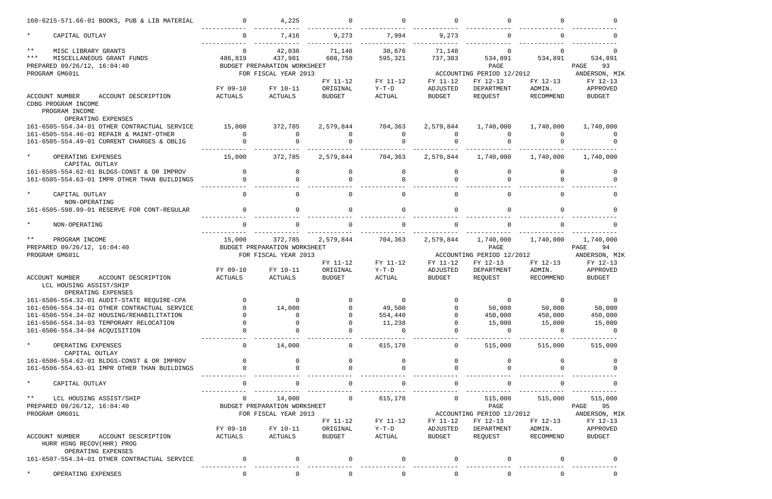|               | 160-6215-571.66-01 BOOKS, PUB & LIB MATERIAL                       | $\overline{0}$ | 4,225                        | $\Omega$      | $\Omega$     |              |                           |              |                |
|---------------|--------------------------------------------------------------------|----------------|------------------------------|---------------|--------------|--------------|---------------------------|--------------|----------------|
| $\star$       | CAPITAL OUTLAY                                                     | $\overline{0}$ | 7,416                        | 9,273         | 7,994        | 9,273        | $\mathbf 0$               |              |                |
| $\star\star$  | MISC LIBRARY GRANTS                                                | $\overline{0}$ | 42,036                       | 71,148        | 30,676       | 71,148       | $\overline{0}$            |              | $\Omega$       |
| $***$         | MISCELLANEOUS GRANT FUNDS                                          | 486,819        | 437,981                      | 608,750       | 595,321      | 737,383      | 534,891                   | 534,891      | 534,891        |
|               | PREPARED 09/26/12, 16:04:40                                        |                | BUDGET PREPARATION WORKSHEET |               |              |              | PAGE                      |              | 93<br>PAGE     |
|               | PROGRAM GM601L                                                     |                | FOR FISCAL YEAR 2013         |               |              |              | ACCOUNTING PERIOD 12/2012 |              | ANDERSON, MIK  |
|               |                                                                    |                |                              | FY 11-12      | FY 11-12     | FY 11-12     | FY 12-13                  | FY 12-13     | FY 12-13       |
|               |                                                                    | FY 09-10       | FY 10-11                     | ORIGINAL      | $Y-T-D$      | ADJUSTED     | DEPARTMENT                | ADMIN.       | APPROVED       |
|               | ACCOUNT NUMBER<br>ACCOUNT DESCRIPTION<br>CDBG PROGRAM INCOME       | ACTUALS        | ACTUALS                      | <b>BUDGET</b> | ACTUAL       | BUDGET       | REQUEST                   | RECOMMEND    | <b>BUDGET</b>  |
|               | PROGRAM INCOME                                                     |                |                              |               |              |              |                           |              |                |
|               | OPERATING EXPENSES                                                 |                |                              |               |              |              |                           |              |                |
|               | 161-6505-554.34-01 OTHER CONTRACTUAL SERVICE                       | 15,000         | 372,785                      | 2,579,844     | 704,363      | 2,579,844    | 1,740,000                 | 1,740,000    | 1,740,000      |
|               | 161-6505-554.46-01 REPAIR & MAINT-OTHER                            | $\overline{0}$ | $\Omega$                     | $\Omega$      | $\Omega$     | $\Omega$     | 0                         |              |                |
|               | 161-6505-554.49-01 CURRENT CHARGES & OBLIG                         |                |                              |               |              |              |                           |              |                |
| $\star$       | OPERATING EXPENSES<br>CAPITAL OUTLAY                               | 15,000         | 372,785                      | 2,579,844     | 704,363      | 2,579,844    | 1,740,000                 | 1,740,000    | 1,740,000      |
|               | 161-6505-554.62-01 BLDGS-CONST & OR IMPROV                         | $\overline{0}$ | $\mathbf{0}$                 | 0             | $\mathbf 0$  | 0            | $\mathbf 0$               | 0            | $\Omega$       |
|               | 161-6505-554.63-01 IMPR OTHER THAN BUILDINGS                       | $\Omega$       | $\Omega$                     | $\Omega$      | $\Omega$     |              | $\Omega$                  |              |                |
|               |                                                                    |                |                              |               |              |              |                           |              |                |
| $\star$       | CAPITAL OUTLAY                                                     | $\Omega$       | $\Omega$                     | $\Omega$      | $\Omega$     | $\Omega$     | $\Omega$                  | <sup>n</sup> | $\Omega$       |
|               | NON-OPERATING                                                      |                |                              |               |              |              |                           |              |                |
|               | 161-6505-598.99-01 RESERVE FOR CONT-REGULAR                        | $\Omega$       | $\Omega$                     | $\Omega$      | $\Omega$     | $\Omega$     | $\Omega$                  |              |                |
| $\star$       | NON-OPERATING                                                      | $\Omega$       |                              | $\Omega$      |              |              |                           |              |                |
| $\star\star$  | PROGRAM INCOME                                                     | 15,000         | 372,785                      | 2,579,844     | 704,363      | 2,579,844    | 1,740,000                 | 1,740,000    | 1,740,000      |
|               | PREPARED 09/26/12, 16:04:40                                        |                | BUDGET PREPARATION WORKSHEET |               |              |              | PAGE                      |              | PAGE<br>94     |
|               | PROGRAM GM601L                                                     |                | FOR FISCAL YEAR 2013         |               |              |              | ACCOUNTING PERIOD 12/2012 |              | ANDERSON, MIK  |
|               |                                                                    |                |                              | FY 11-12      | FY 11-12     | FY 11-12     | FY 12-13                  | FY 12-13     | FY 12-13       |
|               |                                                                    | FY 09-10       | FY 10-11                     | ORIGINAL      | $Y-T-D$      | ADJUSTED     | DEPARTMENT                | ADMIN.       | APPROVED       |
|               | ACCOUNT NUMBER<br>ACCOUNT DESCRIPTION                              | ACTUALS        | ACTUALS                      | <b>BUDGET</b> | ACTUAL       | BUDGET       | REQUEST                   | RECOMMEND    | <b>BUDGET</b>  |
|               | LCL HOUSING ASSIST/SHIP<br>OPERATING EXPENSES                      |                |                              |               |              |              |                           |              |                |
|               | 161-6506-554.32-01 AUDIT-STATE REQUIRE-CPA                         | $\overline{a}$ |                              |               |              |              |                           |              |                |
|               | 161-6506-554.34-01 OTHER CONTRACTUAL SERVICE                       |                | 14,000                       | $\Omega$      | 49,500       |              | 50,000                    | 50,000       | 50,000         |
|               | 161-6506-554.34-02 HOUSING/REHABILITATION                          |                | 0                            | $\Omega$      | 554,440      |              | 450,000                   | 450,000      | 450,000        |
|               | 161-6506-554.34-03 TEMPORARY RELOCATION                            |                |                              | $\Omega$      | 11,238       |              | 15,000                    | 15,000       | 15,000         |
|               | 161-6506-554.34-04 ACQUISITION                                     |                |                              |               | $\Omega$     |              | $\overline{0}$            | $\Omega$     | $\overline{0}$ |
| $\star$       | OPERATING EXPENSES                                                 | $\mathbf 0$    | 14,000                       | 0             | 615,178      | $\mathbf{0}$ | 515,000                   | 515,000      | 515,000        |
|               | CAPITAL OUTLAY                                                     |                |                              |               |              |              |                           |              |                |
|               | 161-6506-554.62-01 BLDGS-CONST & OR IMPROV                         | $\Omega$       | $\Omega$                     |               | $\Omega$     |              |                           |              |                |
|               | 161-6506-554.63-01 IMPR OTHER THAN BUILDINGS                       |                |                              |               |              |              |                           |              |                |
| $\star$       | CAPITAL OUTLAY                                                     |                |                              |               |              |              |                           |              |                |
| $\star \star$ | LCL HOUSING ASSIST/SHIP                                            | $\mathbf 0$    | 14,000                       | $\mathbf 0$   | 615,178      | $\mathbf 0$  | 515,000                   | 515,000      | 515,000        |
|               | PREPARED 09/26/12, 16:04:40                                        |                | BUDGET PREPARATION WORKSHEET |               |              |              | PAGE                      |              | PAGE<br>95     |
|               | PROGRAM GM601L                                                     |                | FOR FISCAL YEAR 2013         |               |              |              | ACCOUNTING PERIOD 12/2012 |              | ANDERSON, MIK  |
|               |                                                                    |                |                              | FY 11-12      | FY 11-12     | FY 11-12     | FY 12-13                  | FY 12-13     | FY 12-13       |
|               |                                                                    | FY 09-10       | FY 10-11                     | ORIGINAL      | $Y-T-D$      | ADJUSTED     | DEPARTMENT                | ADMIN.       | APPROVED       |
|               | ACCOUNT DESCRIPTION<br>ACCOUNT NUMBER<br>HURR HSNG RECOV(HHR) PROG | ACTUALS        | ACTUALS                      | BUDGET        | ACTUAL       | BUDGET       | REQUEST                   | RECOMMEND    | <b>BUDGET</b>  |
|               | OPERATING EXPENSES<br>161-6507-554.34-01 OTHER CONTRACTUAL SERVICE | $\overline{0}$ |                              |               |              |              |                           |              |                |
| $\star$       |                                                                    |                |                              |               |              |              |                           |              |                |
|               | OPERATING EXPENSES                                                 | $\overline{0}$ | 0                            | $\mathbf 0$   | $\mathsf{O}$ | $\mathbf 0$  | 0                         |              |                |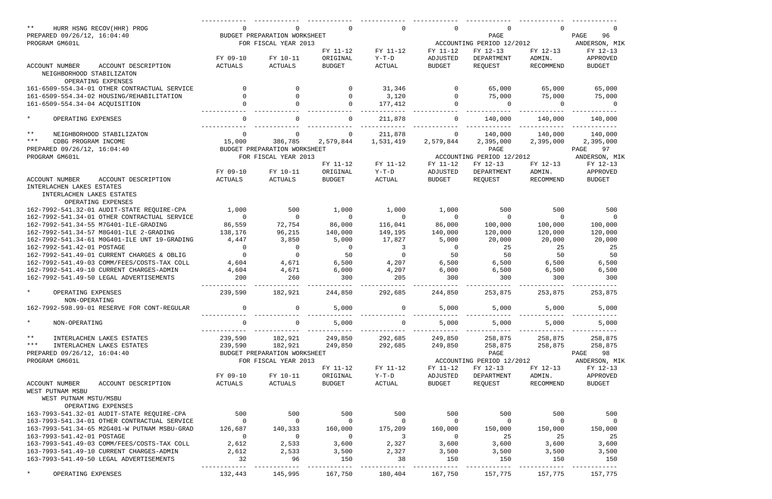| $***$<br>HURR HSNG RECOV(HHR) PROG              |                |                              |                | $\Omega$       | $\Omega$       | $\Omega$                  |                | $\Omega$                 |
|-------------------------------------------------|----------------|------------------------------|----------------|----------------|----------------|---------------------------|----------------|--------------------------|
| PREPARED 09/26/12, 16:04:40                     |                | BUDGET PREPARATION WORKSHEET |                |                |                | PAGE                      |                | PAGE<br>96               |
| PROGRAM GM601L                                  |                | FOR FISCAL YEAR 2013         |                |                |                | ACCOUNTING PERIOD 12/2012 |                | ANDERSON, MIK            |
|                                                 |                |                              | FY 11-12       | FY 11-12       | FY 11-12       | FY 12-13                  | FY 12-13       | FY 12-13                 |
|                                                 | FY 09-10       | FY 10-11                     | ORIGINAL       | $Y-T-D$        | ADJUSTED       | DEPARTMENT                | ADMIN.         | APPROVED                 |
| <b>ACCOUNT NUMBER</b><br>ACCOUNT DESCRIPTION    | ACTUALS        | ACTUALS                      | <b>BUDGET</b>  | <b>ACTUAL</b>  | <b>BUDGET</b>  | REQUEST                   | RECOMMEND      | <b>BUDGET</b>            |
| NEIGHBORHOOD STABILIZATON                       |                |                              |                |                |                |                           |                |                          |
| OPERATING EXPENSES                              |                |                              |                |                |                |                           |                |                          |
| 161-6509-554.34-01 OTHER CONTRACTUAL SERVICE    | $\Omega$       | $\Omega$                     |                | 31,346         | $\Omega$       | 65,000                    | 65,000         | 65,000                   |
| 161-6509-554.34-02 HOUSING/REHABILITATION       |                | $\Omega$                     |                | 3,120          | $\Omega$       | 75,000                    | 75,000         | 75,000                   |
| 161-6509-554.34-04 ACQUISITION                  |                | $\Omega$                     | $\Omega$       | 177,412        | $\Omega$       | $\Omega$                  | $\Omega$       | $\Omega$                 |
| $\star$<br>OPERATING EXPENSES                   | $\Omega$       |                              |                | 211,878        | $\Omega$       | 140,000                   | 140,000        | 140,000                  |
| $***$<br>NEIGHBORHOOD STABILIZATON              | $\mathbf 0$    | 0                            |                | 211,878        | $\Omega$       | 140,000                   | 140,000        | 140,000                  |
| $***$<br>CDBG PROGRAM INCOME                    | 15,000         | 386,785                      | 2,579,844      | 1,531,419      | 2,579,844      | 2,395,000                 | 2,395,000      | 2,395,000                |
| PREPARED 09/26/12, 16:04:40                     |                | BUDGET PREPARATION WORKSHEET |                |                |                | PAGE                      |                | 97<br>PAGE               |
| PROGRAM GM601L                                  |                | FOR FISCAL YEAR 2013         |                |                |                | ACCOUNTING PERIOD 12/2012 |                | ANDERSON, MIK            |
|                                                 |                |                              | FY 11-12       | FY 11-12       | FY 11-12       | FY 12-13                  | FY 12-13       | FY 12-13                 |
|                                                 | FY 09-10       | FY 10-11                     | ORIGINAL       | $Y-T-D$        | ADJUSTED       | DEPARTMENT                | ADMIN.         | APPROVED                 |
| <b>ACCOUNT NUMBER</b><br>ACCOUNT DESCRIPTION    | ACTUALS        | ACTUALS                      | <b>BUDGET</b>  | ACTUAL         | <b>BUDGET</b>  | REQUEST                   | RECOMMEND      | <b>BUDGET</b>            |
| INTERLACHEN LAKES ESTATES                       |                |                              |                |                |                |                           |                |                          |
| INTERLACHEN LAKES ESTATES<br>OPERATING EXPENSES |                |                              |                |                |                |                           |                |                          |
| 162-7992-541.32-01 AUDIT-STATE REQUIRE-CPA      | 1,000          | 500                          | 1,000          | 1,000          | 1,000          | 500                       | 500            | 500                      |
| 162-7992-541.34-01 OTHER CONTRACTUAL SERVICE    | $\overline{0}$ | $\Omega$                     | $\overline{0}$ | $\overline{0}$ | $\overline{0}$ | $\overline{0}$            | $\overline{0}$ | $\overline{0}$           |
| 162-7992-541.34-55 M7G401-ILE-GRADING           | 86,559         | 72,754                       | 86,000         | 116,041        | 86,000         | 100,000                   | 100,000        | 100,000                  |
| 162-7992-541.34-57 M8G401-ILE 2-GRADING         | 138,176        | 96,215                       | 140,000        | 149,195        | 140,000        | 120,000                   | 120,000        | 120,000                  |
| 162-7992-541.34-61 MOG401-ILE UNT 19-GRADING    | 4,447          | 3,850                        | 5,000          | 17,827         | 5,000          | 20,000                    | 20,000         | 20,000                   |
| 162-7992-541.42-01 POSTAGE                      | $\mathbf 0$    | $\mathbf 0$                  | $\mathbf 0$    | $\overline{3}$ | $\mathbf 0$    | 25                        | 25             | 25                       |
| 162-7992-541.49-01 CURRENT CHARGES & OBLIG      | $\mathbf 0$    | $\Omega$                     | 50             | $\overline{0}$ | 50             | 50                        | 50             | 50                       |
| 162-7992-541.49-03 COMM/FEES/COSTS-TAX COLL     | 4,604          | 4,671                        | 6,500          | 4,207          | 6,500          | 6,500                     | 6,500          | 6,500                    |
| 162-7992-541.49-10 CURRENT CHARGES-ADMIN        | 4,604          | 4,671                        | 6,000          | 4,207          | 6,000          | 6,500                     | 6,500          | 6,500                    |
| 162-7992-541.49-50 LEGAL ADVERTISEMENTS         | 200            | 260                          | 300            | 205            | 300            | 300                       | 300            | 300                      |
|                                                 |                |                              |                |                |                |                           |                |                          |
| $\star$<br>OPERATING EXPENSES<br>NON-OPERATING  | 239,590        | 182,921                      | 244,850        | 292,685        | 244,850        | 253,875                   | 253,875        | 253,875                  |
| 162-7992-598.99-01 RESERVE FOR CONT-REGULAR     |                |                              | 5,000          |                | 5,000          | 5,000                     | 5,000          | 5,000                    |
| $\star$<br>NON-OPERATING                        | 0              | 0                            | 5,000          | $\overline{0}$ | 5,000          | 5,000                     | 5,000          | 5,000                    |
|                                                 |                |                              |                |                |                |                           |                |                          |
| $\star \star$<br>INTERLACHEN LAKES ESTATES      | 239,590        | 182,921                      | 249,850        | 292,685        | 249,850        | 258,875                   | 258,875        | 258,875                  |
| * * *<br>INTERLACHEN LAKES ESTATES              | 239,590        | 182,921                      | 249,850        | 292,685        | 249,850        | 258,875                   | 258,875        | 258,875                  |
| PREPARED 09/26/12, 16:04:40                     |                | BUDGET PREPARATION WORKSHEET |                |                |                | PAGE                      |                | PAGE 98                  |
| PROGRAM GM601L                                  |                | FOR FISCAL YEAR 2013         |                |                |                | ACCOUNTING PERIOD 12/2012 |                | ANDERSON, MIK            |
|                                                 |                |                              | FY 11-12       | FY 11-12       | FY 11-12       | FY 12-13                  | FY 12-13       | FY 12-13                 |
|                                                 | FY 09-10       | FY 10-11                     | ORIGINAL       | $Y-T-D$        | ADJUSTED       | DEPARTMENT                | ADMIN.         | APPROVED                 |
| ACCOUNT DESCRIPTION<br>ACCOUNT NUMBER           | ACTUALS        | ACTUALS                      | <b>BUDGET</b>  | ACTUAL         | BUDGET         | REQUEST                   | RECOMMEND      | <b>BUDGET</b>            |
| WEST PUTNAM MSBU                                |                |                              |                |                |                |                           |                |                          |
| WEST PUTNAM MSTU/MSBU                           |                |                              |                |                |                |                           |                |                          |
| OPERATING EXPENSES                              |                |                              |                |                |                |                           |                |                          |
| 163-7993-541.32-01 AUDIT-STATE REQUIRE-CPA      | 500            | 500                          | 500            | 500            | 500            | 500                       | 500            | 500                      |
| 163-7993-541.34-01 OTHER CONTRACTUAL SERVICE    | $\overline{0}$ | $\overline{0}$               | $\overline{0}$ | $\overline{0}$ | $\overline{0}$ | $\overline{0}$            | $\overline{0}$ | $\overline{\phantom{0}}$ |
| 163-7993-541.34-65 M2G401-W PUTNAM MSBU-GRAD    | 126,687        | 140,333                      | 160,000        | 175,209        | 160,000        | 150,000                   | 150,000        | 150,000                  |
| 163-7993-541.42-01 POSTAGE                      | $\overline{0}$ | $\overline{0}$               | $\overline{0}$ | $\sim$ 3       | $\overline{0}$ | 25                        | 25             | 25                       |
| 163-7993-541.49-03 COMM/FEES/COSTS-TAX COLL     | 2,612          | 2,533                        | 3,600          | 2,327          | 3,600          | 3,600                     | 3,600          | 3,600                    |
| 163-7993-541.49-10 CURRENT CHARGES-ADMIN        | 2,612          | 2,533                        | 3,500          | 2,327          | 3,500          | 3,500                     | 3,500          | 3,500                    |
| 163-7993-541.49-50 LEGAL ADVERTISEMENTS         | 32             | 96                           | 150            | 38             | 150            | 150                       | 150            | 150                      |
|                                                 |                |                              |                |                |                |                           |                |                          |
| $\star$<br>OPERATING EXPENSES                   | 132,443        | 145,995                      | 167,750        | 180,404        | 167,750        | 157,775                   | 157,775        | 157,775                  |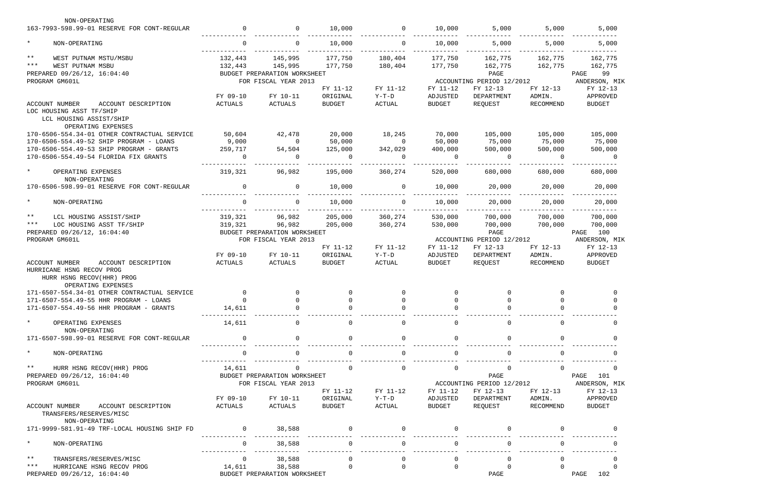| NON-OPERATING                                                                                                                |                |                              |                |                |                |                           |                |                |
|------------------------------------------------------------------------------------------------------------------------------|----------------|------------------------------|----------------|----------------|----------------|---------------------------|----------------|----------------|
| 163-7993-598.99-01 RESERVE FOR CONT-REGULAR                                                                                  | $\mathbf 0$    | $\overline{0}$               | 10,000         | $\overline{0}$ | 10,000         | 5,000                     | 5,000          | 5,000          |
| $\star$<br>NON-OPERATING                                                                                                     | $\overline{0}$ | $\overline{0}$               | 10,000         | $\overline{0}$ | 10,000         | 5,000                     | 5,000          | 5,000          |
| $\star\star$<br>WEST PUTNAM MSTU/MSBU                                                                                        | 132,443        | 145,995                      | 177,750        | 180,404        | 177,750        | 162,775                   | 162,775        | 162,775        |
| $***$<br>WEST PUTNAM MSBU                                                                                                    |                | 132,443 145,995              | 177,750        | 180,404        | 177,750        | 162,775                   | 162,775        | 162,775        |
| PREPARED 09/26/12, 16:04:40                                                                                                  |                | BUDGET PREPARATION WORKSHEET |                |                |                | PAGE                      |                | PAGE<br>99     |
| PROGRAM GM601L                                                                                                               |                | FOR FISCAL YEAR 2013         |                |                |                | ACCOUNTING PERIOD 12/2012 |                | ANDERSON, MIK  |
|                                                                                                                              |                |                              | FY 11-12       | FY 11-12       | FY 11-12       | FY 12-13                  | FY 12-13       | FY 12-13       |
|                                                                                                                              | FY 09-10       | FY 10-11                     | ORIGINAL       | $Y-T-D$        | ADJUSTED       | DEPARTMENT                | ADMIN.         | APPROVED       |
| ACCOUNT NUMBER<br>ACCOUNT DESCRIPTION                                                                                        | ACTUALS        | ACTUALS                      | <b>BUDGET</b>  | ACTUAL         | BUDGET         | REQUEST                   | RECOMMEND      | <b>BUDGET</b>  |
| LOC HOUSING ASST TF/SHIP                                                                                                     |                |                              |                |                |                |                           |                |                |
| LCL HOUSING ASSIST/SHIP<br>OPERATING EXPENSES                                                                                |                |                              |                |                |                |                           |                |                |
| 170-6506-554.34-01 OTHER CONTRACTUAL SERVICE                                                                                 | 50,604         | 42,478                       | 20,000         | 18,245         | 70,000         | 105,000                   | 105,000        | 105,000        |
| 170-6506-554.49-52 SHIP PROGRAM - LOANS                                                                                      | 9,000          | $\overline{0}$               | 50,000         | $\overline{0}$ | 50,000         | 75,000                    | 75,000         | 75,000         |
| 170-6506-554.49-53 SHIP PROGRAM - GRANTS                                                                                     | 259,717        | 54,504                       | 125,000        | 342,029        | 400,000        | 500,000                   | 500,000        | 500,000        |
| 170-6506-554.49-54 FLORIDA FIX GRANTS                                                                                        | $\mathbf 0$    | $\Omega$                     | $\overline{0}$ | $\Omega$       | $\overline{0}$ | $\overline{0}$            | $\overline{0}$ | $\overline{0}$ |
|                                                                                                                              |                |                              |                |                |                |                           |                |                |
| $\star$<br>OPERATING EXPENSES<br>NON-OPERATING                                                                               | 319,321        | 96,982                       | 195,000        | 360,274        | 520,000        | 680,000                   | 680,000        | 680,000        |
| 170-6506-598.99-01 RESERVE FOR CONT-REGULAR                                                                                  | $\overline{0}$ | $\Omega$                     | 10,000         | $\overline{0}$ | 10,000         | 20,000                    | 20,000         | 20,000         |
| $\star$<br>NON-OPERATING                                                                                                     | $\Omega$       | $\Omega$                     | 10,000         | $\Omega$       | 10,000         | 20,000                    | 20,000         | 20,000         |
| $\star\star$<br>LCL HOUSING ASSIST/SHIP                                                                                      | 319,321        | 96,982                       | 205,000        | 360,274        | 530,000        | 700,000                   | 700,000        | 700,000        |
| $***$<br>LOC HOUSING ASST TF/SHIP                                                                                            | 319,321        | 96,982                       | 205,000        | 360,274        | 530,000        | 700,000                   | 700,000        | 700,000        |
| PREPARED 09/26/12, 16:04:40                                                                                                  |                | BUDGET PREPARATION WORKSHEET |                |                |                | PAGE                      |                | PAGE 100       |
|                                                                                                                              |                | FOR FISCAL YEAR 2013         |                |                |                |                           |                |                |
| PROGRAM GM601L                                                                                                               |                |                              |                |                |                | ACCOUNTING PERIOD 12/2012 |                | ANDERSON, MIK  |
|                                                                                                                              |                |                              | FY 11-12       | FY 11-12       | FY 11-12       | FY 12-13                  | FY 12-13       | FY 12-13       |
|                                                                                                                              | FY 09-10       | FY 10-11                     | ORIGINAL       | $Y-T-D$        | ADJUSTED       | DEPARTMENT                | ADMIN.         | APPROVED       |
| <b>ACCOUNT NUMBER</b><br>ACCOUNT DESCRIPTION<br>HURRICANE HSNG RECOV PROG<br>HURR HSNG RECOV(HHR) PROG<br>OPERATING EXPENSES | ACTUALS        | ACTUALS                      | <b>BUDGET</b>  | ACTUAL         | BUDGET         | REQUEST                   | RECOMMEND      | <b>BUDGET</b>  |
| 171-6507-554.34-01 OTHER CONTRACTUAL SERVICE                                                                                 | $\overline{0}$ | $\mathbf{0}$                 |                | $\mathbf{0}$   | 0              | 0                         | 0              | 0              |
| 171-6507-554.49-55 HHR PROGRAM - LOANS                                                                                       | $\cap$         | $\cap$                       |                |                |                |                           | $\cap$         |                |
| 171-6507-554.49-56 HHR PROGRAM - GRANTS                                                                                      | 14,611         |                              |                |                |                |                           |                |                |
|                                                                                                                              |                |                              |                |                |                |                           |                |                |
| $\star$<br>OPERATING EXPENSES<br>NON-OPERATING                                                                               | 14,611         | $\Omega$                     | $\Omega$       | $\Omega$       |                | $\Omega$                  |                |                |
| 171-6507-598.99-01 RESERVE FOR CONT-REGULAR                                                                                  | $\Omega$       |                              | $\Omega$       | $\Omega$       |                |                           |                |                |
| $\star$<br>NON-OPERATING                                                                                                     |                |                              |                |                |                |                           |                |                |
| $***$<br>HURR HSNG RECOV(HHR) PROG                                                                                           | 14,611         |                              | $\Omega$       | $\mathbf 0$    | $\mathbf 0$    | $\mathbf 0$               | $\Omega$       |                |
| PREPARED 09/26/12, 16:04:40                                                                                                  |                | BUDGET PREPARATION WORKSHEET |                |                |                | PAGE                      |                | PAGE<br>101    |
| PROGRAM GM601L                                                                                                               |                | FOR FISCAL YEAR 2013         |                |                |                | ACCOUNTING PERIOD 12/2012 |                | ANDERSON, MIK  |
|                                                                                                                              |                |                              | FY 11-12       | FY 11-12       | FY 11-12       | FY 12-13                  | FY 12-13       | FY 12-13       |
|                                                                                                                              | FY 09-10       | FY 10-11                     | ORIGINAL       | $Y-T-D$        | ADJUSTED       | DEPARTMENT                | ADMIN.         |                |
|                                                                                                                              |                |                              |                |                |                |                           |                | APPROVED       |
| ACCOUNT NUMBER<br>ACCOUNT DESCRIPTION<br>TRANSFERS/RESERVES/MISC<br>NON-OPERATING                                            | ACTUALS        | ACTUALS                      | BUDGET         | ACTUAL         | BUDGET         | REQUEST                   | RECOMMEND      | <b>BUDGET</b>  |
| 171-9999-581.91-49 TRF-LOCAL HOUSING SHIP FD                                                                                 | $\overline{0}$ | 38,588                       |                |                |                |                           |                |                |
| $\star$<br>NON-OPERATING                                                                                                     | $\overline{0}$ | 38,588                       | 0              | $\Omega$       |                |                           |                |                |
| $\star\star$                                                                                                                 | $\overline{0}$ |                              | $\Omega$       | $\Omega$       | $\Omega$       |                           | <sup>n</sup>   |                |
| TRANSFERS/RESERVES/MISC<br>$***$                                                                                             |                | 38,588                       |                |                |                | $\mathbf 0$               |                |                |
| HURRICANE HSNG RECOV PROG                                                                                                    | 14,611         | 38,588                       | $\mathbf 0$    | $\overline{0}$ | $\Omega$       | $\Omega$                  |                |                |
| PREPARED 09/26/12, 16:04:40                                                                                                  |                | BUDGET PREPARATION WORKSHEET |                |                |                | PAGE                      |                | PAGE<br>102    |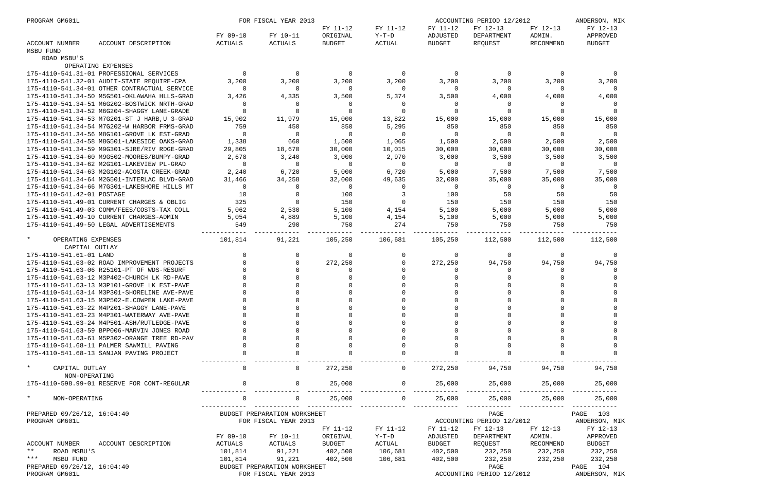| PROGRAM GM601L                  |                                               |                | FOR FISCAL YEAR 2013         |                |                |                | ACCOUNTING PERIOD 12/2012 |           | ANDERSON, MIK  |
|---------------------------------|-----------------------------------------------|----------------|------------------------------|----------------|----------------|----------------|---------------------------|-----------|----------------|
|                                 |                                               |                |                              | FY 11-12       | FY 11-12       | FY 11-12       | FY 12-13                  | FY 12-13  | FY 12-13       |
|                                 |                                               | FY 09-10       | FY 10-11                     | ORIGINAL       | $Y-T-D$        | ADJUSTED       | DEPARTMENT                | ADMIN.    | APPROVED       |
| ACCOUNT NUMBER<br>MSBU FUND     | ACCOUNT DESCRIPTION                           | ACTUALS        | ACTUALS                      | <b>BUDGET</b>  | ACTUAL         | <b>BUDGET</b>  | REQUEST                   | RECOMMEND | <b>BUDGET</b>  |
| ROAD MSBU'S                     |                                               |                |                              |                |                |                |                           |           |                |
|                                 | OPERATING EXPENSES                            |                |                              |                |                |                |                           |           |                |
|                                 | 175-4110-541.31-01 PROFESSIONAL SERVICES      | $\overline{0}$ | $\overline{0}$               | $\overline{0}$ | $\overline{0}$ | $\overline{0}$ | $\overline{0}$            | 0         | 0              |
|                                 | 175-4110-541.32-01 AUDIT-STATE REQUIRE-CPA    | 3,200          | 3,200                        | 3,200          | 3,200          | 3,200          | 3,200                     | 3,200     | 3,200          |
|                                 | 175-4110-541.34-01 OTHER CONTRACTUAL SERVICE  | $\Omega$       | $\Omega$                     | $\overline{0}$ | $\Omega$       | $\Omega$       | $\overline{0}$            | $\Omega$  | $\Omega$       |
|                                 | 175-4110-541.34-50 M5G501-OKLAWAHA HLLS-GRAD  | 3,426          | 4,335                        | 3,500          | 5,374          | 3,500          | 4,000                     | 4,000     | 4,000          |
|                                 | 175-4110-541.34-51 M6G202-BOSTWICK NRTH-GRAD  | $\mathbf{0}$   | $\Omega$                     | $\overline{0}$ | 0              | $\Omega$       | $\overline{0}$            | 0         |                |
|                                 | 175-4110-541.34-52 M6G204-SHAGGY LANE-GRADE   | $\Omega$       |                              | 0              | $\Omega$       |                | 0                         | $\Omega$  |                |
|                                 | 175-4110-541.34-53 M7G201-ST J HARB, U 3-GRAD | 15,902         | 11,979                       | 15,000         | 13,822         | 15,000         | 15,000                    | 15,000    | 15,000         |
|                                 | 175-4110-541.34-54 M7G202-W HARBOR FRMS-GRAD  | 759            | 450                          | 850            | 5,295          | 850            | 850                       | 850       | 850            |
|                                 | 175-4110-541.34-56 M8G101-GROVE LK EST-GRAD   | $\overline{0}$ | $\Omega$                     | $\overline{0}$ | $\overline{0}$ | $\Omega$       | $\overline{0}$            | $\Omega$  | $\overline{0}$ |
|                                 | 175-4110-541.34-58 M8G501-LAKESIDE OAKS-GRAD  | 1,338          | 660                          | 1,500          | 1,065          | 1,500          | 2,500                     | 2,500     | 2,500          |
|                                 | 175-4110-541.34-59 M9G301-SJRE/RIV RDGE-GRAD  | 29,805         | 18,670                       | 30,000         | 10,015         | 30,000         | 30,000                    | 30,000    | 30,000         |
|                                 | 175-4110-541.34-60 M9G502-MOORES/BUMPY-GRAD   | 2,678          | 3,240                        | 3,000          | 2,970          | 3,000          | 3,500                     | 3,500     | 3,500          |
|                                 | 175-4110-541.34-62 M2G101-LAKEVIEW PL-GRAD    | $\overline{0}$ | $\Omega$                     | $\overline{0}$ | $\overline{0}$ | - 0            | $\overline{0}$            | $\Omega$  | $\overline{0}$ |
|                                 | 175-4110-541.34-63 M2G102-ACOSTA CREEK-GRAD   | 2,240          | 6,720                        | 5,000          | 6,720          | 5,000          | 7,500                     | 7,500     | 7,500          |
|                                 | 175-4110-541.34-64 M2G501-INTERLAC BLVD-GRAD  | 31,466         | 34,258                       | 32,000         | 49,635         | 32,000         | 35,000                    | 35,000    | 35,000         |
|                                 | 175-4110-541.34-66 M7G301-LAKESHORE HILLS MT  | $\overline{0}$ | $\Omega$                     | $\overline{0}$ | 0              | $\Omega$       | $\overline{0}$            | $\Omega$  | 0              |
| 175-4110-541.42-01 POSTAGE      |                                               | 10             |                              | 100            | 3              | 100            | 50                        | 50        | 50             |
|                                 | 175-4110-541.49-01 CURRENT CHARGES & OBLIG    | 325            | $\Omega$                     | 150            | $\Omega$       | 150            | 150                       | 150       | 150            |
|                                 | 175-4110-541.49-03 COMM/FEES/COSTS-TAX COLL   | 5,062          | 2,530                        | 5,100          | 4,154          | 5,100          | 5,000                     | 5,000     | 5,000          |
|                                 | 175-4110-541.49-10 CURRENT CHARGES-ADMIN      | 5,054          | 4,889                        | 5,100          | 4,154          | 5,100          | 5,000                     | 5,000     | 5,000          |
|                                 | 175-4110-541.49-50 LEGAL ADVERTISEMENTS       | 549            | 290                          | 750            | 274            | 750            | 750                       | 750       | 750            |
| $\star$<br>OPERATING EXPENSES   |                                               | 101,814        | 91,221                       | 105,250        | 106,681        | 105,250        | 112,500                   | 112,500   | 112,500        |
| CAPITAL OUTLAY                  |                                               |                |                              |                |                |                |                           |           |                |
| 175-4110-541.61-01 LAND         |                                               |                |                              | $\Omega$       |                |                | $\overline{0}$            | $\Omega$  |                |
|                                 | 175-4110-541.63-02 ROAD IMPROVEMENT PROJECTS  |                |                              | 272,250        |                | 272,250        | 94,750                    | 94,750    | 94,750         |
|                                 | 175-4110-541.63-06 R25101-PT OF WDS-RESURF    |                |                              |                |                |                |                           |           |                |
|                                 | 175-4110-541.63-12 M3P402-CHURCH LK RD-PAVE   |                |                              |                |                |                |                           |           |                |
|                                 | 175-4110-541.63-13 M3P101-GROVE LK EST-PAVE   |                |                              |                |                |                |                           |           |                |
|                                 | 175-4110-541.63-14 M3P301-SHORELINE AVE-PAVE  |                |                              |                |                |                |                           |           |                |
|                                 | 175-4110-541.63-15 M3P502-E.COWPEN LAKE-PAVE  |                |                              |                |                |                |                           |           |                |
|                                 | 175-4110-541.63-22 M4P201-SHAGGY LANE-PAVE    |                |                              |                |                |                |                           |           |                |
|                                 | 175-4110-541.63-23 M4P301-WATERWAY AVE-PAVE   |                |                              |                |                |                |                           |           |                |
|                                 | 175-4110-541.63-24 M4P501-ASH/RUTLEDGE-PAVE   |                |                              |                |                |                |                           |           |                |
|                                 | 175-4110-541.63-59 BPP006-MARVIN JONES ROAD   |                |                              |                |                |                |                           |           |                |
|                                 | 175-4110-541.63-61 M5P302-ORANGE TREE RD-PAV  |                |                              |                |                |                |                           |           |                |
|                                 | 175-4110-541.68-11 PALMER SAWMILL PAVING      |                |                              |                |                |                |                           |           |                |
|                                 | 175-4110-541.68-13 SANJAN PAVING PROJECT      |                |                              |                |                |                |                           |           |                |
| CAPITAL OUTLAY<br>NON-OPERATING |                                               | 0              | 0                            | 272,250        | $\mathbf{0}$   | 272,250        | 94,750                    | 94,750    | 94,750         |
|                                 | 175-4110-598.99-01 RESERVE FOR CONT-REGULAR   |                |                              | 25,000         | $\mathsf{O}$   | 25,000         | 25,000                    | 25,000    | 25,000         |
| NON-OPERATING                   |                                               | 0              |                              | 25,000         | 0              | 25,000         | 25,000                    | 25,000    | 25,000         |
| PREPARED 09/26/12, 16:04:40     |                                               |                | BUDGET PREPARATION WORKSHEET |                |                |                | PAGE                      |           | PAGE<br>103    |
| PROGRAM GM601L                  |                                               |                | FOR FISCAL YEAR 2013         |                |                |                | ACCOUNTING PERIOD 12/2012 |           | ANDERSON, MIK  |
|                                 |                                               |                |                              | FY 11-12       | FY 11-12       | FY 11-12       | FY 12-13                  | FY 12-13  | FY 12-13       |
|                                 |                                               | FY 09-10       | FY 10-11                     | ORIGINAL       | $Y-T-D$        | ADJUSTED       | DEPARTMENT                | ADMIN.    | APPROVED       |
| ACCOUNT NUMBER                  | ACCOUNT DESCRIPTION                           | ACTUALS        | ACTUALS                      | <b>BUDGET</b>  | ACTUAL         | BUDGET         | REQUEST                   | RECOMMEND | <b>BUDGET</b>  |
| $***$<br>ROAD MSBU'S            |                                               | 101,814        | 91,221                       | 402,500        | 106,681        | 402,500        | 232,250                   | 232,250   | 232,250        |
| ***<br>MSBU FUND                |                                               | 101,814        | 91,221                       | 402,500        | 106,681        | 402,500        | 232,250                   | 232,250   | 232,250        |
| PREPARED 09/26/12, 16:04:40     |                                               |                | BUDGET PREPARATION WORKSHEET |                |                |                | PAGE                      |           | PAGE 104       |
| PROGRAM GM601L                  |                                               |                | FOR FISCAL YEAR 2013         |                |                |                | ACCOUNTING PERIOD 12/2012 |           | ANDERSON, MIK  |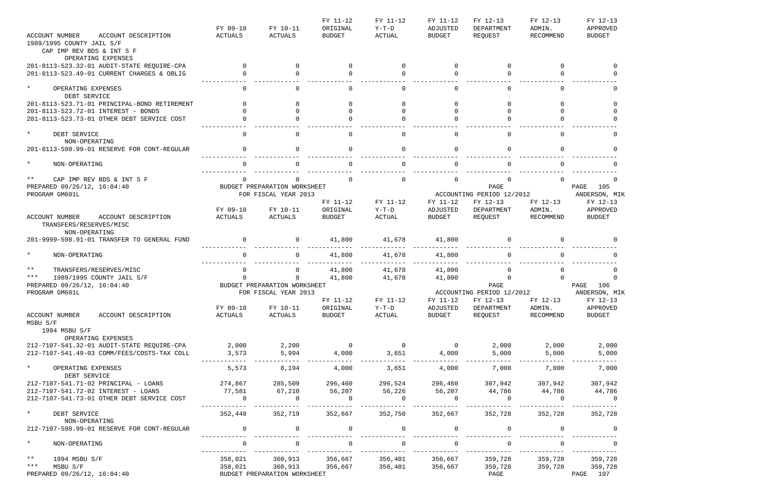|                                              |              |                              | FY 11-12       | FY 11-12                  | FY 11-12       | FY 12-13                  | FY 12-13  | FY 12-13          |
|----------------------------------------------|--------------|------------------------------|----------------|---------------------------|----------------|---------------------------|-----------|-------------------|
|                                              | FY 09-10     | FY 10-11                     | ORIGINAL       | $Y-T-D$                   | ADJUSTED       | DEPARTMENT                | ADMIN.    | APPROVED          |
| <b>ACCOUNT NUMBER</b><br>ACCOUNT DESCRIPTION | ACTUALS      | ACTUALS                      | <b>BUDGET</b>  | ACTUAL                    | <b>BUDGET</b>  | REQUEST                   | RECOMMEND | <b>BUDGET</b>     |
| 1989/1995 COUNTY JAIL S/F                    |              |                              |                |                           |                |                           |           |                   |
| CAP IMP REV BDS & INT S F                    |              |                              |                |                           |                |                           |           |                   |
| OPERATING EXPENSES                           |              |                              |                |                           |                |                           |           |                   |
| 201-8113-523.32-01 AUDIT-STATE REQUIRE-CPA   | $\Omega$     | $\Omega$                     | $\Omega$       | $\Omega$                  | $\Omega$       | $\Omega$                  | $\Omega$  | $\Omega$          |
| 201-8113-523.49-01 CURRENT CHARGES & OBLIG   |              |                              |                | $\Omega$                  |                |                           |           |                   |
|                                              |              |                              |                |                           |                |                           |           |                   |
| $\star$<br>OPERATING EXPENSES                | $\Omega$     | $\Omega$                     | $\Omega$       | $\Omega$                  | $\Omega$       | $\Omega$                  | $\cap$    | $\Omega$          |
| DEBT SERVICE                                 |              |                              |                |                           |                |                           |           |                   |
| 201-8113-523.71-01 PRINCIPAL-BOND RETIREMENT |              |                              |                |                           |                |                           |           |                   |
| 201-8113-523.72-01 INTEREST - BONDS          |              |                              |                |                           |                |                           |           |                   |
|                                              |              |                              |                |                           |                |                           |           |                   |
| 201-8113-523.73-01 OTHER DEBT SERVICE COST   |              |                              |                |                           |                |                           |           |                   |
|                                              |              |                              |                |                           |                |                           |           |                   |
| $\star$<br>DEBT SERVICE                      | $\Omega$     | $\cap$                       | $\Omega$       | $\Omega$                  | $\Omega$       | $\Omega$                  | $\cap$    | $\Omega$          |
| NON-OPERATING                                |              |                              |                |                           |                |                           |           |                   |
| 201-8113-598.99-01 RESERVE FOR CONT-REGULAR  |              | $\Omega$                     |                | $\Omega$                  | $\Omega$       | $\Omega$                  |           |                   |
|                                              |              |                              |                |                           |                |                           |           |                   |
| $\star$<br>NON-OPERATING                     |              |                              | $\cap$         | $\Omega$                  |                | $\Omega$                  |           |                   |
|                                              |              |                              |                |                           |                |                           |           |                   |
| $***$<br>CAP IMP REV BDS & INT S F           |              |                              | $\cap$         | $\Omega$                  | $\cap$         | $\Omega$                  |           |                   |
| PREPARED 09/26/12, 16:04:40                  |              | BUDGET PREPARATION WORKSHEET |                |                           |                | PAGE                      |           | PAGE<br>105       |
| PROGRAM GM601L                               |              | FOR FISCAL YEAR 2013         |                |                           |                | ACCOUNTING PERIOD 12/2012 |           | ANDERSON, MIK     |
|                                              |              |                              | FY 11-12       | FY 11-12                  | FY 11-12       | FY 12-13                  | FY 12-13  | FY 12-13          |
|                                              | FY 09-10     | FY 10-11                     | ORIGINAL       | $Y-T-D$                   | ADJUSTED       | DEPARTMENT                | ADMIN.    | APPROVED          |
| ACCOUNT NUMBER<br>ACCOUNT DESCRIPTION        | ACTUALS      | ACTUALS                      | <b>BUDGET</b>  | <b>ACTUAL</b>             | <b>BUDGET</b>  | REQUEST                   | RECOMMEND | <b>BUDGET</b>     |
| TRANSFERS/RESERVES/MISC                      |              |                              |                |                           |                |                           |           |                   |
| NON-OPERATING                                |              |                              |                |                           |                |                           |           |                   |
| 201-9999-598.91-01 TRANSFER TO GENERAL FUND  |              | $\overline{0}$               | 41,800         | 41,678                    | 41,800         | 0                         |           |                   |
|                                              |              |                              |                |                           |                |                           |           |                   |
| $\star$                                      |              | $\Omega$                     |                |                           |                | $\Omega$                  |           |                   |
| NON-OPERATING                                |              |                              | 41,800         | 41,678                    | 41,800         |                           |           |                   |
|                                              |              |                              |                |                           |                |                           |           |                   |
| $***$<br>TRANSFERS/RESERVES/MISC             |              | 0                            | 41,800         | 41,678                    | 41,800         | $\Omega$                  |           |                   |
| $***$<br>1989/1995 COUNTY JAIL S/F           | $\Omega$     | 0                            | 41,800         | 41,678                    | 41,800         | $\Omega$                  |           |                   |
| PREPARED 09/26/12, 16:04:40                  |              | BUDGET PREPARATION WORKSHEET |                |                           |                | PAGE                      |           | PAGE<br>106       |
| PROGRAM GM601L                               |              | FOR FISCAL YEAR 2013         |                | ACCOUNTING PERIOD 12/2012 |                |                           |           | ANDERSON, MIK     |
|                                              |              |                              | FY 11-12       | FY 11-12                  |                | FY 11-12 FY 12-13         |           | FY 12-13 FY 12-13 |
|                                              | FY 09-10     | FY 10-11                     | ORIGINAL       | $Y-T-D$                   | ADJUSTED       | DEPARTMENT                | ADMIN.    | APPROVED          |
| ACCOUNT NUMBER<br>ACCOUNT DESCRIPTION        | ACTUALS      | <b>ACTUALS</b>               | <b>BUDGET</b>  | <b>ACTUAL</b>             | <b>BUDGET</b>  | REQUEST                   | RECOMMEND | <b>BUDGET</b>     |
| MSBU S/F                                     |              |                              |                |                           |                |                           |           |                   |
| 1994 MSBU S/F                                |              |                              |                |                           |                |                           |           |                   |
| OPERATING EXPENSES                           |              |                              |                |                           |                |                           |           |                   |
| 212-7107-541.32-01 AUDIT-STATE REQUIRE-CPA   | 2,000        | 2,200                        | $\overline{0}$ | $\overline{0}$            | $\overline{0}$ | 2,000                     | 2,000     | 2,000             |
| 212-7107-541.49-03 COMM/FEES/COSTS-TAX COLL  | 3,573        | 5,994                        | 4,000          | 3,651                     | 4,000          | 5,000                     | 5,000     | 5,000             |
|                                              |              |                              |                |                           |                |                           |           |                   |
| $\star$<br>OPERATING EXPENSES                | 5,573        | 8,194                        | 4,000          | 3,651                     | 4,000          | 7,000                     | 7,000     | 7,000             |
| DEBT SERVICE                                 |              |                              |                |                           |                |                           |           |                   |
| 212-7107-541.71-02 PRINCIPAL - LOANS         | 274,867      | 285,509                      | 296,460        | 296,524                   | 296,460        | 307,942                   | 307,942   | 307,942           |
| 212-7107-541.72-02 INTEREST - LOANS          | 77,581       | 67,210                       | 56,207         |                           |                |                           |           |                   |
|                                              |              |                              |                | 56,226                    | 56,207         | 44,786                    | 44,786    | 44,786            |
| 212-7107-541.73-01 OTHER DEBT SERVICE COST   | $\mathbf{0}$ | $\Omega$                     | 0              | $\Omega$                  | $\Omega$       | 0                         | $\Omega$  | - 0               |
|                                              |              |                              |                |                           |                |                           |           |                   |
| $\star$<br>DEBT SERVICE                      | 352,448      | 352,719                      | 352,667        | 352,750                   | 352,667        | 352,728                   | 352,728   | 352,728           |
| NON-OPERATING                                |              |                              |                |                           |                |                           |           |                   |
| 212-7107-598.99-01 RESERVE FOR CONT-REGULAR  |              |                              | $\Omega$       | $\Omega$                  |                | $\mathbf 0$               |           |                   |
|                                              |              |                              |                |                           |                |                           |           |                   |
| $\star$<br>NON-OPERATING                     |              |                              |                |                           |                |                           |           |                   |
|                                              |              |                              |                |                           |                |                           |           |                   |
| $***$<br>1994 MSBU S/F                       | 358,021      | 360,913                      | 356,667        | 356,401                   | 356,667        | 359,728                   | 359,728   | 359,728           |
| $***$<br>MSBU S/F                            | 358,021      | 360,913                      | 356,667        | 356,401                   | 356,667        | 359,728                   | 359,728   | 359,728           |
| PREPARED 09/26/12, 16:04:40                  |              | BUDGET PREPARATION WORKSHEET |                |                           |                | PAGE                      |           | 107<br>PAGE       |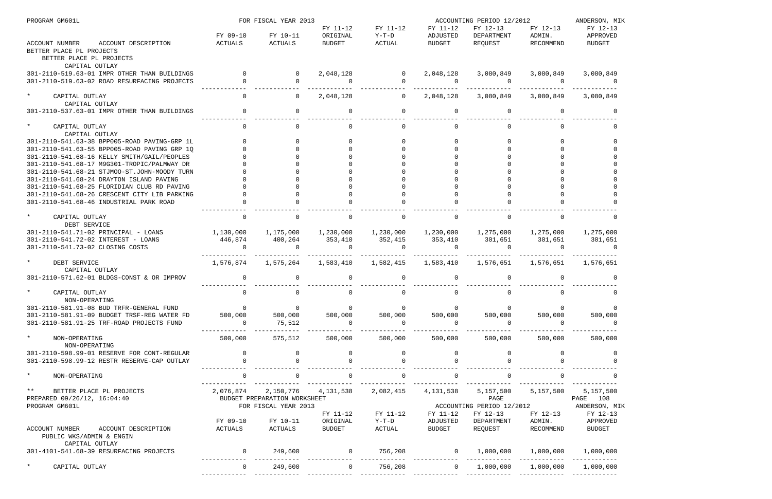| PROGRAM GM601L                                                 |                   | FOR FISCAL YEAR 2013         |                             |                            |                             | ACCOUNTING PERIOD 12/2012 |                       | ANDERSON, MIK        |
|----------------------------------------------------------------|-------------------|------------------------------|-----------------------------|----------------------------|-----------------------------|---------------------------|-----------------------|----------------------|
|                                                                | FY 09-10          | FY 10-11                     | FY 11-12<br>ORIGINAL        | FY 11-12<br>$Y-T-D$        | FY 11-12<br>ADJUSTED        | FY 12-13<br>DEPARTMENT    | FY 12-13<br>ADMIN.    | FY 12-13<br>APPROVED |
| ACCOUNT NUMBER<br>ACCOUNT DESCRIPTION                          | ACTUALS           | ACTUALS                      | <b>BUDGET</b>               | ACTUAL                     | BUDGET                      | REQUEST                   | RECOMMEND             | <b>BUDGET</b>        |
| BETTER PLACE PL PROJECTS<br>BETTER PLACE PL PROJECTS           |                   |                              |                             |                            |                             |                           |                       |                      |
| CAPITAL OUTLAY<br>301-2110-519.63-01 IMPR OTHER THAN BUILDINGS | $\Omega$          |                              |                             |                            |                             |                           |                       |                      |
| 301-2110-519.63-02 ROAD RESURFACING PROJECTS                   | $\Omega$          | $\overline{0}$<br>$\Omega$   | 2,048,128<br>$\overline{0}$ | $\overline{0}$<br>$\Omega$ | 2,048,128<br>$\overline{0}$ | 3,080,849<br>$\Omega$     | 3,080,849<br>$\Omega$ | 3,080,849            |
|                                                                |                   |                              |                             |                            |                             |                           |                       |                      |
| $\star$<br>CAPITAL OUTLAY<br>CAPITAL OUTLAY                    |                   | $\Omega$                     | 2,048,128                   | $\overline{0}$             | 2,048,128                   | 3,080,849                 | 3,080,849             | 3,080,849            |
| 301-2110-537.63-01 IMPR OTHER THAN BUILDINGS                   |                   | $\Omega$                     |                             | $\Omega$                   | $\Omega$                    | $\Omega$                  | 0                     |                      |
| $\star$<br>CAPITAL OUTLAY                                      |                   |                              |                             | $\Omega$                   |                             |                           |                       |                      |
| CAPITAL OUTLAY                                                 |                   |                              |                             |                            |                             |                           |                       |                      |
| 301-2110-541.63-38 BPP005-ROAD PAVING-GRP 1L                   |                   |                              |                             | $\Omega$                   |                             |                           |                       |                      |
| 301-2110-541.63-55 BPP005-ROAD PAVING GRP 10                   |                   |                              |                             |                            |                             |                           |                       |                      |
| 301-2110-541.68-16 KELLY SMITH/GAIL/PEOPLES                    |                   |                              |                             |                            |                             |                           |                       |                      |
| 301-2110-541.68-17 M9G301-TROPIC/PALMWAY DR                    |                   |                              |                             |                            |                             |                           |                       |                      |
| 301-2110-541.68-21 STJMOO-ST.JOHN-MOODY TURN                   |                   |                              |                             |                            |                             |                           |                       |                      |
| 301-2110-541.68-24 DRAYTON ISLAND PAVING                       |                   |                              |                             |                            |                             |                           |                       |                      |
| 301-2110-541.68-25 FLORIDIAN CLUB RD PAVING                    |                   |                              |                             |                            |                             |                           |                       |                      |
| 301-2110-541.68-26 CRESCENT CITY LIB PARKING                   |                   |                              |                             |                            |                             |                           |                       |                      |
| 301-2110-541.68-46 INDUSTRIAL PARK ROAD                        |                   |                              |                             |                            |                             |                           |                       |                      |
| $\star$<br>CAPITAL OUTLAY                                      | $\Omega$          |                              |                             | $\overline{0}$             | $\Omega$                    | $\Omega$                  |                       |                      |
| DEBT SERVICE                                                   |                   |                              |                             |                            |                             |                           |                       |                      |
| 301-2110-541.71-02 PRINCIPAL - LOANS                           | 1,130,000         | 1,175,000                    | 1,230,000                   | 1,230,000                  | 1,230,000                   | 1,275,000                 | 1,275,000             | 1,275,000            |
| 301-2110-541.72-02 INTEREST - LOANS                            | 446,874<br>$\cap$ | 400,264<br>$\cap$            | 353,410<br>$\cap$           | 352,415                    | 353,410<br><u>റ</u>         | 301,651<br>$\Omega$       | 301,651<br>$\cap$     | 301,651              |
| 301-2110-541.73-02 CLOSING COSTS                               |                   |                              |                             | $\Omega$                   |                             |                           |                       |                      |
| $\star$<br>DEBT SERVICE                                        | 1,576,874         | 1,575,264                    | 1,583,410                   | 1,582,415                  | 1,583,410                   | 1,576,651                 | 1,576,651             | 1,576,651            |
| CAPITAL OUTLAY                                                 |                   |                              |                             |                            |                             |                           |                       |                      |
| 301-2110-571.62-01 BLDGS-CONST & OR IMPROV                     | $\overline{0}$    | $\Omega$                     |                             | $\Omega$                   | $\Omega$                    |                           |                       |                      |
| $\star$<br>CAPITAL OUTLAY                                      |                   |                              |                             |                            |                             |                           |                       |                      |
| NON-OPERATING                                                  |                   |                              |                             |                            |                             |                           |                       |                      |
| 301-2110-581.91-08 BUD TRFR-GENERAL FUND                       | $\overline{0}$    | $\overline{0}$               | $\overline{0}$              | $\overline{0}$             | $\overline{0}$              | $\mathsf{O}$              | $\overline{0}$        |                      |
| 301-2110-581.91-09 BUDGET TRSF-REG WATER FD                    | 500,000           | 500,000                      | 500,000                     | 500,000                    | 500,000                     | 500,000                   | 500,000               | 500,000              |
| 301-2110-581.91-25 TRF-ROAD PROJECTS FUND                      | $\Omega$          | 75,512                       | $\overline{0}$              | $\overline{0}$             | $\Omega$                    | $\overline{0}$            | $\Omega$              | $\overline{0}$       |
| $\star$<br>NON-OPERATING                                       | 500,000           | 575,512                      | 500,000                     | 500,000                    | 500,000                     | 500,000                   | 500,000               | 500,000              |
| NON-OPERATING                                                  |                   |                              |                             |                            |                             |                           |                       |                      |
| 301-2110-598.99-01 RESERVE FOR CONT-REGULAR                    | $\overline{0}$    |                              |                             | $\overline{0}$             |                             |                           |                       |                      |
| 301-2110-598.99-12 RESTR RESERVE-CAP OUTLAY                    |                   |                              |                             |                            |                             |                           |                       |                      |
| $\star$<br>NON-OPERATING                                       |                   |                              |                             | $\mathbf{0}$               |                             |                           |                       |                      |
| $\star$ $\star$<br>BETTER PLACE PL PROJECTS                    | 2,076,874         | 2,150,776                    | 4,131,538                   | 2,082,415                  | 4,131,538                   | 5,157,500                 | 5,157,500             | 5,157,500            |
| PREPARED 09/26/12, 16:04:40                                    |                   | BUDGET PREPARATION WORKSHEET |                             |                            |                             | PAGE                      |                       | PAGE 108             |
| PROGRAM GM601L                                                 |                   | FOR FISCAL YEAR 2013         |                             |                            |                             | ACCOUNTING PERIOD 12/2012 |                       | ANDERSON, MIK        |
|                                                                |                   |                              | FY 11-12                    | FY 11-12                   | FY 11-12                    | FY 12-13                  | FY 12-13              | FY 12-13             |
|                                                                | FY 09-10          | FY 10-11                     | ORIGINAL                    | Y-T-D                      | ADJUSTED                    | DEPARTMENT                | ADMIN.                | APPROVED             |
| ACCOUNT DESCRIPTION<br>ACCOUNT NUMBER                          | ACTUALS           | ACTUALS                      | BUDGET                      | ACTUAL                     | BUDGET                      | REQUEST                   | RECOMMEND             | BUDGET               |
| PUBLIC WKS/ADMIN & ENGIN<br>CAPITAL OUTLAY                     |                   |                              |                             |                            |                             |                           |                       |                      |
| 301-4101-541.68-39 RESURFACING PROJECTS                        | $\overline{0}$    | 249,600                      |                             | 756,208                    |                             | $0 \qquad 1,000,000$      | 1,000,000             | 1,000,000            |
| $\star$<br>CAPITAL OUTLAY                                      | $\overline{0}$    | 249,600                      | $\overline{0}$              | 756,208                    | $\overline{0}$              | 1,000,000                 | 1,000,000             | 1,000,000            |
|                                                                |                   |                              |                             |                            |                             |                           |                       |                      |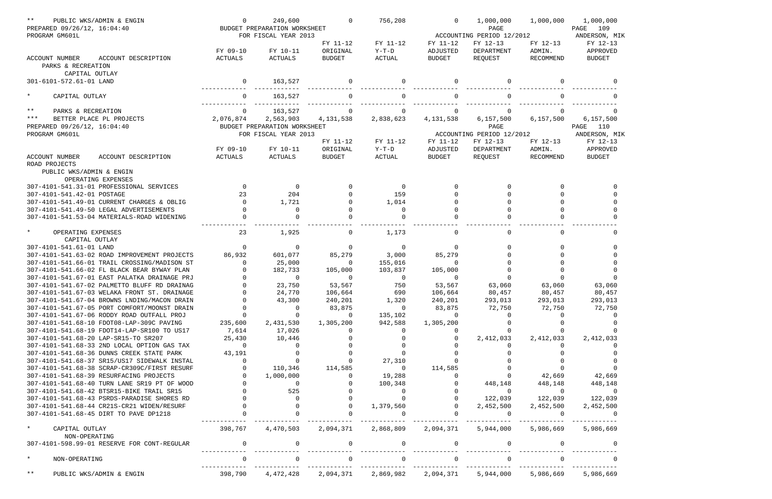| $***$                                                       | PUBLIC WKS/ADMIN & ENGIN                                                             | $\mathbf 0$    | 249,600                      | $\Omega$      | 756,208        | $\Omega$      | 1,000,000                 | 1,000,000 | 1,000,000     |
|-------------------------------------------------------------|--------------------------------------------------------------------------------------|----------------|------------------------------|---------------|----------------|---------------|---------------------------|-----------|---------------|
| PREPARED 09/26/12, 16:04:40                                 |                                                                                      |                | BUDGET PREPARATION WORKSHEET |               |                |               | PAGE                      |           | PAGE 109      |
| PROGRAM GM601L                                              |                                                                                      |                | FOR FISCAL YEAR 2013         |               |                |               | ACCOUNTING PERIOD 12/2012 |           | ANDERSON, MIK |
|                                                             |                                                                                      |                |                              | FY 11-12      | FY 11-12       | FY 11-12      | FY 12-13                  | FY 12-13  | FY 12-13      |
|                                                             | ACCOUNT DESCRIPTION                                                                  | FY 09-10       | FY 10-11                     | ORIGINAL      | $Y-T-D$        | ADJUSTED      | DEPARTMENT                | ADMIN.    | APPROVED      |
| <b>ACCOUNT NUMBER</b><br>PARKS & RECREATION                 |                                                                                      | <b>ACTUALS</b> | ACTUALS                      | <b>BUDGET</b> | ACTUAL         | <b>BUDGET</b> | REQUEST                   | RECOMMEND | <b>BUDGET</b> |
| CAPITAL OUTLAY<br>301-6101-572.61-01 LAND                   |                                                                                      | $\mathbf{0}$   | 163,527                      |               | $\Omega$       |               | $\Omega$                  |           |               |
| $\star$<br>CAPITAL OUTLAY                                   |                                                                                      |                | 163,527                      |               |                |               |                           |           |               |
| $***$<br>PARKS & RECREATION                                 |                                                                                      | $\mathbf{0}$   | 163,527                      |               |                |               |                           |           |               |
| $***$                                                       | BETTER PLACE PL PROJECTS                                                             | 2,076,874      | 2,563,903                    | 4,131,538     | 2,838,623      | 4,131,538     | 6,157,500                 | 6,157,500 | 6, 157, 500   |
| PREPARED 09/26/12, 16:04:40                                 |                                                                                      |                | BUDGET PREPARATION WORKSHEET |               |                |               | PAGE                      |           | PAGE<br>110   |
| PROGRAM GM601L                                              |                                                                                      |                | FOR FISCAL YEAR 2013         |               |                |               | ACCOUNTING PERIOD 12/2012 |           | ANDERSON, MIK |
|                                                             |                                                                                      |                |                              | FY 11-12      | FY 11-12       | FY 11-12      | FY 12-13                  | FY 12-13  | FY 12-13      |
|                                                             |                                                                                      | FY 09-10       | FY 10-11                     | ORIGINAL      | $Y-T-D$        | ADJUSTED      | DEPARTMENT                | ADMIN.    | APPROVED      |
| ACCOUNT NUMBER<br>ROAD PROJECTS<br>PUBLIC WKS/ADMIN & ENGIN | ACCOUNT DESCRIPTION                                                                  | ACTUALS        | ACTUALS                      | <b>BUDGET</b> | ACTUAL         | <b>BUDGET</b> | REQUEST                   | RECOMMEND | <b>BUDGET</b> |
|                                                             | OPERATING EXPENSES                                                                   |                |                              |               |                |               |                           |           |               |
|                                                             | 307-4101-541.31-01 PROFESSIONAL SERVICES                                             | $\Omega$       | $\overline{0}$               |               | $\overline{0}$ |               |                           |           |               |
| 307-4101-541.42-01 POSTAGE                                  |                                                                                      | 23             | 204                          |               | 159            |               |                           |           |               |
|                                                             | 307-4101-541.49-01 CURRENT CHARGES & OBLIG                                           | $\Omega$       | 1,721                        |               | 1,014          |               |                           |           |               |
|                                                             | 307-4101-541.49-50 LEGAL ADVERTISEMENTS                                              |                | $\Omega$                     |               | $\overline{0}$ |               |                           |           |               |
|                                                             | 307-4101-541.53-04 MATERIALS-ROAD WIDENING                                           |                |                              |               |                |               |                           |           |               |
| $\star$<br>OPERATING EXPENSES<br>CAPITAL OUTLAY             |                                                                                      | 23             | 1,925                        |               | 1,173          |               | $\Omega$                  |           |               |
| 307-4101-541.61-01 LAND                                     |                                                                                      | $\Omega$       | 0                            | $\Omega$      | $\overline{0}$ |               |                           |           | $\Omega$      |
|                                                             | 307-4101-541.63-02 ROAD IMPROVEMENT PROJECTS                                         | 86,932         | 601,077                      | 85,279        | 3,000          | 85,279        |                           |           |               |
|                                                             | 307-4101-541.66-01 TRAIL CROSSING/MADISON ST                                         |                | 25,000                       | - 0           | 155,016        |               |                           |           |               |
|                                                             | 307-4101-541.66-02 FL BLACK BEAR BYWAY PLAN                                          |                | 182,733                      | 105,000       | 103,837        | 105,000       |                           |           |               |
|                                                             | 307-4101-541.67-01 EAST PALATKA DRAINAGE PRJ                                         |                | $\Omega$                     | $\Omega$      | $\overline{0}$ | $\Omega$      |                           | $\Omega$  |               |
|                                                             | 307-4101-541.67-02 PALMETTO BLUFF RD DRAINAG                                         |                | 23,750                       | 53,567        | 750            | 53,567        | 63,060                    | 63,060    | 63,060        |
|                                                             | 307-4101-541.67-03 WELAKA FRONT ST. DRAINAGE                                         |                | 24,770                       | 106,664       | 690            | 106,664       | 80,457                    | 80,457    | 80,457        |
|                                                             | 307-4101-541.67-04 BROWNS LNDING/MACON DRAIN                                         |                | 43,300                       | 240,201       | 1,320          | 240,201       | 293,013                   | 293,013   | 293,013       |
|                                                             | 307-4101-541.67-05 PORT COMFORT/MOONST DRAIN                                         |                |                              | 83,875        | 0              | 83,875        | 72,750                    | 72,750    | 72,750        |
|                                                             | 307-4101-541.67-06 RODDY ROAD OUTFALL PROJ                                           |                |                              | $\Omega$      | 135,102        |               |                           |           |               |
|                                                             | 307-4101-541.68-10 FDOT08-LAP-309C PAVING                                            | 235,600        | 2,431,530                    | 1,305,200     | 942,588        | 1,305,200     |                           |           |               |
|                                                             | 307-4101-541.68-19 FDOT14-LAP-SR100 TO US17                                          | 7,614          | 17,026                       |               |                |               |                           |           |               |
|                                                             | 307-4101-541.68-20 LAP-SR15-TO SR207                                                 | 25,430         | 10,446                       |               |                |               | 2,412,033                 | 2,412,033 | 2,412,033     |
|                                                             | 307-4101-541.68-33 2ND LOCAL OPTION GAS TAX                                          | - 0            |                              |               |                |               |                           |           |               |
|                                                             | 307-4101-541.68-36 DUNNS CREEK STATE PARK                                            | 43,191         |                              |               |                |               |                           |           |               |
|                                                             | 307-4101-541.68-37 SR15/US17 SIDEWALK INSTAL                                         |                |                              |               | 27,310         |               |                           |           |               |
|                                                             | 307-4101-541.68-38 SCRAP-CR309C/FIRST RESURF                                         |                | 110,346                      | 114,585       | $\overline{0}$ | 114,585       |                           |           |               |
|                                                             | 307-4101-541.68-39 RESURFACING PROJECTS                                              |                | 1,000,000                    |               | 19,288         |               |                           | 42,669    | 42,669        |
|                                                             | 307-4101-541.68-40 TURN LANE SR19 PT OF WOOD                                         |                | 0                            |               | 100,348        |               | 448,148                   | 448,148   | 448,148       |
|                                                             | 307-4101-541.68-42 BTSR15-BIKE TRAIL SR15                                            |                | 525                          |               |                |               | $\Omega$                  | $\Omega$  |               |
|                                                             | 307-4101-541.68-43 PSRDS-PARADISE SHORES RD                                          |                |                              |               |                |               | 122,039                   | 122,039   | 122,039       |
|                                                             |                                                                                      |                |                              |               | 1,379,560      |               |                           |           |               |
|                                                             | 307-4101-541.68-44 CR21S-CR21 WIDEN/RESURF<br>307-4101-541.68-45 DIRT TO PAVE DP1218 |                |                              |               |                |               | 2,452,500                 | 2,452,500 | 2,452,500     |
| $\star$<br>CAPITAL OUTLAY                                   |                                                                                      | 398,767        | 4,470,503                    | 2,094,371     | 2,868,809      | 2,094,371     | 5,944,000                 | 5,986,669 | 5,986,669     |
| NON-OPERATING                                               | 307-4101-598.99-01 RESERVE FOR CONT-REGULAR                                          |                |                              |               | 0              |               |                           |           |               |
| $\star$<br>NON-OPERATING                                    |                                                                                      |                |                              |               |                |               |                           |           |               |
|                                                             |                                                                                      |                |                              |               |                |               |                           |           |               |
| $\star \star$                                               | PUBLIC WKS/ADMIN & ENGIN                                                             | 398,790        | 4,472,428                    | 2,094,371     | 2,869,982      | 2,094,371     | 5,944,000                 | 5,986,669 | 5,986,669     |

| 1,000,000<br>109<br>PAGE<br>ANDERSON, MIK<br>FY 12-13<br>APPROVED<br><b>BUDGET</b> |  |
|------------------------------------------------------------------------------------|--|
| ∩                                                                                  |  |
| ი                                                                                  |  |
|                                                                                    |  |
| O                                                                                  |  |
| 6,157,500                                                                          |  |
| 110<br>PAGE                                                                        |  |
| ANDERSON, MIK                                                                      |  |
| FY 12-13                                                                           |  |
| APPROVED                                                                           |  |
| <b>BUDGET</b>                                                                      |  |
|                                                                                    |  |
|                                                                                    |  |

|  |   |  |     |                                   |      | 0<br>0<br>0<br>0           |
|--|---|--|-----|-----------------------------------|------|----------------------------|
|  |   |  |     | 63<br>80,457<br>293,013<br>72,750 | ,060 | 0<br>0<br>0<br>0<br>O<br>0 |
|  |   |  |     | 2,412,                            | 033  | 0<br>0<br>0<br>0<br>0      |
|  |   |  |     | 42,669<br>448,148                 |      | O<br>0                     |
|  | 2 |  |     | 122<br>, 452, 500                 | 039  | 0                          |
|  | 5 |  |     | ,986,669                          |      |                            |
|  |   |  |     |                                   |      | 0<br>0                     |
|  | 5 |  | 986 |                                   | 669  |                            |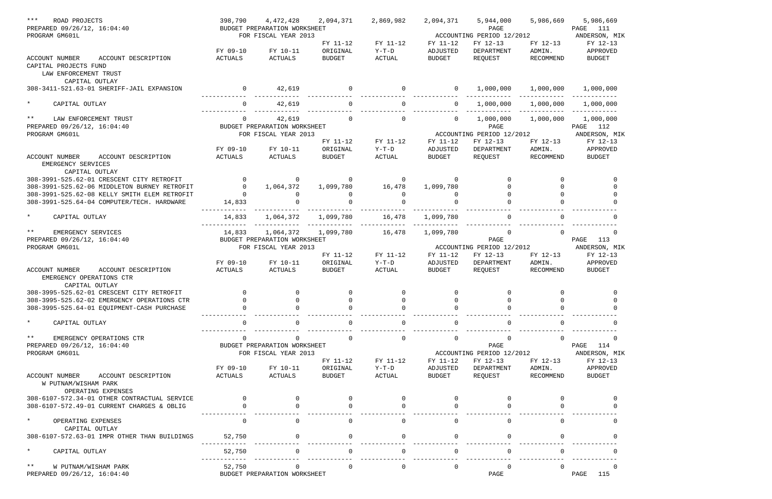| $* * *$<br>ROAD PROJECTS                                                                  | 398,790             |                                                                                                                               | 4,472,428 2,094,371       | 2,869,982                             | 2,094,371          | 5,944,000                                  | 5,986,669           | 5,986,669                     |
|-------------------------------------------------------------------------------------------|---------------------|-------------------------------------------------------------------------------------------------------------------------------|---------------------------|---------------------------------------|--------------------|--------------------------------------------|---------------------|-------------------------------|
| PREPARED 09/26/12, 16:04:40                                                               |                     | BUDGET PREPARATION WORKSHEET                                                                                                  |                           |                                       |                    | PAGE                                       |                     | PAGE 111                      |
| PROGRAM GM601L                                                                            |                     | FOR FISCAL YEAR 2013                                                                                                          |                           |                                       |                    | ACCOUNTING PERIOD 12/2012                  |                     | ANDERSON, MIK                 |
|                                                                                           |                     |                                                                                                                               | FY 11-12                  | FY 11-12                              | FY 11-12           | FY 12-13                                   | FY 12-13            | FY 12-13                      |
| ACCOUNT DESCRIPTION<br>ACCOUNT NUMBER                                                     | FY 09-10<br>ACTUALS | FY 10-11<br>ACTUALS                                                                                                           | ORIGINAL<br><b>BUDGET</b> | $Y-T-D$<br>ACTUAL                     | ADJUSTED<br>BUDGET | DEPARTMENT<br>REQUEST                      | ADMIN.<br>RECOMMEND | APPROVED<br>BUDGET            |
| CAPITAL PROJECTS FUND                                                                     |                     |                                                                                                                               |                           |                                       |                    |                                            |                     |                               |
| LAW ENFORCEMENT TRUST                                                                     |                     |                                                                                                                               |                           |                                       |                    |                                            |                     |                               |
| CAPITAL OUTLAY                                                                            |                     |                                                                                                                               |                           |                                       |                    |                                            |                     |                               |
| 308-3411-521.63-01 SHERIFF-JAIL EXPANSION                                                 |                     |                                                                                                                               |                           |                                       |                    |                                            |                     |                               |
|                                                                                           |                     |                                                                                                                               |                           |                                       |                    |                                            |                     |                               |
| $\star$<br>CAPITAL OUTLAY                                                                 | $\Omega$            |                                                                                                                               |                           |                                       |                    |                                            |                     | 1,000,000                     |
| ** LAW ENFORCEMENT TRUST                                                                  | $\overline{0}$      | 42,619                                                                                                                        |                           | $\overline{0}$ 0                      |                    | $0 \qquad 1,000,000$                       | 1,000,000           | 1,000,000                     |
| PREPARED 09/26/12, 16:04:40                                                               |                     | BUDGET PREPARATION WORKSHEET                                                                                                  |                           |                                       |                    | PAGE                                       |                     | PAGE 112                      |
| PROGRAM GM601L                                                                            |                     | FOR FISCAL YEAR 2013                                                                                                          |                           |                                       |                    | ACCOUNTING PERIOD 12/2012                  |                     | ANDERSON, MIK                 |
|                                                                                           |                     |                                                                                                                               | FY 11-12                  | FY 11-12                              | FY 11-12           | FY 12-13                                   | FY 12-13            | FY 12-13                      |
|                                                                                           | FY 09-10            | FY 10-11                                                                                                                      | ORIGINAL                  | $Y-T-D$                               | ADJUSTED           | DEPARTMENT                                 | ADMIN.              | APPROVED                      |
| ACCOUNT NUMBER<br>ACCOUNT DESCRIPTION                                                     | ACTUALS             | ACTUALS                                                                                                                       | BUDGET                    | ACTUAL                                | BUDGET             | REQUEST                                    | RECOMMEND           | <b>BUDGET</b>                 |
| EMERGENCY SERVICES                                                                        |                     |                                                                                                                               |                           |                                       |                    |                                            |                     |                               |
| CAPITAL OUTLAY                                                                            |                     |                                                                                                                               |                           |                                       |                    |                                            |                     |                               |
| 308-3991-525.62-01 CRESCENT CITY RETROFIT<br>308-3991-525.62-06 MIDDLETON BURNEY RETROFIT |                     | $\begin{array}{ccccccc} 0 & & & 0 & & & 0 & & 0 & & 0 \ 0 & & 1,064,372 & & 1,099,780 & & & 16,478 & & 1,099,780 \end{array}$ |                           |                                       |                    |                                            | $\overline{0}$      | $\overline{0}$                |
| 308-3991-525.62-08 KELLY SMITH ELEM RETROFIT                                              |                     |                                                                                                                               | $\overline{0}$            |                                       | $\overline{0}$     | $\overline{0}$<br>$\overline{0}$           | $\overline{0}$      | $\overline{0}$<br>$\mathsf 0$ |
| 308-3991-525.64-04 COMPUTER/TECH. HARDWARE                                                | 14,833              | $\overline{0}$ 0<br>$\overline{a}$                                                                                            | $\overline{0}$            | $\begin{array}{c} 0 \\ 0 \end{array}$ |                    |                                            |                     |                               |
|                                                                                           |                     |                                                                                                                               |                           |                                       |                    |                                            |                     |                               |
| $\star$<br>CAPITAL OUTLAY                                                                 | 14,833              |                                                                                                                               |                           | 16,478                                |                    |                                            |                     | $\Omega$                      |
| $***$<br>EMERGENCY SERVICES                                                               | 14,833              | $1,064,372$ $1,099,780$ $16,478$ $1,099,780$                                                                                  |                           |                                       |                    | $\overline{0}$                             | $\Omega$            | $\overline{0}$                |
| PREPARED 09/26/12, 16:04:40                                                               |                     | BUDGET PREPARATION WORKSHEET                                                                                                  |                           |                                       |                    | PAGE                                       |                     | PAGE 113                      |
| PROGRAM GM601L                                                                            |                     | FOR FISCAL YEAR 2013                                                                                                          |                           |                                       |                    | ACCOUNTING PERIOD 12/2012                  |                     | ANDERSON, MIK                 |
|                                                                                           |                     |                                                                                                                               | FY 11-12                  | FY 11-12                              | FY 11-12           | FY 12-13                                   | FY 12-13            | FY 12-13                      |
|                                                                                           | FY 09-10            | FY 10-11                                                                                                                      | ORIGINAL                  | $Y-T-D$                               | ADJUSTED           | DEPARTMENT                                 | ADMIN.              | APPROVED                      |
| ACCOUNT NUMBER<br>ACCOUNT DESCRIPTION                                                     | ACTUALS             | <b>ACTUALS</b>                                                                                                                | BUDGET                    | ACTUAL                                | BUDGET             | REQUEST                                    | RECOMMEND           | <b>BUDGET</b>                 |
| EMERGENCY OPERATIONS CTR<br>CAPITAL OUTLAY                                                |                     |                                                                                                                               |                           |                                       |                    |                                            |                     |                               |
| 308-3995-525.62-01 CRESCENT CITY RETROFIT                                                 | $\overline{0}$      | $\overline{0}$                                                                                                                |                           | $\overline{0}$                        | $\overline{0}$     | $\overline{0}$                             | $\mathsf{O}$        | $\overline{0}$                |
| 308-3995-525.62-02 EMERGENCY OPERATIONS CTR                                               |                     | $\begin{array}{ccc}\n0 & & & & \\ 0 & & & & \\ \end{array}$                                                                   | $\overline{a}$            |                                       |                    | $\begin{array}{ccc} 0 & 0 & 0 \end{array}$ | $\overline{a}$      | $\overline{a}$                |
| 308-3995-525.64-01 EQUIPMENT-CASH PURCHASE                                                |                     |                                                                                                                               |                           |                                       |                    |                                            |                     |                               |
|                                                                                           |                     |                                                                                                                               |                           |                                       |                    |                                            |                     |                               |
| $\star$<br>CAPITAL OUTLAY                                                                 |                     |                                                                                                                               | $\Omega$                  | $\mathbf 0$                           |                    |                                            |                     |                               |
| $\star \star$<br>EMERGENCY OPERATIONS CTR                                                 | $\Omega$            | $\Omega$                                                                                                                      | $\Omega$                  | $\mathbf 0$                           | $\mathbf 0$        |                                            | $\Omega$            |                               |
| PREPARED 09/26/12, 16:04:40                                                               |                     | BUDGET PREPARATION WORKSHEET                                                                                                  |                           |                                       |                    | 0<br>PAGE                                  |                     | 0<br>114<br>PAGE              |
| PROGRAM GM601L                                                                            |                     | FOR FISCAL YEAR 2013                                                                                                          |                           |                                       |                    | ACCOUNTING PERIOD 12/2012                  |                     | ANDERSON, MIK                 |
|                                                                                           |                     |                                                                                                                               | FY 11-12                  | FY 11-12                              | FY 11-12           | FY 12-13                                   | FY 12-13            | FY 12-13                      |
|                                                                                           | FY 09-10            | FY 10-11                                                                                                                      | ORIGINAL                  | $Y-T-D$                               | ADJUSTED           | DEPARTMENT                                 | ADMIN.              | APPROVED                      |
| ACCOUNT DESCRIPTION<br>ACCOUNT NUMBER                                                     | ACTUALS             | ACTUALS                                                                                                                       | <b>BUDGET</b>             | ACTUAL                                | BUDGET             | REOUEST                                    | RECOMMEND           | <b>BUDGET</b>                 |
| W PUTNAM/WISHAM PARK<br>OPERATING EXPENSES                                                |                     |                                                                                                                               |                           |                                       |                    |                                            |                     |                               |
| 308-6107-572.34-01 OTHER CONTRACTUAL SERVICE                                              | $\overline{0}$      |                                                                                                                               |                           | $\mathbf{0}$                          |                    |                                            |                     |                               |
| 308-6107-572.49-01 CURRENT CHARGES & OBLIG                                                |                     |                                                                                                                               |                           | $\Omega$                              |                    |                                            |                     |                               |
|                                                                                           |                     |                                                                                                                               |                           |                                       |                    |                                            |                     |                               |
| $\star$<br>OPERATING EXPENSES                                                             | 0                   | $\Omega$                                                                                                                      | $\Omega$                  | $\mathbf 0$                           | $\Omega$           | $\mathbf 0$                                | 0                   |                               |
| CAPITAL OUTLAY                                                                            |                     |                                                                                                                               |                           |                                       |                    |                                            |                     |                               |
| 308-6107-572.63-01 IMPR OTHER THAN BUILDINGS                                              | 52,750              |                                                                                                                               |                           | $\Omega$                              |                    |                                            |                     |                               |
| $\star$<br>CAPITAL OUTLAY                                                                 | 52,750              | $\mathbf{0}$                                                                                                                  | $\mathsf{O}$              | $\mathsf{O}$                          | $\Omega$           | $\mathbf 0$                                | 0                   |                               |
|                                                                                           |                     |                                                                                                                               |                           |                                       |                    |                                            |                     |                               |
| $\star \star$<br>W PUTNAM/WISHAM PARK                                                     | 52,750              | $\overline{0}$                                                                                                                | $\mathbf 0$               | $\overline{0}$                        | $\mathbf 0$        | 0                                          | $\Omega$            | 0                             |
| PREPARED 09/26/12, 16:04:40                                                               |                     | BUDGET PREPARATION WORKSHEET                                                                                                  |                           |                                       |                    | PAGE                                       |                     | 115<br>PAGE                   |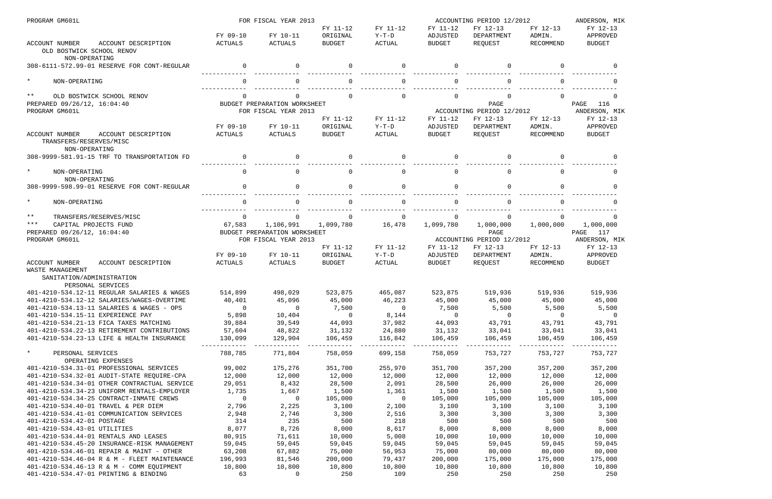| PROGRAM GM601L                                                                             |                 | FOR FISCAL YEAR 2013         |                      |                     | ACCOUNTING PERIOD 12/2012 |                                       |                      | ANDERSON, MIK             |
|--------------------------------------------------------------------------------------------|-----------------|------------------------------|----------------------|---------------------|---------------------------|---------------------------------------|----------------------|---------------------------|
|                                                                                            | FY 09-10        | FY 10-11                     | FY 11-12<br>ORIGINAL | FY 11-12<br>$Y-T-D$ | FY 11-12<br>ADJUSTED      | FY 12-13<br>DEPARTMENT                | FY 12-13<br>ADMIN.   | FY 12-13<br>APPROVED      |
| <b>ACCOUNT NUMBER</b><br>ACCOUNT DESCRIPTION<br>OLD BOSTWICK SCHOOL RENOV<br>NON-OPERATING | ACTUALS         | ACTUALS                      | <b>BUDGET</b>        | <b>ACTUAL</b>       | <b>BUDGET</b>             | REOUEST                               | RECOMMEND            | <b>BUDGET</b>             |
| 308-6111-572.99-01 RESERVE FOR CONT-REGULAR                                                | $\Omega$        | $\Omega$                     | $\Omega$             | $\Omega$            | $\Omega$                  | $\Omega$                              | $\Omega$             | $\cap$                    |
| $\star$<br>NON-OPERATING                                                                   | $\Omega$        | $\cap$                       | $\Omega$             | $\Omega$            | $\Omega$                  | $\Omega$                              | $\cap$               | $\Omega$                  |
| $***$<br>OLD BOSTWICK SCHOOL RENOV                                                         |                 |                              | $\Omega$             | $\Omega$            | $\Omega$                  |                                       | $\cap$               | $\Omega$                  |
| PREPARED 09/26/12, 16:04:40                                                                |                 | BUDGET PREPARATION WORKSHEET |                      |                     |                           | PAGE                                  |                      | 116<br>PAGE               |
| PROGRAM GM601L                                                                             |                 | FOR FISCAL YEAR 2013         | FY 11-12             | FY 11-12            | FY 11-12                  | ACCOUNTING PERIOD 12/2012<br>FY 12-13 | FY 12-13             | ANDERSON, MIK<br>FY 12-13 |
|                                                                                            | FY 09-10        | FY 10-11                     | ORIGINAL             | $Y-T-D$             | ADJUSTED                  | DEPARTMENT                            | ADMIN.               | APPROVED                  |
| <b>ACCOUNT NUMBER</b><br>ACCOUNT DESCRIPTION<br>TRANSFERS/RESERVES/MISC<br>NON-OPERATING   | <b>ACTUALS</b>  | ACTUALS                      | <b>BUDGET</b>        | <b>ACTUAL</b>       | <b>BUDGET</b>             | REQUEST                               | RECOMMEND            | <b>BUDGET</b>             |
| 308-9999-581.91-15 TRF TO TRANSPORTATION FD                                                | $\Omega$        | $\Omega$                     | $\Omega$             | $\Omega$            | $\Omega$                  | $\Omega$                              | $\Omega$             | $\Omega$                  |
| $\star$<br>NON-OPERATING<br>NON-OPERATING                                                  | $\Omega$        | $\Omega$                     | $\Omega$             | $\mathbf 0$         | $\Omega$                  | $\mathbf 0$                           | $\Omega$             | $\Omega$                  |
| 308-9999-598.99-01 RESERVE FOR CONT-REGULAR                                                | $\Omega$        | $\cap$                       | $\Omega$             | $\Omega$            | $\Omega$                  | $\Omega$                              |                      | $\cap$                    |
| $\star$<br>NON-OPERATING                                                                   |                 |                              |                      | $\Omega$            |                           |                                       |                      |                           |
| $***$<br>TRANSFERS/RESERVES/MISC                                                           | $\Omega$        | $\Omega$                     | $\Omega$             | 0                   | $\Omega$                  | $\Omega$                              | $\Omega$             |                           |
| $***$<br>CAPITAL PROJECTS FUND                                                             | 67,583          | 1,106,991                    | 1,099,780            | 16,478              | 1,099,780                 | 1,000,000                             | 1,000,000            | 1,000,000                 |
| PREPARED 09/26/12, 16:04:40                                                                |                 | BUDGET PREPARATION WORKSHEET |                      |                     |                           | PAGE                                  |                      | PAGE<br>117               |
| PROGRAM GM601L                                                                             |                 | FOR FISCAL YEAR 2013         |                      |                     |                           | ACCOUNTING PERIOD 12/2012             |                      | ANDERSON, MIK             |
|                                                                                            |                 |                              | FY 11-12             | FY 11-12            | FY 11-12                  | FY 12-13                              | FY 12-13             | FY 12-13                  |
|                                                                                            | FY 09-10        | FY 10-11                     | ORIGINAL             | $Y-T-D$             | ADJUSTED                  | DEPARTMENT                            | ADMIN.               | APPROVED                  |
| ACCOUNT NUMBER<br>ACCOUNT DESCRIPTION<br>WASTE MANAGEMENT                                  | ACTUALS         | ACTUALS                      | <b>BUDGET</b>        | ACTUAL              | <b>BUDGET</b>             | REOUEST                               | RECOMMEND            | <b>BUDGET</b>             |
| SANITATION/ADMINISTRATION<br>PERSONAL SERVICES                                             |                 |                              |                      |                     |                           |                                       |                      |                           |
| 401-4210-534.12-11 REGULAR SALARIES & WAGES                                                | 514,899         | 498,029                      | 523,875              | 465,087             | 523,875                   | 519,936                               | 519,936              | 519,936                   |
| 401-4210-534.12-12 SALARIES/WAGES-OVERTIME                                                 |                 | 40,401 45,096                |                      | 45,000 46,223       |                           | 45,000 45,000 45,000                  |                      | 45,000                    |
| 401-4210-534.13-11 SALARIES & WAGES - OPS                                                  | $\overline{0}$  | $\mathbf 0$                  | 7,500                | $\overline{0}$      | 7,500                     | 5,500                                 | 5,500                | 5,500                     |
| 401-4210-534.15-11 EXPERIENCE PAY                                                          | 5,898           | 10,404                       | $\overline{0}$       | 8,144               | $\overline{0}$            | $\overline{0}$                        | $\overline{0}$       | $\overline{0}$            |
| 401-4210-534.21-13 FICA TAXES MATCHING                                                     | 39,884          | 39,549                       | 44,093               | 37,982              | 44,093                    | 43,791                                | 43,791               | 43,791                    |
| 401-4210-534.22-13 RETIREMENT CONTRIBUTIONS                                                | 57,604          | 48,822                       | 31,132               | 24,880              | 31,132                    | 33,041                                | 33,041               | 33,041                    |
| 401-4210-534.23-13 LIFE & HEALTH INSURANCE                                                 | 130,099         | 129,904                      | 106,459              | 116,842<br>-------- | 106,459                   | 106,459                               | 106,459<br>--------- | 106,459                   |
| $\star$<br>PERSONAL SERVICES<br>OPERATING EXPENSES                                         | 788,785         | 771,804                      | 758,059              | 699,158             | 758,059                   | 753,727                               | 753,727              | 753,727                   |
| 401-4210-534.31-01 PROFESSIONAL SERVICES                                                   | 99,002          | 175,276                      | 351,700              | 255,970             | 351,700                   | 357,200                               | 357,200              | 357,200                   |
| 401-4210-534.32-01 AUDIT-STATE REQUIRE-CPA                                                 | 12,000          | 12,000                       | 12,000               | 12,000              | 12,000                    | 12,000                                | 12,000               | 12,000                    |
| 401-4210-534.34-01 OTHER CONTRACTUAL SERVICE                                               | 29,051          | 8,432                        | 28,500               | 2,091               | 28,500                    | 26,000                                | 26,000               | 26,000                    |
| 401-4210-534.34-23 UNIFORM RENTALS-EMPLOYER                                                | 1,735           | 1,667                        | 1,500                | 1,361               | 1,500                     | 1,500                                 | 1,500                | 1,500                     |
| 401-4210-534.34-25 CONTRACT-INMATE CREWS                                                   | $\overline{0}$  | $\overline{0}$               | 105,000              | $\overline{0}$      | 105,000                   | 105,000                               | 105,000              | 105,000                   |
| 401-4210-534.40-01 TRAVEL & PER DIEM                                                       | 2,796           | 2,225                        | 3,100                | 2,100               | 3,100                     | 3,100                                 | 3,100                | 3,100                     |
| 401-4210-534.41-01 COMMUNICATION SERVICES                                                  | 2,948           | 2,746                        | 3,300                | 2,516               | 3,300                     | 3,300                                 | 3,300                | 3,300                     |
| 401-4210-534.42-01 POSTAGE                                                                 | 314             | 235                          | 500                  | 218                 | 500                       | 500                                   | 500                  | 500                       |
| 401-4210-534.43-01 UTILITIES<br>401-4210-534.44-01 RENTALS AND LEASES                      | 8,077<br>80,915 | 8,726<br>71,611              | 8,000<br>10,000      | 8,617<br>5,008      | 8,000<br>10,000           | 8,000<br>10,000                       | 8,000<br>10,000      | 8,000<br>10,000           |
| 401-4210-534.45-20 INSURANCE-RISK MANAGEMENT                                               | 59,045          | 59,045                       | 59,045               | 59,045              | 59,045                    | 59,045                                | 59,045               | 59,045                    |
| 401-4210-534.46-01 REPAIR & MAINT - OTHER                                                  | 63,208          | 67,882                       | 75,000               | 56,953              | 75,000                    | 80,000                                | 80,000               | 80,000                    |
| 401-4210-534.46-04 R & M - FLEET MAINTENANCE                                               | 196,993         | 81,546                       | 200,000              | 79,437              | 200,000                   | 175,000                               | 175,000              | 175,000                   |
| 401-4210-534.46-13 R & M - COMM EQUIPMENT                                                  | 10,800          | 10,800                       | 10,800               | 10,800              | 10,800                    | 10,800                                | 10,800               | 10,800                    |
| 401-4210-534.47-01 PRINTING & BINDING                                                      | 63              | $\mathbf 0$                  | 250                  | 109                 | 250                       | 250                                   | 250                  | 250                       |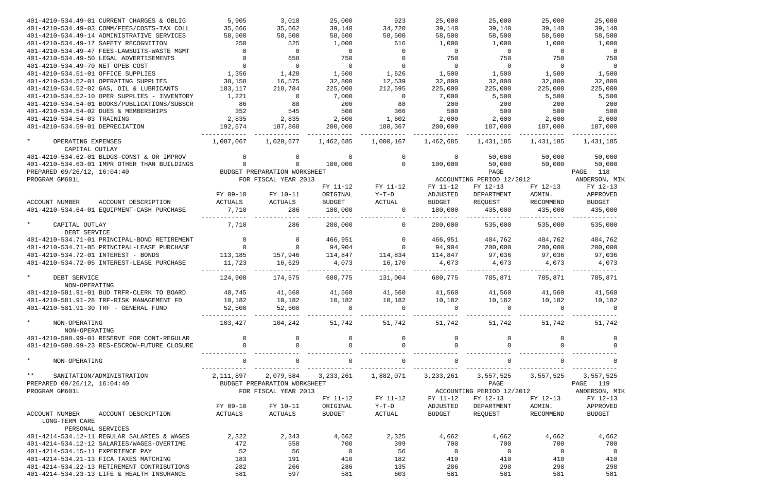| 401-4210-534.49-01 CURRENT CHARGES & OBLIG              | 5,905          | 3,018                        | 25,000         | 923            | 25,000         | 25,000                    | 25,000                  | 25,000         |
|---------------------------------------------------------|----------------|------------------------------|----------------|----------------|----------------|---------------------------|-------------------------|----------------|
| 401-4210-534.49-03 COMM/FEES/COSTS-TAX COLL             | 35,666         | 35,662                       | 39,140         | 34,720         | 39,140         | 39,140                    | 39,140                  | 39,140         |
| 401-4210-534.49-14 ADMINISTRATIVE SERVICES              | 58,500         | 58,500                       | 58,500         | 58,500         | 58,500         | 58,500                    | 58,500                  | 58,500         |
| 401-4210-534.49-17 SAFETY RECOGNITION                   | 250            | 525                          | 1,000          | 616            | 1,000          | 1,000                     | 1,000                   | 1,000          |
| 401-4210-534.49-47 FEES-LAWSUITS-WASTE MGMT             | $\overline{0}$ | $\overline{0}$               | $\overline{0}$ | $\overline{0}$ | $\overline{0}$ | $\overline{0}$            | $\overline{0}$          | $\overline{0}$ |
| 401-4210-534.49-50 LEGAL ADVERTISEMENTS                 | $\overline{0}$ | 658                          | 750            | $\overline{0}$ | 750            | 750                       | 750                     | 750            |
| 401-4210-534.49-70 NET OPEB COST                        | $\overline{0}$ | $\overline{0}$               | $\overline{0}$ | $\overline{0}$ | $\overline{0}$ | $\overline{0}$            | $\overline{\mathbf{0}}$ | $\overline{0}$ |
| 401-4210-534.51-01 OFFICE SUPPLIES                      | 1,356          | 1,428                        | 1,500          | 1,626          | 1,500          | 1,500                     | 1,500                   | 1,500          |
| 401-4210-534.52-01 OPERATING SUPPLIES                   | 38,158         | 16,575                       | 32,800         | 12,539         | 32,800         | 32,800                    | 32,800                  | 32,800         |
| 401-4210-534.52-02 GAS, OIL & LUBRICANTS                | 183,117        | 218,784                      | 225,000        | 212,595        | 225,000        | 225,000                   | 225,000                 | 225,000        |
| 401-4210-534.52-10 OPER SUPPLIES - INVENTORY            | 1,221          | $\overline{0}$               | 7,000          | $\overline{0}$ | 7,000          | 5,500                     | 5,500                   | 5,500          |
| 401-4210-534.54-01 BOOKS/PUBLICATIONS/SUBSCR            | 86             | 88                           | 200            | 88             | 200            | 200                       | 200                     | 200            |
| 401-4210-534.54-02 DUES & MEMBERSHIPS                   | 352            | 545                          | 500            | 366            | 500            | 500                       | 500                     | 500            |
| 401-4210-534.54-03 TRAINING                             | 2,835          | 2,835                        | 2,600          | 1,602          | 2,600          | 2,600                     | 2,600                   | 2,600          |
| 401-4210-534.59-01 DEPRECIATION                         | 192,674        | 187,868                      | 200,000        | 180,367        | 200,000        | 187,000                   | 187,000                 | 187,000        |
|                                                         |                |                              |                |                |                |                           |                         |                |
| $\star$<br>OPERATING EXPENSES<br>CAPITAL OUTLAY         | 1,087,067      | 1,028,677                    | 1,462,685      | 1,000,167      | 1,462,685      | 1,431,185                 | 1,431,185               | 1,431,185      |
| 401-4210-534.62-01 BLDGS-CONST & OR IMPROV              | $\overline{0}$ | $\mathbf{0}$                 | $\overline{0}$ | $\overline{0}$ | $\overline{0}$ | 50,000                    | 50,000                  | 50,000         |
| 401-4210-534.63-01 IMPR OTHER THAN BUILDINGS            |                | $\Omega$                     | 100,000        | $\Omega$       | 100,000        | 50,000                    | 50,000                  | 50,000         |
| PREPARED 09/26/12, 16:04:40                             |                | BUDGET PREPARATION WORKSHEET |                |                |                | PAGE                      |                         | 118<br>PAGE    |
| PROGRAM GM601L                                          |                | FOR FISCAL YEAR 2013         |                |                |                | ACCOUNTING PERIOD 12/2012 |                         | ANDERSON, MIK  |
|                                                         |                |                              | FY 11-12       | FY 11-12       | FY 11-12       | FY 12-13                  | FY 12-13                | FY 12-13       |
|                                                         | FY 09-10       | FY 10-11                     | ORIGINAL       | $Y-T-D$        | ADJUSTED       | DEPARTMENT                | ADMIN.                  | APPROVED       |
| ACCOUNT DESCRIPTION<br>ACCOUNT NUMBER                   | ACTUALS        | ACTUALS                      | BUDGET         | ACTUAL         | BUDGET         | REQUEST                   | RECOMMEND               | <b>BUDGET</b>  |
| 401-4210-534.64-01 EQUIPMENT-CASH PURCHASE              | 7,710          | 286                          | 180,000        | $\overline{0}$ | 180,000        | 435,000                   | 435,000                 | 435,000        |
|                                                         |                |                              |                |                |                |                           |                         | ------------   |
| $\star$<br>CAPITAL OUTLAY<br>DEBT SERVICE               | 7,710          | 286                          | 280,000        | $\mathbf 0$    | 280,000        | 535,000                   | 535,000                 | 535,000        |
| 401-4210-534.71-01 PRINCIPAL-BOND RETIREMENT            | $\overline{0}$ | $\overline{0}$               | 466,951        | $\overline{0}$ | 466,951        | 484,762                   | 484,762                 | 484,762        |
| 401-4210-534.71-05 PRINCIPAL-LEASE PURCHASE             | $\overline{0}$ | $\overline{0}$               | 94,904         | $\sim$ 0       | 94,904         | 200,000                   | 200,000                 | 200,000        |
| 401-4210-534.72-01 INTEREST - BONDS                     | 113,185        | 157,946                      | 114,847        | 114,834        | 114,847        | 97,036                    | 97,036                  | 97,036         |
| 401-4210-534.72-05 INTEREST-LEASE PURCHASE              | 11,723         | 16,629                       | 4,073          | 16,170         | 4,073          | 4,073                     | 4,073                   | 4,073          |
|                                                         |                |                              |                |                |                |                           |                         |                |
| $\star$<br>DEBT SERVICE<br>NON-OPERATING                | 124,908        | 174,575                      | 680,775        | 131,004        | 680,775        | 785,871                   | 785,871                 | 785,871        |
| 401-4210-581.91-01 BUD TRFR-CLERK TO BOARD              | 40,745         | 41,560                       | 41,560         | 41,560         | 41,560         | 41,560                    | 41,560                  | 41,560         |
| 401-4210-581.91-28 TRF-RISK MANAGEMENT FD               | 10,182         | 10,182                       | 10,182         | 10,182         | 10,182         | 10,182                    | 10,182                  | 10,182         |
| 401-4210-581.91-30 TRF - GENERAL FUND                   | 52,500         | 52,500                       | $\mathbf 0$    | $\overline{0}$ | $\Omega$       | $\overline{0}$            | $\Omega$                | $\Omega$       |
|                                                         |                |                              |                |                |                |                           |                         |                |
| $\star$<br>NON-OPERATING<br>NON-OPERATING               | 103,427        | 104,242                      | 51,742         | 51,742         | 51,742         | 51,742                    | 51,742                  | 51,742         |
| 401-4210-598.99-01 RESERVE FOR CONT-REGULAR             | $\mathbf 0$    | $\overline{0}$               | 0              | 0              |                | 0                         |                         | 0              |
| 401-4210-598.99-23 RES-ESCROW-FUTURE CLOSURE            |                |                              | $\Omega$       | $\Omega$       |                | $\Omega$                  |                         |                |
|                                                         |                |                              |                |                |                |                           |                         |                |
| $\star$<br>NON-OPERATING                                | $\mathbf 0$    | $\Omega$                     | $\mathbf 0$    | $\mathsf{O}$   | $\Omega$       | $\mathbf 0$               |                         | $\Omega$       |
|                                                         |                |                              |                |                |                |                           |                         |                |
| $\star \star$<br>SANITATION/ADMINISTRATION              | 2,111,897      | 2,079,584                    | 3, 233, 261    | 1,882,071      | 3,233,261      | 3,557,525                 | 3,557,525               | 3,557,525      |
| PREPARED 09/26/12, 16:04:40                             |                | BUDGET PREPARATION WORKSHEET |                |                |                | PAGE                      |                         | PAGE 119       |
| PROGRAM GM601L                                          |                | FOR FISCAL YEAR 2013         |                |                |                | ACCOUNTING PERIOD 12/2012 |                         | ANDERSON, MIK  |
|                                                         |                |                              | FY 11-12       | FY 11-12       | FY 11-12       | FY 12-13                  | FY 12-13                | FY 12-13       |
|                                                         | FY 09-10       | FY 10-11                     | ORIGINAL       | Y-T-D          | ADJUSTED       | DEPARTMENT                | ADMIN.                  | APPROVED       |
| ACCOUNT DESCRIPTION<br>ACCOUNT NUMBER<br>LONG-TERM CARE | ACTUALS        | ACTUALS                      | <b>BUDGET</b>  | ACTUAL         | BUDGET         | REQUEST                   | RECOMMEND               | <b>BUDGET</b>  |
| PERSONAL SERVICES                                       |                |                              |                |                |                |                           |                         |                |
| 401-4214-534.12-11 REGULAR SALARIES & WAGES             | 2,322          | 2,343                        | 4,662          | 2,325          | 4,662          | 4,662                     | 4,662                   | 4,662          |
| 401-4214-534.12-12 SALARIES/WAGES-OVERTIME              | 472            | 558                          | 700            | 399            | 700            | 700                       | 700                     | 700            |
| 401-4214-534.15-11 EXPERIENCE PAY                       | 52             | 56                           | $\overline{0}$ | 56             | $\overline{0}$ | $\overline{0}$            | $\overline{0}$          | $\overline{0}$ |
| 401-4214-534.21-13 FICA TAXES MATCHING                  | 183            | 191                          | 410            | 182            | 410            | 410                       | 410                     | 410            |
| 401-4214-534.22-13 RETIREMENT CONTRIBUTIONS             | 282            | 266                          | 286            | 135            | 286            | 298                       | 298                     | 298            |
| 401-4214-534.23-13 LIFE & HEALTH INSURANCE              | 581            | 597                          | 581            | 603            | 581            | 581                       | 581                     | 581            |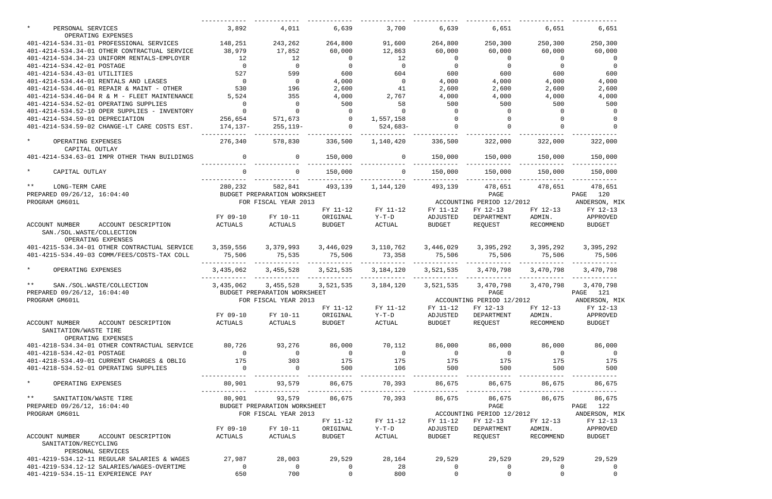| PERSONAL SERVICES                                                                        | 3,892                   | 4,011                        | 6,639                                   | 3,700                 | 6,639                            | 6,651                               | 6,651                 | 6,651                                   |
|------------------------------------------------------------------------------------------|-------------------------|------------------------------|-----------------------------------------|-----------------------|----------------------------------|-------------------------------------|-----------------------|-----------------------------------------|
| OPERATING EXPENSES                                                                       |                         |                              |                                         |                       |                                  |                                     |                       |                                         |
| 401-4214-534.31-01 PROFESSIONAL SERVICES                                                 | 148,251                 | 243,262                      | 264,800                                 | 91,600                | 264,800                          | 250,300                             | 250,300               | 250,300                                 |
| 401-4214-534.34-01 OTHER CONTRACTUAL SERVICE                                             | 38,979                  | 17,852                       | 60,000                                  | 12,863                | 60,000                           | 60,000                              | 60,000                | 60,000                                  |
| 401-4214-534.34-23 UNIFORM RENTALS-EMPLOYER                                              | 12                      | 12                           | $\overline{\phantom{0}}$                | 12                    | $\overline{0}$<br>$\overline{0}$ | $\overline{0}$                      | $\overline{0}$        | 0                                       |
| 401-4214-534.42-01 POSTAGE                                                               | $\overline{0}$          | $\overline{0}$               | $\overline{0}$<br>600                   | $\overline{0}$        | 600                              | $\overline{0}$                      | $\overline{0}$<br>600 | $\overline{0}$                          |
| 401-4214-534.43-01 UTILITIES                                                             | 527<br>$\overline{0}$   | 599<br>$\overline{0}$        |                                         | 604<br>$\overline{0}$ |                                  | 600                                 |                       | 600                                     |
| 401-4214-534.44-01 RENTALS AND LEASES<br>401-4214-534.46-01 REPAIR & MAINT - OTHER       | 530                     | 196                          | 4,000                                   | 41                    | 4,000                            | 4,000                               | 4,000                 | 4,000                                   |
| 401-4214-534.46-04 R & M - FLEET MAINTENANCE                                             |                         | 355                          | 2,600                                   | 2,767                 | 2,600                            | 2,600                               | 2,600                 | 2,600                                   |
| 401-4214-534.52-01 OPERATING SUPPLIES                                                    | 5,524<br>$\overline{0}$ | $\overline{0}$               | 4,000<br>500                            | 58                    | 4,000<br>500                     | 4,000<br>500                        | 4,000<br>500          | 4,000<br>500                            |
|                                                                                          | $\overline{0}$          |                              | $\Omega$                                | $\Omega$              | $\overline{0}$                   |                                     | $\Omega$              |                                         |
| 401-4214-534.52-10 OPER SUPPLIES - INVENTORY<br>401-4214-534.59-01 DEPRECIATION          | 256,654                 | 571,673                      |                                         |                       |                                  |                                     |                       |                                         |
| 401-4214-534.59-02 CHANGE-LT CARE COSTS EST.                                             |                         |                              | $\begin{array}{c}\n0 \\ 0\n\end{array}$ | 1,557,158<br>524,683- |                                  |                                     |                       |                                         |
|                                                                                          | 174,137–                | 255,119-                     |                                         |                       |                                  |                                     |                       |                                         |
| $\star$<br>OPERATING EXPENSES<br>CAPITAL OUTLAY                                          | 276,340                 | 578,830                      | 336,500                                 | 1,140,420             | 336,500                          | 322,000                             | 322,000               | 322,000                                 |
| 401-4214-534.63-01 IMPR OTHER THAN BUILDINGS                                             | $\overline{0}$          | $\Omega$                     | 150,000                                 | $\Omega$              | 150,000                          | 150,000                             | 150,000               | 150,000                                 |
| $\star$<br>CAPITAL OUTLAY                                                                | $\Omega$                | $\Omega$                     | 150,000                                 | $\Omega$              | 150,000                          | 150,000                             | 150,000               | 150,000                                 |
| $***$<br>LONG-TERM CARE                                                                  | 280,232                 | 582,841                      | 493,139                                 | 1,144,120             | 493,139                          | 478,651                             | 478,651               | 478,651                                 |
| PREPARED 09/26/12, 16:04:40                                                              |                         | BUDGET PREPARATION WORKSHEET |                                         |                       |                                  | PAGE                                |                       | PAGE 120                                |
| PROGRAM GM601L                                                                           |                         | FOR FISCAL YEAR 2013         |                                         |                       |                                  | ACCOUNTING PERIOD 12/2012           |                       | ANDERSON, MIK                           |
|                                                                                          |                         |                              | FY 11-12                                | FY 11-12              | FY 11-12                         | FY 12-13                            | FY 12-13              | FY 12-13                                |
|                                                                                          | FY 09-10                | FY 10-11                     | ORIGINAL                                | Y-T-D                 | ADJUSTED                         | DEPARTMENT                          | ADMIN.                | APPROVED                                |
| ACCOUNT NUMBER<br>ACCOUNT DESCRIPTION<br>SAN./SOL.WASTE/COLLECTION<br>OPERATING EXPENSES | ACTUALS                 | ACTUALS                      | <b>BUDGET</b>                           | ACTUAL                | BUDGET                           | REQUEST                             | RECOMMEND             | <b>BUDGET</b>                           |
| 401-4215-534.34-01 OTHER CONTRACTUAL SERVICE                                             | 3,359,556               | 3,379,993                    | 3,446,029                               | 3,110,762             |                                  | 3,446,029 3,395,292                 | 3,395,292             | 3,395,292                               |
| 401-4215-534.49-03 COMM/FEES/COSTS-TAX COLL                                              | 75,506                  | 75,535                       | 75,506                                  | 73,358                | 75,506                           | 75,506                              | 75,506                | 75,506                                  |
| $\star$<br>OPERATING EXPENSES                                                            | 3,435,062               |                              | 3,455,528 3,521,535                     | 3,184,120             | 3,521,535                        | 3,470,798   3,470,798               |                       | 3,470,798                               |
| $***$<br>SAN./SOL.WASTE/COLLECTION                                                       | 3,435,062               | 3,455,528                    |                                         | 3,521,535 3,184,120   | 3,521,535                        | 3,470,798                           | 3,470,798             | 3,470,798                               |
| PREPARED 09/26/12, 16:04:40                                                              |                         | BUDGET PREPARATION WORKSHEET |                                         |                       |                                  | PAGE                                |                       | PAGE 121                                |
| PROGRAM GM601L                                                                           |                         | FOR FISCAL YEAR 2013         |                                         |                       |                                  | ACCOUNTING PERIOD 12/2012           |                       | ANDERSON, MIK                           |
|                                                                                          |                         |                              | FY 11-12                                | FY 11-12              | FY 11-12                         | FY 12-13                            | FY 12-13              | FY 12-13                                |
|                                                                                          | FY 09-10                | FY 10-11                     | ORIGINAL                                | $Y-T-D$               | ADJUSTED                         | DEPARTMENT                          | ADMIN.                | APPROVED                                |
| ACCOUNT DESCRIPTION<br>ACCOUNT NUMBER                                                    | ACTUALS                 | <b>ACTUALS</b>               | BUDGET                                  | ACTUAL                | <b>BUDGET</b>                    | REQUEST                             | RECOMMEND             | BUDGET                                  |
| SANITATION/WASTE TIRE<br>OPERATING EXPENSES                                              |                         |                              |                                         |                       |                                  |                                     |                       |                                         |
| 401-4218-534.34-01 OTHER CONTRACTUAL SERVICE                                             | 80,726                  | 93,276 86,000 70,112         |                                         |                       |                                  | 86,000 86,000 86,000                |                       | 86,000                                  |
| 401-4218-534.42-01 POSTAGE                                                               | $\overline{0}$          | $\overline{0}$               | $\overline{0}$                          | $\overline{0}$        | $\overline{0}$                   |                                     | $\overline{0}$        | $\overline{\phantom{0}}$                |
| 401-4218-534.49-01 CURRENT CHARGES & OBLIG                                               | 175                     | 303                          | 175                                     | 175                   | 175                              | $\begin{array}{c}0\\175\end{array}$ | 175                   | 175                                     |
| 401-4218-534.52-01 OPERATING SUPPLIES                                                    | $\overline{0}$          | $\overline{0}$               | 500                                     | 106                   | 500                              | 500                                 | 500                   | 500                                     |
| $\star$ and $\star$<br>OPERATING EXPENSES                                                | 80,901                  | 93,579                       | 86,675                                  | 70,393                | 86,675                           | 86,675                              | 86,675                | 86,675                                  |
| $\star \star$<br>SANITATION/WASTE TIRE                                                   | 80,901                  | 93,579                       | 86,675                                  | 70,393                | 86,675                           | 86,675                              | 86,675                | 86,675                                  |
| PREPARED 09/26/12, 16:04:40                                                              |                         | BUDGET PREPARATION WORKSHEET |                                         |                       |                                  | PAGE                                |                       | PAGE 122                                |
| PROGRAM GM601L                                                                           |                         | FOR FISCAL YEAR 2013         |                                         |                       |                                  |                                     |                       | ACCOUNTING PERIOD 12/2012 ANDERSON, MIK |
|                                                                                          |                         |                              | FY 11-12                                | FY 11-12              | FY 11-12                         | FY 12-13                            | FY 12-13              | FY 12-13                                |
|                                                                                          |                         | FY 09-10 FY 10-11            | ORIGINAL                                | $Y-T-D$               | ADJUSTED                         | DEPARTMENT                          | ADMIN.                | APPROVED                                |
| ACCOUNT NUMBER<br>ACCOUNT DESCRIPTION<br>SANITATION/RECYCLING<br>PERSONAL SERVICES       | ACTUALS                 | ACTUALS                      | BUDGET                                  | ACTUAL                | BUDGET                           | REQUEST                             | RECOMMEND             | BUDGET                                  |
| 401-4219-534.12-11 REGULAR SALARIES & WAGES                                              | 27,987                  | 28,003                       | 29,529                                  | 28,164 29,529         |                                  | 29,529                              | 29,529                | 29,529                                  |
| 401-4219-534.12-12 SALARIES/WAGES-OVERTIME                                               | $\overline{0}$          | $\overline{0}$               | $\overline{0}$                          | 28                    | $\overline{0}$                   | $\overline{0}$                      | $\overline{0}$        | $\overline{0}$                          |
| 401-4219-534.15-11 EXPERIENCE PAY                                                        | 650                     | 700                          | $\overline{0}$                          | 800                   | $\overline{0}$                   | $\mathbf{0}$                        | $\mathbf{0}$          | $\mathbf 0$                             |
|                                                                                          |                         |                              |                                         |                       |                                  |                                     |                       |                                         |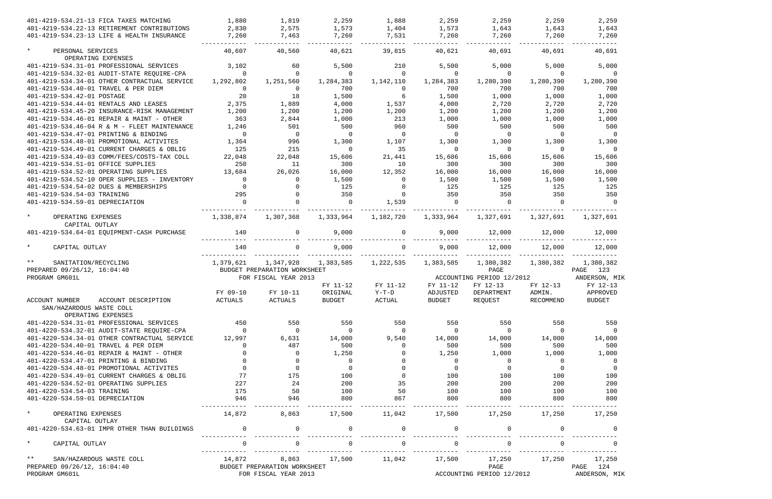| 401-4219-534.21-13 FICA TAXES MATCHING                            | 1,880          | 1,819                        | 2,259          | 1,888             | 2,259                    | 2,259                     | 2,259          | 2,259                   |
|-------------------------------------------------------------------|----------------|------------------------------|----------------|-------------------|--------------------------|---------------------------|----------------|-------------------------|
| 401-4219-534.22-13 RETIREMENT CONTRIBUTIONS                       | 2,830          | 2,575                        | 1,573          | 1,404             | 1,573                    | 1,643                     | 1,643          | 1,643                   |
| 401-4219-534.23-13 LIFE & HEALTH INSURANCE                        | 7,260          | 7,463                        | 7,260          | 7,531             | 7,260                    | 7,260                     | 7,260          | 7,260                   |
| $\star$<br>PERSONAL SERVICES<br>OPERATING EXPENSES                | 40,607         | 40,560                       | 40,621         | 39,815            | 40,621                   | 40,691                    | 40,691         | 40,691                  |
| 401-4219-534.31-01 PROFESSIONAL SERVICES                          | 3,102          | 60                           | 5,500          | 210               | 5,500                    | 5,000                     | 5,000          | 5,000                   |
| 401-4219-534.32-01 AUDIT-STATE REQUIRE-CPA                        | $\mathbf 0$    | $\Omega$                     | $\mathsf{O}$   | $\overline{0}$    | $\overline{0}$           | $\overline{0}$            | $\mathbf 0$    | $\Omega$                |
| 401-4219-534.34-01 OTHER CONTRACTUAL SERVICE                      | 1,292,802      | 1,251,560                    | 1,284,383      | 1,142,110         | 1,284,383                | 1,280,390                 | 1,280,390      | 1,280,390               |
| 401-4219-534.40-01 TRAVEL & PER DIEM                              | $\overline{0}$ | $\overline{0}$               | 700            | 0                 | 700                      | 700                       | 700            | 700                     |
| 401-4219-534.42-01 POSTAGE                                        | 20             | 18                           | 1,500          | -6                | 1,500                    | 1,000                     | 1,000          | 1,000                   |
| 401-4219-534.44-01 RENTALS AND LEASES                             | 2,375          | 1,889                        | 4,000          | 1,537             | 4,000                    | 2,720                     | 2,720          | 2,720                   |
| 401-4219-534.45-20 INSURANCE-RISK MANAGEMENT                      | 1,200          | 1,200                        | 1,200          | 1,200             | 1,200                    | 1,200                     | 1,200          | 1,200                   |
| 401-4219-534.46-01 REPAIR & MAINT - OTHER                         | 363            | 2,844                        | 1,000          | 213               | 1,000                    | 1,000                     | 1,000          | 1,000                   |
| 401-4219-534.46-04 R & M - FLEET MAINTENANCE                      | 1,246          | 501                          | 500            | 960               | 500                      | 500                       | 500            | 500                     |
| 401-4219-534.47-01 PRINTING & BINDING                             | $\mathbf 0$    | $\Omega$                     | $\mathbf 0$    | $\Omega$          | $\Omega$                 | $\overline{0}$            | $\Omega$       | $\overline{0}$          |
| 401-4219-534.48-01 PROMOTIONAL ACTIVITES                          | 1,364          | 996                          | 1,300          | 1,107             | 1,300                    | 1,300                     | 1,300          | 1,300                   |
| 401-4219-534.49-01 CURRENT CHARGES & OBLIG                        | 125            | 215                          | $\mathbf 0$    | 35                | $\Omega$                 | $\mathbf 0$               | $\Omega$       | $\Omega$                |
| 401-4219-534.49-03 COMM/FEES/COSTS-TAX COLL                       | 22,048         | 22,048                       | 15,606         | 21,441            | 15,606                   | 15,606                    | 15,606         | 15,606                  |
| 401-4219-534.51-01 OFFICE SUPPLIES                                | 250            | 11                           | 300            | 10                | 300                      | 300                       | 300            | 300                     |
| 401-4219-534.52-01 OPERATING SUPPLIES                             | 13,684         | 26,026                       | 16,000         | 12,352            | 16,000                   | 16,000                    | 16,000         | 16,000                  |
| 401-4219-534.52-10 OPER SUPPLIES - INVENTORY                      | $\Omega$       |                              | 1,500          | $\Omega$          | 1,500                    | 1,500                     | 1,500          | 1,500                   |
| 401-4219-534.54-02 DUES & MEMBERSHIPS                             | $\Omega$       |                              | 125            | $\Omega$          | 125                      | 125                       | 125            | 125                     |
| 401-4219-534.54-03 TRAINING                                       | 295            |                              | 350            | $\Omega$          | 350                      | 350                       | 350            | 350                     |
|                                                                   | $\Omega$       |                              |                |                   | $\Omega$                 | $\Omega$                  | $\Omega$       | $\Omega$                |
| 401-4219-534.59-01 DEPRECIATION                                   |                |                              | $\overline{0}$ | 1,539             |                          |                           |                |                         |
| $\star$<br>OPERATING EXPENSES<br>CAPITAL OUTLAY                   | 1,338,874      | 1,307,368                    | 1,333,964      | 1,182,720         | 1,333,964                | 1,327,691                 | 1,327,691      | 1,327,691               |
| 401-4219-534.64-01 EQUIPMENT-CASH PURCHASE                        | 140            |                              | 9,000          | $\Omega$          | 9,000                    | 12,000                    | 12,000         | 12,000                  |
| $\star$<br>CAPITAL OUTLAY                                         | 140            |                              | 9,000          | $\Omega$          | 9,000                    | 12,000                    | 12,000         | 12,000                  |
| $\star\star$<br>SANITATION/RECYCLING                              | 1,379,621      | 1,347,928                    | 1,383,585      | 1,222,535         | 1,383,585                | 1,380,382                 | 1,380,382      | 1,380,382               |
| PREPARED 09/26/12, 16:04:40                                       |                | BUDGET PREPARATION WORKSHEET |                |                   |                          | PAGE                      |                | 123<br>PAGE             |
| PROGRAM GM601L                                                    |                | FOR FISCAL YEAR 2013         |                |                   |                          | ACCOUNTING PERIOD 12/2012 |                | ANDERSON, MIK           |
|                                                                   |                |                              | FY 11-12       | FY 11-12          | FY 11-12                 | FY 12-13                  | FY 12-13       | FY 12-13                |
|                                                                   | FY 09-10       | FY 10-11                     | ORIGINAL       | $Y-T-D$           | ADJUSTED                 | DEPARTMENT                | ADMIN.         | APPROVED                |
| ACCOUNT DESCRIPTION<br>ACCOUNT NUMBER<br>SAN/HAZARDOUS WASTE COLL | ACTUALS        | ACTUALS                      | <b>BUDGET</b>  | $\mathtt{ACTUAL}$ | <b>BUDGET</b>            | REQUEST                   | RECOMMEND      | <b>BUDGET</b>           |
| OPERATING EXPENSES                                                | 450            |                              |                |                   |                          |                           |                |                         |
| 401-4220-534.31-01 PROFESSIONAL SERVICES                          |                | 550                          | 550            | 550               | 550                      | 550                       | 550            | 550                     |
| 401-4220-534.32-01 AUDIT-STATE REQUIRE-CPA                        | $\overline{0}$ | 0                            | $\overline{0}$ | $\overline{0}$    | $\overline{\phantom{0}}$ | $\overline{0}$            | $\overline{0}$ | $\overline{\mathbf{0}}$ |
| 401-4220-534.34-01 OTHER CONTRACTUAL SERVICE                      | 12,997         | 6,631                        | 14,000         | 9,540             | 14,000                   | 14,000                    | 14,000         | 14,000                  |
| 401-4220-534.40-01 TRAVEL & PER DIEM                              | 0              | 487                          | 500            | 0                 | 500                      | 500                       | 500            | 500                     |
| 401-4220-534.46-01 REPAIR & MAINT - OTHER                         |                | $\Omega$                     | 1,250          | 0                 | 1,250                    | 1,000                     | 1,000          | 1,000                   |
| 401-4220-534.47-01 PRINTING & BINDING                             |                | 0                            | 0              |                   | $\overline{0}$           | $\overline{0}$            | 0              | 0                       |
| 401-4220-534.48-01 PROMOTIONAL ACTIVITES                          | $\mathsf{O}$   | $\mathbf 0$                  | $\mathsf{O}$   | $\Omega$          | $\overline{0}$           | $\overline{0}$            | $\overline{0}$ | $\overline{0}$          |
| 401-4220-534.49-01 CURRENT CHARGES & OBLIG                        | 77             | 175                          | 100            | $\mathbf 0$       | 100                      | 100                       | 100            | 100                     |
| 401-4220-534.52-01 OPERATING SUPPLIES                             | 227            | 24                           | 200            | 35                | 200                      | 200                       | 200            | 200                     |
| 401-4220-534.54-03 TRAINING                                       | 175            | 50                           | 100            | 50                | 100                      | 100                       | 100            | 100                     |
| 401-4220-534.59-01 DEPRECIATION                                   | 946            | 946                          | 800            | 867               | 800                      | 800                       | 800            | 800                     |
| $\star$<br>OPERATING EXPENSES<br>CAPITAL OUTLAY                   | 14,872         | 8,863                        | 17,500         | 11,042            | 17,500                   | 17,250                    | 17,250         | 17,250                  |
| 401-4220-534.63-01 IMPR OTHER THAN BUILDINGS                      | $\mathbf 0$    |                              | $\mathsf{O}$   | $\mathbf 0$       | $\mathbf{0}$             | 0                         |                |                         |
| $\star$<br>CAPITAL OUTLAY                                         | 0              | $\Omega$                     | $\mathsf{O}$   | $\mathbf 0$       | $\overline{0}$           | $\mathsf{O}$              | $\mathbf 0$    |                         |
| $\star \star$<br>SAN/HAZARDOUS WASTE COLL                         | 14,872         | 8,863                        | 17,500         | 11,042            | 17,500                   | 17,250                    | 17,250         | 17,250                  |
| PREPARED 09/26/12, 16:04:40                                       |                | BUDGET PREPARATION WORKSHEET |                |                   |                          | PAGE                      |                | 124<br>PAGE             |
| PROGRAM GM601L                                                    |                | FOR FISCAL YEAR 2013         |                |                   |                          | ACCOUNTING PERIOD 12/2012 |                | ANDERSON, MIK           |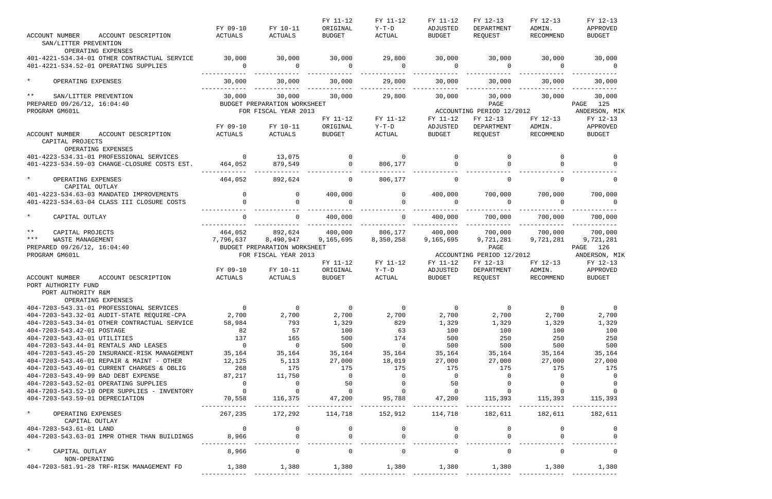|                                              |                |                              | FY 11-12       | FY 11-12                                     | FY 11-12       | FY 12-13                  | FY 12-13       | FY 12-13       |
|----------------------------------------------|----------------|------------------------------|----------------|----------------------------------------------|----------------|---------------------------|----------------|----------------|
|                                              | FY 09-10       | FY 10-11                     | ORIGINAL       | $Y-T-D$                                      | ADJUSTED       | DEPARTMENT                | ADMIN.         | APPROVED       |
| <b>ACCOUNT NUMBER</b><br>ACCOUNT DESCRIPTION | ACTUALS        | ACTUALS                      | <b>BUDGET</b>  | ACTUAL                                       | BUDGET         | REQUEST                   | RECOMMEND      | <b>BUDGET</b>  |
| SAN/LITTER PREVENTION                        |                |                              |                |                                              |                |                           |                |                |
| OPERATING EXPENSES                           |                |                              |                |                                              |                |                           |                |                |
| 401-4221-534.34-01 OTHER CONTRACTUAL SERVICE | 30,000         | 30,000                       | 30,000         | 29,800                                       | 30,000         |                           | 30,000 30,000  | 30,000         |
| 401-4221-534.52-01 OPERATING SUPPLIES        | $\overline{0}$ | $\sim$ 0                     | $\overline{0}$ | $\overline{0}$                               | $\overline{0}$ | $\sim$ 0                  | $\sim$ 0       | $\overline{0}$ |
|                                              |                |                              |                |                                              |                |                           |                |                |
| $\star$<br>OPERATING EXPENSES                | 30,000         | 30,000                       | 30,000         | 29,800                                       | 30,000         | 30,000                    | 30,000         | 30,000         |
| $***$<br>SAN/LITTER PREVENTION               | 30,000         | 30,000                       | 30,000         | 29,800                                       | 30,000         |                           | 30,000 30,000  | 30,000         |
| PREPARED 09/26/12, 16:04:40                  |                | BUDGET PREPARATION WORKSHEET |                |                                              |                | PAGE                      |                | PAGE 125       |
| PROGRAM GM601L                               |                | FOR FISCAL YEAR 2013         |                |                                              |                | ACCOUNTING PERIOD 12/2012 |                | ANDERSON, MIK  |
|                                              |                |                              | FY 11-12       | FY 11-12                                     | FY 11-12       | FY 12-13                  | FY 12-13       | FY 12-13       |
|                                              | FY 09-10       | FY 10-11                     | ORIGINAL       | Y-T-D                                        | ADJUSTED       | DEPARTMENT                | ADMIN.         | APPROVED       |
| ACCOUNT NUMBER<br>ACCOUNT DESCRIPTION        | ACTUALS        | ACTUALS                      | <b>BUDGET</b>  | ACTUAL                                       | BUDGET         | REQUEST                   | RECOMMEND      | BUDGET         |
| CAPITAL PROJECTS<br>OPERATING EXPENSES       |                |                              |                |                                              |                |                           |                |                |
| 401-4223-534.31-01 PROFESSIONAL SERVICES     | $\overline{0}$ | 13,075                       |                | $\begin{matrix} 0 & 0 \\ 0 & 0 \end{matrix}$ | $\overline{0}$ | $\mathbf 0$               | $\Omega$       | 0              |
| 401-4223-534.59-03 CHANGE-CLOSURE COSTS EST. | 464,052        | 879,549                      |                | 0 806,177                                    | $\overline{0}$ | $\Omega$                  |                | $\Omega$       |
|                                              |                |                              |                |                                              |                |                           |                |                |
| $\star$<br>OPERATING EXPENSES                | 464,052        | 892,624                      | $\Omega$       | 806,177                                      | $\Omega$       | $\Omega$                  | $\Omega$       | $\Omega$       |
| CAPITAL OUTLAY                               |                |                              |                |                                              |                |                           |                |                |
| 401-4223-534.63-03 MANDATED IMPROVEMENTS     | $\overline{0}$ | $\overline{0}$               | 400,000        | $\overline{0}$                               | 400,000        | 700,000                   | 700,000        | 700,000        |
| 401-4223-534.63-04 CLASS III CLOSURE COSTS   | $\Omega$       |                              | $\Omega$       | $\Omega$                                     | $\Omega$       | $\overline{0}$            | $\overline{a}$ | $\Omega$       |
| $\star$<br>CAPITAL OUTLAY                    | $\Omega$       | $\Omega$                     | 400,000        | $\Omega$                                     | 400,000        | 700,000                   | 700,000        | 700,000        |
|                                              |                |                              |                |                                              |                |                           |                |                |
| $***$<br>CAPITAL PROJECTS                    |                | 464,052 892,624 400,000      |                | 806,177                                      | 400,000        | 700,000                   | 700,000        | 700,000        |
| $***$<br>WASTE MANAGEMENT                    | 7,796,637      | 8,490,947                    | 9,165,695      | 8,350,258                                    | 9,165,695      | 9,721,281                 | 9,721,281      | 9,721,281      |
| PREPARED 09/26/12, 16:04:40                  |                | BUDGET PREPARATION WORKSHEET |                |                                              |                | PAGE                      |                | PAGE 126       |
| PROGRAM GM601L                               |                | FOR FISCAL YEAR 2013         |                |                                              |                | ACCOUNTING PERIOD 12/2012 |                | ANDERSON, MIK  |
|                                              |                |                              | FY 11-12       | FY 11-12                                     | FY 11-12       | FY 12-13                  | FY 12-13       | FY 12-13       |
|                                              | FY 09-10       | FY 10-11                     | ORIGINAL       | Y-T-D                                        | ADJUSTED       | DEPARTMENT                | ADMIN.         | APPROVED       |
|                                              |                |                              | <b>BUDGET</b>  | ACTUAL                                       | BUDGET         | REQUEST                   | RECOMMEND      | BUDGET         |
| ACCOUNT DESCRIPTION<br>ACCOUNT NUMBER        | ACTUALS        | ACTUALS                      |                |                                              |                |                           |                |                |
| PORT AUTHORITY FUND                          |                |                              |                |                                              |                |                           |                |                |
| PORT AUTHORITY R&M                           |                |                              |                |                                              |                |                           |                |                |
| OPERATING EXPENSES                           |                |                              |                |                                              |                |                           |                |                |
| 404-7203-543.31-01 PROFESSIONAL SERVICES     | $\overline{0}$ | $\overline{0}$               | $\overline{0}$ | $\overline{0}$                               | $\overline{0}$ | $\overline{0}$            | $\overline{0}$ | $\overline{0}$ |
| 404-7203-543.32-01 AUDIT-STATE REQUIRE-CPA   | 2,700          | 2,700                        | 2,700          | 2,700                                        | 2,700          | 2,700                     | 2,700          | 2,700          |
| 404-7203-543.34-01 OTHER CONTRACTUAL SERVICE | 58,984         | 793                          | 1,329          | 829                                          | 1,329          | 1,329                     | 1,329          | 1,329          |
| 404-7203-543.42-01 POSTAGE                   | 82             | 57                           | 100            | 63                                           | 100            | 100                       | 100            | 100            |
| 404-7203-543.43-01 UTILITIES                 | 137            | 165                          | 500            | 174                                          | 500            | 250                       | 250            | 250            |
| 404-7203-543.44-01 RENTALS AND LEASES        | $\overline{0}$ | $\overline{0}$               | 500            | $\overline{0}$                               | 500            | 500                       | 500            | 500            |
| 404-7203-543.45-20 INSURANCE-RISK MANAGEMENT | 35,164         | 35,164                       | 35,164         | 35,164                                       | 35,164         | 35,164                    | 35,164         | 35,164         |
| 404-7203-543.46-01 REPAIR & MAINT - OTHER    | 12,125         | 5,113                        | 27,000         | 18,019                                       | 27,000         | 27,000                    | 27,000         | 27,000         |
| 404-7203-543.49-01 CURRENT CHARGES & OBLIG   | 268            | 175                          | 175            | 175                                          | 175            | 175                       | 175            | 175            |
| 404-7203-543.49-99 BAD DEBT EXPENSE          | 87,217         | 11,750                       | $\Omega$       | $\Omega$                                     | $\overline{0}$ |                           |                |                |
| 404-7203-543.52-01 OPERATING SUPPLIES        | $\overline{0}$ | 0                            | 50             |                                              | 50             |                           |                |                |
| 404-7203-543.52-10 OPER SUPPLIES - INVENTORY | $\overline{0}$ | $\overline{0}$               | $\overline{0}$ | $\Omega$                                     | $\overline{0}$ |                           |                |                |
| 404-7203-543.59-01 DEPRECIATION              | 70,558         | 116,375                      | 47,200         | 95,788                                       | 47,200         | 115,393                   | 115,393        | 115,393        |
| $\star$<br>OPERATING EXPENSES                | 267,235        | 172,292                      | 114,718        | 152,912                                      | 114,718        | 182,611                   | 182,611        | 182,611        |
| CAPITAL OUTLAY                               |                |                              |                |                                              |                |                           |                |                |
| 404-7203-543.61-01 LAND                      | $\overline{0}$ |                              |                | $\overline{0}$                               |                |                           |                |                |
| 404-7203-543.63-01 IMPR OTHER THAN BUILDINGS | 8,966          |                              |                | $\Omega$                                     |                |                           |                |                |
|                                              |                |                              |                |                                              |                |                           |                |                |
| $\star$<br>CAPITAL OUTLAY                    | 8,966          | 0                            | 0              | $\overline{0}$                               | $\mathbf 0$    | $\overline{0}$            | $\Omega$       |                |
| NON-OPERATING                                |                |                              |                |                                              |                |                           |                |                |
| 404-7203-581.91-28 TRF-RISK MANAGEMENT FD    | 1,380          | 1,380                        | 1,380          | 1,380                                        | 1,380          | 1,380                     | 1,380          | 1,380          |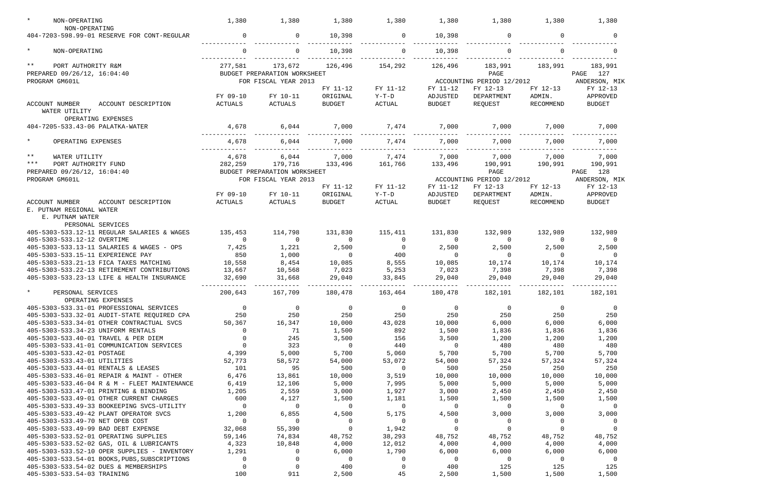| NON-OPERATING<br>NON-OPERATING                | 1,380          | 1,380                        | 1,380         | 1,380                   | 1,380          | 1,380                     | 1,380          | 1,380          |
|-----------------------------------------------|----------------|------------------------------|---------------|-------------------------|----------------|---------------------------|----------------|----------------|
| 404-7203-598.99-01 RESERVE FOR CONT-REGULAR   | 0              | $\overline{0}$               | 10,398        | $\overline{0}$          | 10,398         | $\mathbf 0$               | 0              | $\Omega$       |
| $\star$<br>NON-OPERATING                      | $\Omega$       |                              | 10,398        |                         | 10,398         |                           |                |                |
| $\star\star$<br>PORT AUTHORITY R&M            | 277,581        | 173,672                      | 126,496       | 154,292                 | 126,496        | 183,991                   | 183,991        | 183,991        |
| PREPARED 09/26/12, 16:04:40                   |                | BUDGET PREPARATION WORKSHEET |               |                         |                | PAGE                      |                | 127<br>PAGE    |
| PROGRAM GM601L                                |                | FOR FISCAL YEAR 2013         |               |                         |                | ACCOUNTING PERIOD 12/2012 |                | ANDERSON, MIK  |
|                                               |                |                              | FY 11-12      | FY 11-12                | FY 11-12       | FY 12-13                  | FY 12-13       | FY 12-13       |
|                                               | FY 09-10       | FY 10-11                     | ORIGINAL      | $Y-T-D$                 | ADJUSTED       | DEPARTMENT                | ADMIN.         | APPROVED       |
| <b>ACCOUNT NUMBER</b><br>ACCOUNT DESCRIPTION  | <b>ACTUALS</b> | ACTUALS                      | <b>BUDGET</b> | <b>ACTUAL</b>           | <b>BUDGET</b>  | REQUEST                   | RECOMMEND      | <b>BUDGET</b>  |
| WATER UTILITY<br>OPERATING EXPENSES           |                |                              |               |                         |                |                           |                |                |
| 404-7205-533.43-06 PALATKA-WATER              | 4,678          | 6,044                        | 7,000         | 7,474                   | 7,000          | 7,000                     | 7,000          | 7,000          |
|                                               |                |                              |               |                         |                |                           |                |                |
| $\star$<br>OPERATING EXPENSES                 | 4,678          | 6,044                        | 7,000         | 7,474                   | 7,000          | 7,000                     | 7,000          | 7,000          |
| $\star\star$<br>WATER UTILITY                 | 4,678          | 6,044                        | 7,000         | 7,474                   | 7,000          | 7,000                     | 7,000          | 7,000          |
| $***$<br>PORT AUTHORITY FUND                  | 282,259        | 179,716                      | 133,496       | 161,766                 | 133,496        | 190,991                   | 190,991        | 190,991        |
| PREPARED 09/26/12, 16:04:40                   |                | BUDGET PREPARATION WORKSHEET |               |                         |                | PAGE                      |                | 128<br>PAGE    |
| PROGRAM GM601L                                |                | FOR FISCAL YEAR 2013         |               |                         |                | ACCOUNTING PERIOD 12/2012 |                | ANDERSON, MIK  |
|                                               |                |                              | FY 11-12      | FY 11-12                | FY 11-12       | FY 12-13                  | FY 12-13       | FY 12-13       |
|                                               | FY 09-10       | FY 10-11                     | ORIGINAL      | $Y-T-D$                 | ADJUSTED       | DEPARTMENT                | ADMIN.         | APPROVED       |
| <b>ACCOUNT NUMBER</b><br>ACCOUNT DESCRIPTION  | ACTUALS        | ACTUALS                      | <b>BUDGET</b> | $\operatorname{ACTUAL}$ | <b>BUDGET</b>  | REQUEST                   | RECOMMEND      | <b>BUDGET</b>  |
| E. PUTNAM REGIONAL WATER                      |                |                              |               |                         |                |                           |                |                |
| E. PUTNAM WATER                               |                |                              |               |                         |                |                           |                |                |
| PERSONAL SERVICES                             |                |                              |               |                         |                |                           |                |                |
| 405-5303-533.12-11 REGULAR SALARIES & WAGES   | 135,453        | 114,798                      | 131,830       | 115,411                 | 131,830        | 132,989                   | 132,989        | 132,989        |
| 405-5303-533.12-12 OVERTIME                   | $\mathbf 0$    | 0                            | 0             | $\overline{0}$          | $\overline{0}$ | 0                         | $\Omega$       | 0              |
| 405-5303-533.13-11 SALARIES & WAGES - OPS     | 7,425          | 1,221                        | 2,500         | $\overline{0}$          | 2,500          | 2,500                     | 2,500          | 2,500          |
| 405-5303-533.15-11 EXPERIENCE PAY             | 850            | 1,000                        | 0             | 400                     |                | $\mathbf 0$               | $\Omega$       | $\Omega$       |
| 405-5303-533.21-13 FICA TAXES MATCHING        | 10,558         | 8,454                        | 10,085        | 8,555                   | 10,085         | 10,174                    | 10,174         | 10,174         |
| 405-5303-533.22-13 RETIREMENT CONTRIBUTIONS   | 13,667         | 10,568                       | 7,023         | 5,253                   | 7,023          | 7,398                     | 7,398          | 7,398          |
| 405-5303-533.23-13 LIFE & HEALTH INSURANCE    | 32,690         | 31,668                       | 29,040        | 33,845                  | 29,040         | 29,040                    | 29,040         | 29,040         |
|                                               |                |                              |               |                         |                |                           |                |                |
| $\star$<br>PERSONAL SERVICES                  | 200,643        | 167,709                      | 180,478       | 163,464                 | 180,478        | 182,101                   | 182,101        | 182,101        |
| OPERATING EXPENSES                            |                |                              |               |                         |                |                           |                |                |
| 405-5303-533.31-01 PROFESSIONAL SERVICES      | $\overline{0}$ | $\overline{0}$               | 0             | 0                       | $\overline{0}$ | $\overline{0}$            | 0              | $\overline{0}$ |
| 405-5303-533.32-01 AUDIT-STATE REQUIRED CPA   | 250            | 250                          | 250           | 250                     | 250            | 250                       | 250            | 250            |
| 405-5303-533.34-01 OTHER CONTRACTUAL SVCS     | 50,367         | 16,347                       | 10,000        | 43,028                  | 10,000         | 6,000                     | 6,000          | 6,000          |
| 405-5303-533.34-23 UNIFORM RENTALS            | 0              | 71                           | 1,500         | 892                     | 1,500          | 1,836                     | 1,836          | 1,836          |
| 405-5303-533.40-01 TRAVEL & PER DIEM          | $\Omega$       | 245                          | 3,500         | 156                     | 3,500          | 1,200                     | 1,200          | 1,200          |
| 405-5303-533.41-01 COMMUNICATION SERVICES     | $\Omega$       | 323                          | 0             | 440                     | $\overline{0}$ | 480                       | 480            | 480            |
| 405-5303-533.42-01 POSTAGE                    | 4,399          | 5,000                        | 5,700         | 5,060                   | 5,700          | 5,700                     | 5,700          | 5,700          |
| 405-5303-533.43-01 UTILITIES                  | 52,773         | 58,572                       | 54,000        | 53,072                  | 54,000         | 57,324                    | 57,324         | 57,324         |
| 405-5303-533.44-01 RENTALS & LEASES           | 101            | 95                           | 500           | $\overline{0}$          | 500            | 250                       | 250            | 250            |
| 405-5303-533.46-01 REPAIR & MAINT - OTHER     | 6,476          | 13,861                       | 10,000        | 3,519                   | 10,000         | 10,000                    | 10,000         | 10,000         |
| 405-5303-533.46-04 R & M - FLEET MAINTENANCE  | 6,419          | 12,106                       | 5,000         | 7,995                   | 5,000          | 5,000                     | 5,000          | 5,000          |
| 405-5303-533.47-01 PRINTING & BINDING         | 1,205          | 2,559                        | 3,000         | 1,927                   | 3,000          | 2,450                     | 2,450          | 2,450          |
| 405-5303-533.49-01 OTHER CURRENT CHARGES      | 600            | 4,127                        | 1,500         | 1,181                   | 1,500          | 1,500                     | 1,500          | 1,500          |
| 405-5303-533.49-33 BOOKEEPING SVCS-UTILITY    | $\mathbf 0$    | 0                            | 0             | $\overline{0}$          | $\overline{0}$ | 0                         | 0              | $\overline{0}$ |
| 405-5303-533.49-42 PLANT OPERATOR SVCS        | 1,200          | 6,855                        | 4,500         | 5,175                   | 4,500          | 3,000                     | 3,000          | 3,000          |
| 405-5303-533.49-70 NET OPEB COST              | $\mathbf{0}$   | 0                            | $\mathbf 0$   | $\overline{0}$          | $\overline{0}$ | $\overline{0}$            | $\overline{0}$ | 0              |
| 405-5303-533.49-99 BAD DEBT EXPENSE           | 32,068         | 55,390                       | 0             | 1,942                   | $\Omega$       | $\mathbf 0$               | $\Omega$       |                |
| 405-5303-533.52-01 OPERATING SUPPLIES         | 59,146         | 74,834                       | 48,752        | 38,293                  | 48,752         | 48,752                    | 48,752         | 48,752         |
| 405-5303-533.52-02 GAS, OIL & LUBRICANTS      | 4,323          | 10,848                       | 4,000         | 12,012                  | 4,000          | 4,000                     | 4,000          | 4,000          |
| 405-5303-533.52-10 OPER SUPPLIES - INVENTORY  | 1,291          | 0                            | 6,000         | 1,790                   | 6,000          | 6,000                     | 6,000          | 6,000          |
| 405-5303-533.54-01 BOOKS, PUBS, SUBSCRIPTIONS | 0              | 0                            | 0             | 0                       | $\overline{0}$ | $\mathbf 0$               | $\mathbf 0$    | - 0            |
| 405-5303-533.54-02 DUES & MEMBERSHIPS         | 0              | $\Omega$                     | 400           | 0                       | 400            | 125                       | 125            | 125            |
| 405-5303-533.54-03 TRAINING                   | 100            | 911                          | 2,500         | 45                      | 2,500          | 1,500                     | 1,500          | 1,500          |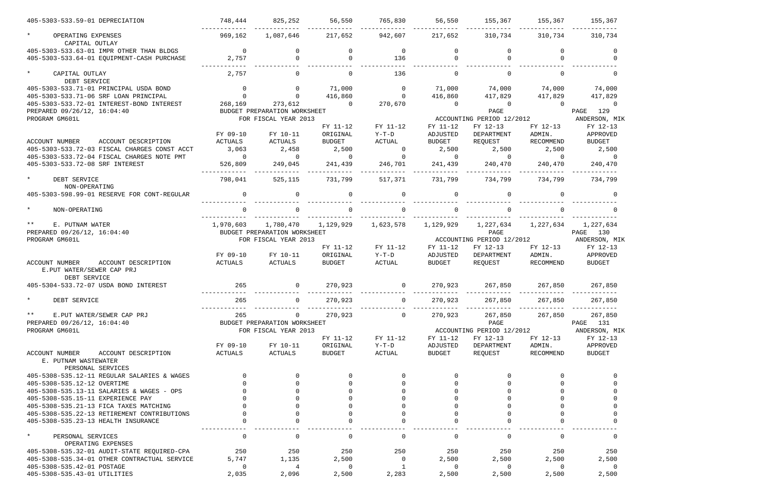| 405-5303-533.59-01 DEPRECIATION                                                | 748,444                          | 825,252                      | 56,550                  | 765,830                          | 56,550                  |                                              |                         | 155,367 155,367 155,367  |
|--------------------------------------------------------------------------------|----------------------------------|------------------------------|-------------------------|----------------------------------|-------------------------|----------------------------------------------|-------------------------|--------------------------|
| $\star$<br>OPERATING EXPENSES<br>CAPITAL OUTLAY                                | 969,162                          | 1,087,646                    | 217,652                 | 942,607 217,652                  |                         |                                              | 310,734 310,734         | 310,734                  |
| 405-5303-533.63-01 IMPR OTHER THAN BLDGS                                       | $\overline{0}$                   |                              |                         | $\overline{0}$                   | $\Omega$                |                                              |                         | $\Omega$                 |
| 405-5303-533.64-01 EQUIPMENT-CASH PURCHASE                                     | 2,757                            | $\Omega$                     | $\Omega$                | 136                              | $\Omega$                | $\Omega$                                     |                         | $\Omega$                 |
| $\star$<br>CAPITAL OUTLAY<br>DEBT SERVICE                                      | 2,757                            | $\Omega$                     | $\Omega$                | 136                              | $\Omega$                | $\Omega$                                     |                         | $\Omega$                 |
| 405-5303-533.71-01 PRINCIPAL USDA BOND                                         | $\begin{matrix}0\\0\end{matrix}$ | $\overline{0}$               | 71,000                  | $\overline{0}$                   |                         | $71,000$ $74,000$ $74,000$ $74,000$ $74,000$ |                         |                          |
| 405-5303-533.71-06 SRF LOAN PRINCIPAL                                          |                                  | $\overline{0}$               | 416,860                 | $\overline{0}$                   | 416,860                 | 417,829                                      | 417,829                 | 417,829                  |
| 405-5303-533.72-01 INTEREST-BOND INTEREST                                      |                                  | 268,169 273,612 0            |                         | 270,670                          | $\overline{0}$          | $\overline{0}$                               | $\overline{0}$          | $\overline{0}$           |
| PREPARED 09/26/12, 16:04:40                                                    |                                  | BUDGET PREPARATION WORKSHEET |                         |                                  |                         | PAGE                                         |                         | PAGE 129                 |
| PROGRAM GM601L                                                                 |                                  | FOR FISCAL YEAR 2013         |                         |                                  |                         | ACCOUNTING PERIOD 12/2012                    |                         | ANDERSON, MIK            |
|                                                                                |                                  |                              | FY 11-12                | FY 11-12                         | FY 11-12                | FY 12-13                                     | FY 12-13                | FY 12-13                 |
|                                                                                | FY 09-10                         | FY 10-11                     | ORIGINAL                | $Y-T-D$                          | ADJUSTED                | DEPARTMENT                                   | ADMIN.                  | APPROVED                 |
| ACCOUNT NUMBER<br>ACCOUNT DESCRIPTION                                          | ACTUALS                          | ACTUALS                      | <b>BUDGET</b>           | ACTUAL                           | <b>BUDGET</b>           | REQUEST                                      | RECOMMEND               | <b>BUDGET</b>            |
| 405-5303-533.72-03 FISCAL CHARGES CONST ACCT                                   | 3,063<br>$\overline{0}$          | 2,458<br>$\overline{0}$      | 2,500<br>$\overline{0}$ | $\overline{0}$<br>$\overline{0}$ | 2,500<br>$\overline{0}$ | 2,500<br>$\overline{0}$                      | 2,500<br>$\overline{0}$ | 2,500<br>$\overline{0}$  |
| 405-5303-533.72-04 FISCAL CHARGES NOTE PMT<br>405-5303-533.72-08 SRF INTEREST  | 526,809                          |                              |                         | 246,701                          | 241,439                 |                                              |                         |                          |
|                                                                                |                                  | 249,045                      | 241,439                 |                                  |                         | 240,470                                      | 240,470                 | 240,470<br>_____________ |
| $\star$<br>DEBT SERVICE<br>NON-OPERATING                                       | 798,041                          | 525,115                      | 731,799                 | 517,371                          | 731,799                 | 734,799                                      | 734,799                 | 734,799                  |
| 405-5303-598.99-01 RESERVE FOR CONT-REGULAR                                    | $\overline{0}$                   | $\Omega$                     | $\Omega$                | $\Omega$                         | $\Omega$                | $\Omega$                                     | $\Omega$                |                          |
| $\star$<br>NON-OPERATING                                                       |                                  | $\Omega$                     | $\Omega$                | $\Omega$                         | $\Omega$                | $\Omega$                                     |                         |                          |
| $***$<br>E. PUTNAM WATER                                                       |                                  |                              | 1,129,929               | 1,623,578                        | 1,129,929               | 1,227,634                                    | 1,227,634               | 1,227,634                |
| PREPARED 09/26/12, 16:04:40                                                    |                                  | BUDGET PREPARATION WORKSHEET |                         |                                  |                         | PAGE                                         |                         | PAGE 130                 |
| PROGRAM GM601L                                                                 |                                  | FOR FISCAL YEAR 2013         |                         |                                  |                         | ACCOUNTING PERIOD 12/2012                    |                         | ANDERSON, MIK            |
|                                                                                |                                  |                              | FY 11-12                | FY 11-12                         | FY 11-12                | FY 12-13                                     | FY 12-13                | FY 12-13                 |
|                                                                                | FY 09-10                         | FY 10-11                     | ORIGINAL                | $Y-T-D$                          | ADJUSTED                | DEPARTMENT                                   | ADMIN.                  | APPROVED                 |
| ACCOUNT NUMBER<br>ACCOUNT DESCRIPTION<br>E.PUT WATER/SEWER CAP PRJ             | ACTUALS                          | ACTUALS                      | BUDGET                  | ACTUAL                           | <b>BUDGET</b>           | REQUEST                                      | RECOMMEND               | <b>BUDGET</b>            |
| DEBT SERVICE<br>405-5304-533.72-07 USDA BOND INTEREST                          | 265                              | $\overline{0}$               | 270,923                 | $\overline{0}$                   |                         | 270,923 267,850 267,850 267,850              |                         |                          |
|                                                                                |                                  |                              |                         |                                  |                         |                                              |                         |                          |
| * DEBT SERVICE                                                                 | 265                              |                              | 270,923                 |                                  | 270,923                 | 267,850                                      | 267,850                 | 267,850                  |
| $\star \star$<br>E.PUT WATER/SEWER CAP PRJ                                     | 265                              | 0                            | 270,923                 | $\mathbf 0$                      | 270,923                 | 267,850                                      | 267,850                 | 267,850                  |
| PREPARED 09/26/12, 16:04:40                                                    |                                  | BUDGET PREPARATION WORKSHEET |                         |                                  |                         | PAGE                                         |                         | PAGE<br>131              |
| PROGRAM GM601L                                                                 |                                  | FOR FISCAL YEAR 2013         |                         |                                  |                         | ACCOUNTING PERIOD 12/2012                    |                         | ANDERSON, MIK            |
|                                                                                |                                  |                              | FY 11-12                | FY 11-12                         | FY 11-12                | FY 12-13                                     | FY 12-13                | FY 12-13                 |
|                                                                                | FY 09-10                         | FY 10-11                     | ORIGINAL                | $Y-T-D$                          | ADJUSTED                | DEPARTMENT                                   | ADMIN.                  | APPROVED                 |
| ACCOUNT NUMBER<br>ACCOUNT DESCRIPTION<br>E. PUTNAM WASTEWATER                  | ACTUALS                          | ACTUALS                      | <b>BUDGET</b>           | ACTUAL                           | <b>BUDGET</b>           | REQUEST                                      | RECOMMEND               | <b>BUDGET</b>            |
| PERSONAL SERVICES                                                              |                                  |                              |                         |                                  |                         |                                              |                         |                          |
| 405-5308-535.12-11 REGULAR SALARIES & WAGES                                    |                                  |                              |                         |                                  |                         |                                              |                         |                          |
| 405-5308-535.12-12 OVERTIME                                                    |                                  |                              |                         |                                  |                         |                                              |                         |                          |
| 405-5308-535.13-11 SALARIES & WAGES - OPS<br>405-5308-535.15-11 EXPERIENCE PAY |                                  |                              |                         |                                  |                         |                                              |                         |                          |
| 405-5308-535.21-13 FICA TAXES MATCHING                                         |                                  |                              |                         |                                  |                         |                                              |                         |                          |
| 405-5308-535.22-13 RETIREMENT CONTRIBUTIONS                                    |                                  |                              |                         |                                  |                         |                                              |                         |                          |
| 405-5308-535.23-13 HEALTH INSURANCE                                            |                                  |                              |                         |                                  |                         |                                              |                         |                          |
| $\star$                                                                        |                                  |                              |                         |                                  |                         |                                              |                         |                          |
| PERSONAL SERVICES<br>OPERATING EXPENSES                                        | 0                                | 0                            |                         | 0                                | 0                       | 0                                            | 0                       | 0                        |
| 405-5308-535.32-01 AUDIT-STATE REQUIRED-CPA                                    | 250                              | 250                          | 250                     | 250                              | 250                     | 250                                          | 250                     | 250                      |
| 405-5308-535.34-01 OTHER CONTRACTUAL SERVICE                                   | 5,747                            | 1,135                        | 2,500                   | $\overline{0}$                   | 2,500                   | 2,500                                        | 2,500                   | 2,500                    |
| 405-5308-535.42-01 POSTAGE                                                     | 0                                | 4                            | 0                       | 1                                | $\overline{0}$          | 0                                            | $\overline{0}$          | 0                        |
| 405-5308-535.43-01 UTILITIES                                                   | 2,035                            | 2,096                        | 2,500                   | 2,283                            | 2,500                   | 2,500                                        | 2,500                   | 2,500                    |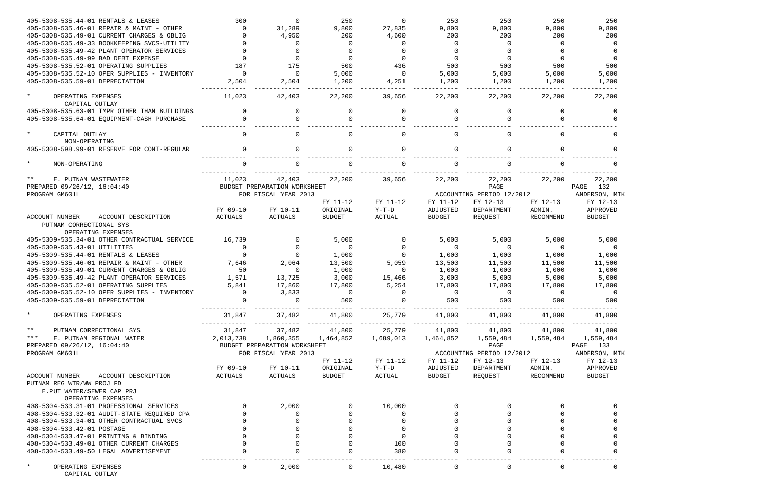| 405-5308-535.44-01 RENTALS & LEASES                                | 300       |                              | 250           | $\Omega$       | 250           | 250                       | 250       | 250                 |
|--------------------------------------------------------------------|-----------|------------------------------|---------------|----------------|---------------|---------------------------|-----------|---------------------|
| 405-5308-535.46-01 REPAIR & MAINT - OTHER                          |           | 31,289                       | 9,800         | 27,835         | 9,800         | 9,800                     | 9,800     | 9,800               |
| 405-5308-535.49-01 CURRENT CHARGES & OBLIG                         |           | 4,950                        | 200           | 4,600          | 200           | 200                       | 200       | 200                 |
| 405-5308-535.49-33 BOOKKEEPING SVCS-UTILITY                        |           | <sup>0</sup>                 |               | $\Omega$       |               | $\Omega$                  | $\Omega$  | - 0                 |
| 405-5308-535.49-42 PLANT OPERATOR SERVICES                         |           |                              |               | $\Omega$       |               |                           |           |                     |
| 405-5308-535.49-99 BAD DEBT EXPENSE                                |           |                              |               | $\Omega$       |               |                           | $\Omega$  | $\Omega$            |
| 405-5308-535.52-01 OPERATING SUPPLIES                              | 187       | 175                          | 500           | 436            | 500           | 500                       | 500       | 500                 |
| 405-5308-535.52-10 OPER SUPPLIES - INVENTORY                       | $\Omega$  | $\Omega$                     | 5,000         | $\Omega$       | 5,000         | 5,000                     | 5,000     | 5,000               |
| 405-5308-535.59-01 DEPRECIATION                                    | 2,504     | 2,504                        | 1,200         | 4,251          | 1,200         | 1,200                     | 1,200     | 1,200               |
|                                                                    |           |                              |               |                |               |                           |           |                     |
| $\star$<br>OPERATING EXPENSES<br>CAPITAL OUTLAY                    | 11,023    | 42,403                       | 22,200        | 39,656         | 22,200        | 22,200                    | 22,200    | 22,200              |
|                                                                    |           | 0                            |               | $\Omega$       |               | $\Omega$                  | 0         |                     |
| 405-5308-535.63-01 IMPR OTHER THAN BUILDINGS                       | $\Omega$  |                              |               |                | $\Omega$      |                           |           | $\Omega$            |
| 405-5308-535.64-01 EQUIPMENT-CASH PURCHASE                         |           |                              |               | $\Omega$       |               | $\Omega$                  |           |                     |
| $\star$<br>CAPITAL OUTLAY<br>NON-OPERATING                         | $\Omega$  |                              |               | $\Omega$       |               | $\Omega$                  |           | $\Omega$            |
| 405-5308-598.99-01 RESERVE FOR CONT-REGULAR                        |           |                              |               | $\Omega$       |               |                           |           |                     |
|                                                                    |           |                              |               |                |               |                           |           |                     |
| $\star$<br>NON-OPERATING                                           |           |                              |               |                |               |                           |           |                     |
| $***$<br>E. PUTNAM WASTEWATER                                      | 11,023    | 42,403                       | 22,200        | 39,656         | 22,200        | 22,200                    | 22,200    | 22,200              |
| PREPARED 09/26/12, 16:04:40                                        |           | BUDGET PREPARATION WORKSHEET |               |                |               | PAGE                      |           | 132<br>PAGE         |
| PROGRAM GM601L                                                     |           | FOR FISCAL YEAR 2013         |               |                |               | ACCOUNTING PERIOD 12/2012 |           | ANDERSON, MIK       |
|                                                                    |           |                              | FY 11-12      | FY 11-12       | FY 11-12      | FY 12-13                  | FY 12-13  | FY 12-13            |
|                                                                    | FY 09-10  | FY 10-11                     | ORIGINAL      | $Y-T-D$        | ADJUSTED      | DEPARTMENT                | ADMIN.    | APPROVED            |
| ACCOUNT DESCRIPTION<br>ACCOUNT NUMBER                              | ACTUALS   | ACTUALS                      | <b>BUDGET</b> | ACTUAL         | <b>BUDGET</b> | REQUEST                   | RECOMMEND | <b>BUDGET</b>       |
| PUTNAM CORRECTIONAL SYS                                            |           |                              |               |                |               |                           |           |                     |
| OPERATING EXPENSES                                                 |           |                              |               |                |               |                           |           |                     |
| 405-5309-535.34-01 OTHER CONTRACTUAL SERVICE                       | 16,739    |                              | 5,000         | 0              | 5,000         | 5,000                     | 5,000     | 5,000               |
| 405-5309-535.43-01 UTILITIES                                       | $\Omega$  |                              | $\Omega$      | $\Omega$       | $\Omega$      | $\overline{0}$            | $\Omega$  | $\overline{0}$      |
|                                                                    |           |                              |               |                |               |                           |           |                     |
| 405-5309-535.44-01 RENTALS & LEASES                                | $\Omega$  |                              | 1,000         | $\Omega$       | 1,000         | 1,000                     | 1,000     | 1,000               |
| 405-5309-535.46-01 REPAIR & MAINT - OTHER                          | 7,646     | 2,064                        | 13,500        | 5,059          | 13,500        | 11,500                    | 11,500    | 11,500              |
| 405-5309-535.49-01 CURRENT CHARGES & OBLIG                         | 50        | <sup>0</sup>                 | 1,000         | $\Omega$       | 1,000         | 1,000                     | 1,000     | 1,000               |
| 405-5309-535.49-42 PLANT OPERATOR SERVICES                         | 1,571     | 13,725                       | 3,000         | 15,466         | 3,000         | 5,000                     | 5,000     | 5,000               |
| 405-5309-535.52-01 OPERATING SUPPLIES                              | 5,841     | 17,860                       | 17,800        | 5,254          | 17,800        | 17,800                    | 17,800    | 17,800              |
| 405-5309-535.52-10 OPER SUPPLIES - INVENTORY                       |           | 3,833                        |               | $\Omega$       | $\Omega$      | 0                         | $\Omega$  | $\Omega$            |
| 405-5309-535.59-01 DEPRECIATION                                    |           | $\overline{0}$               | 500           |                | 500           | 500                       | 500       | 500                 |
| $\star$<br>OPERATING EXPENSES                                      | 31,847    | 37,482                       | 41,800        | 25,779         | 41,800        | 41,800                    | 41,800    | 41,800              |
|                                                                    |           |                              |               | ____________   |               |                           |           |                     |
| $\star \star$<br>PUTNAM CORRECTIONAL SYS                           | 31,847    | 37,482                       | 41,800        | 25,779         | 41,800        | 41,800                    | 41,800    | 41,800              |
| $***$<br>E. PUTNAM REGIONAL WATER                                  | 2,013,738 | 1,860,355 1,464,852          |               | 1,689,013      | 1,464,852     | 1,559,484                 |           | 1,559,484 1,559,484 |
| PREPARED 09/26/12, 16:04:40                                        |           | BUDGET PREPARATION WORKSHEET |               |                |               | PAGE                      |           | PAGE 133            |
| PROGRAM GM601L                                                     |           | FOR FISCAL YEAR 2013         |               |                |               | ACCOUNTING PERIOD 12/2012 |           | ANDERSON, MIK       |
|                                                                    |           |                              | FY 11-12      | FY 11-12       | FY 11-12      | FY 12-13                  | FY 12-13  | FY 12-13            |
|                                                                    | FY 09-10  | FY 10-11                     | ORIGINAL      | $Y-T-D$        | ADJUSTED      | DEPARTMENT                | ADMIN.    | APPROVED            |
| ACCOUNT DESCRIPTION<br>ACCOUNT NUMBER<br>PUTNAM REG WTR/WW PROJ FD | ACTUALS   | ACTUALS                      | BUDGET        | ACTUAL         | BUDGET        | REQUEST                   | RECOMMEND | BUDGET              |
| E.PUT WATER/SEWER CAP PRJ                                          |           |                              |               |                |               |                           |           |                     |
| OPERATING EXPENSES                                                 |           |                              |               |                |               |                           |           |                     |
| 408-5304-533.31-01 PROFESSIONAL SERVICES                           |           | 2,000                        |               | 10,000         |               |                           |           |                     |
|                                                                    |           | $\Omega$                     |               | 0              |               |                           |           |                     |
| 408-5304-533.32-01 AUDIT-STATE REQUIRED CPA                        |           |                              |               |                |               |                           |           |                     |
| 408-5304-533.34-01 OTHER CONTRACTUAL SVCS                          |           | $\Omega$                     |               | $\mathbf 0$    |               |                           |           |                     |
| 408-5304-533.42-01 POSTAGE                                         |           |                              |               | $\mathbf 0$    |               |                           |           |                     |
| 408-5304-533.47-01 PRINTING & BINDING                              |           |                              |               | $\overline{0}$ |               |                           |           | 0                   |
| 408-5304-533.49-01 OTHER CURRENT CHARGES                           |           |                              |               | 100            |               |                           |           | $\Omega$            |
| 408-5304-533.49-50 LEGAL ADVERTISEMENT                             |           |                              |               | 380            |               |                           |           |                     |
| $\star$<br>OPERATING EXPENSES                                      | 0         | 2,000                        | 0             | 10,480         | $\mathbf{0}$  | 0                         | 0         | 0                   |
| CAPITAL OUTLAY                                                     |           |                              |               |                |               |                           |           |                     |
|                                                                    |           |                              |               |                |               |                           |           |                     |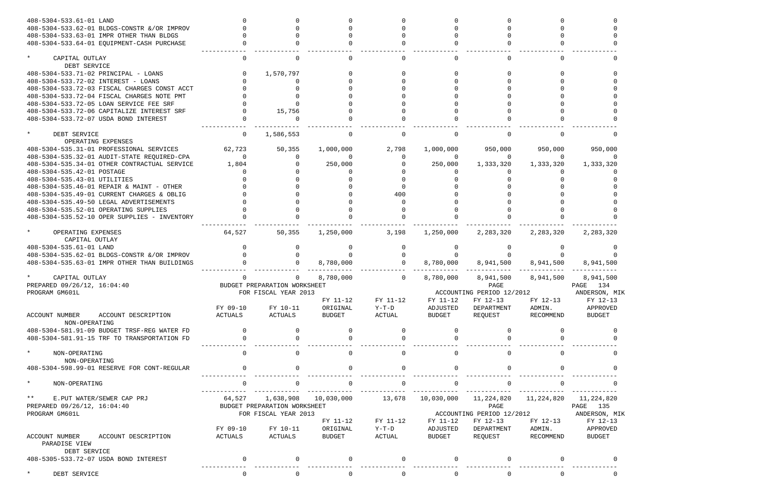| 408-5304-533.61-01 LAND                      |                |                              |                       |                |                |                           |              |               |
|----------------------------------------------|----------------|------------------------------|-----------------------|----------------|----------------|---------------------------|--------------|---------------|
| 408-5304-533.62-01 BLDGS-CONSTR & OR IMPROV  |                |                              |                       |                |                |                           |              |               |
| 408-5304-533.63-01 IMPR OTHER THAN BLDGS     |                |                              |                       |                |                |                           |              |               |
| 408-5304-533.64-01 EQUIPMENT-CASH PURCHASE   |                |                              |                       |                |                |                           |              |               |
|                                              |                |                              |                       |                |                |                           |              |               |
| $\star$<br>CAPITAL OUTLAY                    | 0              |                              |                       | $\Omega$       |                |                           |              |               |
| DEBT SERVICE                                 |                |                              |                       |                |                |                           |              |               |
| 408-5304-533.71-02 PRINCIPAL - LOANS         |                | 1,570,797                    |                       |                |                |                           |              |               |
| 408-5304-533.72-02 INTEREST - LOANS          |                |                              |                       |                |                |                           |              |               |
| 408-5304-533.72-03 FISCAL CHARGES CONST ACCT |                |                              |                       |                |                |                           |              |               |
| 408-5304-533.72-04 FISCAL CHARGES NOTE PMT   |                |                              |                       |                |                |                           |              |               |
| 408-5304-533.72-05 LOAN SERVICE FEE SRF      |                |                              |                       |                |                |                           |              |               |
| 408-5304-533.72-06 CAPITALIZE INTEREST SRF   |                | 15,756                       |                       |                |                |                           |              |               |
| 408-5304-533.72-07 USDA BOND INTEREST        |                |                              |                       |                |                |                           |              |               |
| $\star$<br>DEBT SERVICE                      | $\mathbf 0$    | 1,586,553                    | $\Omega$              | 0              |                |                           |              |               |
| OPERATING EXPENSES                           |                |                              |                       |                |                |                           |              |               |
| 408-5304-535.31-01 PROFESSIONAL SERVICES     | 62,723         | 50,355                       | 1,000,000             | 2,798          | 1,000,000      | 950,000                   | 950,000      | 950,000       |
| 408-5304-535.32-01 AUDIT-STATE REQUIRED-CPA  | $\Omega$       |                              | $\Omega$              |                |                | $\Omega$                  | $\Omega$     |               |
| 408-5304-535.34-01 OTHER CONTRACTUAL SERVICE | 1,804          |                              | 250,000               |                | 250,000        | 1,333,320                 | 1,333,320    | 1,333,320     |
| 408-5304-535.42-01 POSTAGE                   |                |                              |                       |                |                |                           |              |               |
| 408-5304-535.43-01 UTILITIES                 |                |                              |                       |                |                |                           |              |               |
| 408-5304-535.46-01 REPAIR & MAINT - OTHER    |                |                              |                       |                |                |                           |              |               |
|                                              |                |                              |                       | 400            |                |                           |              |               |
| 408-5304-535.49-01 CURRENT CHARGES & OBLIG   |                |                              |                       |                |                |                           |              |               |
| 408-5304-535.49-50 LEGAL ADVERTISEMENTS      |                |                              |                       |                |                |                           |              |               |
| 408-5304-535.52-01 OPERATING SUPPLIES        |                |                              |                       |                |                |                           |              |               |
| 408-5304-535.52-10 OPER SUPPLIES - INVENTORY |                |                              |                       |                |                |                           |              |               |
| $\star$<br>OPERATING EXPENSES                | 64,527         | 50,355                       | 1,250,000             | 3,198          | 1,250,000      | 2,283,320                 | 2,283,320    | 2,283,320     |
| CAPITAL OUTLAY                               |                |                              |                       |                |                |                           |              |               |
| 408-5304-535.61-01 LAND                      |                |                              |                       | $\Omega$       |                |                           |              |               |
| 408-5304-535.62-01 BLDGS-CONSTR &/OR IMPROV  |                |                              |                       | $\Omega$       |                |                           |              |               |
| 408-5304-535.63-01 IMPR OTHER THAN BUILDINGS |                |                              | 8,780,000             | $\Omega$       | 8,780,000      | 8,941,500                 | 8,941,500    | 8,941,500     |
| CAPITAL OUTLAY                               | 0              |                              | 8,780,000             | $\mathsf{O}$   | 8,780,000      | 8,941,500                 | 8,941,500    | 8,941,500     |
| PREPARED 09/26/12, 16:04:40                  |                | BUDGET PREPARATION WORKSHEET |                       |                |                | PAGE                      |              | PAGE 134      |
| PROGRAM GM601L                               |                | FOR FISCAL YEAR 2013         |                       |                |                | ACCOUNTING PERIOD 12/2012 |              | ANDERSON, MIK |
|                                              |                |                              | FY 11-12              | FY 11-12       | FY 11-12       | FY 12-13                  | FY 12-13     | FY 12-13      |
|                                              | FY 09-10       | FY 10-11                     | ORIGINAL              | $Y-T-D$        | ADJUSTED       | DEPARTMENT                | ADMIN.       | APPROVED      |
| ACCOUNT NUMBER<br>ACCOUNT DESCRIPTION        | ACTUALS        | ACTUALS                      | <b>BUDGET</b>         | ACTUAL         | <b>BUDGET</b>  | REQUEST                   | RECOMMEND    | <b>BUDGET</b> |
| NON-OPERATING                                |                |                              |                       |                |                |                           |              |               |
| 408-5304-581.91-09 BUDGET TRSF-REG WATER FD  | $\Omega$       | 0                            | $\Omega$              | $\Omega$       | 0              | $\Omega$                  |              |               |
| 408-5304-581.91-15 TRF TO TRANSPORTATION FD  | $\mathbf 0$    |                              |                       | $\Omega$       |                |                           |              |               |
|                                              |                |                              |                       |                |                |                           |              |               |
| $\star$<br>NON-OPERATING                     | $\mathbf 0$    | $\Omega$                     | $\mathbf 0$           | $\mathbf 0$    | $\Omega$       | $\mathbf 0$               |              |               |
| NON-OPERATING                                |                |                              |                       |                |                |                           |              |               |
| 408-5304-598.99-01 RESERVE FOR CONT-REGULAR  | $\overline{0}$ | $\Omega$                     | 0                     | $\mathbf 0$    | $\Omega$       | $\mathbf 0$               |              |               |
| $\star$<br>NON-OPERATING                     | $\mathsf{O}$   | $\mathbf 0$                  | $\mathsf{O}$          | $\mathsf{O}$   | $\Omega$       | $\mathbf 0$               | $\Omega$     |               |
|                                              |                |                              |                       |                |                |                           |              |               |
| $\star$ $\star$<br>E.PUT WATER/SEWER CAP PRJ | 64,527         |                              | 1,638,908  10,030,000 | 13,678         | 10,030,000     | 11,224,820                | 11,224,820   | 11,224,820    |
| PREPARED 09/26/12, 16:04:40                  |                | BUDGET PREPARATION WORKSHEET |                       |                |                | PAGE                      |              | PAGE 135      |
| PROGRAM GM601L                               |                | FOR FISCAL YEAR 2013         |                       |                |                | ACCOUNTING PERIOD 12/2012 |              | ANDERSON, MIK |
|                                              |                |                              | FY 11-12              | FY 11-12       | FY 11-12       | FY 12-13                  | FY 12-13     | FY 12-13      |
|                                              | FY 09-10       | FY 10-11                     | ORIGINAL              | $Y-T-D$        | ADJUSTED       | DEPARTMENT                | ADMIN.       | APPROVED      |
| ACCOUNT NUMBER<br>ACCOUNT DESCRIPTION        | ACTUALS        | ACTUALS                      | <b>BUDGET</b>         | ACTUAL         | BUDGET         | REQUEST                   | RECOMMEND    | <b>BUDGET</b> |
| PARADISE VIEW                                |                |                              |                       |                |                |                           |              |               |
| DEBT SERVICE                                 |                |                              |                       |                |                |                           |              |               |
| 408-5305-533.72-07 USDA BOND INTEREST        | $\overline{0}$ | $\Omega$                     | 0                     | $\mathbf 0$    | $\Omega$       | $\overline{0}$            |              |               |
|                                              |                |                              |                       |                |                |                           |              |               |
| DEBT SERVICE                                 | $\mathsf{O}$   | $\overline{0}$               | $\overline{0}$        | $\overline{0}$ | $\overline{0}$ | $\overline{0}$            | $\mathsf{O}$ | $\mathbf 0$   |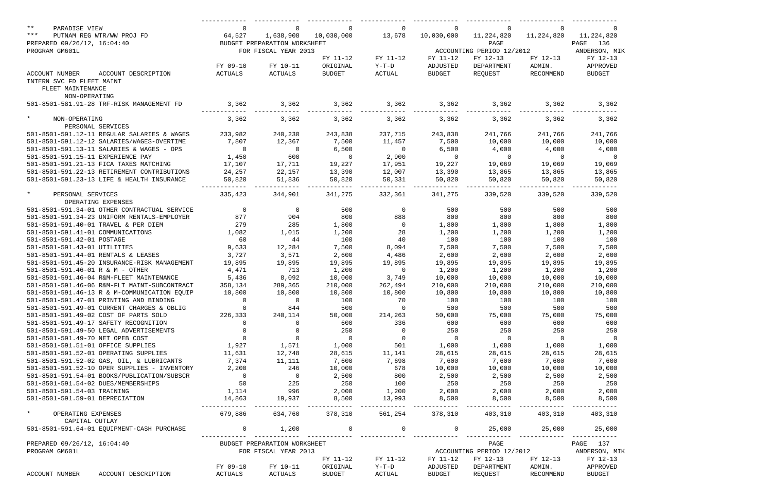| $***$<br>PARADISE VIEW                       | 0                        | $\mathbf 0$                         | $\mathbf 0$          | $\mathbf 0$         | $\Omega$                 | 0                                     | 0              |                           |
|----------------------------------------------|--------------------------|-------------------------------------|----------------------|---------------------|--------------------------|---------------------------------------|----------------|---------------------------|
| $***$<br>PUTNAM REG WTR/WW PROJ FD           | 64,527                   | 1,638,908                           | 10,030,000           | 13,678              | 10,030,000               | 11,224,820                            | 11,224,820     | 11,224,820                |
| PREPARED 09/26/12, 16:04:40                  |                          | BUDGET PREPARATION WORKSHEET        |                      |                     |                          | PAGE                                  |                | 136<br>PAGE               |
| PROGRAM GM601L                               |                          | FOR FISCAL YEAR 2013                |                      | FY 11-12            | FY 11-12                 | ACCOUNTING PERIOD 12/2012<br>FY 12-13 | FY 12-13       | ANDERSON, MIK<br>FY 12-13 |
|                                              | FY 09-10                 | FY 10-11                            | FY 11-12<br>ORIGINAL | $Y-T-D$             | ADJUSTED                 | DEPARTMENT                            | ADMIN.         | APPROVED                  |
| ACCOUNT NUMBER<br>ACCOUNT DESCRIPTION        | ACTUALS                  | ACTUALS                             | <b>BUDGET</b>        | ACTUAL              | <b>BUDGET</b>            | REQUEST                               | RECOMMEND      | <b>BUDGET</b>             |
| INTERN SVC FD FLEET MAINT                    |                          |                                     |                      |                     |                          |                                       |                |                           |
| FLEET MAINTENANCE                            |                          |                                     |                      |                     |                          |                                       |                |                           |
| NON-OPERATING                                |                          |                                     |                      |                     |                          |                                       |                |                           |
| 501-8501-581.91-28 TRF-RISK MANAGEMENT FD    | 3,362                    | 3,362                               | 3,362                | 3,362               | 3,362                    | 3,362                                 | 3,362          | 3,362                     |
|                                              |                          |                                     |                      |                     |                          |                                       |                |                           |
| $\star$<br>NON-OPERATING                     | 3,362                    | 3,362                               | 3,362                | 3,362               | 3,362                    | 3,362                                 | 3,362          | 3,362                     |
| PERSONAL SERVICES                            |                          |                                     |                      |                     |                          |                                       |                |                           |
| 501-8501-591.12-11 REGULAR SALARIES & WAGES  | 233,982                  | 240,230                             | 243,838              | 237,715             | 243,838                  | 241,766                               | 241,766        | 241,766                   |
| 501-8501-591.12-12 SALARIES/WAGES-OVERTIME   | 7,807                    | 12,367                              | 7,500                | 11,457              | 7,500                    | 10,000                                | 10,000         | 10,000                    |
| 501-8501-591.13-11 SALARIES & WAGES - OPS    | $\overline{0}$           | $\overline{0}$                      | 6,500                | $\overline{0}$      | 6,500                    | 4,000                                 | 4,000          | 4,000                     |
| 501-8501-591.15-11 EXPERIENCE PAY            | 1,450                    | 600                                 | $\overline{0}$       | 2,900               | $\overline{0}$           | $\overline{0}$                        | $\overline{0}$ | $\overline{0}$            |
| 501-8501-591.21-13 FICA TAXES MATCHING       | 17,107                   | 17,711                              | 19,227               | 17,951              | 19,227                   | 19,069                                | 19,069         | 19,069                    |
| 501-8501-591.22-13 RETIREMENT CONTRIBUTIONS  | 24,257                   | 22,157                              | 13,390               | 12,007              | 13,390                   | 13,865                                | 13,865         | 13,865                    |
| 501-8501-591.23-13 LIFE & HEALTH INSURANCE   | 50,820                   | 51,836                              | 50,820               | 50,331              | 50,820                   | 50,820                                | 50,820         | 50,820                    |
| $\star$<br>PERSONAL SERVICES                 | 335,423                  | 344,901                             | 341,275              | 332,361             | 341,275                  | 339,520                               | 339,520        | 339,520                   |
| OPERATING EXPENSES                           |                          |                                     |                      |                     |                          |                                       |                |                           |
| 501-8501-591.34-01 OTHER CONTRACTUAL SERVICE | $\overline{\phantom{0}}$ | $\overline{0}$                      | 500                  | $\overline{0}$      | 500                      | 500                                   | 500            | 500                       |
| 501-8501-591.34-23 UNIFORM RENTALS-EMPLOYER  | 877                      | 904                                 | 800                  | 888                 | 800                      | 800                                   | 800            | 800                       |
| 501-8501-591.40-01 TRAVEL & PER DIEM         | 279                      | 285                                 | 1,800                | $\overline{0}$      | 1,800                    | 1,800                                 | 1,800          | 1,800                     |
| 501-8501-591.41-01 COMMUNICATIONS            | 1,082                    | 1,015                               | 1,200                | 28                  | 1,200                    | 1,200                                 | 1,200          | 1,200                     |
| 501-8501-591.42-01 POSTAGE                   | 60                       | 44                                  | 100                  | 40                  | 100                      | 100                                   | 100            | 100                       |
| 501-8501-591.43-01 UTILITIES                 | 9,633                    | 12,284                              | 7,500                | 8,094               | 7,500                    | 7,500                                 | 7,500          | 7,500                     |
| 501-8501-591.44-01 RENTALS & LEASES          | 3,727                    | 3,571                               | 2,600                | 4,486               | 2,600                    | 2,600                                 | 2,600          | 2,600                     |
| 501-8501-591.45-20 INSURANCE-RISK MANAGEMENT | 19,895                   | 19,895                              | 19,895               | 19,895              | 19,895                   | 19,895                                | 19,895         | 19,895                    |
| 501-8501-591.46-01 R & M - OTHER             | 4,471                    | 713                                 | 1,200                | $\overline{0}$      | 1,200                    | 1,200                                 | 1,200          | 1,200                     |
| 501-8501-591.46-04 R&M-FLEET MAINTENANCE     | 5,436                    | 8,092                               | 10,000               | 3,749               | 10,000                   | 10,000                                | 10,000         | 10,000                    |
| 501-8501-591.46-06 R&M-FLT MAINT-SUBCONTRACT | 358,134                  | 289,365                             | 210,000              | 262,494             | 210,000                  | 210,000                               | 210,000        | 210,000                   |
| 501-8501-591.46-13 R & M-COMMUNICATION EQUIP | 10,800                   | 10,800                              | 10,800               | 10,800              | 10,800                   | 10,800                                | 10,800         | 10,800                    |
| 501-8501-591.47-01 PRINTING AND BINDING      | $\overline{0}$           | $\overline{0}$                      | 100                  | 70                  | 100                      | 100                                   | 100            | 100                       |
| 501-8501-591.49-01 CURRENT CHARGES & OBLIG   | $\overline{0}$           | 844                                 | 500                  | $\overline{0}$      | 500                      | 500                                   | 500            | 500                       |
| 501-8501-591.49-02 COST OF PARTS SOLD        | 226,333                  | 240,114                             | 50,000               | 214,263             | 50,000                   | 75,000                                | 75,000         | 75,000                    |
| 501-8501-591.49-17 SAFETY RECOGNITION        | $\overline{0}$           | $\overline{0}$                      | 600                  | 336                 | 600                      | 600                                   | 600            | 600                       |
| 501-8501-591.49-50 LEGAL ADVERTISEMENTS      | $\overline{0}$           | $\overline{0}$                      | 250                  | $\overline{0}$      | 250                      | 250                                   | 250            | 250                       |
| 501-8501-591.49-70 NET OPEB COST             | $\overline{0}$           | $\overline{0}$                      | $\overline{0}$       | $\overline{0}$      | $\overline{\phantom{0}}$ | $\overline{0}$                        | $\overline{0}$ | $\overline{0}$            |
| 501-8501-591.51-01 OFFICE SUPPLIES           | 1,927                    | 1,571                               | 1,000                | 501                 | 1,000                    | 1,000                                 | 1,000          | 1,000                     |
| 501-8501-591.52-01 OPERATING SUPPLIES        | 11,631                   | 12,748                              | 28,615               | 11,141              | 28,615                   | 28,615                                | 28,615         | 28,615                    |
| 501-8501-591.52-02 GAS, OIL, & LUBRICANTS    | 7,374                    | 11,111                              | 7,600                | 7,698               | 7,600                    | 7,600                                 | 7,600          | 7,600                     |
| 501-8501-591.52-10 OPER SUPPLIES - INVENTORY | 2,200                    | 246                                 | 10,000               | 678                 | 10,000                   | 10,000                                | 10,000         | 10,000                    |
| 501-8501-591.54-01 BOOKS/PUBLICATION/SUBSCR  | $\overline{0}$           |                                     | 2,500                | 800                 | 2,500                    | 2,500                                 | 2,500          | 2,500                     |
| 501-8501-591.54-02 DUES/MEMBERSHIPS          | 50                       | $\begin{array}{c}0\\225\end{array}$ | 250                  | 100                 | 250                      | 250                                   | 250            | 250                       |
| 501-8501-591.54-03 TRAINING                  | 1,114                    | 996                                 | 2,000                | 1,200               | 2,000                    | 2,000                                 | 2,000          | 2,000                     |
| 501-8501-591.59-01 DEPRECIATION              | 14,863                   | 19,937                              | 8,500                | 13,993              | 8,500                    | 8,500                                 | 8,500          | 8,500                     |
| $\star$                                      | 679,886                  | 634,760                             | 378,310              | --------<br>561,254 | 378,310                  | 403,310                               | 403,310        | 403,310                   |
| OPERATING EXPENSES<br>CAPITAL OUTLAY         |                          |                                     |                      |                     |                          |                                       |                |                           |
| 501-8501-591.64-01 EQUIPMENT-CASH PURCHASE   | $\overline{0}$           | 1,200                               | $\mathbf 0$          | 0                   | 0                        | 25,000                                | 25,000         | 25,000                    |
|                                              |                          |                                     |                      |                     |                          |                                       |                |                           |
| PREPARED 09/26/12, 16:04:40                  |                          | BUDGET PREPARATION WORKSHEET        |                      |                     |                          | PAGE                                  |                | PAGE<br>137               |
| PROGRAM GM601L                               |                          | FOR FISCAL YEAR 2013                |                      |                     |                          | ACCOUNTING PERIOD 12/2012             |                | ANDERSON, MIK             |
|                                              |                          |                                     | FY 11-12             | FY 11-12            | FY 11-12                 | FY 12-13                              | FY 12-13       | FY 12-13                  |
|                                              | FY 09-10                 | FY 10-11                            | ORIGINAL             | $Y-T-D$             | ADJUSTED                 | DEPARTMENT                            | ADMIN.         | APPROVED                  |
| ACCOUNT NUMBER<br>ACCOUNT DESCRIPTION        | ACTUALS                  | ACTUALS                             | <b>BUDGET</b>        | ACTUAL              | <b>BUDGET</b>            | REQUEST                               | RECOMMEND      | <b>BUDGET</b>             |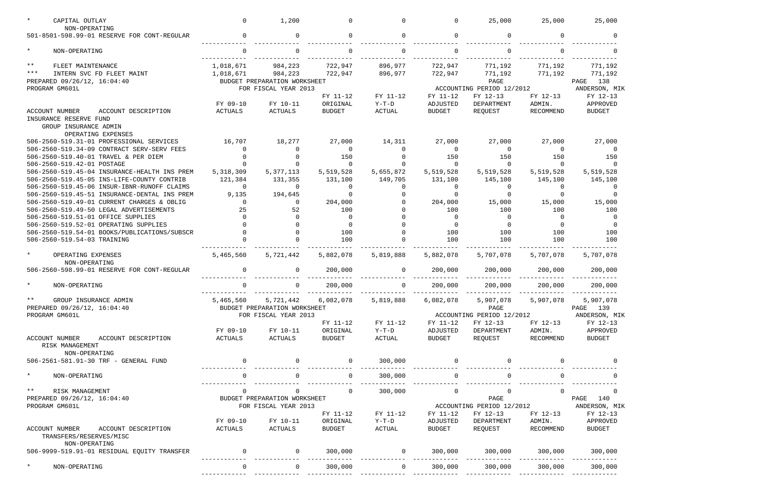| CAPITAL OUTLAY<br>NON-OPERATING                                                          | $\Omega$            | 1,200                        | $\Omega$                  | $\Omega$          | $\Omega$                            | 25,000                    | 25,000              | 25,000                    |  |
|------------------------------------------------------------------------------------------|---------------------|------------------------------|---------------------------|-------------------|-------------------------------------|---------------------------|---------------------|---------------------------|--|
| 501-8501-598.99-01 RESERVE FOR CONT-REGULAR                                              | $\Omega$            | $\Omega$                     | $\Omega$                  | $\Omega$          | $\Omega$                            | $\mathbf 0$               | <sup>n</sup>        | റ                         |  |
| $\star$<br>NON-OPERATING                                                                 | $\cap$              |                              | $\Omega$                  |                   |                                     |                           |                     |                           |  |
| $\star\star$<br>FLEET MAINTENANCE                                                        | 1,018,671           | 984,223                      | 722,947                   | 896,977           | 722,947                             | 771,192                   | 771,192             | 771,192                   |  |
| $***$<br>INTERN SVC FD FLEET MAINT                                                       | 1,018,671           | 984,223                      | 722,947                   | 896,977           | 722,947                             | 771,192                   | 771,192             | 771,192                   |  |
| PREPARED 09/26/12, 16:04:40                                                              |                     | BUDGET PREPARATION WORKSHEET |                           |                   |                                     | PAGE                      |                     | 138<br>PAGE               |  |
| PROGRAM GM601L                                                                           |                     | FOR FISCAL YEAR 2013         |                           |                   |                                     | ACCOUNTING PERIOD 12/2012 |                     | ANDERSON, MIK             |  |
|                                                                                          |                     |                              | FY 11-12                  | FY 11-12          | FY 11-12                            | FY 12-13                  | FY 12-13            | FY 12-13                  |  |
|                                                                                          | FY 09-10            | FY 10-11                     | ORIGINAL                  | $Y-T-D$           | ADJUSTED                            | DEPARTMENT                | ADMIN.              | APPROVED                  |  |
| <b>ACCOUNT NUMBER</b><br>ACCOUNT DESCRIPTION                                             | <b>ACTUALS</b>      | <b>ACTUALS</b>               | <b>BUDGET</b>             | <b>ACTUAL</b>     | <b>BUDGET</b>                       | REQUEST                   | <b>RECOMMEND</b>    | <b>BUDGET</b>             |  |
| INSURANCE RESERVE FUND<br>GROUP INSURANCE ADMIN<br>OPERATING EXPENSES                    |                     |                              |                           |                   |                                     |                           |                     |                           |  |
| 506-2560-519.31-01 PROFESSIONAL SERVICES                                                 | 16,707              | 18,277                       | 27,000                    | 14,311            | 27,000                              | 27,000                    | 27,000              | 27,000                    |  |
| 506-2560-519.34-09 CONTRACT SERV-SERV FEES                                               |                     |                              | $\Omega$                  | $\cap$            | $\Omega$                            | 0                         | $\Omega$            |                           |  |
| 506-2560-519.40-01 TRAVEL & PER DIEM                                                     |                     |                              | 150                       |                   | 150                                 | 150                       | 150                 | 150                       |  |
| 506-2560-519.42-01 POSTAGE                                                               |                     |                              | $\Omega$                  | $\cap$            | $\Omega$                            | $\mathbf 0$               | $\Omega$            | $\cap$                    |  |
| 506-2560-519.45-04 INSURANCE-HEALTH INS PREM                                             | 5,318,309           | 5, 377, 113                  | 5,519,528                 | 5,655,872         | 5,519,528                           | 5,519,528                 | 5,519,528           | 5,519,528                 |  |
| 506-2560-519.45-05 INS-LIFE-COUNTY CONTRIB                                               | 121,384             | 131,355                      | 131,100                   | 149,705           | 131,100                             | 145,100                   | 145,100             | 145,100                   |  |
| 506-2560-519.45-06 INSUR-IBNR-RUNOFF CLAIMS                                              | $\Omega$            | $\Omega$                     | 0                         | $\Omega$          | $\Omega$                            | 0                         | 0                   | <u>n</u>                  |  |
| 506-2560-519.45-51 INSURANCE-DENTAL INS PREM                                             | 9,135               | 194,645                      | $\Omega$                  |                   |                                     | $\Omega$                  | O.                  |                           |  |
| 506-2560-519.49-01 CURRENT CHARGES & OBLIG                                               | $\Omega$            | ∩                            | 204,000                   |                   | 204,000                             | 15,000                    | 15,000              | 15,000                    |  |
| 506-2560-519.49-50 LEGAL ADVERTISEMENTS                                                  | 25                  | 52                           | 100                       |                   | 100                                 | 100                       | 100                 | 100                       |  |
| 506-2560-519.51-01 OFFICE SUPPLIES                                                       | $\cap$              |                              | $\Omega$                  |                   | $\Omega$                            | 0                         | $\Omega$            | - 0                       |  |
| 506-2560-519.52-01 OPERATING SUPPLIES                                                    |                     |                              | $\Omega$                  |                   | $\Omega$                            | $\Omega$                  | $\Omega$            | - 0                       |  |
| 506-2560-519.54-01 BOOKS/PUBLICATIONS/SUBSCR                                             |                     |                              | 100                       | $\Omega$          | 100                                 | 100                       | 100                 | 100                       |  |
| 506-2560-519.54-03 TRAINING                                                              |                     |                              | 100                       |                   | 100                                 | 100                       | 100                 | 100                       |  |
| $\star$<br>OPERATING EXPENSES<br>NON-OPERATING                                           | 5,465,560           | 5,721,442                    | 5,882,078                 | 5,819,888         | 5,882,078                           | 5,707,078                 | 5,707,078           | 5,707,078                 |  |
| 506-2560-598.99-01 RESERVE FOR CONT-REGULAR                                              | $\mathbf 0$         | $\Omega$                     | 200,000                   | $\mathbf 0$       | 200,000                             | 200,000                   | 200,000             | 200,000                   |  |
|                                                                                          | $\Omega$            |                              |                           |                   |                                     |                           |                     |                           |  |
| NON-OPERATING                                                                            |                     | 0                            | 200,000                   | 0                 | 200,000                             | 200,000                   | 200,000             | 200,000                   |  |
| GROUP INSURANCE ADMIN                                                                    | 5,465,560           | 5,721,442                    | 6,082,078                 | 5,819,888         | 6,082,078<br>5,907,078<br>5,907,078 |                           |                     |                           |  |
| PREPARED 09/26/12, 16:04:40                                                              |                     | BUDGET PREPARATION WORKSHEET |                           | PAGE              |                                     |                           |                     | PAGE 139                  |  |
| PROGRAM GM601L                                                                           |                     | FOR FISCAL YEAR 2013         |                           |                   | ACCOUNTING PERIOD 12/2012           |                           |                     | ANDERSON, MIK             |  |
|                                                                                          |                     |                              | FY 11-12                  | FY 11-12          | FY 11-12                            | FY 12-13                  | FY 12-13            | FY 12-13                  |  |
| ACCOUNT NUMBER<br>ACCOUNT DESCRIPTION<br>RISK MANAGEMENT                                 | FY 09-10<br>ACTUALS | FY 10-11<br>ACTUALS          | ORIGINAL<br><b>BUDGET</b> | $Y-T-D$<br>ACTUAL | ADJUSTED<br>BUDGET                  | DEPARTMENT<br>REQUEST     | ADMIN.<br>RECOMMEND | APPROVED<br><b>BUDGET</b> |  |
| NON-OPERATING                                                                            |                     |                              |                           |                   |                                     |                           |                     |                           |  |
| 506-2561-581.91-30 TRF - GENERAL FUND                                                    | $\overline{0}$      |                              | 0                         | 300,000           |                                     |                           |                     |                           |  |
| $\star$<br>NON-OPERATING                                                                 | $\mathbf 0$         | 0                            | $\mathsf{O}$              | 300,000           | $\overline{0}$                      | $\mathsf{O}$              | $\Omega$            |                           |  |
|                                                                                          |                     |                              |                           |                   |                                     |                           |                     |                           |  |
| $\star$ $\star$<br>RISK MANAGEMENT                                                       | $\mathbf 0$         | 0                            | $\overline{0}$            | 300,000           | $\mathbf 0$                         | $\mathsf{O}$              | 0                   | 0                         |  |
| PREPARED 09/26/12, 16:04:40                                                              |                     | BUDGET PREPARATION WORKSHEET |                           |                   |                                     | PAGE                      |                     | PAGE<br>140               |  |
| PROGRAM GM601L                                                                           |                     | FOR FISCAL YEAR 2013         |                           |                   |                                     | ACCOUNTING PERIOD 12/2012 |                     | ANDERSON, MIK             |  |
|                                                                                          |                     |                              | FY 11-12                  | FY 11-12          | FY 11-12                            | FY 12-13                  | FY 12-13            | FY 12-13                  |  |
|                                                                                          | FY 09-10            | FY 10-11                     | ORIGINAL                  | $Y-T-D$           | ADJUSTED                            | DEPARTMENT                | ADMIN.              | APPROVED                  |  |
| <b>ACCOUNT NUMBER</b><br>ACCOUNT DESCRIPTION<br>TRANSFERS/RESERVES/MISC<br>NON-OPERATING | ACTUALS             | ACTUALS                      | <b>BUDGET</b>             | ACTUAL            | <b>BUDGET</b>                       | REQUEST                   | RECOMMEND           | <b>BUDGET</b>             |  |
| 506-9999-519.91-01 RESIDUAL EQUITY TRANSFER                                              | $\overline{0}$      | $\overline{0}$               | 300,000                   | $\overline{0}$    | 300,000                             | 300,000                   | 300,000             | 300,000                   |  |
| $^\star$<br>NON-OPERATING                                                                | $\mathbf 0$         | $\overline{0}$               | 300,000                   | $\mathbf 0$       | 300,000                             | 300,000                   | 300,000             | 300,000                   |  |
|                                                                                          |                     |                              |                           |                   |                                     |                           |                     |                           |  |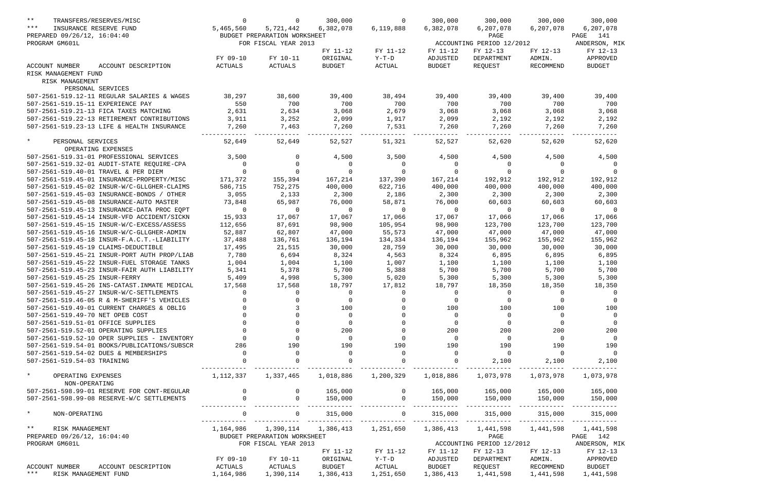| $***$<br>TRANSFERS/RESERVES/MISC<br>$***$<br>INSURANCE RESERVE FUND                       | $\mathbf 0$<br>5,465,560 | 0<br>5,721,442               | 300,000<br>6,382,078 | 0<br>6,119,888     | 300,000<br>6,382,078 | 300,000<br>6,207,078      | 300,000<br>6,207,078       | 300,000<br>6,207,078             |
|-------------------------------------------------------------------------------------------|--------------------------|------------------------------|----------------------|--------------------|----------------------|---------------------------|----------------------------|----------------------------------|
| PREPARED 09/26/12, 16:04:40                                                               |                          | BUDGET PREPARATION WORKSHEET |                      |                    |                      | PAGE                      |                            | 141<br>PAGE                      |
| PROGRAM GM601L                                                                            |                          | FOR FISCAL YEAR 2013         |                      |                    |                      | ACCOUNTING PERIOD 12/2012 |                            | ANDERSON, MIK                    |
|                                                                                           |                          |                              | FY 11-12             | FY 11-12           | FY 11-12             | FY 12-13                  | FY 12-13                   | FY 12-13                         |
|                                                                                           | FY 09-10                 | FY 10-11                     | ORIGINAL             | $Y-T-D$            | ADJUSTED             | DEPARTMENT                | ADMIN.                     | APPROVED                         |
| ACCOUNT DESCRIPTION<br>ACCOUNT NUMBER                                                     | ACTUALS                  | ACTUALS                      | <b>BUDGET</b>        | ACTUAL             | <b>BUDGET</b>        | REQUEST                   | <b>RECOMMEND</b>           | <b>BUDGET</b>                    |
| RISK MANAGEMENT FUND                                                                      |                          |                              |                      |                    |                      |                           |                            |                                  |
| RISK MANAGEMENT                                                                           |                          |                              |                      |                    |                      |                           |                            |                                  |
| PERSONAL SERVICES<br>507-2561-519.12-11 REGULAR SALARIES & WAGES                          |                          |                              |                      |                    |                      |                           |                            |                                  |
|                                                                                           | 38,297                   | 38,600<br>700                | 39,400<br>700        | 38,494<br>700      | 39,400               | 39,400<br>700             | 39,400                     | 39,400                           |
| 507-2561-519.15-11 EXPERIENCE PAY                                                         | 550                      |                              |                      |                    | 700                  |                           | 700                        | 700                              |
| 507-2561-519.21-13 FICA TAXES MATCHING                                                    | 2,631                    | 2,634                        | 3,068                | 2,679              | 3,068                | 3,068                     | 3,068                      | 3,068                            |
| 507-2561-519.22-13 RETIREMENT CONTRIBUTIONS<br>507-2561-519.23-13 LIFE & HEALTH INSURANCE | 3,911                    | 3,252                        | 2,099                | 1,917              | 2,099                | 2,192                     | 2,192                      | 2,192                            |
|                                                                                           | 7,260                    | 7,463                        | 7,260                | 7,531              | 7,260                | 7,260                     | 7,260                      | 7,260                            |
| $\star$<br>PERSONAL SERVICES                                                              | 52,649                   | 52,649                       | 52,527               | 51,321             | 52,527               | 52,620                    | 52,620                     | 52,620                           |
| OPERATING EXPENSES<br>507-2561-519.31-01 PROFESSIONAL SERVICES                            | 3,500                    |                              | 4,500                | 3,500              | 4,500                | 4,500                     | 4,500                      | 4,500                            |
| 507-2561-519.32-01 AUDIT-STATE REQUIRE-CPA                                                | $\overline{0}$           |                              | $\Omega$             | 0                  |                      | $\Omega$                  | $\Omega$                   |                                  |
| 507-2561-519.40-01 TRAVEL & PER DIEM                                                      | $\mathbf 0$              |                              |                      | $\Omega$           | $\Omega$             | $\Omega$                  | $\Omega$                   |                                  |
| 507-2561-519.45-01 INSURANCE-PROPERTY/MISC                                                | 171,372                  | 155,394                      |                      | 137,390            | 167,214              |                           |                            | 192,912                          |
| 507-2561-519.45-02 INSUR-W/C-GLLGHER-CLAIMS                                               | 586,715                  |                              | 167,214<br>400,000   | 622,716            | 400,000              | 192,912<br>400,000        | 192,912<br>400,000         | 400,000                          |
| 507-2561-519.45-03 INSURANCE-BONDS / OTHER                                                | 3,055                    | 752,275                      | 2,300                | 2,186              | 2,300                | 2,300                     | 2,300                      | 2,300                            |
| 507-2561-519.45-08 INSURANCE-AUTO MASTER                                                  |                          | 2,133                        |                      |                    |                      |                           |                            |                                  |
| 507-2561-519.45-13 INSURANCE-DATA PROC EQPT                                               | 73,848<br>$\overline{0}$ | 65,987                       | 76,000<br>$\Omega$   | 58,871<br>$\Omega$ | 76,000<br>$\Omega$   | 60,603<br>$\overline{0}$  | 60,603<br>$\Omega$         | 60,603<br>$\Omega$               |
|                                                                                           | 15,933                   | 0                            |                      |                    | 17,067               |                           | 17,066                     | 17,066                           |
| 507-2561-519.45-14 INSUR-VFD ACCIDENT/SICKN                                               | 112,656                  | 17,067                       | 17,067               | 17,066             |                      | 17,066                    |                            |                                  |
|                                                                                           |                          | 87,691                       | 98,900               | 105,954            | 98,900               | 123,700                   | 123,700                    | 123,700                          |
| 507-2561-519.45-16 INSUR-W/C-GLLGHER-ADMIN                                                | 52,887                   | 62,807                       | 47,000               | 55,573             | 47,000               | 47,000                    | 47,000                     | 47,000                           |
| 507-2561-519.45-18 INSUR-F.A.C.T.-LIABILITY<br>507-2561-519.45-19 CLAIMS-DEDUCTIBLE       | 37,488                   | 136,761                      | 136,194<br>30,000    | 134,334            | 136,194              | 155,962<br>30,000         | 155,962                    | 155,962<br>30,000                |
|                                                                                           | 17,495<br>7,780          | 21,515<br>6,694              |                      | 28,759             | 30,000               |                           | 30,000<br>6,895            |                                  |
| 507-2561-519.45-21 INSUR-PORT AUTH PROP/LIAB                                              |                          |                              | 8,324                | 4,563              | 8,324                | 6,895                     |                            | 6,895                            |
| 507-2561-519.45-22 INSUR-FUEL STORAGE TANKS                                               | 1,004                    | 1,004                        | 1,100                | 1,007              | 1,100                | 1,100                     | 1,100                      | 1,100                            |
| 507-2561-519.45-23 INSUR-FAIR AUTH LIABILITY                                              | 5,341                    | 5,378                        | 5,700                | 5,388              | 5,700                | 5,700                     | 5,700                      | 5,700                            |
| 507-2561-519.45-25 INSUR-FERRY                                                            | 5,409                    | 4,998                        | 5,300                | 5,020              | 5,300                | 5,300                     | 5,300                      | 5,300                            |
| 507-2561-519.45-26 INS-CATAST. INMATE MEDICAL                                             | 17,568                   | 17,568                       | 18,797               | 17,812             | 18,797               | 18,350                    | 18,350                     | 18,350                           |
| 507-2561-519.45-27 INSUR-W/C-SETTLEMENTS                                                  | $\overline{0}$           | 0                            | $\Omega$             | $\mathbf{0}$       | $\Omega$             | $\Omega$                  | $\Omega$                   | $\Omega$                         |
| 507-2561-519.46-05 R & M-SHERIFF'S VEHICLES                                               |                          |                              |                      |                    |                      | $\overline{0}$            | 0                          | - 0                              |
| 507-2561-519.49-01 CURRENT CHARGES & OBLIG                                                |                          |                              | 100                  |                    | 100                  | 100                       | 100                        | 100                              |
| 507-2561-519.49-70 NET OPEB COST                                                          |                          |                              | 0                    |                    | $\overline{0}$       | $\overline{0}$            | $\overline{0}$<br>$\Omega$ | $\overline{0}$<br>$\overline{0}$ |
| 507-2561-519.51-01 OFFICE SUPPLIES                                                        |                          | $\Omega$                     | 0                    |                    | $\overline{0}$       | 0                         |                            |                                  |
| 507-2561-519.52-01 OPERATING SUPPLIES                                                     |                          | $\Omega$                     | 200                  |                    | 200                  | 200                       | 200                        | 200                              |
| 507-2561-519.52-10 OPER SUPPLIES - INVENTORY                                              |                          |                              | $\overline{0}$       | $\mathbf 0$        | $\overline{0}$       | $\overline{0}$            | $\Omega$                   | $\overline{0}$                   |
| 507-2561-519.54-01 BOOKS/PUBLICATIONS/SUBSCR<br>507-2561-519.54-02 DUES & MEMBERSHIPS     | 286<br>$\Omega$          | 190<br>$\Omega$              | 190                  | 190<br>$\Omega$    | 190<br>$\Omega$      | 190<br>$\overline{0}$     | 190<br>$\Omega$            | 190<br>$\overline{0}$            |
| 507-2561-519.54-03 TRAINING                                                               |                          | $\Omega$                     | 0<br>$\Omega$        | $\overline{0}$     | $\Omega$             | 2,100                     | 2,100                      | 2,100                            |
|                                                                                           |                          |                              |                      |                    |                      |                           |                            |                                  |
| $\star$<br>OPERATING EXPENSES<br>NON-OPERATING                                            | 1,112,337                | 1,337,465                    | 1,018,886            | 1,200,329          | 1,018,886            | 1,073,978                 | 1,073,978                  | 1,073,978                        |
| 507-2561-598.99-01 RESERVE FOR CONT-REGULAR                                               |                          |                              | 165,000              |                    | 165,000              | 165,000                   | 165,000                    | 165,000                          |
| 507-2561-598.99-08 RESERVE-W/C SETTLEMENTS                                                |                          |                              | 150,000              | $\overline{0}$     | 150,000              | 150,000                   | 150,000                    | 150,000                          |
|                                                                                           |                          |                              |                      |                    |                      |                           |                            |                                  |
| $\star$<br>NON-OPERATING                                                                  | $\overline{0}$           | $\overline{0}$               | 315,000              | $\overline{0}$     | 315,000              | 315,000                   | 315,000                    | 315,000                          |
| $***$<br>RISK MANAGEMENT                                                                  | 1,164,986                | 1,390,114                    | 1,386,413            | 1,251,650          | 1,386,413            | 1,441,598                 | 1,441,598                  | 1,441,598                        |
| PREPARED 09/26/12, 16:04:40                                                               |                          | BUDGET PREPARATION WORKSHEET |                      |                    |                      | PAGE                      |                            | PAGE 142                         |
| PROGRAM GM601L                                                                            |                          | FOR FISCAL YEAR 2013         |                      |                    |                      | ACCOUNTING PERIOD 12/2012 |                            | ANDERSON, MIK                    |
|                                                                                           |                          |                              | FY 11-12             | FY 11-12           | FY 11-12             | FY 12-13                  | FY 12-13                   | FY 12-13                         |
|                                                                                           | FY 09-10                 | FY 10-11                     | ORIGINAL             | $Y-T-D$            | ADJUSTED             | DEPARTMENT                | ADMIN.                     | APPROVED                         |
| ACCOUNT DESCRIPTION<br>ACCOUNT NUMBER                                                     | ACTUALS                  | ACTUALS                      | <b>BUDGET</b>        | ACTUAL             | BUDGET               | REQUEST                   | RECOMMEND                  | BUDGET                           |
| $***$<br>RISK MANAGEMENT FUND                                                             | 1,164,986                | 1,390,114                    | 1,386,413            | 1,251,650          | 1,386,413            | 1,441,598                 | 1,441,598                  | 1,441,598                        |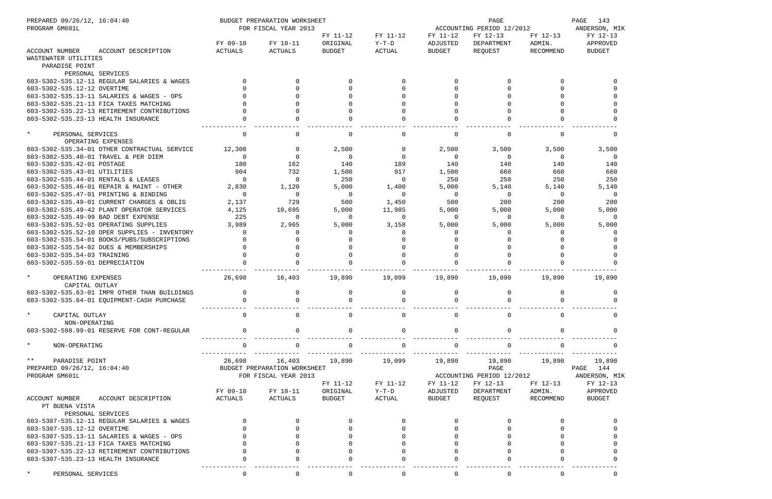| PREPARED 09/26/12, 16:04:40<br>PROGRAM GM601L                                      |                   | BUDGET PREPARATION WORKSHEET<br>FOR FISCAL YEAR 2013 |                      |                     |                      | PAGE<br>ACCOUNTING PERIOD 12/2012 |                    |                      |  |
|------------------------------------------------------------------------------------|-------------------|------------------------------------------------------|----------------------|---------------------|----------------------|-----------------------------------|--------------------|----------------------|--|
|                                                                                    | FY 09-10          | FY 10-11                                             | FY 11-12<br>ORIGINAL | FY 11-12<br>$Y-T-D$ | FY 11-12<br>ADJUSTED | FY 12-13<br>DEPARTMENT            | FY 12-13<br>ADMIN. | FY 12-13<br>APPROVED |  |
| <b>ACCOUNT NUMBER</b><br>ACCOUNT DESCRIPTION                                       | ACTUALS           | ACTUALS                                              | <b>BUDGET</b>        | ACTUAL              | <b>BUDGET</b>        | REQUEST                           | RECOMMEND          | <b>BUDGET</b>        |  |
| WASTEWATER UTILITIES                                                               |                   |                                                      |                      |                     |                      |                                   |                    |                      |  |
| PARADISE POINT                                                                     |                   |                                                      |                      |                     |                      |                                   |                    |                      |  |
| PERSONAL SERVICES                                                                  |                   |                                                      |                      |                     |                      |                                   |                    |                      |  |
| 603-5302-535.12-11 REGULAR SALARIES & WAGES                                        |                   | <sup>n</sup>                                         | $\Omega$             | $\Omega$            | $\Omega$             |                                   | <sup>n</sup>       |                      |  |
| 603-5302-535.12-12 OVERTIME                                                        |                   |                                                      |                      | $\Omega$            |                      |                                   |                    |                      |  |
| 603-5302-535.13-11 SALARIES & WAGES - OPS                                          |                   |                                                      |                      |                     |                      |                                   |                    |                      |  |
| 603-5302-535.21-13 FICA TAXES MATCHING                                             |                   |                                                      |                      |                     |                      |                                   |                    |                      |  |
| 603-5302-535.22-13 RETIREMENT CONTRIBUTIONS                                        |                   |                                                      |                      |                     |                      |                                   |                    |                      |  |
| 603-5302-535.23-13 HEALTH INSURANCE                                                |                   |                                                      |                      |                     |                      |                                   |                    |                      |  |
| $\star$<br>PERSONAL SERVICES                                                       | $\Omega$          |                                                      |                      | 0                   |                      |                                   |                    |                      |  |
| OPERATING EXPENSES                                                                 |                   |                                                      |                      |                     |                      |                                   |                    |                      |  |
| 603-5302-535.34-01 OTHER CONTRACTUAL SERVICE                                       | 12,308            | $\Omega$                                             | 2,500                | 0                   | 2,500                | 3,500                             | 3,500              | 3,500                |  |
| 603-5302-535.40-01 TRAVEL & PER DIEM                                               | $\Omega$          | $\Omega$                                             | $\Omega$             | $\overline{0}$      | $\Omega$             | $\overline{0}$                    | $\Omega$           | - 0                  |  |
| 603-5302-535.42-01 POSTAGE                                                         | 180               | 162                                                  | 140                  | 189                 | 140                  | 140                               | 140                | 140                  |  |
| 603-5302-535.43-01 UTILITIES                                                       | 904<br>$\Omega$   | 732<br>$\Omega$                                      | 1,500                | 917                 | 1,500                | 660                               | 660                | 660                  |  |
| 603-5302-535.44-01 RENTALS & LEASES                                                |                   |                                                      | 250                  | $\overline{0}$      | 250                  | 250                               | 250                | 250                  |  |
| 603-5302-535.46-01 REPAIR & MAINT - OTHER<br>603-5302-535.47-01 PRINTING & BINDING | 2,830<br>$\Omega$ | 1,120<br>$\Omega$                                    | 5,000<br>0           | 1,400<br>$\Omega$   | 5,000<br>$\Omega$    | 5,140<br>0                        | 5,140<br>$\Omega$  | 5,140<br>$\Omega$    |  |
| 603-5302-535.49-01 CURRENT CHARGES & OBLIG                                         | 2,137             | 729                                                  | 500                  | 1,450               | 500                  | 200                               | 200                | 200                  |  |
| 603-5302-535.49-42 PLANT OPERATOR SERVICES                                         | 4,125             | 10,695                                               | 5,000                | 11,985              | 5,000                | 5,000                             | 5,000              | 5,000                |  |
| 603-5302-535.49-99 BAD DEBT EXPENSE                                                | 225               | $\Omega$                                             | $\Omega$             | $\Omega$            | $\Omega$             | $\Omega$                          | $\Omega$           |                      |  |
| 603-5302-535.52-01 OPERATING SUPPLIES                                              | 3,989             | 2,965                                                | 5,000                | 3,158               | 5,000                | 5,000                             | 5,000              | 5,000                |  |
| 603-5302-535.52-10 OPER SUPPLIES - INVENTORY                                       | $\Omega$          | <sup>0</sup>                                         | $\Omega$             | $\Omega$            |                      | <sup>0</sup>                      | <sup>0</sup>       |                      |  |
| 603-5302-535.54-01 BOOKS/PUBS/SUBSCRIPTIONS                                        |                   |                                                      |                      | $\Omega$            |                      |                                   |                    |                      |  |
| 603-5302-535.54-02 DUES & MEMBERSHIPS                                              |                   |                                                      |                      | $\Omega$            |                      |                                   |                    |                      |  |
| 603-5302-535.54-03 TRAINING                                                        |                   |                                                      |                      | $\Omega$            |                      |                                   |                    |                      |  |
| 603-5302-535.59-01 DEPRECIATION                                                    |                   |                                                      |                      |                     |                      |                                   |                    |                      |  |
| $\star$<br>OPERATING EXPENSES                                                      | 26,698            | 16,403                                               | 19,890               | 19,099              | 19,890               | 19,890                            | 19,890             | 19,890               |  |
| CAPITAL OUTLAY                                                                     |                   |                                                      |                      |                     |                      |                                   |                    |                      |  |
| 603-5302-535.63-01 IMPR OTHER THAN BUILDINGS                                       | $\mathbf 0$       | 0                                                    | 0                    | 0                   | $\Omega$             | 0                                 | 0                  |                      |  |
| 603-5302-535.64-01 EQUIPMENT-CASH PURCHASE                                         |                   |                                                      |                      |                     |                      |                                   |                    |                      |  |
| $\star$<br>CAPITAL OUTLAY                                                          | $\mathbf 0$       | <sup>n</sup>                                         | $\cap$               | 0                   | <sup>0</sup>         | $\Omega$                          |                    |                      |  |
| NON-OPERATING                                                                      |                   |                                                      |                      |                     |                      |                                   |                    |                      |  |
| 603-5302-598.99-01 RESERVE FOR CONT-REGULAR                                        | $\mathbf 0$       | <sup>n</sup>                                         | $\cap$               | $\mathbf 0$         | $\Omega$             |                                   |                    |                      |  |
| $\star$<br>NON-OPERATING                                                           |                   |                                                      |                      |                     |                      |                                   |                    |                      |  |
| $\star \star$<br>PARADISE POINT                                                    | 26,698            | 16,403                                               | 19,890               | 19,099              | 19,890               | 19,890                            | 19,890             | 19,890               |  |
| PREPARED 09/26/12, 16:04:40                                                        |                   | BUDGET PREPARATION WORKSHEET                         |                      |                     |                      | PAGE                              |                    | PAGE 144             |  |
| PROGRAM GM601L                                                                     |                   | FOR FISCAL YEAR 2013                                 |                      |                     |                      | ACCOUNTING PERIOD 12/2012         |                    | ANDERSON, MIK        |  |
|                                                                                    |                   |                                                      | FY 11-12             | FY 11-12            | FY 11-12             | FY 12-13                          | FY 12-13           | FY 12-13             |  |
|                                                                                    | FY 09-10          | FY 10-11                                             | ORIGINAL             | $Y-T-D$             | ADJUSTED             | DEPARTMENT                        | ADMIN.             | APPROVED             |  |
| ACCOUNT NUMBER<br>ACCOUNT DESCRIPTION                                              | ACTUALS           | ACTUALS                                              | <b>BUDGET</b>        | ACTUAL              | <b>BUDGET</b>        | REQUEST                           | RECOMMEND          | <b>BUDGET</b>        |  |
| PT BUENA VISTA                                                                     |                   |                                                      |                      |                     |                      |                                   |                    |                      |  |
| PERSONAL SERVICES                                                                  |                   |                                                      |                      |                     |                      |                                   |                    |                      |  |
| 603-5307-535.12-11 REGULAR SALARIES & WAGES                                        |                   |                                                      |                      |                     |                      |                                   |                    |                      |  |
| 603-5307-535.12-12 OVERTIME                                                        |                   |                                                      |                      |                     |                      |                                   |                    |                      |  |
| 603-5307-535.13-11 SALARIES & WAGES - OPS                                          |                   |                                                      |                      |                     |                      |                                   |                    |                      |  |
| 603-5307-535.21-13 FICA TAXES MATCHING                                             |                   |                                                      |                      |                     |                      |                                   |                    |                      |  |
| 603-5307-535.22-13 RETIREMENT CONTRIBUTIONS                                        |                   |                                                      |                      |                     |                      |                                   |                    |                      |  |
| 603-5307-535.23-13 HEALTH INSURANCE                                                |                   |                                                      |                      |                     |                      |                                   |                    |                      |  |
| PERSONAL SERVICES                                                                  | $\mathbf 0$       | $\mathbf 0$                                          | $\Omega$             | $\mathbf 0$         | $\overline{0}$       | $\Omega$                          | $\Omega$           |                      |  |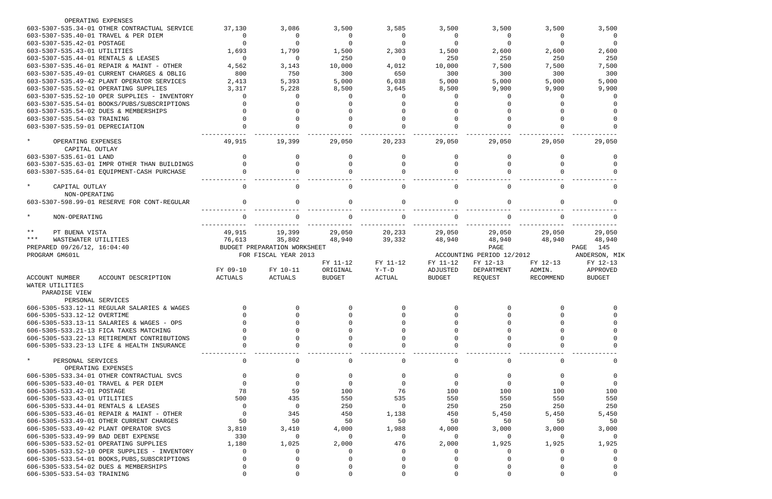| OPERATING EXPENSES                                                   |          |                              |               |              |               |                           |              |               |
|----------------------------------------------------------------------|----------|------------------------------|---------------|--------------|---------------|---------------------------|--------------|---------------|
| 603-5307-535.34-01 OTHER CONTRACTUAL SERVICE                         | 37,130   | 3,086                        | 3,500         | 3,585        | 3,500         | 3,500                     | 3,500        | 3,500         |
| 603-5307-535.40-01 TRAVEL & PER DIEM                                 | 0        | 0                            |               | $\Omega$     | $\Omega$      | 0                         | $\Omega$     | 0             |
| 603-5307-535.42-01 POSTAGE                                           |          |                              |               | $\Omega$     |               | $\Omega$                  | $\Omega$     |               |
| 603-5307-535.43-01 UTILITIES                                         | 1,693    | 1,799                        | 1,500         | 2,303        | 1,500         | 2,600                     | 2,600        | 2,600         |
| 603-5307-535.44-01 RENTALS & LEASES                                  | 0        | 0                            | 250           | 0            | 250           | 250                       | 250          | 250           |
| 603-5307-535.46-01 REPAIR & MAINT - OTHER                            | 4,562    | 3,143                        | 10,000        | 4,012        | 10,000        | 7,500                     | 7,500        | 7,500         |
| 603-5307-535.49-01 CURRENT CHARGES & OBLIG                           | 800      | 750                          | 300           | 650          | 300           | 300                       | 300          | 300           |
| 603-5307-535.49-42 PLANT OPERATOR SERVICES                           | 2,413    | 5,393                        | 5,000         | 6,038        | 5,000         | 5,000                     | 5,000        | 5,000         |
| 603-5307-535.52-01 OPERATING SUPPLIES                                | 3,317    | 5,228                        | 8,500         | 3,645        | 8,500         | 9,900                     | 9,900        | 9,900         |
| 603-5307-535.52-10 OPER SUPPLIES - INVENTORY                         | $\Omega$ | 0                            |               | 0            | <sup>n</sup>  | <sup>0</sup>              | <sup>n</sup> | -0            |
| 603-5307-535.54-01 BOOKS/PUBS/SUBSCRIPTIONS                          |          |                              |               |              |               |                           |              |               |
| 603-5307-535.54-02 DUES & MEMBERSHIPS                                |          |                              |               |              |               |                           |              |               |
| 603-5307-535.54-03 TRAINING                                          |          |                              |               |              |               |                           |              |               |
| 603-5307-535.59-01 DEPRECIATION                                      |          |                              |               |              |               |                           |              |               |
| $\star$<br>OPERATING EXPENSES                                        | 49,915   | 19,399                       | 29,050        | 20,233       | 29,050        | 29,050                    | 29,050       | 29,050        |
| CAPITAL OUTLAY                                                       |          |                              |               |              |               |                           |              |               |
| 603-5307-535.61-01 LAND                                              |          | 0                            |               | <sup>0</sup> | <sup>0</sup>  | O                         | <sup>0</sup> |               |
| 603-5307-535.63-01 IMPR OTHER THAN BUILDINGS                         |          | 0                            |               | <sup>n</sup> |               |                           |              |               |
| 603-5307-535.64-01 EQUIPMENT-CASH PURCHASE                           |          | <sup>n</sup>                 |               |              |               |                           |              |               |
|                                                                      |          |                              |               |              |               |                           |              |               |
| $\star$<br>CAPITAL OUTLAY<br>NON-OPERATING                           | $\Omega$ | 0                            |               | $\Omega$     | $\cap$        | $\Omega$                  | $\Omega$     | $\Omega$      |
| 603-5307-598.99-01 RESERVE FOR CONT-REGULAR                          |          | 0                            |               | $\Omega$     | $\cap$        | $\Omega$                  |              |               |
|                                                                      |          |                              |               |              |               |                           |              |               |
| $\star$<br>NON-OPERATING                                             | $\Omega$ |                              |               |              |               | $\cap$                    |              |               |
| $***$<br>PT BUENA VISTA                                              | 49,915   | 19,399                       | 29,050        | 20,233       | 29,050        | 29,050                    | 29,050       | 29,050        |
| $***$<br>WASTEWATER UTILITIES                                        | 76,613   | 35,802                       | 48,940        | 39,332       | 48,940        | 48,940                    | 48,940       | 48,940        |
| PREPARED 09/26/12, 16:04:40                                          |          | BUDGET PREPARATION WORKSHEET |               |              |               | PAGE                      |              | PAGE<br>145   |
| PROGRAM GM601L                                                       |          | FOR FISCAL YEAR 2013         |               |              |               | ACCOUNTING PERIOD 12/2012 |              | ANDERSON, MIK |
|                                                                      |          |                              | FY 11-12      | FY 11-12     | FY 11-12      | FY 12-13                  | FY 12-13     | FY 12-13      |
|                                                                      | FY 09-10 | FY 10-11                     | ORIGINAL      | $Y-T-D$      | ADJUSTED      | DEPARTMENT                | ADMIN.       | APPROVED      |
| <b>ACCOUNT NUMBER</b><br>ACCOUNT DESCRIPTION                         | ACTUALS  | ACTUALS                      | <b>BUDGET</b> | ACTUAL       | <b>BUDGET</b> | REOUEST                   | RECOMMEND    | <b>BUDGET</b> |
| WATER UTILITIES                                                      |          |                              |               |              |               |                           |              |               |
| PARADISE VIEW                                                        |          |                              |               |              |               |                           |              |               |
| PERSONAL SERVICES                                                    |          |                              |               |              |               |                           |              |               |
| 606-5305-533.12-11 REGULAR SALARIES & WAGES                          |          |                              |               |              |               |                           |              |               |
| 606-5305-533.12-12 OVERTIME                                          |          |                              |               |              |               |                           |              |               |
| 606-5305-533.13-11 SALARIES & WAGES - OPS                            |          |                              |               |              |               |                           |              |               |
| 606-5305-533.21-13 FICA TAXES MATCHING                               |          |                              |               |              |               |                           |              |               |
| 606-5305-533.22-13 RETIREMENT CONTRIBUTIONS                          |          |                              |               |              |               |                           |              |               |
| 606-5305-533.23-13 LIFE & HEALTH INSURANCE                           |          |                              |               |              |               |                           |              |               |
| $\star$<br>PERSONAL SERVICES                                         | 0        |                              |               | 0            |               | $\Omega$                  |              |               |
| OPERATING EXPENSES                                                   |          |                              |               |              |               |                           |              |               |
| 606-5305-533.34-01 OTHER CONTRACTUAL SVCS                            |          |                              |               |              |               |                           |              |               |
| 606-5305-533.40-01 TRAVEL & PER DIEM                                 |          |                              |               |              |               |                           |              |               |
| 606-5305-533.42-01 POSTAGE                                           | 78       | 59                           | 100           | 76           | 100           | 100                       | 100          | 100           |
| 606-5305-533.43-01 UTILITIES                                         | 500      | 435                          | 550           | 535          | 550           | 550                       | 550          | 550           |
| 606-5305-533.44-01 RENTALS & LEASES                                  | $\Omega$ | $\Omega$                     | 250           | $\Omega$     | 250           | 250                       | 250          | 250           |
| 606-5305-533.46-01 REPAIR & MAINT - OTHER                            | $\Omega$ | 345                          | 450           | 1,138        | 450           | 5,450                     | 5,450        | 5,450         |
| 606-5305-533.49-01 OTHER CURRENT CHARGES                             | 50       | 50                           | 50            | 50           | 50            | 50                        | 50           | 50            |
| 606-5305-533.49-42 PLANT OPERATOR SVCS                               | 3,810    | 3,410                        | 4,000         | 1,988        | 4,000         | 3,000                     | 3,000        | 3,000         |
| 606-5305-533.49-99 BAD DEBT EXPENSE                                  | 330      | $\Omega$                     | $\Omega$      | 0            |               | 0                         | $\Omega$     |               |
| 606-5305-533.52-01 OPERATING SUPPLIES                                | 1,180    | 1,025                        | 2,000         | 476          | 2,000         | 1,925                     | 1,925        | 1,925         |
| 606-5305-533.52-10 OPER SUPPLIES - INVENTORY                         |          |                              |               |              |               |                           |              |               |
| 606-5305-533.54-01 BOOKS, PUBS, SUBSCRIPTIONS                        |          |                              |               |              |               |                           |              |               |
|                                                                      |          |                              |               |              |               |                           |              |               |
|                                                                      |          |                              |               |              |               |                           |              |               |
| 606-5305-533.54-02 DUES & MEMBERSHIPS<br>606-5305-533.54-03 TRAINING |          |                              |               |              |               |                           |              |               |

|                           |                  | 3,500      |            | 0                                     |
|---------------------------|------------------|------------|------------|---------------------------------------|
|                           | 2,600<br>7,      | 250<br>500 | 300        | 0                                     |
|                           | 5,000<br>9,900   |            |            | 0<br>0<br>$\overline{0}$              |
|                           | 29,050           |            |            | O<br>0                                |
|                           |                  |            |            | 0<br>0<br>0                           |
|                           |                  |            |            | 0                                     |
|                           |                  |            |            | 0                                     |
|                           |                  |            |            | 0                                     |
|                           | 29,050<br>48,940 |            |            |                                       |
| PAGE                      | 145              |            |            |                                       |
| ANDERSON,<br>FY 12-13     |                  |            |            | MIP                                   |
| APPROVED<br><b>BUDGET</b> |                  |            |            |                                       |
|                           |                  |            |            |                                       |
|                           |                  |            |            | 0<br>$\overline{0}$<br>$\overline{0}$ |
|                           |                  |            |            | $\overline{0}$<br>$\overline{0}$      |
|                           |                  |            |            | 0                                     |
|                           |                  |            |            | 0                                     |
|                           |                  |            | 100        | $\mathbf{0}$<br>0                     |
|                           |                  | 450        | 550<br>250 |                                       |
|                           | 3                |            | 000        | 50                                    |
|                           | $\overline{1}$   |            | 925        | 0                                     |
|                           |                  |            |            | $\mathbf{O}$<br>$\overline{0}$        |
|                           |                  |            |            | 0<br>$\overline{0}$                   |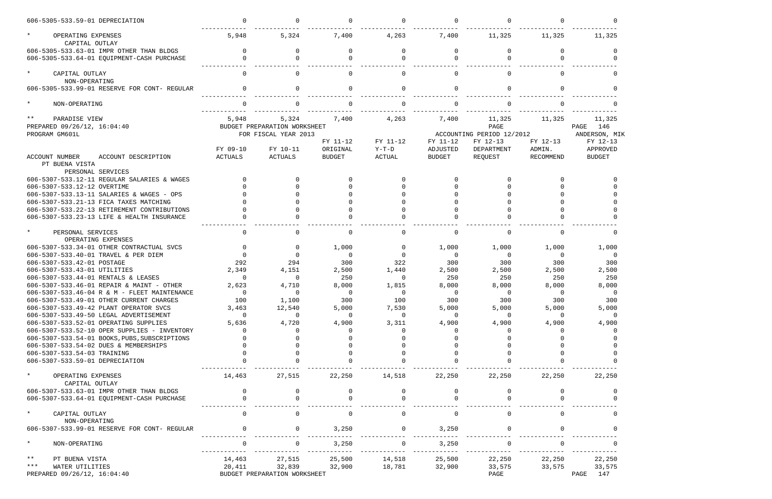| 606-5305-533.59-01 DEPRECIATION                                              |                |                                                               |                |               |                |                                             |                |                                      |
|------------------------------------------------------------------------------|----------------|---------------------------------------------------------------|----------------|---------------|----------------|---------------------------------------------|----------------|--------------------------------------|
| $\star$<br>OPERATING EXPENSES<br>CAPITAL OUTLAY                              | 5,948          | 5,324                                                         | 7,400          | 4,263         | 7,400          | 11,325                                      | 11,325         | 11,325                               |
| 606-5305-533.63-01 IMPR OTHER THAN BLDGS                                     | $\Omega$       | $\Omega$                                                      |                | $\Omega$      | 0              | $\Omega$                                    |                |                                      |
| 606-5305-533.64-01 EQUIPMENT-CASH PURCHASE                                   | $\Omega$       | $\Omega$                                                      |                | $\cap$        | <sup>n</sup>   |                                             |                |                                      |
| $\star$<br>CAPITAL OUTLAY<br>NON-OPERATING                                   | $\Omega$       | $\Omega$                                                      |                |               | <sup>n</sup>   | $\Omega$                                    |                |                                      |
| 606-5305-533.99-01 RESERVE FOR CONT- REGULAR                                 |                | $\Omega$                                                      |                | $\Omega$      | $\Omega$       | $\Omega$                                    |                |                                      |
| $\star$<br>NON-OPERATING                                                     |                |                                                               |                |               |                |                                             |                |                                      |
| $***$<br>PARADISE VIEW<br>PREPARED 09/26/12, 16:04:40<br>PROGRAM GM601L      | 5,948          | 5,324<br>BUDGET PREPARATION WORKSHEET<br>FOR FISCAL YEAR 2013 | 7,400          | 4,263         | 7,400          | 11,325<br>PAGE<br>ACCOUNTING PERIOD 12/2012 | 11,325         | 11,325<br>PAGE<br>146<br>ANDERSON, M |
|                                                                              |                |                                                               | FY 11-12       | FY 11-12      | FY 11-12       | FY 12-13                                    | FY 12-13       | FY 12-13                             |
|                                                                              | FY 09-10       | FY 10-11                                                      | ORIGINAL       | $Y-T-D$       | ADJUSTED       | DEPARTMENT                                  | ADMIN.         | APPROVED                             |
| ACCOUNT NUMBER<br>ACCOUNT DESCRIPTION<br>PT BUENA VISTA<br>PERSONAL SERVICES | ACTUALS        | ACTUALS                                                       | <b>BUDGET</b>  | <b>ACTUAL</b> | <b>BUDGET</b>  | REQUEST                                     | RECOMMEND      | BUDGET                               |
| 606-5307-533.12-11 REGULAR SALARIES & WAGES                                  | $\Omega$       |                                                               |                |               |                |                                             |                |                                      |
| 606-5307-533.12-12 OVERTIME                                                  |                |                                                               |                |               |                |                                             |                |                                      |
| 606-5307-533.13-11 SALARIES & WAGES - OPS                                    |                |                                                               |                |               |                |                                             |                |                                      |
| 606-5307-533.21-13 FICA TAXES MATCHING                                       |                |                                                               |                |               |                |                                             |                |                                      |
| 606-5307-533.22-13 RETIREMENT CONTRIBUTIONS                                  |                |                                                               |                |               |                |                                             |                |                                      |
| 606-5307-533.23-13 LIFE & HEALTH INSURANCE                                   |                |                                                               |                |               |                |                                             |                |                                      |
| $\star$<br>PERSONAL SERVICES<br>OPERATING EXPENSES                           | $\Omega$       | $\mathbf 0$                                                   |                |               | $\Omega$       | $\Omega$                                    |                |                                      |
| 606-5307-533.34-01 OTHER CONTRACTUAL SVCS                                    | $\Omega$       | 0                                                             | 1,000          | $\mathbf 0$   | 1,000          | 1,000                                       | 1,000          | 1,000                                |
| 606-5307-533.40-01 TRAVEL & PER DIEM                                         | $\Omega$       | $\Omega$                                                      | $\Omega$       | $\Omega$      | $\overline{0}$ | $\Omega$                                    | $\overline{0}$ | $\Omega$                             |
| 606-5307-533.42-01 POSTAGE                                                   | 292            | 294                                                           | 300            | 322           | 300            | 300                                         | 300            | 300                                  |
| 606-5307-533.43-01 UTILITIES                                                 | 2,349          | 4,151                                                         | 2,500          | 1,440         | 2,500          | 2,500                                       | 2,500          | 2,500                                |
| 606-5307-533.44-01 RENTALS & LEASES                                          | $\Omega$       | $\overline{0}$                                                | 250            | $\Omega$      | 250            | 250                                         | 250            | 250                                  |
| 606-5307-533.46-01 REPAIR & MAINT - OTHER                                    | 2,623          | 4,710                                                         | 8,000          | 1,815         | 8,000          | 8,000                                       | 8,000          | 8,000                                |
| 606-5307-533.46-04 R & M - FLEET MAINTENANCE                                 | $\Omega$       | 0                                                             | $\Omega$       | $\Omega$      | 0              | $\Omega$                                    | $\Omega$       | $\Omega$                             |
| 606-5307-533.49-01 OTHER CURRENT CHARGES                                     | 100            | 1,100                                                         | 300            | 100           | 300            | 300                                         | 300            | 300                                  |
| 606-5307-533.49-42 PLANT OPERATOR SVCS                                       | 3,463          | 12,540                                                        | 5,000          | 7,530         | 5,000          | 5,000                                       | 5,000          | 5,000                                |
| 606-5307-533.49-50 LEGAL ADVERTISEMENT                                       | $\overline{0}$ | 0                                                             | $\overline{0}$ | $\mathbf 0$   | $\overline{0}$ | $\mathbf 0$                                 | 0              |                                      |
| 606-5307-533.52-01 OPERATING SUPPLIES                                        | 5,636          | 4,720                                                         | 4,900          | 3,311         | 4,900          | 4,900                                       | 4,900          | 4,900                                |
| 606-5307-533.52-10 OPER SUPPLIES - INVENTORY                                 | $\Omega$       | $\Omega$                                                      |                |               |                |                                             |                |                                      |
| 606-5307-533.54-01 BOOKS, PUBS, SUBSCRIPTIONS                                |                |                                                               |                |               |                |                                             |                |                                      |
| 606-5307-533.54-02 DUES & MEMBERSHIPS                                        |                |                                                               |                |               |                |                                             |                |                                      |
| 606-5307-533.54-03 TRAINING                                                  |                |                                                               |                |               |                |                                             |                |                                      |
| 606-5307-533.59-01 DEPRECIATION                                              |                |                                                               |                |               |                |                                             |                |                                      |
| $\star$<br>OPERATING EXPENSES<br>CAPITAL OUTLAY                              | 14,463         | 27,515                                                        | 22,250         | 14,518        | 22,250         | 22,250                                      | 22,250         | 22,250                               |
| 606-5307-533.63-01 IMPR OTHER THAN BLDGS                                     |                |                                                               |                |               |                |                                             |                |                                      |
| 606-5307-533.64-01 EQUIPMENT-CASH PURCHASE                                   |                |                                                               |                |               |                |                                             |                |                                      |
| $\star$<br>CAPITAL OUTLAY                                                    | $\Omega$       | $\mathbf 0$                                                   |                | $\Omega$      | $\Omega$       | $\mathbf 0$                                 |                |                                      |
| NON-OPERATING                                                                |                |                                                               |                |               |                |                                             |                |                                      |
| 606-5307-533.99-01 RESERVE FOR CONT- REGULAR                                 |                | $\Omega$                                                      | 3,250          | $\mathbf 0$   | 3,250          |                                             |                |                                      |
| $\star$<br>NON-OPERATING                                                     | 0              | $\mathbf 0$                                                   | 3,250          | $\mathbf 0$   | 3,250          | 0                                           |                |                                      |
| $\star \star$<br>PT BUENA VISTA                                              | 14,463         | 27,515                                                        | 25,500         | 14,518        | 25,500         | 22,250                                      | 22,250         | 22,250                               |
| $***$<br>WATER UTILITIES                                                     | 20,411         | 32,839                                                        | 32,900         | 18,781        | 32,900         | 33,575                                      | 33,575         | 33,575                               |
| PREPARED 09/26/12, 16:04:40                                                  |                | BUDGET PREPARATION WORKSHEET                                  |                |               |                | PAGE                                        |                | PAGE<br>147                          |

| 0<br>1,325                                                                                       | 0<br>11,325                                                                                      |  |
|--------------------------------------------------------------------------------------------------|--------------------------------------------------------------------------------------------------|--|
| 0<br>$\mathbf 0$                                                                                 | 0<br>0                                                                                           |  |
| 0                                                                                                | 0                                                                                                |  |
| 0                                                                                                | 0                                                                                                |  |
| 0                                                                                                | 0                                                                                                |  |
| 1,325                                                                                            | 11,325<br>146<br>PAGE<br>ANDERSON,<br>MIK                                                        |  |
| $2 - 13$<br>$N$ .<br><b>MMEND</b>                                                                | FY 12-13<br>APPROVED<br><b>BUDGET</b>                                                            |  |
| 0<br>$\mathbf 0$                                                                                 | 0<br>0                                                                                           |  |
| 0<br>0                                                                                           | 0<br>0                                                                                           |  |
| 0<br>0                                                                                           | 0<br>0                                                                                           |  |
| 0                                                                                                | 0                                                                                                |  |
| 1,000                                                                                            | 1,000                                                                                            |  |
| 0<br>300<br>2,500<br>250<br>8,000<br>$\overline{\phantom{0}}$<br>300<br>5,000<br>0<br>4,900<br>0 | 0<br>300<br>2,500<br>250<br>8,000<br>$\overline{\phantom{0}}$<br>300<br>5,000<br>0<br>4,900<br>0 |  |
| $\mathbf 0$<br>0                                                                                 | 0<br>0                                                                                           |  |
| $\mathbf 0$<br>0                                                                                 | 0<br>0                                                                                           |  |
| 22,250                                                                                           | 22,250                                                                                           |  |
| 0<br>$\mathbf 0$                                                                                 | 0<br>0                                                                                           |  |
| 0                                                                                                | 0                                                                                                |  |
| 0<br>0                                                                                           | 0<br>0                                                                                           |  |
| 22,250<br>3,575                                                                                  | 22,250<br>33,575<br>147<br>PAGE                                                                  |  |
|                                                                                                  |                                                                                                  |  |